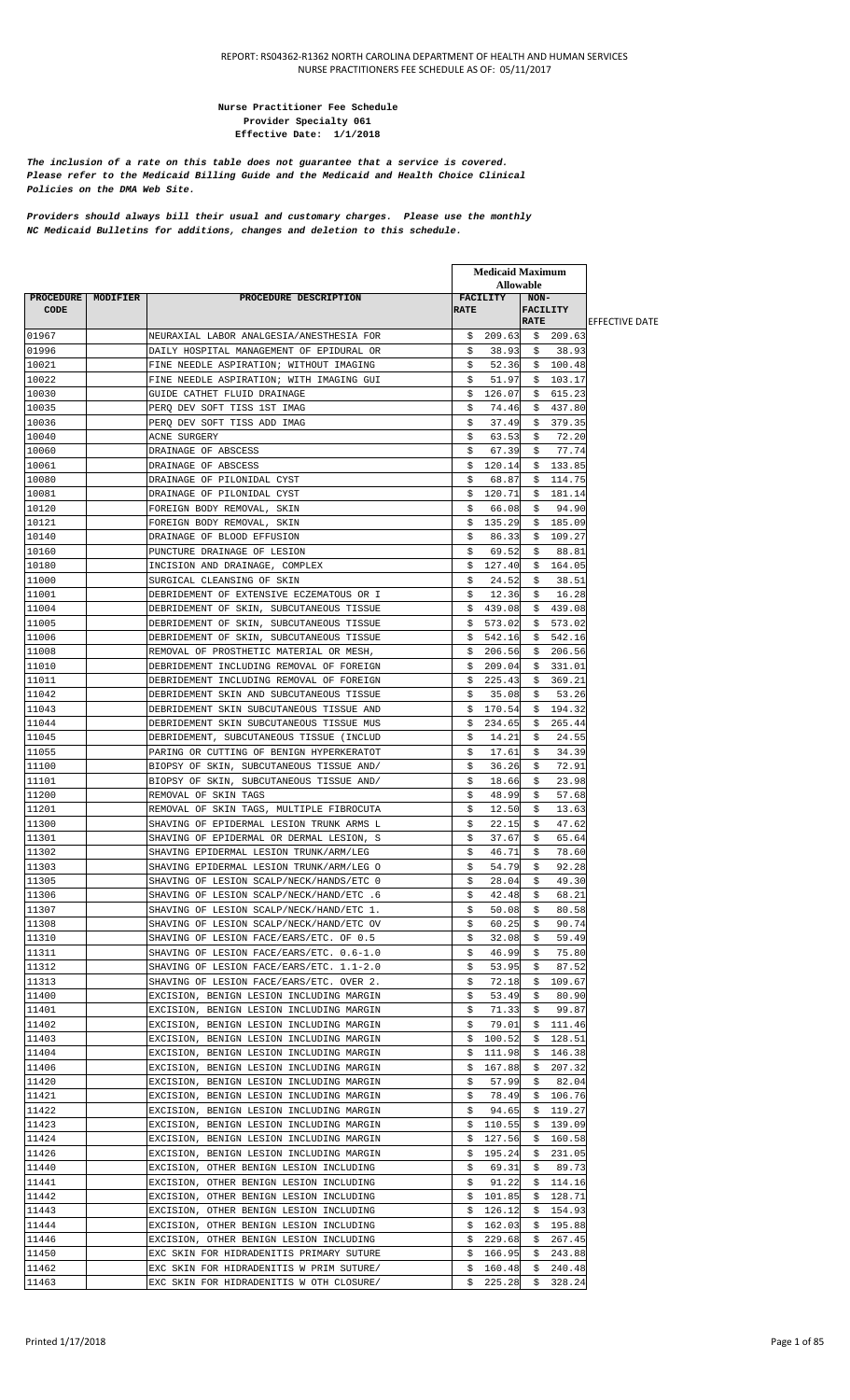#### **Nurse Practitioner Fee Schedule Provider Specialty 061 Effective Date: 1/1/2018**

*The inclusion of a rate on this table does not guarantee that a service is covered. Please refer to the Medicaid Billing Guide and the Medicaid and Health Choice Clinical Policies on the DMA Web Site.*

*Providers should always bill their usual and customary charges. Please use the monthly NC Medicaid Bulletins for additions, changes and deletion to this schedule.*

|                          |          |                                                                                     |             | <b>Medicaid Maximum</b> |                       |                  |                        |
|--------------------------|----------|-------------------------------------------------------------------------------------|-------------|-------------------------|-----------------------|------------------|------------------------|
|                          |          | PROCEDURE DESCRIPTION                                                               |             | <b>Allowable</b>        |                       |                  |                        |
| PROCEDURE<br><b>CODE</b> | MODIFIER |                                                                                     | <b>RATE</b> | <b>FACILITY</b>         | $NON-$<br><b>RATE</b> | <b>FACILITY</b>  | <b>IEFFECTIVE DATE</b> |
| 01967                    |          | NEURAXIAL LABOR ANALGESIA/ANESTHESIA FOR                                            |             | \$209.63                |                       | \$209.63         |                        |
| 01996                    |          | DAILY HOSPITAL MANAGEMENT OF EPIDURAL OR                                            | \$          | 38.93                   | -S                    | 38.93            |                        |
| 10021                    |          | FINE NEEDLE ASPIRATION; WITHOUT IMAGING                                             | \$          | 52.36                   | \$                    | 100.48           |                        |
| 10022                    |          | FINE NEEDLE ASPIRATION; WITH IMAGING GUI                                            | \$          | 51.97                   | \$.                   | 103.17           |                        |
| 10030                    |          | GUIDE CATHET FLUID DRAINAGE                                                         | \$          | 126.07                  | S.                    | 615.23           |                        |
| 10035                    |          | PERO DEV SOFT TISS 1ST IMAG                                                         | \$          | 74.46                   | \$                    | 437.80           |                        |
| 10036                    |          | PERO DEV SOFT TISS ADD IMAG                                                         | \$          | 37.49                   | \$                    | 379.35           |                        |
| 10040                    |          | ACNE SURGERY                                                                        | \$          | 63.53                   | Ş.                    | 72.20            |                        |
| 10060                    |          | DRAINAGE OF ABSCESS                                                                 | \$          | 67.39                   | S.                    | 77.74            |                        |
| 10061                    |          | DRAINAGE OF ABSCESS                                                                 | \$          | 120.14                  |                       | \$133.85         |                        |
| 10080                    |          | DRAINAGE OF PILONIDAL CYST                                                          | \$          | 68.87                   | \$                    | 114.75           |                        |
| 10081                    |          | DRAINAGE OF PILONIDAL CYST                                                          | \$          | 120.71                  | \$                    | 181.14           |                        |
| 10120                    |          | FOREIGN BODY REMOVAL, SKIN                                                          | \$          | 66.08                   | \$                    | 94.90            |                        |
| 10121<br>10140           |          | FOREIGN BODY REMOVAL, SKIN                                                          | \$          | 135.29                  | \$                    | 185.09<br>109.27 |                        |
| 10160                    |          | DRAINAGE OF BLOOD EFFUSION<br>PUNCTURE DRAINAGE OF LESION                           | Ş<br>\$     | 86.33<br>69.52          | -Ş<br>S.              | 88.81            |                        |
| 10180                    |          | INCISION AND DRAINAGE, COMPLEX                                                      | \$          | 127.40                  | \$                    | 164.05           |                        |
| 11000                    |          | SURGICAL CLEANSING OF SKIN                                                          | \$          | 24.52                   | \$                    | 38.51            |                        |
| 11001                    |          | DEBRIDEMENT OF EXTENSIVE ECZEMATOUS OR I                                            | \$          | 12.36                   | \$                    | 16.28            |                        |
| 11004                    |          | DEBRIDEMENT OF SKIN, SUBCUTANEOUS TISSUE                                            | \$          | 439.08                  | \$                    | 439.08           |                        |
| 11005                    |          | DEBRIDEMENT OF SKIN, SUBCUTANEOUS TISSUE                                            | \$          | 573.02                  | \$                    | 573.02           |                        |
| 11006                    |          | DEBRIDEMENT OF SKIN, SUBCUTANEOUS TISSUE                                            | \$          | 542.16                  | \$                    | 542.16           |                        |
| 11008                    |          | REMOVAL OF PROSTHETIC MATERIAL OR MESH,                                             | \$          | 206.56                  | \$                    | 206.56           |                        |
| 11010                    |          | DEBRIDEMENT INCLUDING REMOVAL OF FOREIGN                                            | Ş           | 209.04                  | -Ş                    | 331.01           |                        |
| 11011                    |          | DEBRIDEMENT INCLUDING REMOVAL OF FOREIGN                                            | \$          | 225.43                  | \$                    | 369.21           |                        |
| 11042                    |          | DEBRIDEMENT SKIN AND SUBCUTANEOUS TISSUE                                            | \$          | 35.08                   | \$                    | 53.26            |                        |
| 11043                    |          | DEBRIDEMENT SKIN SUBCUTANEOUS TISSUE AND                                            | \$          | 170.54                  | \$                    | 194.32           |                        |
| 11044                    |          | DEBRIDEMENT SKIN SUBCUTANEOUS TISSUE MUS                                            | \$          | 234.65                  | \$                    | 265.44           |                        |
| 11045                    |          | DEBRIDEMENT, SUBCUTANEOUS TISSUE (INCLUD                                            | \$          | 14.21                   | \$                    | 24.55            |                        |
| 11055                    |          | PARING OR CUTTING OF BENIGN HYPERKERATOT                                            | \$          | 17.61                   | \$                    | 34.39            |                        |
| 11100                    |          | BIOPSY OF SKIN, SUBCUTANEOUS TISSUE AND/                                            | \$          | 36.26                   | \$                    | 72.91            |                        |
| 11101                    |          | BIOPSY OF SKIN, SUBCUTANEOUS TISSUE AND/                                            | \$          | 18.66                   | \$                    | 23.98            |                        |
| 11200                    |          | REMOVAL OF SKIN TAGS                                                                | \$          | 48.99                   | \$                    | 57.68            |                        |
| 11201                    |          | REMOVAL OF SKIN TAGS, MULTIPLE FIBROCUTA                                            | \$          | 12.50                   | Ş.                    | 13.63            |                        |
| 11300<br>11301           |          | SHAVING OF EPIDERMAL LESION TRUNK ARMS L                                            | \$<br>\$    | 22.15                   | \$                    | 47.62<br>65.64   |                        |
| 11302                    |          | SHAVING OF EPIDERMAL OR DERMAL LESION, S<br>SHAVING EPIDERMAL LESION TRUNK/ARM/LEG  | \$          | 37.67<br>46.71          | \$<br>\$              | 78.60            |                        |
| 11303                    |          | SHAVING EPIDERMAL LESION TRUNK/ARM/LEG O                                            | \$          | 54.79                   | \$                    | 92.28            |                        |
| 11305                    |          | SHAVING OF LESION SCALP/NECK/HANDS/ETC 0                                            | \$          | 28.04                   | \$                    | 49.30            |                        |
| 11306                    |          | 6. SHAVING OF LESION SCALP/NECK/HAND/ETC                                            | Ş           | 42.48                   | Ş                     | 68.21            |                        |
| 11307                    |          | SHAVING OF LESION SCALP/NECK/HAND/ETC 1.                                            | \$          | 50.08                   | \$                    | 80.58            |                        |
| 11308                    |          | SHAVING OF LESION SCALP/NECK/HAND/ETC OV                                            | \$          | 60.25                   | \$                    | 90.74            |                        |
| 11310                    |          | SHAVING OF LESION FACE/EARS/ETC. OF 0.5                                             | \$          | 32.08                   | \$                    | 59.49            |                        |
| 11311                    |          | SHAVING OF LESION FACE/EARS/ETC. 0.6-1.0                                            | \$          | 46.99                   | \$                    | 75.80            |                        |
| 11312                    |          | SHAVING OF LESION FACE/EARS/ETC. 1.1-2.0                                            | \$          | 53.95                   | \$                    | 87.52            |                        |
| 11313                    |          | SHAVING OF LESION FACE/EARS/ETC. OVER 2.                                            | \$          | 72.18                   | \$                    | 109.67           |                        |
| 11400                    |          | EXCISION, BENIGN LESION INCLUDING MARGIN                                            | \$          | 53.49                   | \$                    | 80.90            |                        |
| 11401                    |          | EXCISION, BENIGN LESION INCLUDING MARGIN                                            | \$          | 71.33                   | \$                    | 99.87            |                        |
| 11402                    |          | EXCISION, BENIGN LESION INCLUDING MARGIN                                            | \$          | 79.01                   | \$                    | 111.46           |                        |
| 11403                    |          | EXCISION, BENIGN LESION INCLUDING MARGIN                                            | \$          | 100.52                  | \$                    | 128.51           |                        |
| 11404                    |          | EXCISION, BENIGN LESION INCLUDING MARGIN                                            | \$          | 111.98                  | \$                    | 146.38           |                        |
| 11406                    |          | EXCISION, BENIGN LESION INCLUDING MARGIN                                            | \$          | 167.88                  | Ş.                    | 207.32           |                        |
| 11420                    |          | EXCISION, BENIGN LESION INCLUDING MARGIN                                            | \$          | 57.99                   | \$                    | 82.04            |                        |
| 11421                    |          | EXCISION, BENIGN LESION INCLUDING MARGIN                                            | \$          | 78.49                   | \$                    | 106.76           |                        |
| 11422                    |          | EXCISION, BENIGN LESION INCLUDING MARGIN                                            | \$          | 94.65                   | \$                    | 119.27           |                        |
| 11423                    |          | EXCISION, BENIGN LESION INCLUDING MARGIN                                            | \$          | 110.55                  | \$                    | 139.09           |                        |
| 11424                    |          | EXCISION, BENIGN LESION INCLUDING MARGIN                                            | \$          | 127.56                  | \$                    | 160.58           |                        |
| 11426<br>11440           |          | EXCISION, BENIGN LESION INCLUDING MARGIN<br>EXCISION, OTHER BENIGN LESION INCLUDING | Ş<br>\$     | 195.24<br>69.31         | Ş.<br>\$              | 231.05<br>89.73  |                        |
| 11441                    |          | EXCISION, OTHER BENIGN LESION INCLUDING                                             | \$          | 91.22                   | \$                    | 114.16           |                        |
| 11442                    |          | EXCISION, OTHER BENIGN LESION INCLUDING                                             | \$          | 101.85                  | \$                    | 128.71           |                        |
| 11443                    |          | EXCISION, OTHER BENIGN LESION INCLUDING                                             | \$          | 126.12                  | \$                    | 154.93           |                        |
| 11444                    |          | EXCISION, OTHER BENIGN LESION INCLUDING                                             | \$          | 162.03                  | \$                    | 195.88           |                        |
| 11446                    |          | EXCISION, OTHER BENIGN LESION INCLUDING                                             | \$          | 229.68                  | \$                    | 267.45           |                        |
| 11450                    |          | EXC SKIN FOR HIDRADENITIS PRIMARY SUTURE                                            | Ş.          | 166.95                  | \$                    | 243.88           |                        |
| 11462                    |          | EXC SKIN FOR HIDRADENITIS W PRIM SUTURE/                                            | \$          | 160.48                  | \$                    | 240.48           |                        |
| 11463                    |          | EXC SKIN FOR HIDRADENITIS W OTH CLOSURE/                                            | \$          | 225.28                  | \$                    | 328.24           |                        |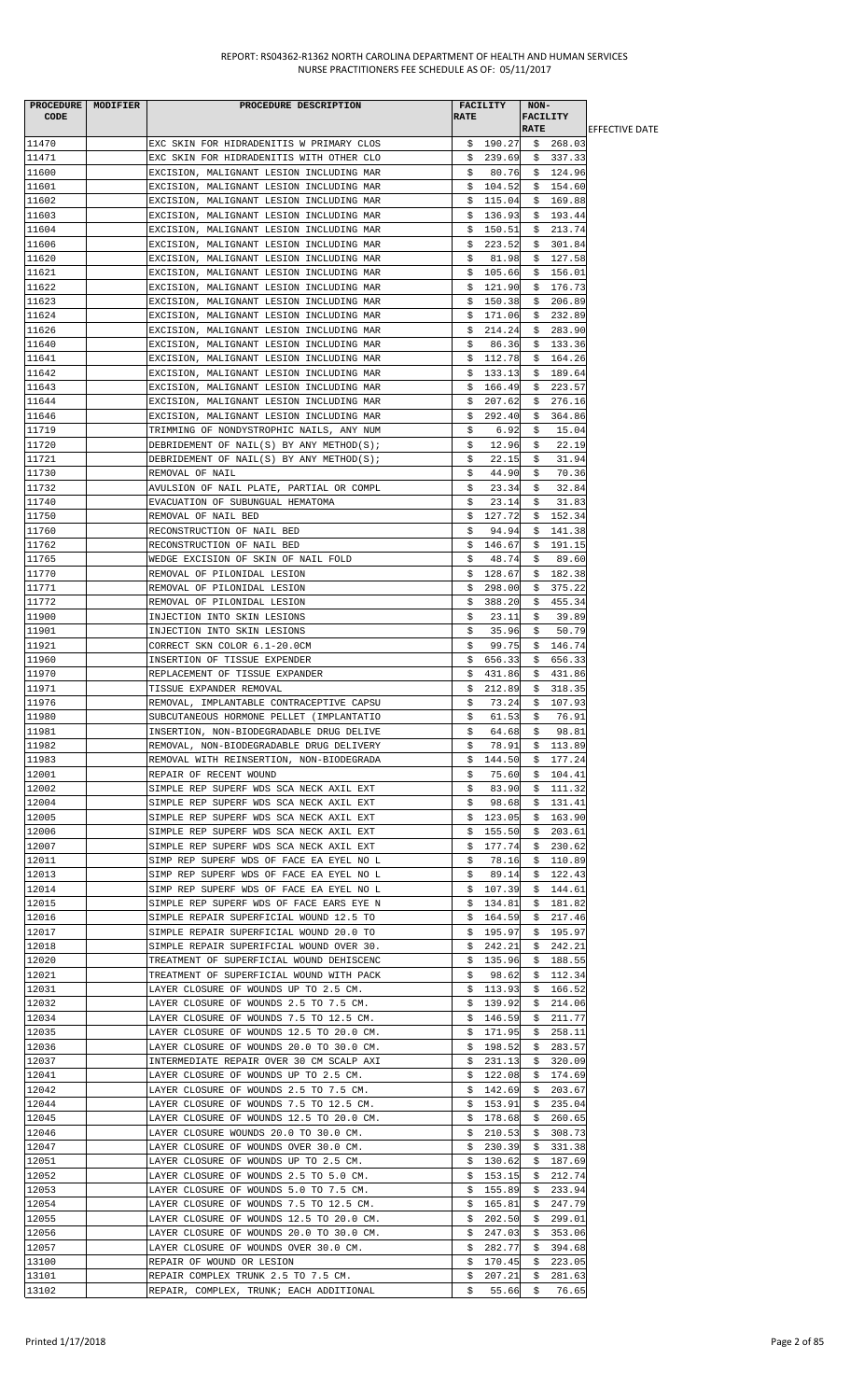| <b>CODE</b>    | PROCEDURE   MODIFIER | PROCEDURE DESCRIPTION                                                                | <b>RATE</b> | <b>FACILITY</b>      | NON-<br><b>FACILITY</b> |                      |                        |
|----------------|----------------------|--------------------------------------------------------------------------------------|-------------|----------------------|-------------------------|----------------------|------------------------|
|                |                      |                                                                                      |             |                      | <b>RATE</b>             |                      | <b>IEFFECTIVE DATE</b> |
| 11470          |                      | EXC SKIN FOR HIDRADENITIS W PRIMARY CLOS                                             |             | \$190.27             |                         | \$268.03             |                        |
| 11471          |                      | EXC SKIN FOR HIDRADENITIS WITH OTHER CLO                                             |             | \$239.69             |                         | \$337.33             |                        |
| 11600<br>11601 |                      | EXCISION, MALIGNANT LESION INCLUDING MAR<br>EXCISION, MALIGNANT LESION INCLUDING MAR | S.          | 80.76<br>\$104.52    |                         | \$124.96<br>\$154.60 |                        |
| 11602          |                      | EXCISION, MALIGNANT LESION INCLUDING MAR                                             |             | \$115.04             |                         | \$169.88             |                        |
| 11603          |                      | EXCISION, MALIGNANT LESION INCLUDING MAR                                             |             | \$136.93             |                         | \$193.44             |                        |
| 11604          |                      | EXCISION, MALIGNANT LESION INCLUDING MAR                                             | \$          | 150.51               | \$.                     | 213.74               |                        |
| 11606          |                      | EXCISION, MALIGNANT LESION INCLUDING MAR                                             | \$          | 223.52               | \$                      | 301.84               |                        |
| 11620          |                      | EXCISION, MALIGNANT LESION INCLUDING MAR                                             | \$          | 81.98                |                         | \$127.58             |                        |
| 11621          |                      | EXCISION, MALIGNANT LESION INCLUDING MAR                                             |             | \$105.66             |                         | \$156.01             |                        |
| 11622          |                      | EXCISION, MALIGNANT LESION INCLUDING MAR                                             | \$          | 121.90               | \$                      | 176.73               |                        |
| 11623          |                      | EXCISION, MALIGNANT LESION INCLUDING MAR                                             | Ş.          | 150.38               |                         | \$206.89             |                        |
| 11624          |                      | EXCISION, MALIGNANT LESION INCLUDING MAR                                             |             | \$171.06             |                         | \$232.89             |                        |
| 11626          |                      | EXCISION, MALIGNANT LESION INCLUDING MAR                                             |             | \$214.24             |                         | \$283.90             |                        |
| 11640          |                      | EXCISION, MALIGNANT LESION INCLUDING MAR                                             | \$          | 86.36<br>112.78      |                         | \$133.36             |                        |
| 11641<br>11642 |                      | EXCISION, MALIGNANT LESION INCLUDING MAR<br>EXCISION, MALIGNANT LESION INCLUDING MAR | \$<br>\$    | 133.13               |                         | \$164.26<br>\$189.64 |                        |
| 11643          |                      | EXCISION, MALIGNANT LESION INCLUDING MAR                                             | \$          | 166.49               |                         | \$223.57             |                        |
| 11644          |                      | EXCISION, MALIGNANT LESION INCLUDING MAR                                             | Ş.          | 207.62               | \$                      | 276.16               |                        |
| 11646          |                      | EXCISION, MALIGNANT LESION INCLUDING MAR                                             | Ş.          | 292.40               | S.                      | 364.86               |                        |
| 11719          |                      | TRIMMING OF NONDYSTROPHIC NAILS, ANY NUM                                             | \$          | 6.92                 | \$                      | 15.04                |                        |
| 11720          |                      | DEBRIDEMENT OF NAIL(S) BY ANY METHOD(S);                                             | \$          | 12.96                | \$                      | 22.19                |                        |
| 11721          |                      | DEBRIDEMENT OF NAIL(S) BY ANY METHOD(S);                                             | \$          | 22.15                | \$                      | 31.94                |                        |
| 11730          |                      | REMOVAL OF NAIL                                                                      | \$          | 44.90                | S.                      | 70.36                |                        |
| 11732          |                      | AVULSION OF NAIL PLATE, PARTIAL OR COMPL                                             | \$          | 23.34                | \$                      | 32.84                |                        |
| 11740          |                      | EVACUATION OF SUBUNGUAL HEMATOMA                                                     | \$          | 23.14                | \$                      | 31.83                |                        |
| 11750          |                      | REMOVAL OF NAIL BED                                                                  | \$          | 127.72               |                         | \$152.34             |                        |
| 11760          |                      | RECONSTRUCTION OF NAIL BED                                                           | Ş.          | 94.94                |                         | \$141.38             |                        |
| 11762          |                      | RECONSTRUCTION OF NAIL BED                                                           |             | \$146.67             |                         | \$191.15             |                        |
| 11765          |                      | WEDGE EXCISION OF SKIN OF NAIL FOLD                                                  | \$          | 48.74                | \$                      | 89.60                |                        |
| 11770<br>11771 |                      | REMOVAL OF PILONIDAL LESION<br>REMOVAL OF PILONIDAL LESION                           | \$          | \$128.67<br>298.00   | \$                      | \$182.38<br>375.22   |                        |
| 11772          |                      | REMOVAL OF PILONIDAL LESION                                                          | \$          | 388.20               | \$                      | 455.34               |                        |
| 11900          |                      | INJECTION INTO SKIN LESIONS                                                          | \$          | 23.11                | \$                      | 39.89                |                        |
| 11901          |                      | INJECTION INTO SKIN LESIONS                                                          | \$          | 35.96                | \$                      | 50.79                |                        |
| 11921          |                      | CORRECT SKN COLOR 6.1-20.0CM                                                         | \$          | 99.75                |                         | \$146.74             |                        |
| 11960          |                      | INSERTION OF TISSUE EXPENDER                                                         | Ş.          | 656.33               | Ş.                      | 656.33               |                        |
| 11970          |                      | REPLACEMENT OF TISSUE EXPANDER                                                       | S.          | 431.86               |                         | \$431.86             |                        |
| 11971          |                      | TISSUE EXPANDER REMOVAL                                                              | \$          | 212.89               |                         | \$318.35             |                        |
| 11976          |                      | REMOVAL, IMPLANTABLE CONTRACEPTIVE CAPSU                                             | \$          | 73.24                |                         | \$107.93             |                        |
| 11980          |                      | SUBCUTANEOUS HORMONE PELLET (IMPLANTATIO                                             | \$          | 61.53                | \$                      | 76.91                |                        |
| 11981          |                      | INSERTION, NON-BIODEGRADABLE DRUG DELIVE                                             | Ş.          | 64.68                | Ş.                      | 98.81                |                        |
| 11982          |                      | REMOVAL, NON-BIODEGRADABLE DRUG DELIVERY                                             | \$          | 78.91                |                         | \$113.89             |                        |
| 11983          |                      | REMOVAL WITH REINSERTION, NON-BIODEGRADA                                             |             | \$144.50             |                         | \$177.24             |                        |
| 12001          |                      | REPAIR OF RECENT WOUND                                                               | Ş.          | 75.60                |                         | \$104.41             |                        |
| 12002<br>12004 |                      | SIMPLE REP SUPERF WDS SCA NECK AXIL EXT<br>SIMPLE REP SUPERF WDS SCA NECK AXIL EXT   | \$          | 83.90<br>98.68       |                         | \$111.32<br>\$131.41 |                        |
| 12005          |                      | SIMPLE REP SUPERF WDS SCA NECK AXIL EXT                                              | Ş.          | \$123.05             |                         | \$163.90             |                        |
| 12006          |                      | SIMPLE REP SUPERF WDS SCA NECK AXIL EXT                                              | Ş.          | 155.50               | Ş.                      | 203.61               |                        |
| 12007          |                      | SIMPLE REP SUPERF WDS SCA NECK AXIL EXT                                              | Ş.          | 177.74               |                         | \$230.62             |                        |
| 12011          |                      | SIMP REP SUPERF WDS OF FACE EA EYEL NO L                                             | \$          | 78.16                | Ş.                      | 110.89               |                        |
| 12013          |                      | SIMP REP SUPERF WDS OF FACE EA EYEL NO L                                             | S.          | 89.14                |                         | \$122.43             |                        |
| 12014          |                      | SIMP REP SUPERF WDS OF FACE EA EYEL NO L                                             |             | \$107.39             |                         | \$144.61             |                        |
| 12015          |                      | SIMPLE REP SUPERF WDS OF FACE EARS EYE N                                             |             | \$134.81             | S.                      | 181.82               |                        |
| 12016          |                      | SIMPLE REPAIR SUPERFICIAL WOUND 12.5 TO                                              |             | \$164.59             | Ş.                      | 217.46               |                        |
| 12017          |                      | SIMPLE REPAIR SUPERFICIAL WOUND 20.0 TO                                              |             | \$195.97             |                         | \$195.97             |                        |
| 12018          |                      | SIMPLE REPAIR SUPERIFCIAL WOUND OVER 30.                                             |             | \$242.21             | Ş.                      | 242.21               |                        |
| 12020          |                      | TREATMENT OF SUPERFICIAL WOUND DEHISCENC                                             |             | \$135.96             | Ş.                      | 188.55               |                        |
| 12021          |                      | TREATMENT OF SUPERFICIAL WOUND WITH PACK                                             | Ş.          | 98.62                | Ş.                      | 112.34               |                        |
| 12031          |                      | LAYER CLOSURE OF WOUNDS UP TO 2.5 CM.                                                |             | \$113.93             |                         | \$166.52             |                        |
| 12032          |                      | LAYER CLOSURE OF WOUNDS 2.5 TO 7.5 CM.                                               |             | \$139.92             |                         | \$214.06             |                        |
| 12034<br>12035 |                      | LAYER CLOSURE OF WOUNDS 7.5 TO 12.5 CM.                                              | Ş.          | 146.59               | Ş.                      | 211.77               |                        |
| 12036          |                      | LAYER CLOSURE OF WOUNDS 12.5 TO 20.0 CM.<br>LAYER CLOSURE OF WOUNDS 20.0 TO 30.0 CM. |             | \$171.95<br>\$198.52 |                         | \$258.11<br>\$283.57 |                        |
| 12037          |                      | INTERMEDIATE REPAIR OVER 30 CM SCALP AXI                                             |             | \$231.13             |                         | \$320.09             |                        |
| 12041          |                      | LAYER CLOSURE OF WOUNDS UP TO 2.5 CM.                                                |             | \$122.08             | Ş.                      | 174.69               |                        |
| 12042          |                      | LAYER CLOSURE OF WOUNDS 2.5 TO 7.5 CM.                                               |             | \$142.69             |                         | \$203.67             |                        |
| 12044          |                      | LAYER CLOSURE OF WOUNDS 7.5 TO 12.5 CM.                                              |             | \$153.91             | \$                      | 235.04               |                        |
| 12045          |                      | LAYER CLOSURE OF WOUNDS 12.5 TO 20.0 CM.                                             |             | \$178.68             | Ş.                      | 260.65               |                        |
| 12046          |                      | LAYER CLOSURE WOUNDS 20.0 TO 30.0 CM.                                                |             | \$210.53             |                         | \$308.73             |                        |
| 12047          |                      | LAYER CLOSURE OF WOUNDS OVER 30.0 CM.                                                |             | \$230.39             |                         | \$331.38             |                        |
| 12051          |                      | LAYER CLOSURE OF WOUNDS UP TO 2.5 CM.                                                |             | \$130.62             | Ş.                      | 187.69               |                        |
| 12052          |                      | LAYER CLOSURE OF WOUNDS 2.5 TO 5.0 CM.                                               |             | \$153.15             |                         | \$212.74             |                        |
| 12053          |                      | LAYER CLOSURE OF WOUNDS 5.0 TO 7.5 CM.                                               | Ş.          | 155.89               | Ş.                      | 233.94               |                        |
| 12054          |                      | LAYER CLOSURE OF WOUNDS 7.5 TO 12.5 CM.                                              | Ş.          | 165.81               | Ş.                      | 247.79               |                        |
| 12055          |                      | LAYER CLOSURE OF WOUNDS 12.5 TO 20.0 CM.                                             | \$.         | 202.50               | \$                      | 299.01               |                        |
| 12056          |                      | LAYER CLOSURE OF WOUNDS 20.0 TO 30.0 CM.                                             | Ş.          | 247.03               | Ş.                      | 353.06               |                        |
| 12057          |                      | LAYER CLOSURE OF WOUNDS OVER 30.0 CM.<br>REPAIR OF WOUND OR LESION                   |             | \$282.77             | Ş.                      | 394.68               |                        |
| 13100<br>13101 |                      | REPAIR COMPLEX TRUNK 2.5 TO 7.5 CM.                                                  | Ş.<br>Ş.    | 170.45<br>207.21     | S.<br>\$                | 223.05<br>281.63     |                        |
| 13102          |                      | REPAIR, COMPLEX, TRUNK; EACH ADDITIONAL                                              | \$          |                      |                         | 55.66 \$ 76.65       |                        |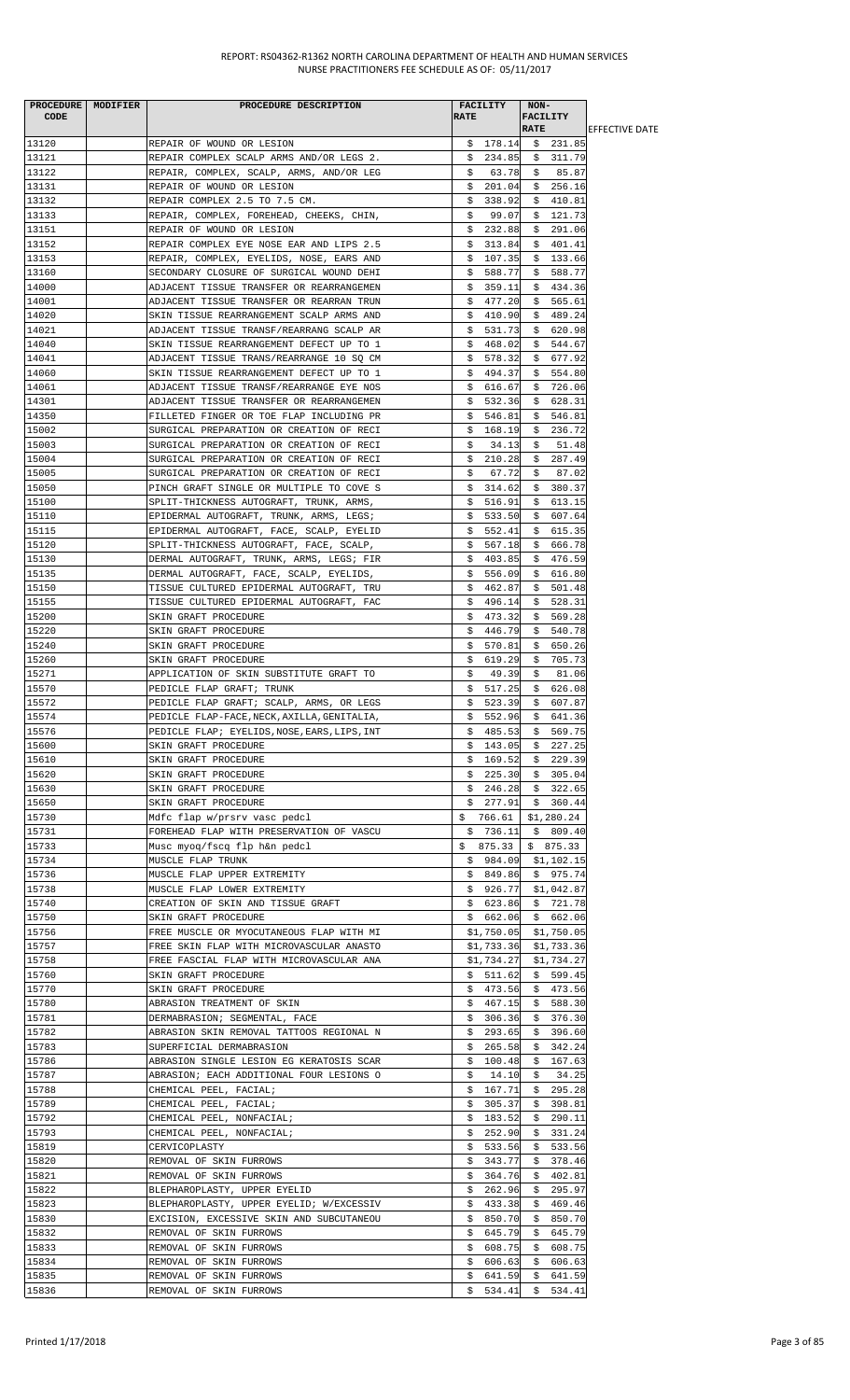| PROCEDURE MODIFIER<br><b>CODE</b> | PROCEDURE DESCRIPTION                                                                | <b>FACILITY</b><br><b>RATE</b> | NON-<br>FACILITY        |                        |
|-----------------------------------|--------------------------------------------------------------------------------------|--------------------------------|-------------------------|------------------------|
|                                   |                                                                                      |                                | <b>RATE</b>             | <b>IEFFECTIVE DATE</b> |
| 13120                             | REPAIR OF WOUND OR LESION                                                            |                                | $$178.14 \t$231.85$     |                        |
| 13121<br>13122                    | REPAIR COMPLEX SCALP ARMS AND/OR LEGS 2.                                             | \$234.85                       | 311.79<br>Ş.            |                        |
| 13131                             | REPAIR, COMPLEX, SCALP, ARMS, AND/OR LEG<br>REPAIR OF WOUND OR LESION                | 63.78<br>\$<br>\$<br>201.04    | \$ 85.87<br>\$256.16    |                        |
| 13132                             | REPAIR COMPLEX 2.5 TO 7.5 CM.                                                        | 338.92<br>Ş.                   | \$410.81                |                        |
| 13133                             | REPAIR, COMPLEX, FOREHEAD, CHEEKS, CHIN,                                             | 99.07<br>S.                    | \$121.73                |                        |
| 13151                             | REPAIR OF WOUND OR LESION                                                            | \$232.88                       | \$291.06                |                        |
| 13152                             | REPAIR COMPLEX EYE NOSE EAR AND LIPS 2.5                                             | \$313.84                       | \$401.41                |                        |
| 13153                             | REPAIR, COMPLEX, EYELIDS, NOSE, EARS AND                                             | \$<br>107.35                   | \$<br>133.66            |                        |
| 13160                             | SECONDARY CLOSURE OF SURGICAL WOUND DEHI                                             | 588.77<br>\$                   | \$588.77                |                        |
| 14000                             | ADJACENT TISSUE TRANSFER OR REARRANGEMEN                                             | \$<br>359.11                   | \$434.36                |                        |
| 14001<br>14020                    | ADJACENT TISSUE TRANSFER OR REARRAN TRUN                                             | \$477.20<br>\$410.90           | \$565.61<br>\$489.24    |                        |
| 14021                             | SKIN TISSUE REARRANGEMENT SCALP ARMS AND<br>ADJACENT TISSUE TRANSF/REARRANG SCALP AR | \$531.73                       | \$620.98                |                        |
| 14040                             | SKIN TISSUE REARRANGEMENT DEFECT UP TO 1                                             | 468.02<br>S.                   | \$544.67                |                        |
| 14041                             | ADJACENT TISSUE TRANS/REARRANGE 10 SQ CM                                             | \$578.32                       | \$677.92                |                        |
| 14060                             | SKIN TISSUE REARRANGEMENT DEFECT UP TO 1                                             | \$494.37                       | \$554.80                |                        |
| 14061                             | ADJACENT TISSUE TRANSF/REARRANGE EYE NOS                                             | \$616.67                       | \$726.06                |                        |
| 14301                             | ADJACENT TISSUE TRANSFER OR REARRANGEMEN                                             | 532.36<br>\$                   | 628.31<br>\$            |                        |
| 14350                             | FILLETED FINGER OR TOE FLAP INCLUDING PR                                             | 546.81<br>S.                   | \$<br>546.81            |                        |
| 15002<br>15003                    | SURGICAL PREPARATION OR CREATION OF RECI                                             | \$168.19                       | \$236.72                |                        |
| 15004                             | SURGICAL PREPARATION OR CREATION OF RECI<br>SURGICAL PREPARATION OR CREATION OF RECI | Ş.<br>34.13<br>\$210.28        | \$<br>51.48<br>\$287.49 |                        |
| 15005                             | SURGICAL PREPARATION OR CREATION OF RECI                                             | 67.72<br>S.                    | 87.02<br>S.             |                        |
| 15050                             | PINCH GRAFT SINGLE OR MULTIPLE TO COVE S                                             | \$314.62                       | \$380.37                |                        |
| 15100                             | SPLIT-THICKNESS AUTOGRAFT, TRUNK, ARMS,                                              | 516.91<br>\$                   | 613.15<br>\$            |                        |
| 15110                             | EPIDERMAL AUTOGRAFT, TRUNK, ARMS, LEGS;                                              | \$533.50                       | \$<br>607.64            |                        |
| 15115                             | EPIDERMAL AUTOGRAFT, FACE, SCALP, EYELID                                             | \$552.41                       | \$615.35                |                        |
| 15120                             | SPLIT-THICKNESS AUTOGRAFT, FACE, SCALP,                                              | \$<br>567.18                   | \$<br>666.78            |                        |
| 15130                             | DERMAL AUTOGRAFT, TRUNK, ARMS, LEGS; FIR                                             | \$403.85                       | \$476.59                |                        |
| 15135<br>15150                    | DERMAL AUTOGRAFT, FACE, SCALP, EYELIDS,                                              | \$556.09                       | \$616.80                |                        |
| 15155                             | TISSUE CULTURED EPIDERMAL AUTOGRAFT, TRU<br>TISSUE CULTURED EPIDERMAL AUTOGRAFT, FAC | \$462.87<br>496.14<br>\$.      | \$501.48<br>\$528.31    |                        |
| 15200                             | SKIN GRAFT PROCEDURE                                                                 | \$<br>473.32                   | \$<br>569.28            |                        |
| 15220                             | SKIN GRAFT PROCEDURE                                                                 | 446.79<br>S.                   | 540.78<br>\$            |                        |
| 15240                             | SKIN GRAFT PROCEDURE                                                                 | S.<br>570.81                   | \$<br>650.26            |                        |
| 15260                             | SKIN GRAFT PROCEDURE                                                                 | \$.<br>619.29                  | \$705.73                |                        |
| 15271                             | APPLICATION OF SKIN SUBSTITUTE GRAFT TO                                              | \$<br>49.39                    | \$<br>81.06             |                        |
| 15570                             | PEDICLE FLAP GRAFT; TRUNK                                                            | \$517.25                       | \$626.08                |                        |
| 15572                             | PEDICLE FLAP GRAFT; SCALP, ARMS, OR LEGS                                             | 523.39<br>\$                   | \$<br>607.87            |                        |
| 15574                             | PEDICLE FLAP-FACE, NECK, AXILLA, GENITALIA,                                          | \$<br>552.96                   | \$641.36                |                        |
| 15576<br>15600                    | PEDICLE FLAP; EYELIDS, NOSE, EARS, LIPS, INT<br>SKIN GRAFT PROCEDURE                 | \$485.53<br>\$143.05           | \$569.75<br>\$227.25    |                        |
| 15610                             | SKIN GRAFT PROCEDURE                                                                 | \$169.52                       | 229.39<br>\$            |                        |
| 15620                             | SKIN GRAFT PROCEDURE                                                                 | \$225.30                       | \$305.04                |                        |
| 15630                             | SKIN GRAFT PROCEDURE                                                                 | \$246.28                       | \$322.65                |                        |
| 15650                             | SKIN GRAFT PROCEDURE                                                                 | \$277.91                       | \$360.44                |                        |
| 15730                             | Mdfc flap w/prsrv vasc pedcl                                                         | \$766.61                       | \$1,280.24              |                        |
| 15731                             | FOREHEAD FLAP WITH PRESERVATION OF VASCU                                             | \$736.11                       | \$809.40                |                        |
| 15733                             | Musc myoq/fscq flp h&n pedcl                                                         |                                | $$875.33 \t$875.33$     |                        |
| 15734<br>15736                    | MUSCLE FLAP TRUNK                                                                    | \$984.09<br>\$849.86           | \$1,102.15<br>\$975.74  |                        |
| 15738                             | MUSCLE FLAP UPPER EXTREMITY<br>MUSCLE FLAP LOWER EXTREMITY                           | \$926.77                       | \$1,042.87              |                        |
| 15740                             | CREATION OF SKIN AND TISSUE GRAFT                                                    | \$623.86                       | \$721.78                |                        |
| 15750                             | SKIN GRAFT PROCEDURE                                                                 | \$662.06                       | \$662.06                |                        |
| 15756                             | FREE MUSCLE OR MYOCUTANEOUS FLAP WITH MI                                             | \$1,750.05                     | \$1,750.05              |                        |
| 15757                             | FREE SKIN FLAP WITH MICROVASCULAR ANASTO                                             | \$1,733.36                     | \$1,733.36              |                        |
| 15758                             | FREE FASCIAL FLAP WITH MICROVASCULAR ANA                                             | \$1,734.27                     | \$1,734.27              |                        |
| 15760                             | SKIN GRAFT PROCEDURE                                                                 | \$511.62                       | \$599.45                |                        |
| 15770<br>15780                    | SKIN GRAFT PROCEDURE<br>ABRASION TREATMENT OF SKIN                                   | \$473.56<br>\$467.15           | \$473.56<br>\$588.30    |                        |
| 15781                             | DERMABRASION; SEGMENTAL, FACE                                                        | 306.36<br>Ş.                   | \$376.30                |                        |
| 15782                             | ABRASION SKIN REMOVAL TATTOOS REGIONAL N                                             | 293.65<br>S.                   | \$396.60                |                        |
| 15783                             | SUPERFICIAL DERMABRASION                                                             | \$265.58                       | \$342.24                |                        |
| 15786                             | ABRASION SINGLE LESION EG KERATOSIS SCAR                                             | \$100.48                       | \$167.63                |                        |
| 15787                             | ABRASION; EACH ADDITIONAL FOUR LESIONS O                                             | 14.10<br>Ş.                    | \$<br>34.25             |                        |
| 15788                             | CHEMICAL PEEL, FACIAL;                                                               | \$167.71                       | \$295.28                |                        |
| 15789                             | CHEMICAL PEEL, FACIAL;                                                               | \$<br>305.37                   | \$398.81                |                        |
| 15792<br>15793                    | CHEMICAL PEEL, NONFACIAL;                                                            | \$<br>183.52                   | 290.11<br>Ş.<br>\$      |                        |
| 15819                             | CHEMICAL PEEL, NONFACIAL;<br>CERVICOPLASTY                                           | 252.90<br>S.<br>\$533.56       | 331.24<br>\$533.56      |                        |
| 15820                             | REMOVAL OF SKIN FURROWS                                                              | 343.77<br>S.                   | \$<br>378.46            |                        |
| 15821                             | REMOVAL OF SKIN FURROWS                                                              | 364.76<br>Ş.                   | 402.81<br>Ş.            |                        |
| 15822                             | BLEPHAROPLASTY, UPPER EYELID                                                         | 262.96<br>S.                   | \$295.97                |                        |
| 15823                             | BLEPHAROPLASTY, UPPER EYELID; W/EXCESSIV                                             | \$433.38                       | \$469.46                |                        |
| 15830                             | EXCISION, EXCESSIVE SKIN AND SUBCUTANEOU                                             | 850.70<br>\$                   | \$<br>850.70            |                        |
| 15832                             | REMOVAL OF SKIN FURROWS                                                              | 645.79<br>Ş.                   | \$<br>645.79            |                        |
| 15833<br>15834                    | REMOVAL OF SKIN FURROWS                                                              | \$608.75<br>\$606.63           | \$<br>608.75<br>\$      |                        |
| 15835                             | REMOVAL OF SKIN FURROWS<br>REMOVAL OF SKIN FURROWS                                   | 641.59<br>Ş.                   | 606.63<br>Ş.<br>641.59  |                        |
| 15836                             | REMOVAL OF SKIN FURROWS                                                              | \$534.41                       | \$534.41                |                        |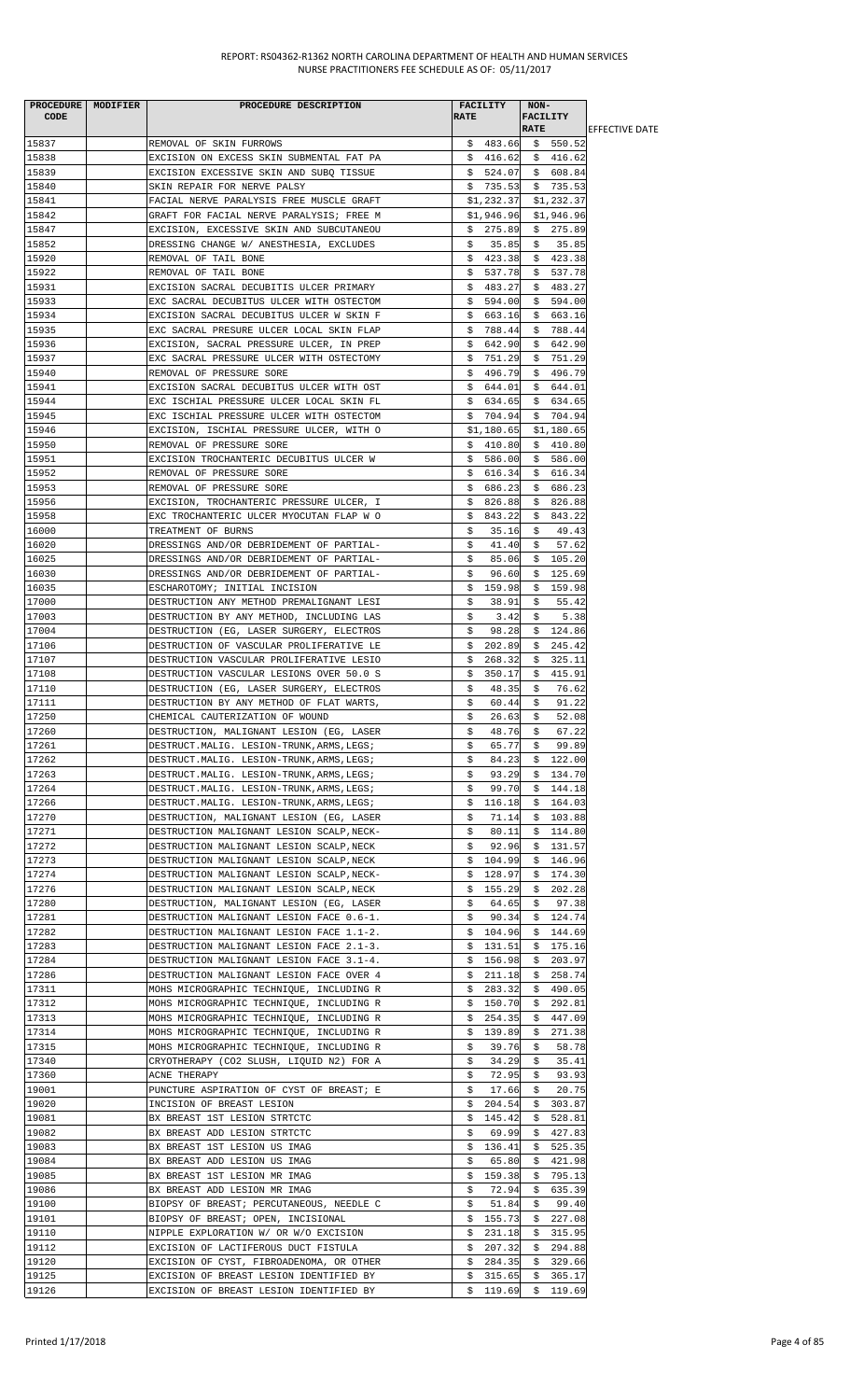|       | PROCEDURE MODIFIER | PROCEDURE DESCRIPTION                      | FACILITY          | NON-                    |                        |
|-------|--------------------|--------------------------------------------|-------------------|-------------------------|------------------------|
| CODE  |                    |                                            | <b>RATE</b>       | <b>FACILITY</b>         |                        |
|       |                    |                                            |                   | <b>RATE</b>             | <b>IEFFECTIVE DATE</b> |
| 15837 |                    | REMOVAL OF SKIN FURROWS                    |                   | $$483.66$ $$550.52$     |                        |
| 15838 |                    | EXCISION ON EXCESS SKIN SUBMENTAL FAT PA   |                   | $$416.62 \t$ 416.62$    |                        |
| 15839 |                    | EXCISION EXCESSIVE SKIN AND SUBQ TISSUE    |                   | $$524.07$$ \$ 608.84    |                        |
| 15840 |                    | SKIN REPAIR FOR NERVE PALSY                |                   | $$735.53$ $$735.53$     |                        |
| 15841 |                    | FACIAL NERVE PARALYSIS FREE MUSCLE GRAFT   | \$1,232.37        | \$1,232.37              |                        |
| 15842 |                    | GRAFT FOR FACIAL NERVE PARALYSIS; FREE M   | \$1,946.96        | \$1,946.96              |                        |
| 15847 |                    | EXCISION, EXCESSIVE SKIN AND SUBCUTANEOU   | \$275.89          | \$275.89                |                        |
| 15852 |                    | DRESSING CHANGE W/ ANESTHESIA, EXCLUDES    | \$35.85           | \$35.85                 |                        |
| 15920 |                    | REMOVAL OF TAIL BONE                       |                   | $$423.38 \quad $423.38$ |                        |
| 15922 |                    | REMOVAL OF TAIL BONE                       | \$537.78          | \$537.78                |                        |
| 15931 |                    | EXCISION SACRAL DECUBITIS ULCER PRIMARY    | \$483.27          | \$483.27                |                        |
| 15933 |                    | EXC SACRAL DECUBITUS ULCER WITH OSTECTOM   |                   | $$594.00 \$594.00$      |                        |
| 15934 |                    | EXCISION SACRAL DECUBITUS ULCER W SKIN F   | \$663.16          | \$663.16                |                        |
| 15935 |                    | EXC SACRAL PRESURE ULCER LOCAL SKIN FLAP   | \$788.44          | \$788.44                |                        |
| 15936 |                    | EXCISION, SACRAL PRESSURE ULCER, IN PREP   | \$642.90          | \$642.90                |                        |
| 15937 |                    | EXC SACRAL PRESSURE ULCER WITH OSTECTOMY   | \$751.29          | \$751.29                |                        |
| 15940 |                    | REMOVAL OF PRESSURE SORE                   | \$496.79          | \$496.79                |                        |
| 15941 |                    | EXCISION SACRAL DECUBITUS ULCER WITH OST   | \$644.01          | \$644.01                |                        |
| 15944 |                    | EXC ISCHIAL PRESSURE ULCER LOCAL SKIN FL   |                   | $$634.65$ \$634.65      |                        |
| 15945 |                    | EXC ISCHIAL PRESSURE ULCER WITH OSTECTOM   |                   | $$704.94$ \$ 704.94     |                        |
| 15946 |                    | EXCISION, ISCHIAL PRESSURE ULCER, WITH O   | \$1,180.65        | \$1,180.65              |                        |
| 15950 |                    | REMOVAL OF PRESSURE SORE                   | \$410.80          | \$410.80                |                        |
| 15951 |                    | EXCISION TROCHANTERIC DECUBITUS ULCER W    | \$586.00          | \$586.00                |                        |
| 15952 |                    | REMOVAL OF PRESSURE SORE                   | \$616.34          | \$616.34                |                        |
| 15953 |                    | REMOVAL OF PRESSURE SORE                   | \$686.23          | \$686.23                |                        |
| 15956 |                    | EXCISION, TROCHANTERIC PRESSURE ULCER, I   |                   | $$826.88$$ \$826.88     |                        |
| 15958 |                    | EXC TROCHANTERIC ULCER MYOCUTAN FLAP W O   | \$843.22          | \$843.22                |                        |
| 16000 |                    | TREATMENT OF BURNS                         | 35.16<br>S.       | 49.43<br>S.             |                        |
| 16020 |                    | DRESSINGS AND/OR DEBRIDEMENT OF PARTIAL-   | \$<br>41.40       | \$57.62                 |                        |
| 16025 |                    | DRESSINGS AND/OR DEBRIDEMENT OF PARTIAL-   | \$<br>85.06       | \$105.20                |                        |
| 16030 |                    | DRESSINGS AND/OR DEBRIDEMENT OF PARTIAL-   | \$<br>96.60       | \$125.69                |                        |
| 16035 |                    | ESCHAROTOMY; INITIAL INCISION              | \$159.98          | \$159.98                |                        |
| 17000 |                    | DESTRUCTION ANY METHOD PREMALIGNANT LESI   | \$<br>38.91       | \$<br>55.42             |                        |
| 17003 |                    | DESTRUCTION BY ANY METHOD, INCLUDING LAS   | 3.42<br>Ş.        | 5.38<br>Ş.              |                        |
| 17004 |                    | DESTRUCTION (EG, LASER SURGERY, ELECTROS   | 98.28<br>S.       | \$124.86                |                        |
| 17106 |                    | DESTRUCTION OF VASCULAR PROLIFERATIVE LE   | \$202.89          | \$245.42                |                        |
| 17107 |                    | DESTRUCTION VASCULAR PROLIFERATIVE LESIO   | \$<br>268.32      | \$325.11                |                        |
| 17108 |                    | DESTRUCTION VASCULAR LESIONS OVER 50.0 S   | \$350.17          | \$415.91                |                        |
| 17110 |                    |                                            | 48.35<br>S.       | 76.62<br>\$             |                        |
|       |                    | DESTRUCTION (EG, LASER SURGERY, ELECTROS   |                   |                         |                        |
| 17111 |                    | DESTRUCTION BY ANY METHOD OF FLAT WARTS,   | \$<br>60.44<br>\$ | \$<br>91.22             |                        |
| 17250 |                    | CHEMICAL CAUTERIZATION OF WOUND            | $26.63$ \$        | 52.08                   |                        |
| 17260 |                    | DESTRUCTION, MALIGNANT LESION (EG, LASER   | 48.76<br>Ş.       | 67.22<br>Ş.             |                        |
| 17261 |                    | DESTRUCT.MALIG. LESION-TRUNK, ARMS, LEGS;  | 65.77<br>Ş.       | 99.89<br>Ş.             |                        |
| 17262 |                    | DESTRUCT.MALIG. LESION-TRUNK, ARMS, LEGS;  | \$<br>84.23       | \$122.00                |                        |
| 17263 |                    | DESTRUCT. MALIG. LESION-TRUNK, ARMS, LEGS; | \$<br>93.29       | \$134.70                |                        |
| 17264 |                    | DESTRUCT.MALIG. LESION-TRUNK, ARMS, LEGS;  | 99.70<br>\$       | \$144.18                |                        |
| 17266 |                    | DESTRUCT. MALIG. LESION-TRUNK, ARMS, LEGS; | \$<br>116.18      | \$164.03                |                        |
| 17270 |                    | DESTRUCTION, MALIGNANT LESION (EG, LASER   | \$<br>71.14       | 103.88<br>\$.           |                        |
| 17271 |                    | DESTRUCTION MALIGNANT LESION SCALP, NECK-  | \$<br>80.11       | \$114.80                |                        |
| 17272 |                    | DESTRUCTION MALIGNANT LESION SCALP, NECK   | 92.96<br>\$       | \$131.57                |                        |
| 17273 |                    | DESTRUCTION MALIGNANT LESION SCALP, NECK   | 104.99<br>\$      | \$<br>146.96            |                        |
| 17274 |                    | DESTRUCTION MALIGNANT LESION SCALP, NECK-  | 128.97<br>Ş.      | 174.30<br>Ş.            |                        |
| 17276 |                    | DESTRUCTION MALIGNANT LESION SCALP, NECK   | 155.29<br>S.      | \$202.28                |                        |
| 17280 |                    | DESTRUCTION, MALIGNANT LESION (EG, LASER   | 64.65<br>\$       | 97.38<br>\$             |                        |
| 17281 |                    | DESTRUCTION MALIGNANT LESION FACE 0.6-1.   | 90.34<br>\$       | 124.74<br>\$            |                        |
| 17282 |                    | DESTRUCTION MALIGNANT LESION FACE 1.1-2.   | \$104.96          | \$<br>144.69            |                        |
| 17283 |                    | DESTRUCTION MALIGNANT LESION FACE 2.1-3.   | 131.51<br>Ş.      | \$175.16                |                        |
| 17284 |                    | DESTRUCTION MALIGNANT LESION FACE 3.1-4.   | \$156.98          | \$<br>203.97            |                        |
| 17286 |                    | DESTRUCTION MALIGNANT LESION FACE OVER 4   | 211.18<br>Ş.      | 258.74<br>Ş.            |                        |
| 17311 |                    | MOHS MICROGRAPHIC TECHNIQUE, INCLUDING R   | S.<br>283.32      | \$<br>490.05            |                        |
| 17312 |                    | MOHS MICROGRAPHIC TECHNIQUE, INCLUDING R   | \$150.70          | \$292.81                |                        |
| 17313 |                    | MOHS MICROGRAPHIC TECHNIQUE, INCLUDING R   | \$.<br>254.35     | 447.09<br>\$            |                        |
| 17314 |                    | MOHS MICROGRAPHIC TECHNIQUE, INCLUDING R   | \$<br>139.89      | 271.38<br>\$.           |                        |
| 17315 |                    | MOHS MICROGRAPHIC TECHNIQUE, INCLUDING R   | 39.76<br>Ş.       | 58.78<br>S.             |                        |
| 17340 |                    | CRYOTHERAPY (CO2 SLUSH, LIQUID N2) FOR A   | \$<br>34.29       | 35.41<br>\$             |                        |
| 17360 |                    | ACNE THERAPY                               | \$<br>72.95       | \$<br>93.93             |                        |
| 19001 |                    | PUNCTURE ASPIRATION OF CYST OF BREAST; E   | \$<br>17.66       | \$<br>20.75             |                        |
| 19020 |                    | INCISION OF BREAST LESION                  | 204.54<br>Ş.      | \$303.87                |                        |
| 19081 |                    | BX BREAST 1ST LESION STRTCTC               | 145.42<br>Ş.      | \$<br>528.81            |                        |
| 19082 |                    | BX BREAST ADD LESION STRTCTC               | 69.99<br>\$       | 427.83<br>\$            |                        |
| 19083 |                    | BX BREAST 1ST LESION US IMAG               | \$136.41          | 525.35<br>Ş.            |                        |
| 19084 |                    | BX BREAST ADD LESION US IMAG               | \$<br>65.80       | \$<br>421.98            |                        |
| 19085 |                    | BX BREAST 1ST LESION MR IMAG               | 159.38<br>\$      | 795.13<br>\$            |                        |
| 19086 |                    | BX BREAST ADD LESION MR IMAG               | \$<br>72.94       | 635.39<br>Ş.            |                        |
| 19100 |                    | BIOPSY OF BREAST; PERCUTANEOUS, NEEDLE C   | \$<br>51.84       | \$<br>99.40             |                        |
| 19101 |                    | BIOPSY OF BREAST; OPEN, INCISIONAL         | 155.73<br>\$      | \$<br>227.08            |                        |
| 19110 |                    | NIPPLE EXPLORATION W/ OR W/O EXCISION      | 231.18<br>Ş.      | 315.95<br>Ş.            |                        |
| 19112 |                    | EXCISION OF LACTIFEROUS DUCT FISTULA       | 207.32<br>S.      | 294.88<br>\$            |                        |
| 19120 |                    | EXCISION OF CYST, FIBROADENOMA, OR OTHER   | \$284.35          | \$329.66                |                        |
| 19125 |                    | EXCISION OF BREAST LESION IDENTIFIED BY    | 315.65<br>\$      | \$<br>365.17            |                        |
| 19126 |                    | EXCISION OF BREAST LESION IDENTIFIED BY    | \$119.69          | \$119.69                |                        |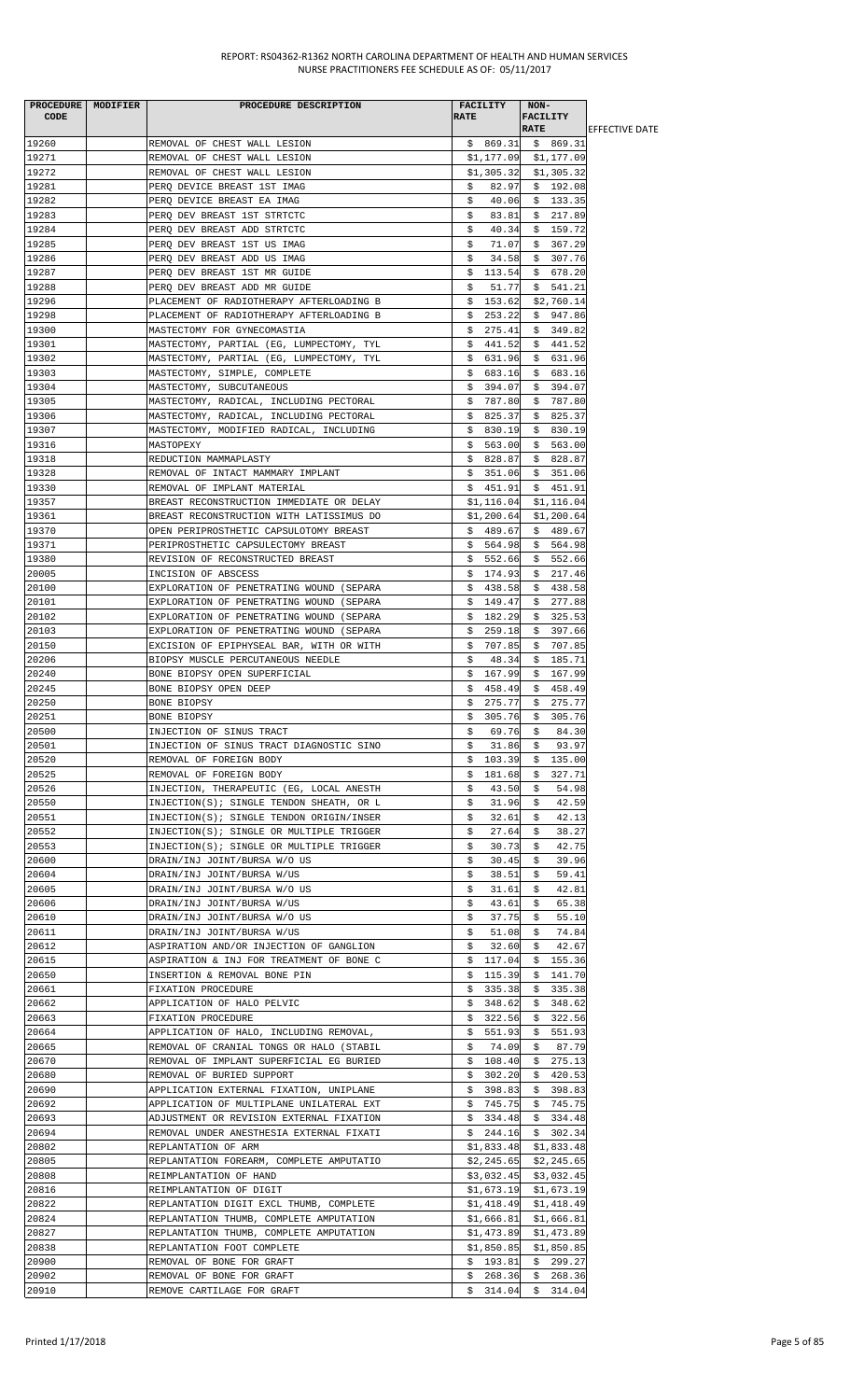| <b>CODE</b>    | PROCEDURE   MODIFIER | PROCEDURE DESCRIPTION                                                                | <b>RATE</b> | <b>FACILITY</b>          | NON-<br><b>FACILITY</b> |                          |                        |
|----------------|----------------------|--------------------------------------------------------------------------------------|-------------|--------------------------|-------------------------|--------------------------|------------------------|
|                |                      |                                                                                      |             |                          | <b>RATE</b>             |                          | <b>LEFFECTIVE DATE</b> |
| 19260          |                      | REMOVAL OF CHEST WALL LESION                                                         |             | $$869.31$ $$869.31$      |                         |                          |                        |
| 19271          |                      | REMOVAL OF CHEST WALL LESION                                                         |             | $$1,177.09$ $$1,177.09$  |                         |                          |                        |
| 19272<br>19281 |                      | REMOVAL OF CHEST WALL LESION                                                         |             | \$1,305.32<br>82.97      |                         | \$1,305.32               |                        |
| 19282          |                      | PERQ DEVICE BREAST 1ST IMAG<br>PERQ DEVICE BREAST EA IMAG                            | \$<br>\$    | 40.06                    |                         | \$192.08<br>\$133.35     |                        |
| 19283          |                      | PERQ DEV BREAST 1ST STRTCTC                                                          | \$          | 83.81                    |                         | \$217.89                 |                        |
| 19284          |                      | PERQ DEV BREAST ADD STRTCTC                                                          | \$          | 40.34                    |                         | \$159.72                 |                        |
| 19285          |                      | PERO DEV BREAST 1ST US IMAG                                                          | \$          | 71.07                    |                         | \$367.29                 |                        |
| 19286          |                      | PERQ DEV BREAST ADD US IMAG                                                          | \$          | 34.58                    |                         | \$307.76                 |                        |
| 19287          |                      | PERO DEV BREAST 1ST MR GUIDE                                                         |             | \$113.54                 |                         | \$678.20                 |                        |
| 19288          |                      | PERO DEV BREAST ADD MR GUIDE                                                         | \$          | 51.77                    |                         | \$541.21                 |                        |
| 19296          |                      | PLACEMENT OF RADIOTHERAPY AFTERLOADING B                                             | \$          | 153.62                   |                         | \$2,760.14               |                        |
| 19298          |                      | PLACEMENT OF RADIOTHERAPY AFTERLOADING B                                             | \$          | 253.22                   |                         | \$947.86                 |                        |
| 19300          |                      | MASTECTOMY FOR GYNECOMASTIA                                                          |             | \$275.41                 |                         | \$349.82                 |                        |
| 19301<br>19302 |                      | MASTECTOMY, PARTIAL (EG, LUMPECTOMY, TYL<br>MASTECTOMY, PARTIAL (EG, LUMPECTOMY, TYL |             | \$441.52<br>\$631.96     |                         | \$441.52<br>\$631.96     |                        |
| 19303          |                      | MASTECTOMY, SIMPLE, COMPLETE                                                         |             | \$683.16                 |                         | \$683.16                 |                        |
| 19304          |                      | MASTECTOMY, SUBCUTANEOUS                                                             |             | \$394.07                 |                         | \$394.07                 |                        |
| 19305          |                      | MASTECTOMY, RADICAL, INCLUDING PECTORAL                                              |             | \$787.80                 |                         | \$787.80                 |                        |
| 19306          |                      | MASTECTOMY, RADICAL, INCLUDING PECTORAL                                              | Ş.          | 825.37                   | \$                      | 825.37                   |                        |
| 19307          |                      | MASTECTOMY, MODIFIED RADICAL, INCLUDING                                              |             | \$830.19                 |                         | \$830.19                 |                        |
| 19316          |                      | MASTOPEXY                                                                            |             | \$563.00                 |                         | \$563.00                 |                        |
| 19318          |                      | REDUCTION MAMMAPLASTY                                                                |             | \$828.87                 |                         | \$828.87                 |                        |
| 19328          |                      | REMOVAL OF INTACT MAMMARY IMPLANT                                                    |             | \$ 351.06                |                         | \$351.06                 |                        |
| 19330          |                      | REMOVAL OF IMPLANT MATERIAL                                                          |             | \$451.91                 |                         | \$451.91                 |                        |
| 19357          |                      | BREAST RECONSTRUCTION IMMEDIATE OR DELAY                                             |             | \$1,116.04               |                         | \$1,116.04               |                        |
| 19361          |                      | BREAST RECONSTRUCTION WITH LATISSIMUS DO                                             |             | \$1,200.64               |                         | \$1,200.64               |                        |
| 19370<br>19371 |                      | OPEN PERIPROSTHETIC CAPSULOTOMY BREAST<br>PERIPROSTHETIC CAPSULECTOMY BREAST         |             | \$489.67<br>\$564.98     |                         | \$489.67<br>\$564.98     |                        |
| 19380          |                      | REVISION OF RECONSTRUCTED BREAST                                                     | Ş.          | 552.66                   |                         | \$552.66                 |                        |
| 20005          |                      | INCISION OF ABSCESS                                                                  |             | \$174.93                 |                         | \$217.46                 |                        |
| 20100          |                      | EXPLORATION OF PENETRATING WOUND (SEPARA                                             |             | \$438.58                 |                         | \$438.58                 |                        |
| 20101          |                      | EXPLORATION OF PENETRATING WOUND (SEPARA                                             |             | \$149.47                 |                         | \$277.88                 |                        |
| 20102          |                      | EXPLORATION OF PENETRATING WOUND (SEPARA                                             |             | \$182.29                 |                         | \$325.53                 |                        |
| 20103          |                      | EXPLORATION OF PENETRATING WOUND (SEPARA                                             | Ş.          | 259.18                   |                         | \$397.66                 |                        |
| 20150          |                      | EXCISION OF EPIPHYSEAL BAR, WITH OR WITH                                             |             | \$707.85                 |                         | \$707.85                 |                        |
| 20206          |                      | BIOPSY MUSCLE PERCUTANEOUS NEEDLE                                                    | \$          | 48.34                    | Ş.                      | 185.71                   |                        |
| 20240          |                      | BONE BIOPSY OPEN SUPERFICIAL                                                         | \$          | 167.99                   |                         | \$167.99                 |                        |
| 20245          |                      | BONE BIOPSY OPEN DEEP                                                                |             | \$458.49<br>275.77       |                         | \$458.49<br>275.77       |                        |
| 20250<br>20251 |                      | BONE BIOPSY<br>BONE BIOPSY                                                           | \$<br>\$    |                          | \$                      | 305.76 \$ 305.76         |                        |
| 20500          |                      | INJECTION OF SINUS TRACT                                                             | Ş.          | 69.76                    | Ş.                      | 84.30                    |                        |
| 20501          |                      | INJECTION OF SINUS TRACT DIAGNOSTIC SINO                                             | \$          | 31.86                    | \$                      | 93.97                    |                        |
| 20520          |                      | REMOVAL OF FOREIGN BODY                                                              | \$          | 103.39                   | \$                      | 135.00                   |                        |
| 20525          |                      | REMOVAL OF FOREIGN BODY                                                              | \$          | 181.68                   | \$                      | 327.71                   |                        |
| 20526          |                      | INJECTION, THERAPEUTIC (EG, LOCAL ANESTH                                             | \$          | 43.50                    | \$                      | 54.98                    |                        |
| 20550          |                      | INJECTION(S); SINGLE TENDON SHEATH, OR L                                             | \$          | 31.96                    | \$                      | 42.59                    |                        |
| 20551          |                      | INJECTION(S); SINGLE TENDON ORIGIN/INSER                                             | \$          | 32.61                    | \$                      | 42.13                    |                        |
| 20552          |                      | INJECTION(S); SINGLE OR MULTIPLE TRIGGER                                             | S.          | 27.64                    | S.                      | 38.27                    |                        |
| 20553<br>20600 |                      | INJECTION(S); SINGLE OR MULTIPLE TRIGGER<br>DRAIN/INJ JOINT/BURSA W/O US             | \$<br>\$    | 30.73<br>30.45           | \$<br>\$                | 42.75<br>39.96           |                        |
| 20604          |                      | DRAIN/INJ JOINT/BURSA W/US                                                           | \$          | 38.51                    | \$                      | 59.41                    |                        |
| 20605          |                      | DRAIN/INJ JOINT/BURSA W/O US                                                         | \$          | 31.61                    | \$                      | 42.81                    |                        |
| 20606          |                      | DRAIN/INJ JOINT/BURSA W/US                                                           | \$          | 43.61                    | \$                      | 65.38                    |                        |
| 20610          |                      | DRAIN/INJ JOINT/BURSA W/O US                                                         | \$          | 37.75                    | \$                      | 55.10                    |                        |
| 20611          |                      | DRAIN/INJ JOINT/BURSA W/US                                                           | \$          | 51.08                    | S.                      | 74.84                    |                        |
| 20612          |                      | ASPIRATION AND/OR INJECTION OF GANGLION                                              | \$          | 32.60                    | \$                      | 42.67                    |                        |
| 20615          |                      | ASPIRATION & INJ FOR TREATMENT OF BONE C                                             | \$          | 117.04                   | \$                      | 155.36                   |                        |
| 20650          |                      | INSERTION & REMOVAL BONE PIN                                                         | \$          | 115.39                   | \$                      | 141.70                   |                        |
| 20661          |                      | FIXATION PROCEDURE                                                                   | Ş.          | 335.38                   | \$                      | 335.38                   |                        |
| 20662<br>20663 |                      | APPLICATION OF HALO PELVIC                                                           | \$          | 348.62                   |                         | \$348.62                 |                        |
| 20664          |                      | FIXATION PROCEDURE<br>APPLICATION OF HALO, INCLUDING REMOVAL,                        | \$<br>Ş.    | 322.56<br>551.93         | Ş.<br>\$                | 322.56<br>551.93         |                        |
| 20665          |                      | REMOVAL OF CRANIAL TONGS OR HALO (STABIL                                             | S.          | 74.09                    | \$                      | 87.79                    |                        |
| 20670          |                      | REMOVAL OF IMPLANT SUPERFICIAL EG BURIED                                             | \$          | 108.40                   | \$                      | 275.13                   |                        |
| 20680          |                      | REMOVAL OF BURIED SUPPORT                                                            | Ş.          | 302.20                   | Ş.                      | 420.53                   |                        |
| 20690          |                      | APPLICATION EXTERNAL FIXATION, UNIPLANE                                              |             | \$398.83                 |                         | \$398.83                 |                        |
| 20692          |                      | APPLICATION OF MULTIPLANE UNILATERAL EXT                                             |             | \$745.75                 |                         | \$745.75                 |                        |
| 20693          |                      | ADJUSTMENT OR REVISION EXTERNAL FIXATION                                             |             | \$334.48                 |                         | \$334.48                 |                        |
| 20694          |                      | REMOVAL UNDER ANESTHESIA EXTERNAL FIXATI                                             | \$.         | 244.16                   |                         | \$302.34                 |                        |
| 20802          |                      | REPLANTATION OF ARM                                                                  |             | \$1,833.48               |                         | \$1,833.48               |                        |
| 20805          |                      | REPLANTATION FOREARM, COMPLETE AMPUTATIO                                             |             | \$2,245.65               |                         | \$2,245.65               |                        |
| 20808          |                      | REIMPLANTATION OF HAND                                                               |             | \$3,032.45               |                         | \$3,032.45               |                        |
| 20816<br>20822 |                      | REIMPLANTATION OF DIGIT<br>REPLANTATION DIGIT EXCL THUMB, COMPLETE                   |             | \$1,673.19<br>\$1,418.49 |                         | \$1,673.19<br>\$1,418.49 |                        |
| 20824          |                      | REPLANTATION THUMB, COMPLETE AMPUTATION                                              |             | \$1,666.81               |                         | \$1,666.81               |                        |
| 20827          |                      | REPLANTATION THUMB, COMPLETE AMPUTATION                                              |             | \$1,473.89               |                         | \$1,473.89               |                        |
| 20838          |                      | REPLANTATION FOOT COMPLETE                                                           |             | \$1,850.85               |                         | \$1,850.85               |                        |
| 20900          |                      | REMOVAL OF BONE FOR GRAFT                                                            |             | \$193.81                 |                         | \$299.27                 |                        |
| 20902          |                      | REMOVAL OF BONE FOR GRAFT                                                            |             | \$268.36                 | \$                      | 268.36                   |                        |
| 20910          |                      | REMOVE CARTILAGE FOR GRAFT                                                           |             | $$314.04$ $$314.04$      |                         |                          |                        |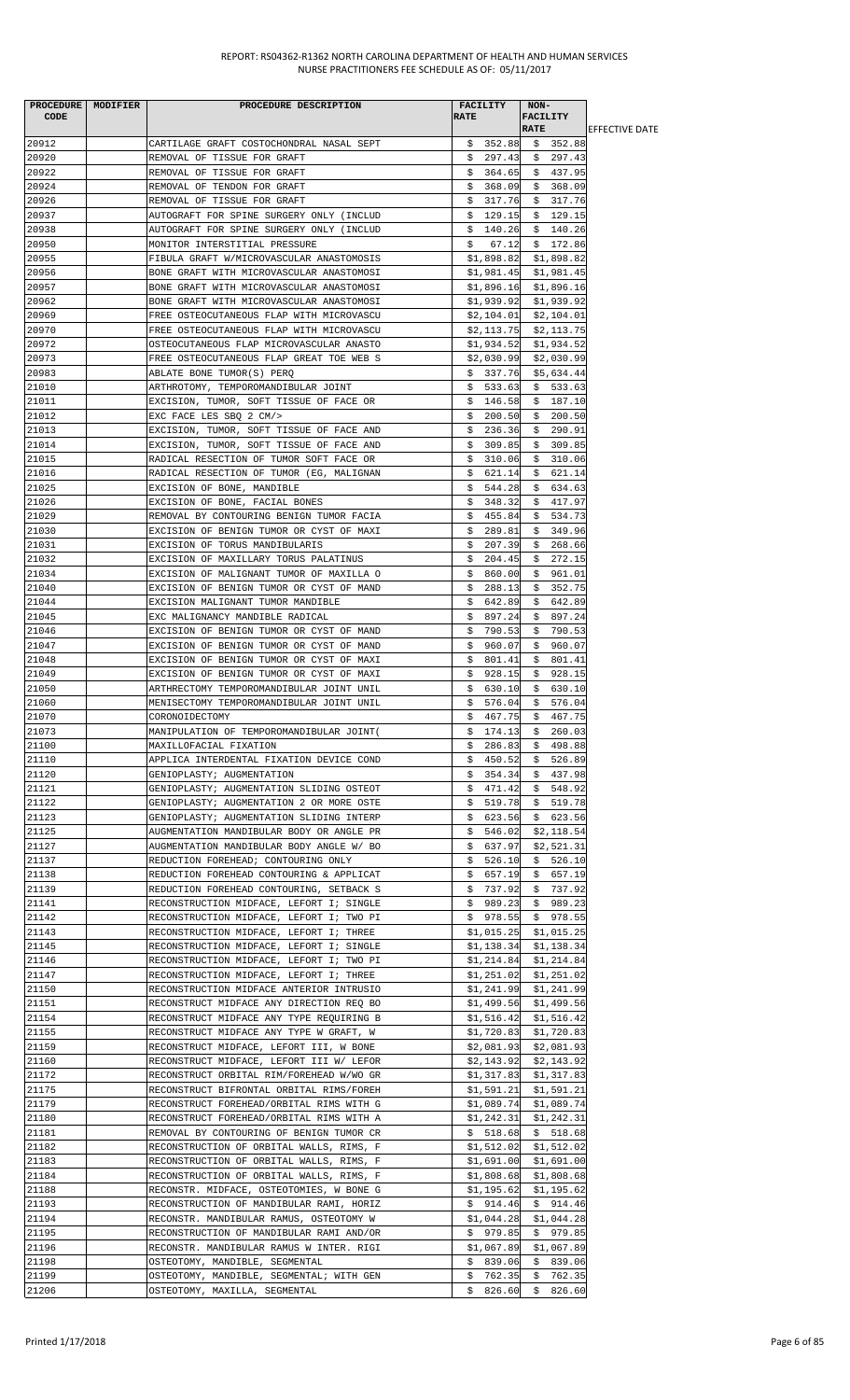| CODE           | PROCEDURE MODIFIER | PROCEDURE DESCRIPTION                                                                | <b>FACILITY</b><br><b>RATE</b> | NON-<br><b>FACILITY</b>               |                        |
|----------------|--------------------|--------------------------------------------------------------------------------------|--------------------------------|---------------------------------------|------------------------|
|                |                    |                                                                                      |                                | <b>RATE</b>                           | <b>IEFFECTIVE DATE</b> |
| 20912<br>20920 |                    | CARTILAGE GRAFT COSTOCHONDRAL NASAL SEPT                                             | \$352.88<br>\$297.43           | \$352.88<br>\$297.43                  |                        |
| 20922          |                    | REMOVAL OF TISSUE FOR GRAFT<br>REMOVAL OF TISSUE FOR GRAFT                           | \$364.65                       | \$437.95                              |                        |
| 20924          |                    | REMOVAL OF TENDON FOR GRAFT                                                          | \$368.09                       | \$368.09                              |                        |
| 20926          |                    | REMOVAL OF TISSUE FOR GRAFT                                                          | \$317.76                       | \$317.76                              |                        |
| 20937          |                    | AUTOGRAFT FOR SPINE SURGERY ONLY (INCLUD                                             | \$129.15                       | \$129.15                              |                        |
| 20938          |                    | AUTOGRAFT FOR SPINE SURGERY ONLY (INCLUD                                             | \$<br>140.26                   | \$140.26                              |                        |
| 20950          |                    | MONITOR INTERSTITIAL PRESSURE                                                        | \$<br>67.12                    | \$172.86                              |                        |
| 20955          |                    | FIBULA GRAFT W/MICROVASCULAR ANASTOMOSIS                                             | \$1,898.82                     | \$1,898.82                            |                        |
| 20956          |                    | BONE GRAFT WITH MICROVASCULAR ANASTOMOSI                                             | \$1,981.45                     | \$1,981.45                            |                        |
| 20957<br>20962 |                    | BONE GRAFT WITH MICROVASCULAR ANASTOMOSI                                             |                                | $$1,896.16$ $$1,896.16$<br>\$1,939.92 |                        |
| 20969          |                    | BONE GRAFT WITH MICROVASCULAR ANASTOMOSI<br>FREE OSTEOCUTANEOUS FLAP WITH MICROVASCU | \$1,939.92<br>\$2,104.01       | \$2,104.01                            |                        |
| 20970          |                    | FREE OSTEOCUTANEOUS FLAP WITH MICROVASCU                                             | \$2,113.75                     | \$2,113.75                            |                        |
| 20972          |                    | OSTEOCUTANEOUS FLAP MICROVASCULAR ANASTO                                             | \$1,934.52                     | \$1,934.52                            |                        |
| 20973          |                    | FREE OSTEOCUTANEOUS FLAP GREAT TOE WEB S                                             | \$2,030.99                     | \$2,030.99                            |                        |
| 20983          |                    | ABLATE BONE TUMOR(S) PERQ                                                            | \$337.76                       | \$5,634.44                            |                        |
| 21010          |                    | ARTHROTOMY, TEMPOROMANDIBULAR JOINT                                                  | \$533.63                       | \$533.63                              |                        |
| 21011          |                    | EXCISION, TUMOR, SOFT TISSUE OF FACE OR                                              | \$146.58                       | \$187.10                              |                        |
| 21012          |                    | EXC FACE LES SBO 2 CM/>                                                              | \$200.50                       | \$200.50                              |                        |
| 21013<br>21014 |                    | EXCISION, TUMOR, SOFT TISSUE OF FACE AND                                             | \$236.36<br>\$309.85           | \$290.91<br>\$309.85                  |                        |
| 21015          |                    | EXCISION, TUMOR, SOFT TISSUE OF FACE AND<br>RADICAL RESECTION OF TUMOR SOFT FACE OR  | \$310.06                       | \$310.06                              |                        |
| 21016          |                    | RADICAL RESECTION OF TUMOR (EG, MALIGNAN                                             | 621.14<br>Ş.                   | 621.14<br>Ş.                          |                        |
| 21025          |                    | EXCISION OF BONE, MANDIBLE                                                           | \$544.28                       | \$634.63                              |                        |
| 21026          |                    | EXCISION OF BONE, FACIAL BONES                                                       | \$348.32                       | \$417.97                              |                        |
| 21029          |                    | REMOVAL BY CONTOURING BENIGN TUMOR FACIA                                             | \$<br>455.84                   | \$<br>534.73                          |                        |
| 21030          |                    | EXCISION OF BENIGN TUMOR OR CYST OF MAXI                                             | \$289.81                       | \$349.96                              |                        |
| 21031          |                    | EXCISION OF TORUS MANDIBULARIS                                                       | \$207.39                       | \$<br>268.66                          |                        |
| 21032          |                    | EXCISION OF MAXILLARY TORUS PALATINUS                                                | 204.45<br>\$.                  | 272.15<br>\$                          |                        |
| 21034          |                    | EXCISION OF MALIGNANT TUMOR OF MAXILLA O                                             | \$.<br>860.00                  | \$961.01                              |                        |
| 21040<br>21044 |                    | EXCISION OF BENIGN TUMOR OR CYST OF MAND<br>EXCISION MALIGNANT TUMOR MANDIBLE        | \$288.13<br>642.89<br>\$.      | \$352.75<br>642.89<br>\$              |                        |
| 21045          |                    | EXC MALIGNANCY MANDIBLE RADICAL                                                      | \$<br>897.24                   | \$<br>897.24                          |                        |
| 21046          |                    | EXCISION OF BENIGN TUMOR OR CYST OF MAND                                             | 790.53<br>S.                   | \$790.53                              |                        |
| 21047          |                    | EXCISION OF BENIGN TUMOR OR CYST OF MAND                                             | \$<br>960.07                   | 960.07<br>S.                          |                        |
| 21048          |                    | EXCISION OF BENIGN TUMOR OR CYST OF MAXI                                             | 801.41<br>Ş.                   | 801.41<br>Ş.                          |                        |
| 21049          |                    | EXCISION OF BENIGN TUMOR OR CYST OF MAXI                                             | \$928.15                       | \$928.15                              |                        |
| 21050          |                    | ARTHRECTOMY TEMPOROMANDIBULAR JOINT UNIL                                             | \$630.10                       | \$630.10                              |                        |
| 21060          |                    | MENISECTOMY TEMPOROMANDIBULAR JOINT UNIL                                             | \$<br>576.04                   | \$576.04                              |                        |
| 21070          |                    | CORONOIDECTOMY                                                                       | \$<br>467.75                   | \$467.75                              |                        |
| 21073<br>21100 |                    | MANIPULATION OF TEMPOROMANDIBULAR JOINT(<br>MAXILLOFACIAL FIXATION                   | \$174.13<br>\$286.83           | \$260.03<br>\$498.88                  |                        |
| 21110          |                    | APPLICA INTERDENTAL FIXATION DEVICE COND                                             |                                | $$450.52 \t$526.89$                   |                        |
| 21120          |                    | GENIOPLASTY; AUGMENTATION                                                            | \$354.34                       | \$437.98                              |                        |
| 21121          |                    | GENIOPLASTY; AUGMENTATION SLIDING OSTEOT                                             | \$471.42                       | \$548.92                              |                        |
| 21122          |                    | GENIOPLASTY; AUGMENTATION 2 OR MORE OSTE                                             |                                | $$519.78 \t$519.78$                   |                        |
| 21123          |                    | GENIOPLASTY; AUGMENTATION SLIDING INTERP                                             | \$623.56                       | \$623.56                              |                        |
| 21125          |                    | AUGMENTATION MANDIBULAR BODY OR ANGLE PR                                             | 546.02<br>Ş.                   | \$2,118.54                            |                        |
| 21127          |                    | AUGMENTATION MANDIBULAR BODY ANGLE W/ BO                                             | \$637.97                       | \$2,521.31                            |                        |
| 21137          |                    | REDUCTION FOREHEAD; CONTOURING ONLY                                                  | \$.<br>526.10                  | 526.10<br>Ş.                          |                        |
| 21138<br>21139 |                    | REDUCTION FOREHEAD CONTOURING & APPLICAT<br>REDUCTION FOREHEAD CONTOURING, SETBACK S | \$657.19<br>\$737.92           | \$657.19<br>\$737.92                  |                        |
| 21141          |                    | RECONSTRUCTION MIDFACE, LEFORT I; SINGLE                                             | \$989.23                       | \$989.23                              |                        |
| 21142          |                    | RECONSTRUCTION MIDFACE, LEFORT I; TWO PI                                             |                                | $$978.55$ $$978.55$                   |                        |
| 21143          |                    | RECONSTRUCTION MIDFACE, LEFORT I; THREE                                              | \$1,015.25                     | \$1,015.25                            |                        |
| 21145          |                    | RECONSTRUCTION MIDFACE, LEFORT I; SINGLE                                             | \$1,138.34                     | \$1,138.34                            |                        |
| 21146          |                    | RECONSTRUCTION MIDFACE, LEFORT I; TWO PI                                             | \$1,214.84                     | \$1,214.84                            |                        |
| 21147          |                    | RECONSTRUCTION MIDFACE, LEFORT I; THREE                                              | \$1,251.02                     | \$1,251.02                            |                        |
| 21150          |                    | RECONSTRUCTION MIDFACE ANTERIOR INTRUSIO                                             | \$1,241.99                     | \$1,241.99                            |                        |
| 21151          |                    | RECONSTRUCT MIDFACE ANY DIRECTION REQ BO                                             | \$1,499.56                     | \$1,499.56                            |                        |
| 21154          |                    | RECONSTRUCT MIDFACE ANY TYPE REQUIRING B                                             | \$1,516.42                     | \$1,516.42                            |                        |
| 21155<br>21159 |                    | RECONSTRUCT MIDFACE ANY TYPE W GRAFT, W<br>RECONSTRUCT MIDFACE, LEFORT III, W BONE   | \$1,720.83                     | \$1,720.83<br>$$2,081.93$ $$2,081.93$ |                        |
| 21160          |                    | RECONSTRUCT MIDFACE, LEFORT III W/ LEFOR                                             | \$2,143.92                     | \$2,143.92                            |                        |
| 21172          |                    | RECONSTRUCT ORBITAL RIM/FOREHEAD W/WO GR                                             | \$1,317.83                     | \$1,317.83                            |                        |
| 21175          |                    | RECONSTRUCT BIFRONTAL ORBITAL RIMS/FOREH                                             | \$1,591.21                     | \$1,591.21                            |                        |
| 21179          |                    | RECONSTRUCT FOREHEAD/ORBITAL RIMS WITH G                                             |                                | \$1,089.74 \$1,089.74                 |                        |
| 21180          |                    | RECONSTRUCT FOREHEAD/ORBITAL RIMS WITH A                                             | \$1,242.31                     | \$1,242.31                            |                        |
| 21181          |                    | REMOVAL BY CONTOURING OF BENIGN TUMOR CR                                             | \$518.68                       | \$518.68                              |                        |
| 21182          |                    | RECONSTRUCTION OF ORBITAL WALLS, RIMS, F                                             |                                | $$1,512.02$ $$1,512.02$               |                        |
| 21183          |                    | RECONSTRUCTION OF ORBITAL WALLS, RIMS, F                                             | \$1,691.00                     | \$1,691.00                            |                        |
| 21184<br>21188 |                    | RECONSTRUCTION OF ORBITAL WALLS, RIMS, F<br>RECONSTR. MIDFACE, OSTEOTOMIES, W BONE G | \$1,808.68<br>\$1,195.62       | \$1,808.68<br>\$1,195.62              |                        |
| 21193          |                    | RECONSTRUCTION OF MANDIBULAR RAMI, HORIZ                                             | \$914.46                       | \$914.46                              |                        |
| 21194          |                    | RECONSTR. MANDIBULAR RAMUS, OSTEOTOMY W                                              | \$1,044.28                     | \$1,044.28                            |                        |
| 21195          |                    | RECONSTRUCTION OF MANDIBULAR RAMI AND/OR                                             | \$979.85                       | \$979.85                              |                        |
| 21196          |                    | RECONSTR. MANDIBULAR RAMUS W INTER. RIGI                                             | \$1,067.89                     | \$1,067.89                            |                        |
| 21198          |                    | OSTEOTOMY, MANDIBLE, SEGMENTAL                                                       | \$839.06                       | \$839.06                              |                        |
| 21199          |                    | OSTEOTOMY, MANDIBLE, SEGMENTAL; WITH GEN                                             |                                | $$762.35$ $$762.35$                   |                        |
| 21206          |                    | OSTEOTOMY, MAXILLA, SEGMENTAL                                                        |                                | $$826.60 \$826.60$                    |                        |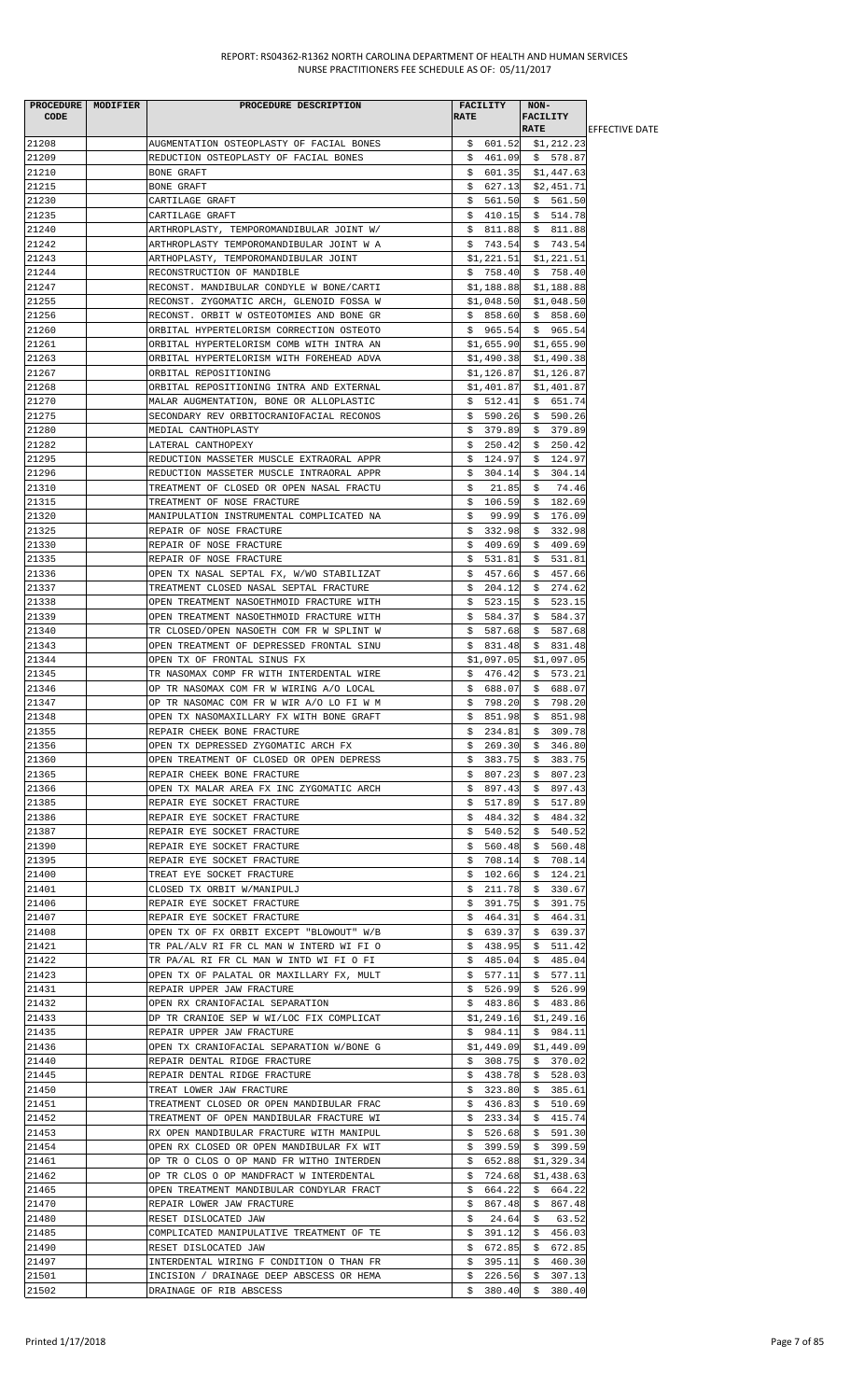| <b>CODE</b>    | PROCEDURE   MODIFIER | PROCEDURE DESCRIPTION                                                                | FACILITY<br><b>RATE</b>  | NON-<br><b>FACILITY</b>  |                        |
|----------------|----------------------|--------------------------------------------------------------------------------------|--------------------------|--------------------------|------------------------|
|                |                      |                                                                                      |                          | <b>RATE</b>              | <b>IEFFECTIVE DATE</b> |
| 21208          |                      | AUGMENTATION OSTEOPLASTY OF FACIAL BONES                                             |                          | $$601.52$ $$1,212.23$    |                        |
| 21209<br>21210 |                      | REDUCTION OSTEOPLASTY OF FACIAL BONES<br>BONE GRAFT                                  | \$601.35                 | \$461.09\$578.87         |                        |
| 21215          |                      | BONE GRAFT                                                                           | \$627.13                 | \$1,447.63<br>\$2,451.71 |                        |
| 21230          |                      | CARTILAGE GRAFT                                                                      | \$561.50                 | \$561.50                 |                        |
| 21235          |                      | CARTILAGE GRAFT                                                                      | \$410.15                 | \$514.78                 |                        |
| 21240          |                      | ARTHROPLASTY, TEMPOROMANDIBULAR JOINT W/                                             | \$811.88                 | \$811.88                 |                        |
| 21242          |                      | ARTHROPLASTY TEMPOROMANDIBULAR JOINT W A                                             | \$743.54                 | \$743.54                 |                        |
| 21243          |                      | ARTHOPLASTY, TEMPOROMANDIBULAR JOINT                                                 | \$1,221.51               | \$1,221.51               |                        |
| 21244          |                      | RECONSTRUCTION OF MANDIBLE                                                           | \$758.40                 | \$758.40                 |                        |
| 21247          |                      | RECONST. MANDIBULAR CONDYLE W BONE/CARTI                                             | \$1,188.88               | \$1,188.88               |                        |
| 21255<br>21256 |                      | RECONST. ZYGOMATIC ARCH, GLENOID FOSSA W<br>RECONST. ORBIT W OSTEOTOMIES AND BONE GR | \$1,048.50<br>\$858.60   | \$1,048.50<br>\$858.60   |                        |
| 21260          |                      | ORBITAL HYPERTELORISM CORRECTION OSTEOTO                                             | \$965.54                 | \$965.54                 |                        |
| 21261          |                      | ORBITAL HYPERTELORISM COMB WITH INTRA AN                                             |                          | $$1,655.90$ $$1,655.90$  |                        |
| 21263          |                      | ORBITAL HYPERTELORISM WITH FOREHEAD ADVA                                             | \$1,490.38               | \$1,490.38               |                        |
| 21267          |                      | ORBITAL REPOSITIONING                                                                | \$1,126.87               | \$1,126.87               |                        |
| 21268          |                      | ORBITAL REPOSITIONING INTRA AND EXTERNAL                                             | \$1,401.87               | \$1,401.87               |                        |
| 21270          |                      | MALAR AUGMENTATION, BONE OR ALLOPLASTIC                                              | \$512.41                 | \$651.74                 |                        |
| 21275          |                      | SECONDARY REV ORBITOCRANIOFACIAL RECONOS                                             | \$590.26                 | \$590.26                 |                        |
| 21280          |                      | MEDIAL CANTHOPLASTY                                                                  | \$379.89                 | \$379.89                 |                        |
| 21282          |                      | LATERAL CANTHOPEXY                                                                   | \$250.42                 | \$250.42                 |                        |
| 21295<br>21296 |                      | REDUCTION MASSETER MUSCLE EXTRAORAL APPR<br>REDUCTION MASSETER MUSCLE INTRAORAL APPR | \$124.97<br>304.14<br>Ş. | \$124.97<br>304.14<br>\$ |                        |
| 21310          |                      | TREATMENT OF CLOSED OR OPEN NASAL FRACTU                                             | \$.<br>21.85             | 74.46<br>\$              |                        |
| 21315          |                      | TREATMENT OF NOSE FRACTURE                                                           | \$106.59                 | \$182.69                 |                        |
| 21320          |                      | MANIPULATION INSTRUMENTAL COMPLICATED NA                                             | 99.99<br>Ş.              | \$176.09                 |                        |
| 21325          |                      | REPAIR OF NOSE FRACTURE                                                              | \$332.98                 | \$332.98                 |                        |
| 21330          |                      | REPAIR OF NOSE FRACTURE                                                              | \$409.69                 | \$409.69                 |                        |
| 21335          |                      | REPAIR OF NOSE FRACTURE                                                              | \$531.81                 | \$531.81                 |                        |
| 21336          |                      | OPEN TX NASAL SEPTAL FX, W/WO STABILIZAT                                             | \$457.66                 | \$457.66                 |                        |
| 21337          |                      | TREATMENT CLOSED NASAL SEPTAL FRACTURE                                               | \$204.12                 | \$274.62                 |                        |
| 21338<br>21339 |                      | OPEN TREATMENT NASOETHMOID FRACTURE WITH                                             | \$523.15<br>\$584.37     | \$523.15                 |                        |
| 21340          |                      | OPEN TREATMENT NASOETHMOID FRACTURE WITH<br>TR CLOSED/OPEN NASOETH COM FR W SPLINT W | \$587.68                 | \$584.37<br>\$587.68     |                        |
| 21343          |                      | OPEN TREATMENT OF DEPRESSED FRONTAL SINU                                             | \$ 831.48                | \$831.48                 |                        |
| 21344          |                      | OPEN TX OF FRONTAL SINUS FX                                                          | \$1,097.05               | \$1,097.05               |                        |
| 21345          |                      | TR NASOMAX COMP FR WITH INTERDENTAL WIRE                                             | \$476.42                 | \$573.21                 |                        |
| 21346          |                      | OP TR NASOMAX COM FR W WIRING A/O LOCAL                                              | \$688.07                 | \$688.07                 |                        |
| 21347          |                      | OP TR NASOMAC COM FR W WIR A/O LO FI W M                                             | \$798.20                 | \$798.20                 |                        |
| 21348          |                      | OPEN TX NASOMAXILLARY FX WITH BONE GRAFT                                             | \$851.98                 | \$851.98                 |                        |
| 21355          |                      | REPAIR CHEEK BONE FRACTURE                                                           | \$234.81                 | \$309.78                 |                        |
| 21356          |                      | OPEN TX DEPRESSED ZYGOMATIC ARCH FX                                                  | \$269.30                 | \$346.80                 |                        |
| 21360<br>21365 |                      | OPEN TREATMENT OF CLOSED OR OPEN DEPRESS<br>REPAIR CHEEK BONE FRACTURE               | \$383.75<br>\$ 807.23    | \$383.75<br>\$807.23     |                        |
| 21366          |                      | OPEN TX MALAR AREA FX INC ZYGOMATIC ARCH                                             | \$897.43                 | \$897.43                 |                        |
| 21385          |                      | REPAIR EYE SOCKET FRACTURE                                                           |                          | $$517.89$ $$517.89$      |                        |
| 21386          |                      | REPAIR EYE SOCKET FRACTURE                                                           | \$484.32                 | \$484.32                 |                        |
| 21387          |                      | REPAIR EYE SOCKET FRACTURE                                                           | 540.52<br>Ş.             | \$540.52                 |                        |
| 21390          |                      | REPAIR EYE SOCKET FRACTURE                                                           | \$560.48                 | \$560.48                 |                        |
| 21395          |                      | REPAIR EYE SOCKET FRACTURE                                                           | 708.14<br>Ş.             | 708.14<br>Ş.             |                        |
| 21400          |                      | TREAT EYE SOCKET FRACTURE                                                            | \$102.66                 | \$124.21                 |                        |
| 21401          |                      | CLOSED TX ORBIT W/MANIPULJ                                                           | \$211.78                 | \$330.67                 |                        |
| 21406<br>21407 |                      | REPAIR EYE SOCKET FRACTURE<br>REPAIR EYE SOCKET FRACTURE                             | \$391.75<br>\$464.31     | \$391.75<br>\$464.31     |                        |
| 21408          |                      | OPEN TX OF FX ORBIT EXCEPT "BLOWOUT" W/B                                             | \$639.37                 | \$639.37                 |                        |
| 21421          |                      | TR PAL/ALV RI FR CL MAN W INTERD WI FI O                                             | \$438.95                 | \$511.42                 |                        |
| 21422          |                      | TR PA/AL RI FR CL MAN W INTD WI FI O FI                                              | \$485.04                 | \$485.04                 |                        |
| 21423          |                      | OPEN TX OF PALATAL OR MAXILLARY FX, MULT                                             | \$577.11                 | \$577.11                 |                        |
| 21431          |                      | REPAIR UPPER JAW FRACTURE                                                            | \$526.99                 | \$526.99                 |                        |
| 21432          |                      | OPEN RX CRANIOFACIAL SEPARATION                                                      | \$483.86                 | \$483.86                 |                        |
| 21433          |                      | DP TR CRANIOE SEP W WI/LOC FIX COMPLICAT                                             | \$1,249.16               | \$1,249.16               |                        |
| 21435          |                      | REPAIR UPPER JAW FRACTURE                                                            | \$984.11                 | \$984.11                 |                        |
| 21436<br>21440 |                      | OPEN TX CRANIOFACIAL SEPARATION W/BONE G<br>REPAIR DENTAL RIDGE FRACTURE             | \$1,449.09<br>\$308.75   | \$1,449.09<br>\$370.02   |                        |
| 21445          |                      | REPAIR DENTAL RIDGE FRACTURE                                                         | \$438.78                 | \$528.03                 |                        |
| 21450          |                      | TREAT LOWER JAW FRACTURE                                                             | \$323.80                 | \$385.61                 |                        |
| 21451          |                      | TREATMENT CLOSED OR OPEN MANDIBULAR FRAC                                             | \$436.83                 | \$510.69                 |                        |
| 21452          |                      | TREATMENT OF OPEN MANDIBULAR FRACTURE WI                                             | \$233.34                 | \$415.74                 |                        |
| 21453          |                      | RX OPEN MANDIBULAR FRACTURE WITH MANIPUL                                             | \$526.68                 | \$591.30                 |                        |
| 21454          |                      | OPEN RX CLOSED OR OPEN MANDIBULAR FX WIT                                             | \$399.59                 | \$399.59                 |                        |
| 21461          |                      | OP TR O CLOS O OP MAND FR WITHO INTERDEN                                             | \$652.88                 | \$1,329.34               |                        |
| 21462<br>21465 |                      | OP TR CLOS O OP MANDFRACT W INTERDENTAL<br>OPEN TREATMENT MANDIBULAR CONDYLAR FRACT  | \$724.68<br>664.22<br>Ş. | \$1,438.63<br>\$664.22   |                        |
| 21470          |                      | REPAIR LOWER JAW FRACTURE                                                            | \$867.48                 | \$867.48                 |                        |
| 21480          |                      | RESET DISLOCATED JAW                                                                 | \$<br>24.64              | \$63.52                  |                        |
| 21485          |                      | COMPLICATED MANIPULATIVE TREATMENT OF TE                                             | \$391.12                 | \$456.03                 |                        |
| 21490          |                      | RESET DISLOCATED JAW                                                                 | \$672.85                 | \$672.85                 |                        |
| 21497          |                      | INTERDENTAL WIRING F CONDITION O THAN FR                                             | \$395.11                 | \$<br>460.30             |                        |
| 21501          |                      | INCISION / DRAINAGE DEEP ABSCESS OR HEMA                                             | 226.56<br>Ş.             | \$307.13                 |                        |
| 21502          |                      | DRAINAGE OF RIB ABSCESS                                                              |                          | $$380.40 \quad $380.40$  |                        |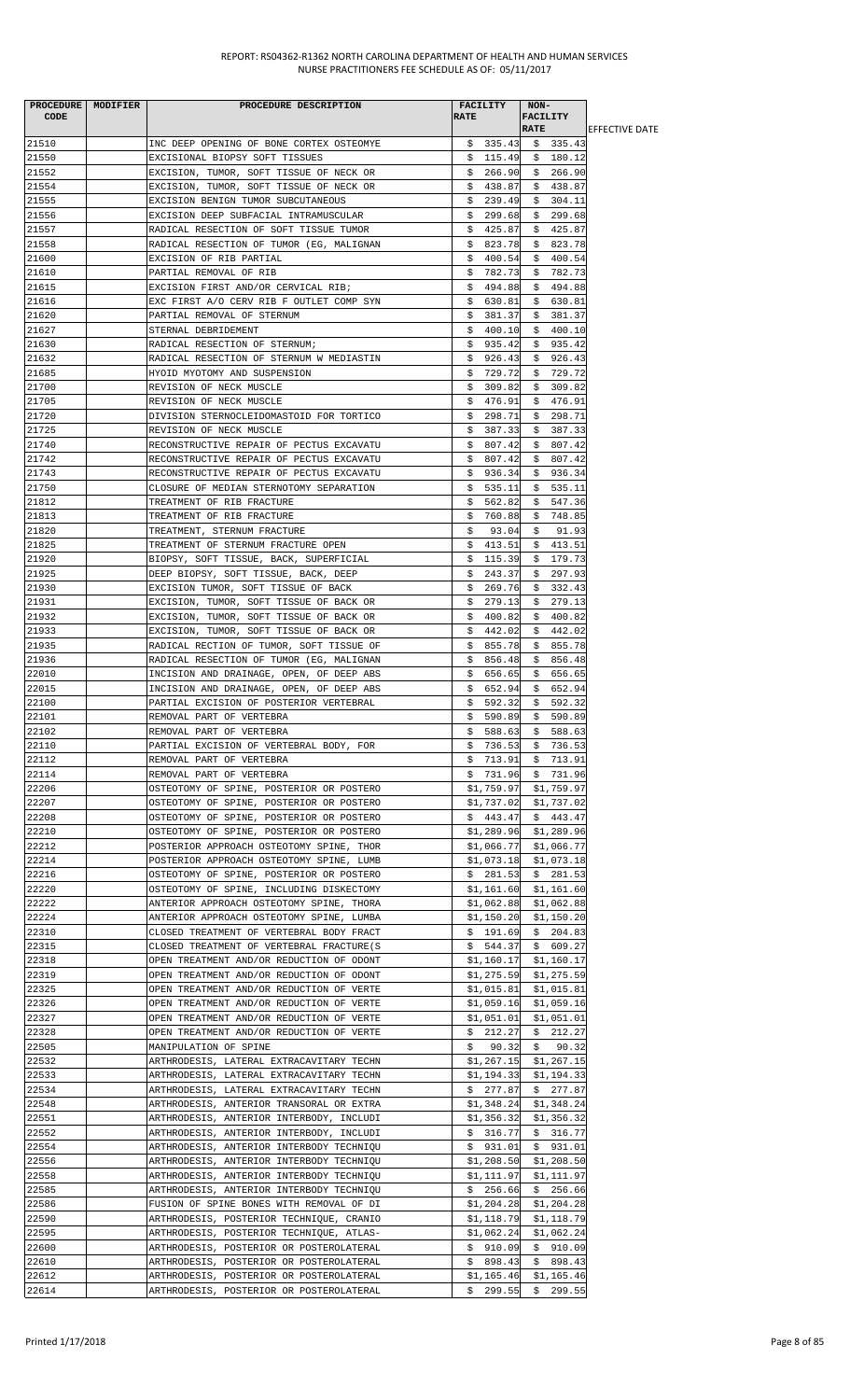| PROCEDURE MODIFIER | PROCEDURE DESCRIPTION                                                                |             | FACILITY                 | $NON-$      |                          |                        |
|--------------------|--------------------------------------------------------------------------------------|-------------|--------------------------|-------------|--------------------------|------------------------|
| CODE               |                                                                                      | <b>RATE</b> |                          |             | <b>FACILITY</b>          |                        |
|                    |                                                                                      |             |                          | <b>RATE</b> |                          | <b>IEFFECTIVE DATE</b> |
| 21510              | INC DEEP OPENING OF BONE CORTEX OSTEOMYE                                             |             |                          |             | $$335.43$ $$335.43$      |                        |
| 21550              | EXCISIONAL BIOPSY SOFT TISSUES                                                       |             |                          |             | $$115.49 \t$180.12$      |                        |
| 21552              | EXCISION, TUMOR, SOFT TISSUE OF NECK OR                                              |             |                          |             | $$266.90 \t$266.90$      |                        |
| 21554              | EXCISION, TUMOR, SOFT TISSUE OF NECK OR                                              |             | \$438.87                 |             | \$438.87                 |                        |
| 21555              | EXCISION BENIGN TUMOR SUBCUTANEOUS                                                   | \$          | 239.49                   |             | \$304.11                 |                        |
| 21556              | EXCISION DEEP SUBFACIAL INTRAMUSCULAR                                                |             | \$299.68                 |             | \$299.68                 |                        |
| 21557<br>21558     | RADICAL RESECTION OF SOFT TISSUE TUMOR                                               |             | \$425.87                 |             | \$425.87                 |                        |
|                    | RADICAL RESECTION OF TUMOR (EG, MALIGNAN                                             |             | \$823.78<br>\$400.54     |             | \$823.78                 |                        |
| 21600              | EXCISION OF RIB PARTIAL                                                              |             | \$782.73                 |             | \$400.54                 |                        |
| 21610<br>21615     | PARTIAL REMOVAL OF RIB<br>EXCISION FIRST AND/OR CERVICAL RIB;                        |             | \$494.88                 |             | \$782.73<br>\$494.88     |                        |
| 21616              | EXC FIRST A/O CERV RIB F OUTLET COMP SYN                                             |             | \$630.81                 |             | \$630.81                 |                        |
| 21620              | PARTIAL REMOVAL OF STERNUM                                                           |             | \$381.37                 |             | \$381.37                 |                        |
| 21627              | STERNAL DEBRIDEMENT                                                                  |             | \$400.10                 |             | \$400.10                 |                        |
| 21630              | RADICAL RESECTION OF STERNUM;                                                        |             | \$935.42                 |             | \$935.42                 |                        |
| 21632              | RADICAL RESECTION OF STERNUM W MEDIASTIN                                             |             | \$926.43                 |             | \$926.43                 |                        |
| 21685              | HYOID MYOTOMY AND SUSPENSION                                                         |             | \$729.72                 |             | \$729.72                 |                        |
| 21700              | REVISION OF NECK MUSCLE                                                              |             | \$309.82                 |             | \$309.82                 |                        |
| 21705              | REVISION OF NECK MUSCLE                                                              |             | \$476.91                 |             | \$476.91                 |                        |
| 21720              | DIVISION STERNOCLEIDOMASTOID FOR TORTICO                                             |             | \$298.71                 |             | \$298.71                 |                        |
| 21725              | REVISION OF NECK MUSCLE                                                              |             | \$387.33                 |             | \$387.33                 |                        |
| 21740              | RECONSTRUCTIVE REPAIR OF PECTUS EXCAVATU                                             |             | \$807.42                 |             | \$807.42                 |                        |
| 21742              | RECONSTRUCTIVE REPAIR OF PECTUS EXCAVATU                                             |             | \$807.42                 |             | \$807.42                 |                        |
| 21743              | RECONSTRUCTIVE REPAIR OF PECTUS EXCAVATU                                             |             | \$936.34                 |             | \$936.34                 |                        |
| 21750              | CLOSURE OF MEDIAN STERNOTOMY SEPARATION                                              |             | \$535.11                 |             | \$535.11                 |                        |
| 21812              | TREATMENT OF RIB FRACTURE                                                            | Ş.          | 562.82                   |             | \$547.36                 |                        |
| 21813              | TREATMENT OF RIB FRACTURE                                                            |             | \$760.88                 |             | \$748.85                 |                        |
| 21820              | TREATMENT, STERNUM FRACTURE                                                          | S.          | 93.04                    | \$          | 91.93                    |                        |
| 21825              | TREATMENT OF STERNUM FRACTURE OPEN                                                   |             | \$413.51                 |             | \$413.51                 |                        |
| 21920              | BIOPSY, SOFT TISSUE, BACK, SUPERFICIAL                                               | \$          | 115.39                   | \$          | 179.73                   |                        |
| 21925              | DEEP BIOPSY, SOFT TISSUE, BACK, DEEP                                                 | Ş.          | 243.37                   |             | \$297.93                 |                        |
| 21930              | EXCISION TUMOR, SOFT TISSUE OF BACK                                                  |             | \$269.76                 |             | \$332.43                 |                        |
| 21931              | EXCISION, TUMOR, SOFT TISSUE OF BACK OR                                              |             | \$279.13                 | \$          | 279.13                   |                        |
| 21932              | EXCISION, TUMOR, SOFT TISSUE OF BACK OR                                              |             | \$400.82                 |             | \$400.82                 |                        |
| 21933              | EXCISION, TUMOR, SOFT TISSUE OF BACK OR                                              |             | \$442.02                 |             | \$442.02                 |                        |
| 21935              | RADICAL RECTION OF TUMOR, SOFT TISSUE OF                                             |             | \$855.78                 |             | \$855.78                 |                        |
| 21936              | RADICAL RESECTION OF TUMOR (EG, MALIGNAN                                             |             | \$856.48                 |             | \$856.48                 |                        |
| 22010              | INCISION AND DRAINAGE, OPEN, OF DEEP ABS                                             |             | \$656.65                 |             | \$656.65                 |                        |
| 22015              | INCISION AND DRAINAGE, OPEN, OF DEEP ABS                                             |             | \$652.94                 |             | \$652.94                 |                        |
| 22100              | PARTIAL EXCISION OF POSTERIOR VERTEBRAL                                              |             | \$592.32                 |             | \$592.32                 |                        |
| 22101              | REMOVAL PART OF VERTEBRA                                                             | \$          |                          |             | 590.89 \$ 590.89         |                        |
| 22102              | REMOVAL PART OF VERTEBRA                                                             |             | \$588.63                 |             | \$588.63                 |                        |
| 22110              | PARTIAL EXCISION OF VERTEBRAL BODY, FOR                                              |             | \$736.53                 |             | \$736.53                 |                        |
| 22112              | REMOVAL PART OF VERTEBRA                                                             |             | \$713.91                 |             | \$713.91                 |                        |
| 22114              | REMOVAL PART OF VERTEBRA                                                             |             | \$731.96                 |             | \$731.96                 |                        |
| 22206              | OSTEOTOMY OF SPINE, POSTERIOR OR POSTERO                                             |             | \$1,759.97               |             | \$1,759.97               |                        |
| 22207              | OSTEOTOMY OF SPINE, POSTERIOR OR POSTERO                                             |             | \$1,737.02               |             | \$1,737.02               |                        |
| 22208              | OSTEOTOMY OF SPINE, POSTERIOR OR POSTERO<br>OSTEOTOMY OF SPINE, POSTERIOR OR POSTERO |             | \$443.47                 |             | \$443.47                 |                        |
| 22210<br>22212     |                                                                                      |             | \$1,289.96               |             | \$1,289.96               |                        |
| 22214              | POSTERIOR APPROACH OSTEOTOMY SPINE, THOR<br>POSTERIOR APPROACH OSTEOTOMY SPINE, LUMB |             | \$1,066.77<br>\$1,073.18 |             | \$1,066.77<br>\$1,073.18 |                        |
| 22216              | OSTEOTOMY OF SPINE, POSTERIOR OR POSTERO                                             |             | \$281.53                 |             | \$281.53                 |                        |
| 22220              | OSTEOTOMY OF SPINE, INCLUDING DISKECTOMY                                             |             | \$1,161.60               |             | \$1,161.60               |                        |
| 22222              | ANTERIOR APPROACH OSTEOTOMY SPINE, THORA                                             |             | \$1,062.88               |             | \$1,062.88               |                        |
| 22224              | ANTERIOR APPROACH OSTEOTOMY SPINE, LUMBA                                             |             | \$1,150.20               |             | \$1,150.20               |                        |
| 22310              | CLOSED TREATMENT OF VERTEBRAL BODY FRACT                                             |             | \$191.69                 |             | \$204.83                 |                        |
| 22315              | CLOSED TREATMENT OF VERTEBRAL FRACTURE(S                                             |             | \$544.37                 |             | \$609.27                 |                        |
| 22318              | OPEN TREATMENT AND/OR REDUCTION OF ODONT                                             |             | \$1,160.17               |             | \$1,160.17               |                        |
| 22319              | OPEN TREATMENT AND/OR REDUCTION OF ODONT                                             |             | \$1,275.59               |             | \$1,275.59               |                        |
| 22325              | OPEN TREATMENT AND/OR REDUCTION OF VERTE                                             |             | \$1,015.81               |             | \$1,015.81               |                        |
| 22326              | OPEN TREATMENT AND/OR REDUCTION OF VERTE                                             |             | \$1,059.16               |             | \$1,059.16               |                        |
| 22327              | OPEN TREATMENT AND/OR REDUCTION OF VERTE                                             |             | \$1,051.01               |             | \$1,051.01               |                        |
| 22328              | OPEN TREATMENT AND/OR REDUCTION OF VERTE                                             |             | \$212.27                 |             | \$212.27                 |                        |
| 22505              | MANIPULATION OF SPINE                                                                | \$.         | 90.32                    |             | \$90.32                  |                        |
| 22532              | ARTHRODESIS, LATERAL EXTRACAVITARY TECHN                                             |             | \$1,267.15               |             | \$1,267.15               |                        |
| 22533              | ARTHRODESIS, LATERAL EXTRACAVITARY TECHN                                             |             | \$1,194.33               |             | \$1,194.33               |                        |
| 22534              | ARTHRODESIS, LATERAL EXTRACAVITARY TECHN                                             |             | \$277.87                 |             | \$277.87                 |                        |
| 22548              | ARTHRODESIS, ANTERIOR TRANSORAL OR EXTRA                                             |             | \$1,348.24               |             | \$1,348.24               |                        |
| 22551              | ARTHRODESIS, ANTERIOR INTERBODY, INCLUDI                                             |             | \$1,356.32               |             | \$1,356.32               |                        |
| 22552              | ARTHRODESIS, ANTERIOR INTERBODY, INCLUDI                                             |             | \$316.77                 |             | \$316.77                 |                        |
| 22554              | ARTHRODESIS, ANTERIOR INTERBODY TECHNIQU                                             |             | \$931.01                 |             | \$931.01                 |                        |
| 22556              | ARTHRODESIS, ANTERIOR INTERBODY TECHNIQU                                             |             | \$1,208.50               |             | \$1,208.50               |                        |
| 22558              | ARTHRODESIS, ANTERIOR INTERBODY TECHNIQU                                             |             | \$1,111.97               |             | \$1,111.97               |                        |
| 22585              | ARTHRODESIS, ANTERIOR INTERBODY TECHNIQU                                             |             | \$256.66                 |             | \$256.66                 |                        |
| 22586              | FUSION OF SPINE BONES WITH REMOVAL OF DI                                             |             | \$1,204.28               |             | \$1,204.28               |                        |
| 22590              | ARTHRODESIS, POSTERIOR TECHNIQUE, CRANIO                                             |             | \$1,118.79               |             | \$1,118.79               |                        |
| 22595              | ARTHRODESIS, POSTERIOR TECHNIQUE, ATLAS-                                             |             | \$1,062.24               |             | \$1,062.24               |                        |
| 22600              | ARTHRODESIS, POSTERIOR OR POSTEROLATERAL                                             |             | \$910.09                 |             | \$910.09                 |                        |
| 22610              | ARTHRODESIS, POSTERIOR OR POSTEROLATERAL<br>ARTHRODESIS, POSTERIOR OR POSTEROLATERAL |             | \$898.43                 |             | \$898.43                 |                        |
| 22612<br>22614     | ARTHRODESIS, POSTERIOR OR POSTEROLATERAL                                             |             | \$1,165.46<br>\$299.55   |             | \$1,165.46<br>\$299.55   |                        |
|                    |                                                                                      |             |                          |             |                          |                        |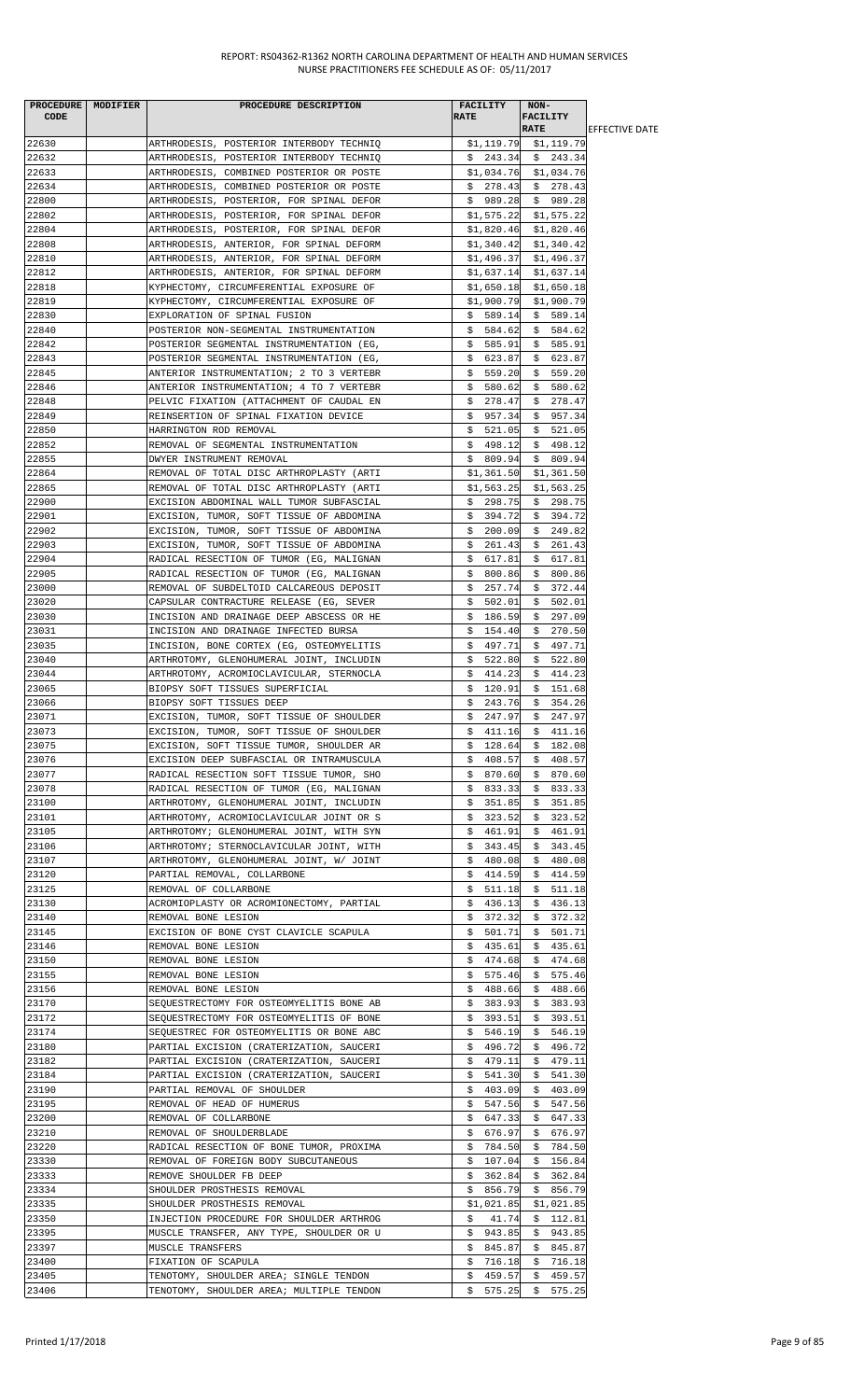|       | PROCEDURE MODIFIER | PROCEDURE DESCRIPTION                    | <b>FACILITY</b>              | $NON-$                  |                        |
|-------|--------------------|------------------------------------------|------------------------------|-------------------------|------------------------|
| CODE  |                    |                                          | <b>RATE</b>                  | <b>FACILITY</b>         |                        |
|       |                    |                                          |                              | <b>RATE</b>             | <b>IEFFECTIVE DATE</b> |
| 22630 |                    | ARTHRODESIS, POSTERIOR INTERBODY TECHNIQ |                              | \$1,119.79 \$1,119.79   |                        |
| 22632 |                    | ARTHRODESIS, POSTERIOR INTERBODY TECHNIQ |                              | $$243.34 \t$243.34$     |                        |
| 22633 |                    | ARTHRODESIS, COMBINED POSTERIOR OR POSTE |                              | $$1,034.76$ $$1,034.76$ |                        |
| 22634 |                    | ARTHRODESIS, COMBINED POSTERIOR OR POSTE |                              | $$278.43$$ $$278.43$    |                        |
| 22800 |                    | ARTHRODESIS, POSTERIOR, FOR SPINAL DEFOR | \$989.28                     | \$989.28                |                        |
| 22802 |                    | ARTHRODESIS, POSTERIOR, FOR SPINAL DEFOR | \$1,575.22                   | \$1,575.22              |                        |
| 22804 |                    | ARTHRODESIS, POSTERIOR, FOR SPINAL DEFOR | \$1,820.46                   | \$1,820.46              |                        |
| 22808 |                    | ARTHRODESIS, ANTERIOR, FOR SPINAL DEFORM | \$1,340.42                   | \$1,340.42              |                        |
| 22810 |                    | ARTHRODESIS, ANTERIOR, FOR SPINAL DEFORM |                              | $$1,496.37$ $$1,496.37$ |                        |
| 22812 |                    | ARTHRODESIS, ANTERIOR, FOR SPINAL DEFORM | \$1,637.14                   | \$1,637.14              |                        |
| 22818 |                    | KYPHECTOMY, CIRCUMFERENTIAL EXPOSURE OF  |                              | $$1,650.18$ \$1,650.18  |                        |
| 22819 |                    | KYPHECTOMY, CIRCUMFERENTIAL EXPOSURE OF  | \$1,900.79                   | \$1,900.79              |                        |
| 22830 |                    | EXPLORATION OF SPINAL FUSION             | \$589.14                     | \$589.14                |                        |
| 22840 |                    | POSTERIOR NON-SEGMENTAL INSTRUMENTATION  | \$584.62                     | \$584.62                |                        |
| 22842 |                    | POSTERIOR SEGMENTAL INSTRUMENTATION (EG, | \$585.91                     | \$585.91                |                        |
| 22843 |                    | POSTERIOR SEGMENTAL INSTRUMENTATION (EG, | \$623.87                     | \$623.87                |                        |
| 22845 |                    | ANTERIOR INSTRUMENTATION; 2 TO 3 VERTEBR | \$559.20                     | \$559.20                |                        |
| 22846 |                    | ANTERIOR INSTRUMENTATION; 4 TO 7 VERTEBR | \$580.62                     | \$580.62                |                        |
| 22848 |                    | PELVIC FIXATION (ATTACHMENT OF CAUDAL EN | \$278.47                     | \$278.47                |                        |
| 22849 |                    | REINSERTION OF SPINAL FIXATION DEVICE    | \$957.34                     | \$957.34                |                        |
| 22850 |                    | HARRINGTON ROD REMOVAL                   | \$521.05                     | \$521.05                |                        |
| 22852 |                    | REMOVAL OF SEGMENTAL INSTRUMENTATION     | \$498.12                     | \$498.12                |                        |
| 22855 |                    | DWYER INSTRUMENT REMOVAL                 | \$809.94                     | \$809.94                |                        |
| 22864 |                    | REMOVAL OF TOTAL DISC ARTHROPLASTY (ARTI | \$1,361.50                   | \$1,361.50              |                        |
| 22865 |                    | REMOVAL OF TOTAL DISC ARTHROPLASTY (ARTI | \$1,563.25                   | \$1,563.25              |                        |
| 22900 |                    | EXCISION ABDOMINAL WALL TUMOR SUBFASCIAL | \$298.75                     | \$298.75                |                        |
| 22901 |                    | EXCISION, TUMOR, SOFT TISSUE OF ABDOMINA | \$394.72                     | \$394.72                |                        |
| 22902 |                    | EXCISION, TUMOR, SOFT TISSUE OF ABDOMINA | \$200.09]                    | \$249.82                |                        |
| 22903 |                    | EXCISION, TUMOR, SOFT TISSUE OF ABDOMINA | \$261.43                     | \$261.43                |                        |
| 22904 |                    | RADICAL RESECTION OF TUMOR (EG, MALIGNAN | 617.81<br>\$.                | \$<br>617.81            |                        |
| 22905 |                    | RADICAL RESECTION OF TUMOR (EG, MALIGNAN | \$.<br>800.86                | 800.86<br>\$            |                        |
| 23000 |                    | REMOVAL OF SUBDELTOID CALCAREOUS DEPOSIT | \$257.74                     | \$372.44                |                        |
| 23020 |                    | CAPSULAR CONTRACTURE RELEASE (EG, SEVER  | \$502.01                     | \$<br>502.01            |                        |
| 23030 |                    | INCISION AND DRAINAGE DEEP ABSCESS OR HE | \$186.59                     | \$297.09                |                        |
| 23031 |                    | INCISION AND DRAINAGE INFECTED BURSA     | \$154.40                     | \$270.50                |                        |
| 23035 |                    | INCISION, BONE CORTEX (EG, OSTEOMYELITIS | \$497.71                     | \$497.71                |                        |
| 23040 |                    | ARTHROTOMY, GLENOHUMERAL JOINT, INCLUDIN | \$522.80                     | \$522.80                |                        |
| 23044 |                    | ARTHROTOMY, ACROMIOCLAVICULAR, STERNOCLA | \$414.23                     | \$414.23                |                        |
| 23065 |                    | BIOPSY SOFT TISSUES SUPERFICIAL          | \$120.91                     | \$151.68                |                        |
| 23066 |                    | BIOPSY SOFT TISSUES DEEP                 |                              |                         |                        |
| 23071 |                    |                                          | 243.76<br>\$<br>\$<br>247.97 | \$354.26                |                        |
|       |                    | EXCISION, TUMOR, SOFT TISSUE OF SHOULDER |                              | \$247.97                |                        |
| 23073 |                    | EXCISION, TUMOR, SOFT TISSUE OF SHOULDER | \$411.16                     | \$411.16                |                        |
| 23075 |                    | EXCISION, SOFT TISSUE TUMOR, SHOULDER AR | \$128.64                     | \$182.08                |                        |
| 23076 |                    | EXCISION DEEP SUBFASCIAL OR INTRAMUSCULA | \$408.57                     | \$408.57                |                        |
| 23077 |                    | RADICAL RESECTION SOFT TISSUE TUMOR, SHO | \$870.60                     | \$870.60                |                        |
| 23078 |                    | RADICAL RESECTION OF TUMOR (EG, MALIGNAN | \$833.33                     | \$833.33                |                        |
| 23100 |                    | ARTHROTOMY, GLENOHUMERAL JOINT, INCLUDIN | \$.<br>351.85                | \$<br>351.85            |                        |
| 23101 |                    | ARTHROTOMY, ACROMIOCLAVICULAR JOINT OR S | \$<br>323.52                 | 323.52<br>\$            |                        |
| 23105 |                    | ARTHROTOMY; GLENOHUMERAL JOINT, WITH SYN | \$461.91                     | \$<br>461.91            |                        |
| 23106 |                    | ARTHROTOMY; STERNOCLAVICULAR JOINT, WITH | \$343.45                     | 343.45<br>Ş.            |                        |
| 23107 |                    | ARTHROTOMY, GLENOHUMERAL JOINT, W/ JOINT | \$<br>480.08                 | 480.08<br>\$            |                        |
| 23120 |                    | PARTIAL REMOVAL, COLLARBONE              | \$414.59                     | 414.59<br>Ş.            |                        |
| 23125 |                    | REMOVAL OF COLLARBONE                    | \$511.18                     | \$511.18                |                        |
| 23130 |                    | ACROMIOPLASTY OR ACROMIONECTOMY, PARTIAL | \$436.13                     | \$436.13                |                        |
| 23140 |                    | REMOVAL BONE LESION                      | \$<br>372.32                 | \$<br>372.32            |                        |
| 23145 |                    | EXCISION OF BONE CYST CLAVICLE SCAPULA   | \$501.71                     | 501.71<br>\$            |                        |
| 23146 |                    | REMOVAL BONE LESION                      | \$435.61                     | 435.61<br>Ş.            |                        |
| 23150 |                    | REMOVAL BONE LESION                      | \$474.68                     | \$474.68                |                        |
| 23155 |                    | REMOVAL BONE LESION                      | \$575.46                     | 575.46<br>Ş.            |                        |
| 23156 |                    | REMOVAL BONE LESION                      | \$488.66                     | \$488.66                |                        |
| 23170 |                    | SEQUESTRECTOMY FOR OSTEOMYELITIS BONE AB | \$383.93                     | \$383.93                |                        |
| 23172 |                    | SEQUESTRECTOMY FOR OSTEOMYELITIS OF BONE | \$393.51                     | \$393.51                |                        |
| 23174 |                    | SEQUESTREC FOR OSTEOMYELITIS OR BONE ABC | \$546.19                     | \$546.19                |                        |
| 23180 |                    | PARTIAL EXCISION (CRATERIZATION, SAUCERI | 496.72<br>Ş.                 | 496.72<br>Ş.            |                        |
| 23182 |                    | PARTIAL EXCISION (CRATERIZATION, SAUCERI | \$479.11                     | 479.11<br>\$            |                        |
| 23184 |                    | PARTIAL EXCISION (CRATERIZATION, SAUCERI | \$541.30                     | \$<br>541.30            |                        |
| 23190 |                    | PARTIAL REMOVAL OF SHOULDER              | \$403.09                     | \$<br>403.09            |                        |
| 23195 |                    | REMOVAL OF HEAD OF HUMERUS               | \$547.56                     | \$547.56                |                        |
| 23200 |                    | REMOVAL OF COLLARBONE                    | \$647.33                     | \$<br>647.33            |                        |
| 23210 |                    | REMOVAL OF SHOULDERBLADE                 | \$676.97                     | 676.97<br>\$            |                        |
| 23220 |                    | RADICAL RESECTION OF BONE TUMOR, PROXIMA | \$784.50                     | \$784.50                |                        |
| 23330 |                    | REMOVAL OF FOREIGN BODY SUBCUTANEOUS     | \$107.04                     | \$156.84                |                        |
| 23333 |                    | REMOVE SHOULDER FB DEEP                  | 362.84<br>\$.                | 362.84<br>\$            |                        |
| 23334 |                    | SHOULDER PROSTHESIS REMOVAL              | \$856.79                     | \$856.79                |                        |
| 23335 |                    | SHOULDER PROSTHESIS REMOVAL              | \$1,021.85                   | \$1,021.85              |                        |
| 23350 |                    | INJECTION PROCEDURE FOR SHOULDER ARTHROG | \$.<br>41.74                 | \$112.81                |                        |
| 23395 |                    | MUSCLE TRANSFER, ANY TYPE, SHOULDER OR U | \$943.85                     | \$943.85                |                        |
| 23397 |                    | MUSCLE TRANSFERS                         | \$845.87                     | \$845.87                |                        |
| 23400 |                    | FIXATION OF SCAPULA                      | \$716.18                     | \$716.18                |                        |
| 23405 |                    | TENOTOMY, SHOULDER AREA; SINGLE TENDON   | 459.57<br>\$                 | \$<br>459.57            |                        |
| 23406 |                    | TENOTOMY, SHOULDER AREA; MULTIPLE TENDON | \$575.25                     | \$575.25                |                        |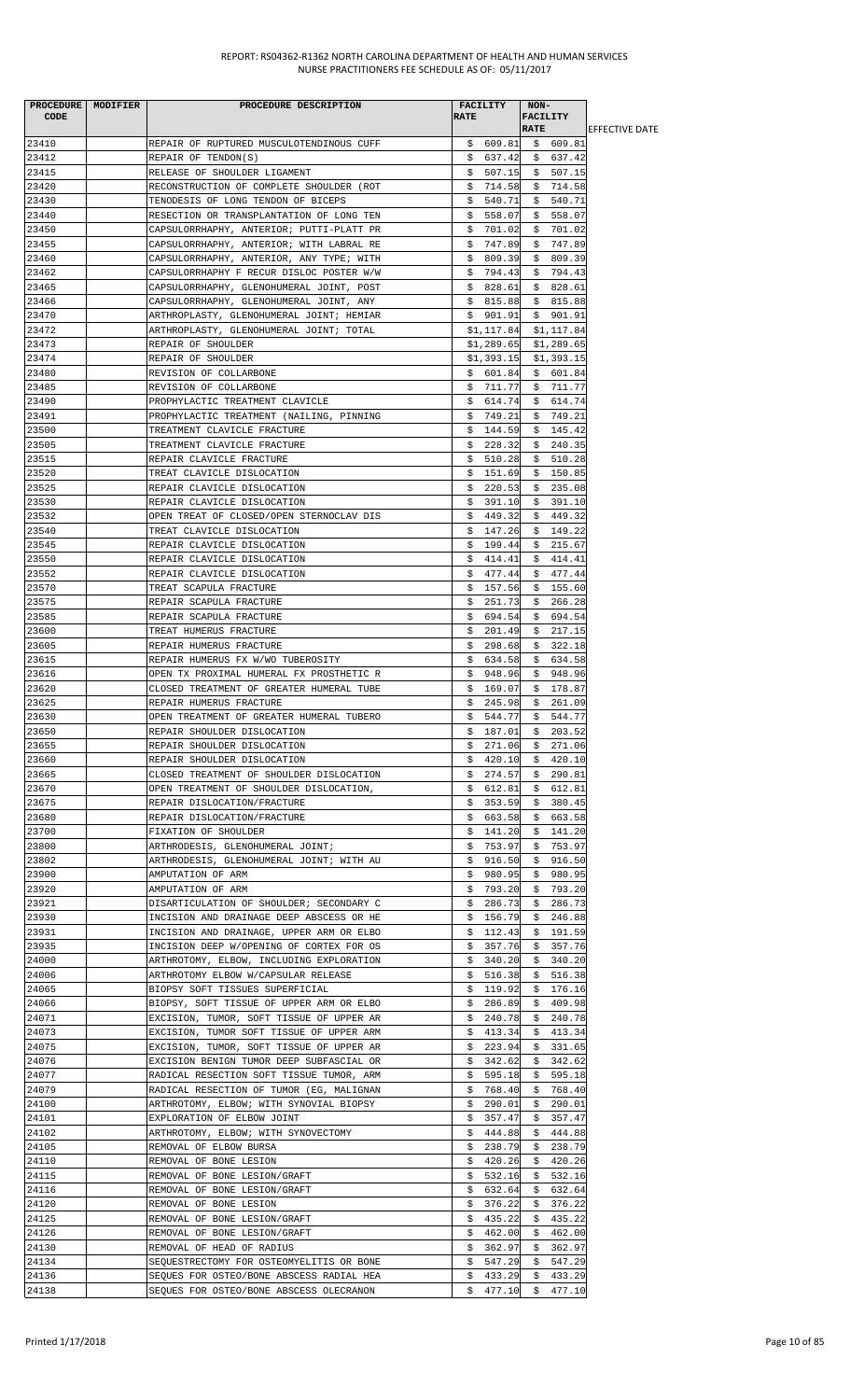| PROCEDURE MODIFIER | PROCEDURE DESCRIPTION                    |             | <b>FACILITY</b> | NON-        |                     |                        |
|--------------------|------------------------------------------|-------------|-----------------|-------------|---------------------|------------------------|
| <b>CODE</b>        |                                          | <b>RATE</b> |                 | FACILITY    |                     |                        |
|                    |                                          |             |                 | <b>RATE</b> |                     | <b>IEFFECTIVE DATE</b> |
| 23410              | REPAIR OF RUPTURED MUSCULOTENDINOUS CUFF |             | \$609.81        |             | \$609.81            |                        |
| 23412              | REPAIR OF TENDON(S)                      |             | \$637.42        |             | \$637.42            |                        |
| 23415              | RELEASE OF SHOULDER LIGAMENT             |             | \$507.15        |             | \$507.15            |                        |
| 23420              | RECONSTRUCTION OF COMPLETE SHOULDER (ROT |             | \$714.58        |             | \$714.58            |                        |
| 23430              | TENODESIS OF LONG TENDON OF BICEPS       |             | \$540.71        |             | \$540.71            |                        |
|                    |                                          |             |                 |             |                     |                        |
| 23440              | RESECTION OR TRANSPLANTATION OF LONG TEN |             | \$558.07        |             | \$558.07            |                        |
| 23450              | CAPSULORRHAPHY, ANTERIOR; PUTTI-PLATT PR |             | \$701.02        |             | \$701.02            |                        |
| 23455              | CAPSULORRHAPHY, ANTERIOR; WITH LABRAL RE |             | \$747.89        |             | \$747.89            |                        |
| 23460              | CAPSULORRHAPHY, ANTERIOR, ANY TYPE; WITH |             | \$809.39        |             | \$809.39            |                        |
| 23462              | CAPSULORRHAPHY F RECUR DISLOC POSTER W/W |             | \$794.43        |             | \$794.43            |                        |
| 23465              | CAPSULORRHAPHY, GLENOHUMERAL JOINT, POST |             | \$828.61        |             | \$ 828.61           |                        |
| 23466              | CAPSULORRHAPHY, GLENOHUMERAL JOINT, ANY  |             | \$815.88        |             | \$815.88            |                        |
| 23470              | ARTHROPLASTY, GLENOHUMERAL JOINT; HEMIAR |             | \$901.91        |             | \$901.91            |                        |
| 23472              | ARTHROPLASTY, GLENOHUMERAL JOINT; TOTAL  |             | \$1,117.84      |             | \$1,117.84          |                        |
| 23473              |                                          |             |                 |             |                     |                        |
|                    | REPAIR OF SHOULDER                       |             | \$1,289.65      |             | \$1,289.65          |                        |
| 23474              | REPAIR OF SHOULDER                       |             | \$1,393.15      |             | \$1,393.15          |                        |
| 23480              | REVISION OF COLLARBONE                   |             | \$601.84        |             | \$601.84            |                        |
| 23485              | REVISION OF COLLARBONE                   |             | \$711.77        |             | \$711.77            |                        |
| 23490              | PROPHYLACTIC TREATMENT CLAVICLE          |             | \$614.74        |             | \$614.74            |                        |
| 23491              | PROPHYLACTIC TREATMENT (NAILING, PINNING |             | \$749.21        |             | \$749.21            |                        |
| 23500              | TREATMENT CLAVICLE FRACTURE              |             | \$144.59        |             | \$145.42            |                        |
| 23505              | TREATMENT CLAVICLE FRACTURE              |             | \$228.32        |             | \$240.35            |                        |
| 23515              | REPAIR CLAVICLE FRACTURE                 | Ş.          | 510.28          |             | \$510.28            |                        |
| 23520              | TREAT CLAVICLE DISLOCATION               |             | \$151.69        |             | \$150.85            |                        |
|                    |                                          |             |                 |             |                     |                        |
| 23525              | REPAIR CLAVICLE DISLOCATION              |             | \$220.53        |             | \$235.08            |                        |
| 23530              | REPAIR CLAVICLE DISLOCATION              | \$          | 391.10          | \$          | 391.10              |                        |
| 23532              | OPEN TREAT OF CLOSED/OPEN STERNOCLAV DIS |             | \$449.32        | Ş.          | 449.32              |                        |
| 23540              | TREAT CLAVICLE DISLOCATION               | S.          | 147.26          |             | \$149.22            |                        |
| 23545              | REPAIR CLAVICLE DISLOCATION              |             | \$199.44        |             | \$215.67            |                        |
| 23550              | REPAIR CLAVICLE DISLOCATION              | Ş.          | 414.41          |             | \$414.41            |                        |
| 23552              | REPAIR CLAVICLE DISLOCATION              |             | \$477.44        |             | \$477.44            |                        |
| 23570              | TREAT SCAPULA FRACTURE                   |             | \$157.56        |             | \$155.60            |                        |
|                    |                                          |             |                 |             |                     |                        |
| 23575              | REPAIR SCAPULA FRACTURE                  | \$          | 251.73          |             | \$266.28            |                        |
| 23585              | REPAIR SCAPULA FRACTURE                  | Ş.          | 694.54          | \$          | 694.54              |                        |
| 23600              | TREAT HUMERUS FRACTURE                   | Ş.          | 201.49          |             | \$217.15            |                        |
| 23605              | REPAIR HUMERUS FRACTURE                  |             | \$298.68        |             | \$322.18            |                        |
| 23615              | REPAIR HUMERUS FX W/WO TUBEROSITY        |             | \$634.58        |             | \$634.58            |                        |
| 23616              | OPEN TX PROXIMAL HUMERAL FX PROSTHETIC R |             | \$948.96        |             | \$948.96            |                        |
| 23620              | CLOSED TREATMENT OF GREATER HUMERAL TUBE |             | \$169.07        |             | \$178.87            |                        |
| 23625              | REPAIR HUMERUS FRACTURE                  |             | \$245.98        | \$          | 261.09              |                        |
| 23630              | OPEN TREATMENT OF GREATER HUMERAL TUBERO | Ŝ.          | 544.77          |             | \$544.77            |                        |
|                    | REPAIR SHOULDER DISLOCATION              |             | \$187.01        |             | \$203.52            |                        |
| 23650              |                                          |             |                 |             |                     |                        |
| 23655              | REPAIR SHOULDER DISLOCATION              |             | \$271.06        |             | \$271.06            |                        |
| 23660              | REPAIR SHOULDER DISLOCATION              |             | \$420.10        | \$          | 420.10              |                        |
| 23665              | CLOSED TREATMENT OF SHOULDER DISLOCATION |             | \$274.57        | Ş.          | 290.81              |                        |
| 23670              | OPEN TREATMENT OF SHOULDER DISLOCATION,  |             | \$612.81        |             | \$612.81            |                        |
| 23675              | REPAIR DISLOCATION/FRACTURE              | Ş.          | 353.59          | S.          | 380.45              |                        |
| 23680              | REPAIR DISLOCATION/FRACTURE              | Ş.          | 663.58          | \$.         | 663.58              |                        |
| 23700              | FIXATION OF SHOULDER                     |             | \$141.20        |             | \$141.20            |                        |
| 23800              | ARTHRODESIS, GLENOHUMERAL JOINT;         |             | \$753.97        |             | \$753.97            |                        |
| 23802              | ARTHRODESIS, GLENOHUMERAL JOINT; WITH AU | \$          | 916.50          | \$          | 916.50              |                        |
| 23900              | AMPUTATION OF ARM                        |             | \$980.95        |             | 980.95              |                        |
| 23920              | AMPUTATION OF ARM                        |             | \$793.20        | Ş.          | \$793.20            |                        |
|                    |                                          |             |                 |             |                     |                        |
| 23921              | DISARTICULATION OF SHOULDER; SECONDARY C |             | \$286.73        | \$.         | 286.73              |                        |
| 23930              | INCISION AND DRAINAGE DEEP ABSCESS OR HE |             | \$156.79        | Ş.          | 246.88              |                        |
| 23931              | INCISION AND DRAINAGE, UPPER ARM OR ELBO |             | \$112.43        |             | \$191.59            |                        |
| 23935              | INCISION DEEP W/OPENING OF CORTEX FOR OS |             | \$357.76        |             | \$357.76            |                        |
| 24000              | ARTHROTOMY, ELBOW, INCLUDING EXPLORATION |             | \$340.20        |             | \$340.20            |                        |
| 24006              | ARTHROTOMY ELBOW W/CAPSULAR RELEASE      | Ş.          | 516.38          | Ş.          | 516.38              |                        |
| 24065              | BIOPSY SOFT TISSUES SUPERFICIAL          |             | \$119.92        |             | \$176.16            |                        |
| 24066              | BIOPSY, SOFT TISSUE OF UPPER ARM OR ELBO |             | \$286.89        | \$          | 409.98              |                        |
| 24071              | EXCISION, TUMOR, SOFT TISSUE OF UPPER AR | Ş.          | 240.78          | Ş.          | 240.78              |                        |
|                    |                                          |             |                 |             |                     |                        |
| 24073              | EXCISION, TUMOR SOFT TISSUE OF UPPER ARM |             | \$413.34        |             | \$413.34            |                        |
| 24075              | EXCISION, TUMOR, SOFT TISSUE OF UPPER AR |             | \$223.94        |             | \$331.65            |                        |
| 24076              | EXCISION BENIGN TUMOR DEEP SUBFASCIAL OR |             | \$342.62        |             | \$342.62            |                        |
| 24077              | RADICAL RESECTION SOFT TISSUE TUMOR, ARM |             | \$595.18        |             | \$595.18            |                        |
| 24079              | RADICAL RESECTION OF TUMOR (EG, MALIGNAN |             | \$768.40        |             | \$768.40            |                        |
| 24100              | ARTHROTOMY, ELBOW; WITH SYNOVIAL BIOPSY  |             | \$290.01        | \$          | 290.01              |                        |
| 24101              | EXPLORATION OF ELBOW JOINT               | \$          | 357.47          | \$          | 357.47              |                        |
| 24102              | ARTHROTOMY, ELBOW; WITH SYNOVECTOMY      | Ş.          | 444.88          | \$          | 444.88              |                        |
| 24105              |                                          |             | \$238.79        |             | \$238.79            |                        |
|                    | REMOVAL OF ELBOW BURSA                   |             |                 |             |                     |                        |
| 24110              | REMOVAL OF BONE LESION                   | Ş.          | 420.26          | \$          | 420.26              |                        |
| 24115              | REMOVAL OF BONE LESION/GRAFT             |             | \$532.16        | \$          | 532.16              |                        |
| 24116              | REMOVAL OF BONE LESION/GRAFT             |             | \$632.64        |             | \$632.64            |                        |
| 24120              | REMOVAL OF BONE LESION                   |             | \$376.22        |             | \$376.22            |                        |
| 24125              | REMOVAL OF BONE LESION/GRAFT             | \$.         | 435.22          | \$          | 435.22              |                        |
| 24126              | REMOVAL OF BONE LESION/GRAFT             | Ş.          | 462.00          | Ş.          | 462.00              |                        |
| 24130              | REMOVAL OF HEAD OF RADIUS                |             | \$362.97        | Ş.          | 362.97              |                        |
| 24134              | SEQUESTRECTOMY FOR OSTEOMYELITIS OR BONE |             | \$547.29        | \$          | 547.29              |                        |
|                    | SEQUES FOR OSTEO/BONE ABSCESS RADIAL HEA |             |                 |             |                     |                        |
| 24136              |                                          | Ş.          | 433.29          | Ş.          | 433.29              |                        |
| 24138              | SEQUES FOR OSTEO/BONE ABSCESS OLECRANON  |             |                 |             | $$477.10 \t$477.10$ |                        |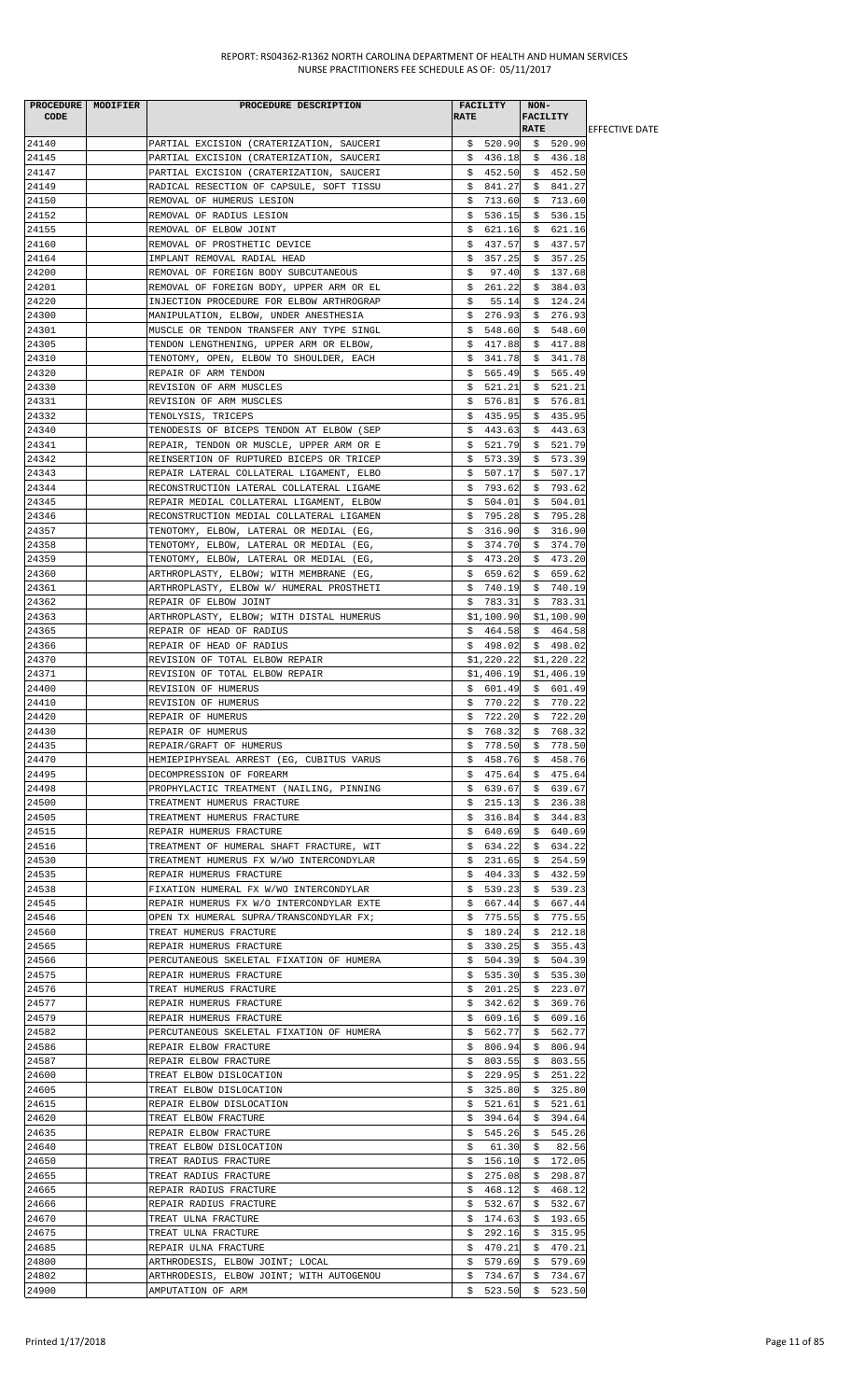| <b>CODE</b>    | PROCEDURE   MODIFIER | PROCEDURE DESCRIPTION                                                                | <b>RATE</b> | <b>FACILITY</b>      | NON-<br><b>FACILITY</b> |                                     |                        |
|----------------|----------------------|--------------------------------------------------------------------------------------|-------------|----------------------|-------------------------|-------------------------------------|------------------------|
|                |                      |                                                                                      |             |                      | <b>RATE</b>             |                                     | <b>LEFFECTIVE DATE</b> |
| 24140          |                      | PARTIAL EXCISION (CRATERIZATION, SAUCERI                                             |             |                      |                         | $$520.90$ \$ 520.90                 |                        |
| 24145<br>24147 |                      | PARTIAL EXCISION (CRATERIZATION, SAUCERI<br>PARTIAL EXCISION (CRATERIZATION, SAUCERI |             | \$452.50             |                         | $$436.18 \quad $436.18$<br>\$452.50 |                        |
| 24149          |                      | RADICAL RESECTION OF CAPSULE, SOFT TISSU                                             |             | \$841.27             |                         | \$841.27                            |                        |
| 24150          |                      | REMOVAL OF HUMERUS LESION                                                            | \$          | 713.60               | Ş.                      | 713.60                              |                        |
| 24152          |                      | REMOVAL OF RADIUS LESION                                                             |             | \$536.15             |                         | \$536.15                            |                        |
| 24155          |                      | REMOVAL OF ELBOW JOINT                                                               |             | \$621.16             |                         | \$621.16                            |                        |
| 24160          |                      | REMOVAL OF PROSTHETIC DEVICE                                                         | \$          | 437.57               |                         | \$437.57                            |                        |
| 24164          |                      | IMPLANT REMOVAL RADIAL HEAD                                                          |             | \$357.25             |                         | \$357.25                            |                        |
| 24200          |                      | REMOVAL OF FOREIGN BODY SUBCUTANEOUS                                                 | Ş.          | 97.40                |                         | \$137.68                            |                        |
| 24201          |                      | REMOVAL OF FOREIGN BODY, UPPER ARM OR EL                                             |             | \$261.22             |                         | \$384.03                            |                        |
| 24220          |                      | INJECTION PROCEDURE FOR ELBOW ARTHROGRAP                                             | \$          | 55.14                | \$                      | 124.24                              |                        |
| 24300          |                      | MANIPULATION, ELBOW, UNDER ANESTHESIA                                                |             | \$276.93             | \$                      | 276.93                              |                        |
| 24301          |                      | MUSCLE OR TENDON TRANSFER ANY TYPE SINGL                                             |             | \$548.60             |                         | \$548.60                            |                        |
| 24305<br>24310 |                      | TENDON LENGTHENING, UPPER ARM OR ELBOW,<br>TENOTOMY, OPEN, ELBOW TO SHOULDER, EACH   |             | \$417.88<br>\$341.78 |                         | \$417.88<br>\$341.78                |                        |
| 24320          |                      | REPAIR OF ARM TENDON                                                                 |             | \$565.49             |                         | \$5, 565.49                         |                        |
| 24330          |                      | REVISION OF ARM MUSCLES                                                              |             | \$521.21             |                         | \$521.21                            |                        |
| 24331          |                      | REVISION OF ARM MUSCLES                                                              |             | \$576.81             |                         | \$576.81                            |                        |
| 24332          |                      | TENOLYSIS, TRICEPS                                                                   | Ş.          | 435.95               |                         | \$435.95                            |                        |
| 24340          |                      | TENODESIS OF BICEPS TENDON AT ELBOW (SEP                                             |             | \$443.63             |                         | \$443.63                            |                        |
| 24341          |                      | REPAIR, TENDON OR MUSCLE, UPPER ARM OR E                                             |             | \$521.79             |                         | \$51.79                             |                        |
| 24342          |                      | REINSERTION OF RUPTURED BICEPS OR TRICEP                                             |             | \$573.39             |                         | \$573.39                            |                        |
| 24343          |                      | REPAIR LATERAL COLLATERAL LIGAMENT, ELBO                                             |             | \$507.17             |                         | \$507.17                            |                        |
| 24344          |                      | RECONSTRUCTION LATERAL COLLATERAL LIGAME                                             |             | \$793.62             |                         | \$793.62                            |                        |
| 24345          |                      | REPAIR MEDIAL COLLATERAL LIGAMENT, ELBOW                                             |             | \$504.01             |                         | \$504.01                            |                        |
| 24346          |                      | RECONSTRUCTION MEDIAL COLLATERAL LIGAMEN                                             |             | \$795.28             |                         | \$795.28                            |                        |
| 24357          |                      | TENOTOMY, ELBOW, LATERAL OR MEDIAL (EG,                                              | Ş.          | 316.90               |                         | \$316.90                            |                        |
| 24358<br>24359 |                      | TENOTOMY, ELBOW, LATERAL OR MEDIAL (EG,<br>TENOTOMY, ELBOW, LATERAL OR MEDIAL (EG,   |             | \$374.70<br>\$473.20 |                         | \$374.70<br>\$473.20                |                        |
| 24360          |                      | ARTHROPLASTY, ELBOW; WITH MEMBRANE (EG,                                              |             | \$659.62             |                         | \$659.62                            |                        |
| 24361          |                      | ARTHROPLASTY, ELBOW W/ HUMERAL PROSTHETI                                             |             | \$740.19             |                         | \$740.19                            |                        |
| 24362          |                      | REPAIR OF ELBOW JOINT                                                                |             | \$783.31             |                         | \$783.31                            |                        |
| 24363          |                      | ARTHROPLASTY, ELBOW; WITH DISTAL HUMERUS                                             |             |                      |                         | $$1,100.90$ $$1,100.90$             |                        |
| 24365          |                      | REPAIR OF HEAD OF RADIUS                                                             |             | \$464.58             |                         | \$464.58                            |                        |
| 24366          |                      | REPAIR OF HEAD OF RADIUS                                                             |             | \$498.02             |                         | \$498.02                            |                        |
| 24370          |                      | REVISION OF TOTAL ELBOW REPAIR                                                       |             | \$1,220.22           |                         | \$1,220.22                          |                        |
| 24371          |                      | REVISION OF TOTAL ELBOW REPAIR                                                       |             | \$1,406.19           |                         | \$1,406.19                          |                        |
| 24400          |                      | REVISION OF HUMERUS                                                                  |             | \$601.49             |                         | \$601.49                            |                        |
| 24410          |                      | REVISION OF HUMERUS                                                                  |             | \$770.22             |                         | \$770.22                            |                        |
| 24420          |                      | REPAIR OF HUMERUS                                                                    | \$          |                      |                         | 722.20 \$ 722.20                    |                        |
| 24430          |                      | REPAIR OF HUMERUS<br>REPAIR/GRAFT OF HUMERUS                                         |             | \$768.32             |                         | \$768.32                            |                        |
| 24435<br>24470 |                      | HEMIEPIPHYSEAL ARREST (EG, CUBITUS VARUS                                             |             | \$778.50<br>\$458.76 |                         | \$778.50<br>\$458.76                |                        |
| 24495          |                      | DECOMPRESSION OF FOREARM                                                             | Ş.          | 475.64               | Ş.                      | 475.64                              |                        |
| 24498          |                      | PROPHYLACTIC TREATMENT (NAILING, PINNING                                             |             | \$639.67             |                         | \$639.67                            |                        |
| 24500          |                      | TREATMENT HUMERUS FRACTURE                                                           | \$          | 215.13               | \$                      | 236.38                              |                        |
| 24505          |                      | TREATMENT HUMERUS FRACTURE                                                           | Ş.          | 316.84               | \$.                     | 344.83                              |                        |
| 24515          |                      | REPAIR HUMERUS FRACTURE                                                              | S.          | 640.69               |                         | \$640.69                            |                        |
| 24516          |                      | TREATMENT OF HUMERAL SHAFT FRACTURE, WIT                                             |             | \$634.22             |                         | \$634.22                            |                        |
| 24530          |                      | TREATMENT HUMERUS FX W/WO INTERCONDYLAR                                              | Ş.          | 231.65               |                         | \$254.59                            |                        |
| 24535          |                      | REPAIR HUMERUS FRACTURE                                                              |             | \$404.33             |                         | \$432.59                            |                        |
| 24538          |                      | FIXATION HUMERAL FX W/WO INTERCONDYLAR                                               | Ş.          | 539.23               | S.                      | 539.23                              |                        |
| 24545          |                      | REPAIR HUMERUS FX W/O INTERCONDYLAR EXTE                                             |             | \$667.44             | Ş.                      | 667.44                              |                        |
| 24546          |                      | OPEN TX HUMERAL SUPRA/TRANSCONDYLAR FX;                                              | Ş.          | 775.55               | Ş.                      | 775.55                              |                        |
| 24560<br>24565 |                      | TREAT HUMERUS FRACTURE<br>REPAIR HUMERUS FRACTURE                                    | Ş.          | \$189.24<br>330.25   | Ş.                      | \$212.18<br>355.43                  |                        |
| 24566          |                      | PERCUTANEOUS SKELETAL FIXATION OF HUMERA                                             | S.          | 504.39               | \$                      | 504.39                              |                        |
| 24575          |                      | REPAIR HUMERUS FRACTURE                                                              |             | \$535.30             |                         | \$535.30                            |                        |
| 24576          |                      | TREAT HUMERUS FRACTURE                                                               | Ş.          | 201.25               |                         | \$223.07                            |                        |
| 24577          |                      | REPAIR HUMERUS FRACTURE                                                              |             | \$342.62             |                         | \$369.76                            |                        |
| 24579          |                      | REPAIR HUMERUS FRACTURE                                                              |             | \$609.16             | Ş.                      | 609.16                              |                        |
| 24582          |                      | PERCUTANEOUS SKELETAL FIXATION OF HUMERA                                             | Ş.          | 562.77               | Ş.                      | 562.77                              |                        |
| 24586          |                      | REPAIR ELBOW FRACTURE                                                                |             | \$806.94]            |                         | \$806.94                            |                        |
| 24587          |                      | REPAIR ELBOW FRACTURE                                                                |             | \$803.55             | \$.                     | 803.55                              |                        |
| 24600          |                      | TREAT ELBOW DISLOCATION                                                              |             | \$229.95             | Ş.                      | 251.22                              |                        |
| 24605          |                      | TREAT ELBOW DISLOCATION                                                              |             | \$325.80             |                         | \$325.80                            |                        |
| 24615          |                      | REPAIR ELBOW DISLOCATION                                                             |             | \$521.61             |                         | \$521.61                            |                        |
| 24620<br>24635 |                      | TREAT ELBOW FRACTURE<br>REPAIR ELBOW FRACTURE                                        | Ş.<br>Ş.    | 394.64<br>545.26     | Ş.                      | \$394.64<br>545.26                  |                        |
| 24640          |                      | TREAT ELBOW DISLOCATION                                                              | S.          | 61.30                | \$                      | 82.56                               |                        |
| 24650          |                      | TREAT RADIUS FRACTURE                                                                |             | \$156.10             | \$                      | 172.05                              |                        |
| 24655          |                      | TREAT RADIUS FRACTURE                                                                |             | \$275.08             | Ş.                      | 298.87                              |                        |
| 24665          |                      | REPAIR RADIUS FRACTURE                                                               | Ş.          | 468.12               | Ş.                      | 468.12                              |                        |
| 24666          |                      | REPAIR RADIUS FRACTURE                                                               |             | \$532.67             |                         | \$532.67                            |                        |
| 24670          |                      | TREAT ULNA FRACTURE                                                                  |             | \$174.63             |                         | \$193.65                            |                        |
| 24675          |                      | TREAT ULNA FRACTURE                                                                  | Ş.          | 292.16               | Ş.                      | 315.95                              |                        |
| 24685          |                      | REPAIR ULNA FRACTURE                                                                 | S.          | 470.21               | S.                      | 470.21                              |                        |
| 24800          |                      | ARTHRODESIS, ELBOW JOINT; LOCAL                                                      | \$          | 579.69               | \$                      | 579.69                              |                        |
| 24802          |                      | ARTHRODESIS, ELBOW JOINT; WITH AUTOGENOU                                             | \$          | 734.67               | \$                      | 734.67                              |                        |
| 24900          |                      | AMPUTATION OF ARM                                                                    |             |                      |                         | $$523.50 \t$523.50$                 |                        |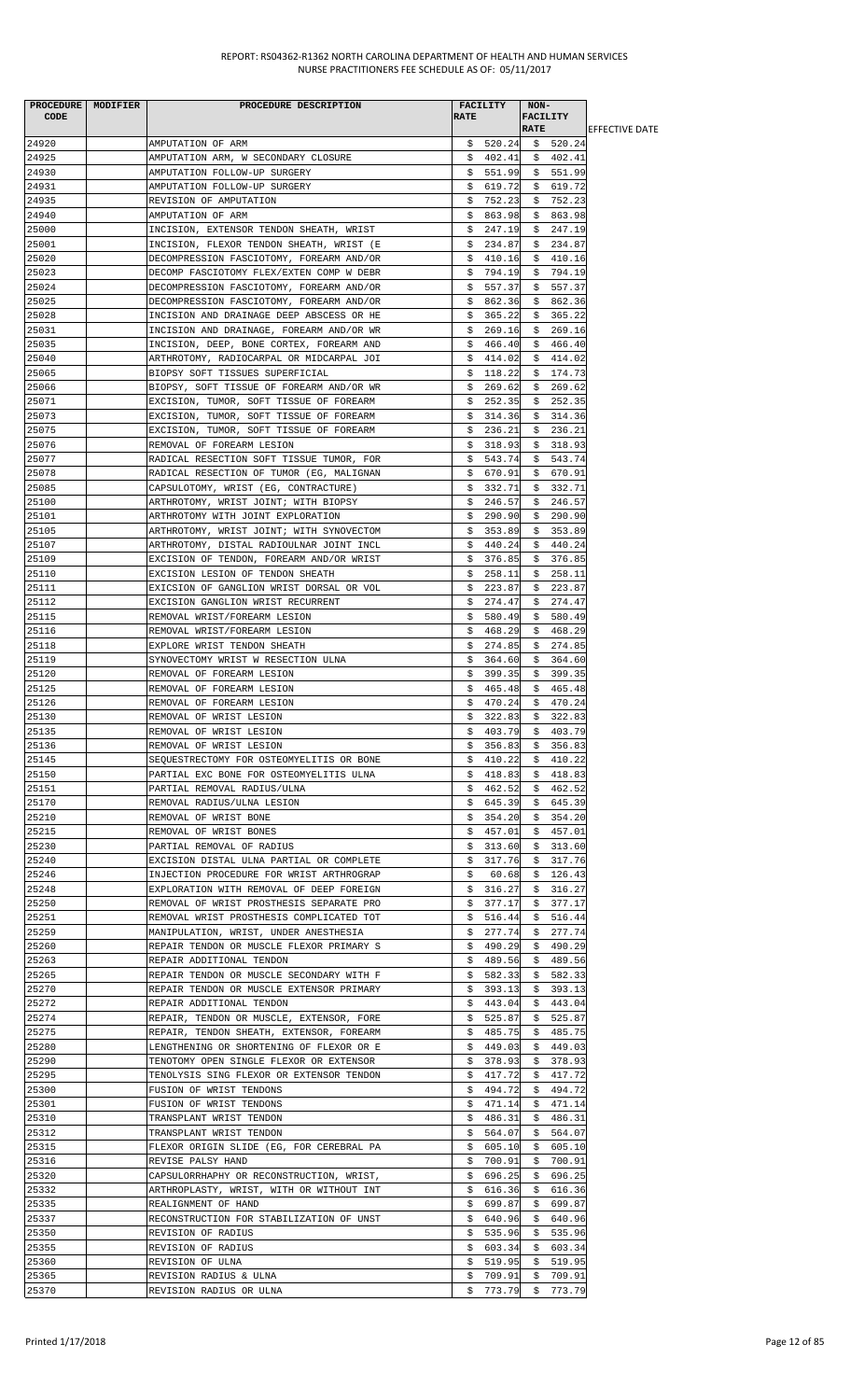|       | PROCEDURE MODIFIER | PROCEDURE DESCRIPTION                    |             | FACILITY | $NON-$      |                      |                        |
|-------|--------------------|------------------------------------------|-------------|----------|-------------|----------------------|------------------------|
| CODE  |                    |                                          | <b>RATE</b> |          |             | <b>FACILITY</b>      |                        |
|       |                    |                                          |             |          | <b>RATE</b> |                      | <b>IEFFECTIVE DATE</b> |
| 24920 |                    | AMPUTATION OF ARM                        |             |          |             | $$520.24$ \$ 520.24  |                        |
| 24925 |                    | AMPUTATION ARM, W SECONDARY CLOSURE      |             |          |             | $$402.41$$ $$402.41$ |                        |
| 24930 |                    | AMPUTATION FOLLOW-UP SURGERY             |             | \$551.99 |             | \$551.99             |                        |
| 24931 |                    | AMPUTATION FOLLOW-UP SURGERY             |             | \$619.72 |             | \$619.72             |                        |
| 24935 |                    | REVISION OF AMPUTATION                   | \$          | 752.23   | \$          | 752.23               |                        |
| 24940 |                    | AMPUTATION OF ARM                        | \$          | 863.98   | \$          | 863.98               |                        |
| 25000 |                    | INCISION, EXTENSOR TENDON SHEATH, WRIST  |             | \$247.19 |             | \$247.19             |                        |
| 25001 |                    | INCISION, FLEXOR TENDON SHEATH, WRIST (E |             | \$234.87 |             | \$234.87             |                        |
| 25020 |                    | DECOMPRESSION FASCIOTOMY, FOREARM AND/OR |             | \$410.16 |             | \$410.16             |                        |
| 25023 |                    | DECOMP FASCIOTOMY FLEX/EXTEN COMP W DEBR |             | \$794.19 |             | \$794.19             |                        |
| 25024 |                    | DECOMPRESSION FASCIOTOMY, FOREARM AND/OR |             | \$557.37 |             | \$557.37             |                        |
| 25025 |                    | DECOMPRESSION FASCIOTOMY, FOREARM AND/OR |             | \$862.36 |             | \$862.36             |                        |
| 25028 |                    | INCISION AND DRAINAGE DEEP ABSCESS OR HE | \$          | 365.22   | \$          | 365.22               |                        |
| 25031 |                    | INCISION AND DRAINAGE, FOREARM AND/OR WR | \$.         | 269.16   |             | \$269.16             |                        |
| 25035 |                    | INCISION, DEEP, BONE CORTEX, FOREARM AND |             | \$466.40 |             | \$466.40             |                        |
| 25040 |                    | ARTHROTOMY, RADIOCARPAL OR MIDCARPAL JOI |             | \$414.02 |             | \$414.02             |                        |
| 25065 |                    | BIOPSY SOFT TISSUES SUPERFICIAL          |             | \$118.22 |             | \$174.73             |                        |
| 25066 |                    | BIOPSY, SOFT TISSUE OF FOREARM AND/OR WR |             | \$269.62 |             | \$269.62             |                        |
| 25071 |                    | EXCISION, TUMOR, SOFT TISSUE OF FOREARM  |             | \$252.35 |             | \$252.35             |                        |
| 25073 |                    | EXCISION, TUMOR, SOFT TISSUE OF FOREARM  |             | \$314.36 |             | \$314.36             |                        |
| 25075 |                    | EXCISION, TUMOR, SOFT TISSUE OF FOREARM  |             | \$236.21 |             | \$236.21             |                        |
| 25076 |                    | REMOVAL OF FOREARM LESION                |             | \$318.93 |             | \$318.93             |                        |
| 25077 |                    | RADICAL RESECTION SOFT TISSUE TUMOR, FOR | \$          | 543.74   |             | \$543.74             |                        |
| 25078 |                    | RADICAL RESECTION OF TUMOR (EG, MALIGNAN |             | \$670.91 |             | \$670.91             |                        |
| 25085 |                    | CAPSULOTOMY, WRIST (EG, CONTRACTURE)     |             | \$332.71 |             | \$332.71             |                        |
| 25100 |                    | ARTHROTOMY, WRIST JOINT; WITH BIOPSY     |             | \$246.57 |             | \$246.57             |                        |
| 25101 |                    | ARTHROTOMY WITH JOINT EXPLORATION        |             | \$290.90 |             | \$290.90             |                        |
| 25105 |                    | ARTHROTOMY, WRIST JOINT; WITH SYNOVECTOM |             | \$353.89 |             | \$353.89             |                        |
| 25107 |                    | ARTHROTOMY, DISTAL RADIOULNAR JOINT INCL |             | \$440.24 |             | \$440.24             |                        |
| 25109 |                    | EXCISION OF TENDON, FOREARM AND/OR WRIST | \$          | 376.85   | \$          | 376.85               |                        |
| 25110 |                    | EXCISION LESION OF TENDON SHEATH         | Ş.          | 258.11   |             | \$258.11             |                        |
| 25111 |                    | EXICSION OF GANGLION WRIST DORSAL OR VOL |             | \$223.87 |             | \$223.87             |                        |
| 25112 |                    | EXCISION GANGLION WRIST RECURRENT        |             | \$274.47 | \$          | 274.47               |                        |
| 25115 |                    | REMOVAL WRIST/FOREARM LESION             |             | \$580.49 |             | \$580.49             |                        |
|       |                    |                                          |             |          |             |                      |                        |
| 25116 |                    | REMOVAL WRIST/FOREARM LESION             |             | \$468.29 |             | \$468.29<br>\$274.85 |                        |
| 25118 |                    | EXPLORE WRIST TENDON SHEATH              |             | \$274.85 |             |                      |                        |
| 25119 |                    | SYNOVECTOMY WRIST W RESECTION ULNA       |             | \$364.60 |             | \$364.60             |                        |
| 25120 |                    | REMOVAL OF FOREARM LESION                |             | \$399.35 |             | \$399.35             |                        |
| 25125 |                    | REMOVAL OF FOREARM LESION                | S.          | 465.48   | \$          | 465.48               |                        |
| 25126 |                    | REMOVAL OF FOREARM LESION                | \$          | 470.24   | \$          | 470.24               |                        |
| 25130 |                    | REMOVAL OF WRIST LESION                  | \$          | 322.83   |             | \$322.83             |                        |
| 25135 |                    | REMOVAL OF WRIST LESION                  |             | \$403.79 |             | \$403.79             |                        |
| 25136 |                    | REMOVAL OF WRIST LESION                  |             | \$356.83 |             | \$356.83             |                        |
| 25145 |                    | SEQUESTRECTOMY FOR OSTEOMYELITIS OR BONE |             |          |             | $$410.22$$ \$ 410.22 |                        |
| 25150 |                    | PARTIAL EXC BONE FOR OSTEOMYELITIS ULNA  |             | \$418.83 |             | \$418.83             |                        |
| 25151 |                    | PARTIAL REMOVAL RADIUS/ULNA              |             | \$462.52 |             | \$462.52             |                        |
| 25170 |                    | REMOVAL RADIUS/ULNA LESION               |             | \$645.39 |             | \$645.39             |                        |
| 25210 |                    | REMOVAL OF WRIST BONE                    | \$          | 354.20   | \$.         | 354.20               |                        |
| 25215 |                    | REMOVAL OF WRIST BONES                   | Ş.          | 457.01   |             | \$457.01             |                        |
| 25230 |                    | PARTIAL REMOVAL OF RADIUS                | Ş.          | 313.60   |             | \$313.60             |                        |
| 25240 |                    | EXCISION DISTAL ULNA PARTIAL OR COMPLETE | \$          | 317.76   |             | \$317.76             |                        |
| 25246 |                    | INJECTION PROCEDURE FOR WRIST ARTHROGRAP | Ş.          | 60.68    | Ş.          | 126.43               |                        |
| 25248 |                    | EXPLORATION WITH REMOVAL OF DEEP FOREIGN |             | \$316.27 |             | \$316.27             |                        |
| 25250 |                    | REMOVAL OF WRIST PROSTHESIS SEPARATE PRO |             | \$377.17 |             | \$377.17             |                        |
| 25251 |                    | REMOVAL WRIST PROSTHESIS COMPLICATED TOT | \$          | 516.44   | \$          | 516.44               |                        |
| 25259 |                    | MANIPULATION, WRIST, UNDER ANESTHESIA    | Ş.          | 277.74   | \$.         | 277.74               |                        |
| 25260 |                    | REPAIR TENDON OR MUSCLE FLEXOR PRIMARY S |             | \$490.29 | Ş.          | 490.29               |                        |
| 25263 |                    | REPAIR ADDITIONAL TENDON                 |             | \$489.56 |             | \$489.56             |                        |
| 25265 |                    | REPAIR TENDON OR MUSCLE SECONDARY WITH F |             | \$582.33 |             | \$582.33             |                        |
| 25270 |                    | REPAIR TENDON OR MUSCLE EXTENSOR PRIMARY |             | \$393.13 |             | \$393.13             |                        |
| 25272 |                    | REPAIR ADDITIONAL TENDON                 |             | \$443.04 |             | \$443.04             |                        |
| 25274 |                    | REPAIR, TENDON OR MUSCLE, EXTENSOR, FORE |             | \$525.87 |             | \$525.87             |                        |
| 25275 |                    | REPAIR, TENDON SHEATH, EXTENSOR, FOREARM |             | \$485.75 |             | \$485.75             |                        |
| 25280 |                    | LENGTHENING OR SHORTENING OF FLEXOR OR E |             | \$449.03 |             | \$449.03             |                        |
| 25290 |                    | TENOTOMY OPEN SINGLE FLEXOR OR EXTENSOR  |             | \$378.93 |             | \$378.93             |                        |
| 25295 |                    | TENOLYSIS SING FLEXOR OR EXTENSOR TENDON |             | \$417.72 | \$          | 417.72               |                        |
| 25300 |                    | FUSION OF WRIST TENDONS                  |             | \$494.72 | \$          | 494.72               |                        |
| 25301 |                    | FUSION OF WRIST TENDONS                  |             | \$471.14 |             | \$471.14             |                        |
| 25310 |                    | TRANSPLANT WRIST TENDON                  |             | \$486.31 | \$          | 486.31               |                        |
| 25312 |                    | TRANSPLANT WRIST TENDON                  |             | \$564.07 |             | \$564.07             |                        |
| 25315 |                    | FLEXOR ORIGIN SLIDE (EG, FOR CEREBRAL PA |             | \$605.10 |             | \$605.10             |                        |
| 25316 |                    | REVISE PALSY HAND                        |             | \$700.91 |             | \$700.91             |                        |
| 25320 |                    | CAPSULORRHAPHY OR RECONSTRUCTION, WRIST, | \$          | 696.25   | \$          | 696.25               |                        |
| 25332 |                    | ARTHROPLASTY, WRIST, WITH OR WITHOUT INT |             | \$616.36 | \$          | 616.36               |                        |
| 25335 |                    | REALIGNMENT OF HAND                      |             | \$699.87 |             | \$699.87             |                        |
| 25337 |                    | RECONSTRUCTION FOR STABILIZATION OF UNST |             | \$640.96 |             | \$640.96             |                        |
| 25350 |                    | REVISION OF RADIUS                       | Ş.          | 535.96   | Ş.          | 535.96               |                        |
| 25355 |                    | REVISION OF RADIUS                       |             | \$603.34 |             | \$603.34             |                        |
| 25360 |                    | REVISION OF ULNA                         |             | \$519.95 |             | \$519.95             |                        |
| 25365 |                    | REVISION RADIUS & ULNA                   | \$.         | 709.91   | \$          | 709.91               |                        |
| 25370 |                    | REVISION RADIUS OR ULNA                  |             |          |             | $$773.79$ $$773.79$  |                        |
|       |                    |                                          |             |          |             |                      |                        |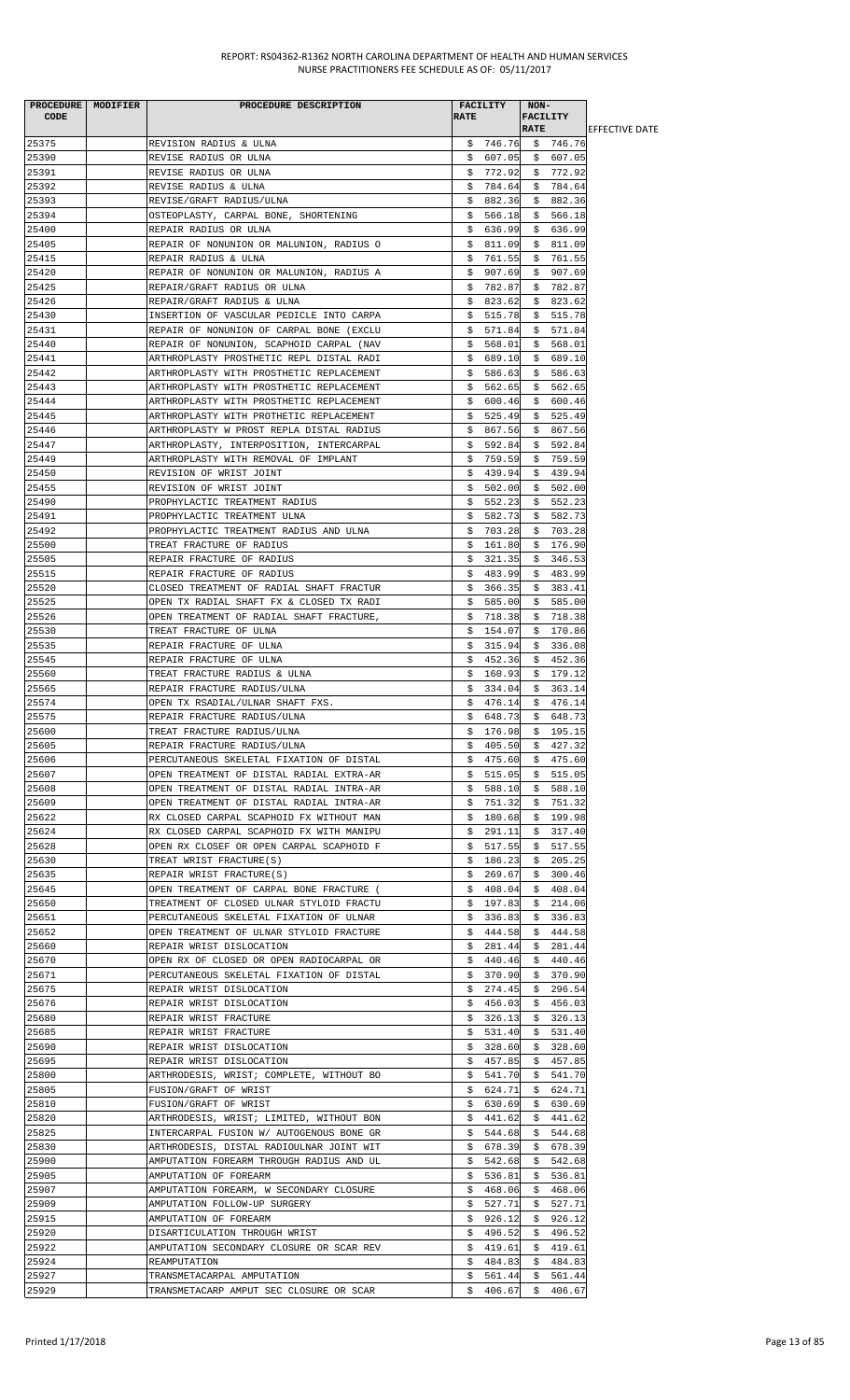|             | PROCEDURE   MODIFIER | PROCEDURE DESCRIPTION                    |             | <b>FACILITY</b> | NON-            |                            |                        |
|-------------|----------------------|------------------------------------------|-------------|-----------------|-----------------|----------------------------|------------------------|
| <b>CODE</b> |                      |                                          | <b>RATE</b> |                 | <b>FACILITY</b> |                            |                        |
|             |                      |                                          |             |                 | <b>RATE</b>     |                            | <b>IEFFECTIVE DATE</b> |
| 25375       |                      | REVISION RADIUS & ULNA                   |             |                 |                 | $$746.76$ $$746.76$        |                        |
| 25390       |                      | REVISE RADIUS OR ULNA                    |             | \$607.05        |                 | \$607.05                   |                        |
| 25391       |                      | REVISE RADIUS OR ULNA                    |             | \$772.92        |                 | \$772.92                   |                        |
| 25392       |                      | REVISE RADIUS & ULNA                     |             | \$784.64        |                 | \$784.64                   |                        |
| 25393       |                      | REVISE/GRAFT RADIUS/ULNA                 |             | \$882.36        |                 | \$882.36                   |                        |
| 25394       |                      | OSTEOPLASTY, CARPAL BONE, SHORTENING     |             | \$566.18        |                 | \$566.18                   |                        |
| 25400       |                      | REPAIR RADIUS OR ULNA                    |             | \$636.99        |                 | \$636.99                   |                        |
| 25405       |                      | REPAIR OF NONUNION OR MALUNION, RADIUS O |             | \$811.09        |                 | \$811.09                   |                        |
| 25415       |                      | REPAIR RADIUS & ULNA                     | \$.         | 761.55          | \$              | 761.55                     |                        |
| 25420       |                      | REPAIR OF NONUNION OR MALUNION, RADIUS A |             | \$907.69        |                 | \$907.69                   |                        |
| 25425       |                      | REPAIR/GRAFT RADIUS OR ULNA              |             | \$782.87        |                 | \$782.87                   |                        |
| 25426       |                      | REPAIR/GRAFT RADIUS & ULNA               | Ş.          | 823.62          | Ş.              | 823.62                     |                        |
| 25430       |                      | INSERTION OF VASCULAR PEDICLE INTO CARPA |             | \$515.78        |                 | \$515.78                   |                        |
| 25431       |                      | REPAIR OF NONUNION OF CARPAL BONE (EXCLU |             | \$571.84        |                 | \$571.84                   |                        |
| 25440       |                      | REPAIR OF NONUNION, SCAPHOID CARPAL (NAV |             | \$568.01        |                 | \$568.01                   |                        |
| 25441       |                      | ARTHROPLASTY PROSTHETIC REPL DISTAL RADI |             | \$689.10        |                 | \$689.10                   |                        |
| 25442       |                      | ARTHROPLASTY WITH PROSTHETIC REPLACEMENT |             | \$586.63        |                 | \$586.63                   |                        |
| 25443       |                      | ARTHROPLASTY WITH PROSTHETIC REPLACEMENT |             | \$562.65        |                 | \$562.65                   |                        |
| 25444       |                      | ARTHROPLASTY WITH PROSTHETIC REPLACEMENT |             | \$600.46        |                 | \$600.46                   |                        |
| 25445       |                      | ARTHROPLASTY WITH PROTHETIC REPLACEMENT  |             | \$525.49        |                 | \$525.49                   |                        |
| 25446       |                      | ARTHROPLASTY W PROST REPLA DISTAL RADIUS |             | \$867.56        |                 | \$867.56                   |                        |
| 25447       |                      | ARTHROPLASTY, INTERPOSITION, INTERCARPAL |             | \$592.84        |                 | \$592.84                   |                        |
| 25449       |                      | ARTHROPLASTY WITH REMOVAL OF IMPLANT     | Ş.          | 759.59          |                 | \$759.59                   |                        |
| 25450       |                      | REVISION OF WRIST JOINT                  |             | \$439.94        |                 | \$439.94                   |                        |
| 25455       |                      | REVISION OF WRIST JOINT                  |             | \$502.00        |                 | \$502.00                   |                        |
| 25490       |                      | PROPHYLACTIC TREATMENT RADIUS            | \$          | 552.23          | \$              | 552.23                     |                        |
| 25491       |                      | PROPHYLACTIC TREATMENT ULNA              |             | \$582.73        |                 | \$582.73                   |                        |
| 25492       |                      | PROPHYLACTIC TREATMENT RADIUS AND ULNA   |             | \$703.28        |                 | \$703.28                   |                        |
| 25500       |                      | TREAT FRACTURE OF RADIUS                 |             | \$161.80        |                 | \$176.90                   |                        |
| 25505       |                      | REPAIR FRACTURE OF RADIUS                | Ş.          | 321.35          |                 | \$346.53                   |                        |
| 25515       |                      | REPAIR FRACTURE OF RADIUS                |             | \$483.99        |                 | \$483.99                   |                        |
| 25520       |                      | CLOSED TREATMENT OF RADIAL SHAFT FRACTUR |             | \$366.35        |                 | \$383.41                   |                        |
| 25525       |                      | OPEN TX RADIAL SHAFT FX & CLOSED TX RADI |             | \$585.00        |                 | \$585.00                   |                        |
| 25526       |                      | OPEN TREATMENT OF RADIAL SHAFT FRACTURE, | Ş.          | 718.38          |                 | \$718.38                   |                        |
| 25530       |                      | TREAT FRACTURE OF ULNA                   | Ş.          | 154.07          |                 | \$170.86                   |                        |
| 25535       |                      | REPAIR FRACTURE OF ULNA                  |             | \$315.94        |                 | \$336.08                   |                        |
| 25545       |                      | REPAIR FRACTURE OF ULNA                  | Ş.          | 452.36          |                 | \$452.36                   |                        |
| 25560       |                      | TREAT FRACTURE RADIUS & ULNA             |             | \$160.93        |                 | \$179.12                   |                        |
| 25565       |                      | REPAIR FRACTURE RADIUS/ULNA              |             | \$334.04        |                 | \$363.14                   |                        |
| 25574       |                      | OPEN TX RSADIAL/ULNAR SHAFT FXS.         | \$          | 476.14          |                 |                            |                        |
| 25575       |                      | REPAIR FRACTURE RADIUS/ULNA              | \$          |                 | -\$             | 476.14<br>648.73 \$ 648.73 |                        |
|             |                      |                                          |             |                 |                 |                            |                        |
| 25600       |                      | TREAT FRACTURE RADIUS/ULNA               |             |                 |                 | $$176.98 \t$ 195.15$       |                        |
| 25605       |                      | REPAIR FRACTURE RADIUS/ULNA              |             | \$405.50        |                 | \$427.32                   |                        |
| 25606       |                      | PERCUTANEOUS SKELETAL FIXATION OF DISTAL |             | \$475.60        | Ş.              | 475.60                     |                        |
| 25607       |                      | OPEN TREATMENT OF DISTAL RADIAL EXTRA-AR |             | \$515.05        | Ş.              | 515.05                     |                        |
| 25608       |                      | OPEN TREATMENT OF DISTAL RADIAL INTRA-AR |             | \$588.10        |                 | \$588.10                   |                        |
| 25609       |                      | OPEN TREATMENT OF DISTAL RADIAL INTRA-AR | Ş.          | 751.32          | S.              | 751.32                     |                        |
| 25622       |                      | RX CLOSED CARPAL SCAPHOID FX WITHOUT MAN | Ş.          | 180.68          |                 | \$199.98                   |                        |
| 25624       |                      | RX CLOSED CARPAL SCAPHOID FX WITH MANIPU | S.          | 291.11          |                 | \$317.40                   |                        |
| 25628       |                      | OPEN RX CLOSEF OR OPEN CARPAL SCAPHOID F |             | \$517.55        |                 | \$517.55                   |                        |
| 25630       |                      | TREAT WRIST FRACTURE(S)                  | \$          | 186.23          | \$              | 205.25                     |                        |
| 25635       |                      | REPAIR WRIST FRACTURE(S)                 | Ş.          | 269.67          | Ş.              | 300.46                     |                        |
| 25645       |                      | OPEN TREATMENT OF CARPAL BONE FRACTURE ( |             | \$408.04]       |                 | \$408.04                   |                        |
| 25650       |                      | TREATMENT OF CLOSED ULNAR STYLOID FRACTU | \$.         | 197.83          | \$              | 214.06                     |                        |
| 25651       |                      | PERCUTANEOUS SKELETAL FIXATION OF ULNAR  | Ş.          | 336.83          |                 | \$336.83                   |                        |
| 25652       |                      | OPEN TREATMENT OF ULNAR STYLOID FRACTURE |             | \$444.58        |                 | \$444.58                   |                        |
| 25660       |                      | REPAIR WRIST DISLOCATION                 |             | \$281.44        |                 | \$281.44                   |                        |
| 25670       |                      | OPEN RX OF CLOSED OR OPEN RADIOCARPAL OR |             | \$440.46        |                 | \$440.46                   |                        |
| 25671       |                      | PERCUTANEOUS SKELETAL FIXATION OF DISTAL | Ş.          | 370.90          | Ş.              | 370.90                     |                        |
| 25675       |                      | REPAIR WRIST DISLOCATION                 | Ş.          | 274.45          |                 | \$296.54                   |                        |
| 25676       |                      | REPAIR WRIST DISLOCATION                 |             | \$456.03        |                 | \$456.03                   |                        |
| 25680       |                      | REPAIR WRIST FRACTURE                    | Ş.          | 326.13          |                 | \$326.13                   |                        |
| 25685       |                      | REPAIR WRIST FRACTURE                    | Ş.          | 531.40          | Ş.              | 531.40                     |                        |
| 25690       |                      | REPAIR WRIST DISLOCATION                 |             | \$328.60        |                 | \$328.60                   |                        |
| 25695       |                      | REPAIR WRIST DISLOCATION                 | S.          | 457.85          | \$              | 457.85                     |                        |
| 25800       |                      | ARTHRODESIS, WRIST; COMPLETE, WITHOUT BO | Ş.          | 541.70          |                 | \$541.70                   |                        |
| 25805       |                      | FUSION/GRAFT OF WRIST                    |             | \$624.71        |                 | \$624.71                   |                        |
| 25810       |                      | FUSION/GRAFT OF WRIST                    | \$          | 630.69          | \$              | 630.69                     |                        |
| 25820       |                      | ARTHRODESIS, WRIST; LIMITED, WITHOUT BON | \$          | 441.62          | \$              | 441.62                     |                        |
| 25825       |                      | INTERCARPAL FUSION W/ AUTOGENOUS BONE GR | Ş.          | 544.68          | \$              | 544.68                     |                        |
| 25830       |                      | ARTHRODESIS, DISTAL RADIOULNAR JOINT WIT |             | \$678.39        |                 | \$678.39                   |                        |
| 25900       |                      | AMPUTATION FOREARM THROUGH RADIUS AND UL | Ş.          | 542.68          | Ş.              | 542.68                     |                        |
| 25905       |                      | AMPUTATION OF FOREARM                    | Ş.          | 536.81          | Ş.              | 536.81                     |                        |
| 25907       |                      | AMPUTATION FOREARM, W SECONDARY CLOSURE  |             | \$468.06        |                 | \$468.06                   |                        |
| 25909       |                      | AMPUTATION FOLLOW-UP SURGERY             | \$          | 527.71          |                 | \$527.71                   |                        |
| 25915       |                      | AMPUTATION OF FOREARM                    | \$.         | 926.12          | \$              | 926.12                     |                        |
| 25920       |                      | DISARTICULATION THROUGH WRIST            | Ş.          | 496.52          | Ş.              | 496.52                     |                        |
| 25922       |                      | AMPUTATION SECONDARY CLOSURE OR SCAR REV |             | \$419.61        | Ş.              | 419.61                     |                        |
| 25924       |                      | REAMPUTATION                             |             | \$484.83        | \$              | 484.83                     |                        |
| 25927       |                      | TRANSMETACARPAL AMPUTATION               | Ş.          | 561.44          | Ş.              | 561.44                     |                        |
| 25929       |                      | TRANSMETACARP AMPUT SEC CLOSURE OR SCAR  |             |                 |                 | $$406.67 \t$406.67$        |                        |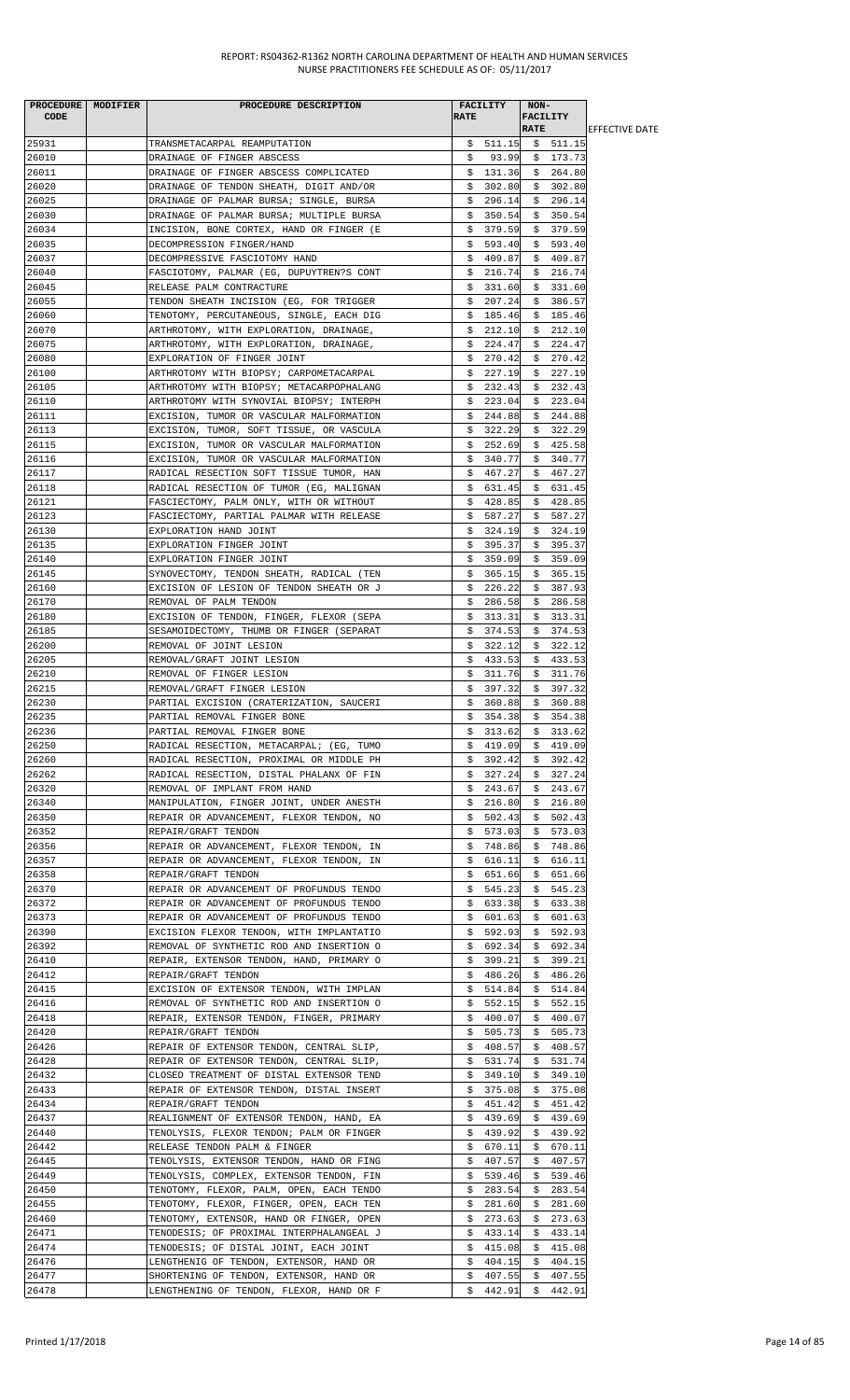|       | PROCEDURE MODIFIER | PROCEDURE DESCRIPTION                    |             | FACILITY            | $NON-$          |                         |                        |
|-------|--------------------|------------------------------------------|-------------|---------------------|-----------------|-------------------------|------------------------|
| CODE  |                    |                                          | <b>RATE</b> |                     | <b>FACILITY</b> |                         |                        |
|       |                    |                                          |             |                     | <b>RATE</b>     |                         | <b>IEFFECTIVE DATE</b> |
| 25931 |                    | TRANSMETACARPAL REAMPUTATION             |             | $$511.15$ $$511.15$ |                 |                         |                        |
| 26010 |                    | DRAINAGE OF FINGER ABSCESS               | Ş.          |                     |                 | 93.99 \$ 173.73         |                        |
| 26011 |                    | DRAINAGE OF FINGER ABSCESS COMPLICATED   |             |                     |                 | $$131.36$ $$264.80$     |                        |
| 26020 |                    | DRAINAGE OF TENDON SHEATH, DIGIT AND/OR  |             |                     |                 | $$302.80 \quad $302.80$ |                        |
| 26025 |                    | DRAINAGE OF PALMAR BURSA; SINGLE, BURSA  | \$.         | 296.14              | \$              | 296.14                  |                        |
| 26030 |                    | DRAINAGE OF PALMAR BURSA; MULTIPLE BURSA |             | \$350.54            |                 | \$350.54                |                        |
| 26034 |                    | INCISION, BONE CORTEX, HAND OR FINGER (E |             | \$379.59            |                 | \$379.59                |                        |
| 26035 |                    | DECOMPRESSION FINGER/HAND                |             | \$593.40            |                 | \$593.40                |                        |
| 26037 |                    | DECOMPRESSIVE FASCIOTOMY HAND            |             | \$409.87            |                 | \$409.87                |                        |
| 26040 |                    | FASCIOTOMY, PALMAR (EG, DUPUYTREN?S CONT |             | \$216.74            |                 | \$216.74                |                        |
| 26045 |                    | RELEASE PALM CONTRACTURE                 |             | \$331.60            |                 | \$331.60                |                        |
| 26055 |                    | TENDON SHEATH INCISION (EG, FOR TRIGGER  |             | \$207.24            |                 | \$386.57                |                        |
| 26060 |                    | TENOTOMY, PERCUTANEOUS, SINGLE, EACH DIG |             | \$185.46            |                 | \$185.46                |                        |
| 26070 |                    | ARTHROTOMY, WITH EXPLORATION, DRAINAGE,  | \$.         | 212.10              |                 | \$212.10                |                        |
| 26075 |                    | ARTHROTOMY, WITH EXPLORATION, DRAINAGE,  |             | \$224.47            | \$              | 224.47                  |                        |
| 26080 |                    | EXPLORATION OF FINGER JOINT              |             | \$270.42            | \$              | 270.42                  |                        |
| 26100 |                    | ARTHROTOMY WITH BIOPSY; CARPOMETACARPAL  |             | \$227.19            |                 | \$227.19                |                        |
| 26105 |                    | ARTHROTOMY WITH BIOPSY; METACARPOPHALANG |             | \$232.43            |                 | \$232.43                |                        |
| 26110 |                    | ARTHROTOMY WITH SYNOVIAL BIOPSY; INTERPH |             | \$223.04            |                 | \$223.04                |                        |
| 26111 |                    | EXCISION, TUMOR OR VASCULAR MALFORMATION |             | \$244.88            |                 | \$244.88                |                        |
| 26113 |                    | EXCISION, TUMOR, SOFT TISSUE, OR VASCULA |             | \$322.29            |                 | \$322.29                |                        |
| 26115 |                    | EXCISION, TUMOR OR VASCULAR MALFORMATION |             | \$252.69            |                 | \$425.58                |                        |
| 26116 |                    | EXCISION, TUMOR OR VASCULAR MALFORMATION | \$          | 340.77              | \$              | 340.77                  |                        |
| 26117 |                    | RADICAL RESECTION SOFT TISSUE TUMOR, HAN |             | \$467.27            |                 | \$467.27                |                        |
| 26118 |                    | RADICAL RESECTION OF TUMOR (EG, MALIGNAN |             | \$631.45            |                 | \$631.45                |                        |
| 26121 |                    | FASCIECTOMY, PALM ONLY, WITH OR WITHOUT  | \$          | 428.85              |                 | \$428.85                |                        |
| 26123 |                    | FASCIECTOMY, PARTIAL PALMAR WITH RELEASE |             | \$587.27            |                 | \$587.27                |                        |
| 26130 |                    | EXPLORATION HAND JOINT                   |             | \$324.19            |                 | \$324.19                |                        |
| 26135 |                    | EXPLORATION FINGER JOINT                 |             | \$395.37            |                 | \$395.37                |                        |
| 26140 |                    | EXPLORATION FINGER JOINT                 | \$          | 359.09              | \$              | 359.09                  |                        |
| 26145 |                    | SYNOVECTOMY, TENDON SHEATH, RADICAL (TEN | \$          | 365.15              |                 | \$365.15                |                        |
| 26160 |                    | EXCISION OF LESION OF TENDON SHEATH OR J |             | \$226.22            |                 | \$387.93                |                        |
| 26170 |                    | REMOVAL OF PALM TENDON                   |             | \$286.58            |                 | \$286.58                |                        |
| 26180 |                    | EXCISION OF TENDON, FINGER, FLEXOR (SEPA |             | \$313.31            |                 | \$313.31                |                        |
| 26185 |                    | SESAMOIDECTOMY, THUMB OR FINGER (SEPARAT |             | \$374.53            |                 | \$374.53                |                        |
| 26200 |                    | REMOVAL OF JOINT LESION                  |             | \$322.12            |                 | \$322.12                |                        |
| 26205 |                    | REMOVAL/GRAFT JOINT LESION               |             | \$433.53            |                 | \$433.53                |                        |
| 26210 |                    | REMOVAL OF FINGER LESION                 |             | \$311.76            |                 | \$311.76                |                        |
| 26215 |                    | REMOVAL/GRAFT FINGER LESION              | \$          | 397.32              | \$              | 397.32                  |                        |
| 26230 |                    |                                          |             | 360.88              |                 |                         |                        |
| 26235 |                    | PARTIAL EXCISION (CRATERIZATION, SAUCERI | \$<br>\$    | 354.38              |                 | \$360.88                |                        |
|       |                    | PARTIAL REMOVAL FINGER BONE              |             |                     |                 | \$354.38                |                        |
| 26236 |                    | PARTIAL REMOVAL FINGER BONE              |             | \$313.62            |                 | \$313.62                |                        |
| 26250 |                    | RADICAL RESECTION, METACARPAL; (EG, TUMO |             | \$419.09            |                 | \$419.09                |                        |
| 26260 |                    | RADICAL RESECTION, PROXIMAL OR MIDDLE PH |             | \$392.42            |                 | \$392.42                |                        |
| 26262 |                    | RADICAL RESECTION, DISTAL PHALANX OF FIN |             | \$327.24            |                 | \$327.24                |                        |
| 26320 |                    | REMOVAL OF IMPLANT FROM HAND             |             | \$243.67            |                 | \$243.67                |                        |
| 26340 |                    | MANIPULATION, FINGER JOINT, UNDER ANESTH | \$          | 216.80              | \$              | 216.80                  |                        |
| 26350 |                    | REPAIR OR ADVANCEMENT, FLEXOR TENDON, NO | \$.         | 502.43              | \$              | 502.43                  |                        |
| 26352 |                    | REPAIR/GRAFT TENDON                      | Ş.          | 573.03              | S.              | 573.03                  |                        |
| 26356 |                    | REPAIR OR ADVANCEMENT, FLEXOR TENDON, IN |             | \$748.86            |                 | \$748.86                |                        |
| 26357 |                    | REPAIR OR ADVANCEMENT, FLEXOR TENDON, IN | \$          | 616.11              | \$              | 616.11                  |                        |
| 26358 |                    | REPAIR/GRAFT TENDON                      | Ş.          | 651.66              | Ş.              | 651.66                  |                        |
| 26370 |                    | REPAIR OR ADVANCEMENT OF PROFUNDUS TENDO |             | \$545.23            |                 | \$545.23                |                        |
| 26372 |                    | REPAIR OR ADVANCEMENT OF PROFUNDUS TENDO |             | \$633.38            |                 | \$633.38                |                        |
| 26373 |                    | REPAIR OR ADVANCEMENT OF PROFUNDUS TENDO | \$.         | 601.63              | \$              | 601.63                  |                        |
| 26390 |                    | EXCISION FLEXOR TENDON, WITH IMPLANTATIO | Ş.          | 592.93              | \$              | 592.93                  |                        |
| 26392 |                    | REMOVAL OF SYNTHETIC ROD AND INSERTION O |             | \$692.34]           | Ş.              | 692.34                  |                        |
| 26410 |                    | REPAIR, EXTENSOR TENDON, HAND, PRIMARY O |             | \$399.21            |                 | \$399.21                |                        |
| 26412 |                    | REPAIR/GRAFT TENDON                      | Ş.          | 486.26              | Ş.              | 486.26                  |                        |
| 26415 |                    | EXCISION OF EXTENSOR TENDON, WITH IMPLAN |             | \$514.84            |                 | \$514.84                |                        |
| 26416 |                    | REMOVAL OF SYNTHETIC ROD AND INSERTION O |             | \$552.15            |                 | \$552.15                |                        |
| 26418 |                    | REPAIR, EXTENSOR TENDON, FINGER, PRIMARY |             | \$400.07            |                 | \$400.07                |                        |
| 26420 |                    | REPAIR/GRAFT TENDON                      |             | \$505.73            | \$              | 505.73                  |                        |
| 26426 |                    | REPAIR OF EXTENSOR TENDON, CENTRAL SLIP, | Ş.          | 408.57              | Ş.              | 408.57                  |                        |
| 26428 |                    | REPAIR OF EXTENSOR TENDON, CENTRAL SLIP, |             | \$531.74            | \$              | 531.74                  |                        |
| 26432 |                    | CLOSED TREATMENT OF DISTAL EXTENSOR TEND |             | \$349.10            | \$              | 349.10                  |                        |
| 26433 |                    | REPAIR OF EXTENSOR TENDON, DISTAL INSERT |             | \$375.08            | \$.             | 375.08                  |                        |
| 26434 |                    | REPAIR/GRAFT TENDON                      |             | \$451.42            |                 | \$451.42                |                        |
| 26437 |                    | REALIGNMENT OF EXTENSOR TENDON, HAND, EA | S.          | 439.69              | \$              | 439.69                  |                        |
| 26440 |                    | TENOLYSIS, FLEXOR TENDON; PALM OR FINGER | \$.         | 439.92              |                 | \$439.92                |                        |
| 26442 |                    | RELEASE TENDON PALM & FINGER             |             | \$670.11            |                 | \$670.11                |                        |
| 26445 |                    | TENOLYSIS, EXTENSOR TENDON, HAND OR FING | \$          | 407.57              | \$              | 407.57                  |                        |
| 26449 |                    | TENOLYSIS, COMPLEX, EXTENSOR TENDON, FIN | \$          | 539.46              | \$              | 539.46                  |                        |
| 26450 |                    | TENOTOMY, FLEXOR, PALM, OPEN, EACH TENDO | \$.         | 283.54              | \$.             | 283.54                  |                        |
| 26455 |                    | TENOTOMY, FLEXOR, FINGER, OPEN, EACH TEN | Ş.          | 281.60              | Ş.              | 281.60                  |                        |
| 26460 |                    | TENOTOMY, EXTENSOR, HAND OR FINGER, OPEN | S.          | 273.63              | \$              | 273.63                  |                        |
| 26471 |                    | TENODESIS; OF PROXIMAL INTERPHALANGEAL J | Ş.          | 433.14              | Ş.              | 433.14                  |                        |
| 26474 |                    | TENODESIS; OF DISTAL JOINT, EACH JOINT   |             | \$415.08            | \$              | 415.08                  |                        |
| 26476 |                    | LENGTHENIG OF TENDON, EXTENSOR, HAND OR  |             | \$404.15            |                 | \$404.15                |                        |
| 26477 |                    | SHORTENING OF TENDON, EXTENSOR, HAND OR  | \$.         | 407.55              | \$              | 407.55                  |                        |
| 26478 |                    | LENGTHENING OF TENDON, FLEXOR, HAND OR F |             | \$442.91            |                 | \$442.91                |                        |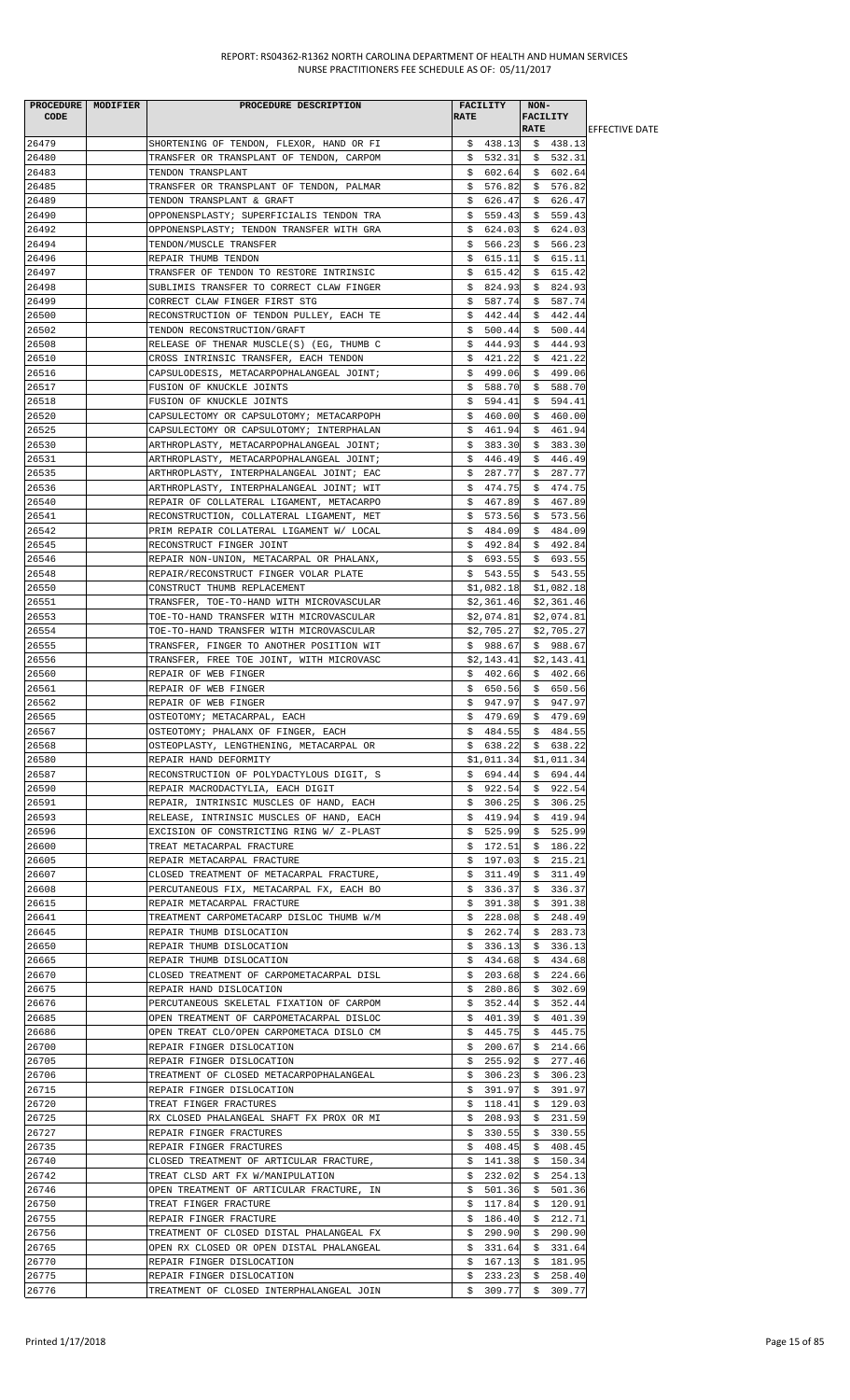| <b>CODE</b>    | PROCEDURE   MODIFIER | PROCEDURE DESCRIPTION                                                                | <b>RATE</b> | <b>FACILITY</b>                 | NON-<br><b>FACILITY</b> |                          |                        |
|----------------|----------------------|--------------------------------------------------------------------------------------|-------------|---------------------------------|-------------------------|--------------------------|------------------------|
|                |                      |                                                                                      |             |                                 | <b>RATE</b>             |                          | <b>IEFFECTIVE DATE</b> |
| 26479          |                      | SHORTENING OF TENDON, FLEXOR, HAND OR FI                                             |             | $$438.13$$ $$438.13$            |                         |                          |                        |
| 26480<br>26483 |                      | TRANSFER OR TRANSPLANT OF TENDON, CARPOM<br>TENDON TRANSPLANT                        |             | $$532.31$ $$532.31$<br>\$602.64 |                         | \$602.64                 |                        |
| 26485          |                      | TRANSFER OR TRANSPLANT OF TENDON, PALMAR                                             |             | \$576.82                        |                         | \$576.82                 |                        |
| 26489          |                      | TENDON TRANSPLANT & GRAFT                                                            | \$          | 626.47                          | \$                      | 626.47                   |                        |
| 26490          |                      | OPPONENSPLASTY; SUPERFICIALIS TENDON TRA                                             |             | \$559.43                        |                         | \$559.43                 |                        |
| 26492          |                      | OPPONENSPLASTY; TENDON TRANSFER WITH GRA                                             |             | \$624.03                        |                         | \$624.03                 |                        |
| 26494          |                      | TENDON/MUSCLE TRANSFER                                                               | S.          | 566.23                          |                         | \$566.23                 |                        |
| 26496          |                      | REPAIR THUMB TENDON                                                                  |             | \$615.11                        |                         | \$615.11                 |                        |
| 26497          |                      | TRANSFER OF TENDON TO RESTORE INTRINSIC                                              |             | \$615.42                        |                         | \$615.42                 |                        |
| 26498          |                      | SUBLIMIS TRANSFER TO CORRECT CLAW FINGER                                             |             | \$824.93                        |                         | \$824.93                 |                        |
| 26499<br>26500 |                      | CORRECT CLAW FINGER FIRST STG<br>RECONSTRUCTION OF TENDON PULLEY, EACH TE            | \$          | 587.74<br>\$442.44              | \$<br>\$                | 587.74<br>442.44         |                        |
| 26502          |                      | TENDON RECONSTRUCTION/GRAFT                                                          |             | \$500.44                        |                         | \$500.44                 |                        |
| 26508          |                      | RELEASE OF THENAR MUSCLE(S) (EG, THUMB C                                             |             | \$444.93                        |                         | \$444.93                 |                        |
| 26510          |                      | CROSS INTRINSIC TRANSFER, EACH TENDON                                                | Ş.          | 421.22                          |                         | \$421.22                 |                        |
| 26516          |                      | CAPSULODESIS, METACARPOPHALANGEAL JOINT;                                             |             | \$499.06                        |                         | \$499.06                 |                        |
| 26517          |                      | FUSION OF KNUCKLE JOINTS                                                             |             | \$588.70                        |                         | \$588.70                 |                        |
| 26518          |                      | FUSION OF KNUCKLE JOINTS                                                             |             | \$594.41                        |                         | \$594.41                 |                        |
| 26520          |                      | CAPSULECTOMY OR CAPSULOTOMY; METACARPOPH                                             |             | \$460.00                        |                         | \$460.00                 |                        |
| 26525          |                      | CAPSULECTOMY OR CAPSULOTOMY; INTERPHALAN                                             |             | \$461.94                        |                         | \$461.94                 |                        |
| 26530          |                      | ARTHROPLASTY, METACARPOPHALANGEAL JOINT;                                             |             | \$383.30                        |                         | \$383.30                 |                        |
| 26531<br>26535 |                      | ARTHROPLASTY, METACARPOPHALANGEAL JOINT;<br>ARTHROPLASTY, INTERPHALANGEAL JOINT; EAC |             | \$446.49<br>\$287.77            |                         | \$446.49<br>\$287.77     |                        |
| 26536          |                      | ARTHROPLASTY, INTERPHALANGEAL JOINT; WIT                                             |             | \$474.75                        |                         | \$474.75                 |                        |
| 26540          |                      | REPAIR OF COLLATERAL LIGAMENT, METACARPO                                             |             | \$467.89                        |                         | \$467.89                 |                        |
| 26541          |                      | RECONSTRUCTION, COLLATERAL LIGAMENT, MET                                             |             | \$573.56                        |                         | \$573.56                 |                        |
| 26542          |                      | PRIM REPAIR COLLATERAL LIGAMENT W/ LOCAL                                             |             | \$484.09                        |                         | \$484.09                 |                        |
| 26545          |                      | RECONSTRUCT FINGER JOINT                                                             |             | \$492.84                        |                         | \$492.84                 |                        |
| 26546          |                      | REPAIR NON-UNION, METACARPAL OR PHALANX,                                             |             | \$693.55                        |                         | \$693.55                 |                        |
| 26548          |                      | REPAIR/RECONSTRUCT FINGER VOLAR PLATE                                                |             | \$543.55                        |                         | \$543.55                 |                        |
| 26550          |                      | CONSTRUCT THUMB REPLACEMENT                                                          |             | \$1,082.18                      |                         | \$1,082.18               |                        |
| 26551          |                      | TRANSFER, TOE-TO-HAND WITH MICROVASCULAR                                             |             | \$2,361.46                      |                         | \$2,361.46               |                        |
| 26553<br>26554 |                      | TOE-TO-HAND TRANSFER WITH MICROVASCULAR<br>TOE-TO-HAND TRANSFER WITH MICROVASCULAR   |             | \$2,074.81<br>\$2,705.27        |                         | \$2,074.81<br>\$2,705.27 |                        |
| 26555          |                      | TRANSFER, FINGER TO ANOTHER POSITION WIT                                             |             | \$988.67                        |                         | \$988.67                 |                        |
| 26556          |                      | TRANSFER, FREE TOE JOINT, WITH MICROVASC                                             |             | \$2,143.41                      |                         | \$2,143.41               |                        |
| 26560          |                      | REPAIR OF WEB FINGER                                                                 |             | \$402.66                        |                         | \$402.66                 |                        |
| 26561          |                      | REPAIR OF WEB FINGER                                                                 |             | \$ 650.56 \$ 650.56             |                         |                          |                        |
| 26562          |                      | REPAIR OF WEB FINGER                                                                 |             | \$947.97                        |                         | \$947.97                 |                        |
| 26565          |                      | OSTEOTOMY; METACARPAL, EACH                                                          | \$          | 479.69 \$479.69                 |                         |                          |                        |
| 26567          |                      | OSTEOTOMY; PHALANX OF FINGER, EACH                                                   |             | \$484.55                        |                         | \$484.55                 |                        |
| 26568          |                      | OSTEOPLASTY, LENGTHENING, METACARPAL OR                                              |             | \$638.22                        |                         | \$638.22                 |                        |
| 26580<br>26587 |                      | REPAIR HAND DEFORMITY<br>RECONSTRUCTION OF POLYDACTYLOUS DIGIT, S                    |             | \$1,011.34<br>\$694.44          | \$                      | \$1,011.34<br>694.44     |                        |
| 26590          |                      | REPAIR MACRODACTYLIA, EACH DIGIT                                                     |             | \$922.54                        |                         | \$922.54                 |                        |
| 26591          |                      | REPAIR, INTRINSIC MUSCLES OF HAND, EACH                                              |             | \$306.25                        |                         | \$306.25                 |                        |
| 26593          |                      | RELEASE, INTRINSIC MUSCLES OF HAND, EACH                                             |             | \$419.94                        |                         | \$419.94                 |                        |
| 26596          |                      | EXCISION OF CONSTRICTING RING W/ Z-PLAST                                             |             | \$525.99                        |                         | \$525.99                 |                        |
| 26600          |                      | TREAT METACARPAL FRACTURE                                                            |             | \$172.51                        |                         | \$186.22                 |                        |
| 26605          |                      | REPAIR METACARPAL FRACTURE                                                           |             | \$197.03                        | \$                      | 215.21                   |                        |
| 26607          |                      | CLOSED TREATMENT OF METACARPAL FRACTURE,                                             | \$.         | 311.49                          |                         | \$311.49                 |                        |
| 26608          |                      | PERCUTANEOUS FIX, METACARPAL FX, EACH BO                                             | Ş.          | 336.37                          | \$                      | 336.37                   |                        |
| 26615<br>26641 |                      | REPAIR METACARPAL FRACTURE<br>TREATMENT CARPOMETACARP DISLOC THUMB W/M               | Ş.<br>\$    | 391.38<br>228.08                | Ş.<br>\$                | 391.38<br>248.49         |                        |
| 26645          |                      | REPAIR THUMB DISLOCATION                                                             | Ş.          | 262.74                          | \$                      | 283.73                   |                        |
| 26650          |                      | REPAIR THUMB DISLOCATION                                                             |             | \$336.13                        |                         | \$336.13                 |                        |
| 26665          |                      | REPAIR THUMB DISLOCATION                                                             |             | \$434.68                        | \$                      | 434.68                   |                        |
| 26670          |                      | CLOSED TREATMENT OF CARPOMETACARPAL DISL                                             |             | \$203.68                        |                         | \$224.66                 |                        |
| 26675          |                      | REPAIR HAND DISLOCATION                                                              |             | \$280.86                        |                         | \$302.69                 |                        |
| 26676          |                      | PERCUTANEOUS SKELETAL FIXATION OF CARPOM                                             |             | \$352.44                        |                         | \$352.44                 |                        |
| 26685          |                      | OPEN TREATMENT OF CARPOMETACARPAL DISLOC                                             | \$          | 401.39                          | \$                      | 401.39                   |                        |
| 26686<br>26700 |                      | OPEN TREAT CLO/OPEN CARPOMETACA DISLO CM                                             | Ş.          | 445.75                          | Ş.                      | 445.75                   |                        |
| 26705          |                      | REPAIR FINGER DISLOCATION<br>REPAIR FINGER DISLOCATION                               | \$.         | \$200.67<br>255.92              | \$.                     | 214.66<br>\$277.46       |                        |
| 26706          |                      | TREATMENT OF CLOSED METACARPOPHALANGEAL                                              | Ş.          | 306.23                          | Ş.                      | 306.23                   |                        |
| 26715          |                      | REPAIR FINGER DISLOCATION                                                            |             | \$391.97                        |                         | \$391.97                 |                        |
| 26720          |                      | TREAT FINGER FRACTURES                                                               |             | \$118.41                        |                         | \$129.03                 |                        |
| 26725          |                      | RX CLOSED PHALANGEAL SHAFT FX PROX OR MI                                             |             | \$208.93                        |                         | \$231.59                 |                        |
| 26727          |                      | REPAIR FINGER FRACTURES                                                              | Ş.          | 330.55                          | \$.                     | 330.55                   |                        |
| 26735          |                      | REPAIR FINGER FRACTURES                                                              | Ş.          | 408.45                          |                         | \$408.45                 |                        |
| 26740          |                      | CLOSED TREATMENT OF ARTICULAR FRACTURE,                                              | \$          | 141.38                          | \$.                     | 150.34                   |                        |
| 26742          |                      | TREAT CLSD ART FX W/MANIPULATION                                                     | Ş.          | 232.02                          | Ş.                      | 254.13                   |                        |
| 26746<br>26750 |                      | OPEN TREATMENT OF ARTICULAR FRACTURE, IN                                             | S.          | 501.36<br>117.84                |                         | \$501.36<br>\$120.91     |                        |
| 26755          |                      | TREAT FINGER FRACTURE<br>REPAIR FINGER FRACTURE                                      | Ş.          | \$186.40                        | \$                      | 212.71                   |                        |
| 26756          |                      | TREATMENT OF CLOSED DISTAL PHALANGEAL FX                                             |             | \$290.90                        | \$                      | 290.90                   |                        |
| 26765          |                      | OPEN RX CLOSED OR OPEN DISTAL PHALANGEAL                                             | \$          | 331.64                          | \$                      | 331.64                   |                        |
| 26770          |                      | REPAIR FINGER DISLOCATION                                                            |             | \$167.13                        | \$                      | 181.95                   |                        |
| 26775          |                      | REPAIR FINGER DISLOCATION                                                            | \$.         | 233.23                          | \$                      | 258.40                   |                        |
| 26776          |                      | TREATMENT OF CLOSED INTERPHALANGEAL JOIN                                             |             | $$309.77$ $$309.77$             |                         |                          |                        |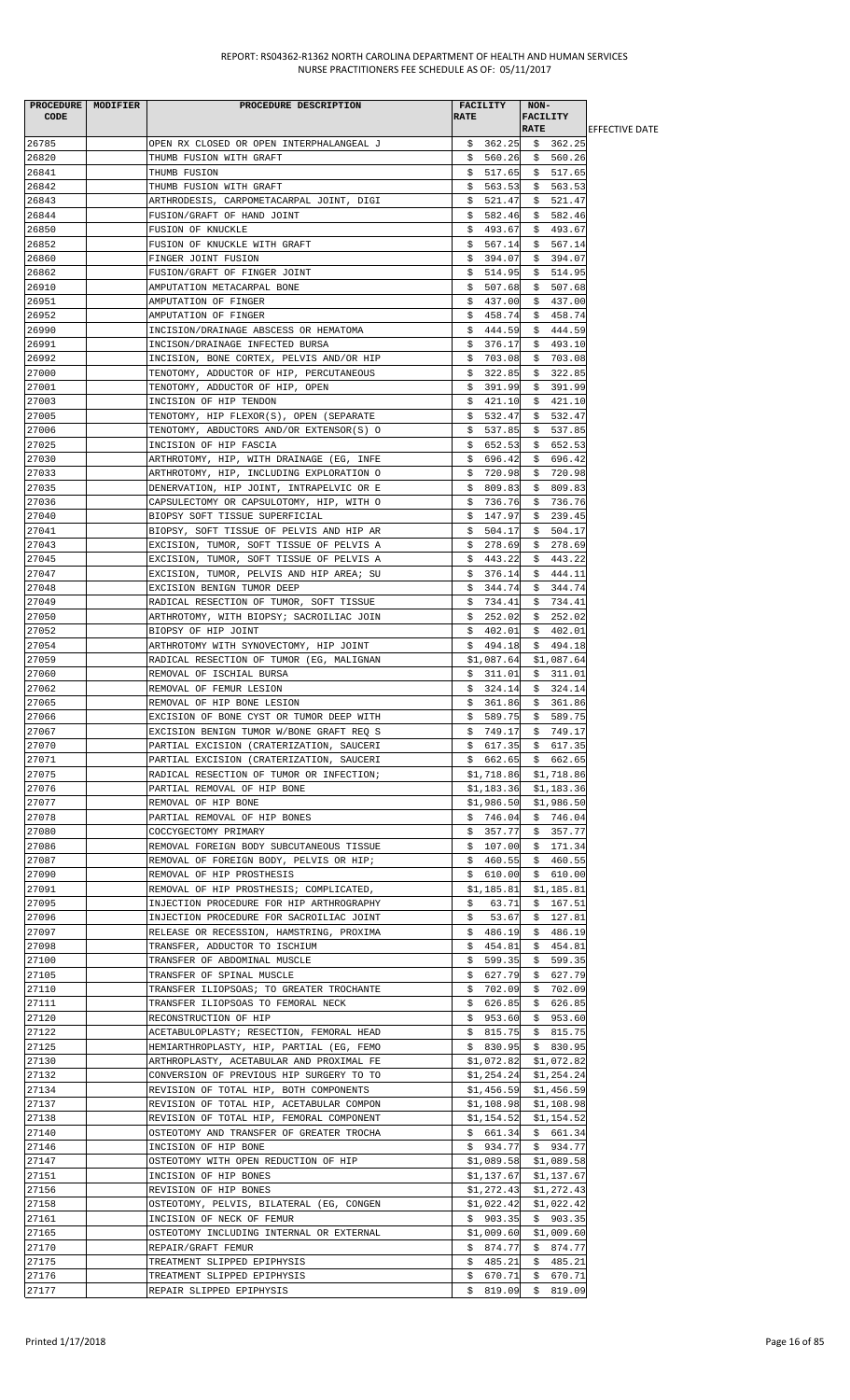| CODE           | PROCEDURE MODIFIER | PROCEDURE DESCRIPTION                                                                | <b>RATE</b> | <b>FACILITY</b>        | NON-<br><b>FACILITY</b><br><b>RATE</b> |                                           | <b>IEFFECTIVE DATE</b> |
|----------------|--------------------|--------------------------------------------------------------------------------------|-------------|------------------------|----------------------------------------|-------------------------------------------|------------------------|
| 26785          |                    | OPEN RX CLOSED OR OPEN INTERPHALANGEAL J                                             |             |                        |                                        | $$362.25$ $$362.25$                       |                        |
| 26820          |                    | THUMB FUSION WITH GRAFT                                                              |             |                        |                                        | $$560.26$ \$ 560.26                       |                        |
| 26841          |                    | THUMB FUSION                                                                         |             | \$517.65               |                                        | \$517.65                                  |                        |
| 26842          |                    | THUMB FUSION WITH GRAFT                                                              |             | \$563.53               |                                        | \$563.53                                  |                        |
| 26843          |                    | ARTHRODESIS, CARPOMETACARPAL JOINT, DIGI                                             |             | \$521.47               |                                        | \$521.47                                  |                        |
| 26844          |                    | FUSION/GRAFT OF HAND JOINT                                                           |             | \$582.46               |                                        | \$582.46<br>\$493.67                      |                        |
| 26850<br>26852 |                    | FUSION OF KNUCKLE<br>FUSION OF KNUCKLE WITH GRAFT                                    |             | \$493.67<br>\$567.14]  |                                        | \$567.14                                  |                        |
| 26860          |                    | FINGER JOINT FUSION                                                                  |             | \$394.07               |                                        | \$394.07                                  |                        |
| 26862          |                    | FUSION/GRAFT OF FINGER JOINT                                                         |             | \$514.95               |                                        | \$514.95                                  |                        |
| 26910          |                    | AMPUTATION METACARPAL BONE                                                           |             | \$507.68               |                                        | \$507.68                                  |                        |
| 26951          |                    | AMPUTATION OF FINGER                                                                 |             | \$437.00               |                                        | \$437.00                                  |                        |
| 26952          |                    | AMPUTATION OF FINGER                                                                 |             | \$458.74               |                                        | \$458.74                                  |                        |
| 26990          |                    | INCISION/DRAINAGE ABSCESS OR HEMATOMA                                                |             | \$444.59               |                                        | \$444.59                                  |                        |
| 26991<br>26992 |                    | INCISON/DRAINAGE INFECTED BURSA<br>INCISION, BONE CORTEX, PELVIS AND/OR HIP          | \$          | 376.17<br>\$703.08     |                                        | \$493.10<br>\$703.08                      |                        |
| 27000          |                    | TENOTOMY, ADDUCTOR OF HIP, PERCUTANEOUS                                              |             | \$322.85               |                                        | \$322.85                                  |                        |
| 27001          |                    | TENOTOMY, ADDUCTOR OF HIP, OPEN                                                      |             | \$391.99               |                                        | \$391.99                                  |                        |
| 27003          |                    | INCISION OF HIP TENDON                                                               |             | \$421.10               |                                        | \$421.10                                  |                        |
| 27005          |                    | TENOTOMY, HIP FLEXOR(S), OPEN (SEPARATE                                              |             | \$532.47               |                                        | \$532.47                                  |                        |
| 27006          |                    | TENOTOMY, ABDUCTORS AND/OR EXTENSOR(S) O                                             |             | \$537.85               |                                        | \$537.85                                  |                        |
| 27025          |                    | INCISION OF HIP FASCIA                                                               |             | \$652.53               |                                        | \$652.53                                  |                        |
| 27030<br>27033 |                    | ARTHROTOMY, HIP, WITH DRAINAGE (EG, INFE<br>ARTHROTOMY, HIP, INCLUDING EXPLORATION O |             | \$696.42<br>\$720.98   |                                        | \$696.42<br>\$720.98                      |                        |
| 27035          |                    | DENERVATION, HIP JOINT, INTRAPELVIC OR E                                             |             | \$809.83               | \$                                     | 809.83                                    |                        |
| 27036          |                    | CAPSULECTOMY OR CAPSULOTOMY, HIP, WITH O                                             |             | \$736.76               |                                        | \$736.76                                  |                        |
| 27040          |                    | BIOPSY SOFT TISSUE SUPERFICIAL                                                       |             | \$147.97               |                                        | \$239.45                                  |                        |
| 27041          |                    | BIOPSY, SOFT TISSUE OF PELVIS AND HIP AR                                             |             | \$504.17               |                                        | \$504.17                                  |                        |
| 27043          |                    | EXCISION, TUMOR, SOFT TISSUE OF PELVIS A                                             |             | \$278.69               |                                        | \$278.69                                  |                        |
| 27045          |                    | EXCISION, TUMOR, SOFT TISSUE OF PELVIS A                                             | Ş.          | 443.22                 |                                        | \$443.22                                  |                        |
| 27047<br>27048 |                    | EXCISION, TUMOR, PELVIS AND HIP AREA; SU<br>EXCISION BENIGN TUMOR DEEP               |             | \$376.14<br>\$344.74   |                                        | \$444.11<br>\$344.74                      |                        |
| 27049          |                    | RADICAL RESECTION OF TUMOR, SOFT TISSUE                                              |             | \$734.41               |                                        | \$734.41                                  |                        |
| 27050          |                    | ARTHROTOMY, WITH BIOPSY; SACROILIAC JOIN                                             |             | \$252.02               |                                        | \$252.02                                  |                        |
| 27052          |                    | BIOPSY OF HIP JOINT                                                                  |             | \$402.01               |                                        | \$402.01                                  |                        |
| 27054          |                    | ARTHROTOMY WITH SYNOVECTOMY, HIP JOINT                                               |             |                        |                                        | \$494.18\$5494.18                         |                        |
| 27059          |                    | RADICAL RESECTION OF TUMOR (EG, MALIGNAN                                             |             | \$1,087.64             |                                        | \$1,087.64                                |                        |
| 27060          |                    | REMOVAL OF ISCHIAL BURSA                                                             |             | \$311.01               |                                        | \$311.01                                  |                        |
| 27062<br>27065 |                    | REMOVAL OF FEMUR LESION<br>REMOVAL OF HIP BONE LESION                                |             | \$324.14<br>\$361.86   |                                        | \$324.14<br>\$361.86                      |                        |
| 27066          |                    | EXCISION OF BONE CYST OR TUMOR DEEP WITH                                             |             | \$589.75               |                                        | \$589.75                                  |                        |
| 27067          |                    | EXCISION BENIGN TUMOR W/BONE GRAFT REQ S                                             |             |                        |                                        | $$749.17$ $$749.17$                       |                        |
| 27070          |                    | PARTIAL EXCISION (CRATERIZATION, SAUCERI                                             |             |                        |                                        | $$617.35 \quad $617.35$                   |                        |
| 27071          |                    | PARTIAL EXCISION (CRATERIZATION, SAUCERI                                             |             |                        |                                        | $$662.65$ $$662.65$                       |                        |
| 27075          |                    | RADICAL RESECTION OF TUMOR OR INFECTION;                                             |             |                        |                                        | $$1,718.86$ $$1,718.86$                   |                        |
| 27076          |                    | PARTIAL REMOVAL OF HIP BONE                                                          |             |                        |                                        | $$1,183.36$ $$1,183.36$                   |                        |
| 27077<br>27078 |                    | REMOVAL OF HIP BONE<br>PARTIAL REMOVAL OF HIP BONES                                  |             | \$1,986.50<br>\$746.04 |                                        | \$1,986.50<br>\$746.04                    |                        |
| 27080          |                    | COCCYGECTOMY PRIMARY                                                                 |             | \$357.77               |                                        | \$357.77                                  |                        |
| 27086          |                    | REMOVAL FOREIGN BODY SUBCUTANEOUS TISSUE                                             |             |                        |                                        | $$107.00 \$171.34$                        |                        |
| 27087          |                    | REMOVAL OF FOREIGN BODY, PELVIS OR HIP;                                              |             | \$460.55               |                                        | \$460.55                                  |                        |
| 27090          |                    | REMOVAL OF HIP PROSTHESIS                                                            |             | \$610.00               |                                        | \$610.00                                  |                        |
| 27091          |                    | REMOVAL OF HIP PROSTHESIS; COMPLICATED,                                              |             | \$1,185.81             |                                        | \$1,185.81                                |                        |
| 27095          |                    | INJECTION PROCEDURE FOR HIP ARTHROGRAPHY                                             | \$.         | 63.71                  |                                        | \$167.51                                  |                        |
| 27096<br>27097 |                    | INJECTION PROCEDURE FOR SACROILIAC JOINT                                             | \$.         | 53.67<br>\$486.19      |                                        | \$127.81<br>\$486.19                      |                        |
| 27098          |                    | RELEASE OR RECESSION, HAMSTRING, PROXIMA<br>TRANSFER, ADDUCTOR TO ISCHIUM            |             | \$454.81               |                                        | \$454.81                                  |                        |
| 27100          |                    | TRANSFER OF ABDOMINAL MUSCLE                                                         |             | \$599.35               |                                        | \$599.35                                  |                        |
| 27105          |                    | TRANSFER OF SPINAL MUSCLE                                                            |             | \$627.79               |                                        | \$627.79                                  |                        |
| 27110          |                    | TRANSFER ILIOPSOAS; TO GREATER TROCHANTE                                             |             | \$702.09               |                                        | \$702.09                                  |                        |
| 27111          |                    | TRANSFER ILIOPSOAS TO FEMORAL NECK                                                   |             |                        |                                        | $$626.85$ \$626.85                        |                        |
| 27120          |                    | RECONSTRUCTION OF HIP                                                                |             |                        |                                        | $$953.60 \t$953.60$                       |                        |
| 27122<br>27125 |                    | ACETABULOPLASTY; RESECTION, FEMORAL HEAD                                             |             |                        |                                        | $$815.75$ $$815.75$<br>$$830.95$ \$830.95 |                        |
| 27130          |                    | HEMIARTHROPLASTY, HIP, PARTIAL (EG, FEMO<br>ARTHROPLASTY, ACETABULAR AND PROXIMAL FE |             | \$1,072.82             |                                        | \$1,072.82                                |                        |
| 27132          |                    | CONVERSION OF PREVIOUS HIP SURGERY TO TO                                             |             | \$1,254.24             |                                        | \$1,254.24                                |                        |
| 27134          |                    | REVISION OF TOTAL HIP, BOTH COMPONENTS                                               |             | \$1,456.59             |                                        | \$1,456.59                                |                        |
| 27137          |                    | REVISION OF TOTAL HIP, ACETABULAR COMPON                                             |             |                        |                                        | $$1,108.98$ $$1,108.98$                   |                        |
| 27138          |                    | REVISION OF TOTAL HIP, FEMORAL COMPONENT                                             |             | \$1,154.52             |                                        | \$1,154.52                                |                        |
| 27140          |                    | OSTEOTOMY AND TRANSFER OF GREATER TROCHA                                             |             |                        |                                        | \$661.34\$561.34                          |                        |
| 27146<br>27147 |                    | INCISION OF HIP BONE<br>OSTEOTOMY WITH OPEN REDUCTION OF HIP                         |             | \$1,089.58             |                                        | $$934.77$ \$934.77<br>\$1,089.58          |                        |
| 27151          |                    | INCISION OF HIP BONES                                                                |             | \$1,137.67             |                                        | \$1,137.67                                |                        |
| 27156          |                    | REVISION OF HIP BONES                                                                |             | \$1,272.43             |                                        | \$1,272.43                                |                        |
| 27158          |                    | OSTEOTOMY, PELVIS, BILATERAL (EG, CONGEN                                             |             | \$1,022.42             |                                        | \$1,022.42                                |                        |
| 27161          |                    | INCISION OF NECK OF FEMUR                                                            |             | \$903.35               |                                        | \$903.35                                  |                        |
| 27165          |                    | OSTEOTOMY INCLUDING INTERNAL OR EXTERNAL                                             |             | \$1,009.60             |                                        | \$1,009.60                                |                        |
| 27170          |                    | REPAIR/GRAFT FEMUR                                                                   |             |                        |                                        | $$874.77$ $$874.77$                       |                        |
| 27175          |                    | TREATMENT SLIPPED EPIPHYSIS                                                          |             |                        |                                        | $$485.21$$ \$ 485.21<br>\$670.71          |                        |
| 27176<br>27177 |                    | TREATMENT SLIPPED EPIPHYSIS<br>REPAIR SLIPPED EPIPHYSIS                              |             | \$670.71               |                                        | $$819.09$$ $$819.09$                      |                        |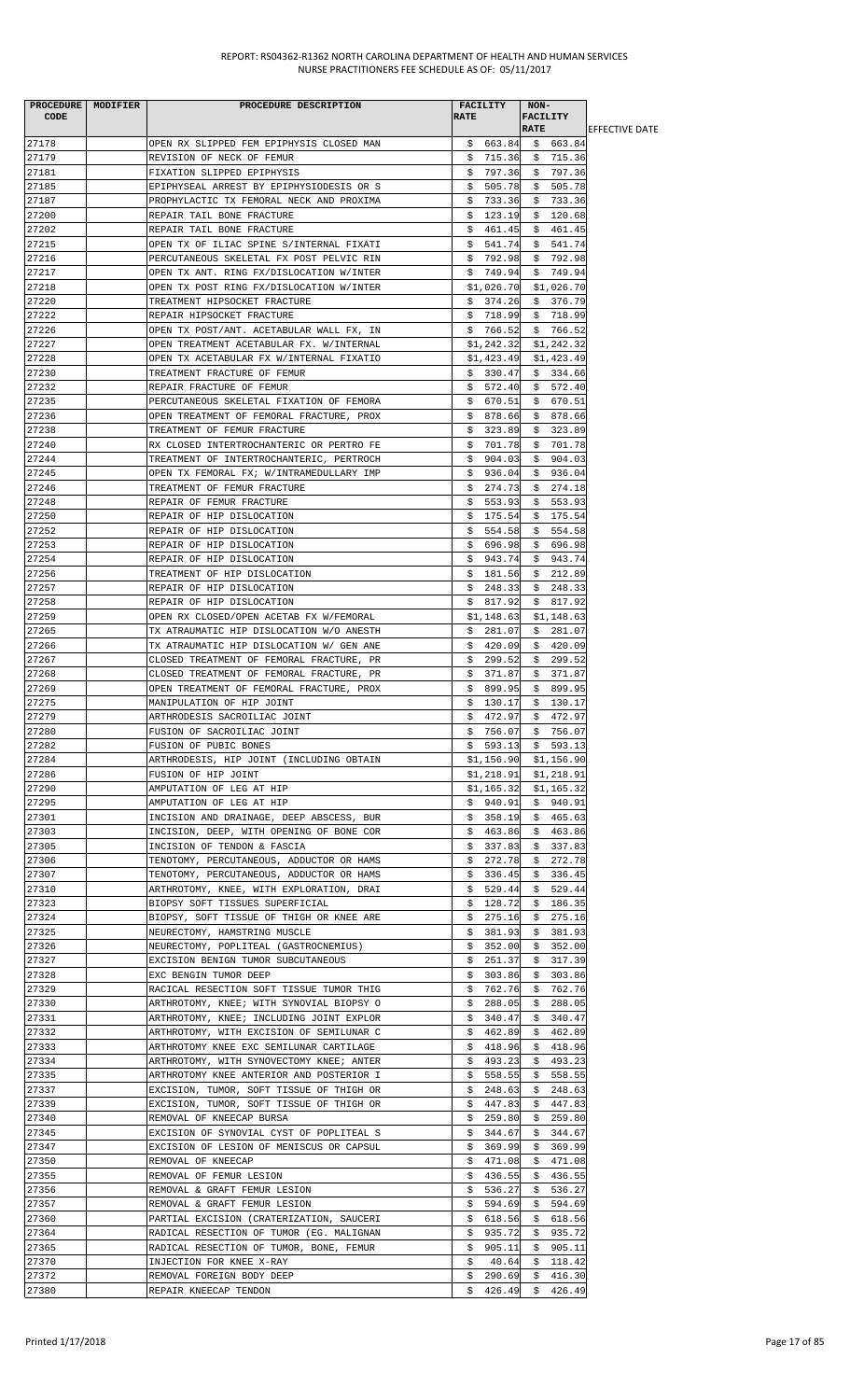| PROCEDURE MODIFIER<br>CODE | PROCEDURE DESCRIPTION                                                                | <b>RATE</b> | FACILITY                 | NON-<br><b>FACILITY</b><br><b>RATE</b> |                          | <b>IEFFECTIVE DATE</b> |
|----------------------------|--------------------------------------------------------------------------------------|-------------|--------------------------|----------------------------------------|--------------------------|------------------------|
| 27178                      | OPEN RX SLIPPED FEM EPIPHYSIS CLOSED MAN                                             |             | \$663.84                 |                                        | \$663.84                 |                        |
| 27179                      | REVISION OF NECK OF FEMUR                                                            |             | \$715.36                 |                                        | \$715.36                 |                        |
| 27181                      | FIXATION SLIPPED EPIPHYSIS                                                           |             | \$797.36                 |                                        | \$797.36                 |                        |
| 27185                      | EPIPHYSEAL ARREST BY EPIPHYSIODESIS OR S                                             |             | \$505.78                 |                                        | \$505.78                 |                        |
| 27187                      | PROPHYLACTIC TX FEMORAL NECK AND PROXIMA                                             | Ş.          | 733.36                   |                                        | \$733.36                 |                        |
| 27200                      | REPAIR TAIL BONE FRACTURE                                                            | Ş.          | 123.19                   |                                        | \$120.68                 |                        |
| 27202                      | REPAIR TAIL BONE FRACTURE                                                            |             | \$461.45                 |                                        | \$461.45                 |                        |
| 27215<br>27216             | OPEN TX OF ILIAC SPINE S/INTERNAL FIXATI<br>PERCUTANEOUS SKELETAL FX POST PELVIC RIN |             | \$541.74<br>\$792.98     |                                        | \$541.74<br>\$792.98     |                        |
| 27217                      | OPEN TX ANT. RING FX/DISLOCATION W/INTER                                             |             | \$749.94                 |                                        | \$749.94                 |                        |
| 27218                      | OPEN TX POST RING FX/DISLOCATION W/INTER                                             |             | \$1,026.70               |                                        | \$1,026.70               |                        |
| 27220                      | TREATMENT HIPSOCKET FRACTURE                                                         |             | \$374.26                 |                                        | \$376.79                 |                        |
| 27222                      | REPAIR HIPSOCKET FRACTURE                                                            |             | \$718.99                 |                                        | \$718.99                 |                        |
| 27226                      | OPEN TX POST/ANT. ACETABULAR WALL FX, IN                                             |             | \$766.52                 |                                        | \$766.52                 |                        |
| 27227                      | OPEN TREATMENT ACETABULAR FX. W/INTERNAL                                             |             | \$1,242.32               |                                        | \$1,242.32               |                        |
| 27228<br>27230             | OPEN TX ACETABULAR FX W/INTERNAL FIXATIO<br>TREATMENT FRACTURE OF FEMUR              |             | \$1,423.49<br>\$330.47   |                                        | \$1,423.49<br>\$334.66   |                        |
| 27232                      | REPAIR FRACTURE OF FEMUR                                                             |             | \$572.40                 |                                        | \$572.40                 |                        |
| 27235                      | PERCUTANEOUS SKELETAL FIXATION OF FEMORA                                             |             | \$670.51                 |                                        | \$670.51                 |                        |
| 27236                      | OPEN TREATMENT OF FEMORAL FRACTURE, PROX                                             |             | \$878.66                 |                                        | \$878.66                 |                        |
| 27238                      | TREATMENT OF FEMUR FRACTURE                                                          |             | \$323.89                 |                                        | \$323.89                 |                        |
| 27240                      | RX CLOSED INTERTROCHANTERIC OR PERTRO FE                                             | \$          | 701.78                   | \$                                     | 701.78                   |                        |
| 27244<br>27245             | TREATMENT OF INTERTROCHANTERIC, PERTROCH<br>OPEN TX FEMORAL FX; W/INTRAMEDULLARY IMP |             | \$904.03                 |                                        | \$904.03                 |                        |
| 27246                      | TREATMENT OF FEMUR FRACTURE                                                          |             | \$936.04<br>\$274.73     |                                        | \$936.04<br>\$274.18     |                        |
| 27248                      | REPAIR OF FEMUR FRACTURE                                                             |             | \$553.93                 |                                        | \$553.93                 |                        |
| 27250                      | REPAIR OF HIP DISLOCATION                                                            |             | \$175.54                 |                                        | \$175.54                 |                        |
| 27252                      | REPAIR OF HIP DISLOCATION                                                            |             | \$554.58                 |                                        | \$554.58                 |                        |
| 27253                      | REPAIR OF HIP DISLOCATION                                                            |             | \$696.98                 |                                        | \$696.98                 |                        |
| 27254                      | REPAIR OF HIP DISLOCATION                                                            |             | \$943.74                 |                                        | \$943.74                 |                        |
| 27256<br>27257             | TREATMENT OF HIP DISLOCATION<br>REPAIR OF HIP DISLOCATION                            |             | \$181.56<br>\$248.33     |                                        | \$212.89<br>\$248.33     |                        |
| 27258                      | REPAIR OF HIP DISLOCATION                                                            |             | \$817.92                 |                                        | \$817.92                 |                        |
| 27259                      | OPEN RX CLOSED/OPEN ACETAB FX W/FEMORAL                                              |             | \$1,148.63               |                                        | \$1,148.63               |                        |
| 27265                      | TX ATRAUMATIC HIP DISLOCATION W/O ANESTH                                             |             | \$281.07                 |                                        | \$281.07                 |                        |
| 27266                      | TX ATRAUMATIC HIP DISLOCATION W/ GEN ANE                                             |             | \$420.09                 |                                        | \$420.09                 |                        |
| 27267                      | CLOSED TREATMENT OF FEMORAL FRACTURE, PR                                             |             | \$299.52                 |                                        | \$299.52                 |                        |
| 27268<br>27269             | CLOSED TREATMENT OF FEMORAL FRACTURE, PR<br>OPEN TREATMENT OF FEMORAL FRACTURE, PROX |             | \$371.87<br>\$899.95     |                                        | \$ 371.87<br>\$ 899.95   |                        |
| 27275                      | MANIPULATION OF HIP JOINT                                                            | \$          | 130.17                   | \$                                     | 130.17                   |                        |
| 27279                      | ARTHRODESIS SACROILIAC JOINT                                                         | \$          | 472.97                   |                                        | \$472.97                 |                        |
| 27280                      | FUSION OF SACROILIAC JOINT                                                           |             | \$756.07                 |                                        | \$756.07                 |                        |
| 27282                      | FUSION OF PUBIC BONES                                                                |             | $$593.13 \quad $593.13$  |                                        |                          |                        |
| 27284                      | ARTHRODESIS, HIP JOINT (INCLUDING OBTAIN                                             |             | \$1,156.90               |                                        | \$1,156.90               |                        |
| 27286<br>27290             | FUSION OF HIP JOINT<br>AMPUTATION OF LEG AT HIP                                      |             | \$1,218.91<br>\$1,165.32 |                                        | \$1,218.91<br>\$1,165.32 |                        |
| 27295                      | AMPUTATION OF LEG AT HIP                                                             |             | \$940.91                 |                                        | \$940.91                 |                        |
| 27301                      | INCISION AND DRAINAGE, DEEP ABSCESS, BUR                                             |             | \$358.19                 |                                        | \$465.63                 |                        |
| 27303                      | INCISION, DEEP, WITH OPENING OF BONE COR                                             |             | \$463.86                 |                                        | \$463.86                 |                        |
| 27305                      | INCISION OF TENDON & FASCIA                                                          |             | \$337.83                 |                                        | \$337.83                 |                        |
| 27306                      | TENOTOMY, PERCUTANEOUS, ADDUCTOR OR HAMS                                             | Ş.          | 272.78                   | Ş.                                     | 272.78                   |                        |
| 27307<br>27310             | TENOTOMY, PERCUTANEOUS, ADDUCTOR OR HAMS<br>ARTHROTOMY, KNEE, WITH EXPLORATION, DRAI |             | \$336.45<br>\$529.44     |                                        | \$336.45<br>\$529.44     |                        |
| 27323                      | BIOPSY SOFT TISSUES SUPERFICIAL                                                      |             | \$128.72                 |                                        | \$186.35                 |                        |
| 27324                      | BIOPSY, SOFT TISSUE OF THIGH OR KNEE ARE                                             | Ş.          | 275.16                   | Ş.                                     | 275.16                   |                        |
| 27325                      | NEURECTOMY, HAMSTRING MUSCLE                                                         | Ş.          | 381.93                   | \$                                     | 381.93                   |                        |
| 27326                      | NEURECTOMY, POPLITEAL (GASTROCNEMIUS)                                                | \$          | 352.00                   | \$                                     | 352.00                   |                        |
| 27327                      | EXCISION BENIGN TUMOR SUBCUTANEOUS                                                   | Ş.          | 251.37                   | Ş.                                     | 317.39                   |                        |
| 27328<br>27329             | EXC BENGIN TUMOR DEEP<br>RACICAL RESECTION SOFT TISSUE TUMOR THIG                    | S.<br>Ş.    | 303.86<br>762.76         | S.                                     | 303.86<br>\$762.76       |                        |
| 27330                      | ARTHROTOMY, KNEE; WITH SYNOVIAL BIOPSY O                                             | Ş.          | 288.05                   |                                        | \$288.05                 |                        |
| 27331                      | ARTHROTOMY, KNEE; INCLUDING JOINT EXPLOR                                             |             | \$340.47                 |                                        | \$340.47                 |                        |
| 27332                      | ARTHROTOMY, WITH EXCISION OF SEMILUNAR C                                             |             | \$462.89                 |                                        | \$462.89                 |                        |
| 27333                      | ARTHROTOMY KNEE EXC SEMILUNAR CARTILAGE                                              |             | \$418.96                 |                                        | \$418.96                 |                        |
| 27334                      | ARTHROTOMY, WITH SYNOVECTOMY KNEE; ANTER                                             | \$          | 493.23                   | \$                                     | 493.23                   |                        |
| 27335<br>27337             | ARTHROTOMY KNEE ANTERIOR AND POSTERIOR I<br>EXCISION, TUMOR, SOFT TISSUE OF THIGH OR | Ş.<br>Ş.    | 558.55<br>248.63         | Ş.                                     | 558.55<br>\$248.63       |                        |
| 27339                      | EXCISION, TUMOR, SOFT TISSUE OF THIGH OR                                             | S.          | 447.83                   |                                        | \$447.83                 |                        |
| 27340                      | REMOVAL OF KNEECAP BURSA                                                             | Ş.          | 259.80                   | Ş.                                     | 259.80                   |                        |
| 27345                      | EXCISION OF SYNOVIAL CYST OF POPLITEAL S                                             |             | \$344.67                 |                                        | \$344.67                 |                        |
| 27347                      | EXCISION OF LESION OF MENISCUS OR CAPSUL                                             |             | \$369.99                 |                                        | \$369.99                 |                        |
| 27350                      | REMOVAL OF KNEECAP                                                                   | \$          | 471.08                   | \$                                     | 471.08                   |                        |
| 27355<br>27356             | REMOVAL OF FEMUR LESION                                                              | Ş.          | 436.55<br>536.27         | Ş.                                     | 436.55<br>536.27         |                        |
| 27357                      | REMOVAL & GRAFT FEMUR LESION<br>REMOVAL & GRAFT FEMUR LESION                         | Ş.<br>Ş.    | 594.69                   | \$<br>\$                               | 594.69                   |                        |
| 27360                      | PARTIAL EXCISION (CRATERIZATION, SAUCERI                                             | Ş.          | 618.56                   | Ş.                                     | 618.56                   |                        |
| 27364                      | RADICAL RESECTION OF TUMOR (EG. MALIGNAN                                             | S.          | 935.72                   | S.                                     | 935.72                   |                        |
| 27365                      | RADICAL RESECTION OF TUMOR, BONE, FEMUR                                              |             | \$905.11                 |                                        | \$905.11                 |                        |
| 27370                      | INJECTION FOR KNEE X-RAY                                                             | \$          | 40.64                    | \$                                     | 118.42                   |                        |
| 27372<br>27380             | REMOVAL FOREIGN BODY DEEP<br>REPAIR KNEECAP TENDON                                   | Ş.          | 290.69<br>\$426.49       | \$.                                    | 416.30<br>\$426.49       |                        |
|                            |                                                                                      |             |                          |                                        |                          |                        |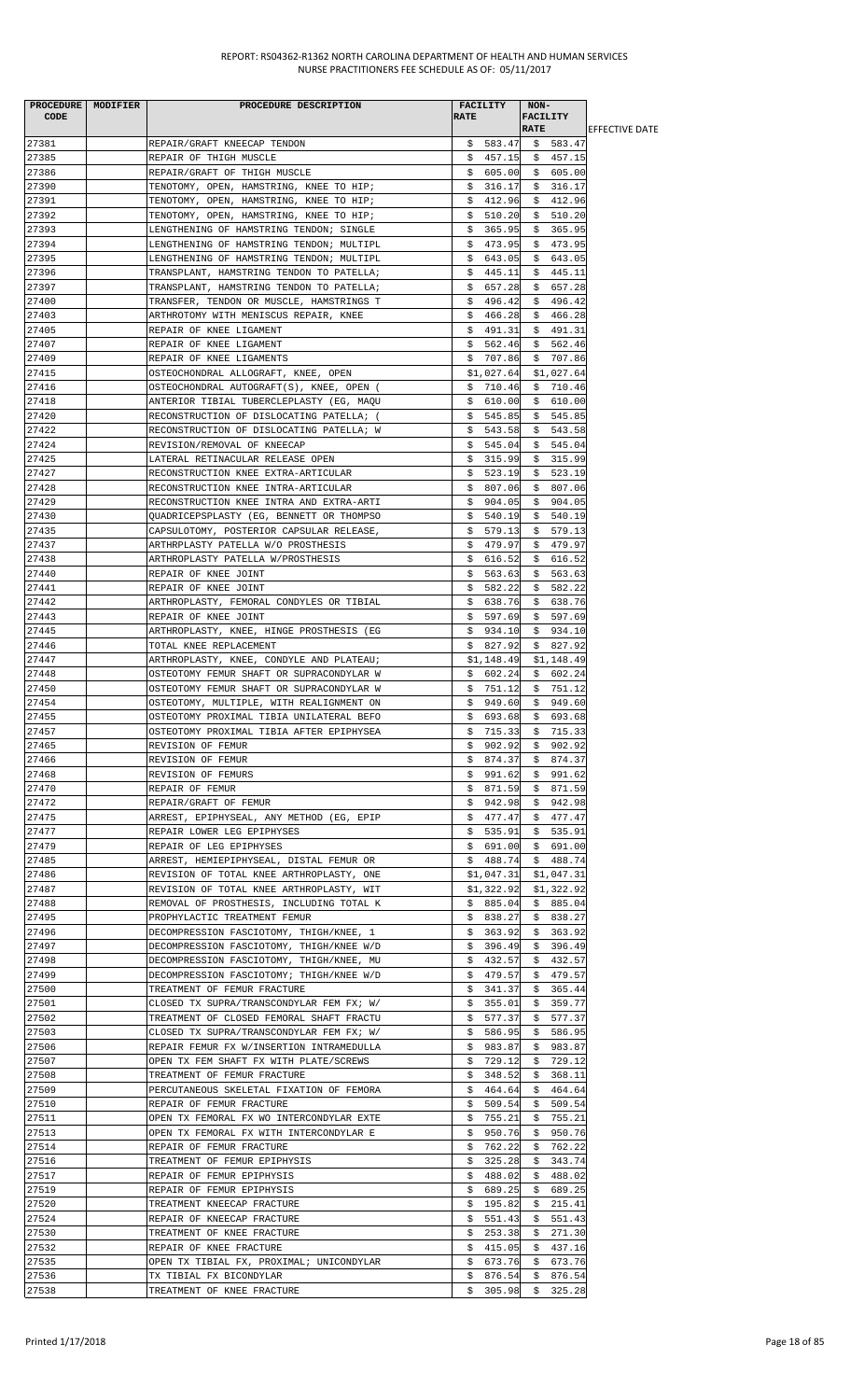| PROCEDURE MODIFIER<br><b>CODE</b> | PROCEDURE DESCRIPTION                                                                | <b>FACILITY</b><br><b>RATE</b> | NON-<br><b>FACILITY</b>      |                        |
|-----------------------------------|--------------------------------------------------------------------------------------|--------------------------------|------------------------------|------------------------|
|                                   |                                                                                      |                                | <b>RATE</b>                  | <b>IEFFECTIVE DATE</b> |
| 27381                             | REPAIR/GRAFT KNEECAP TENDON                                                          |                                | $$583.47$ $$583.47$          |                        |
| 27385                             | REPAIR OF THIGH MUSCLE                                                               | \$457.15                       | \$457.15                     |                        |
| 27386<br>27390                    | REPAIR/GRAFT OF THIGH MUSCLE<br>TENOTOMY, OPEN, HAMSTRING, KNEE TO HIP;              | \$605.00<br>\$316.17           | \$605.00<br>\$316.17         |                        |
| 27391                             | TENOTOMY, OPEN, HAMSTRING, KNEE TO HIP;                                              | \$412.96                       | \$412.96                     |                        |
| 27392                             | TENOTOMY, OPEN, HAMSTRING, KNEE TO HIP;                                              | \$510.20                       | \$510.20                     |                        |
| 27393                             | LENGTHENING OF HAMSTRING TENDON; SINGLE                                              | \$365.95                       | \$365.95                     |                        |
| 27394                             | LENGTHENING OF HAMSTRING TENDON; MULTIPL                                             | \$473.95                       | \$473.95                     |                        |
| 27395<br>27396                    | LENGTHENING OF HAMSTRING TENDON; MULTIPL                                             | \$643.05<br>\$445.11           | \$643.05<br>\$445.11         |                        |
| 27397                             | TRANSPLANT, HAMSTRING TENDON TO PATELLA;<br>TRANSPLANT, HAMSTRING TENDON TO PATELLA; | \$657.28                       | 657.28<br>- \$               |                        |
| 27400                             | TRANSFER, TENDON OR MUSCLE, HAMSTRINGS T                                             | \$496.42                       | \$496.42                     |                        |
| 27403                             | ARTHROTOMY WITH MENISCUS REPAIR, KNEE                                                | \$466.28                       | \$466.28                     |                        |
| 27405                             | REPAIR OF KNEE LIGAMENT                                                              | \$491.31                       | \$491.31                     |                        |
| 27407                             | REPAIR OF KNEE LIGAMENT                                                              |                                | $$562.46$ \$ 562.46          |                        |
| 27409<br>27415                    | REPAIR OF KNEE LIGAMENTS<br>OSTEOCHONDRAL ALLOGRAFT, KNEE, OPEN                      | \$707.86<br>\$1,027.64         | \$707.86<br>\$1,027.64       |                        |
| 27416                             | OSTEOCHONDRAL AUTOGRAFT(S), KNEE, OPEN (                                             | \$710.46                       | \$710.46                     |                        |
| 27418                             | ANTERIOR TIBIAL TUBERCLEPLASTY (EG, MAQU                                             | \$610.00                       | \$610.00                     |                        |
| 27420                             | RECONSTRUCTION OF DISLOCATING PATELLA; (                                             | \$545.85                       | \$545.85                     |                        |
| 27422                             | RECONSTRUCTION OF DISLOCATING PATELLA; W                                             | \$543.58                       | \$543.58                     |                        |
| 27424<br>27425                    | REVISION/REMOVAL OF KNEECAP<br>LATERAL RETINACULAR RELEASE OPEN                      | \$545.04<br>\$315.99           | \$545.04<br>\$315.99         |                        |
| 27427                             | RECONSTRUCTION KNEE EXTRA-ARTICULAR                                                  | \$523.19                       | \$523.19                     |                        |
| 27428                             | RECONSTRUCTION KNEE INTRA-ARTICULAR                                                  | \$807.06                       | \$ 807.06                    |                        |
| 27429                             | RECONSTRUCTION KNEE INTRA AND EXTRA-ARTI                                             | \$904.05                       | \$904.05                     |                        |
| 27430                             | QUADRICEPSPLASTY (EG, BENNETT OR THOMPSO                                             | \$540.19                       | \$540.19                     |                        |
| 27435<br>27437                    | CAPSULOTOMY, POSTERIOR CAPSULAR RELEASE,                                             | \$579.13                       | \$579.13<br>\$479.97         |                        |
| 27438                             | ARTHRPLASTY PATELLA W/O PROSTHESIS<br>ARTHROPLASTY PATELLA W/PROSTHESIS              | \$479.97<br>\$616.52           | \$ 616.52                    |                        |
| 27440                             | REPAIR OF KNEE JOINT                                                                 | \$563.63                       | \$563.63                     |                        |
| 27441                             | REPAIR OF KNEE JOINT                                                                 | \$582.22                       | \$582.22                     |                        |
| 27442                             | ARTHROPLASTY, FEMORAL CONDYLES OR TIBIAL                                             |                                | $$638.76$ \$638.76           |                        |
| 27443                             | REPAIR OF KNEE JOINT                                                                 | \$597.69                       | \$597.69                     |                        |
| 27445<br>27446                    | ARTHROPLASTY, KNEE, HINGE PROSTHESIS (EG<br>TOTAL KNEE REPLACEMENT                   | \$934.10<br>\$827.92           | \$934.10<br>\$827.92         |                        |
| 27447                             | ARTHROPLASTY, KNEE, CONDYLE AND PLATEAU;                                             | \$1,148.49                     | \$1,148.49                   |                        |
| 27448                             | OSTEOTOMY FEMUR SHAFT OR SUPRACONDYLAR W                                             | \$602.24                       | \$602.24                     |                        |
| 27450                             | OSTEOTOMY FEMUR SHAFT OR SUPRACONDYLAR W                                             | \$751.12                       | \$751.12                     |                        |
| 27454                             | OSTEOTOMY, MULTIPLE, WITH REALIGNMENT ON                                             |                                | $$949.60 \$949.60$           |                        |
| 27455                             | OSTEOTOMY PROXIMAL TIBIA UNILATERAL BEFO                                             |                                | \$693.68\$5693.68            |                        |
| 27457<br>27465                    | OSTEOTOMY PROXIMAL TIBIA AFTER EPIPHYSEA<br>REVISION OF FEMUR                        | \$715.33<br>\$902.92           | \$715.33<br>\$902.92         |                        |
| 27466                             | REVISION OF FEMUR                                                                    | \$874.37                       | 874.37<br>\$                 |                        |
| 27468                             | REVISION OF FEMURS                                                                   | \$991.62                       | \$991.62                     |                        |
| 27470                             | REPAIR OF FEMUR                                                                      | \$871.59                       | \$871.59                     |                        |
| 27472                             | REPAIR/GRAFT OF FEMUR                                                                | 942.98<br>Ş.                   | \$942.98                     |                        |
| 27475<br>27477                    | ARREST, EPIPHYSEAL, ANY METHOD (EG, EPIP<br>REPAIR LOWER LEG EPIPHYSES               | \$477.47<br>\$535.91           | \$477.47<br>\$535.91         |                        |
| 27479                             | REPAIR OF LEG EPIPHYSES                                                              | \$691.00                       | \$691.00                     |                        |
| 27485                             | ARREST, HEMIEPIPHYSEAL, DISTAL FEMUR OR                                              | \$488.74                       | \$488.74                     |                        |
| 27486                             | REVISION OF TOTAL KNEE ARTHROPLASTY, ONE                                             | \$1,047.31                     | \$1,047.31                   |                        |
| 27487                             | REVISION OF TOTAL KNEE ARTHROPLASTY, WIT                                             | \$1,322.92                     | \$1,322.92                   |                        |
| 27488<br>27495                    | REMOVAL OF PROSTHESIS, INCLUDING TOTAL K<br>PROPHYLACTIC TREATMENT FEMUR             | \$885.04<br>\$838.27           | \$885.04<br>\$838.27         |                        |
| 27496                             | DECOMPRESSION FASCIOTOMY, THIGH/KNEE, 1                                              | \$363.92                       | \$363.92                     |                        |
| 27497                             | DECOMPRESSION FASCIOTOMY, THIGH/KNEE W/D                                             | \$396.49                       | \$396.49                     |                        |
| 27498                             | DECOMPRESSION FASCIOTOMY, THIGH/KNEE, MU                                             | \$432.57                       | \$432.57                     |                        |
| 27499                             | DECOMPRESSION FASCIOTOMY; THIGH/KNEE W/D                                             | 479.57<br>Ş.                   | 479.57<br>Ş.                 |                        |
| 27500<br>27501                    | TREATMENT OF FEMUR FRACTURE<br>CLOSED TX SUPRA/TRANSCONDYLAR FEM FX; W/              | 341.37<br>Ş.<br>\$355.01       | \$365.44<br>\$<br>359.77     |                        |
| 27502                             | TREATMENT OF CLOSED FEMORAL SHAFT FRACTU                                             | 577.37<br>Ş.                   | \$577.37                     |                        |
| 27503                             | CLOSED TX SUPRA/TRANSCONDYLAR FEM FX; W/                                             | \$586.95                       | 586.95<br>Ş.                 |                        |
| 27506                             | REPAIR FEMUR FX W/INSERTION INTRAMEDULLA                                             | \$983.87                       | \$983.87                     |                        |
| 27507                             | OPEN TX FEM SHAFT FX WITH PLATE/SCREWS                                               | 729.12<br>S.                   | 729.12<br>S.                 |                        |
| 27508                             | TREATMENT OF FEMUR FRACTURE                                                          | 348.52<br>Ş.                   | \$<br>368.11                 |                        |
| 27509<br>27510                    | PERCUTANEOUS SKELETAL FIXATION OF FEMORA<br>REPAIR OF FEMUR FRACTURE                 | \$464.64]<br>\$509.54          | \$464.64<br>\$509.54         |                        |
| 27511                             | OPEN TX FEMORAL FX WO INTERCONDYLAR EXTE                                             | 755.21<br>\$.                  | 755.21<br>\$                 |                        |
| 27513                             | OPEN TX FEMORAL FX WITH INTERCONDYLAR E                                              | 950.76<br>Ş.                   | 950.76<br>S.                 |                        |
| 27514                             | REPAIR OF FEMUR FRACTURE                                                             | 762.22<br>Ş.                   | \$762.22                     |                        |
| 27516                             | TREATMENT OF FEMUR EPIPHYSIS                                                         | 325.28<br>Ş.                   | \$<br>343.74                 |                        |
| 27517<br>27519                    | REPAIR OF FEMUR EPIPHYSIS<br>REPAIR OF FEMUR EPIPHYSIS                               | 488.02<br>Ş.<br>\$689.25       | 488.02<br>Ş.<br>\$689.25     |                        |
| 27520                             | TREATMENT KNEECAP FRACTURE                                                           | \$195.82                       | \$215.41                     |                        |
| 27524                             | REPAIR OF KNEECAP FRACTURE                                                           | \$.<br>551.43                  | \$<br>551.43                 |                        |
| 27530                             | TREATMENT OF KNEE FRACTURE                                                           | 253.38<br>Ş.                   | 271.30<br>Ş.                 |                        |
| 27532                             | REPAIR OF KNEE FRACTURE                                                              | \$415.05                       | 437.16<br>Ş.                 |                        |
| 27535<br>27536                    | OPEN TX TIBIAL FX, PROXIMAL; UNICONDYLAR<br>TX TIBIAL FX BICONDYLAR                  | \$673.76<br>876.54<br>Ş.       | \$<br>673.76<br>Ş.<br>876.54 |                        |
| 27538                             | TREATMENT OF KNEE FRACTURE                                                           |                                | $$305.98$ \$ 325.28          |                        |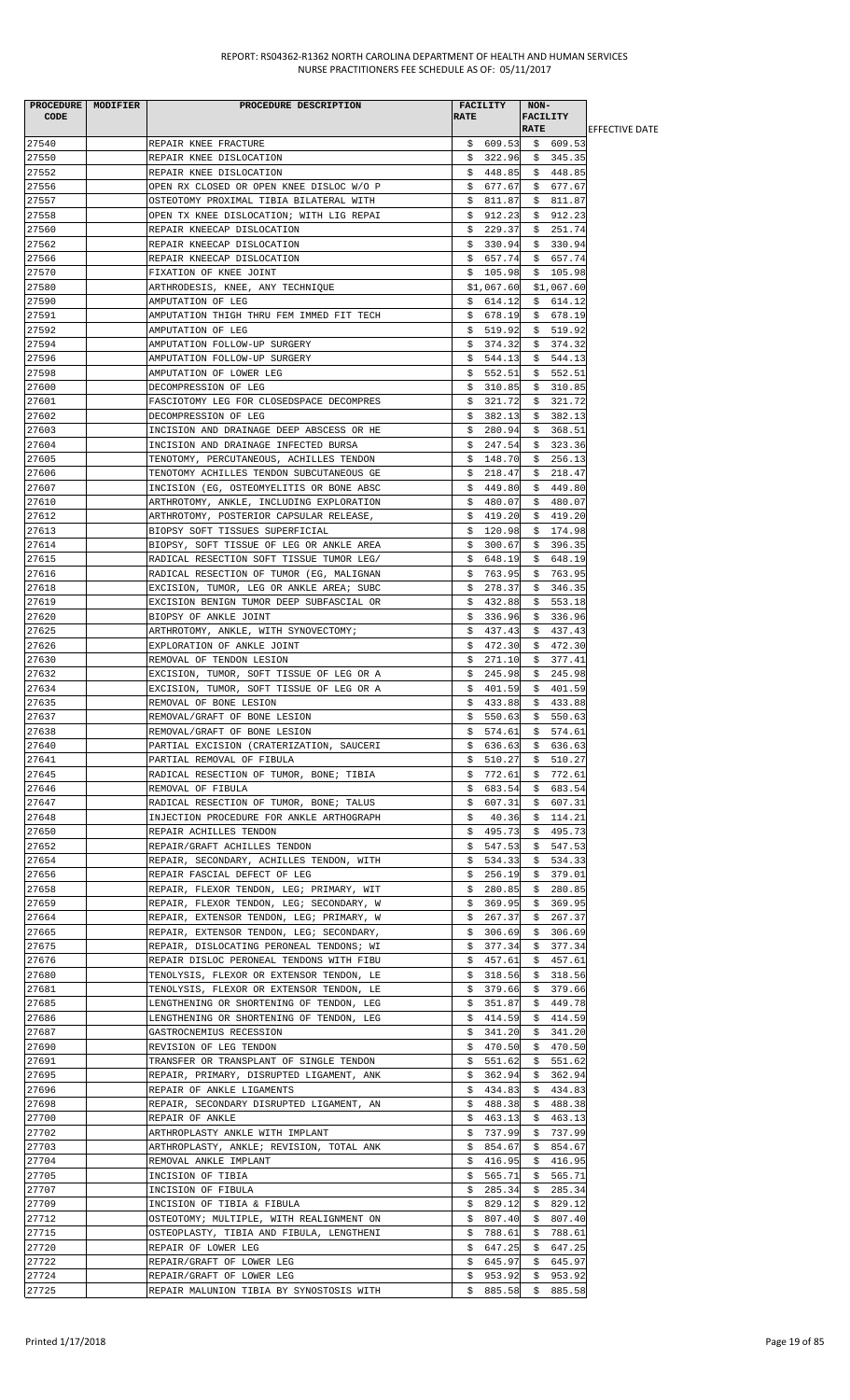| <b>CODE</b>    | PROCEDURE MODIFIER | PROCEDURE DESCRIPTION                                        | <b>RATE</b> | FACILITY             | NON-        | <b>FACILITY</b>                     |                        |
|----------------|--------------------|--------------------------------------------------------------|-------------|----------------------|-------------|-------------------------------------|------------------------|
|                |                    |                                                              |             |                      | <b>RATE</b> |                                     | <b>LEFFECTIVE DATE</b> |
| 27540          |                    | REPAIR KNEE FRACTURE                                         |             |                      |             | $$609.53$$ \$609.53                 |                        |
| 27550          |                    | REPAIR KNEE DISLOCATION                                      |             |                      |             | $$322.96 \quad $345.35$             |                        |
| 27552          |                    | REPAIR KNEE DISLOCATION                                      |             | \$448.85             |             | \$448.85                            |                        |
| 27556          |                    | OPEN RX CLOSED OR OPEN KNEE DISLOC W/O P                     |             | \$677.67             |             | \$677.67                            |                        |
| 27557          |                    | OSTEOTOMY PROXIMAL TIBIA BILATERAL WITH                      |             | \$811.87             | \$.         | 811.87                              |                        |
| 27558          |                    | OPEN TX KNEE DISLOCATION; WITH LIG REPAI                     |             | \$912.23             |             | \$912.23                            |                        |
| 27560          |                    | REPAIR KNEECAP DISLOCATION                                   |             | \$229.37             |             | \$251.74                            |                        |
| 27562          |                    | REPAIR KNEECAP DISLOCATION                                   |             | \$330.94             |             | \$330.94                            |                        |
| 27566          |                    | REPAIR KNEECAP DISLOCATION                                   |             |                      |             | $$657.74$ \$657.74                  |                        |
| 27570          |                    | FIXATION OF KNEE JOINT                                       |             | \$105.98             |             | \$105.98                            |                        |
| 27580          |                    | ARTHRODESIS, KNEE, ANY TECHNIQUE                             |             | \$1,067.60           |             | \$1,067.60                          |                        |
| 27590          |                    | AMPUTATION OF LEG                                            |             | \$614.12             |             | \$614.12                            |                        |
| 27591          |                    | AMPUTATION THIGH THRU FEM IMMED FIT TECH                     |             | \$678.19             |             | \$678.19                            |                        |
| 27592          |                    | AMPUTATION OF LEG                                            |             | \$519.92             |             | \$519.92                            |                        |
| 27594          |                    | AMPUTATION FOLLOW-UP SURGERY                                 |             | \$374.32             |             | \$374.32                            |                        |
| 27596          |                    | AMPUTATION FOLLOW-UP SURGERY                                 |             | \$544.13             |             | \$544.13                            |                        |
| 27598          |                    | AMPUTATION OF LOWER LEG                                      |             | \$552.51             |             | \$552.51                            |                        |
| 27600          |                    | DECOMPRESSION OF LEG                                         |             | \$310.85             |             | \$310.85                            |                        |
| 27601          |                    | FASCIOTOMY LEG FOR CLOSEDSPACE DECOMPRES                     |             |                      |             | $$321.72 \quad $321.72$             |                        |
| 27602          |                    | DECOMPRESSION OF LEG                                         | \$          | 382.13               | \$.         | 382.13                              |                        |
| 27603          |                    | INCISION AND DRAINAGE DEEP ABSCESS OR HE                     |             | \$280.94             |             | \$368.51                            |                        |
| 27604          |                    | INCISION AND DRAINAGE INFECTED BURSA                         |             | \$247.54             |             | \$323.36                            |                        |
| 27605          |                    | TENOTOMY, PERCUTANEOUS, ACHILLES TENDON                      |             | \$148.70             |             | \$256.13                            |                        |
| 27606          |                    | TENOTOMY ACHILLES TENDON SUBCUTANEOUS GE                     |             | \$218.47             |             | \$218.47                            |                        |
| 27607          |                    | INCISION (EG, OSTEOMYELITIS OR BONE ABSC                     |             | \$449.80             |             | \$449.80                            |                        |
| 27610          |                    | ARTHROTOMY, ANKLE, INCLUDING EXPLORATION                     |             | \$480.07             |             | \$480.07                            |                        |
| 27612          |                    | ARTHROTOMY, POSTERIOR CAPSULAR RELEASE,                      |             | \$419.20             |             | \$419.20                            |                        |
| 27613          |                    | BIOPSY SOFT TISSUES SUPERFICIAL                              |             | \$120.98             |             | \$174.98                            |                        |
| 27614          |                    | BIOPSY, SOFT TISSUE OF LEG OR ANKLE AREA                     |             | \$300.67             |             | \$396.35                            |                        |
| 27615          |                    | RADICAL RESECTION SOFT TISSUE TUMOR LEG/                     |             | \$648.19             |             | \$648.19                            |                        |
| 27616          |                    | RADICAL RESECTION OF TUMOR (EG, MALIGNAN                     |             | \$763.95             |             | \$763.95                            |                        |
| 27618          |                    | EXCISION, TUMOR, LEG OR ANKLE AREA; SUBC                     |             | \$278.37             |             | \$346.35                            |                        |
| 27619          |                    | EXCISION BENIGN TUMOR DEEP SUBFASCIAL OR                     |             | \$432.88             |             | \$553.18                            |                        |
| 27620          |                    | BIOPSY OF ANKLE JOINT                                        |             | \$336.96             |             | \$336.96                            |                        |
| 27625          |                    | ARTHROTOMY, ANKLE, WITH SYNOVECTOMY;                         |             | \$437.43             |             | \$437.43                            |                        |
| 27626          |                    | EXPLORATION OF ANKLE JOINT                                   |             | \$472.30             |             | \$472.30                            |                        |
| 27630          |                    | REMOVAL OF TENDON LESION                                     | \$          | 271.10               | \$          | 377.41                              |                        |
| 27632          |                    | EXCISION, TUMOR, SOFT TISSUE OF LEG OR A                     |             | \$245.98             |             | \$245.98                            |                        |
| 27634          |                    | EXCISION, TUMOR, SOFT TISSUE OF LEG OR A                     |             | \$401.59             |             | \$401.59                            |                        |
| 27635<br>27637 |                    | REMOVAL OF BONE LESION                                       |             | \$433.88<br>550.63   |             | \$433.88<br>\$550.63                |                        |
|                |                    | REMOVAL/GRAFT OF BONE LESION                                 | \$          |                      |             |                                     |                        |
| 27638<br>27640 |                    | REMOVAL/GRAFT OF BONE LESION                                 |             | \$574.61<br>\$636.63 |             | \$574.61                            |                        |
|                |                    | PARTIAL EXCISION (CRATERIZATION, SAUCERI                     |             |                      |             | \$636.63                            |                        |
| 27641<br>27645 |                    | PARTIAL REMOVAL OF FIBULA                                    |             | \$772.61             |             | $$510.27 \quad $510.27$<br>\$772.61 |                        |
| 27646          |                    | RADICAL RESECTION OF TUMOR, BONE; TIBIA<br>REMOVAL OF FIBULA |             | \$683.54             |             | \$683.54                            |                        |
| 27647          |                    | RADICAL RESECTION OF TUMOR, BONE; TALUS                      |             | \$607.31             | \$          | 607.31                              |                        |
| 27648          |                    | INJECTION PROCEDURE FOR ANKLE ARTHOGRAPH                     | \$          | 40.36                |             | \$114.21                            |                        |
| 27650          |                    | REPAIR ACHILLES TENDON                                       |             | \$495.73             |             | \$495.73                            |                        |
| 27652          |                    | REPAIR/GRAFT ACHILLES TENDON                                 |             | \$547.53             |             | \$547.53                            |                        |
| 27654          |                    | REPAIR, SECONDARY, ACHILLES TENDON, WITH                     |             | \$534.33             |             | \$534.33                            |                        |
| 27656          |                    | REPAIR FASCIAL DEFECT OF LEG                                 |             | \$256.19             |             | \$379.01                            |                        |
| 27658          |                    | REPAIR, FLEXOR TENDON, LEG; PRIMARY, WIT                     |             | \$280.85             |             | \$280.85                            |                        |
| 27659          |                    | REPAIR, FLEXOR TENDON, LEG; SECONDARY, W                     |             | \$369.95             |             | \$369.95                            |                        |
| 27664          |                    | REPAIR, EXTENSOR TENDON, LEG; PRIMARY, W                     | \$.         | 267.37               | \$.         | 267.37                              |                        |
| 27665          |                    | REPAIR, EXTENSOR TENDON, LEG; SECONDARY,                     |             | \$306.69             |             | \$306.69                            |                        |
| 27675          |                    | REPAIR, DISLOCATING PERONEAL TENDONS; WI                     |             | \$377.34             |             | \$377.34                            |                        |
| 27676          |                    | REPAIR DISLOC PERONEAL TENDONS WITH FIBU                     |             | \$457.61             |             | \$457.61                            |                        |
| 27680          |                    | TENOLYSIS, FLEXOR OR EXTENSOR TENDON, LE                     |             |                      |             | $$318.56 \quad $318.56$             |                        |
| 27681          |                    | TENOLYSIS, FLEXOR OR EXTENSOR TENDON, LE                     |             | \$379.66             |             | \$379.66                            |                        |
| 27685          |                    | LENGTHENING OR SHORTENING OF TENDON, LEG                     |             | \$351.87             |             | \$449.78                            |                        |
| 27686          |                    | LENGTHENING OR SHORTENING OF TENDON, LEG                     |             | \$414.59             | \$          | 414.59                              |                        |
| 27687          |                    | GASTROCNEMIUS RECESSION                                      | Ş.          | 341.20               |             | \$341.20                            |                        |
| 27690          |                    | REVISION OF LEG TENDON                                       |             | \$470.50             |             | \$470.50                            |                        |
| 27691          |                    | TRANSFER OR TRANSPLANT OF SINGLE TENDON                      |             | \$551.62             |             | \$551.62                            |                        |
| 27695          |                    | REPAIR, PRIMARY, DISRUPTED LIGAMENT, ANK                     |             | \$362.94             |             | \$362.94                            |                        |
| 27696          |                    | REPAIR OF ANKLE LIGAMENTS                                    |             | \$434.83             |             | \$434.83                            |                        |
| 27698          |                    | REPAIR, SECONDARY DISRUPTED LIGAMENT, AN                     |             | \$488.38             |             | \$488.38                            |                        |
| 27700          |                    | REPAIR OF ANKLE                                              |             | \$463.13             |             | \$463.13                            |                        |
| 27702          |                    | ARTHROPLASTY ANKLE WITH IMPLANT                              | Ş.          | 737.99               |             | \$737.99                            |                        |
| 27703          |                    | ARTHROPLASTY, ANKLE; REVISION, TOTAL ANK                     |             | \$854.67             |             | \$854.67                            |                        |
| 27704          |                    | REMOVAL ANKLE IMPLANT                                        |             | \$416.95             |             | \$416.95                            |                        |
| 27705          |                    | INCISION OF TIBIA                                            |             | \$565.71             |             | \$565.71                            |                        |
| 27707          |                    | INCISION OF FIBULA                                           | Ş.          | 285.34               |             | \$285.34                            |                        |
| 27709          |                    | INCISION OF TIBIA & FIBULA                                   |             | \$829.12             |             | \$829.12                            |                        |
| 27712          |                    | OSTEOTOMY; MULTIPLE, WITH REALIGNMENT ON                     |             | \$807.40             |             | \$807.40                            |                        |
| 27715          |                    | OSTEOPLASTY, TIBIA AND FIBULA, LENGTHENI                     |             | \$788.61             |             | \$788.61                            |                        |
| 27720          |                    | REPAIR OF LOWER LEG                                          |             | \$647.25             |             | \$647.25                            |                        |
| 27722          |                    | REPAIR/GRAFT OF LOWER LEG                                    |             | \$645.97             | \$          | 645.97                              |                        |
| 27724          |                    | REPAIR/GRAFT OF LOWER LEG                                    |             | \$953.92             | \$          | 953.92                              |                        |
| 27725          |                    | REPAIR MALUNION TIBIA BY SYNOSTOSIS WITH                     |             | $$885.58$ $$885.58$  |             |                                     |                        |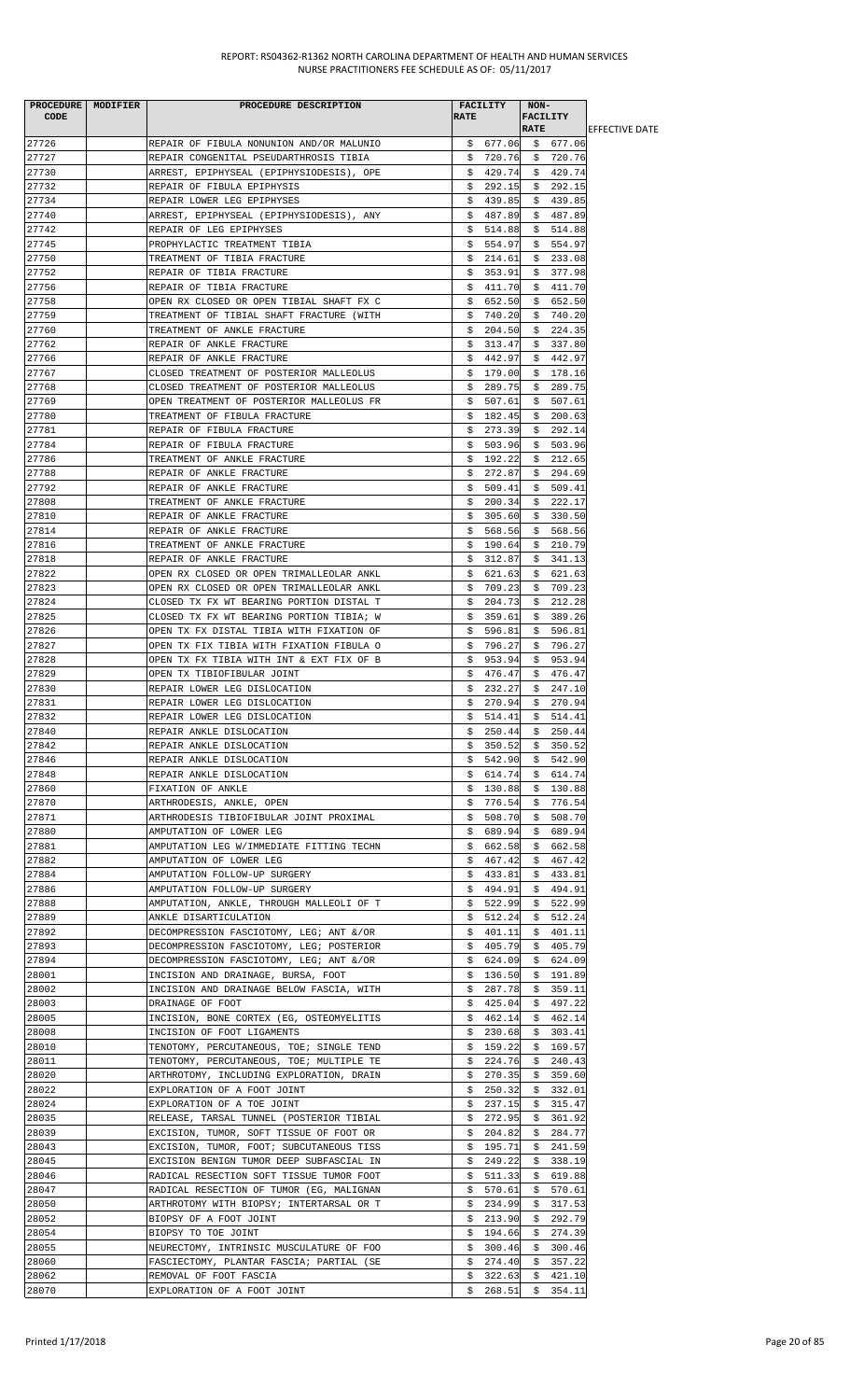| PROCEDURE MODIFIER<br>CODE | PROCEDURE DESCRIPTION                                                                | FACILITY<br><b>RATE</b>      | NON-<br><b>FACILITY</b><br><b>RATE</b> | <b>IEFFECTIVE DATE</b> |
|----------------------------|--------------------------------------------------------------------------------------|------------------------------|----------------------------------------|------------------------|
| 27726                      | REPAIR OF FIBULA NONUNION AND/OR MALUNIO                                             | \$677.06                     | \$677.06                               |                        |
| 27727                      | REPAIR CONGENITAL PSEUDARTHROSIS TIBIA                                               | \$720.76                     | \$720.76                               |                        |
| 27730                      | ARREST, EPIPHYSEAL (EPIPHYSIODESIS), OPE                                             | \$429.74                     | \$429.74                               |                        |
| 27732                      | REPAIR OF FIBULA EPIPHYSIS                                                           | \$<br>292.15                 | 292.15<br>Ş.                           |                        |
| 27734                      | REPAIR LOWER LEG EPIPHYSES                                                           | 439.85<br>S.                 | \$439.85                               |                        |
| 27740                      | ARREST, EPIPHYSEAL (EPIPHYSIODESIS), ANY                                             | \$487.89                     | \$487.89                               |                        |
| 27742                      | REPAIR OF LEG EPIPHYSES                                                              | 514.88<br>S.                 | \$514.88                               |                        |
| 27745                      | PROPHYLACTIC TREATMENT TIBIA                                                         | \$554.97                     | \$554.97                               |                        |
| 27750                      | TREATMENT OF TIBIA FRACTURE                                                          | \$214.61                     | \$233.08                               |                        |
| 27752<br>27756             | REPAIR OF TIBIA FRACTURE<br>REPAIR OF TIBIA FRACTURE                                 | \$353.91<br>\$<br>411.70     | \$377.98<br>\$<br>411.70               |                        |
| 27758                      | OPEN RX CLOSED OR OPEN TIBIAL SHAFT FX C                                             | \$<br>652.50                 | \$<br>652.50                           |                        |
| 27759                      | TREATMENT OF TIBIAL SHAFT FRACTURE (WITH                                             | 740.20<br>Ş.                 | \$740.20                               |                        |
| 27760                      | TREATMENT OF ANKLE FRACTURE                                                          | S.<br>204.50                 | \$224.35                               |                        |
| 27762                      | REPAIR OF ANKLE FRACTURE                                                             | 313.47<br>Ş.                 | \$337.80                               |                        |
| 27766                      | REPAIR OF ANKLE FRACTURE                                                             | 442.97<br>S.                 | 442.97<br>S.                           |                        |
| 27767                      | CLOSED TREATMENT OF POSTERIOR MALLEOLUS                                              | \$179.00                     | \$178.16                               |                        |
| 27768                      | CLOSED TREATMENT OF POSTERIOR MALLEOLUS                                              | 289.75<br>S.                 | \$289.75                               |                        |
| 27769                      | OPEN TREATMENT OF POSTERIOR MALLEOLUS FR                                             | \$507.61                     | \$507.61                               |                        |
| 27780                      | TREATMENT OF FIBULA FRACTURE                                                         | 182.45<br>Ş.<br>273.39       | 200.63<br>\$                           |                        |
| 27781<br>27784             | REPAIR OF FIBULA FRACTURE<br>REPAIR OF FIBULA FRACTURE                               | \$<br>503.96<br>Ş.           | \$292.14<br>503.96<br>Ş.               |                        |
| 27786                      | TREATMENT OF ANKLE FRACTURE                                                          | 192.22<br>S.                 | \$212.65                               |                        |
| 27788                      | REPAIR OF ANKLE FRACTURE                                                             | 272.87<br>S.                 | \$294.69                               |                        |
| 27792                      | REPAIR OF ANKLE FRACTURE                                                             | 509.41<br>S.                 | \$<br>509.41                           |                        |
| 27808                      | TREATMENT OF ANKLE FRACTURE                                                          | \$200.34                     | \$<br>222.17                           |                        |
| 27810                      | REPAIR OF ANKLE FRACTURE                                                             | \$305.60                     | \$330.50                               |                        |
| 27814                      | REPAIR OF ANKLE FRACTURE                                                             | \$568.56                     | \$568.56                               |                        |
| 27816                      | TREATMENT OF ANKLE FRACTURE                                                          | \$<br>190.64                 | 210.79<br>Ş.                           |                        |
| 27818                      | REPAIR OF ANKLE FRACTURE                                                             | 312.87<br>S.                 | \$<br>341.13                           |                        |
| 27822<br>27823             | OPEN RX CLOSED OR OPEN TRIMALLEOLAR ANKL                                             | \$621.63                     | \$621.63                               |                        |
| 27824                      | OPEN RX CLOSED OR OPEN TRIMALLEOLAR ANKL<br>CLOSED TX FX WT BEARING PORTION DISTAL T | 709.23<br>S.<br>204.73<br>Ş. | 709.23<br>S.<br>212.28<br>Ş.           |                        |
| 27825                      | CLOSED TX FX WT BEARING PORTION TIBIA; W                                             | \$359.61                     | \$389.26                               |                        |
| 27826                      | OPEN TX FX DISTAL TIBIA WITH FIXATION OF                                             | \$596.81                     | \$596.81                               |                        |
| 27827                      | OPEN TX FIX TIBIA WITH FIXATION FIBULA O                                             | \$<br>796.27                 | 796.27<br>\$                           |                        |
| 27828                      | OPEN TX FX TIBIA WITH INT & EXT FIX OF B                                             | 953.94<br>Ş.                 | 953.94<br>Ş.                           |                        |
| 27829                      | OPEN TX TIBIOFIBULAR JOINT                                                           | \$476.47                     | \$476.47                               |                        |
| 27830                      | REPAIR LOWER LEG DISLOCATION                                                         | S.<br>232.27                 | \$<br>247.10                           |                        |
| 27831                      | REPAIR LOWER LEG DISLOCATION                                                         | 270.94<br>Ş.                 | \$<br>270.94                           |                        |
| 27832                      | REPAIR LOWER LEG DISLOCATION                                                         | \$514.41                     | \$514.41                               |                        |
| 27840<br>27842             | REPAIR ANKLE DISLOCATION                                                             | \$250.44                     | \$250.44                               |                        |
| 27846                      | REPAIR ANKLE DISLOCATION<br>REPAIR ANKLE DISLOCATION                                 | 350.52<br>S.<br>\$542.90     | \$350.52<br>\$542.90                   |                        |
| 27848                      | REPAIR ANKLE DISLOCATION                                                             | 614.74<br>S.                 | \$614.74                               |                        |
| 27860                      | FIXATION OF ANKLE                                                                    | 130.88<br>Ş.                 | 130.88<br>Ş.                           |                        |
| 27870                      | ARTHRODESIS, ANKLE, OPEN                                                             | 776.54<br>Ş.                 | 776.54<br>Ş.                           |                        |
| 27871                      | ARTHRODESIS TIBIOFIBULAR JOINT PROXIMAL                                              | 508.70<br>Ş.                 | 508.70<br>S.                           |                        |
| 27880                      | AMPUTATION OF LOWER LEG                                                              | 689.94<br>Ş.                 | \$689.94                               |                        |
| 27881                      | AMPUTATION LEG W/IMMEDIATE FITTING TECHN                                             | 662.58<br>S.                 | \$<br>662.58                           |                        |
| 27882                      | AMPUTATION OF LOWER LEG                                                              | 467.42<br>Ş.                 | 467.42<br>Ş.                           |                        |
| 27884                      | AMPUTATION FOLLOW-UP SURGERY                                                         | \$433.81                     | \$433.81                               |                        |
| 27886<br>27888             | AMPUTATION FOLLOW-UP SURGERY                                                         | \$.<br>494.91<br>\$          | \$494.91<br>522.99<br>\$               |                        |
| 27889                      | AMPUTATION, ANKLE, THROUGH MALLEOLI OF T<br>ANKLE DISARTICULATION                    | 522.99<br>512.24<br>S.       | 512.24<br>S.                           |                        |
| 27892                      | DECOMPRESSION FASCIOTOMY, LEG; ANT &/OR                                              | 401.11<br>Ş.                 | 401.11<br>Ş.                           |                        |
| 27893                      | DECOMPRESSION FASCIOTOMY, LEG; POSTERIOR                                             | 405.79<br>S.                 | 405.79<br>Ş.                           |                        |
| 27894                      | DECOMPRESSION FASCIOTOMY, LEG; ANT &/OR                                              | 624.09<br>Ş.                 | 624.09<br>Ş.                           |                        |
| 28001                      | INCISION AND DRAINAGE, BURSA, FOOT                                                   | \$136.50                     | \$191.89                               |                        |
| 28002                      | INCISION AND DRAINAGE BELOW FASCIA, WITH                                             | 287.78<br>Ş.                 | \$359.11                               |                        |
| 28003                      | DRAINAGE OF FOOT                                                                     | \$<br>425.04                 | 497.22<br>\$                           |                        |
| 28005                      | INCISION, BONE CORTEX (EG, OSTEOMYELITIS                                             | 462.14<br>Ş.                 | 462.14<br>Ş.                           |                        |
| 28008                      | INCISION OF FOOT LIGAMENTS                                                           | 230.68<br>S.                 | 303.41<br>\$                           |                        |
| 28010<br>28011             | TENOTOMY, PERCUTANEOUS, TOE; SINGLE TEND<br>TENOTOMY, PERCUTANEOUS, TOE; MULTIPLE TE | \$<br>159.22<br>224.76<br>Ş. | \$<br>169.57<br>240.43                 |                        |
| 28020                      | ARTHROTOMY, INCLUDING EXPLORATION, DRAIN                                             | Ş.<br>270.35                 | Ş.<br>359.60<br>Ş.                     |                        |
| 28022                      | EXPLORATION OF A FOOT JOINT                                                          | 250.32<br>Ş.                 | \$332.01                               |                        |
| 28024                      | EXPLORATION OF A TOE JOINT                                                           | 237.15<br>Ş.                 | 315.47<br>\$                           |                        |
| 28035                      | RELEASE, TARSAL TUNNEL (POSTERIOR TIBIAL                                             | 272.95<br>Ş.                 | 361.92<br>Ş.                           |                        |
| 28039                      | EXCISION, TUMOR, SOFT TISSUE OF FOOT OR                                              | 204.82<br>S.                 | 284.77<br>\$                           |                        |
| 28043                      | EXCISION, TUMOR, FOOT; SUBCUTANEOUS TISS                                             | 195.71<br>Ş.                 | 241.59<br>Ş.                           |                        |
| 28045                      | EXCISION BENIGN TUMOR DEEP SUBFASCIAL IN                                             | \$<br>249.22                 | \$<br>338.19                           |                        |
| 28046                      | RADICAL RESECTION SOFT TISSUE TUMOR FOOT                                             | 511.33<br>Ş.                 | 619.88<br>Ş.                           |                        |
| 28047<br>28050             | RADICAL RESECTION OF TUMOR (EG, MALIGNAN                                             | \$570.61                     | \$570.61                               |                        |
| 28052                      | ARTHROTOMY WITH BIOPSY; INTERTARSAL OR T<br>BIOPSY OF A FOOT JOINT                   | 234.99<br>S.<br>213.90<br>Ş. | 317.53<br>S.<br>\$<br>292.79           |                        |
| 28054                      | BIOPSY TO TOE JOINT                                                                  | 194.66<br>S.                 | \$274.39                               |                        |
| 28055                      | NEURECTOMY, INTRINSIC MUSCULATURE OF FOO                                             | \$<br>300.46                 | \$<br>300.46                           |                        |
| 28060                      | FASCIECTOMY, PLANTAR FASCIA; PARTIAL (SE                                             | 274.40<br>\$                 | \$<br>357.22                           |                        |
| 28062                      | REMOVAL OF FOOT FASCIA                                                               | 322.63<br>Ş.                 | \$<br>421.10                           |                        |
| 28070                      | EXPLORATION OF A FOOT JOINT                                                          | \$268.51                     | \$354.11                               |                        |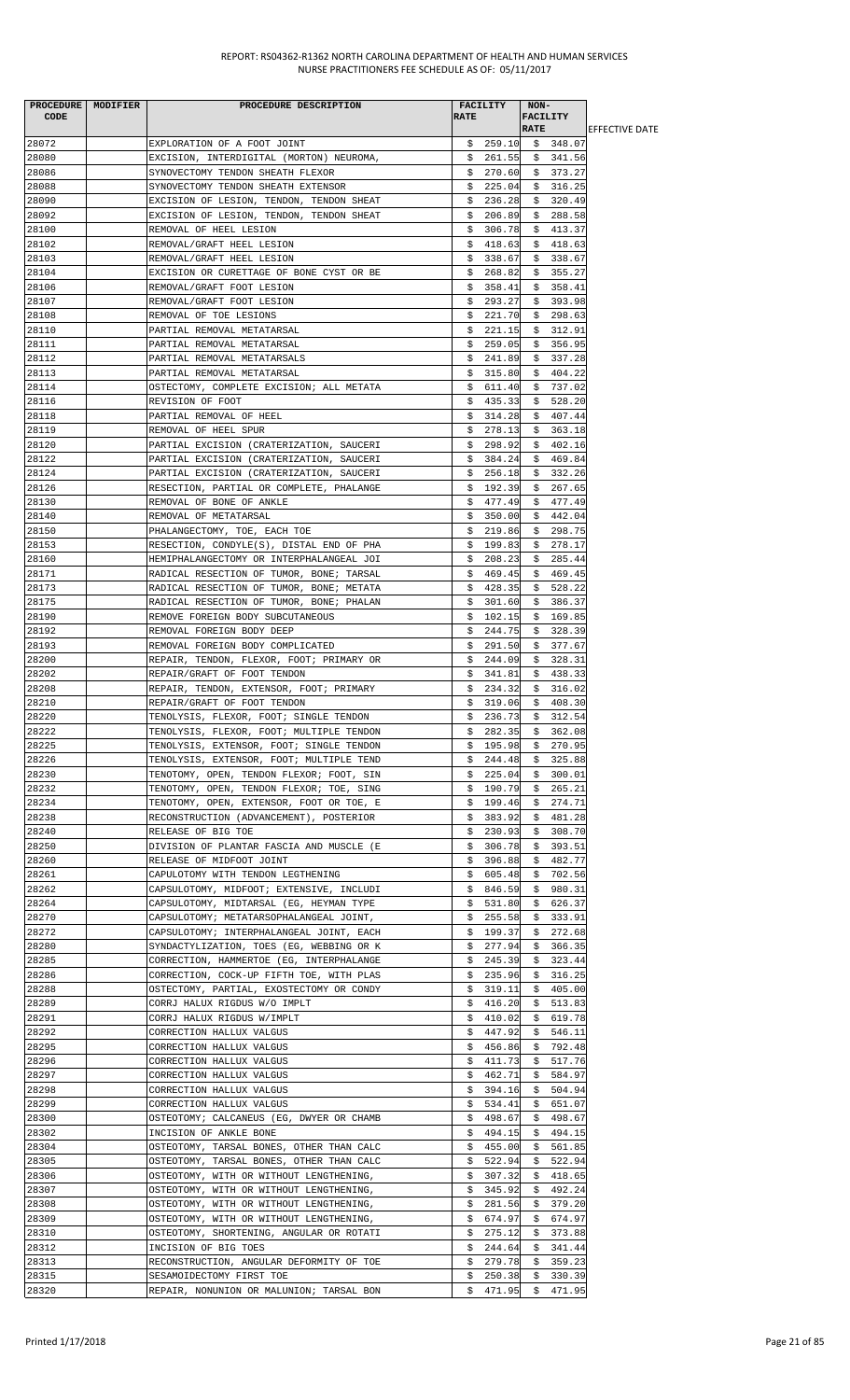|       | PROCEDURE MODIFIER | PROCEDURE DESCRIPTION                    |             | <b>FACILITY</b> | $NON-$      |                         |                        |
|-------|--------------------|------------------------------------------|-------------|-----------------|-------------|-------------------------|------------------------|
| CODE  |                    |                                          | <b>RATE</b> |                 |             | FACILITY                |                        |
|       |                    |                                          |             |                 | <b>RATE</b> |                         | <b>IEFFECTIVE DATE</b> |
| 28072 |                    | EXPLORATION OF A FOOT JOINT              |             |                 |             | $$259.10 \t$348.07$     |                        |
| 28080 |                    | EXCISION, INTERDIGITAL (MORTON) NEUROMA, |             |                 |             | $$261.55$ $$341.56$     |                        |
| 28086 |                    | SYNOVECTOMY TENDON SHEATH FLEXOR         |             |                 |             | $$270.60 \t$373.27$     |                        |
| 28088 |                    | SYNOVECTOMY TENDON SHEATH EXTENSOR       |             |                 |             | $$225.04$$ \$ 316.25    |                        |
| 28090 |                    | EXCISION OF LESION, TENDON, TENDON SHEAT |             | \$236.28        |             | \$320.49                |                        |
| 28092 |                    | EXCISION OF LESION, TENDON, TENDON SHEAT |             | \$206.89        |             | \$288.58                |                        |
| 28100 |                    | REMOVAL OF HEEL LESION                   |             | \$306.78        |             | \$413.37                |                        |
| 28102 |                    | REMOVAL/GRAFT HEEL LESION                |             | \$418.63        |             | \$418.63                |                        |
| 28103 |                    | REMOVAL/GRAFT HEEL LESION                |             | \$338.67        |             | \$338.67                |                        |
| 28104 |                    | EXCISION OR CURETTAGE OF BONE CYST OR BE |             | \$268.82        |             | \$355.27                |                        |
| 28106 |                    | REMOVAL/GRAFT FOOT LESION                |             | \$358.41        |             | \$358.41                |                        |
| 28107 |                    | REMOVAL/GRAFT FOOT LESION                |             | \$293.27        |             | \$393.98                |                        |
| 28108 |                    | REMOVAL OF TOE LESIONS                   |             | \$221.70        |             | \$298.63                |                        |
| 28110 |                    | PARTIAL REMOVAL METATARSAL               | \$.         | 221.15          |             | \$312.91                |                        |
| 28111 |                    | PARTIAL REMOVAL METATARSAL               |             | \$259.05        |             | \$356.95                |                        |
| 28112 |                    | PARTIAL REMOVAL METATARSALS              |             | \$241.89        |             | \$337.28                |                        |
| 28113 |                    | PARTIAL REMOVAL METATARSAL               |             | \$315.80        |             | \$404.22                |                        |
| 28114 |                    | OSTECTOMY, COMPLETE EXCISION; ALL METATA |             | \$611.40        |             | \$737.02                |                        |
| 28116 |                    | REVISION OF FOOT                         |             | \$435.33        |             | \$528.20                |                        |
| 28118 |                    | PARTIAL REMOVAL OF HEEL                  |             | \$314.28        |             | \$407.44                |                        |
| 28119 |                    | REMOVAL OF HEEL SPUR                     |             | \$278.13        |             | \$363.18                |                        |
| 28120 |                    | PARTIAL EXCISION (CRATERIZATION, SAUCERI |             | \$298.92        |             | \$402.16                |                        |
|       |                    |                                          |             |                 |             |                         |                        |
| 28122 |                    | PARTIAL EXCISION (CRATERIZATION, SAUCERI |             | \$384.24        |             | \$469.84                |                        |
| 28124 |                    | PARTIAL EXCISION (CRATERIZATION, SAUCERI |             | \$256.18        |             | \$332.26                |                        |
| 28126 |                    | RESECTION, PARTIAL OR COMPLETE, PHALANGE |             | \$192.39        |             | \$267.65                |                        |
| 28130 |                    | REMOVAL OF BONE OF ANKLE                 |             | \$477.49        |             | \$477.49                |                        |
| 28140 |                    | REMOVAL OF METATARSAL                    |             | \$350.00        |             | \$442.04                |                        |
| 28150 |                    | PHALANGECTOMY, TOE, EACH TOE             |             | \$219.86        |             | \$298.75                |                        |
| 28153 |                    | RESECTION, CONDYLE(S), DISTAL END OF PHA |             | \$199.83        |             | \$278.17                |                        |
| 28160 |                    | HEMIPHALANGECTOMY OR INTERPHALANGEAL JOI | \$.         | 208.23          |             | \$285.44                |                        |
| 28171 |                    | RADICAL RESECTION OF TUMOR, BONE; TARSAL |             | \$469.45        |             | \$469.45                |                        |
| 28173 |                    | RADICAL RESECTION OF TUMOR, BONE; METATA |             | \$428.35        |             | \$528.22                |                        |
| 28175 |                    | RADICAL RESECTION OF TUMOR, BONE; PHALAN |             | \$301.60        |             | \$386.37                |                        |
| 28190 |                    | REMOVE FOREIGN BODY SUBCUTANEOUS         |             | \$102.15        |             | \$169.85                |                        |
| 28192 |                    | REMOVAL FOREIGN BODY DEEP                |             | \$244.75        |             | \$328.39                |                        |
| 28193 |                    | REMOVAL FOREIGN BODY COMPLICATED         |             | \$291.50        |             | \$377.67                |                        |
| 28200 |                    | REPAIR, TENDON, FLEXOR, FOOT; PRIMARY OR |             | \$244.09        |             | \$328.31                |                        |
| 28202 |                    | REPAIR/GRAFT OF FOOT TENDON              |             | \$341.81        |             | \$438.33                |                        |
| 28208 |                    | REPAIR, TENDON, EXTENSOR, FOOT; PRIMARY  |             | \$234.32        |             | \$316.02                |                        |
| 28210 |                    | REPAIR/GRAFT OF FOOT TENDON              |             | \$319.06        |             | \$408.30                |                        |
| 28220 |                    | TENOLYSIS, FLEXOR, FOOT; SINGLE TENDON   | \$          |                 |             | 236.73 \$ 312.54        |                        |
| 28222 |                    | TENOLYSIS, FLEXOR, FOOT; MULTIPLE TENDON |             | \$282.35        |             | \$362.08                |                        |
| 28225 |                    | TENOLYSIS, EXTENSOR, FOOT; SINGLE TENDON |             | \$195.98        |             | \$270.95                |                        |
| 28226 |                    | TENOLYSIS, EXTENSOR, FOOT; MULTIPLE TEND |             |                 |             | $$244.48 \quad $325.88$ |                        |
| 28230 |                    | TENOTOMY, OPEN, TENDON FLEXOR; FOOT, SIN |             | \$225.04        |             | \$300.01                |                        |
| 28232 |                    | TENOTOMY, OPEN, TENDON FLEXOR; TOE, SING |             | \$190.79        |             | \$265.21                |                        |
| 28234 |                    | TENOTOMY, OPEN, EXTENSOR, FOOT OR TOE, E |             | \$199.46        | \$          | 274.71                  |                        |
| 28238 |                    | RECONSTRUCTION (ADVANCEMENT), POSTERIOR  |             | 383.92          |             | 481.28                  |                        |
|       |                    |                                          | Ş.          |                 | Ş.          | \$308.70                |                        |
| 28240 |                    | RELEASE OF BIG TOE                       |             | \$230.93        |             |                         |                        |
| 28250 |                    | DIVISION OF PLANTAR FASCIA AND MUSCLE (E |             | \$306.78        |             | \$393.51                |                        |
| 28260 |                    | RELEASE OF MIDFOOT JOINT                 | \$          | 396.88          | \$          | 482.77                  |                        |
| 28261 |                    | CAPULOTOMY WITH TENDON LEGTHENING        |             | \$605.48        |             | \$702.56                |                        |
| 28262 |                    | CAPSULOTOMY, MIDFOOT; EXTENSIVE, INCLUDI |             | \$846.59        |             | \$980.31                |                        |
| 28264 |                    | CAPSULOTOMY, MIDTARSAL (EG, HEYMAN TYPE  |             | \$531.80        |             | \$626.37                |                        |
| 28270 |                    | CAPSULOTOMY; METATARSOPHALANGEAL JOINT,  | \$.         | 255.58          | Ş.          | 333.91                  |                        |
| 28272 |                    | CAPSULOTOMY; INTERPHALANGEAL JOINT, EACH |             | \$199.37        | Ş.          | 272.68                  |                        |
| 28280 |                    | SYNDACTYLIZATION, TOES (EG, WEBBING OR K |             | \$277.94        |             | \$366.35                |                        |
| 28285 |                    | CORRECTION, HAMMERTOE (EG, INTERPHALANGE |             | \$245.39        | \$          | 323.44                  |                        |
| 28286 |                    | CORRECTION, COCK-UP FIFTH TOE, WITH PLAS |             | \$235.96        |             | \$316.25                |                        |
| 28288 |                    | OSTECTOMY, PARTIAL, EXOSTECTOMY OR CONDY |             | \$319.11        |             | \$405.00                |                        |
| 28289 |                    | CORRJ HALUX RIGDUS W/O IMPLT             |             | \$416.20        |             | \$513.83                |                        |
| 28291 |                    | CORRJ HALUX RIGDUS W/IMPLT               |             | \$410.02        |             | \$619.78                |                        |
| 28292 |                    | CORRECTION HALLUX VALGUS                 |             | \$447.92        | \$          | 546.11                  |                        |
| 28295 |                    | CORRECTION HALLUX VALGUS                 | Ş.          | 456.86          | Ş.          | 792.48                  |                        |
| 28296 |                    | CORRECTION HALLUX VALGUS                 |             | \$411.73        | \$          | 517.76                  |                        |
| 28297 |                    | CORRECTION HALLUX VALGUS                 | Ş.          | 462.71          | Ş.          | 584.97                  |                        |
| 28298 |                    | CORRECTION HALLUX VALGUS                 |             | \$394.16        |             | \$504.94                |                        |
| 28299 |                    | CORRECTION HALLUX VALGUS                 |             | \$534.41        |             | \$651.07                |                        |
| 28300 |                    | OSTEOTOMY; CALCANEUS (EG, DWYER OR CHAMB |             | \$498.67        | \$          | 498.67                  |                        |
| 28302 |                    | INCISION OF ANKLE BONE                   |             | \$494.15        |             | \$494.15                |                        |
| 28304 |                    | OSTEOTOMY, TARSAL BONES, OTHER THAN CALC |             | \$455.00        |             | \$561.85                |                        |
| 28305 |                    | OSTEOTOMY, TARSAL BONES, OTHER THAN CALC |             | \$522.94        | \$          | 522.94                  |                        |
| 28306 |                    | OSTEOTOMY, WITH OR WITHOUT LENGTHENING,  | \$          | 307.32          | \$          | 418.65                  |                        |
| 28307 |                    | OSTEOTOMY, WITH OR WITHOUT LENGTHENING,  |             | \$345.92        | S.          | 492.24                  |                        |
| 28308 |                    | OSTEOTOMY, WITH OR WITHOUT LENGTHENING,  |             | \$281.56        |             | \$379.20                |                        |
| 28309 |                    | OSTEOTOMY, WITH OR WITHOUT LENGTHENING,  |             | \$674.97        | S.          | 674.97                  |                        |
| 28310 |                    | OSTEOTOMY, SHORTENING, ANGULAR OR ROTATI | Ş.          | 275.12          | Ş.          | 373.88                  |                        |
| 28312 |                    | INCISION OF BIG TOES                     |             | \$244.64        |             | \$341.44                |                        |
| 28313 |                    | RECONSTRUCTION, ANGULAR DEFORMITY OF TOE |             | \$279.78        |             | \$359.23                |                        |
| 28315 |                    | SESAMOIDECTOMY FIRST TOE                 | \$          | 250.38          | \$          | 330.39                  |                        |
| 28320 |                    | REPAIR, NONUNION OR MALUNION; TARSAL BON | \$          |                 |             | 471.95 \$ 471.95        |                        |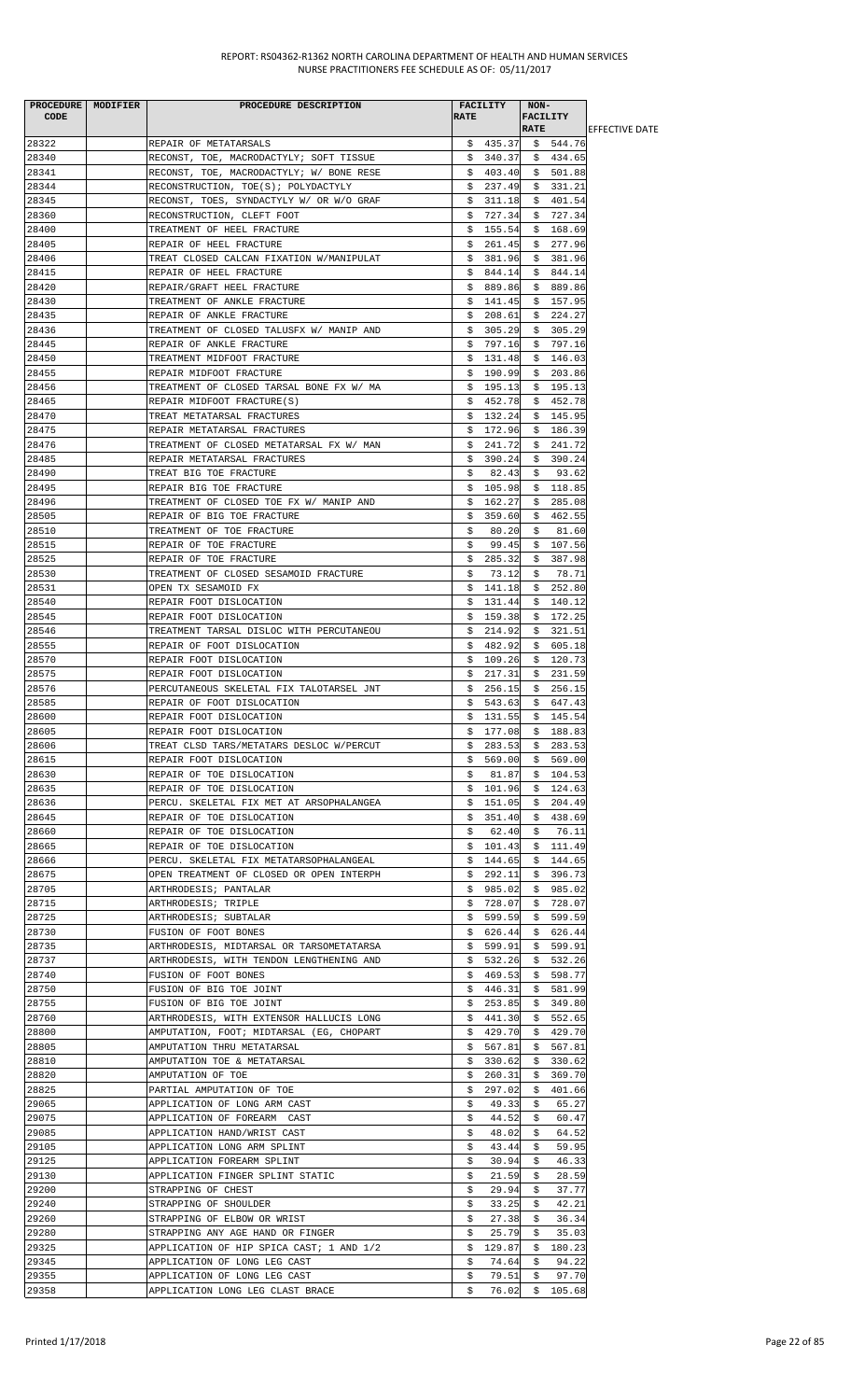| PROCEDURE MODIFIER<br><b>CODE</b> | PROCEDURE DESCRIPTION                                                           | <b>RATE</b> | FACILITY             | NON-        | <b>FACILITY</b>      |                        |
|-----------------------------------|---------------------------------------------------------------------------------|-------------|----------------------|-------------|----------------------|------------------------|
|                                   |                                                                                 |             |                      | <b>RATE</b> |                      | <b>LEFFECTIVE DATE</b> |
| 28322                             | REPAIR OF METATARSALS                                                           |             |                      |             | $$435.37 \t$544.76$  |                        |
| 28340                             | RECONST, TOE, MACRODACTYLY; SOFT TISSUE                                         |             |                      |             | $$340.37 \t$ 434.65$ |                        |
| 28341<br>28344                    | RECONST, TOE, MACRODACTYLY; W/ BONE RESE                                        |             | \$403.40             |             | \$501.88             |                        |
| 28345                             | RECONSTRUCTION, TOE(S); POLYDACTYLY<br>RECONST, TOES, SYNDACTYLY W/ OR W/O GRAF |             | \$237.49<br>\$311.18 |             | \$331.21<br>\$401.54 |                        |
| 28360                             | RECONSTRUCTION, CLEFT FOOT                                                      |             | \$727.34             |             | \$727.34             |                        |
| 28400                             | TREATMENT OF HEEL FRACTURE                                                      |             | \$155.54             |             | \$168.69             |                        |
| 28405                             | REPAIR OF HEEL FRACTURE                                                         |             | \$261.45             |             | \$277.96             |                        |
| 28406                             | TREAT CLOSED CALCAN FIXATION W/MANIPULAT                                        |             | \$381.96             |             | \$381.96             |                        |
| 28415                             | REPAIR OF HEEL FRACTURE                                                         |             | \$844.14             |             | \$844.14             |                        |
| 28420                             | REPAIR/GRAFT HEEL FRACTURE                                                      |             | \$889.86             |             | \$889.86             |                        |
| 28430                             | TREATMENT OF ANKLE FRACTURE                                                     |             | \$141.45             |             | \$157.95             |                        |
| 28435                             | REPAIR OF ANKLE FRACTURE                                                        |             | \$208.61             |             | \$224.27             |                        |
| 28436                             | TREATMENT OF CLOSED TALUSFX W/ MANIP AND                                        |             | \$305.29             |             | \$305.29             |                        |
| 28445                             | REPAIR OF ANKLE FRACTURE                                                        |             | \$797.16             |             | \$797.16             |                        |
| 28450<br>28455                    | TREATMENT MIDFOOT FRACTURE<br>REPAIR MIDFOOT FRACTURE                           |             | \$131.48<br>\$190.99 |             | \$146.03<br>\$203.86 |                        |
| 28456                             | TREATMENT OF CLOSED TARSAL BONE FX W/ MA                                        |             | \$195.13             |             | \$195.13             |                        |
| 28465                             | REPAIR MIDFOOT FRACTURE(S)                                                      |             | \$452.78             |             | \$452.78             |                        |
| 28470                             | TREAT METATARSAL FRACTURES                                                      |             | \$132.24             |             | \$145.95             |                        |
| 28475                             | REPAIR METATARSAL FRACTURES                                                     |             | \$172.96             |             | \$186.39             |                        |
| 28476                             | TREATMENT OF CLOSED METATARSAL FX W/ MAN                                        |             | \$241.72             |             | \$241.72             |                        |
| 28485                             | REPAIR METATARSAL FRACTURES                                                     |             | \$390.24             |             | \$390.24             |                        |
| 28490                             | TREAT BIG TOE FRACTURE                                                          | S.          | 82.43                | S.          | 93.62                |                        |
| 28495                             | REPAIR BIG TOE FRACTURE                                                         |             | \$105.98             |             | \$118.85             |                        |
| 28496                             | TREATMENT OF CLOSED TOE FX W/ MANIP AND                                         |             | \$162.27             |             | \$285.08             |                        |
| 28505                             | REPAIR OF BIG TOE FRACTURE                                                      |             | \$359.60             |             | \$462.55             |                        |
| 28510                             | TREATMENT OF TOE FRACTURE                                                       | Ş.          | 80.20                | \$          | 81.60                |                        |
| 28515                             | REPAIR OF TOE FRACTURE                                                          | \$.         | 99.45                |             | \$107.56             |                        |
| 28525<br>28530                    | REPAIR OF TOE FRACTURE<br>TREATMENT OF CLOSED SESAMOID FRACTURE                 | S.          | \$285.32<br>73.12    | S.          | \$387.98<br>78.71    |                        |
| 28531                             | OPEN TX SESAMOID FX                                                             |             | \$141.18             |             | \$252.80             |                        |
| 28540                             | REPAIR FOOT DISLOCATION                                                         |             | \$131.44             |             | \$140.12             |                        |
| 28545                             | REPAIR FOOT DISLOCATION                                                         |             | \$159.38             |             | \$172.25             |                        |
| 28546                             | TREATMENT TARSAL DISLOC WITH PERCUTANEOU                                        |             | \$214.92             |             | \$321.51             |                        |
| 28555                             | REPAIR OF FOOT DISLOCATION                                                      |             | \$482.92             |             | \$605.18             |                        |
| 28570                             | REPAIR FOOT DISLOCATION                                                         | \$.         | 109.26               | \$          | 120.73               |                        |
| 28575                             | REPAIR FOOT DISLOCATION                                                         | Ş.          | 217.31               |             | \$231.59             |                        |
| 28576                             | PERCUTANEOUS SKELETAL FIX TALOTARSEL JNT                                        |             | \$256.15             |             | \$256.15             |                        |
| 28585                             | REPAIR OF FOOT DISLOCATION                                                      | \$.         | 543.63               |             | \$647.43             |                        |
| 28600                             | REPAIR FOOT DISLOCATION                                                         | \$          | 131.55               |             | \$145.54             |                        |
| 28605<br>28606                    | REPAIR FOOT DISLOCATION<br>TREAT CLSD TARS/METATARS DESLOC W/PERCUT             |             | \$177.08<br>\$283.53 |             | \$188.83<br>\$283.53 |                        |
| 28615                             | REPAIR FOOT DISLOCATION                                                         |             | \$569.00             |             | \$569.00             |                        |
| 28630                             | REPAIR OF TOE DISLOCATION                                                       | Ş.          | 81.87                | \$.         | 104.53               |                        |
| 28635                             | REPAIR OF TOE DISLOCATION                                                       |             | \$101.96             |             | \$124.63             |                        |
| 28636                             | PERCU. SKELETAL FIX MET AT ARSOPHALANGEA                                        | \$          | 151.05               | \$          | 204.49               |                        |
| 28645                             | REPAIR OF TOE DISLOCATION                                                       | Ş.          | 351.40               | \$          | 438.69               |                        |
| 28660                             | REPAIR OF TOE DISLOCATION                                                       | Ş.          | 62.40                | S.          | 76.11                |                        |
| 28665                             | REPAIR OF TOE DISLOCATION                                                       | \$.         | 101.43               |             | \$111.49             |                        |
| 28666                             | PERCU. SKELETAL FIX METATARSOPHALANGEAL                                         | Ş.          | 144.65               | \$          | 144.65               |                        |
| 28675                             | OPEN TREATMENT OF CLOSED OR OPEN INTERPH                                        | Ş.          | 292.11               |             | \$396.73             |                        |
| 28705                             | ARTHRODESIS; PANTALAR                                                           | Ş.          | 985.02               |             | \$985.02             |                        |
| 28715                             | ARTHRODESIS; TRIPLE                                                             | Ş.          | 728.07               | Ş.          | 728.07               |                        |
| 28725<br>28730                    | ARTHRODESIS; SUBTALAR<br>FUSION OF FOOT BONES                                   | \$          | 599.59<br>\$626.44   | \$<br>Ş.    | 599.59<br>626.44     |                        |
| 28735                             | ARTHRODESIS, MIDTARSAL OR TARSOMETATARSA                                        | Ş.          | 599.91               |             | \$599.91             |                        |
| 28737                             | ARTHRODESIS, WITH TENDON LENGTHENING AND                                        | S.          | 532.26               | \$          | 532.26               |                        |
| 28740                             | FUSION OF FOOT BONES                                                            | Ş.          | 469.53               | \$          | 598.77               |                        |
| 28750                             | FUSION OF BIG TOE JOINT                                                         |             | \$446.31             |             | \$581.99             |                        |
| 28755                             | FUSION OF BIG TOE JOINT                                                         | \$.         | 253.85               |             | \$349.80             |                        |
| 28760                             | ARTHRODESIS, WITH EXTENSOR HALLUCIS LONG                                        | \$.         | 441.30               | \$          | 552.65               |                        |
| 28800                             | AMPUTATION, FOOT; MIDTARSAL (EG, CHOPART                                        | Ş.          | 429.70               | Ş.          | 429.70               |                        |
| 28805                             | AMPUTATION THRU METATARSAL                                                      | Ş.          | 567.81               | Ş.          | 567.81               |                        |
| 28810                             | AMPUTATION TOE & METATARSAL                                                     | \$          | 330.62               | \$          | 330.62               |                        |
| 28820                             | AMPUTATION OF TOE                                                               | Ş.          | 260.31               | Ş.          | 369.70               |                        |
| 28825<br>29065                    | PARTIAL AMPUTATION OF TOE<br>APPLICATION OF LONG ARM CAST                       | S.<br>\$    | 297.02<br>49.33      | \$<br>\$    | 401.66<br>65.27      |                        |
| 29075                             | APPLICATION OF FOREARM CAST                                                     | \$          | 44.52                | \$          | 60.47                |                        |
| 29085                             | APPLICATION HAND/WRIST CAST                                                     | \$          | 48.02                | \$          | 64.52                |                        |
| 29105                             | APPLICATION LONG ARM SPLINT                                                     | \$          | 43.44                | \$          | 59.95                |                        |
| 29125                             | APPLICATION FOREARM SPLINT                                                      | \$          | 30.94                | \$          | 46.33                |                        |
| 29130                             | APPLICATION FINGER SPLINT STATIC                                                | \$          | 21.59                | Ş.          | 28.59                |                        |
| 29200                             | STRAPPING OF CHEST                                                              | S.          | 29.94                | S.          | 37.77                |                        |
| 29240                             | STRAPPING OF SHOULDER                                                           | \$          | 33.25                | \$          | 42.21                |                        |
| 29260                             | STRAPPING OF ELBOW OR WRIST                                                     | \$          | 27.38                | \$          | 36.34                |                        |
| 29280                             | STRAPPING ANY AGE HAND OR FINGER                                                | \$          | 25.79                | Ş.          | 35.03                |                        |
| 29325                             | APPLICATION OF HIP SPICA CAST; 1 AND 1/2                                        | \$          | 129.87               | \$          | 180.23               |                        |
| 29345<br>29355                    | APPLICATION OF LONG LEG CAST<br>APPLICATION OF LONG LEG CAST                    | \$          | 74.64<br>79.51       | \$          | 94.22<br>97.70       |                        |
| 29358                             | APPLICATION LONG LEG CLAST BRACE                                                | \$<br>\$.   | 76.02                | \$          | \$105.68             |                        |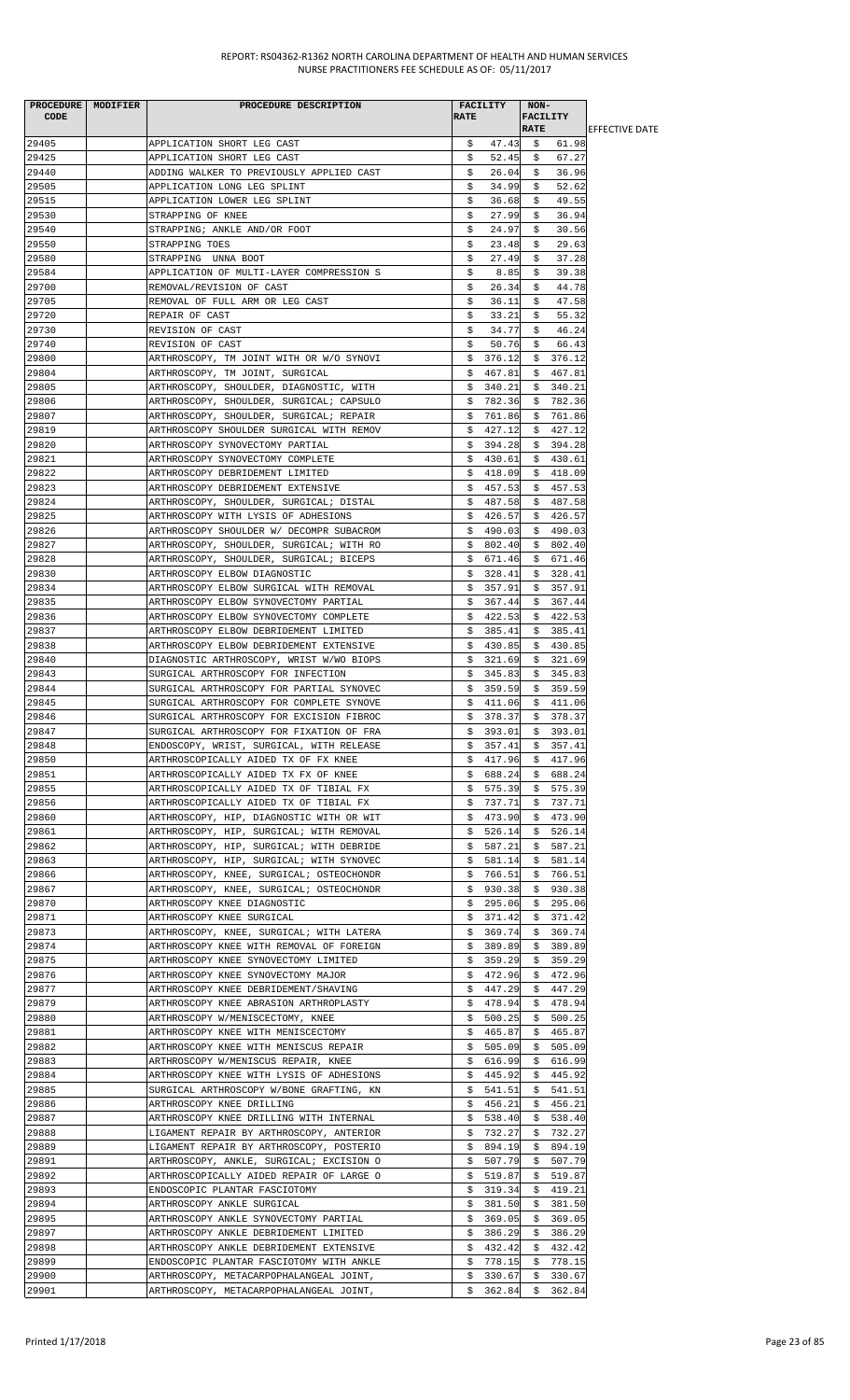| <b>CODE</b>    | PROCEDURE MODIFIER | PROCEDURE DESCRIPTION                                                              | <b>RATE</b> | <b>FACILITY</b>  | NON-<br><b>FACILITY</b> |                   |                        |
|----------------|--------------------|------------------------------------------------------------------------------------|-------------|------------------|-------------------------|-------------------|------------------------|
|                |                    |                                                                                    |             |                  | <b>RATE</b>             |                   | <b>IEFFECTIVE DATE</b> |
| 29405          |                    | APPLICATION SHORT LEG CAST                                                         | \$.         | 47.43            | \$                      | 61.98             |                        |
| 29425          |                    | APPLICATION SHORT LEG CAST                                                         | \$          | 52.45            | \$                      | 67.27             |                        |
| 29440          |                    | ADDING WALKER TO PREVIOUSLY APPLIED CAST                                           | \$          | 26.04            | \$                      | 36.96             |                        |
| 29505          |                    | APPLICATION LONG LEG SPLINT                                                        | \$          | 34.99            | S.                      | 52.62             |                        |
| 29515          |                    | APPLICATION LOWER LEG SPLINT                                                       | s           | 36.68            | S.                      | 49.55             |                        |
| 29530          |                    | STRAPPING OF KNEE                                                                  | \$          | 27.99            | \$                      | 36.94             |                        |
| 29540          |                    | STRAPPING; ANKLE AND/OR FOOT                                                       | \$          | 24.97            | \$                      | 30.56             |                        |
| 29550          |                    | STRAPPING TOES                                                                     | \$          | 23.48            | \$                      | 29.63             |                        |
| 29580          |                    | STRAPPING UNNA BOOT                                                                | \$          | 27.49            | S.                      | 37.28             |                        |
| 29584          |                    | APPLICATION OF MULTI-LAYER COMPRESSION S                                           | \$          | 8.85             | \$                      | 39.38             |                        |
| 29700          |                    | REMOVAL/REVISION OF CAST                                                           | \$          | 26.34            | \$                      | 44.78             |                        |
| 29705          |                    | REMOVAL OF FULL ARM OR LEG CAST                                                    | \$          | 36.11            | \$                      | 47.58             |                        |
| 29720          |                    | REPAIR OF CAST                                                                     | Ş.          | 33.21            | S.                      | 55.32             |                        |
| 29730          |                    | REVISION OF CAST                                                                   | Ş.          | 34.77            | \$                      | 46.24             |                        |
| 29740<br>29800 |                    | REVISION OF CAST                                                                   | \$          | 50.76<br>376.12  | \$                      | 66.43<br>\$376.12 |                        |
| 29804          |                    | ARTHROSCOPY, TM JOINT WITH OR W/O SYNOVI<br>ARTHROSCOPY, TM JOINT, SURGICAL        | S.          | \$467.81         |                         | \$467.81          |                        |
| 29805          |                    | ARTHROSCOPY, SHOULDER, DIAGNOSTIC, WITH                                            | \$          | 340.21           | \$                      | 340.21            |                        |
| 29806          |                    | ARTHROSCOPY, SHOULDER, SURGICAL; CAPSULO                                           | Ş.          | 782.36           | Ş.                      | 782.36            |                        |
| 29807          |                    | ARTHROSCOPY, SHOULDER, SURGICAL; REPAIR                                            | Ş.          | 761.86           | \$                      | 761.86            |                        |
| 29819          |                    | ARTHROSCOPY SHOULDER SURGICAL WITH REMOV                                           | \$          | 427.12           | \$                      | 427.12            |                        |
| 29820          |                    | ARTHROSCOPY SYNOVECTOMY PARTIAL                                                    | Ş.          | 394.28           |                         | \$394.28          |                        |
| 29821          |                    | ARTHROSCOPY SYNOVECTOMY COMPLETE                                                   | S.          | 430.61           |                         | \$430.61          |                        |
| 29822          |                    | ARTHROSCOPY DEBRIDEMENT LIMITED                                                    |             | \$418.09         |                         | \$418.09          |                        |
| 29823          |                    | ARTHROSCOPY DEBRIDEMENT EXTENSIVE                                                  | \$.         | 457.53           | \$                      | 457.53            |                        |
| 29824          |                    | ARTHROSCOPY, SHOULDER, SURGICAL; DISTAL                                            | Ş.          | 487.58           | \$                      | 487.58            |                        |
| 29825          |                    | ARTHROSCOPY WITH LYSIS OF ADHESIONS                                                | \$.         | 426.57           | \$.                     | 426.57            |                        |
| 29826          |                    | ARTHROSCOPY SHOULDER W/ DECOMPR SUBACROM                                           | \$          | 490.03           | \$                      | 490.03            |                        |
| 29827          |                    | ARTHROSCOPY, SHOULDER, SURGICAL; WITH RO                                           | Ş.          | 802.40           | Ş.                      | 802.40            |                        |
| 29828          |                    | ARTHROSCOPY, SHOULDER, SURGICAL; BICEPS                                            | Ş.          | 671.46           | S.                      | 671.46            |                        |
| 29830          |                    | ARTHROSCOPY ELBOW DIAGNOSTIC                                                       | \$.         | 328.41           |                         | \$328.41          |                        |
| 29834          |                    | ARTHROSCOPY ELBOW SURGICAL WITH REMOVAL                                            | \$          | 357.91           | \$                      | 357.91            |                        |
| 29835          |                    | ARTHROSCOPY ELBOW SYNOVECTOMY PARTIAL                                              | \$          | 367.44           | Ş.                      | 367.44            |                        |
| 29836          |                    | ARTHROSCOPY ELBOW SYNOVECTOMY COMPLETE                                             | Ş.          | 422.53           | \$                      | 422.53            |                        |
| 29837          |                    | ARTHROSCOPY ELBOW DEBRIDEMENT LIMITED                                              | \$          | 385.41           | \$                      | 385.41            |                        |
| 29838          |                    | ARTHROSCOPY ELBOW DEBRIDEMENT EXTENSIVE                                            | \$.         | 430.85           | \$                      | 430.85            |                        |
| 29840          |                    | DIAGNOSTIC ARTHROSCOPY, WRIST W/WO BIOPS                                           | S.          | 321.69           | S.                      | 321.69            |                        |
| 29843          |                    | SURGICAL ARTHROSCOPY FOR INFECTION                                                 | Ş.          | 345.83           | Ş.                      | 345.83            |                        |
| 29844          |                    | SURGICAL ARTHROSCOPY FOR PARTIAL SYNOVEC                                           | S.          | 359.59           | S.                      | 359.59            |                        |
| 29845          |                    | SURGICAL ARTHROSCOPY FOR COMPLETE SYNOVE                                           | Ş.          | 411.06           | \$                      | 411.06            |                        |
| 29846          |                    | SURGICAL ARTHROSCOPY FOR EXCISION FIBROC                                           | \$          | 378.37           | \$                      | 378.37            |                        |
| 29847          |                    | SURGICAL ARTHROSCOPY FOR FIXATION OF FRA                                           |             | \$393.01         |                         | \$393.01          |                        |
| 29848          |                    | ENDOSCOPY, WRIST, SURGICAL, WITH RELEASE                                           | \$.         | 357.41           | \$                      | 357.41            |                        |
| 29850          |                    | ARTHROSCOPICALLY AIDED TX OF FX KNEE                                               | Ş.          | 417.96           | Ş.                      | 417.96            |                        |
| 29851          |                    | ARTHROSCOPICALLY AIDED TX FX OF KNEE                                               |             | \$688.24         |                         | \$688.24          |                        |
| 29855          |                    | ARTHROSCOPICALLY AIDED TX OF TIBIAL FX                                             | \$.         | 575.39           | \$                      | 575.39            |                        |
| 29856<br>29860 |                    | ARTHROSCOPICALLY AIDED TX OF TIBIAL FX<br>ARTHROSCOPY, HIP, DIAGNOSTIC WITH OR WIT | Ş.<br>S.    | 737.71<br>473.90 | Ş.<br>\$                | 737.71<br>473.90  |                        |
| 29861          |                    | ARTHROSCOPY, HIP, SURGICAL; WITH REMOVAL                                           | \$          | 526.14           | \$                      | 526.14            |                        |
| 29862          |                    | ARTHROSCOPY, HIP, SURGICAL; WITH DEBRIDE                                           | \$          | 587.21           | \$                      | 587.21            |                        |
| 29863          |                    | ARTHROSCOPY, HIP, SURGICAL; WITH SYNOVEC                                           | Ş.          | 581.14           | \$                      | 581.14            |                        |
| 29866          |                    | ARTHROSCOPY, KNEE, SURGICAL; OSTEOCHONDR                                           | Ş.          | 766.51           | \$.                     | 766.51            |                        |
| 29867          |                    | ARTHROSCOPY, KNEE, SURGICAL; OSTEOCHONDR                                           | \$          | 930.38           | \$                      | 930.38            |                        |
| 29870          |                    | ARTHROSCOPY KNEE DIAGNOSTIC                                                        | Ş.          | 295.06           | \$                      | 295.06            |                        |
| 29871          |                    | ARTHROSCOPY KNEE SURGICAL                                                          | S.          | 371.42           | S.                      | 371.42            |                        |
| 29873          |                    | ARTHROSCOPY, KNEE, SURGICAL; WITH LATERA                                           | Ş.          | 369.74           | \$                      | 369.74            |                        |
| 29874          |                    | ARTHROSCOPY KNEE WITH REMOVAL OF FOREIGN                                           | \$          | 389.89           |                         | \$389.89          |                        |
| 29875          |                    | ARTHROSCOPY KNEE SYNOVECTOMY LIMITED                                               | \$.         | 359.29           |                         | \$359.29          |                        |
| 29876          |                    | ARTHROSCOPY KNEE SYNOVECTOMY MAJOR                                                 | Ş.          | 472.96           | \$                      | 472.96            |                        |
| 29877          |                    | ARTHROSCOPY KNEE DEBRIDEMENT/SHAVING                                               | \$          | 447.29           | \$                      | 447.29            |                        |
| 29879          |                    | ARTHROSCOPY KNEE ABRASION ARTHROPLASTY                                             | \$.         | 478.94           | \$                      | 478.94            |                        |
| 29880          |                    | ARTHROSCOPY W/MENISCECTOMY, KNEE                                                   | Ş.          | 500.25           | Ş.                      | 500.25            |                        |
| 29881          |                    | ARTHROSCOPY KNEE WITH MENISCECTOMY                                                 | \$          | 465.87           | Ş.                      | 465.87            |                        |
| 29882          |                    | ARTHROSCOPY KNEE WITH MENISCUS REPAIR                                              | \$          | 505.09           | \$                      | 505.09            |                        |
| 29883          |                    | ARTHROSCOPY W/MENISCUS REPAIR, KNEE                                                | Ş.          | 616.99           | Ş.                      | 616.99            |                        |
| 29884          |                    | ARTHROSCOPY KNEE WITH LYSIS OF ADHESIONS                                           |             | \$445.92         |                         | \$445.92          |                        |
| 29885          |                    | SURGICAL ARTHROSCOPY W/BONE GRAFTING, KN                                           |             | \$541.51         |                         | \$541.51          |                        |
| 29886          |                    | ARTHROSCOPY KNEE DRILLING                                                          | \$          | 456.21           | \$                      | 456.21            |                        |
| 29887          |                    | ARTHROSCOPY KNEE DRILLING WITH INTERNAL                                            | Ş.          | 538.40           | \$.                     | 538.40            |                        |
| 29888          |                    | LIGAMENT REPAIR BY ARTHROSCOPY, ANTERIOR                                           | Ş.          | 732.27           | Ş.                      | 732.27            |                        |
| 29889          |                    | LIGAMENT REPAIR BY ARTHROSCOPY, POSTERIO                                           | \$          | 894.19           | \$                      | 894.19            |                        |
| 29891          |                    | ARTHROSCOPY, ANKLE, SURGICAL; EXCISION O                                           | Ş.          | 507.79           | Ş.                      | 507.79            |                        |
| 29892          |                    | ARTHROSCOPICALLY AIDED REPAIR OF LARGE O                                           | S.          | 519.87           |                         | \$519.87          |                        |
| 29893          |                    | ENDOSCOPIC PLANTAR FASCIOTOMY                                                      |             | \$319.34         |                         | \$419.21          |                        |
| 29894          |                    | ARTHROSCOPY ANKLE SURGICAL                                                         | \$          | 381.50           |                         | \$381.50          |                        |
| 29895<br>29897 |                    | ARTHROSCOPY ANKLE SYNOVECTOMY PARTIAL<br>ARTHROSCOPY ANKLE DEBRIDEMENT LIMITED     | Ş.          | 369.05           | \$                      | 369.05<br>386.29  |                        |
| 29898          |                    | ARTHROSCOPY ANKLE DEBRIDEMENT EXTENSIVE                                            | Ş.<br>\$.   | 386.29<br>432.42 | \$<br>\$                | 432.42            |                        |
| 29899          |                    | ENDOSCOPIC PLANTAR FASCIOTOMY WITH ANKLE                                           | \$.         | 778.15           | Ş.                      | 778.15            |                        |
| 29900          |                    | ARTHROSCOPY, METACARPOPHALANGEAL JOINT,                                            | Ş.          | 330.67           | \$                      | 330.67            |                        |
| 29901          |                    | ARTHROSCOPY, METACARPOPHALANGEAL JOINT,                                            |             | \$362.84         |                         | \$362.84          |                        |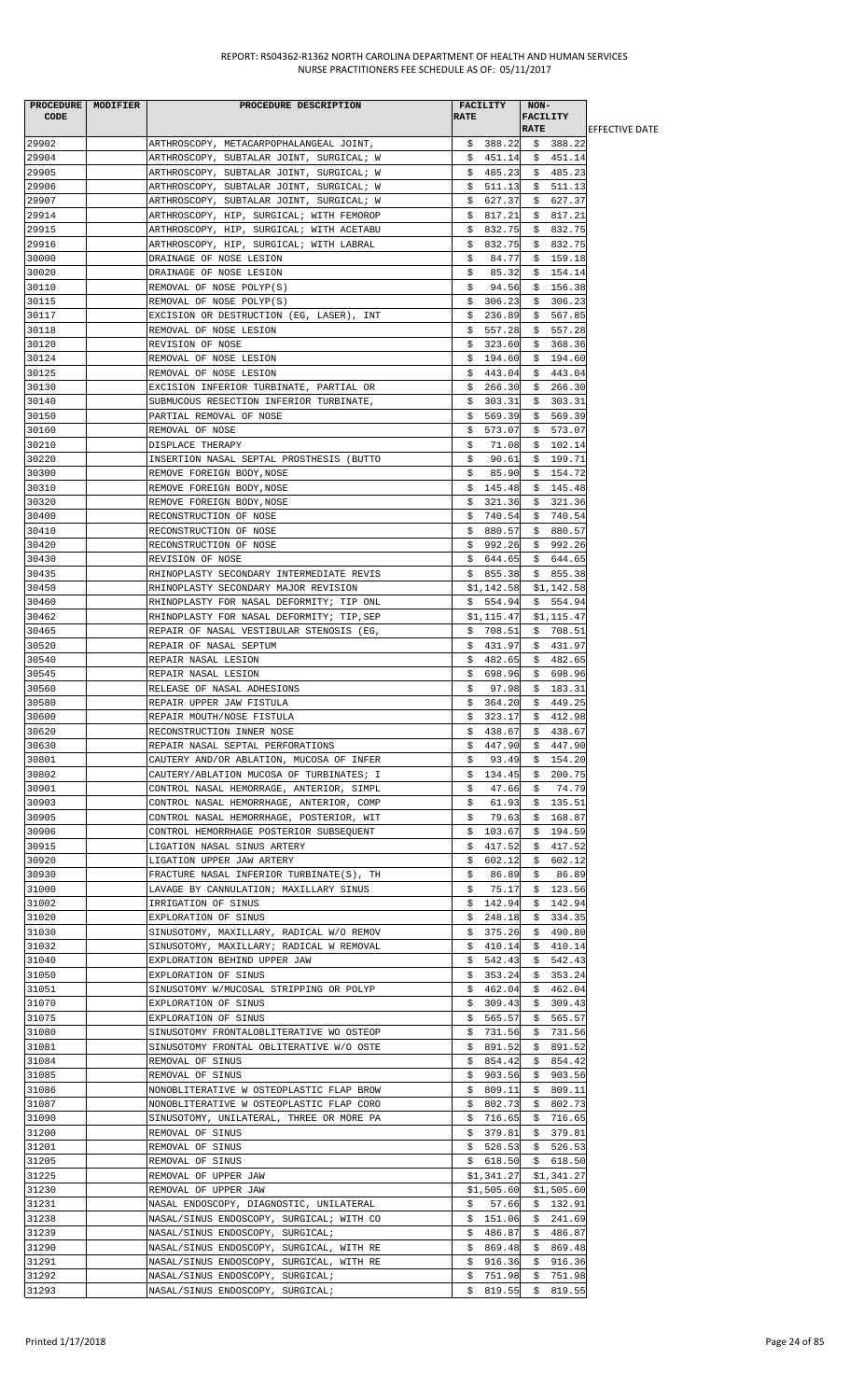| PROCEDURE   MODIFIER | PROCEDURE DESCRIPTION                     | <b>FACILITY</b> | NON-                  |                        |
|----------------------|-------------------------------------------|-----------------|-----------------------|------------------------|
| CODE                 |                                           | <b>RATE</b>     | <b>FACILITY</b>       |                        |
|                      |                                           |                 | <b>RATE</b>           | <b>LEFFECTIVE DATE</b> |
| 29902                | ARTHROSCOPY, METACARPOPHALANGEAL JOINT,   | \$388.22        | \$388.22              |                        |
| 29904                | ARTHROSCOPY, SUBTALAR JOINT, SURGICAL; W  |                 | $$451.14 \t$451.14$   |                        |
| 29905                | ARTHROSCOPY, SUBTALAR JOINT, SURGICAL; W  | \$485.23        | \$485.23              |                        |
| 29906                | ARTHROSCOPY, SUBTALAR JOINT, SURGICAL; W  | \$511.13        | \$511.13              |                        |
| 29907                | ARTHROSCOPY, SUBTALAR JOINT, SURGICAL; W  | \$627.37        | 627.37<br>\$          |                        |
| 29914                | ARTHROSCOPY, HIP, SURGICAL; WITH FEMOROP  | 817.21<br>Ş.    | \$817.21              |                        |
| 29915                | ARTHROSCOPY, HIP, SURGICAL; WITH ACETABU  | S.<br>832.75    | \$832.75              |                        |
| 29916                | ARTHROSCOPY, HIP, SURGICAL; WITH LABRAL   | \$832.75        | \$832.75              |                        |
| 30000                | DRAINAGE OF NOSE LESION                   | \$<br>84.77     | \$159.18              |                        |
| 30020                | DRAINAGE OF NOSE LESION                   | \$<br>85.32     | \$154.14              |                        |
| 30110                | REMOVAL OF NOSE POLYP(S)                  | 94.56<br>\$     | \$156.38              |                        |
| 30115                | REMOVAL OF NOSE POLYP(S)                  | \$306.23        | \$306.23              |                        |
| 30117                | EXCISION OR DESTRUCTION (EG, LASER), INT  | \$<br>236.89    | 567.85<br>Ş.          |                        |
| 30118                | REMOVAL OF NOSE LESION                    | \$557.28        | \$557.28              |                        |
| 30120                | REVISION OF NOSE                          | \$323.60        | \$368.36              |                        |
| 30124                | REMOVAL OF NOSE LESION                    | \$194.60        | \$194.60              |                        |
| 30125                | REMOVAL OF NOSE LESION                    | \$443.04        | \$443.04              |                        |
| 30130                | EXCISION INFERIOR TURBINATE, PARTIAL OR   | \$266.30        | \$266.30              |                        |
| 30140                | SUBMUCOUS RESECTION INFERIOR TURBINATE,   | \$303.31        | \$303.31              |                        |
| 30150                | PARTIAL REMOVAL OF NOSE                   | \$<br>569.39    | \$<br>569.39          |                        |
| 30160                | REMOVAL OF NOSE                           | \$<br>573.07    | \$573.07              |                        |
| 30210                | DISPLACE THERAPY                          | \$<br>71.08     | \$102.14              |                        |
| 30220                | INSERTION NASAL SEPTAL PROSTHESIS (BUTTO  | \$<br>90.61     | \$199.71              |                        |
| 30300                | REMOVE FOREIGN BODY, NOSE                 | \$<br>85.90     | \$154.72              |                        |
| 30310                | REMOVE FOREIGN BODY, NOSE                 | \$145.48        | \$145.48              |                        |
| 30320                | REMOVE FOREIGN BODY, NOSE                 | \$321.36        | \$321.36              |                        |
| 30400                | RECONSTRUCTION OF NOSE                    | \$740.54        | \$740.54              |                        |
| 30410                | RECONSTRUCTION OF NOSE                    | \$.<br>880.57   | \$880.57              |                        |
| 30420                |                                           | \$992.26        | \$992.26              |                        |
| 30430                | RECONSTRUCTION OF NOSE                    |                 |                       |                        |
|                      | REVISION OF NOSE                          | \$644.65        | \$644.65              |                        |
| 30435                | RHINOPLASTY SECONDARY INTERMEDIATE REVIS  | \$855.38        | \$855.38              |                        |
| 30450                | RHINOPLASTY SECONDARY MAJOR REVISION      | \$1,142.58      | \$1,142.58            |                        |
| 30460                | RHINOPLASTY FOR NASAL DEFORMITY; TIP ONL  | \$554.94        | \$554.94              |                        |
| 30462                | RHINOPLASTY FOR NASAL DEFORMITY; TIP, SEP | \$1,115.47      | \$1,115.47            |                        |
| 30465                | REPAIR OF NASAL VESTIBULAR STENOSIS (EG,  | \$708.51        | \$708.51              |                        |
| 30520                | REPAIR OF NASAL SEPTUM                    | \$431.97        | \$431.97              |                        |
| 30540                | REPAIR NASAL LESION                       | \$482.65        | \$482.65              |                        |
| 30545                | REPAIR NASAL LESION                       | \$698.96        | \$698.96              |                        |
| 30560                | RELEASE OF NASAL ADHESIONS                | \$<br>97.98     | \$183.31              |                        |
| 30580                | REPAIR UPPER JAW FISTULA                  | \$364.20        | \$449.25              |                        |
| 30600                | REPAIR MOUTH/NOSE FISTULA                 | 323.17<br>\$    | 412.98<br>\$          |                        |
| 30620                | RECONSTRUCTION INNER NOSE                 | \$438.67        | \$438.67              |                        |
| 30630                | REPAIR NASAL SEPTAL PERFORATIONS          | 447.90<br>S.    | \$447.90              |                        |
| 30801                | CAUTERY AND/OR ABLATION, MUCOSA OF INFER  | \$              | $93.49 \quad $154.20$ |                        |
| 30802                | CAUTERY/ABLATION MUCOSA OF TURBINATES; I  | \$<br>134.45    | 200.75<br>\$          |                        |
| 30901                | CONTROL NASAL HEMORRAGE, ANTERIOR, SIMPL  | \$<br>47.66     | \$<br>74.79           |                        |
| 30903                | CONTROL NASAL HEMORRHAGE, ANTERIOR, COMP  | 61.93<br>\$     | \$135.51              |                        |
| 30905                | CONTROL NASAL HEMORRHAGE, POSTERIOR, WIT  | \$<br>79.63     | \$<br>168.87          |                        |
| 30906                | CONTROL HEMORRHAGE POSTERIOR SUBSEQUENT   | \$103.67        | \$194.59              |                        |
| 30915                | LIGATION NASAL SINUS ARTERY               | 417.52<br>S.    | 417.52<br>S.          |                        |
| 30920                | LIGATION UPPER JAW ARTERY                 | \$602.12        | \$602.12              |                        |
| 30930                | FRACTURE NASAL INFERIOR TURBINATE(S), TH  | \$<br>86.89     | \$<br>86.89           |                        |
| 31000                | LAVAGE BY CANNULATION; MAXILLARY SINUS    | \$<br>75.17     | \$123.56              |                        |
| 31002                | IRRIGATION OF SINUS                       | 142.94<br>\$    | \$142.94              |                        |
| 31020                | EXPLORATION OF SINUS                      | \$.<br>248.18   | \$<br>334.35          |                        |
| 31030                | SINUSOTOMY, MAXILLARY, RADICAL W/O REMOV  | 375.26<br>Ş.    | \$.<br>490.80         |                        |
| 31032                | SINUSOTOMY, MAXILLARY; RADICAL W REMOVAL  | 410.14<br>Ş.    | 410.14<br>Ş.          |                        |
| 31040                | EXPLORATION BEHIND UPPER JAW              | \$542.43        | \$542.43              |                        |
| 31050                | EXPLORATION OF SINUS                      | 353.24<br>Ş.    | 353.24<br>\$          |                        |
| 31051                | SINUSOTOMY W/MUCOSAL STRIPPING OR POLYP   | \$.<br>462.04   | 462.04<br>Ş.          |                        |
| 31070                | EXPLORATION OF SINUS                      | 309.43<br>Ş.    | 309.43<br>\$          |                        |
| 31075                | EXPLORATION OF SINUS                      | \$.<br>565.57   | \$<br>565.57          |                        |
| 31080                | SINUSOTOMY FRONTALOBLITERATIVE WO OSTEOP  | 731.56<br>Ş.    | \$<br>731.56          |                        |
| 31081                | SINUSOTOMY FRONTAL OBLITERATIVE W/O OSTE  | 891.52<br>Ş.    | \$<br>891.52          |                        |
| 31084                | REMOVAL OF SINUS                          | 854.42<br>Ş.    | 854.42<br>Ş.          |                        |
| 31085                | REMOVAL OF SINUS                          | \$<br>903.56    | 903.56<br>S.          |                        |
| 31086                | NONOBLITERATIVE W OSTEOPLASTIC FLAP BROW  | 809.11<br>Ş.    | 809.11<br>Ş.          |                        |
| 31087                | NONOBLITERATIVE W OSTEOPLASTIC FLAP CORO  | 802.73<br>S.    | \$802.73              |                        |
| 31090                | SINUSOTOMY, UNILATERAL, THREE OR MORE PA  | \$716.65        | \$716.65              |                        |
| 31200                | REMOVAL OF SINUS                          | \$<br>379.81    | \$<br>379.81          |                        |
| 31201                | REMOVAL OF SINUS                          | 526.53<br>Ş.    | \$<br>526.53          |                        |
| 31205                | REMOVAL OF SINUS                          | \$618.50        | \$618.50              |                        |
| 31225                | REMOVAL OF UPPER JAW                      | \$1,341.27      | \$1,341.27            |                        |
| 31230                | REMOVAL OF UPPER JAW                      | \$1,505.60      | \$1,505.60            |                        |
| 31231                | NASAL ENDOSCOPY, DIAGNOSTIC, UNILATERAL   | S.<br>57.66     | \$132.91              |                        |
| 31238                | NASAL/SINUS ENDOSCOPY, SURGICAL; WITH CO  | \$151.06        | \$241.69              |                        |
| 31239                | NASAL/SINUS ENDOSCOPY, SURGICAL;          | \$<br>486.87    | \$<br>486.87          |                        |
| 31290                | NASAL/SINUS ENDOSCOPY, SURGICAL, WITH RE  | 869.48<br>Ş.    | \$<br>869.48          |                        |
| 31291                | NASAL/SINUS ENDOSCOPY, SURGICAL, WITH RE  | 916.36<br>S.    | \$<br>916.36          |                        |
| 31292                | NASAL/SINUS ENDOSCOPY, SURGICAL;          | \$<br>751.98    | \$<br>751.98          |                        |
| 31293                | NASAL/SINUS ENDOSCOPY, SURGICAL;          | 819.55<br>\$    | \$819.55              |                        |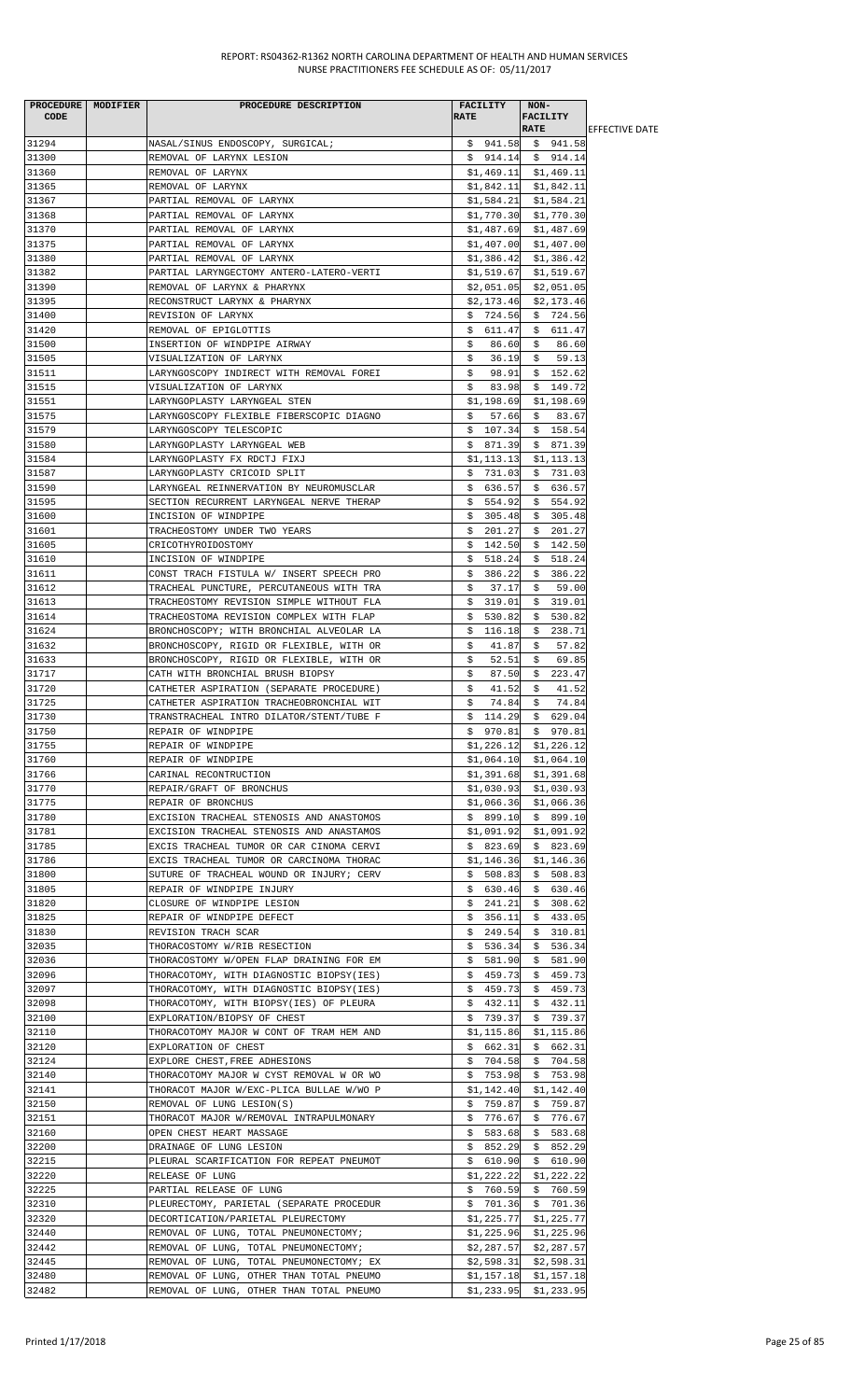|                | PROCEDURE   MODIFIER | PROCEDURE DESCRIPTION                                                                | FACILITY                 | NON-                                  |                        |
|----------------|----------------------|--------------------------------------------------------------------------------------|--------------------------|---------------------------------------|------------------------|
| <b>CODE</b>    |                      |                                                                                      | <b>RATE</b>              | FACILITY                              |                        |
|                |                      |                                                                                      |                          | <b>RATE</b>                           | <b>IEFFECTIVE DATE</b> |
| 31294          |                      | NASAL/SINUS ENDOSCOPY, SURGICAL;                                                     |                          | $$941.58$ $$941.58$                   |                        |
| 31300          |                      | REMOVAL OF LARYNX LESION                                                             |                          | $$914.14 \t$914.14$                   |                        |
| 31360          |                      | REMOVAL OF LARYNX                                                                    |                          | \$1,469.11 \$1,469.11                 |                        |
| 31365          |                      | REMOVAL OF LARYNX                                                                    |                          | $$1,842.11$ $$1,842.11$               |                        |
| 31367          |                      | PARTIAL REMOVAL OF LARYNX                                                            | \$1,584.21               | \$1,584.21                            |                        |
| 31368          |                      | PARTIAL REMOVAL OF LARYNX                                                            |                          | $$1,770.30$ $$1,770.30$               |                        |
| 31370          |                      | PARTIAL REMOVAL OF LARYNX                                                            |                          | $$1,487.69$ $$1,487.69$               |                        |
| 31375          |                      | PARTIAL REMOVAL OF LARYNX                                                            |                          | $$1,407.00$ $$1,407.00$               |                        |
| 31380          |                      | PARTIAL REMOVAL OF LARYNX                                                            | \$1,386.42               | \$1,386.42                            |                        |
| 31382          |                      | PARTIAL LARYNGECTOMY ANTERO-LATERO-VERTI                                             | \$1,519.67               | \$1,519.67                            |                        |
| 31390          |                      | REMOVAL OF LARYNX & PHARYNX                                                          | \$2,051.05               | \$2,051.05                            |                        |
| 31395          |                      | RECONSTRUCT LARYNX & PHARYNX                                                         | \$2,173.46               | \$2,173.46                            |                        |
| 31400          |                      | REVISION OF LARYNX                                                                   | \$724.56                 | \$724.56                              |                        |
| 31420          |                      | REMOVAL OF EPIGLOTTIS                                                                | \$611.47                 | \$611.47                              |                        |
| 31500          |                      | INSERTION OF WINDPIPE AIRWAY                                                         | \$<br>86.60              | \$86.60                               |                        |
| 31505          |                      | VISUALIZATION OF LARYNX                                                              | \$.<br>36.19             | \$59.13                               |                        |
| 31511          |                      | LARYNGOSCOPY INDIRECT WITH REMOVAL FOREI                                             | 98.91<br>S.              | \$152.62                              |                        |
| 31515          |                      | VISUALIZATION OF LARYNX                                                              | \$.<br>83.98             | \$149.72                              |                        |
| 31551          |                      | LARYNGOPLASTY LARYNGEAL STEN                                                         | \$1,198.69               | \$1,198.69                            |                        |
| 31575          |                      | LARYNGOSCOPY FLEXIBLE FIBERSCOPIC DIAGNO                                             | \$<br>57.66              | \$83.67                               |                        |
| 31579          |                      | LARYNGOSCOPY TELESCOPIC                                                              | \$107.34                 | \$158.54                              |                        |
| 31580          |                      | LARYNGOPLASTY LARYNGEAL WEB                                                          | \$871.39                 | \$ 871.39                             |                        |
| 31584          |                      | LARYNGOPLASTY FX RDCTJ FIXJ                                                          | \$1,113.13               | \$1,113.13                            |                        |
| 31587          |                      | LARYNGOPLASTY CRICOID SPLIT                                                          | \$731.03                 | \$731.03                              |                        |
| 31590          |                      | LARYNGEAL REINNERVATION BY NEUROMUSCLAR                                              | \$636.57                 | \$636.57                              |                        |
| 31595          |                      | SECTION RECURRENT LARYNGEAL NERVE THERAP                                             | \$554.92                 | \$554.92                              |                        |
| 31600          |                      | INCISION OF WINDPIPE                                                                 | \$305.48                 | \$305.48                              |                        |
| 31601          |                      | TRACHEOSTOMY UNDER TWO YEARS                                                         | \$201.27                 | \$201.27                              |                        |
| 31605          |                      | CRICOTHYROIDOSTOMY                                                                   | \$142.50                 | \$142.50                              |                        |
| 31610          |                      | INCISION OF WINDPIPE                                                                 | 518.24<br>Ş.             | \$518.24                              |                        |
| 31611          |                      | CONST TRACH FISTULA W/ INSERT SPEECH PRO                                             | \$386.22                 | \$386.22                              |                        |
| 31612          |                      | TRACHEAL PUNCTURE, PERCUTANEOUS WITH TRA                                             | 37.17<br>\$              | \$59.00                               |                        |
| 31613          |                      | TRACHEOSTOMY REVISION SIMPLE WITHOUT FLA                                             | \$319.01                 | \$319.01                              |                        |
| 31614          |                      | TRACHEOSTOMA REVISION COMPLEX WITH FLAP                                              | \$.<br>530.82            | \$<br>530.82                          |                        |
| 31624          |                      | BRONCHOSCOPY; WITH BRONCHIAL ALVEOLAR LA                                             | 116.18<br>Ş.             | 238.71<br>\$                          |                        |
| 31632          |                      | BRONCHOSCOPY, RIGID OR FLEXIBLE, WITH OR                                             | \$<br>41.87              | \$<br>57.82                           |                        |
| 31633          |                      | BRONCHOSCOPY, RIGID OR FLEXIBLE, WITH OR                                             | \$<br>52.51              | \$<br>69.85                           |                        |
| 31717          |                      | CATH WITH BRONCHIAL BRUSH BIOPSY                                                     | \$<br>87.50              | \$223.47                              |                        |
| 31720          |                      | CATHETER ASPIRATION (SEPARATE PROCEDURE)                                             | 41.52<br>Ş.              | 41.52<br>-S                           |                        |
| 31725          |                      | CATHETER ASPIRATION TRACHEOBRONCHIAL WIT                                             | \$<br>74.84              | \$<br>74.84                           |                        |
| 31730          |                      | TRANSTRACHEAL INTRO DILATOR/STENT/TUBE F                                             |                          | $$114.29$ \$629.04                    |                        |
| 31750          |                      | REPAIR OF WINDPIPE                                                                   |                          | \$ 970.81 \$ 970.81                   |                        |
| 31755          |                      | REPAIR OF WINDPIPE                                                                   |                          | $$1,226.12$ $$1,226.12$               |                        |
| 31760          |                      | REPAIR OF WINDPIPE                                                                   | \$1,064.10               | \$1,064.10                            |                        |
| 31766          |                      | CARINAL RECONTRUCTION                                                                | \$1,391.68               | \$1,391.68                            |                        |
| 31770          |                      | REPAIR/GRAFT OF BRONCHUS                                                             | \$1,030.93               | \$1,030.93                            |                        |
| 31775          |                      | REPAIR OF BRONCHUS                                                                   | \$1,066.36               | \$1,066.36                            |                        |
| 31780          |                      | EXCISION TRACHEAL STENOSIS AND ANASTOMOS                                             | \$899.10                 | \$899.10                              |                        |
| 31781          |                      | EXCISION TRACHEAL STENOSIS AND ANASTAMOS                                             | \$1,091.92               | \$1,091.92                            |                        |
| 31785          |                      | EXCIS TRACHEAL TUMOR OR CAR CINOMA CERVI                                             |                          | $$823.69$ \$ 823.69                   |                        |
| 31786          |                      | EXCIS TRACHEAL TUMOR OR CARCINOMA THORAC                                             | \$1,146.36               | \$1,146.36                            |                        |
| 31800          |                      | SUTURE OF TRACHEAL WOUND OR INJURY; CERV                                             | \$508.83                 | \$508.83                              |                        |
| 31805          |                      | REPAIR OF WINDPIPE INJURY                                                            | \$630.46                 | \$630.46                              |                        |
| 31820          |                      | CLOSURE OF WINDPIPE LESION                                                           | \$241.21                 | \$308.62                              |                        |
|                |                      |                                                                                      |                          |                                       |                        |
| 31825<br>31830 |                      | REPAIR OF WINDPIPE DEFECT<br>REVISION TRACH SCAR                                     | \$356.11<br>\$249.54     | \$433.05<br>\$310.81                  |                        |
| 32035          |                      |                                                                                      | \$536.34                 | \$536.34                              |                        |
| 32036          |                      | THORACOSTOMY W/RIB RESECTION<br>THORACOSTOMY W/OPEN FLAP DRAINING FOR EM             | \$581.90                 | 581.90<br>\$                          |                        |
| 32096          |                      | THORACOTOMY, WITH DIAGNOSTIC BIOPSY(IES)                                             | 459.73<br>Ş.             | 459.73<br>Ş.                          |                        |
|                |                      |                                                                                      |                          |                                       |                        |
| 32097<br>32098 |                      | THORACOTOMY, WITH DIAGNOSTIC BIOPSY(IES)<br>THORACOTOMY, WITH BIOPSY(IES) OF PLEURA  | \$459.73<br>\$432.11     | \$459.73<br>\$432.11                  |                        |
|                |                      |                                                                                      |                          |                                       |                        |
| 32100<br>32110 |                      | EXPLORATION/BIOPSY OF CHEST<br>THORACOTOMY MAJOR W CONT OF TRAM HEM AND              | \$739.37                 | \$739.37<br>\$1,115.86                |                        |
| 32120          |                      | EXPLORATION OF CHEST                                                                 | \$1,115.86<br>\$662.31   | \$662.31                              |                        |
|                |                      |                                                                                      |                          |                                       |                        |
| 32124          |                      | EXPLORE CHEST, FREE ADHESIONS                                                        | \$704.58                 | \$704.58                              |                        |
| 32140<br>32141 |                      | THORACOTOMY MAJOR W CYST REMOVAL W OR WO                                             | \$753.98                 | \$753.98                              |                        |
| 32150          |                      | THORACOT MAJOR W/EXC-PLICA BULLAE W/WO P                                             | \$1,142.40               | \$1,142.40                            |                        |
| 32151          |                      | REMOVAL OF LUNG LESION(S)                                                            | \$759.87                 | \$759.87<br>\$776.67                  |                        |
|                |                      | THORACOT MAJOR W/REMOVAL INTRAPULMONARY                                              | \$776.67                 |                                       |                        |
| 32160          |                      | OPEN CHEST HEART MASSAGE                                                             | \$583.68                 | \$583.68                              |                        |
| 32200          |                      | DRAINAGE OF LUNG LESION                                                              | \$852.29                 | \$852.29                              |                        |
| 32215<br>32220 |                      | PLEURAL SCARIFICATION FOR REPEAT PNEUMOT                                             | \$610.90<br>\$1,222.22   | \$610.90<br>\$1,222.22                |                        |
| 32225          |                      | RELEASE OF LUNG<br>PARTIAL RELEASE OF LUNG                                           | \$760.59                 | \$760.59                              |                        |
| 32310          |                      |                                                                                      | \$701.36                 | \$701.36                              |                        |
| 32320          |                      | PLEURECTOMY, PARIETAL (SEPARATE PROCEDUR<br>DECORTICATION/PARIETAL PLEURECTOMY       | \$1,225.77               | \$1,225.77                            |                        |
| 32440          |                      |                                                                                      |                          |                                       |                        |
| 32442          |                      | REMOVAL OF LUNG, TOTAL PNEUMONECTOMY;<br>REMOVAL OF LUNG, TOTAL PNEUMONECTOMY;       | \$1,225.96<br>\$2,287.57 | \$1,225.96<br>\$2,287.57              |                        |
|                |                      |                                                                                      |                          | \$2,598.31                            |                        |
| 32445          |                      | REMOVAL OF LUNG, TOTAL PNEUMONECTOMY; EX                                             | \$2,598.31               |                                       |                        |
| 32480<br>32482 |                      | REMOVAL OF LUNG, OTHER THAN TOTAL PNEUMO<br>REMOVAL OF LUNG, OTHER THAN TOTAL PNEUMO | \$1,157.18               | \$1,157.18<br>$$1,233.95$ $$1,233.95$ |                        |
|                |                      |                                                                                      |                          |                                       |                        |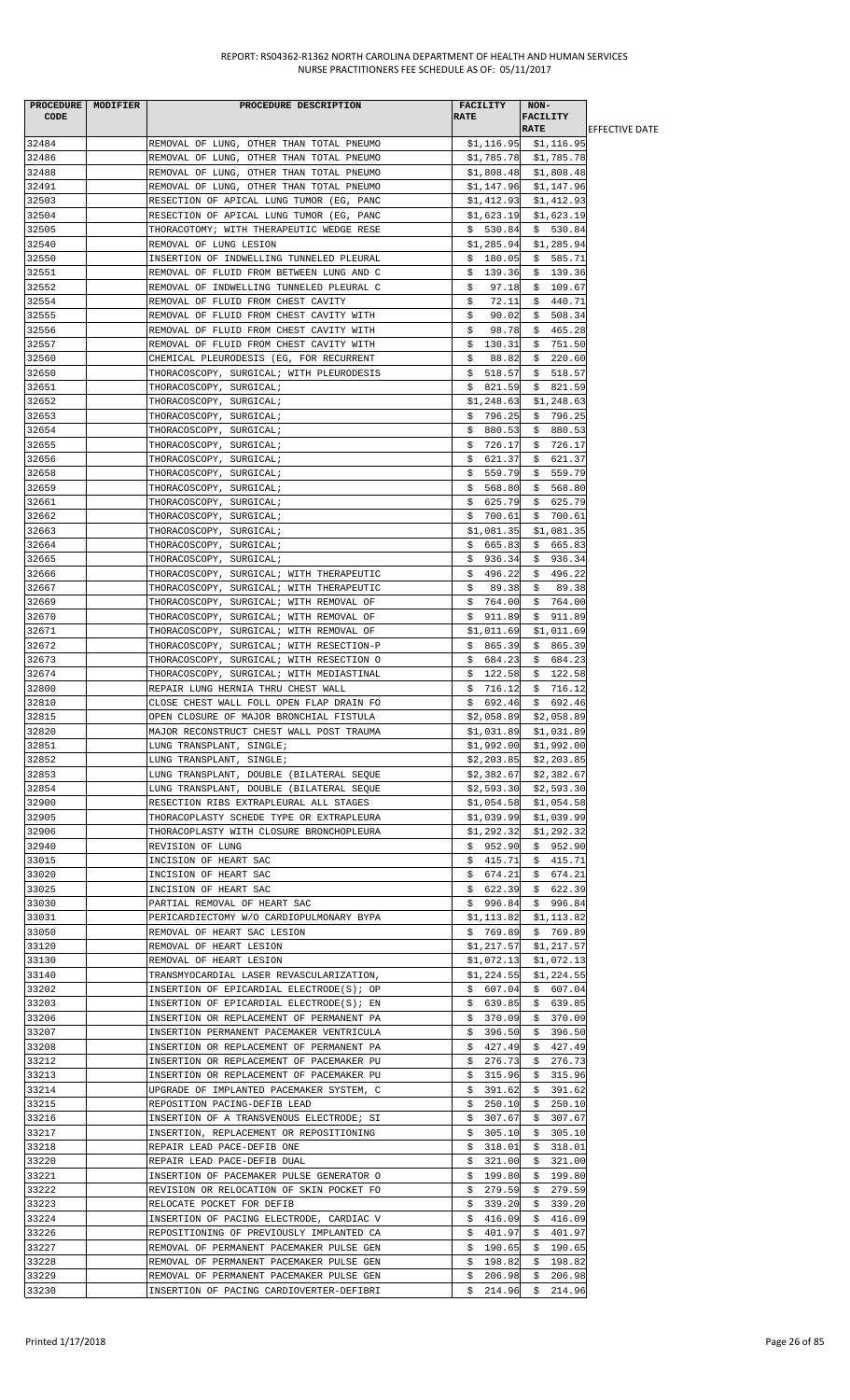|                | PROCEDURE MODIFIER | PROCEDURE DESCRIPTION                                                    | FACILITY      | $NON-$                        |                        |
|----------------|--------------------|--------------------------------------------------------------------------|---------------|-------------------------------|------------------------|
| CODE           |                    |                                                                          | <b>RATE</b>   | <b>FACILITY</b>               |                        |
|                |                    |                                                                          |               | <b>RATE</b>                   | <b>IEFFECTIVE DATE</b> |
| 32484          |                    | REMOVAL OF LUNG, OTHER THAN TOTAL PNEUMO                                 |               | $$1,116.95$ $$1,116.95$       |                        |
| 32486          |                    | REMOVAL OF LUNG, OTHER THAN TOTAL PNEUMO                                 |               | $$1,785.78$ $$1,785.78$       |                        |
| 32488          |                    | REMOVAL OF LUNG, OTHER THAN TOTAL PNEUMO                                 |               | $$1,808.48$ $$1,808.48$       |                        |
| 32491          |                    | REMOVAL OF LUNG, OTHER THAN TOTAL PNEUMO                                 |               | $$1,147.96$ $$1,147.96$       |                        |
| 32503          |                    | RESECTION OF APICAL LUNG TUMOR (EG, PANC                                 | \$1,412.93    | \$1,412.93                    |                        |
| 32504          |                    | RESECTION OF APICAL LUNG TUMOR (EG, PANC                                 | \$1,623.19    | \$1,623.19                    |                        |
| 32505          |                    | THORACOTOMY; WITH THERAPEUTIC WEDGE RESE                                 | \$530.84      | \$530.84                      |                        |
| 32540          |                    | REMOVAL OF LUNG LESION                                                   | \$1,285.94    | \$1,285.94                    |                        |
| 32550          |                    | INSERTION OF INDWELLING TUNNELED PLEURAL                                 | \$180.05      | \$585.71                      |                        |
| 32551          |                    | REMOVAL OF FLUID FROM BETWEEN LUNG AND C                                 | \$139.36      | \$139.36                      |                        |
| 32552          |                    | REMOVAL OF INDWELLING TUNNELED PLEURAL C                                 | \$<br>97.18   | \$109.67                      |                        |
| 32554          |                    | REMOVAL OF FLUID FROM CHEST CAVITY                                       | 72.11<br>\$   | \$440.71                      |                        |
| 32555          |                    | REMOVAL OF FLUID FROM CHEST CAVITY WITH                                  | \$<br>90.02   | \$<br>508.34                  |                        |
| 32556          |                    | REMOVAL OF FLUID FROM CHEST CAVITY WITH                                  | 98.78<br>\$   | \$465.28                      |                        |
| 32557          |                    | REMOVAL OF FLUID FROM CHEST CAVITY WITH                                  | \$<br>130.31  | 751.50<br>\$                  |                        |
| 32560          |                    | CHEMICAL PLEURODESIS (EG, FOR RECURRENT                                  | \$<br>88.82   | \$<br>220.60                  |                        |
| 32650          |                    | THORACOSCOPY, SURGICAL; WITH PLEURODESIS                                 | \$518.57      | \$518.57                      |                        |
| 32651          |                    | THORACOSCOPY, SURGICAL;                                                  | \$821.59      | \$821.59                      |                        |
| 32652          |                    | THORACOSCOPY, SURGICAL;                                                  | \$1,248.63    | \$1,248.63                    |                        |
| 32653          |                    | THORACOSCOPY, SURGICAL;                                                  | \$796.25      | \$796.25                      |                        |
| 32654          |                    | THORACOSCOPY, SURGICAL;                                                  | \$880.53      | \$880.53                      |                        |
| 32655          |                    | THORACOSCOPY, SURGICAL;                                                  | \$726.17      | \$726.17                      |                        |
| 32656          |                    | THORACOSCOPY, SURGICAL;                                                  | \$.<br>621.37 | 621.37<br>\$                  |                        |
| 32658          |                    | THORACOSCOPY, SURGICAL;                                                  | 559.79<br>Ş.  | 559.79<br>\$                  |                        |
| 32659          |                    | THORACOSCOPY, SURGICAL;                                                  | \$568.80      | \$568.80                      |                        |
| 32661          |                    | THORACOSCOPY, SURGICAL;                                                  | \$<br>625.79  | \$625.79                      |                        |
| 32662          |                    | THORACOSCOPY, SURGICAL;                                                  | 700.61<br>Ş.  | \$700.61                      |                        |
| 32663          |                    | THORACOSCOPY, SURGICAL;                                                  | \$1,081.35    | \$1,081.35                    |                        |
| 32664          |                    | THORACOSCOPY, SURGICAL;                                                  | \$665.83      | \$665.83                      |                        |
| 32665          |                    | THORACOSCOPY, SURGICAL;                                                  | \$<br>936.34  | \$<br>936.34                  |                        |
| 32666          |                    | THORACOSCOPY, SURGICAL; WITH THERAPEUTIC                                 | \$496.22      | 496.22<br>\$                  |                        |
| 32667          |                    | THORACOSCOPY, SURGICAL; WITH THERAPEUTIC                                 | 89.38<br>S.   | \$<br>89.38                   |                        |
| 32669          |                    | THORACOSCOPY, SURGICAL; WITH REMOVAL OF                                  | \$764.00      | \$764.00                      |                        |
| 32670          |                    | THORACOSCOPY, SURGICAL; WITH REMOVAL OF                                  | \$911.89      | \$911.89                      |                        |
| 32671          |                    | THORACOSCOPY, SURGICAL; WITH REMOVAL OF                                  | \$1,011.69    | \$1,011.69                    |                        |
| 32672          |                    | THORACOSCOPY, SURGICAL; WITH RESECTION-P                                 | \$865.39      | \$865.39                      |                        |
| 32673          |                    | THORACOSCOPY, SURGICAL; WITH RESECTION O                                 | \$684.23      | \$684.23                      |                        |
| 32674          |                    | THORACOSCOPY, SURGICAL; WITH MEDIASTINAL                                 | \$122.58      | \$122.58                      |                        |
| 32800          |                    | REPAIR LUNG HERNIA THRU CHEST WALL                                       | \$716.12      | \$716.12                      |                        |
| 32810          |                    | CLOSE CHEST WALL FOLL OPEN FLAP DRAIN FO                                 | \$692.46      | \$692.46                      |                        |
| 32815          |                    | OPEN CLOSURE OF MAJOR BRONCHIAL FISTULA                                  | \$2,058.89    | \$2,058.89                    |                        |
| 32820          |                    | MAJOR RECONSTRUCT CHEST WALL POST TRAUMA                                 | \$1,031.89    | \$1,031.89                    |                        |
| 32851          |                    | LUNG TRANSPLANT, SINGLE;                                                 |               | $$1,992.00$ $$1,992.00$       |                        |
| 32852          |                    | LUNG TRANSPLANT, SINGLE;                                                 |               | $$2,203.85$ $$2,203.85$       |                        |
| 32853          |                    | LUNG TRANSPLANT, DOUBLE (BILATERAL SEQUE                                 | \$2,382.67    | \$2,382.67                    |                        |
| 32854          |                    | LUNG TRANSPLANT, DOUBLE (BILATERAL SEQUE                                 | \$2,593.30    | \$2,593.30                    |                        |
| 32900          |                    | RESECTION RIBS EXTRAPLEURAL ALL STAGES                                   | \$1,054.58    | \$1,054.58                    |                        |
| 32905          |                    | THORACOPLASTY SCHEDE TYPE OR EXTRAPLEURA                                 | \$1,039.99    | \$1,039.99                    |                        |
| 32906          |                    | THORACOPLASTY WITH CLOSURE BRONCHOPLEURA                                 | \$1,292.32    | \$1,292.32                    |                        |
| 32940          |                    | REVISION OF LUNG                                                         | \$952.90      | \$952.90                      |                        |
| 33015          |                    | INCISION OF HEART SAC                                                    | \$415.71      | \$415.71                      |                        |
| 33020          |                    | INCISION OF HEART SAC                                                    | \$674.21      | \$674.21                      |                        |
| 33025          |                    | INCISION OF HEART SAC                                                    | \$622.39      | \$622.39                      |                        |
| 33030          |                    | PARTIAL REMOVAL OF HEART SAC                                             | \$996.84      | \$996.84                      |                        |
| 33031          |                    | PERICARDIECTOMY W/O CARDIOPULMONARY BYPA                                 | \$1,113.82    | \$1,113.82                    |                        |
| 33050          |                    | REMOVAL OF HEART SAC LESION                                              | \$769.89      | \$769.89                      |                        |
| 33120          |                    | REMOVAL OF HEART LESION                                                  | \$1,217.57    | \$1,217.57                    |                        |
| 33130          |                    | REMOVAL OF HEART LESION                                                  | \$1,072.13    | \$1,072.13                    |                        |
| 33140          |                    | TRANSMYOCARDIAL LASER REVASCULARIZATION,                                 | \$1,224.55    | \$1,224.55                    |                        |
| 33202          |                    | INSERTION OF EPICARDIAL ELECTRODE(S); OP                                 | \$607.04      | \$607.04                      |                        |
| 33203          |                    | INSERTION OF EPICARDIAL ELECTRODE(S); EN                                 | \$639.85      | \$639.85                      |                        |
| 33206          |                    | INSERTION OR REPLACEMENT OF PERMANENT PA                                 | \$370.09      | \$370.09                      |                        |
| 33207          |                    | INSERTION PERMANENT PACEMAKER VENTRICULA                                 | \$396.50      | \$396.50                      |                        |
| 33208          |                    | INSERTION OR REPLACEMENT OF PERMANENT PA                                 | \$427.49      | 427.49                        |                        |
| 33212          |                    | INSERTION OR REPLACEMENT OF PACEMAKER PU                                 | \$276.73      | Ş.<br>276.73<br>\$.           |                        |
| 33213          |                    |                                                                          | \$315.96      |                               |                        |
|                |                    | INSERTION OR REPLACEMENT OF PACEMAKER PU                                 | \$391.62      | \$<br>315.96<br>\$.<br>391.62 |                        |
| 33214<br>33215 |                    | UPGRADE OF IMPLANTED PACEMAKER SYSTEM, C<br>REPOSITION PACING-DEFIB LEAD | \$250.10      | \$250.10                      |                        |
|                |                    |                                                                          |               |                               |                        |
| 33216          |                    | INSERTION OF A TRANSVENOUS ELECTRODE; SI                                 | \$307.67      | \$307.67                      |                        |
| 33217          |                    | INSERTION, REPLACEMENT OR REPOSITIONING                                  | \$305.10      | \$305.10                      |                        |
| 33218          |                    | REPAIR LEAD PACE-DEFIB ONE                                               | \$318.01      | \$318.01                      |                        |
| 33220          |                    | REPAIR LEAD PACE-DEFIB DUAL                                              | \$<br>321.00  | \$321.00                      |                        |
| 33221          |                    | INSERTION OF PACEMAKER PULSE GENERATOR O                                 | \$199.80      | 199.80<br>\$                  |                        |
| 33222          |                    | REVISION OR RELOCATION OF SKIN POCKET FO                                 | \$279.59      | 279.59<br>\$                  |                        |
| 33223          |                    | RELOCATE POCKET FOR DEFIB                                                | 339.20<br>Ş.  | 339.20<br>Ş.                  |                        |
| 33224          |                    | INSERTION OF PACING ELECTRODE, CARDIAC V                                 | \$<br>416.09  | \$<br>416.09                  |                        |
| 33226          |                    | REPOSITIONING OF PREVIOUSLY IMPLANTED CA                                 | 401.97<br>Ş.  | 401.97<br>Ş.                  |                        |
| 33227          |                    | REMOVAL OF PERMANENT PACEMAKER PULSE GEN                                 | \$190.65      | \$190.65                      |                        |
| 33228          |                    | REMOVAL OF PERMANENT PACEMAKER PULSE GEN                                 | \$198.82      | \$198.82                      |                        |
| 33229          |                    | REMOVAL OF PERMANENT PACEMAKER PULSE GEN                                 | 206.98<br>\$. | \$<br>206.98                  |                        |
| 33230          |                    | INSERTION OF PACING CARDIOVERTER-DEFIBRI                                 |               | $$214.96$ $$214.96$           |                        |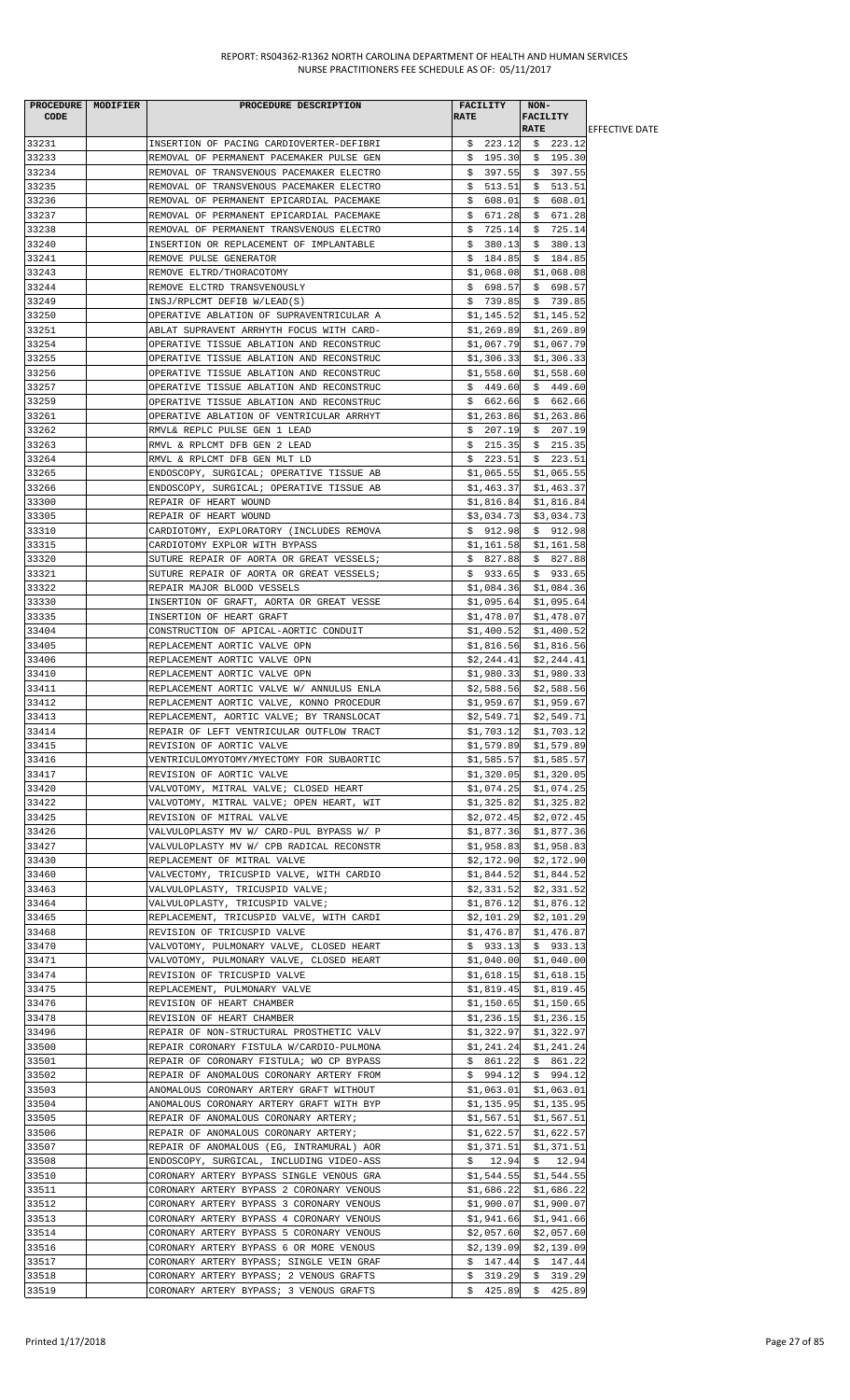|                | PROCEDURE   MODIFIER | PROCEDURE DESCRIPTION                                                                | <b>FACILITY</b>          | NON-                                         |                        |
|----------------|----------------------|--------------------------------------------------------------------------------------|--------------------------|----------------------------------------------|------------------------|
| <b>CODE</b>    |                      |                                                                                      | <b>RATE</b>              | <b>FACILITY</b>                              |                        |
|                |                      |                                                                                      |                          | <b>RATE</b>                                  | <b>IEFFECTIVE DATE</b> |
| 33231          |                      | INSERTION OF PACING CARDIOVERTER-DEFIBRI                                             |                          | $$223.12$$ $$223.12$                         |                        |
| 33233          |                      | REMOVAL OF PERMANENT PACEMAKER PULSE GEN                                             |                          | $$195.30 \t$ 195.30$                         |                        |
| 33234          |                      | REMOVAL OF TRANSVENOUS PACEMAKER ELECTRO                                             | \$397.55                 | \$397.55                                     |                        |
| 33235<br>33236 |                      | REMOVAL OF TRANSVENOUS PACEMAKER ELECTRO<br>REMOVAL OF PERMANENT EPICARDIAL PACEMAKE | \$513.51<br>\$608.01     | \$513.51<br>\$608.01                         |                        |
| 33237          |                      | REMOVAL OF PERMANENT EPICARDIAL PACEMAKE                                             | \$671.28                 | \$671.28                                     |                        |
| 33238          |                      | REMOVAL OF PERMANENT TRANSVENOUS ELECTRO                                             | \$725.14                 | \$725.14                                     |                        |
| 33240          |                      | INSERTION OR REPLACEMENT OF IMPLANTABLE                                              | \$380.13                 | \$380.13                                     |                        |
| 33241          |                      | REMOVE PULSE GENERATOR                                                               | \$184.85                 | \$184.85                                     |                        |
| 33243          |                      | REMOVE ELTRD/THORACOTOMY                                                             |                          | $$1,068.08$ $$1,068.08$                      |                        |
| 33244          |                      | REMOVE ELCTRD TRANSVENOUSLY                                                          | \$698.57                 | \$698.57                                     |                        |
| 33249          |                      | INSJ/RPLCMT DEFIB W/LEAD(S)                                                          |                          | $$739.85$ $$739.85$                          |                        |
| 33250          |                      | OPERATIVE ABLATION OF SUPRAVENTRICULAR A                                             |                          | $$1,145.52$ $$1,145.52$                      |                        |
| 33251          |                      | ABLAT SUPRAVENT ARRHYTH FOCUS WITH CARD-                                             |                          | $$1,269.89$ $$1,269.89$                      |                        |
| 33254          |                      | OPERATIVE TISSUE ABLATION AND RECONSTRUC                                             |                          | $$1,067.79$ $$1,067.79$                      |                        |
| 33255          |                      | OPERATIVE TISSUE ABLATION AND RECONSTRUC                                             | \$1,306.33               | \$1,306.33                                   |                        |
| 33256          |                      | OPERATIVE TISSUE ABLATION AND RECONSTRUC                                             | \$1,558.60               | \$1,558.60                                   |                        |
| 33257          |                      | OPERATIVE TISSUE ABLATION AND RECONSTRUC                                             |                          | $$449.60 \$449.60$                           |                        |
| 33259          |                      | OPERATIVE TISSUE ABLATION AND RECONSTRUC                                             | \$662.66                 | \$662.66                                     |                        |
| 33261          |                      | OPERATIVE ABLATION OF VENTRICULAR ARRHYT                                             | \$1,263.86               | \$1,263.86                                   |                        |
| 33262          |                      | RMVL& REPLC PULSE GEN 1 LEAD                                                         | \$207.19                 | \$207.19                                     |                        |
| 33263          |                      | RMVL & RPLCMT DFB GEN 2 LEAD                                                         | \$215.35                 | \$215.35                                     |                        |
| 33264          |                      | RMVL & RPLCMT DFB GEN MLT LD                                                         |                          | $$223.51$ \$ 223.51                          |                        |
| 33265          |                      | ENDOSCOPY, SURGICAL; OPERATIVE TISSUE AB                                             | \$1,065.55               | \$1,065.55                                   |                        |
| 33266          |                      | ENDOSCOPY, SURGICAL; OPERATIVE TISSUE AB                                             | \$1,463.37               | \$1,463.37                                   |                        |
| 33300          |                      | REPAIR OF HEART WOUND                                                                | \$1,816.84               | \$1,816.84                                   |                        |
| 33305<br>33310 |                      | REPAIR OF HEART WOUND<br>CARDIOTOMY, EXPLORATORY (INCLUDES REMOVA                    | \$3,034.73<br>\$912.98   | \$3,034.73<br>\$912.98                       |                        |
| 33315          |                      | CARDIOTOMY EXPLOR WITH BYPASS                                                        | \$1,161.58               | \$1,161.58                                   |                        |
| 33320          |                      | SUTURE REPAIR OF AORTA OR GREAT VESSELS;                                             |                          | $$827.88$$ $$827.88$                         |                        |
| 33321          |                      | SUTURE REPAIR OF AORTA OR GREAT VESSELS;                                             | \$933.65                 | \$933.65                                     |                        |
| 33322          |                      | REPAIR MAJOR BLOOD VESSELS                                                           |                          | $$1,084.36$ $$1,084.36$                      |                        |
| 33330          |                      | INSERTION OF GRAFT, AORTA OR GREAT VESSE                                             | \$1,095.64               | \$1,095.64                                   |                        |
| 33335          |                      | INSERTION OF HEART GRAFT                                                             | \$1,478.07               | \$1,478.07                                   |                        |
| 33404          |                      | CONSTRUCTION OF APICAL-AORTIC CONDUIT                                                | \$1,400.52               | \$1,400.52                                   |                        |
| 33405          |                      | REPLACEMENT AORTIC VALVE OPN                                                         | \$1,816.56               | \$1,816.56                                   |                        |
| 33406          |                      | REPLACEMENT AORTIC VALVE OPN                                                         |                          | $$2,244.41$ $$2,244.41$                      |                        |
| 33410          |                      | REPLACEMENT AORTIC VALVE OPN                                                         |                          | $$1,980.33$ $$1,980.33$                      |                        |
| 33411          |                      | REPLACEMENT AORTIC VALVE W/ ANNULUS ENLA                                             |                          | $$2,588.56$ $$2,588.56$                      |                        |
| 33412          |                      | REPLACEMENT AORTIC VALVE, KONNO PROCEDUR                                             |                          | $$1,959.67$ $$1,959.67$                      |                        |
| 33413<br>33414 |                      | REPLACEMENT, AORTIC VALVE; BY TRANSLOCAT                                             | \$2,549.71<br>\$1,703.12 | \$2,549.71<br>\$1,703.12                     |                        |
| 33415          |                      | REPAIR OF LEFT VENTRICULAR OUTFLOW TRACT<br>REVISION OF AORTIC VALVE                 |                          | $$1,579.89$ $$1,579.89$                      |                        |
| 33416          |                      | VENTRICULOMYOTOMY/MYECTOMY FOR SUBAORTIC                                             |                          | \$1,585.57 \$1,585.57                        |                        |
| 33417          |                      | REVISION OF AORTIC VALVE                                                             | \$1,320.05               | \$1,320.05                                   |                        |
| 33420          |                      | VALVOTOMY, MITRAL VALVE; CLOSED HEART                                                | \$1,074.25               | \$1,074.25                                   |                        |
| 33422          |                      | VALVOTOMY, MITRAL VALVE; OPEN HEART, WIT                                             |                          | $$1,325.82$ $$1,325.82$                      |                        |
| 33425          |                      | REVISION OF MITRAL VALVE                                                             |                          | $$2,072.45$ $$2,072.45$                      |                        |
| 33426          |                      | VALVULOPLASTY MV W/ CARD-PUL BYPASS W/ P                                             | \$1,877.36               | \$1,877.36                                   |                        |
| 33427          |                      | VALVULOPLASTY MV W/ CPB RADICAL RECONSTR                                             | \$1,958.83               | \$1,958.83                                   |                        |
| 33430          |                      | REPLACEMENT OF MITRAL VALVE                                                          |                          | $$2,172.90$ $$2,172.90$                      |                        |
| 33460          |                      | VALVECTOMY, TRICUSPID VALVE, WITH CARDIO                                             | \$1,844.52               | \$1,844.52                                   |                        |
| 33463          |                      | VALVULOPLASTY, TRICUSPID VALVE;                                                      | \$2,331.52               | \$2,331.52                                   |                        |
| 33464          |                      | VALVULOPLASTY, TRICUSPID VALVE;                                                      | \$1,876.12               | \$1,876.12                                   |                        |
| 33465          |                      | REPLACEMENT, TRICUSPID VALVE, WITH CARDI                                             |                          | $$2,101.29$ $$2,101.29$                      |                        |
| 33468<br>33470 |                      | REVISION OF TRICUSPID VALVE                                                          | \$1,476.87               | \$1,476.87                                   |                        |
| 33471          |                      | VALVOTOMY, PULMONARY VALVE, CLOSED HEART<br>VALVOTOMY, PULMONARY VALVE, CLOSED HEART | \$933.13                 | \$933.13<br>$$1,040.00$ $$1,040.00$          |                        |
| 33474          |                      | REVISION OF TRICUSPID VALVE                                                          | \$1,618.15               | \$1,618.15                                   |                        |
| 33475          |                      | REPLACEMENT, PULMONARY VALVE                                                         | \$1,819.45               | \$1,819.45                                   |                        |
| 33476          |                      | REVISION OF HEART CHAMBER                                                            |                          | $$1,150.65$ $$1,150.65$                      |                        |
| 33478          |                      | REVISION OF HEART CHAMBER                                                            |                          | $$1,236.15$ $$1,236.15$                      |                        |
| 33496          |                      | REPAIR OF NON-STRUCTURAL PROSTHETIC VALV                                             | \$1,322.97               | \$1,322.97                                   |                        |
| 33500          |                      | REPAIR CORONARY FISTULA W/CARDIO-PULMONA                                             |                          | $$1,241.24$ $$1,241.24$                      |                        |
| 33501          |                      | REPAIR OF CORONARY FISTULA; WO CP BYPASS                                             |                          | $$861.22$$ $$861.22$                         |                        |
| 33502          |                      | REPAIR OF ANOMALOUS CORONARY ARTERY FROM                                             |                          | $$994.12 \quad $994.12$                      |                        |
| 33503          |                      | ANOMALOUS CORONARY ARTERY GRAFT WITHOUT                                              | \$1,063.01               | \$1,063.01                                   |                        |
| 33504          |                      | ANOMALOUS CORONARY ARTERY GRAFT WITH BYP                                             | \$1,135.95               | \$1,135.95                                   |                        |
| 33505          |                      | REPAIR OF ANOMALOUS CORONARY ARTERY;                                                 |                          | $$1,567.51$ $$1,567.51$                      |                        |
| 33506          |                      | REPAIR OF ANOMALOUS CORONARY ARTERY;                                                 | \$1,622.57               | \$1,622.57                                   |                        |
| 33507          |                      | REPAIR OF ANOMALOUS (EG, INTRAMURAL) AOR                                             | \$1,371.51               | \$1,371.51                                   |                        |
| 33508<br>33510 |                      | ENDOSCOPY, SURGICAL, INCLUDING VIDEO-ASS<br>CORONARY ARTERY BYPASS SINGLE VENOUS GRA |                          | $$12.94$ $$12.94$<br>$$1,544.55$ $$1,544.55$ |                        |
| 33511          |                      | CORONARY ARTERY BYPASS 2 CORONARY VENOUS                                             | \$1,686.22               | \$1,686.22                                   |                        |
| 33512          |                      | CORONARY ARTERY BYPASS 3 CORONARY VENOUS                                             | \$1,900.07               | \$1,900.07                                   |                        |
| 33513          |                      | CORONARY ARTERY BYPASS 4 CORONARY VENOUS                                             |                          | \$1,941.66 \$1,941.66                        |                        |
| 33514          |                      | CORONARY ARTERY BYPASS 5 CORONARY VENOUS                                             | \$2,057.60               | \$2,057.60                                   |                        |
| 33516          |                      | CORONARY ARTERY BYPASS 6 OR MORE VENOUS                                              | \$2,139.09               | \$2,139.09                                   |                        |
| 33517          |                      | CORONARY ARTERY BYPASS; SINGLE VEIN GRAF                                             | \$147.44                 | \$147.44                                     |                        |
| 33518          |                      | CORONARY ARTERY BYPASS; 2 VENOUS GRAFTS                                              |                          | $$319.29 \quad $319.29$                      |                        |
| 33519          |                      | CORONARY ARTERY BYPASS; 3 VENOUS GRAFTS                                              |                          | $$425.89$ \$425.89                           |                        |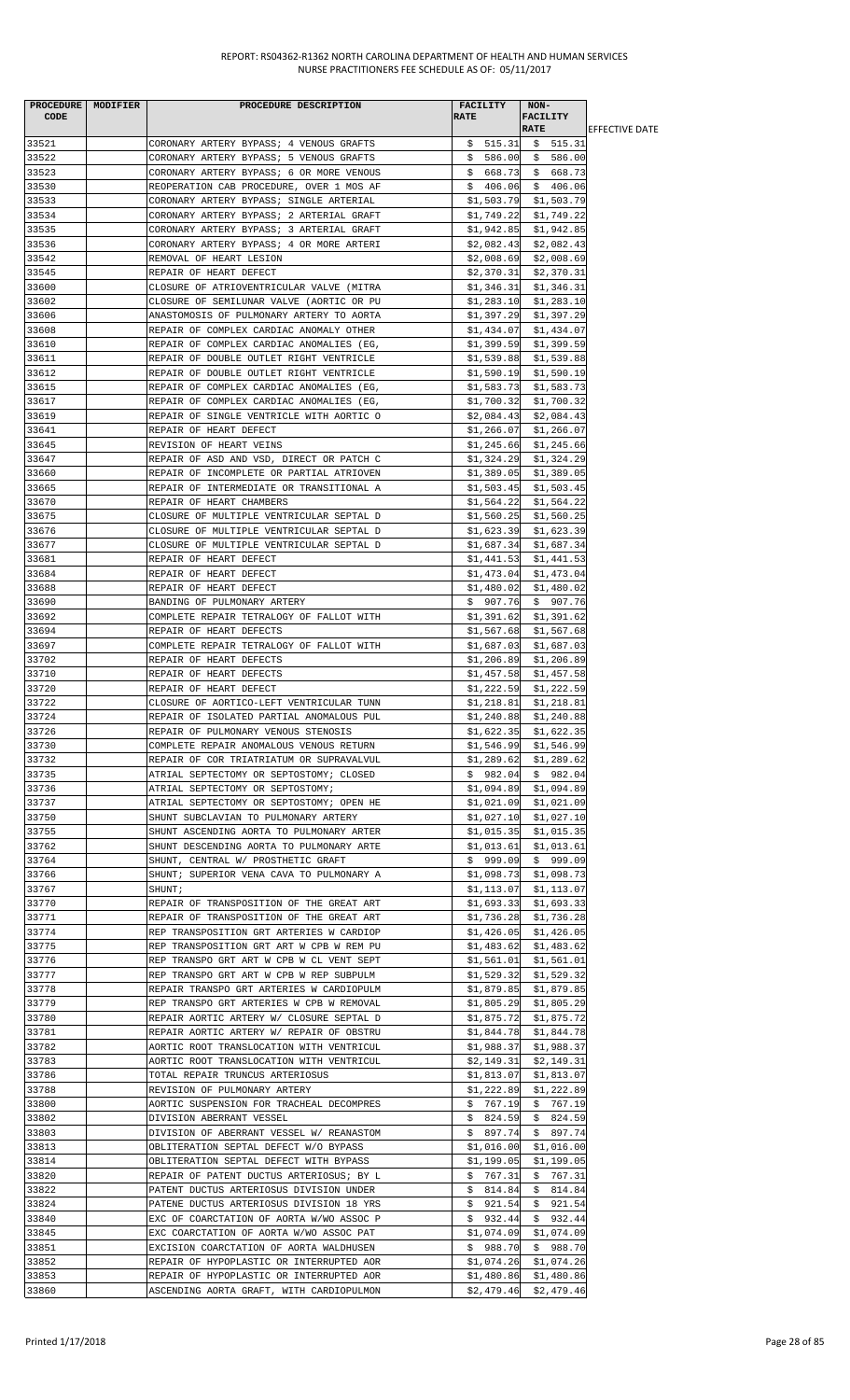| PROCEDURE   MODIFIER | PROCEDURE DESCRIPTION                                                               |             | <b>FACILITY</b>          | NON-        |                                                    |                        |
|----------------------|-------------------------------------------------------------------------------------|-------------|--------------------------|-------------|----------------------------------------------------|------------------------|
| CODE                 |                                                                                     | <b>RATE</b> |                          |             | FACILITY                                           |                        |
|                      |                                                                                     |             |                          | <b>RATE</b> |                                                    | <b>IEFFECTIVE DATE</b> |
| 33521                | CORONARY ARTERY BYPASS; 4 VENOUS GRAFTS                                             |             | \$515.31                 |             | \$515.31                                           |                        |
| 33522                | CORONARY ARTERY BYPASS; 5 VENOUS GRAFTS                                             |             |                          |             | $$586.00 \$586.00$                                 |                        |
| 33523                | CORONARY ARTERY BYPASS; 6 OR MORE VENOUS                                            |             |                          |             | $$668.73$$ $$668.73$                               |                        |
| 33530                | REOPERATION CAB PROCEDURE, OVER 1 MOS AF                                            |             | \$406.06]                |             | \$406.06                                           |                        |
| 33533                | CORONARY ARTERY BYPASS; SINGLE ARTERIAL                                             |             |                          |             | $$1,503.79$ $$1,503.79$                            |                        |
| 33534                | CORONARY ARTERY BYPASS; 2 ARTERIAL GRAFT                                            |             | \$1,749.22               |             | \$1,749.22                                         |                        |
| 33535                | CORONARY ARTERY BYPASS; 3 ARTERIAL GRAFT                                            |             |                          |             | $$1,942.85$ $$1,942.85$                            |                        |
| 33536                | CORONARY ARTERY BYPASS; 4 OR MORE ARTERI                                            |             |                          |             | $$2,082.43$ $$2,082.43$                            |                        |
| 33542                | REMOVAL OF HEART LESION                                                             |             |                          |             | $$2,008.69$ $$2,008.69$                            |                        |
| 33545                | REPAIR OF HEART DEFECT                                                              |             |                          |             | $$2,370.31$ $$2,370.31$                            |                        |
| 33600                | CLOSURE OF ATRIOVENTRICULAR VALVE (MITRA                                            |             | \$1,346.31               |             | \$1,346.31                                         |                        |
| 33602                | CLOSURE OF SEMILUNAR VALVE (AORTIC OR PU                                            |             |                          |             | $$1,283.10$ $$1,283.10$                            |                        |
| 33606                | ANASTOMOSIS OF PULMONARY ARTERY TO AORTA                                            |             | \$1,397.29               |             | \$1,397.29                                         |                        |
| 33608                | REPAIR OF COMPLEX CARDIAC ANOMALY OTHER                                             |             | \$1,434.07               |             | \$1,434.07                                         |                        |
| 33610<br>33611       | REPAIR OF COMPLEX CARDIAC ANOMALIES (EG,<br>REPAIR OF DOUBLE OUTLET RIGHT VENTRICLE |             |                          |             | $$1,399.59$ $$1,399.59$<br>$$1,539.88$ $$1,539.88$ |                        |
| 33612                | REPAIR OF DOUBLE OUTLET RIGHT VENTRICLE                                             |             |                          |             | $$1,590.19$ $$1,590.19$                            |                        |
| 33615                | REPAIR OF COMPLEX CARDIAC ANOMALIES (EG,                                            |             |                          |             | $$1,583.73$ $$1,583.73$                            |                        |
| 33617                | REPAIR OF COMPLEX CARDIAC ANOMALIES (EG,                                            |             | \$1,700.32               |             | \$1,700.32                                         |                        |
| 33619                | REPAIR OF SINGLE VENTRICLE WITH AORTIC O                                            |             | \$2,084.43               |             | \$2,084.43                                         |                        |
| 33641                | REPAIR OF HEART DEFECT                                                              |             | \$1,266.07               |             | \$1,266.07                                         |                        |
| 33645                | REVISION OF HEART VEINS                                                             |             |                          |             | $$1,245.66$ $$1,245.66$                            |                        |
| 33647                | REPAIR OF ASD AND VSD, DIRECT OR PATCH C                                            |             |                          |             | $$1,324.29$ $$1,324.29$                            |                        |
| 33660                | REPAIR OF INCOMPLETE OR PARTIAL ATRIOVEN                                            |             |                          |             | $$1,389.05$ $$1,389.05$                            |                        |
| 33665                | REPAIR OF INTERMEDIATE OR TRANSITIONAL A                                            |             |                          |             | $$1,503.45$ $$1,503.45$                            |                        |
| 33670                | REPAIR OF HEART CHAMBERS                                                            |             |                          |             | $$1,564.22$ $$1,564.22$                            |                        |
| 33675                | CLOSURE OF MULTIPLE VENTRICULAR SEPTAL D                                            |             | \$1,560.25               |             | \$1,560.25                                         |                        |
| 33676                | CLOSURE OF MULTIPLE VENTRICULAR SEPTAL D                                            |             | \$1,623.39               |             | \$1,623.39                                         |                        |
| 33677                | CLOSURE OF MULTIPLE VENTRICULAR SEPTAL D                                            |             | \$1,687.34               |             | \$1,687.34                                         |                        |
| 33681                | REPAIR OF HEART DEFECT                                                              |             |                          |             | $$1,441.53$ $$1,441.53$                            |                        |
| 33684                | REPAIR OF HEART DEFECT                                                              |             | \$1,473.04               |             | \$1,473.04                                         |                        |
| 33688                | REPAIR OF HEART DEFECT                                                              |             |                          |             | $$1,480.02$ $$1,480.02$                            |                        |
| 33690                | BANDING OF PULMONARY ARTERY                                                         |             |                          |             | $$907.76 \quad $907.76$                            |                        |
| 33692                | COMPLETE REPAIR TETRALOGY OF FALLOT WITH                                            |             | \$1,391.62               |             | \$1,391.62                                         |                        |
| 33694                | REPAIR OF HEART DEFECTS                                                             |             | \$1,567.68               |             | \$1,567.68                                         |                        |
| 33697                | COMPLETE REPAIR TETRALOGY OF FALLOT WITH                                            |             | \$1,687.03               |             | \$1,687.03                                         |                        |
| 33702                | REPAIR OF HEART DEFECTS                                                             |             | \$1,206.89               |             | \$1,206.89                                         |                        |
| 33710                | REPAIR OF HEART DEFECTS                                                             |             | \$1,457.58               |             | \$1,457.58                                         |                        |
| 33720                | REPAIR OF HEART DEFECT                                                              |             | \$1,222.59               |             | \$1,222.59                                         |                        |
| 33722                | CLOSURE OF AORTICO-LEFT VENTRICULAR TUNN                                            |             | \$1,218.81               |             | \$1,218.81                                         |                        |
| 33724                | REPAIR OF ISOLATED PARTIAL ANOMALOUS PUL                                            |             | \$1,240.88               |             | \$1,240.88                                         |                        |
| 33726                | REPAIR OF PULMONARY VENOUS STENOSIS                                                 |             | \$1,622.35               |             | \$1,622.35                                         |                        |
| 33730                | COMPLETE REPAIR ANOMALOUS VENOUS RETURN                                             |             |                          |             | $$1,546.99$ $$1,546.99$                            |                        |
| 33732                | REPAIR OF COR TRIATRIATUM OR SUPRAVALVUL                                            |             |                          |             | $$1,289.62$ $$1,289.62$                            |                        |
| 33735                | ATRIAL SEPTECTOMY OR SEPTOSTOMY; CLOSED                                             |             | \$982.04                 |             | \$982.04                                           |                        |
| 33736                | ATRIAL SEPTECTOMY OR SEPTOSTOMY;                                                    |             | \$1,094.89               |             | \$1,094.89                                         |                        |
| 33737                | ATRIAL SEPTECTOMY OR SEPTOSTOMY; OPEN HE                                            |             | \$1,021.09               |             | \$1,021.09                                         |                        |
| 33750                | SHUNT SUBCLAVIAN TO PULMONARY ARTERY                                                |             | \$1,027.10               |             | \$1,027.10                                         |                        |
| 33755                | SHUNT ASCENDING AORTA TO PULMONARY ARTER                                            |             |                          |             | $$1,015.35$ $$1,015.35$                            |                        |
| 33762                | SHUNT DESCENDING AORTA TO PULMONARY ARTE                                            |             | \$1,013.61               |             | \$1,013.61                                         |                        |
| 33764                | SHUNT, CENTRAL W/ PROSTHETIC GRAFT                                                  |             | \$999.09                 |             | \$999.09                                           |                        |
| 33766<br>33767       | SHUNT; SUPERIOR VENA CAVA TO PULMONARY A<br>SHUNT;                                  |             | \$1,098.73<br>\$1,113.07 |             | \$1,098.73<br>\$1,113.07                           |                        |
| 33770                | REPAIR OF TRANSPOSITION OF THE GREAT ART                                            |             | \$1,693.33               |             | \$1,693.33                                         |                        |
| 33771                | REPAIR OF TRANSPOSITION OF THE GREAT ART                                            |             | \$1,736.28               |             | \$1,736.28                                         |                        |
| 33774                | REP TRANSPOSITION GRT ARTERIES W CARDIOP                                            |             | \$1,426.05               |             | \$1,426.05                                         |                        |
| 33775                | REP TRANSPOSITION GRT ART W CPB W REM PU                                            |             | \$1,483.62               |             | \$1,483.62                                         |                        |
| 33776                | REP TRANSPO GRT ART W CPB W CL VENT SEPT                                            |             | \$1,561.01               |             | \$1,561.01                                         |                        |
| 33777                | REP TRANSPO GRT ART W CPB W REP SUBPULM                                             |             | \$1,529.32               |             | \$1,529.32                                         |                        |
| 33778                | REPAIR TRANSPO GRT ARTERIES W CARDIOPULM                                            |             | \$1,879.85               |             | \$1,879.85                                         |                        |
| 33779                | REP TRANSPO GRT ARTERIES W CPB W REMOVAL                                            |             | \$1,805.29               |             | \$1,805.29                                         |                        |
| 33780                | REPAIR AORTIC ARTERY W/ CLOSURE SEPTAL D                                            |             |                          |             | $$1,875.72$ $$1,875.72$                            |                        |
| 33781                | REPAIR AORTIC ARTERY W/ REPAIR OF OBSTRU                                            |             | \$1,844.78               |             | \$1,844.78                                         |                        |
| 33782                | AORTIC ROOT TRANSLOCATION WITH VENTRICUL                                            |             | \$1,988.37               |             | \$1,988.37                                         |                        |
| 33783                | AORTIC ROOT TRANSLOCATION WITH VENTRICUL                                            |             | \$2,149.31               |             | \$2,149.31                                         |                        |
| 33786                | TOTAL REPAIR TRUNCUS ARTERIOSUS                                                     |             | \$1,813.07               |             | \$1,813.07                                         |                        |
| 33788                | REVISION OF PULMONARY ARTERY                                                        |             | \$1,222.89               |             | \$1,222.89                                         |                        |
| 33800                | AORTIC SUSPENSION FOR TRACHEAL DECOMPRES                                            |             | \$767.19                 |             | \$767.19                                           |                        |
| 33802                | DIVISION ABERRANT VESSEL                                                            |             | \$824.59                 |             | \$824.59                                           |                        |
| 33803                | DIVISION OF ABERRANT VESSEL W/ REANASTOM                                            |             | \$897.74                 |             | \$897.74                                           |                        |
| 33813                | OBLITERATION SEPTAL DEFECT W/O BYPASS                                               |             | \$1,016.00               |             | \$1,016.00                                         |                        |
| 33814                | OBLITERATION SEPTAL DEFECT WITH BYPASS                                              |             | \$1,199.05               |             | \$1,199.05                                         |                        |
| 33820                | REPAIR OF PATENT DUCTUS ARTERIOSUS; BY L                                            |             | \$767.31                 |             | \$767.31                                           |                        |
| 33822                | PATENT DUCTUS ARTERIOSUS DIVISION UNDER                                             |             | \$814.84                 |             | \$814.84                                           |                        |
| 33824                | PATENE DUCTUS ARTERIOSUS DIVISION 18 YRS                                            |             | \$921.54                 |             | \$921.54                                           |                        |
| 33840                | EXC OF COARCTATION OF AORTA W/WO ASSOC P                                            |             | \$932.44                 |             | \$932.44                                           |                        |
| 33845                | EXC COARCTATION OF AORTA W/WO ASSOC PAT                                             |             | \$1,074.09               |             | \$1,074.09                                         |                        |
| 33851                | EXCISION COARCTATION OF AORTA WALDHUSEN                                             |             | \$988.70                 |             | \$988.70                                           |                        |
| 33852                | REPAIR OF HYPOPLASTIC OR INTERRUPTED AOR                                            |             | \$1,074.26               |             | \$1,074.26                                         |                        |
| 33853                | REPAIR OF HYPOPLASTIC OR INTERRUPTED AOR                                            |             | \$1,480.86               |             | \$1,480.86                                         |                        |
| 33860                | ASCENDING AORTA GRAFT, WITH CARDIOPULMON                                            |             |                          |             | $$2,479.46$ $$2,479.46$                            |                        |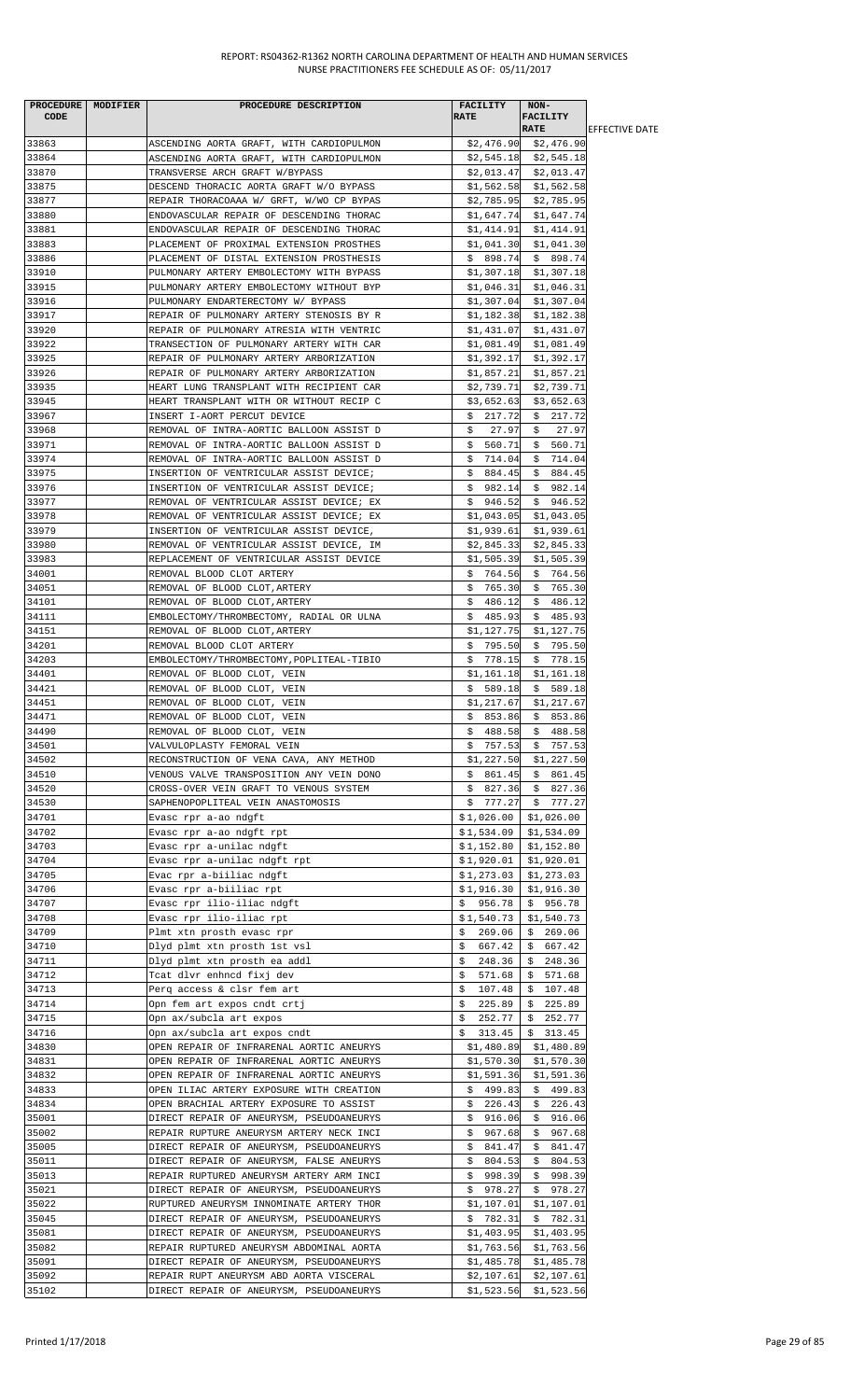|       | PROCEDURE MODIFIER | PROCEDURE DESCRIPTION                     | FACILITY               | $NON-$                  |                        |
|-------|--------------------|-------------------------------------------|------------------------|-------------------------|------------------------|
| CODE  |                    |                                           | <b>RATE</b>            | <b>FACILITY</b>         |                        |
|       |                    |                                           |                        | <b>RATE</b>             | <b>IEFFECTIVE DATE</b> |
| 33863 |                    | ASCENDING AORTA GRAFT, WITH CARDIOPULMON  |                        | $$2,476.90$ $$2,476.90$ |                        |
| 33864 |                    | ASCENDING AORTA GRAFT, WITH CARDIOPULMON  |                        | $$2,545.18$ $$2,545.18$ |                        |
| 33870 |                    | TRANSVERSE ARCH GRAFT W/BYPASS            |                        | $$2,013.47$ $$2,013.47$ |                        |
| 33875 |                    | DESCEND THORACIC AORTA GRAFT W/O BYPASS   |                        | $$1,562.58$ $$1,562.58$ |                        |
| 33877 |                    | REPAIR THORACOAAA W/ GRFT, W/WO CP BYPAS  | \$2,785.95             | \$2,785.95              |                        |
| 33880 |                    | ENDOVASCULAR REPAIR OF DESCENDING THORAC  | \$1,647.74             | \$1,647.74              |                        |
| 33881 |                    | ENDOVASCULAR REPAIR OF DESCENDING THORAC  | \$1,414.91             | \$1,414.91              |                        |
| 33883 |                    | PLACEMENT OF PROXIMAL EXTENSION PROSTHES  | \$1,041.30             | \$1,041.30              |                        |
| 33886 |                    | PLACEMENT OF DISTAL EXTENSION PROSTHESIS  |                        | $$898.74 \t$898.74$     |                        |
| 33910 |                    | PULMONARY ARTERY EMBOLECTOMY WITH BYPASS  |                        | $$1,307.18$ $$1,307.18$ |                        |
| 33915 |                    | PULMONARY ARTERY EMBOLECTOMY WITHOUT BYP  |                        | $$1,046.31$ $$1,046.31$ |                        |
| 33916 |                    | PULMONARY ENDARTERECTOMY W/ BYPASS        |                        | $$1,307.04$ $$1,307.04$ |                        |
| 33917 |                    | REPAIR OF PULMONARY ARTERY STENOSIS BY R  | \$1,182.38             | \$1,182.38              |                        |
| 33920 |                    | REPAIR OF PULMONARY ATRESIA WITH VENTRIC  | \$1,431.07             | \$1,431.07              |                        |
| 33922 |                    | TRANSECTION OF PULMONARY ARTERY WITH CAR  | \$1,081.49             | \$1,081.49              |                        |
| 33925 |                    | REPAIR OF PULMONARY ARTERY ARBORIZATION   | \$1,392.17             | \$1,392.17              |                        |
| 33926 |                    | REPAIR OF PULMONARY ARTERY ARBORIZATION   | \$1,857.21             | \$1,857.21              |                        |
| 33935 |                    | HEART LUNG TRANSPLANT WITH RECIPIENT CAR  | \$2,739.71             | \$2,739.71              |                        |
| 33945 |                    | HEART TRANSPLANT WITH OR WITHOUT RECIP C  | \$3,652.63             | \$3,652.63              |                        |
| 33967 |                    | INSERT I-AORT PERCUT DEVICE               | \$217.72               | \$217.72                |                        |
| 33968 |                    | REMOVAL OF INTRA-AORTIC BALLOON ASSIST D  | 27.97<br>Ş.            | 27.97<br>\$             |                        |
| 33971 |                    | REMOVAL OF INTRA-AORTIC BALLOON ASSIST D  | \$560.71               | \$560.71                |                        |
| 33974 |                    | REMOVAL OF INTRA-AORTIC BALLOON ASSIST D  | \$714.04               | \$714.04                |                        |
| 33975 |                    | INSERTION OF VENTRICULAR ASSIST DEVICE;   | \$884.45               | \$884.45                |                        |
| 33976 |                    | INSERTION OF VENTRICULAR ASSIST DEVICE;   | \$982.14               | \$982.14                |                        |
| 33977 |                    | REMOVAL OF VENTRICULAR ASSIST DEVICE; EX  |                        | $$946.52 \quad $946.52$ |                        |
| 33978 |                    | REMOVAL OF VENTRICULAR ASSIST DEVICE; EX  | \$1,043.05             | \$1,043.05              |                        |
| 33979 |                    | INSERTION OF VENTRICULAR ASSIST DEVICE,   |                        | $$1,939.61$ $$1,939.61$ |                        |
| 33980 |                    | REMOVAL OF VENTRICULAR ASSIST DEVICE, IM  |                        | $$2,845.33$ $$2,845.33$ |                        |
| 33983 |                    | REPLACEMENT OF VENTRICULAR ASSIST DEVICE  | \$1,505.39             | \$1,505.39              |                        |
| 34001 |                    | REMOVAL BLOOD CLOT ARTERY                 | \$764.56               | \$764.56                |                        |
| 34051 |                    | REMOVAL OF BLOOD CLOT, ARTERY             | \$765.30               | \$765.30                |                        |
| 34101 |                    | REMOVAL OF BLOOD CLOT, ARTERY             | \$486.12               | \$486.12                |                        |
| 34111 |                    | EMBOLECTOMY/THROMBECTOMY, RADIAL OR ULNA  | \$485.93               | \$485.93                |                        |
| 34151 |                    | REMOVAL OF BLOOD CLOT, ARTERY             | \$1,127.75             | \$1,127.75              |                        |
| 34201 |                    | REMOVAL BLOOD CLOT ARTERY                 | \$795.50               | \$795.50                |                        |
| 34203 |                    | EMBOLECTOMY/THROMBECTOMY, POPLITEAL-TIBIO | \$778.15               | \$778.15                |                        |
| 34401 |                    | REMOVAL OF BLOOD CLOT, VEIN               | \$1,161.18             | \$1,161.18              |                        |
| 34421 |                    | REMOVAL OF BLOOD CLOT, VEIN               | \$589.18               | \$589.18                |                        |
| 34451 |                    | REMOVAL OF BLOOD CLOT, VEIN               |                        |                         |                        |
| 34471 |                    |                                           | \$1,217.67<br>\$853.86 | \$1,217.67              |                        |
|       |                    | REMOVAL OF BLOOD CLOT, VEIN               |                        | \$853.86                |                        |
| 34490 |                    | REMOVAL OF BLOOD CLOT, VEIN               | \$488.58               | \$488.58                |                        |
| 34501 |                    | VALVULOPLASTY FEMORAL VEIN                | \$757.53               | \$757.53                |                        |
| 34502 |                    | RECONSTRUCTION OF VENA CAVA, ANY METHOD   | \$1,227.50             | \$1,227.50              |                        |
| 34510 |                    | VENOUS VALVE TRANSPOSITION ANY VEIN DONO  | \$861.45               | \$861.45                |                        |
| 34520 |                    | CROSS-OVER VEIN GRAFT TO VENOUS SYSTEM    | \$827.36               | \$827.36                |                        |
| 34530 |                    | SAPHENOPOPLITEAL VEIN ANASTOMOSIS         | \$777.27               | \$777.27                |                        |
| 34701 |                    | Evasc rpr a-ao ndgft                      | $$1,026.00$            | \$1,026.00              |                        |
| 34702 |                    | Evasc rpr a-ao ndgft rpt                  | \$1,534.09             | \$1,534.09              |                        |
| 34703 |                    | Evasc rpr a-unilac ndgft                  | $$1,152.80$            | \$1,152.80              |                        |
| 34704 |                    | Evasc rpr a-unilac ndgft rpt              | \$1,920.01             | \$1,920.01              |                        |
| 34705 |                    | Evac rpr a-biiliac ndgft                  | \$1,273.03             | \$1,273.03              |                        |
| 34706 |                    | Evasc rpr a-biiliac rpt                   | \$1,916.30             | \$1,916.30              |                        |
| 34707 |                    | Evasc rpr ilio-iliac ndgft                | \$956.78               | \$956.78                |                        |
| 34708 |                    | Evasc rpr ilio-iliac rpt                  | \$1,540.73             | \$1,540.73              |                        |
| 34709 |                    | Plmt xtn prosth evasc rpr                 | 269.06<br>\$           | \$269.06                |                        |
| 34710 |                    | Dlyd plmt xtn prosth 1st vsl              | 667.42<br>s            | 667.42                  |                        |
| 34711 |                    | Dlyd plmt xtn prosth ea addl              | \$<br>248.36           | 248.36<br>S.            |                        |
| 34712 |                    | Tcat dlvr enhncd fixj dev                 | \$<br>571.68           | 571.68<br>Ş.            |                        |
| 34713 |                    | Perq access & clsr fem art                | \$107.48               | \$107.48                |                        |
| 34714 |                    | Opn fem art expos cndt crtj               | \$<br>225.89           | \$225.89                |                        |
| 34715 |                    | Opn ax/subcla art expos                   | \$<br>252.77           | \$252.77                |                        |
| 34716 |                    | Opn ax/subcla art expos cndt              | \$313.45               | \$313.45                |                        |
| 34830 |                    | OPEN REPAIR OF INFRARENAL AORTIC ANEURYS  | \$1,480.89             | \$1,480.89              |                        |
| 34831 |                    | OPEN REPAIR OF INFRARENAL AORTIC ANEURYS  | \$1,570.30             | \$1,570.30              |                        |
| 34832 |                    | OPEN REPAIR OF INFRARENAL AORTIC ANEURYS  | \$1,591.36             | \$1,591.36              |                        |
| 34833 |                    | OPEN ILIAC ARTERY EXPOSURE WITH CREATION  | \$499.83               | \$499.83                |                        |
| 34834 |                    | OPEN BRACHIAL ARTERY EXPOSURE TO ASSIST   | \$226.43               | \$226.43                |                        |
| 35001 |                    | DIRECT REPAIR OF ANEURYSM, PSEUDOANEURYS  | \$916.06               | \$916.06                |                        |
| 35002 |                    | REPAIR RUPTURE ANEURYSM ARTERY NECK INCI  | \$967.68               | \$967.68                |                        |
| 35005 |                    | DIRECT REPAIR OF ANEURYSM, PSEUDOANEURYS  | \$841.47               | \$841.47                |                        |
| 35011 |                    | DIRECT REPAIR OF ANEURYSM, FALSE ANEURYS  | \$804.53               | \$804.53                |                        |
| 35013 |                    | REPAIR RUPTURED ANEURYSM ARTERY ARM INCI  | \$998.39               | \$998.39                |                        |
| 35021 |                    | DIRECT REPAIR OF ANEURYSM, PSEUDOANEURYS  | \$978.27               | \$978.27                |                        |
| 35022 |                    | RUPTURED ANEURYSM INNOMINATE ARTERY THOR  | \$1,107.01             | \$1,107.01              |                        |
| 35045 |                    | DIRECT REPAIR OF ANEURYSM, PSEUDOANEURYS  | \$782.31               | \$782.31                |                        |
| 35081 |                    | DIRECT REPAIR OF ANEURYSM, PSEUDOANEURYS  | \$1,403.95             | \$1,403.95              |                        |
| 35082 |                    | REPAIR RUPTURED ANEURYSM ABDOMINAL AORTA  | \$1,763.56             | \$1,763.56              |                        |
| 35091 |                    | DIRECT REPAIR OF ANEURYSM, PSEUDOANEURYS  | \$1,485.78             | \$1,485.78              |                        |
| 35092 |                    | REPAIR RUPT ANEURYSM ABD AORTA VISCERAL   | \$2,107.61             | \$2,107.61              |                        |
| 35102 |                    | DIRECT REPAIR OF ANEURYSM, PSEUDOANEURYS  |                        | $$1,523.56$ $$1,523.56$ |                        |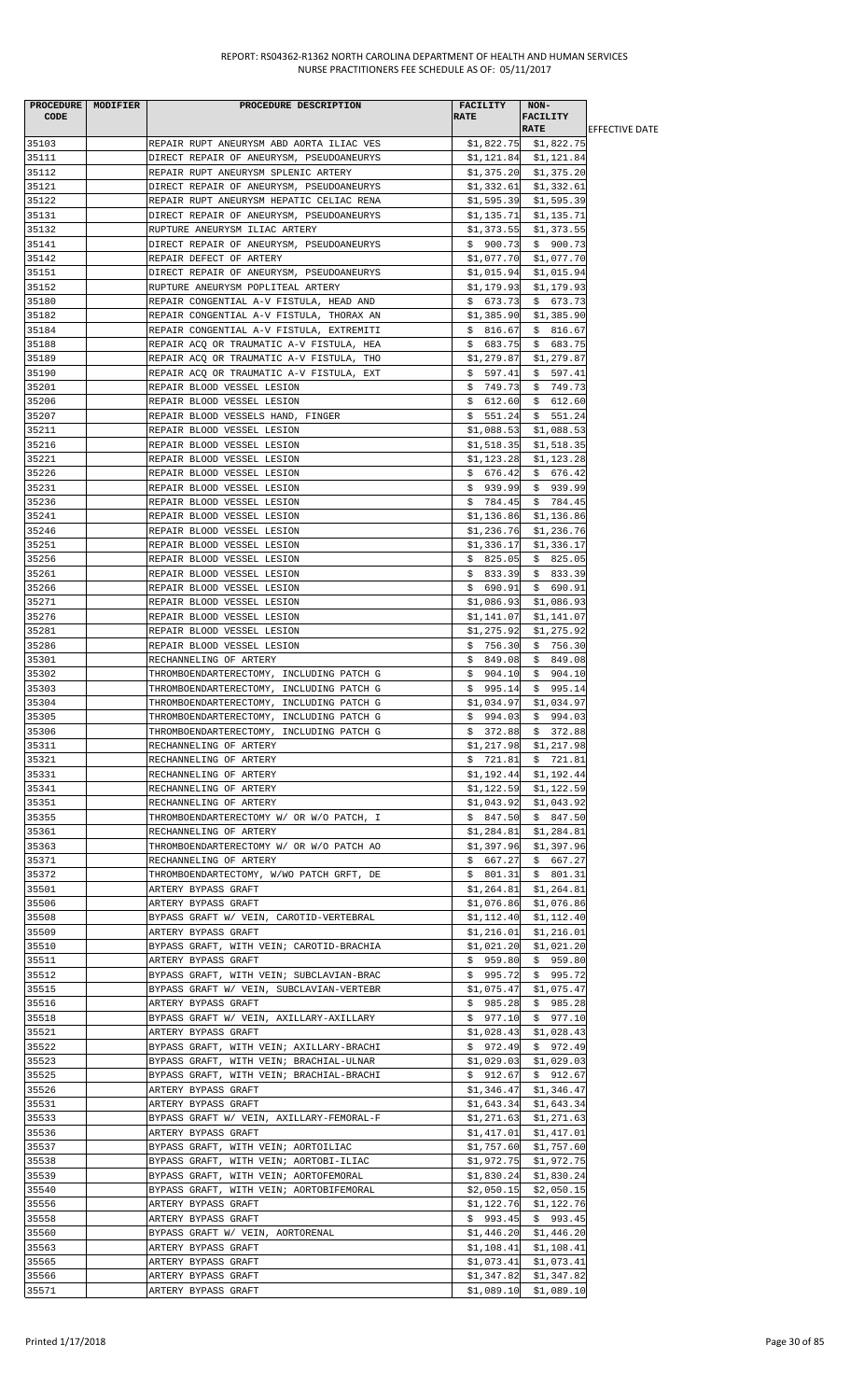| <b>CODE</b>    | PROCEDURE MODIFIER | PROCEDURE DESCRIPTION                                                     | <b>FACILITY</b><br><b>RATE</b> | NON-<br><b>FACILITY</b>               |                        |
|----------------|--------------------|---------------------------------------------------------------------------|--------------------------------|---------------------------------------|------------------------|
|                |                    |                                                                           |                                | <b>RATE</b>                           | <b>IEFFECTIVE DATE</b> |
| 35103          |                    | REPAIR RUPT ANEURYSM ABD AORTA ILIAC VES                                  |                                | $$1,822.75$ $$1,822.75$               |                        |
| 35111          |                    | DIRECT REPAIR OF ANEURYSM, PSEUDOANEURYS                                  |                                | \$1,121.84 \$1,121.84                 |                        |
| 35112          |                    | REPAIR RUPT ANEURYSM SPLENIC ARTERY                                       |                                | $$1,375.20$ $$1,375.20$               |                        |
| 35121          |                    | DIRECT REPAIR OF ANEURYSM, PSEUDOANEURYS                                  | \$1,332.61                     | \$1,332.61                            |                        |
| 35122<br>35131 |                    | REPAIR RUPT ANEURYSM HEPATIC CELIAC RENA                                  | \$1,595.39                     | \$1,595.39                            |                        |
| 35132          |                    | DIRECT REPAIR OF ANEURYSM, PSEUDOANEURYS<br>RUPTURE ANEURYSM ILIAC ARTERY | \$1,135.71<br>\$1,373.55       | \$1,135.71<br>\$1,373.55              |                        |
| 35141          |                    | DIRECT REPAIR OF ANEURYSM, PSEUDOANEURYS                                  |                                | $$900.73$$ \$ 900.73                  |                        |
| 35142          |                    | REPAIR DEFECT OF ARTERY                                                   | \$1,077.70                     | \$1,077.70                            |                        |
| 35151          |                    | DIRECT REPAIR OF ANEURYSM, PSEUDOANEURYS                                  | \$1,015.94                     | \$1,015.94                            |                        |
| 35152          |                    | RUPTURE ANEURYSM POPLITEAL ARTERY                                         | \$1,179.93                     | \$1,179.93                            |                        |
| 35180          |                    | REPAIR CONGENTIAL A-V FISTULA, HEAD AND                                   | \$673.73                       | \$673.73                              |                        |
| 35182          |                    | REPAIR CONGENTIAL A-V FISTULA, THORAX AN                                  | \$1,385.90                     | \$1,385.90                            |                        |
| 35184          |                    | REPAIR CONGENTIAL A-V FISTULA, EXTREMITI                                  | \$ 816.67                      | \$816.67                              |                        |
| 35188          |                    | REPAIR ACQ OR TRAUMATIC A-V FISTULA, HEA                                  | \$683.75                       | \$683.75                              |                        |
| 35189          |                    | REPAIR ACQ OR TRAUMATIC A-V FISTULA, THO                                  | \$1,279.87                     | \$1,279.87                            |                        |
| 35190<br>35201 |                    | REPAIR ACQ OR TRAUMATIC A-V FISTULA, EXT<br>REPAIR BLOOD VESSEL LESION    | \$597.41                       | \$597.41<br>\$749.73                  |                        |
| 35206          |                    | REPAIR BLOOD VESSEL LESION                                                | \$749.73<br>\$612.60           | \$612.60                              |                        |
| 35207          |                    | REPAIR BLOOD VESSELS HAND, FINGER                                         |                                | $$51.24 \t$51.24$                     |                        |
| 35211          |                    | REPAIR BLOOD VESSEL LESION                                                | \$1,088.53                     | \$1,088.53                            |                        |
| 35216          |                    | REPAIR BLOOD VESSEL LESION                                                | \$1,518.35                     | \$1,518.35                            |                        |
| 35221          |                    | REPAIR BLOOD VESSEL LESION                                                | \$1,123.28                     | \$1,123.28                            |                        |
| 35226          |                    | REPAIR BLOOD VESSEL LESION                                                | \$676.42                       | \$676.42                              |                        |
| 35231          |                    | REPAIR BLOOD VESSEL LESION                                                |                                | $$939.99$ \$939.99                    |                        |
| 35236          |                    | REPAIR BLOOD VESSEL LESION                                                | \$784.45                       | \$784.45                              |                        |
| 35241          |                    | REPAIR BLOOD VESSEL LESION                                                | \$1,136.86                     | \$1,136.86                            |                        |
| 35246          |                    | REPAIR BLOOD VESSEL LESION                                                | \$1,236.76                     | \$1,236.76                            |                        |
| 35251          |                    | REPAIR BLOOD VESSEL LESION                                                | \$1,336.17                     | \$1,336.17                            |                        |
| 35256          |                    | REPAIR BLOOD VESSEL LESION                                                | \$825.05                       | \$825.05                              |                        |
| 35261<br>35266 |                    | REPAIR BLOOD VESSEL LESION<br>REPAIR BLOOD VESSEL LESION                  | \$833.39                       | \$833.39<br>$$690.91$$ \$690.91       |                        |
| 35271          |                    | REPAIR BLOOD VESSEL LESION                                                |                                | $$1,086.93$ $$1,086.93$               |                        |
| 35276          |                    | REPAIR BLOOD VESSEL LESION                                                | \$1,141.07                     | \$1,141.07                            |                        |
| 35281          |                    | REPAIR BLOOD VESSEL LESION                                                | \$1,275.92                     | \$1,275.92                            |                        |
| 35286          |                    | REPAIR BLOOD VESSEL LESION                                                | \$756.30                       | \$756.30                              |                        |
| 35301          |                    | RECHANNELING OF ARTERY                                                    | \$849.08                       | \$849.08                              |                        |
| 35302          |                    | THROMBOENDARTERECTOMY, INCLUDING PATCH G                                  | \$904.10                       | \$904.10                              |                        |
| 35303          |                    | THROMBOENDARTERECTOMY, INCLUDING PATCH G                                  | \$995.14                       | \$995.14                              |                        |
| 35304          |                    | THROMBOENDARTERECTOMY, INCLUDING PATCH G                                  | \$1,034.97                     | \$1,034.97                            |                        |
| 35305          |                    | THROMBOENDARTERECTOMY, INCLUDING PATCH G                                  | \$994.03                       | \$994.03                              |                        |
| 35306          |                    | THROMBOENDARTERECTOMY, INCLUDING PATCH G                                  |                                | $$372.88$ $$372.88$                   |                        |
| 35311          |                    | RECHANNELING OF ARTERY                                                    |                                | $$1,217.98$ $$1,217.98$               |                        |
| 35321<br>35331 |                    | RECHANNELING OF ARTERY<br>RECHANNELING OF ARTERY                          | \$1,192.44                     | \$721.81 \$721.81<br>\$1,192.44       |                        |
| 35341          |                    | RECHANNELING OF ARTERY                                                    | \$1,122.59                     | \$1,122.59                            |                        |
| 35351          |                    | RECHANNELING OF ARTERY                                                    | \$1,043.92                     | \$1,043.92                            |                        |
| 35355          |                    | THROMBOENDARTERECTOMY W/ OR W/O PATCH, I                                  |                                | $$847.50 \t$847.50$                   |                        |
| 35361          |                    | RECHANNELING OF ARTERY                                                    | \$1,284.81                     | \$1,284.81                            |                        |
| 35363          |                    | THROMBOENDARTERECTOMY W/ OR W/O PATCH AO                                  |                                | $$1,397.96$ $$1,397.96$               |                        |
| 35371          |                    | RECHANNELING OF ARTERY                                                    | \$667.27                       | \$667.27                              |                        |
| 35372          |                    | THROMBOENDARTECTOMY, W/WO PATCH GRFT, DE                                  | \$801.31                       | \$801.31                              |                        |
| 35501          |                    | ARTERY BYPASS GRAFT                                                       |                                | $$1,264.81$ $$1,264.81$               |                        |
| 35506          |                    | ARTERY BYPASS GRAFT                                                       |                                | \$1,076.86 \$1,076.86                 |                        |
| 35508          |                    | BYPASS GRAFT W/ VEIN, CAROTID-VERTEBRAL                                   |                                | $$1,112.40$ $$1,112.40$               |                        |
| 35509<br>35510 |                    | ARTERY BYPASS GRAFT<br>BYPASS GRAFT, WITH VEIN; CAROTID-BRACHIA           | \$1,216.01                     | \$1,216.01<br>$$1,021.20$ $$1,021.20$ |                        |
| 35511          |                    | ARTERY BYPASS GRAFT                                                       |                                | $$959.80 \$959.80$                    |                        |
| 35512          |                    | BYPASS GRAFT, WITH VEIN; SUBCLAVIAN-BRAC                                  | \$995.72                       | \$995.72                              |                        |
| 35515          |                    | BYPASS GRAFT W/ VEIN, SUBCLAVIAN-VERTEBR                                  | \$1,075.47                     | \$1,075.47                            |                        |
| 35516          |                    | ARTERY BYPASS GRAFT                                                       | \$985.28                       | \$985.28                              |                        |
| 35518          |                    | BYPASS GRAFT W/ VEIN, AXILLARY-AXILLARY                                   |                                | \$ 977.10 \$ 977.10                   |                        |
| 35521          |                    | ARTERY BYPASS GRAFT                                                       | \$1,028.43                     | \$1,028.43                            |                        |
| 35522          |                    | BYPASS GRAFT, WITH VEIN; AXILLARY-BRACHI                                  | \$972.49                       | \$972.49                              |                        |
| 35523          |                    | BYPASS GRAFT, WITH VEIN; BRACHIAL-ULNAR                                   | \$1,029.03                     | \$1,029.03                            |                        |
| 35525          |                    | BYPASS GRAFT, WITH VEIN; BRACHIAL-BRACHI                                  | \$912.67                       | \$912.67                              |                        |
| 35526          |                    | ARTERY BYPASS GRAFT                                                       |                                | $$1,346.47$ $$1,346.47$               |                        |
| 35531<br>35533 |                    | ARTERY BYPASS GRAFT<br>BYPASS GRAFT W/ VEIN, AXILLARY-FEMORAL-F           | \$1,271.63                     | $$1,643.34$ $$1,643.34$<br>\$1,271.63 |                        |
| 35536          |                    | ARTERY BYPASS GRAFT                                                       | \$1,417.01                     | \$1,417.01                            |                        |
| 35537          |                    | BYPASS GRAFT, WITH VEIN; AORTOILIAC                                       |                                | $$1,757.60$ $$1,757.60$               |                        |
| 35538          |                    | BYPASS GRAFT, WITH VEIN; AORTOBI-ILIAC                                    | \$1,972.75                     | \$1,972.75                            |                        |
| 35539          |                    | BYPASS GRAFT, WITH VEIN; AORTOFEMORAL                                     | \$1,830.24                     | \$1,830.24                            |                        |
| 35540          |                    | BYPASS GRAFT, WITH VEIN; AORTOBIFEMORAL                                   |                                | $$2,050.15$ $$2,050.15$               |                        |
| 35556          |                    | ARTERY BYPASS GRAFT                                                       | \$1,122.76                     | \$1,122.76                            |                        |
| 35558          |                    | ARTERY BYPASS GRAFT                                                       |                                | $$993.45$ \$993.45                    |                        |
| 35560          |                    | BYPASS GRAFT W/ VEIN, AORTORENAL                                          | \$1,446.20                     | \$1,446.20                            |                        |
| 35563          |                    | ARTERY BYPASS GRAFT                                                       | \$1,108.41                     | \$1,108.41                            |                        |
| 35565<br>35566 |                    | ARTERY BYPASS GRAFT<br>ARTERY BYPASS GRAFT                                | \$1,347.82                     | $$1,073.41$ $$1,073.41$<br>\$1,347.82 |                        |
| 35571          |                    | ARTERY BYPASS GRAFT                                                       |                                | $$1,089.10$ $$1,089.10$               |                        |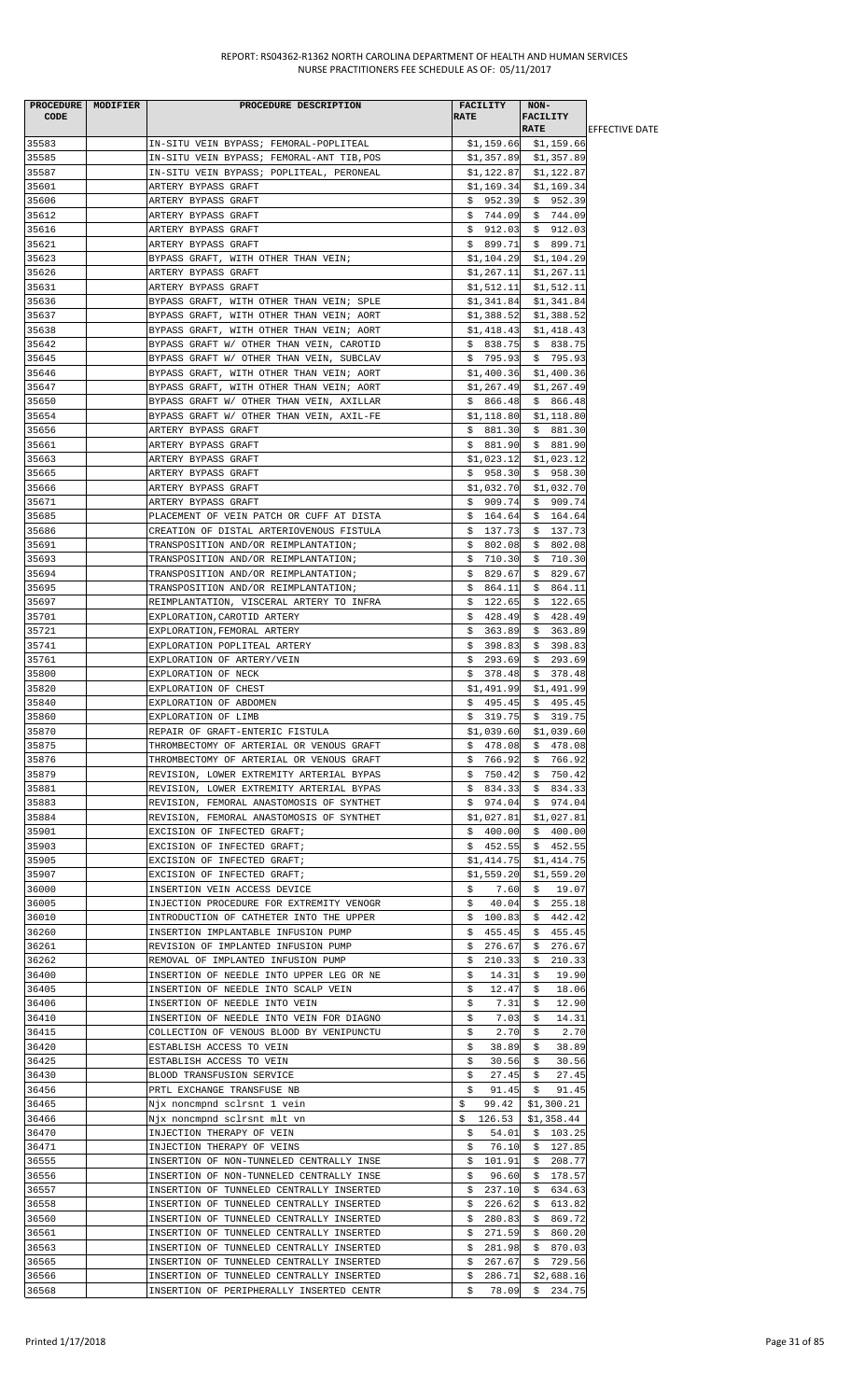| PROCEDURE MODIFIER<br><b>CODE</b> | PROCEDURE DESCRIPTION                                                                | <b>FACILITY</b><br><b>RATE</b> | NON-<br><b>FACILITY</b><br><b>RATE</b> | <b>IEFFECTIVE DATE</b> |
|-----------------------------------|--------------------------------------------------------------------------------------|--------------------------------|----------------------------------------|------------------------|
| 35583                             | IN-SITU VEIN BYPASS; FEMORAL-POPLITEAL                                               |                                | $$1,159.66$ $$1,159.66$                |                        |
| 35585                             | IN-SITU VEIN BYPASS; FEMORAL-ANT TIB, POS                                            |                                | $$1,357.89$ $$1,357.89$                |                        |
| 35587                             | IN-SITU VEIN BYPASS; POPLITEAL, PERONEAL                                             |                                | $$1,122.87$ $$1,122.87$                |                        |
| 35601                             | ARTERY BYPASS GRAFT                                                                  | \$1,169.34                     | \$1,169.34                             |                        |
| 35606<br>35612                    | ARTERY BYPASS GRAFT<br>ARTERY BYPASS GRAFT                                           | \$952.39<br>\$744.09           | \$952.39<br>\$744.09                   |                        |
| 35616                             | ARTERY BYPASS GRAFT                                                                  | \$912.03                       | \$912.03                               |                        |
| 35621                             | ARTERY BYPASS GRAFT                                                                  | \$899.71                       | \$899.71                               |                        |
| 35623                             | BYPASS GRAFT, WITH OTHER THAN VEIN;                                                  | \$1,104.29                     | \$1,104.29                             |                        |
| 35626                             | ARTERY BYPASS GRAFT                                                                  | \$1,267.11                     | \$1,267.11                             |                        |
| 35631                             | ARTERY BYPASS GRAFT                                                                  | \$1,512.11                     | \$1,512.11                             |                        |
| 35636                             | BYPASS GRAFT, WITH OTHER THAN VEIN; SPLE                                             | \$1,341.84                     | \$1,341.84                             |                        |
| 35637<br>35638                    | BYPASS GRAFT, WITH OTHER THAN VEIN; AORT<br>BYPASS GRAFT, WITH OTHER THAN VEIN; AORT | \$1,388.52<br>\$1,418.43       | \$1,388.52<br>\$1,418.43               |                        |
| 35642                             | BYPASS GRAFT W/ OTHER THAN VEIN, CAROTID                                             | \$838.75                       | \$838.75                               |                        |
| 35645                             | BYPASS GRAFT W/ OTHER THAN VEIN, SUBCLAV                                             | \$795.93                       | \$795.93                               |                        |
| 35646                             | BYPASS GRAFT, WITH OTHER THAN VEIN; AORT                                             | \$1,400.36                     | \$1,400.36                             |                        |
| 35647                             | BYPASS GRAFT, WITH OTHER THAN VEIN; AORT                                             | \$1,267.49                     | \$1,267.49                             |                        |
| 35650                             | BYPASS GRAFT W/ OTHER THAN VEIN, AXILLAR                                             | \$866.48                       | \$866.48                               |                        |
| 35654                             | BYPASS GRAFT W/ OTHER THAN VEIN, AXIL-FE                                             | \$1,118.80                     | \$1,118.80                             |                        |
| 35656<br>35661                    | ARTERY BYPASS GRAFT<br>ARTERY BYPASS GRAFT                                           | \$881.30<br>\$881.90           | \$881.30<br>\$881.90                   |                        |
| 35663                             | ARTERY BYPASS GRAFT                                                                  | \$1,023.12                     | \$1,023.12                             |                        |
| 35665                             | ARTERY BYPASS GRAFT                                                                  | \$958.30                       | \$958.30                               |                        |
| 35666                             | ARTERY BYPASS GRAFT                                                                  | \$1,032.70                     | \$1,032.70                             |                        |
| 35671                             | ARTERY BYPASS GRAFT                                                                  | \$909.74                       | \$909.74                               |                        |
| 35685                             | PLACEMENT OF VEIN PATCH OR CUFF AT DISTA                                             | \$164.64                       | \$164.64                               |                        |
| 35686                             | CREATION OF DISTAL ARTERIOVENOUS FISTULA                                             | \$137.73                       | \$137.73                               |                        |
| 35691<br>35693                    | TRANSPOSITION AND/OR REIMPLANTATION;<br>TRANSPOSITION AND/OR REIMPLANTATION;         | \$802.08<br>710.30<br>Ş.       | \$802.08<br>710.30<br>Ş.               |                        |
| 35694                             | TRANSPOSITION AND/OR REIMPLANTATION;                                                 | 829.67<br>Ş.                   | \$829.67                               |                        |
| 35695                             | TRANSPOSITION AND/OR REIMPLANTATION;                                                 | \$<br>864.11                   | \$<br>864.11                           |                        |
| 35697                             | REIMPLANTATION, VISCERAL ARTERY TO INFRA                                             | 122.65<br>Ş.                   | 122.65<br>Ş.                           |                        |
| 35701                             | EXPLORATION, CAROTID ARTERY                                                          | 428.49<br>S.                   | 428.49<br>S.                           |                        |
| 35721                             | EXPLORATION, FEMORAL ARTERY                                                          | 363.89<br>Ş.                   | \$363.89                               |                        |
| 35741                             | EXPLORATION POPLITEAL ARTERY                                                         | \$398.83                       | \$398.83                               |                        |
| 35761<br>35800                    | EXPLORATION OF ARTERY/VEIN<br>EXPLORATION OF NECK                                    | \$293.69<br>\$378.48           | \$293.69<br>\$378.48                   |                        |
| 35820                             | EXPLORATION OF CHEST                                                                 | \$1,491.99                     | \$1,491.99                             |                        |
| 35840                             | EXPLORATION OF ABDOMEN                                                               | \$495.45                       | \$495.45                               |                        |
| 35860                             | EXPLORATION OF LIMB                                                                  | \$319.75                       | \$319.75                               |                        |
| 35870                             | REPAIR OF GRAFT-ENTERIC FISTULA                                                      | \$1,039.60                     | \$1,039.60                             |                        |
| 35875                             | THROMBECTOMY OF ARTERIAL OR VENOUS GRAFT                                             | \$478.08                       | \$478.08                               |                        |
| 35876                             | THROMBECTOMY OF ARTERIAL OR VENOUS GRAFT                                             | \$766.92                       | \$766.92                               |                        |
| 35879<br>35881                    | REVISION, LOWER EXTREMITY ARTERIAL BYPAS<br>REVISION, LOWER EXTREMITY ARTERIAL BYPAS | \$750.42<br>\$834.33           | \$750.42<br>\$834.33                   |                        |
| 35883                             | REVISION, FEMORAL ANASTOMOSIS OF SYNTHET                                             | \$974.04                       | \$974.04                               |                        |
| 35884                             | REVISION, FEMORAL ANASTOMOSIS OF SYNTHET                                             | \$1,027.81                     | \$1,027.81                             |                        |
| 35901                             | EXCISION OF INFECTED GRAFT;                                                          | \$400.00                       | \$400.00                               |                        |
| 35903                             | EXCISION OF INFECTED GRAFT;                                                          | \$452.55                       | \$452.55                               |                        |
| 35905                             | EXCISION OF INFECTED GRAFT;                                                          | \$1,414.75                     | \$1,414.75                             |                        |
| 35907                             | EXCISION OF INFECTED GRAFT;                                                          | \$1,559.20                     | \$1,559.20<br>\$ 19.07                 |                        |
| 36000<br>36005                    | INSERTION VEIN ACCESS DEVICE<br>INJECTION PROCEDURE FOR EXTREMITY VENOGR             | \$<br>7.60<br>40.04<br>\$.     | \$255.18                               |                        |
| 36010                             | INTRODUCTION OF CATHETER INTO THE UPPER                                              | \$100.83                       | \$442.42                               |                        |
| 36260                             | INSERTION IMPLANTABLE INFUSION PUMP                                                  | \$455.45                       | \$455.45                               |                        |
| 36261                             | REVISION OF IMPLANTED INFUSION PUMP                                                  | 276.67<br>\$                   | 276.67<br>\$                           |                        |
| 36262                             | REMOVAL OF IMPLANTED INFUSION PUMP                                                   | \$.<br>210.33                  | \$<br>210.33                           |                        |
| 36400                             | INSERTION OF NEEDLE INTO UPPER LEG OR NE                                             | 14.31<br>Ş.                    | \$<br>19.90                            |                        |
| 36405                             | INSERTION OF NEEDLE INTO SCALP VEIN                                                  | \$<br>12.47                    | 18.06<br>\$                            |                        |
| 36406<br>36410                    | INSERTION OF NEEDLE INTO VEIN<br>INSERTION OF NEEDLE INTO VEIN FOR DIAGNO            | \$.<br>7.31<br>7.03<br>\$      | 12.90<br>\$<br>\$<br>14.31             |                        |
| 36415                             | COLLECTION OF VENOUS BLOOD BY VENIPUNCTU                                             | 2.70<br>\$                     | 2.70<br>\$                             |                        |
| 36420                             | ESTABLISH ACCESS TO VEIN                                                             | \$<br>38.89                    | \$<br>38.89                            |                        |
| 36425                             | ESTABLISH ACCESS TO VEIN                                                             | \$<br>30.56                    | \$<br>30.56                            |                        |
| 36430                             | BLOOD TRANSFUSION SERVICE                                                            | \$<br>27.45                    | \$<br>27.45                            |                        |
| 36456                             | PRTL EXCHANGE TRANSFUSE NB                                                           | \$<br>91.45                    | \$<br>91.45                            |                        |
| 36465                             | Njx noncmpnd sclrsnt 1 vein                                                          | \$<br>99.42                    | \$1,300.21                             |                        |
| 36466<br>36470                    | Njx noncmpnd sclrsnt mlt vn<br>INJECTION THERAPY OF VEIN                             | 54.01<br>s                     | $$126.53$ $$1,358.44$<br>\$103.25      |                        |
| 36471                             | INJECTION THERAPY OF VEINS                                                           | 76.10<br>\$                    | \$127.85                               |                        |
| 36555                             | INSERTION OF NON-TUNNELED CENTRALLY INSE                                             | 101.91<br>\$.                  | 208.77<br>\$                           |                        |
| 36556                             | INSERTION OF NON-TUNNELED CENTRALLY INSE                                             | \$<br>96.60                    | 178.57<br>Ş.                           |                        |
| 36557                             | INSERTION OF TUNNELED CENTRALLY INSERTED                                             | \$237.10                       | \$634.63                               |                        |
| 36558                             | INSERTION OF TUNNELED CENTRALLY INSERTED                                             | \$.<br>226.62                  | \$<br>613.82                           |                        |
| 36560                             | INSERTION OF TUNNELED CENTRALLY INSERTED                                             | 280.83<br>Ş.                   | \$869.72                               |                        |
| 36561<br>36563                    | INSERTION OF TUNNELED CENTRALLY INSERTED<br>INSERTION OF TUNNELED CENTRALLY INSERTED | \$271.59<br>\$281.98           | \$860.20<br>\$ 870.03                  |                        |
| 36565                             | INSERTION OF TUNNELED CENTRALLY INSERTED                                             | 267.67<br>\$                   | \$729.56                               |                        |
| 36566                             | INSERTION OF TUNNELED CENTRALLY INSERTED                                             | 286.71<br>Ş.                   | \$2,688.16                             |                        |
| 36568                             | INSERTION OF PERIPHERALLY INSERTED CENTR                                             | \$                             | 78.09 \$ 234.75                        |                        |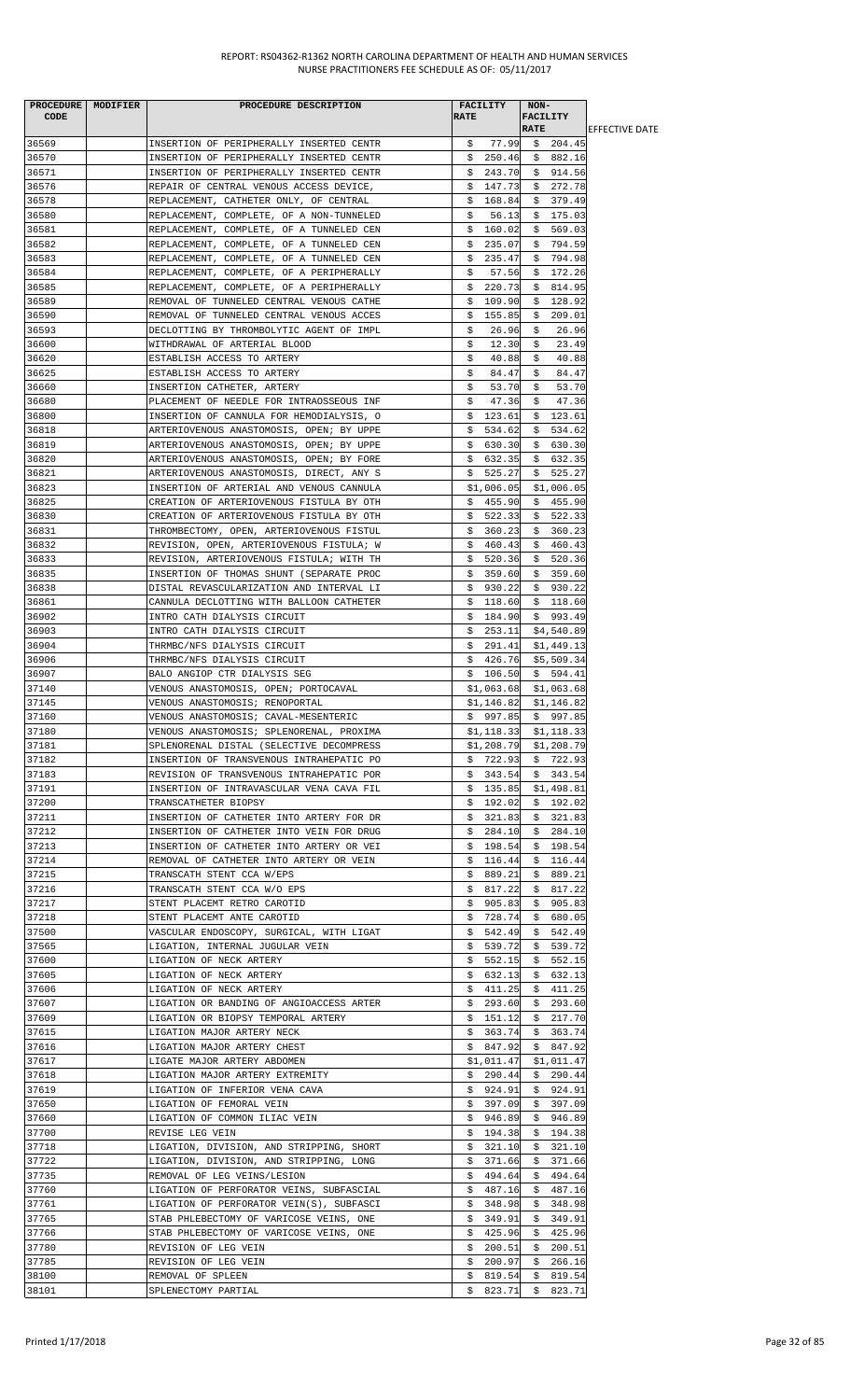| PROCEDURE   MODIFIER | PROCEDURE DESCRIPTION                                                                | <b>FACILITY</b>         | NON-                |                        |
|----------------------|--------------------------------------------------------------------------------------|-------------------------|---------------------|------------------------|
| CODE                 |                                                                                      | <b>RATE</b>             | <b>FACILITY</b>     |                        |
|                      |                                                                                      |                         | <b>RATE</b>         | <b>IEFFECTIVE DATE</b> |
| 36569                | INSERTION OF PERIPHERALLY INSERTED CENTR                                             | \$77.99                 | \$204.45            |                        |
| 36570                | INSERTION OF PERIPHERALLY INSERTED CENTR                                             | \$250.46                | \$882.16            |                        |
| 36571                | INSERTION OF PERIPHERALLY INSERTED CENTR                                             | 243.70<br>S.            | \$914.56            |                        |
| 36576                | REPAIR OF CENTRAL VENOUS ACCESS DEVICE,                                              | \$147.73                | \$272.78            |                        |
| 36578                | REPLACEMENT, CATHETER ONLY, OF CENTRAL                                               | 168.84<br>Ş.            | \$<br>379.49        |                        |
| 36580                | REPLACEMENT, COMPLETE, OF A NON-TUNNELED                                             | \$<br>56.13             | \$175.03            |                        |
| 36581                | REPLACEMENT, COMPLETE, OF A TUNNELED CEN                                             | \$160.02                | \$569.03            |                        |
| 36582                | REPLACEMENT, COMPLETE, OF A TUNNELED CEN                                             | 235.07<br>\$            | \$794.59            |                        |
| 36583                | REPLACEMENT, COMPLETE, OF A TUNNELED CEN                                             | \$<br>235.47            | 794.98<br>\$        |                        |
| 36584                | REPLACEMENT, COMPLETE, OF A PERIPHERALLY                                             | \$<br>57.56             | 172.26<br>Ş.        |                        |
| 36585                | REPLACEMENT, COMPLETE, OF A PERIPHERALLY                                             | \$<br>220.73            | 814.95<br>\$.       |                        |
| 36589                | REMOVAL OF TUNNELED CENTRAL VENOUS CATHE                                             | \$<br>109.90            | \$<br>128.92        |                        |
| 36590                | REMOVAL OF TUNNELED CENTRAL VENOUS ACCES                                             | 155.85<br>Ş.            | 209.01<br>Ş.        |                        |
| 36593                | DECLOTTING BY THROMBOLYTIC AGENT OF IMPL                                             | 26.96<br>S.             | 26.96<br>S.         |                        |
| 36600                | WITHDRAWAL OF ARTERIAL BLOOD                                                         | 12.30<br>\$             | 23.49<br>\$         |                        |
| 36620                | ESTABLISH ACCESS TO ARTERY                                                           | \$<br>40.88             | 40.88<br>\$         |                        |
| 36625                | ESTABLISH ACCESS TO ARTERY                                                           | \$<br>84.47             | \$<br>84.47         |                        |
| 36660                | INSERTION CATHETER, ARTERY                                                           | 53.70<br>\$             | 53.70<br>S.         |                        |
| 36680                | PLACEMENT OF NEEDLE FOR INTRAOSSEOUS INF                                             | \$<br>47.36             | \$<br>47.36         |                        |
| 36800                | INSERTION OF CANNULA FOR HEMODIALYSIS, O                                             | \$<br>123.61            | \$<br>123.61        |                        |
| 36818                | ARTERIOVENOUS ANASTOMOSIS, OPEN; BY UPPE                                             | \$534.62                | \$534.62            |                        |
| 36819                | ARTERIOVENOUS ANASTOMOSIS, OPEN; BY UPPE                                             | \$630.30                | \$630.30            |                        |
| 36820                | ARTERIOVENOUS ANASTOMOSIS, OPEN; BY FORE                                             | \$632.35                | \$632.35            |                        |
| 36821                | ARTERIOVENOUS ANASTOMOSIS, DIRECT, ANY S                                             | \$525.27                | \$525.27            |                        |
| 36823                | INSERTION OF ARTERIAL AND VENOUS CANNULA                                             | \$1,006.05              | \$1,006.05          |                        |
| 36825                | CREATION OF ARTERIOVENOUS FISTULA BY OTH                                             | \$455.90                | \$455.90            |                        |
| 36830                |                                                                                      |                         | 522.33              |                        |
| 36831                | CREATION OF ARTERIOVENOUS FISTULA BY OTH                                             | \$.<br>522.33<br>360.23 | \$<br>\$<br>360.23  |                        |
| 36832                | THROMBECTOMY, OPEN, ARTERIOVENOUS FISTUL<br>REVISION, OPEN, ARTERIOVENOUS FISTULA; W | Ş.<br>\$460.43          | \$460.43            |                        |
|                      |                                                                                      |                         |                     |                        |
| 36833                | REVISION, ARTERIOVENOUS FISTULA; WITH TH                                             | 520.36<br>Ş.            | \$520.36            |                        |
| 36835                | INSERTION OF THOMAS SHUNT (SEPARATE PROC                                             | \$359.60                | \$359.60            |                        |
| 36838                | DISTAL REVASCULARIZATION AND INTERVAL LI                                             | \$930.22                | \$930.22            |                        |
| 36861                | CANNULA DECLOTTING WITH BALLOON CATHETER                                             | \$118.60                | \$118.60            |                        |
| 36902                | INTRO CATH DIALYSIS CIRCUIT                                                          | 184.90<br>\$            | \$993.49            |                        |
| 36903                | INTRO CATH DIALYSIS CIRCUIT                                                          | 253.11<br>Ş.            | \$4,540.89          |                        |
| 36904                | THRMBC/NFS DIALYSIS CIRCUIT                                                          | \$291.41                | \$1,449.13          |                        |
| 36906                | THRMBC/NFS DIALYSIS CIRCUIT                                                          | \$426.76                | \$5,509.34          |                        |
| 36907                | BALO ANGIOP CTR DIALYSIS SEG                                                         | \$106.50                | \$594.41            |                        |
| 37140                | VENOUS ANASTOMOSIS, OPEN; PORTOCAVAL                                                 | \$1,063.68              | \$1,063.68          |                        |
| 37145                | VENOUS ANASTOMOSIS; RENOPORTAL                                                       | \$1,146.82              | \$1,146.82          |                        |
| 37160                | VENOUS ANASTOMOSIS; CAVAL-MESENTERIC                                                 | \$997.85                | \$997.85            |                        |
| 37180                | VENOUS ANASTOMOSIS; SPLENORENAL, PROXIMA                                             | \$1,118.33              | \$1,118.33          |                        |
| 37181                | SPLENORENAL DISTAL (SELECTIVE DECOMPRESS                                             | \$1,208.79              | \$1,208.79          |                        |
| 37182                | INSERTION OF TRANSVENOUS INTRAHEPATIC PO                                             | \$722.93                | \$722.93            |                        |
| 37183                | REVISION OF TRANSVENOUS INTRAHEPATIC POR                                             | \$343.54                | \$343.54            |                        |
| 37191                | INSERTION OF INTRAVASCULAR VENA CAVA FIL                                             | \$135.85                | \$1,498.81          |                        |
| 37200                | TRANSCATHETER BIOPSY                                                                 | \$192.02                | \$192.02            |                        |
| 37211                | INSERTION OF CATHETER INTO ARTERY FOR DR                                             | \$321.83                | \$321.83            |                        |
| 37212                | INSERTION OF CATHETER INTO VEIN FOR DRUG                                             |                         | $$284.10 \t$284.10$ |                        |
| 37213                | INSERTION OF CATHETER INTO ARTERY OR VEI                                             | \$198.54                | \$198.54            |                        |
| 37214                | REMOVAL OF CATHETER INTO ARTERY OR VEIN                                              | \$116.44                | \$116.44            |                        |
| 37215                | TRANSCATH STENT CCA W/EPS                                                            | \$<br>889.21            | 889.21<br>Ş.        |                        |
| 37216                | TRANSCATH STENT CCA W/O EPS                                                          | \$817.22                | 817.22<br>Ş.        |                        |
| 37217                | STENT PLACEMT RETRO CAROTID                                                          | \$905.83                | \$905.83            |                        |
| 37218                | STENT PLACEMT ANTE CAROTID                                                           | \$728.74                | 680.05<br>S.        |                        |
| 37500                | VASCULAR ENDOSCOPY, SURGICAL, WITH LIGAT                                             | \$542.49                | \$542.49            |                        |
| 37565                | LIGATION, INTERNAL JUGULAR VEIN                                                      | \$539.72                | \$539.72            |                        |
| 37600                | LIGATION OF NECK ARTERY                                                              | \$552.15                | \$552.15            |                        |
| 37605                | LIGATION OF NECK ARTERY                                                              | \$<br>632.13            | \$<br>632.13        |                        |
| 37606                | LIGATION OF NECK ARTERY                                                              | \$411.25                | 411.25<br>Ş.        |                        |
| 37607                | LIGATION OR BANDING OF ANGIOACCESS ARTER                                             | \$293.60                | \$293.60            |                        |
| 37609                | LIGATION OR BIOPSY TEMPORAL ARTERY                                                   | \$151.12                | \$217.70            |                        |
| 37615                | LIGATION MAJOR ARTERY NECK                                                           | 363.74<br>Ş.            | \$<br>363.74        |                        |
| 37616                | LIGATION MAJOR ARTERY CHEST                                                          | \$847.92                | \$847.92            |                        |
| 37617                | LIGATE MAJOR ARTERY ABDOMEN                                                          | \$1,011.47              | \$1,011.47          |                        |
| 37618                | LIGATION MAJOR ARTERY EXTREMITY                                                      | \$290.44                | \$290.44            |                        |
| 37619                | LIGATION OF INFERIOR VENA CAVA                                                       | \$924.91                | \$924.91            |                        |
| 37650                | LIGATION OF FEMORAL VEIN                                                             | \$397.09                | \$397.09            |                        |
| 37660                | LIGATION OF COMMON ILIAC VEIN                                                        | \$946.89                | \$946.89            |                        |
| 37700                | REVISE LEG VEIN                                                                      | 194.38<br>Ş.            | 194.38<br>Ş.        |                        |
| 37718                | LIGATION, DIVISION, AND STRIPPING, SHORT                                             | \$321.10                | \$321.10            |                        |
| 37722                | LIGATION, DIVISION, AND STRIPPING, LONG                                              | \$371.66                | \$371.66            |                        |
| 37735                | REMOVAL OF LEG VEINS/LESION                                                          | \$494.64                | 494.64<br>\$        |                        |
| 37760                | LIGATION OF PERFORATOR VEINS, SUBFASCIAL                                             | \$487.16                | \$487.16            |                        |
| 37761                | LIGATION OF PERFORATOR VEIN(S), SUBFASCI                                             | \$348.98                | \$348.98            |                        |
| 37765                | STAB PHLEBECTOMY OF VARICOSE VEINS, ONE                                              | \$349.91                | \$349.91            |                        |
| 37766                | STAB PHLEBECTOMY OF VARICOSE VEINS, ONE                                              | 425.96<br>Ş.            | 425.96<br>Ş.        |                        |
| 37780                | REVISION OF LEG VEIN                                                                 | 200.51<br>S.            | \$<br>200.51        |                        |
| 37785                | REVISION OF LEG VEIN                                                                 | \$200.97                | 266.16<br>Ş.        |                        |
| 38100                | REMOVAL OF SPLEEN                                                                    | 819.54<br>Ş.            | \$<br>819.54        |                        |
| 38101                | SPLENECTOMY PARTIAL                                                                  | \$                      | 823.71 \$ 823.71    |                        |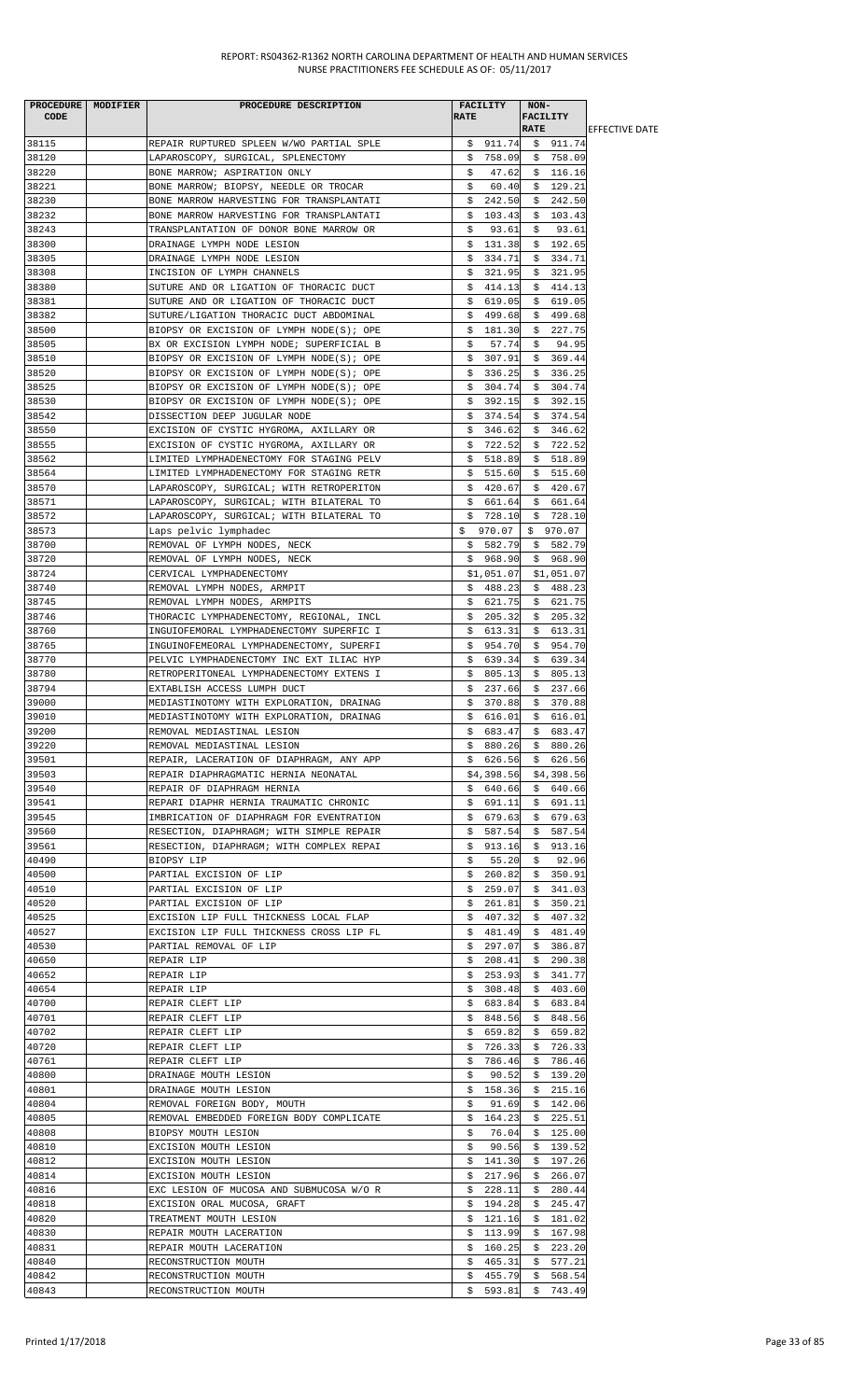|       | PROCEDURE MODIFIER | PROCEDURE DESCRIPTION                    | <b>FACILITY</b> | $NON-$              |                        |
|-------|--------------------|------------------------------------------|-----------------|---------------------|------------------------|
| CODE  |                    |                                          | <b>RATE</b>     | <b>FACILITY</b>     |                        |
|       |                    |                                          |                 | <b>RATE</b>         | <b>IEFFECTIVE DATE</b> |
| 38115 |                    | REPAIR RUPTURED SPLEEN W/WO PARTIAL SPLE |                 | $$911.74$ $$911.74$ |                        |
| 38120 |                    | LAPAROSCOPY, SURGICAL, SPLENECTOMY       |                 | $$758.09$ \$ 758.09 |                        |
| 38220 |                    | BONE MARROW; ASPIRATION ONLY             | 47.62<br>S.     | \$116.16            |                        |
| 38221 |                    | BONE MARROW; BIOPSY, NEEDLE OR TROCAR    | \$              | $60.40 \div 129.21$ |                        |
| 38230 |                    | BONE MARROW HARVESTING FOR TRANSPLANTATI | \$<br>242.50    | \$242.50            |                        |
| 38232 |                    |                                          |                 |                     |                        |
|       |                    | BONE MARROW HARVESTING FOR TRANSPLANTATI | \$<br>103.43    | \$103.43            |                        |
| 38243 |                    | TRANSPLANTATION OF DONOR BONE MARROW OR  | \$<br>93.61     | 93.61<br>\$         |                        |
| 38300 |                    | DRAINAGE LYMPH NODE LESION               | \$131.38        | \$192.65            |                        |
| 38305 |                    | DRAINAGE LYMPH NODE LESION               | \$334.71        | \$334.71            |                        |
| 38308 |                    | INCISION OF LYMPH CHANNELS               | \$321.95        | \$321.95            |                        |
| 38380 |                    | SUTURE AND OR LIGATION OF THORACIC DUCT  | \$414.13        | \$414.13            |                        |
| 38381 |                    | SUTURE AND OR LIGATION OF THORACIC DUCT  | \$619.05        | \$619.05            |                        |
| 38382 |                    | SUTURE/LIGATION THORACIC DUCT ABDOMINAL  | \$.<br>499.68   | \$499.68            |                        |
| 38500 |                    | BIOPSY OR EXCISION OF LYMPH NODE(S); OPE | \$181.30        | \$227.75            |                        |
|       |                    |                                          |                 |                     |                        |
| 38505 |                    | BX OR EXCISION LYMPH NODE; SUPERFICIAL B | \$<br>57.74     | \$<br>94.95         |                        |
| 38510 |                    | BIOPSY OR EXCISION OF LYMPH NODE(S); OPE | \$307.91        | \$369.44            |                        |
| 38520 |                    | BIOPSY OR EXCISION OF LYMPH NODE(S); OPE | \$336.25        | \$336.25            |                        |
| 38525 |                    | BIOPSY OR EXCISION OF LYMPH NODE(S); OPE | \$304.74        | \$304.74            |                        |
| 38530 |                    | BIOPSY OR EXCISION OF LYMPH NODE(S); OPE | \$392.15        | \$392.15            |                        |
| 38542 |                    | DISSECTION DEEP JUGULAR NODE             | \$374.54        | \$374.54            |                        |
| 38550 |                    | EXCISION OF CYSTIC HYGROMA, AXILLARY OR  | \$346.62        | \$346.62            |                        |
| 38555 |                    | EXCISION OF CYSTIC HYGROMA, AXILLARY OR  | \$722.52        | \$722.52            |                        |
| 38562 |                    | LIMITED LYMPHADENECTOMY FOR STAGING PELV | \$518.89        | \$518.89            |                        |
|       |                    |                                          |                 |                     |                        |
| 38564 |                    | LIMITED LYMPHADENECTOMY FOR STAGING RETR | \$515.60        | \$515.60            |                        |
| 38570 |                    | LAPAROSCOPY, SURGICAL; WITH RETROPERITON | \$420.67        | \$420.67            |                        |
| 38571 |                    | LAPAROSCOPY, SURGICAL; WITH BILATERAL TO |                 | \$661.64\$561.64    |                        |
| 38572 |                    | LAPAROSCOPY, SURGICAL; WITH BILATERAL TO | \$728.10        | \$728.10            |                        |
| 38573 |                    | Laps pelvic lymphadec                    | \$970.07        | \$970.07            |                        |
| 38700 |                    | REMOVAL OF LYMPH NODES, NECK             |                 | $$582.79$ $$582.79$ |                        |
| 38720 |                    | REMOVAL OF LYMPH NODES, NECK             |                 | $$968.90 \$968.90$  |                        |
| 38724 |                    | CERVICAL LYMPHADENECTOMY                 | \$1,051.07      | \$1,051.07          |                        |
| 38740 |                    | REMOVAL LYMPH NODES, ARMPIT              | \$488.23        | \$488.23            |                        |
|       |                    |                                          |                 |                     |                        |
| 38745 |                    | REMOVAL LYMPH NODES, ARMPITS             | \$621.75        | \$621.75            |                        |
| 38746 |                    | THORACIC LYMPHADENECTOMY, REGIONAL, INCL | \$205.32        | \$205.32            |                        |
| 38760 |                    | INGUIOFEMORAL LYMPHADENECTOMY SUPERFIC I | \$ 613.31       | \$613.31            |                        |
| 38765 |                    | INGUINOFEMEORAL LYMPHADENECTOMY, SUPERFI | \$954.70        | \$954.70            |                        |
| 38770 |                    | PELVIC LYMPHADENECTOMY INC EXT ILIAC HYP | \$639.34        | \$639.34            |                        |
| 38780 |                    | RETROPERITONEAL LYMPHADENECTOMY EXTENS I | \$805.13        | \$805.13            |                        |
| 38794 |                    | EXTABLISH ACCESS LUMPH DUCT              | 237.66<br>\$    | \$237.66            |                        |
| 39000 |                    | MEDIASTINOTOMY WITH EXPLORATION, DRAINAG | 370.88<br>\$    | \$370.88            |                        |
| 39010 |                    |                                          | \$<br>616.01    | \$616.01            |                        |
|       |                    | MEDIASTINOTOMY WITH EXPLORATION, DRAINAG |                 |                     |                        |
| 39200 |                    | REMOVAL MEDIASTINAL LESION               | \$683.47        | \$683.47            |                        |
| 39220 |                    | REMOVAL MEDIASTINAL LESION               | \$880.26        | \$880.26            |                        |
| 39501 |                    | REPAIR, LACERATION OF DIAPHRAGM, ANY APP |                 | $$626.56$ $$626.56$ |                        |
| 39503 |                    | REPAIR DIAPHRAGMATIC HERNIA NEONATAL     | \$4,398.56      | \$4,398.56          |                        |
| 39540 |                    | REPAIR OF DIAPHRAGM HERNIA               | \$640.66        | \$640.66            |                        |
| 39541 |                    | REPARI DIAPHR HERNIA TRAUMATIC CHRONIC   | \$691.11        | \$691.11            |                        |
| 39545 |                    | IMBRICATION OF DIAPHRAGM FOR EVENTRATION | \$679.63        | \$679.63            |                        |
| 39560 |                    | RESECTION, DIAPHRAGM; WITH SIMPLE REPAIR | 587.54<br>Ş.    | 587.54<br>S.        |                        |
| 39561 |                    |                                          |                 |                     |                        |
|       |                    | RESECTION, DIAPHRAGM; WITH COMPLEX REPAI | \$913.16        | \$913.16            |                        |
| 40490 |                    | BIOPSY LIP                               | \$<br>55.20     | 92.96<br>\$         |                        |
| 40500 |                    | PARTIAL EXCISION OF LIP                  | \$260.82        | \$350.91            |                        |
| 40510 |                    | PARTIAL EXCISION OF LIP                  | 259.07<br>S.    | \$341.03            |                        |
| 40520 |                    | PARTIAL EXCISION OF LIP                  | \$261.81        | \$350.21            |                        |
| 40525 |                    | EXCISION LIP FULL THICKNESS LOCAL FLAP   | \$<br>407.32    | 407.32<br>\$        |                        |
| 40527 |                    | EXCISION LIP FULL THICKNESS CROSS LIP FL | \$481.49        | \$<br>481.49        |                        |
| 40530 |                    | PARTIAL REMOVAL OF LIP                   | 297.07<br>Ş.    | 386.87<br>Ş.        |                        |
| 40650 |                    | REPAIR LIP                               | \$208.41        | \$290.38            |                        |
| 40652 |                    | REPAIR LIP                               | \$253.93        | 341.77<br>Ş.        |                        |
|       |                    |                                          |                 |                     |                        |
| 40654 |                    | REPAIR LIP                               | \$308.48        | \$403.60            |                        |
| 40700 |                    | REPAIR CLEFT LIP                         | \$683.84        | \$683.84            |                        |
| 40701 |                    | REPAIR CLEFT LIP                         | \$848.56        | \$848.56            |                        |
| 40702 |                    | REPAIR CLEFT LIP                         | \$659.82        | \$659.82            |                        |
| 40720 |                    | REPAIR CLEFT LIP                         | 726.33<br>Ş.    | 726.33<br>S.        |                        |
| 40761 |                    | REPAIR CLEFT LIP                         | \$<br>786.46    | 786.46<br>Ş.        |                        |
| 40800 |                    | DRAINAGE MOUTH LESION                    | \$<br>90.52     | \$<br>139.20        |                        |
| 40801 |                    | DRAINAGE MOUTH LESION                    | \$158.36        | 215.16<br>Ş.        |                        |
| 40804 |                    | REMOVAL FOREIGN BODY, MOUTH              | 91.69<br>Ş.     | \$142.06            |                        |
| 40805 |                    | REMOVAL EMBEDDED FOREIGN BODY COMPLICATE | \$164.23        | \$225.51            |                        |
|       |                    |                                          |                 |                     |                        |
| 40808 |                    | BIOPSY MOUTH LESION                      | \$<br>76.04     | \$125.00            |                        |
| 40810 |                    | EXCISION MOUTH LESION                    | 90.56<br>S.     | \$139.52            |                        |
| 40812 |                    | EXCISION MOUTH LESION                    | \$<br>141.30    | \$<br>197.26        |                        |
| 40814 |                    | EXCISION MOUTH LESION                    | 217.96<br>\$    | 266.07<br>\$        |                        |
| 40816 |                    | EXC LESION OF MUCOSA AND SUBMUCOSA W/O R | 228.11<br>Ş.    | \$<br>280.44        |                        |
| 40818 |                    | EXCISION ORAL MUCOSA, GRAFT              | \$194.28        | 245.47<br>Ş.        |                        |
| 40820 |                    | TREATMENT MOUTH LESION                   | 121.16<br>Ş.    | \$181.02            |                        |
| 40830 |                    | REPAIR MOUTH LACERATION                  | 113.99<br>Ş.    | 167.98<br>Ş.        |                        |
| 40831 |                    | REPAIR MOUTH LACERATION                  | \$160.25        | \$223.20            |                        |
|       |                    |                                          |                 |                     |                        |
| 40840 |                    | RECONSTRUCTION MOUTH                     | \$465.31        | \$577.21            |                        |
| 40842 |                    | RECONSTRUCTION MOUTH                     | 455.79<br>\$.   | \$<br>568.54        |                        |
| 40843 |                    | RECONSTRUCTION MOUTH                     | 593.81<br>\$    | \$743.49            |                        |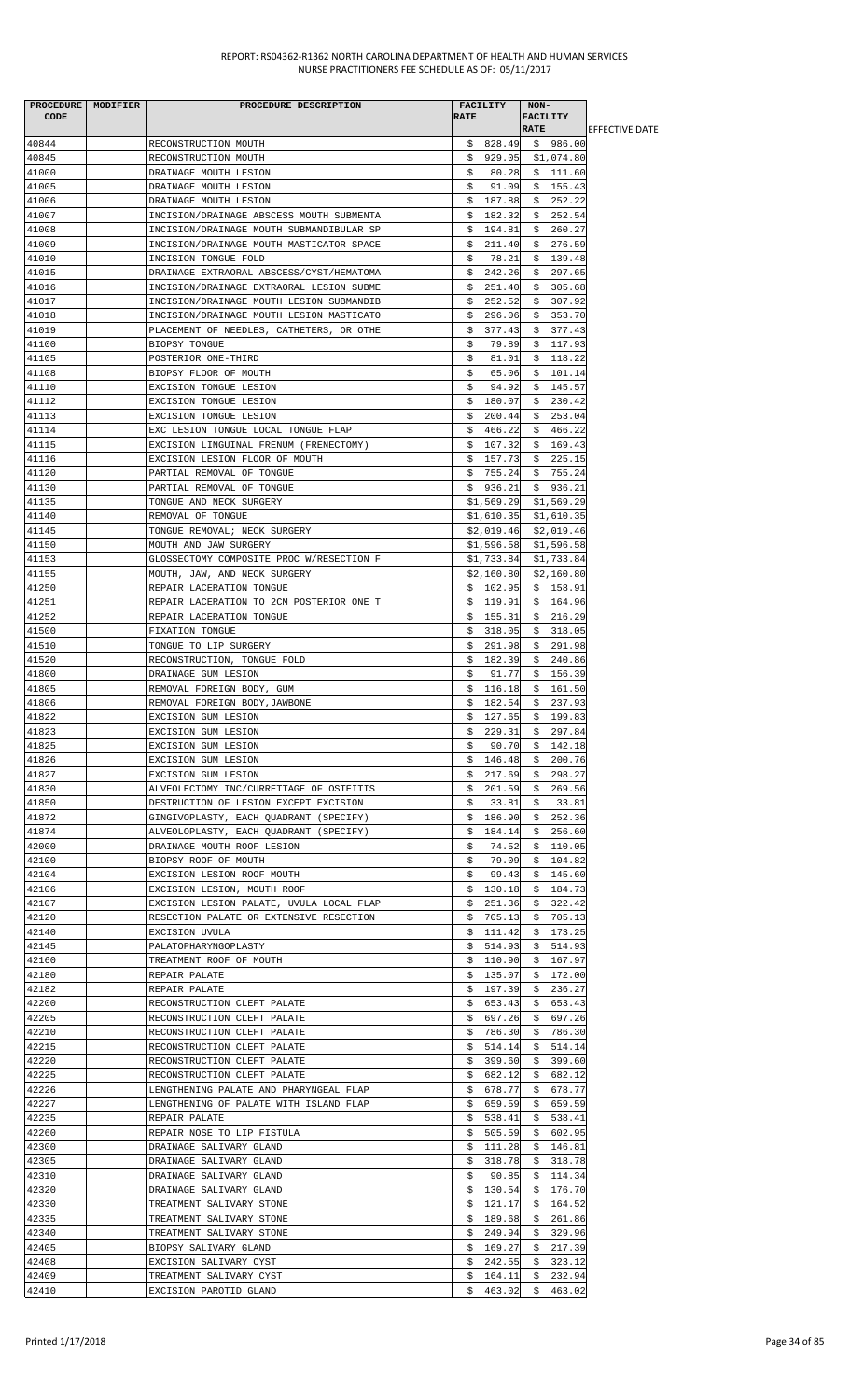| <b>CODE</b>    | PROCEDURE   MODIFIER | PROCEDURE DESCRIPTION                                                | <b>FACILITY</b><br><b>RATE</b> | NON-<br>FACILITY             |                        |
|----------------|----------------------|----------------------------------------------------------------------|--------------------------------|------------------------------|------------------------|
|                |                      |                                                                      |                                | <b>RATE</b>                  | <b>IEFFECTIVE DATE</b> |
| 40844          |                      | RECONSTRUCTION MOUTH                                                 | \$828.49                       | \$986.00                     |                        |
| 40845          |                      | RECONSTRUCTION MOUTH                                                 | \$929.05                       | \$1,074.80                   |                        |
| 41000          |                      | DRAINAGE MOUTH LESION                                                | 80.28<br>Ş.                    | \$111.60                     |                        |
| 41005          |                      | DRAINAGE MOUTH LESION                                                | \$<br>91.09                    | \$155.43                     |                        |
| 41006<br>41007 |                      | DRAINAGE MOUTH LESION<br>INCISION/DRAINAGE ABSCESS MOUTH SUBMENTA    | \$187.88<br>\$182.32           | \$252.22<br>\$252.54         |                        |
| 41008          |                      | INCISION/DRAINAGE MOUTH SUBMANDIBULAR SP                             | 194.81<br>\$                   | \$260.27                     |                        |
| 41009          |                      | INCISION/DRAINAGE MOUTH MASTICATOR SPACE                             | \$.<br>211.40                  | \$276.59                     |                        |
| 41010          |                      | INCISION TONGUE FOLD                                                 | \$<br>78.21                    | \$<br>139.48                 |                        |
| 41015          |                      | DRAINAGE EXTRAORAL ABSCESS/CYST/HEMATOMA                             | 242.26<br>\$.                  | \$297.65                     |                        |
| 41016          |                      | INCISION/DRAINAGE EXTRAORAL LESION SUBME                             | 251.40<br>\$                   | \$305.68                     |                        |
| 41017          |                      | INCISION/DRAINAGE MOUTH LESION SUBMANDIB                             | 252.52<br>Ş.                   | 307.92<br>Ş.                 |                        |
| 41018          |                      | INCISION/DRAINAGE MOUTH LESION MASTICATO                             | 296.06<br>S.                   | \$353.70                     |                        |
| 41019          |                      | PLACEMENT OF NEEDLES, CATHETERS, OR OTHE                             | 377.43<br>Ş.                   | \$377.43                     |                        |
| 41100          |                      | BIOPSY TONGUE                                                        | \$<br>79.89                    | \$117.93                     |                        |
| 41105<br>41108 |                      | POSTERIOR ONE-THIRD<br>BIOPSY FLOOR OF MOUTH                         | \$<br>81.01<br>65.06           | \$118.22<br>\$101.14         |                        |
| 41110          |                      | EXCISION TONGUE LESION                                               | Ş.<br>\$<br>94.92              | \$145.57                     |                        |
| 41112          |                      | EXCISION TONGUE LESION                                               | \$.<br>180.07                  | 230.42<br>\$                 |                        |
| 41113          |                      | EXCISION TONGUE LESION                                               | \$.<br>200.44                  | \$253.04                     |                        |
| 41114          |                      | EXC LESION TONGUE LOCAL TONGUE FLAP                                  | \$466.22                       | \$466.22                     |                        |
| 41115          |                      | EXCISION LINGUINAL FRENUM (FRENECTOMY)                               | \$107.32                       | \$169.43                     |                        |
| 41116          |                      | EXCISION LESION FLOOR OF MOUTH                                       | 157.73<br>Ş.                   | \$225.15                     |                        |
| 41120          |                      | PARTIAL REMOVAL OF TONGUE                                            | \$755.24                       | \$755.24                     |                        |
| 41130          |                      | PARTIAL REMOVAL OF TONGUE                                            | \$936.21                       | \$936.21                     |                        |
| 41135          |                      | TONGUE AND NECK SURGERY                                              | \$1,569.29                     | \$1,569.29                   |                        |
| 41140<br>41145 |                      | REMOVAL OF TONGUE<br>TONGUE REMOVAL; NECK SURGERY                    | \$1,610.35<br>\$2,019.46       | \$1,610.35<br>\$2,019.46     |                        |
| 41150          |                      | MOUTH AND JAW SURGERY                                                | \$1,596.58                     | \$1,596.58                   |                        |
| 41153          |                      | GLOSSECTOMY COMPOSITE PROC W/RESECTION F                             | \$1,733.84                     | \$1,733.84                   |                        |
| 41155          |                      | MOUTH, JAW, AND NECK SURGERY                                         | \$2,160.80                     | \$2,160.80                   |                        |
| 41250          |                      | REPAIR LACERATION TONGUE                                             | \$102.95                       | \$158.91                     |                        |
| 41251          |                      | REPAIR LACERATION TO 2CM POSTERIOR ONE T                             | \$119.91                       | \$164.96                     |                        |
| 41252          |                      | REPAIR LACERATION TONGUE                                             | \$155.31                       | \$216.29                     |                        |
| 41500          |                      | FIXATION TONGUE                                                      | 318.05<br>Ş.                   | \$318.05                     |                        |
| 41510          |                      | TONGUE TO LIP SURGERY                                                | \$<br>291.98                   | \$291.98                     |                        |
| 41520          |                      | RECONSTRUCTION, TONGUE FOLD                                          | \$182.39                       | \$240.86                     |                        |
| 41800<br>41805 |                      | DRAINAGE GUM LESION                                                  | 91.77<br>S.<br>\$116.18        | \$156.39<br>\$161.50         |                        |
| 41806          |                      | REMOVAL FOREIGN BODY, GUM<br>REMOVAL FOREIGN BODY, JAWBONE           | 182.54<br>\$                   | \$237.93                     |                        |
| 41822          |                      | EXCISION GUM LESION                                                  | \$<br>127.65                   | \$199.83                     |                        |
| 41823          |                      | EXCISION GUM LESION                                                  | \$229.31                       | \$297.84                     |                        |
| 41825          |                      | EXCISION GUM LESION                                                  | 90.70<br>\$.                   | \$142.18                     |                        |
| 41826          |                      | EXCISION GUM LESION                                                  | \$146.48                       | 200.76<br>Ş.                 |                        |
| 41827          |                      | EXCISION GUM LESION                                                  | 217.69<br>Ş.                   | 298.27<br>S.                 |                        |
| 41830          |                      | ALVEOLECTOMY INC/CURRETTAGE OF OSTEITIS                              | 201.59<br>Ş.                   | \$269.56                     |                        |
| 41850          |                      | DESTRUCTION OF LESION EXCEPT EXCISION                                | Ş.<br>33.81                    | \$<br>33.81                  |                        |
| 41872          |                      | GINGIVOPLASTY, EACH QUADRANT (SPECIFY)                               | \$186.90                       | \$252.36                     |                        |
| 41874<br>42000 |                      | ALVEOLOPLASTY, EACH QUADRANT (SPECIFY)<br>DRAINAGE MOUTH ROOF LESION | 184.14<br>s<br>74.52           | \$256.60<br>\$110.05         |                        |
| 42100          |                      | BIOPSY ROOF OF MOUTH                                                 | \$<br>79.09<br>\$              | 104.82<br>\$                 |                        |
| 42104          |                      | EXCISION LESION ROOF MOUTH                                           | 99.43<br>Ş.                    | 145.60<br>Ş.                 |                        |
| 42106          |                      | EXCISION LESION, MOUTH ROOF                                          | \$130.18                       | \$184.73                     |                        |
| 42107          |                      | EXCISION LESION PALATE, UVULA LOCAL FLAP                             | 251.36<br>Ş.                   | \$322.42                     |                        |
| 42120          |                      | RESECTION PALATE OR EXTENSIVE RESECTION                              | 705.13<br>Ş.                   | \$705.13                     |                        |
| 42140          |                      | EXCISION UVULA                                                       | \$111.42                       | \$173.25                     |                        |
| 42145          |                      | PALATOPHARYNGOPLASTY                                                 | \$514.93                       | \$514.93                     |                        |
| 42160          |                      | TREATMENT ROOF OF MOUTH                                              | \$110.90                       | \$167.97                     |                        |
| 42180          |                      | REPAIR PALATE                                                        | 135.07<br>Ş.                   | \$<br>172.00                 |                        |
| 42182<br>42200 |                      | REPAIR PALATE<br>RECONSTRUCTION CLEFT PALATE                         | 197.39<br>Ş.<br>\$653.43       | 236.27<br>\$<br>\$<br>653.43 |                        |
| 42205          |                      | RECONSTRUCTION CLEFT PALATE                                          | \$697.26                       | 697.26<br>Ş.                 |                        |
| 42210          |                      | RECONSTRUCTION CLEFT PALATE                                          | \$786.30                       | \$786.30                     |                        |
| 42215          |                      | RECONSTRUCTION CLEFT PALATE                                          | 514.14<br>Ş.                   | \$514.14                     |                        |
| 42220          |                      | RECONSTRUCTION CLEFT PALATE                                          | 399.60<br>S.                   | 399.60<br>\$                 |                        |
| 42225          |                      | RECONSTRUCTION CLEFT PALATE                                          | 682.12<br>Ş.                   | 682.12<br>Ş.                 |                        |
| 42226          |                      | LENGTHENING PALATE AND PHARYNGEAL FLAP                               | \$678.77                       | \$678.77                     |                        |
| 42227          |                      | LENGTHENING OF PALATE WITH ISLAND FLAP                               | \$659.59                       | \$<br>659.59                 |                        |
| 42235          |                      | REPAIR PALATE                                                        | \$.<br>538.41                  | 538.41<br>\$                 |                        |
| 42260          |                      | REPAIR NOSE TO LIP FISTULA                                           | 505.59<br>Ş.                   | 602.95<br>S.                 |                        |
| 42300<br>42305 |                      | DRAINAGE SALIVARY GLAND<br>DRAINAGE SALIVARY GLAND                   | 111.28<br>Ş.<br>318.78<br>Ş.   | \$146.81<br>318.78<br>Ş.     |                        |
| 42310          |                      | DRAINAGE SALIVARY GLAND                                              | 90.85<br>Ş.                    | 114.34<br>Ş.                 |                        |
| 42320          |                      | DRAINAGE SALIVARY GLAND                                              | \$130.54                       | \$176.70                     |                        |
| 42330          |                      | TREATMENT SALIVARY STONE                                             | \$.<br>121.17                  | \$164.52                     |                        |
| 42335          |                      | TREATMENT SALIVARY STONE                                             | 189.68<br>\$.                  | \$<br>261.86                 |                        |
| 42340          |                      | TREATMENT SALIVARY STONE                                             | 249.94<br>Ş.                   | 329.96<br>Ş.                 |                        |
| 42405          |                      | BIOPSY SALIVARY GLAND                                                | \$169.27                       | 217.39<br>Ş.                 |                        |
| 42408          |                      | EXCISION SALIVARY CYST                                               | \$242.55                       | \$<br>323.12                 |                        |
| 42409          |                      | TREATMENT SALIVARY CYST                                              | \$164.11                       | Ş.<br>232.94                 |                        |
| 42410          |                      | EXCISION PAROTID GLAND                                               |                                | $$463.02$$ \$463.02          |                        |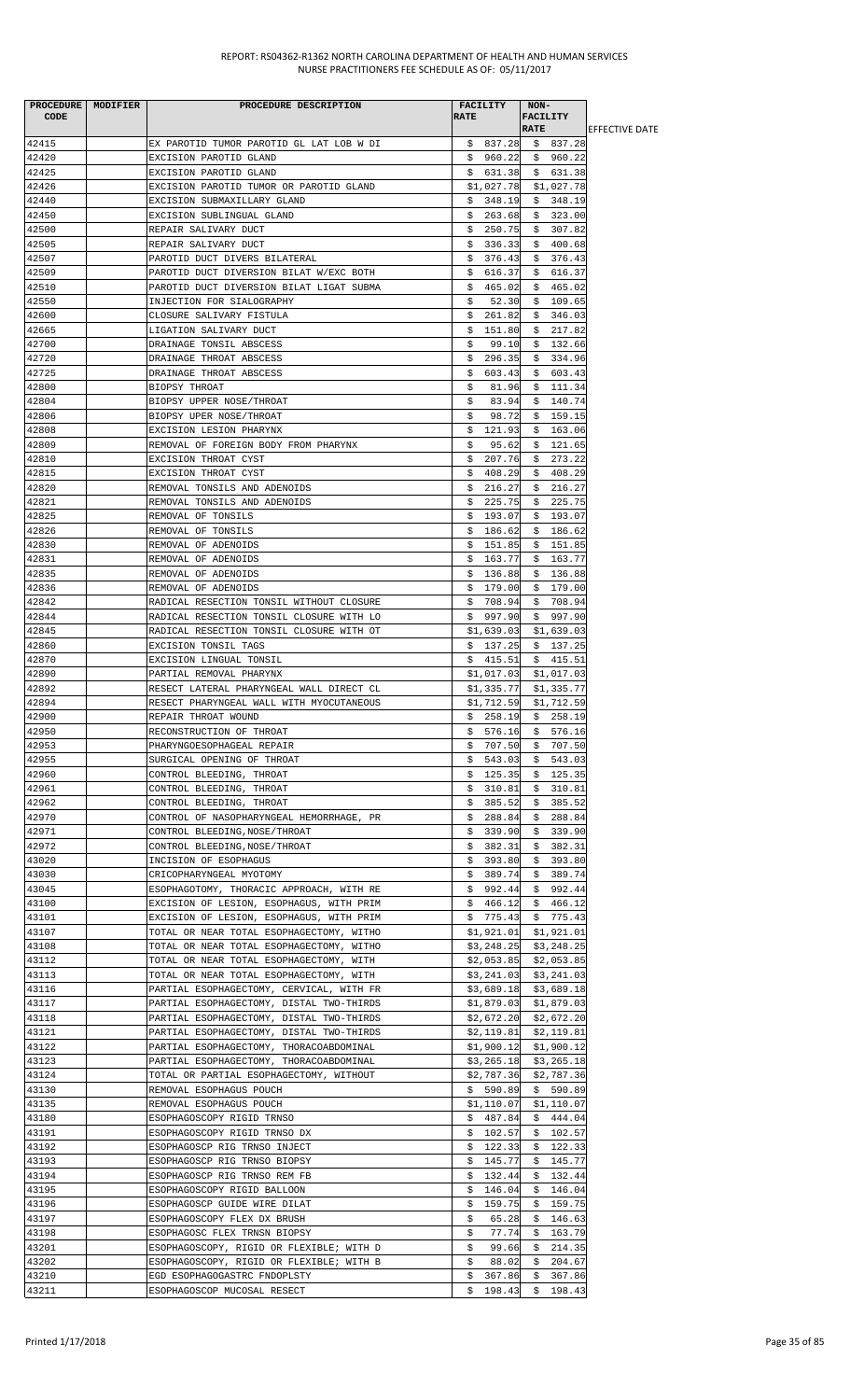| PROCEDURE MODIFIER<br><b>CODE</b> | PROCEDURE DESCRIPTION                                                                | <b>RATE</b> | <b>FACILITY</b>          | NON-<br><b>FACILITY</b>      |                       |
|-----------------------------------|--------------------------------------------------------------------------------------|-------------|--------------------------|------------------------------|-----------------------|
|                                   |                                                                                      |             |                          | <b>RATE</b>                  | <b>EFFECTIVE DATE</b> |
| 42415                             | EX PAROTID TUMOR PAROTID GL LAT LOB W DI                                             |             |                          | $$837.28$$ \$ 837.28         |                       |
| 42420                             | EXCISION PAROTID GLAND                                                               |             | \$960.22                 | \$960.22                     |                       |
| 42425                             | EXCISION PAROTID GLAND                                                               |             | \$631.38                 | \$631.38                     |                       |
| 42426<br>42440                    | EXCISION PAROTID TUMOR OR PAROTID GLAND<br>EXCISION SUBMAXILLARY GLAND               | \$          | \$1,027.78<br>348.19     | \$1,027.78<br>348.19         |                       |
| 42450                             | EXCISION SUBLINGUAL GLAND                                                            |             | \$263.68                 | \$.<br>\$323.00              |                       |
| 42500                             | REPAIR SALIVARY DUCT                                                                 |             | \$250.75                 | \$307.82                     |                       |
| 42505                             | REPAIR SALIVARY DUCT                                                                 | S.          | 336.33                   | \$400.68                     |                       |
| 42507                             | PAROTID DUCT DIVERS BILATERAL                                                        | Ş.          | 376.43                   | \$376.43                     |                       |
| 42509                             | PAROTID DUCT DIVERSION BILAT W/EXC BOTH                                              | S.          | 616.37                   | \$616.37                     |                       |
| 42510                             | PAROTID DUCT DIVERSION BILAT LIGAT SUBMA                                             | \$          | 465.02                   | \$465.02                     |                       |
| 42550                             | INJECTION FOR SIALOGRAPHY                                                            | \$          | 52.30                    | 109.65<br>\$                 |                       |
| 42600                             | CLOSURE SALIVARY FISTULA                                                             | \$.         | 261.82                   | \$<br>346.03                 |                       |
| 42665<br>42700                    | LIGATION SALIVARY DUCT                                                               | Ş.          | 151.80<br>99.10          | \$217.82                     |                       |
| 42720                             | DRAINAGE TONSIL ABSCESS<br>DRAINAGE THROAT ABSCESS                                   | \$<br>Ş.    | 296.35                   | \$132.66<br>\$334.96         |                       |
| 42725                             | DRAINAGE THROAT ABSCESS                                                              | S.          | 603.43                   | \$603.43                     |                       |
| 42800                             | BIOPSY THROAT                                                                        | \$          | 81.96                    | \$111.34                     |                       |
| 42804                             | BIOPSY UPPER NOSE/THROAT                                                             | \$          | 83.94                    | \$140.74                     |                       |
| 42806                             | BIOPSY UPER NOSE/THROAT                                                              | \$          | 98.72                    | \$<br>159.15                 |                       |
| 42808                             | EXCISION LESION PHARYNX                                                              | \$          | 121.93                   | \$163.06                     |                       |
| 42809                             | REMOVAL OF FOREIGN BODY FROM PHARYNX                                                 | \$          | 95.62                    | \$121.65                     |                       |
| 42810                             | EXCISION THROAT CYST                                                                 |             | \$207.76                 | \$<br>273.22                 |                       |
| 42815                             | EXCISION THROAT CYST                                                                 | S.          | 408.29                   | 408.29<br>S.                 |                       |
| 42820<br>42821                    | REMOVAL TONSILS AND ADENOIDS<br>REMOVAL TONSILS AND ADENOIDS                         | S.          | \$216.27<br>225.75       | \$216.27<br>\$225.75         |                       |
| 42825                             | REMOVAL OF TONSILS                                                                   | \$          | 193.07                   | \$193.07                     |                       |
| 42826                             | REMOVAL OF TONSILS                                                                   | Ş.          | 186.62                   | \$186.62                     |                       |
| 42830                             | REMOVAL OF ADENOIDS                                                                  | Ş.          | 151.85                   | \$151.85                     |                       |
| 42831                             | REMOVAL OF ADENOIDS                                                                  | \$.         | 163.77                   | \$163.77                     |                       |
| 42835                             | REMOVAL OF ADENOIDS                                                                  |             | \$136.88                 | \$136.88                     |                       |
| 42836                             | REMOVAL OF ADENOIDS                                                                  |             | \$179.00                 | \$179.00                     |                       |
| 42842                             | RADICAL RESECTION TONSIL WITHOUT CLOSURE                                             |             | \$708.94                 | \$708.94                     |                       |
| 42844                             | RADICAL RESECTION TONSIL CLOSURE WITH LO                                             |             | \$997.90                 | \$997.90                     |                       |
| 42845<br>42860                    | RADICAL RESECTION TONSIL CLOSURE WITH OT<br>EXCISION TONSIL TAGS                     |             | \$1,639.03<br>\$137.25   | \$1,639.03<br>\$137.25       |                       |
| 42870                             | EXCISION LINGUAL TONSIL                                                              |             | \$415.51                 | \$415.51                     |                       |
| 42890                             | PARTIAL REMOVAL PHARYNX                                                              |             | \$1,017.03               | \$1,017.03                   |                       |
| 42892                             | RESECT LATERAL PHARYNGEAL WALL DIRECT CL                                             |             | \$1,335.77               | \$1,335.77                   |                       |
| 42894                             | RESECT PHARYNGEAL WALL WITH MYOCUTANEOUS                                             |             | \$1,712.59               | \$1,712.59                   |                       |
| 42900                             | REPAIR THROAT WOUND                                                                  |             | \$258.19                 | \$258.19                     |                       |
| 42950                             | RECONSTRUCTION OF THROAT                                                             |             | \$576.16                 | \$576.16                     |                       |
| 42953                             | PHARYNGOESOPHAGEAL REPAIR                                                            |             | \$707.50                 | \$707.50                     |                       |
| 42955                             | SURGICAL OPENING OF THROAT                                                           |             | \$543.03                 | \$543.03                     |                       |
| 42960<br>42961                    | CONTROL BLEEDING, THROAT<br>CONTROL BLEEDING, THROAT                                 | Ş.<br>Ş.    | 125.35<br>310.81         | \$<br>125.35<br>310.81<br>\$ |                       |
| 42962                             | CONTROL BLEEDING, THROAT                                                             | \$          | 385.52                   | \$<br>385.52                 |                       |
| 42970                             | CONTROL OF NASOPHARYNGEAL HEMORRHAGE, PR                                             | Ş.          | 288.84                   | \$<br>288.84                 |                       |
| 42971                             | CONTROL BLEEDING, NOSE/THROAT                                                        | Ş.          | 339.90                   | \$339.90                     |                       |
| 42972                             | CONTROL BLEEDING, NOSE/THROAT                                                        |             | \$382.31                 | \$382.31                     |                       |
| 43020                             | INCISION OF ESOPHAGUS                                                                | Ş.          | 393.80                   | \$393.80                     |                       |
| 43030                             | CRICOPHARYNGEAL MYOTOMY                                                              |             | \$389.74                 | \$389.74                     |                       |
| 43045                             | ESOPHAGOTOMY, THORACIC APPROACH, WITH RE                                             | Ş.          | 992.44                   | 992.44<br>\$                 |                       |
| 43100<br>43101                    | EXCISION OF LESION, ESOPHAGUS, WITH PRIM<br>EXCISION OF LESION, ESOPHAGUS, WITH PRIM |             | \$466.12<br>\$775.43     | \$466.12<br>\$775.43         |                       |
| 43107                             | TOTAL OR NEAR TOTAL ESOPHAGECTOMY, WITHO                                             |             | \$1,921.01               | \$1,921.01                   |                       |
| 43108                             | TOTAL OR NEAR TOTAL ESOPHAGECTOMY, WITHO                                             |             | \$3,248.25               | \$3,248.25                   |                       |
| 43112                             | TOTAL OR NEAR TOTAL ESOPHAGECTOMY, WITH                                              |             | \$2,053.85               | \$2,053.85                   |                       |
| 43113                             | TOTAL OR NEAR TOTAL ESOPHAGECTOMY, WITH                                              |             |                          | $$3,241.03$ $$3,241.03$      |                       |
| 43116                             | PARTIAL ESOPHAGECTOMY, CERVICAL, WITH FR                                             |             | \$3,689.18               | \$3,689.18                   |                       |
| 43117                             | PARTIAL ESOPHAGECTOMY, DISTAL TWO-THIRDS                                             |             |                          | $$1,879.03$ $$1,879.03$      |                       |
| 43118                             | PARTIAL ESOPHAGECTOMY, DISTAL TWO-THIRDS                                             |             | \$2,672.20               | \$2,672.20                   |                       |
| 43121<br>43122                    | PARTIAL ESOPHAGECTOMY, DISTAL TWO-THIRDS<br>PARTIAL ESOPHAGECTOMY, THORACOABDOMINAL  |             | \$2,119.81<br>\$1,900.12 | \$2,119.81<br>\$1,900.12     |                       |
| 43123                             | PARTIAL ESOPHAGECTOMY, THORACOABDOMINAL                                              |             | \$3,265.18               | \$3,265.18                   |                       |
| 43124                             | TOTAL OR PARTIAL ESOPHAGECTOMY, WITHOUT                                              |             | \$2,787.36               | \$2,787.36                   |                       |
| 43130                             | REMOVAL ESOPHAGUS POUCH                                                              |             | \$590.89                 | \$590.89                     |                       |
| 43135                             | REMOVAL ESOPHAGUS POUCH                                                              |             | \$1,110.07               | \$1,110.07                   |                       |
| 43180                             | ESOPHAGOSCOPY RIGID TRNSO                                                            |             | \$487.84                 | \$444.04                     |                       |
| 43191                             | ESOPHAGOSCOPY RIGID TRNSO DX                                                         |             | \$102.57                 | \$102.57                     |                       |
| 43192                             | ESOPHAGOSCP RIG TRNSO INJECT                                                         |             | \$122.33                 | \$122.33                     |                       |
| 43193                             | ESOPHAGOSCP RIG TRNSO BIOPSY                                                         | \$          | 145.77                   | \$145.77                     |                       |
| 43194<br>43195                    | ESOPHAGOSCP RIG TRNSO REM FB<br>ESOPHAGOSCOPY RIGID BALLOON                          | Ş.<br>S.    | 132.44<br>146.04         | \$132.44<br>\$146.04         |                       |
| 43196                             | ESOPHAGOSCP GUIDE WIRE DILAT                                                         | Ş.          | 159.75                   | \$159.75                     |                       |
| 43197                             | ESOPHAGOSCOPY FLEX DX BRUSH                                                          | \$          | 65.28                    | \$146.63                     |                       |
| 43198                             | ESOPHAGOSC FLEX TRNSN BIOPSY                                                         | \$          | 77.74                    | \$163.79                     |                       |
| 43201                             | ESOPHAGOSCOPY, RIGID OR FLEXIBLE; WITH D                                             | \$          | 99.66                    | 214.35<br>\$                 |                       |
| 43202                             | ESOPHAGOSCOPY, RIGID OR FLEXIBLE; WITH B                                             | \$          | 88.02                    | 204.67<br>\$                 |                       |
| 43210                             | EGD ESOPHAGOGASTRC FNDOPLSTY                                                         | \$          | 367.86                   | \$<br>367.86                 |                       |
| 43211                             | ESOPHAGOSCOP MUCOSAL RESECT                                                          | \$          | 198.43                   | \$198.43                     |                       |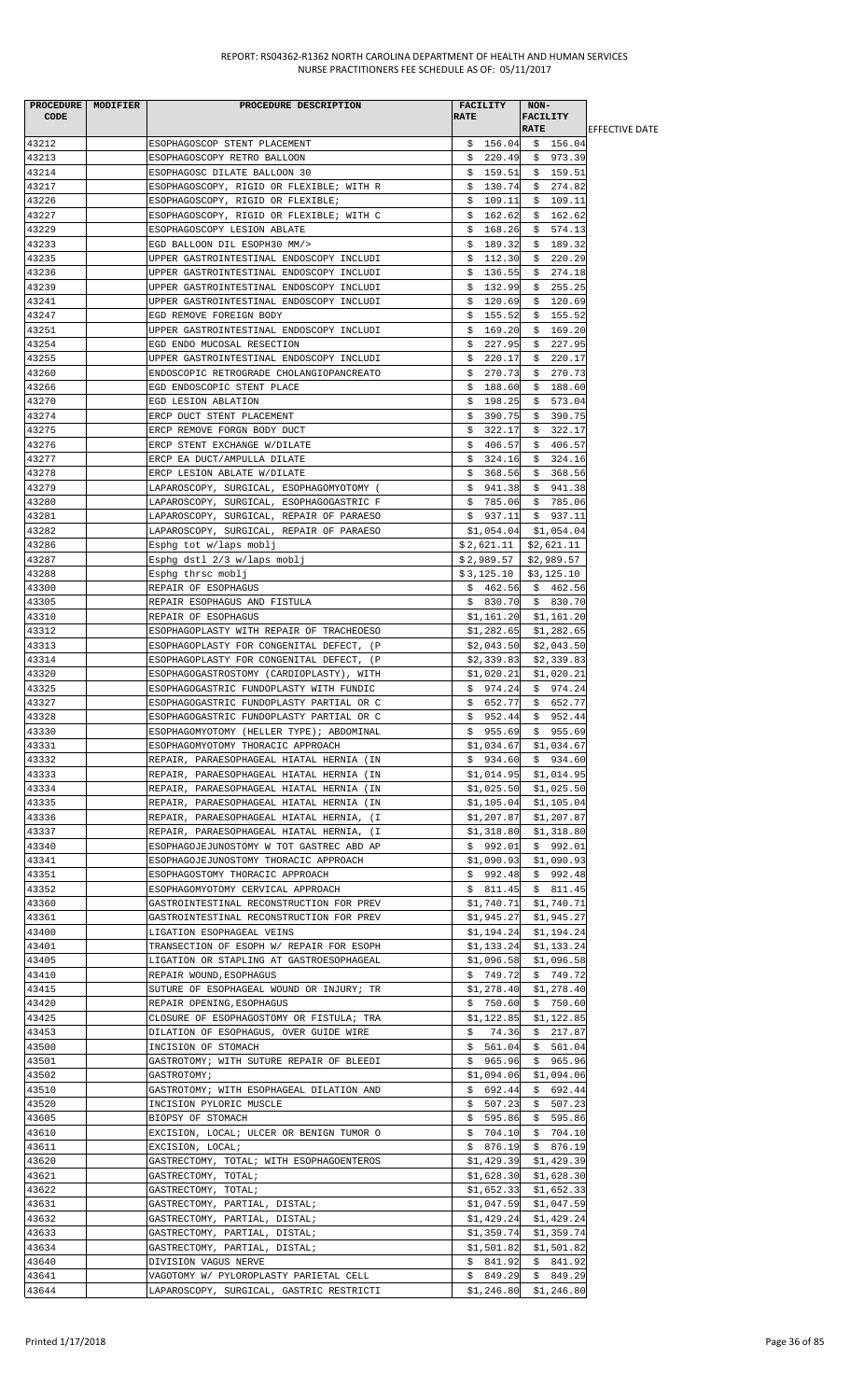| PROCEDURE MODIFIER<br><b>CODE</b> | PROCEDURE DESCRIPTION                                                                | FACILITY<br><b>RATE</b>  | NON-<br><b>FACILITY</b><br><b>RATE</b> | <b>EFFECTIVE DATE</b> |
|-----------------------------------|--------------------------------------------------------------------------------------|--------------------------|----------------------------------------|-----------------------|
| 43212                             | ESOPHAGOSCOP STENT PLACEMENT                                                         |                          | $$156.04$ $$156.04$                    |                       |
| 43213                             | ESOPHAGOSCOPY RETRO BALLOON                                                          |                          | $$220.49$ \$ 973.39                    |                       |
| 43214                             | ESOPHAGOSC DILATE BALLOON 30                                                         | \$159.51                 | \$159.51                               |                       |
| 43217                             | ESOPHAGOSCOPY, RIGID OR FLEXIBLE; WITH R                                             | 130.74<br>\$             | \$274.82                               |                       |
| 43226                             | ESOPHAGOSCOPY, RIGID OR FLEXIBLE;                                                    | \$<br>109.11             | \$109.11                               |                       |
| 43227                             | ESOPHAGOSCOPY, RIGID OR FLEXIBLE; WITH C                                             | \$162.62                 | \$162.62                               |                       |
| 43229<br>43233                    | ESOPHAGOSCOPY LESION ABLATE                                                          | \$168.26                 | \$574.13                               |                       |
| 43235                             | EGD BALLOON DIL ESOPH30 MM/><br>UPPER GASTROINTESTINAL ENDOSCOPY INCLUDI             | 189.32<br>S.<br>\$112.30 | \$189.32<br>\$220.29                   |                       |
| 43236                             | UPPER GASTROINTESTINAL ENDOSCOPY INCLUDI                                             | \$136.55                 | \$274.18                               |                       |
| 43239                             | UPPER GASTROINTESTINAL ENDOSCOPY INCLUDI                                             | \$<br>132.99             | \$255.25                               |                       |
| 43241                             | UPPER GASTROINTESTINAL ENDOSCOPY INCLUDI                                             | 120.69<br>\$             | 120.69<br>\$                           |                       |
| 43247                             | EGD REMOVE FOREIGN BODY                                                              | \$<br>155.52             | \$<br>155.52                           |                       |
| 43251                             | UPPER GASTROINTESTINAL ENDOSCOPY INCLUDI                                             | 169.20<br>Ş.             | \$169.20                               |                       |
| 43254                             | EGD ENDO MUCOSAL RESECTION                                                           | \$<br>227.95             | \$227.95                               |                       |
| 43255                             | UPPER GASTROINTESTINAL ENDOSCOPY INCLUDI                                             | 220.17<br>Ş.             | \$220.17                               |                       |
| 43260                             | ENDOSCOPIC RETROGRADE CHOLANGIOPANCREATO                                             | \$270.73                 | \$270.73                               |                       |
| 43266<br>43270                    | EGD ENDOSCOPIC STENT PLACE<br>EGD LESION ABLATION                                    | \$188.60<br>\$198.25     | \$188.60<br>\$573.04                   |                       |
| 43274                             | ERCP DUCT STENT PLACEMENT                                                            | \$<br>390.75             | \$<br>390.75                           |                       |
| 43275                             | ERCP REMOVE FORGN BODY DUCT                                                          | 322.17<br>\$             | \$322.17                               |                       |
| 43276                             | ERCP STENT EXCHANGE W/DILATE                                                         | \$406.57                 | \$406.57                               |                       |
| 43277                             | ERCP EA DUCT/AMPULLA DILATE                                                          | \$324.16                 | \$324.16                               |                       |
| 43278                             | ERCP LESION ABLATE W/DILATE                                                          | \$368.56                 | \$368.56                               |                       |
| 43279                             | LAPAROSCOPY, SURGICAL, ESOPHAGOMYOTOMY (                                             | \$941.38                 | \$941.38                               |                       |
| 43280                             | LAPAROSCOPY, SURGICAL, ESOPHAGOGASTRIC F                                             |                          | $$785.06$ \$785.06                     |                       |
| 43281                             | LAPAROSCOPY, SURGICAL, REPAIR OF PARAESO                                             | \$937.11                 | \$937.11                               |                       |
| 43282                             | LAPAROSCOPY, SURGICAL, REPAIR OF PARAESO                                             | \$1,054.04               | \$1,054.04                             |                       |
| 43286<br>43287                    | Esphg tot w/laps moblj<br>Esphg dstl 2/3 w/laps moblj                                | $$2,621.11$              | \$2,621.11<br>$$2,989.57$ $$2,989.57$  |                       |
| 43288                             | Esphg thrsc moblj                                                                    | \$3,125.10               | \$3,125.10                             |                       |
| 43300                             | REPAIR OF ESOPHAGUS                                                                  | \$462.56                 | \$462.56                               |                       |
| 43305                             | REPAIR ESOPHAGUS AND FISTULA                                                         |                          | $$830.70 \$830.70$                     |                       |
| 43310                             | REPAIR OF ESOPHAGUS                                                                  |                          | $$1,161.20$ $$1,161.20$                |                       |
| 43312                             | ESOPHAGOPLASTY WITH REPAIR OF TRACHEOESO                                             | \$1,282.65               | \$1,282.65                             |                       |
| 43313                             | ESOPHAGOPLASTY FOR CONGENITAL DEFECT, (P                                             | \$2,043.50               | \$2,043.50                             |                       |
| 43314                             | ESOPHAGOPLASTY FOR CONGENITAL DEFECT, (P                                             | \$2,339.83               | \$2,339.83                             |                       |
| 43320                             | ESOPHAGOGASTROSTOMY (CARDIOPLASTY), WITH                                             | \$1,020.21               | \$1,020.21                             |                       |
| 43325<br>43327                    | ESOPHAGOGASTRIC FUNDOPLASTY WITH FUNDIC                                              | \$974.24                 | \$974.24                               |                       |
| 43328                             | ESOPHAGOGASTRIC FUNDOPLASTY PARTIAL OR C<br>ESOPHAGOGASTRIC FUNDOPLASTY PARTIAL OR C | \$652.77<br>\$952.44     | \$652.77<br>\$952.44                   |                       |
| 43330                             | ESOPHAGOMYOTOMY (HELLER TYPE); ABDOMINAL                                             | \$955.69                 | \$955.69                               |                       |
| 43331                             | ESOPHAGOMYOTOMY THORACIC APPROACH                                                    |                          | $$1,034.67$ \$1,034.67                 |                       |
| 43332                             | REPAIR, PARAESOPHAGEAL HIATAL HERNIA (IN                                             |                          | $$934.60 \$934.60$                     |                       |
| 43333                             | REPAIR, PARAESOPHAGEAL HIATAL HERNIA (IN                                             | \$1,014.95               | \$1,014.95                             |                       |
| 43334                             | REPAIR, PARAESOPHAGEAL HIATAL HERNIA (IN                                             | \$1,025.50               | \$1,025.50                             |                       |
| 43335                             | REPAIR, PARAESOPHAGEAL HIATAL HERNIA (IN                                             | \$1,105.04               | \$1,105.04                             |                       |
| 43336                             | REPAIR, PARAESOPHAGEAL HIATAL HERNIA, (I                                             | \$1,207.87               | \$1,207.87                             |                       |
| 43337<br>43340                    | REPAIR, PARAESOPHAGEAL HIATAL HERNIA, (I                                             | \$1,318.80<br>\$992.01   | \$1,318.80                             |                       |
| 43341                             | ESOPHAGOJEJUNOSTOMY W TOT GASTREC ABD AP<br>ESOPHAGOJEJUNOSTOMY THORACIC APPROACH    | \$1,090.93               | \$992.01<br>\$1,090.93                 |                       |
| 43351                             | ESOPHAGOSTOMY THORACIC APPROACH                                                      | \$992.48                 | \$992.48                               |                       |
| 43352                             | ESOPHAGOMYOTOMY CERVICAL APPROACH                                                    | \$811.45                 | \$811.45                               |                       |
| 43360                             | GASTROINTESTINAL RECONSTRUCTION FOR PREV                                             | \$1,740.71               | \$1,740.71                             |                       |
| 43361                             | GASTROINTESTINAL RECONSTRUCTION FOR PREV                                             | \$1,945.27               | \$1,945.27                             |                       |
| 43400                             | LIGATION ESOPHAGEAL VEINS                                                            | \$1,194.24               | \$1,194.24                             |                       |
| 43401                             | TRANSECTION OF ESOPH W/ REPAIR FOR ESOPH                                             | \$1,133.24               | \$1,133.24                             |                       |
| 43405                             | LIGATION OR STAPLING AT GASTROESOPHAGEAL                                             | \$1,096.58               | \$1,096.58                             |                       |
| 43410<br>43415                    | REPAIR WOUND, ESOPHAGUS<br>SUTURE OF ESOPHAGEAL WOUND OR INJURY; TR                  | \$1,278.40               | $$749.72 \quad $749.72$<br>\$1,278.40  |                       |
| 43420                             | REPAIR OPENING, ESOPHAGUS                                                            | \$750.60                 | \$750.60                               |                       |
| 43425                             | CLOSURE OF ESOPHAGOSTOMY OR FISTULA; TRA                                             | \$1,122.85               | \$1,122.85                             |                       |
| 43453                             | DILATION OF ESOPHAGUS, OVER GUIDE WIRE                                               | 74.36<br>Ş.              | \$217.87                               |                       |
| 43500                             | INCISION OF STOMACH                                                                  | \$561.04                 | \$561.04                               |                       |
| 43501                             | GASTROTOMY; WITH SUTURE REPAIR OF BLEEDI                                             | \$965.96                 | \$965.96                               |                       |
| 43502                             | GASTROTOMY;                                                                          | \$1,094.06               | \$1,094.06                             |                       |
| 43510                             | GASTROTOMY; WITH ESOPHAGEAL DILATION AND                                             | \$692.44                 | \$692.44                               |                       |
| 43520                             | INCISION PYLORIC MUSCLE                                                              | \$507.23                 | \$507.23                               |                       |
| 43605                             | BIOPSY OF STOMACH                                                                    |                          | $$595.86$ $$595.86$                    |                       |
| 43610<br>43611                    | EXCISION, LOCAL; ULCER OR BENIGN TUMOR O<br>EXCISION, LOCAL;                         | \$704.10<br>\$876.19     | \$704.10<br>\$876.19                   |                       |
| 43620                             | GASTRECTOMY, TOTAL; WITH ESOPHAGOENTEROS                                             |                          | $$1,429.39$ $$1,429.39$                |                       |
| 43621                             | GASTRECTOMY, TOTAL;                                                                  | \$1,628.30               | \$1,628.30                             |                       |
| 43622                             | GASTRECTOMY, TOTAL;                                                                  | \$1,652.33               | \$1,652.33                             |                       |
| 43631                             | GASTRECTOMY, PARTIAL, DISTAL;                                                        | \$1,047.59               | \$1,047.59                             |                       |
| 43632                             | GASTRECTOMY, PARTIAL, DISTAL;                                                        | \$1,429.24               | \$1,429.24                             |                       |
| 43633                             | GASTRECTOMY, PARTIAL, DISTAL;                                                        | \$1,359.74               | \$1,359.74                             |                       |
| 43634                             | GASTRECTOMY, PARTIAL, DISTAL;                                                        | \$1,501.82               | \$1,501.82                             |                       |
| 43640                             | DIVISION VAGUS NERVE                                                                 | \$841.92                 | \$ 841.92                              |                       |
| 43641<br>43644                    | VAGOTOMY W/ PYLOROPLASTY PARIETAL CELL<br>LAPAROSCOPY, SURGICAL, GASTRIC RESTRICTI   | \$849.29                 | \$849.29<br>$$1,246.80$ $$1,246.80$    |                       |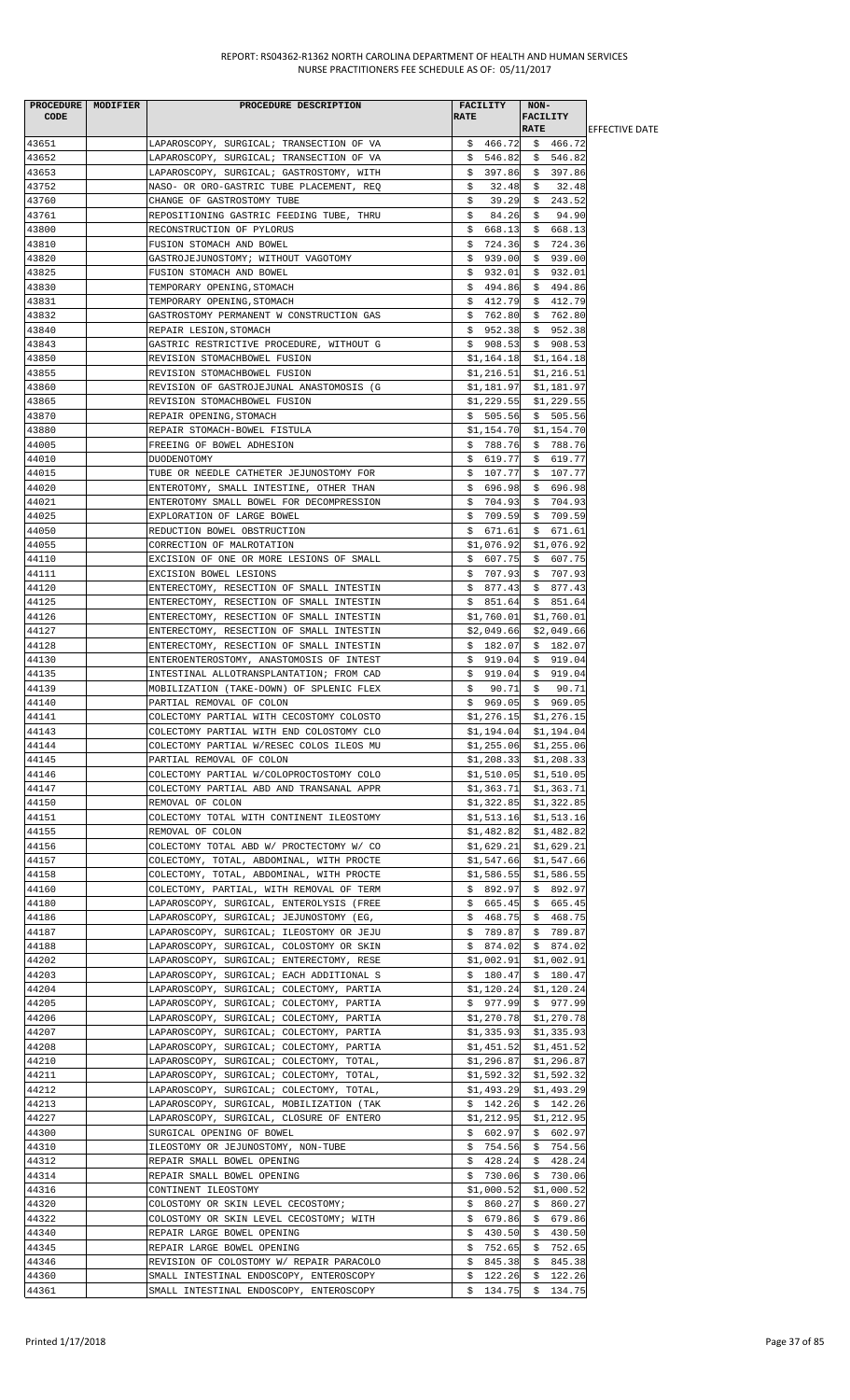| <b>CODE</b>    | PROCEDURE   MODIFIER | PROCEDURE DESCRIPTION                                            | <b>RATE</b> | <b>FACILITY</b>          | NON-<br><b>FACILITY</b><br><b>RATE</b> |                        |
|----------------|----------------------|------------------------------------------------------------------|-------------|--------------------------|----------------------------------------|------------------------|
| 43651          |                      | LAPAROSCOPY, SURGICAL; TRANSECTION OF VA                         |             |                          | $$466.72$$ $$466.72$                   | <b>IEFFECTIVE DATE</b> |
| 43652          |                      | LAPAROSCOPY, SURGICAL; TRANSECTION OF VA                         |             |                          | $$546.82 \quad $546.82$                |                        |
| 43653          |                      | LAPAROSCOPY, SURGICAL; GASTROSTOMY, WITH                         | Ş.          | 397.86                   | \$397.86                               |                        |
| 43752          |                      | NASO- OR ORO-GASTRIC TUBE PLACEMENT, REQ                         | \$          | 32.48                    | $\ddot{s}$<br>32.48                    |                        |
| 43760          |                      | CHANGE OF GASTROSTOMY TUBE                                       | \$.         | 39.29                    | \$243.52                               |                        |
| 43761          |                      | REPOSITIONING GASTRIC FEEDING TUBE, THRU                         | \$.         | 84.26                    | \$<br>94.90                            |                        |
| 43800          |                      | RECONSTRUCTION OF PYLORUS                                        |             | \$668.13                 | \$668.13                               |                        |
| 43810          |                      | FUSION STOMACH AND BOWEL                                         | S.          | 724.36                   | \$724.36                               |                        |
| 43820          |                      | GASTROJEJUNOSTOMY; WITHOUT VAGOTOMY                              |             |                          | $$939.00 \$939.00$                     |                        |
| 43825          |                      | FUSION STOMACH AND BOWEL                                         |             | \$932.01                 | \$932.01                               |                        |
| 43830          |                      | TEMPORARY OPENING, STOMACH                                       |             | \$494.86                 | \$494.86                               |                        |
| 43831          |                      | TEMPORARY OPENING, STOMACH                                       |             | \$412.79                 | \$412.79                               |                        |
| 43832          |                      | GASTROSTOMY PERMANENT W CONSTRUCTION GAS                         |             | \$762.80                 | \$762.80                               |                        |
| 43840          |                      | REPAIR LESION, STOMACH                                           |             | \$952.38                 | \$952.38                               |                        |
| 43843          |                      | GASTRIC RESTRICTIVE PROCEDURE, WITHOUT G                         |             | \$908.53                 | \$908.53                               |                        |
| 43850          |                      | REVISION STOMACHBOWEL FUSION                                     |             |                          | $$1,164.18$ $$1,164.18$                |                        |
| 43855          |                      | REVISION STOMACHBOWEL FUSION                                     |             | \$1,216.51               | \$1,216.51                             |                        |
| 43860          |                      | REVISION OF GASTROJEJUNAL ANASTOMOSIS (G                         |             |                          | $$1,181.97$ $$1,181.97$                |                        |
| 43865          |                      | REVISION STOMACHBOWEL FUSION                                     |             | \$1,229.55               | \$1,229.55                             |                        |
| 43870          |                      | REPAIR OPENING, STOMACH                                          |             | \$505.56                 | \$505.56                               |                        |
| 43880<br>44005 |                      | REPAIR STOMACH-BOWEL FISTULA                                     |             | \$1,154.70               | \$1,154.70                             |                        |
|                |                      | FREEING OF BOWEL ADHESION                                        |             | \$788.76                 | \$788.76                               |                        |
| 44010<br>44015 |                      | DUODENOTOMY<br>TUBE OR NEEDLE CATHETER JEJUNOSTOMY FOR           |             | \$619.77<br>\$107.77     | \$619.77<br>\$107.77                   |                        |
| 44020          |                      | ENTEROTOMY, SMALL INTESTINE, OTHER THAN                          |             | \$696.98                 | \$696.98                               |                        |
| 44021          |                      | ENTEROTOMY SMALL BOWEL FOR DECOMPRESSION                         |             | \$704.93                 | \$704.93                               |                        |
| 44025          |                      | EXPLORATION OF LARGE BOWEL                                       |             |                          | $$709.59$ \$ 709.59                    |                        |
| 44050          |                      | REDUCTION BOWEL OBSTRUCTION                                      |             | \$671.61                 | \$671.61                               |                        |
| 44055          |                      | CORRECTION OF MALROTATION                                        |             | \$1,076.92               | \$1,076.92                             |                        |
| 44110          |                      | EXCISION OF ONE OR MORE LESIONS OF SMALL                         |             | \$607.75                 | \$607.75                               |                        |
| 44111          |                      | EXCISION BOWEL LESIONS                                           |             | \$707.93                 | \$707.93                               |                        |
| 44120          |                      | ENTERECTOMY, RESECTION OF SMALL INTESTIN                         |             | \$877.43                 | \$877.43                               |                        |
| 44125          |                      | ENTERECTOMY, RESECTION OF SMALL INTESTIN                         |             | \$851.64                 | \$851.64                               |                        |
| 44126          |                      | ENTERECTOMY, RESECTION OF SMALL INTESTIN                         |             |                          | \$1,760.01 \$1,760.01                  |                        |
| 44127          |                      | ENTERECTOMY, RESECTION OF SMALL INTESTIN                         |             | \$2,049.66               | \$2,049.66                             |                        |
| 44128          |                      | ENTERECTOMY, RESECTION OF SMALL INTESTIN                         |             | \$182.07                 | \$182.07                               |                        |
| 44130          |                      | ENTEROENTEROSTOMY, ANASTOMOSIS OF INTEST                         |             | \$919.04                 | \$919.04                               |                        |
| 44135          |                      | INTESTINAL ALLOTRANSPLANTATION; FROM CAD                         |             | \$919.04                 | \$919.04                               |                        |
| 44139          |                      | MOBILIZATION (TAKE-DOWN) OF SPLENIC FLEX                         | S.          | 90.71                    | \$90.71                                |                        |
| 44140          |                      | PARTIAL REMOVAL OF COLON                                         |             | \$969.05                 | \$969.05                               |                        |
| 44141          |                      | COLECTOMY PARTIAL WITH CECOSTOMY COLOSTO                         |             |                          | $$1,276.15$ $$1,276.15$                |                        |
| 44143          |                      | COLECTOMY PARTIAL WITH END COLOSTOMY CLO                         |             |                          | $$1,194.04$ $$1,194.04$                |                        |
| 44144          |                      | COLECTOMY PARTIAL W/RESEC COLOS ILEOS MU                         |             |                          | $$1,255.06$ $$1,255.06$                |                        |
| 44145          |                      | PARTIAL REMOVAL OF COLON                                         |             |                          | $$1,208.33$ $$1,208.33$                |                        |
| 44146          |                      | COLECTOMY PARTIAL W/COLOPROCTOSTOMY COLO                         |             | \$1,510.05               | \$1,510.05                             |                        |
| 44147<br>44150 |                      | COLECTOMY PARTIAL ABD AND TRANSANAL APPR                         |             | \$1,363.71<br>\$1,322.85 | \$1,363.71                             |                        |
| 44151          |                      | REMOVAL OF COLON                                                 |             | \$1,513.16               | \$1,322.85                             |                        |
| 44155          |                      | COLECTOMY TOTAL WITH CONTINENT ILEOSTOMY<br>REMOVAL OF COLON     |             | \$1,482.82               | \$1,513.16<br>\$1,482.82               |                        |
| 44156          |                      | COLECTOMY TOTAL ABD W/ PROCTECTOMY W/ CO                         |             | \$1,629.21               | \$1,629.21                             |                        |
| 44157          |                      | COLECTOMY, TOTAL, ABDOMINAL, WITH PROCTE                         |             | \$1,547.66               | \$1,547.66                             |                        |
| 44158          |                      | COLECTOMY, TOTAL, ABDOMINAL, WITH PROCTE                         |             | \$1,586.55               | \$1,586.55                             |                        |
| 44160          |                      | COLECTOMY, PARTIAL, WITH REMOVAL OF TERM                         |             | \$892.97                 | \$892.97                               |                        |
| 44180          |                      | LAPAROSCOPY, SURGICAL, ENTEROLYSIS (FREE                         |             | \$665.45                 | \$665.45                               |                        |
| 44186          |                      | LAPAROSCOPY, SURGICAL; JEJUNOSTOMY (EG,                          |             |                          | $$468.75$ $$468.75$                    |                        |
| 44187          |                      | LAPAROSCOPY, SURGICAL; ILEOSTOMY OR JEJU                         |             | \$789.87                 | \$789.87                               |                        |
| 44188          |                      | LAPAROSCOPY, SURGICAL, COLOSTOMY OR SKIN                         |             | \$874.02                 | \$ 874.02                              |                        |
| 44202          |                      | LAPAROSCOPY, SURGICAL; ENTERECTOMY, RESE                         |             | \$1,002.91               | \$1,002.91                             |                        |
| 44203          |                      | LAPAROSCOPY, SURGICAL; EACH ADDITIONAL S                         |             | \$180.47                 | \$180.47                               |                        |
| 44204          |                      | LAPAROSCOPY, SURGICAL; COLECTOMY, PARTIA                         |             | \$1,120.24               | \$1,120.24                             |                        |
| 44205          |                      | LAPAROSCOPY, SURGICAL; COLECTOMY, PARTIA                         |             | \$977.99                 | \$977.99                               |                        |
| 44206          |                      | LAPAROSCOPY, SURGICAL; COLECTOMY, PARTIA                         |             | \$1,270.78               | \$1,270.78                             |                        |
| 44207          |                      | LAPAROSCOPY, SURGICAL; COLECTOMY, PARTIA                         |             | \$1,335.93               | \$1,335.93                             |                        |
| 44208          |                      | LAPAROSCOPY, SURGICAL; COLECTOMY, PARTIA                         |             | \$1,451.52               | \$1,451.52                             |                        |
| 44210          |                      | LAPAROSCOPY, SURGICAL; COLECTOMY, TOTAL,                         |             | \$1,296.87               | \$1,296.87                             |                        |
| 44211          |                      | LAPAROSCOPY, SURGICAL; COLECTOMY, TOTAL,                         |             | \$1,592.32               | \$1,592.32                             |                        |
| 44212          |                      | LAPAROSCOPY, SURGICAL; COLECTOMY, TOTAL,                         |             | \$1,493.29               | \$1,493.29                             |                        |
| 44213          |                      | LAPAROSCOPY, SURGICAL, MOBILIZATION (TAK                         |             | \$142.26                 | \$142.26                               |                        |
| 44227          |                      | LAPAROSCOPY, SURGICAL, CLOSURE OF ENTERO                         |             | \$1,212.95               | \$1,212.95                             |                        |
| 44300          |                      | SURGICAL OPENING OF BOWEL                                        |             | \$602.97                 | \$602.97                               |                        |
| 44310<br>44312 |                      | ILEOSTOMY OR JEJUNOSTOMY, NON-TUBE<br>REPAIR SMALL BOWEL OPENING |             | \$754.56<br>\$428.24     | \$754.56<br>\$428.24                   |                        |
| 44314          |                      | REPAIR SMALL BOWEL OPENING                                       |             | \$730.06                 | \$730.06                               |                        |
| 44316          |                      | CONTINENT ILEOSTOMY                                              |             | \$1,000.52               | \$1,000.52                             |                        |
| 44320          |                      | COLOSTOMY OR SKIN LEVEL CECOSTOMY;                               |             | \$860.27                 | \$860.27                               |                        |
| 44322          |                      | COLOSTOMY OR SKIN LEVEL CECOSTOMY; WITH                          |             | \$679.86                 | \$679.86                               |                        |
| 44340          |                      | REPAIR LARGE BOWEL OPENING                                       |             | \$430.50                 | \$430.50                               |                        |
| 44345          |                      | REPAIR LARGE BOWEL OPENING                                       |             | \$752.65                 | \$752.65                               |                        |
| 44346          |                      | REVISION OF COLOSTOMY W/ REPAIR PARACOLO                         |             | \$845.38                 | \$845.38                               |                        |
| 44360          |                      | SMALL INTESTINAL ENDOSCOPY, ENTEROSCOPY                          |             | \$122.26                 | \$122.26                               |                        |
| 44361          |                      | SMALL INTESTINAL ENDOSCOPY, ENTEROSCOPY                          |             |                          | $$134.75$ $$134.75$                    |                        |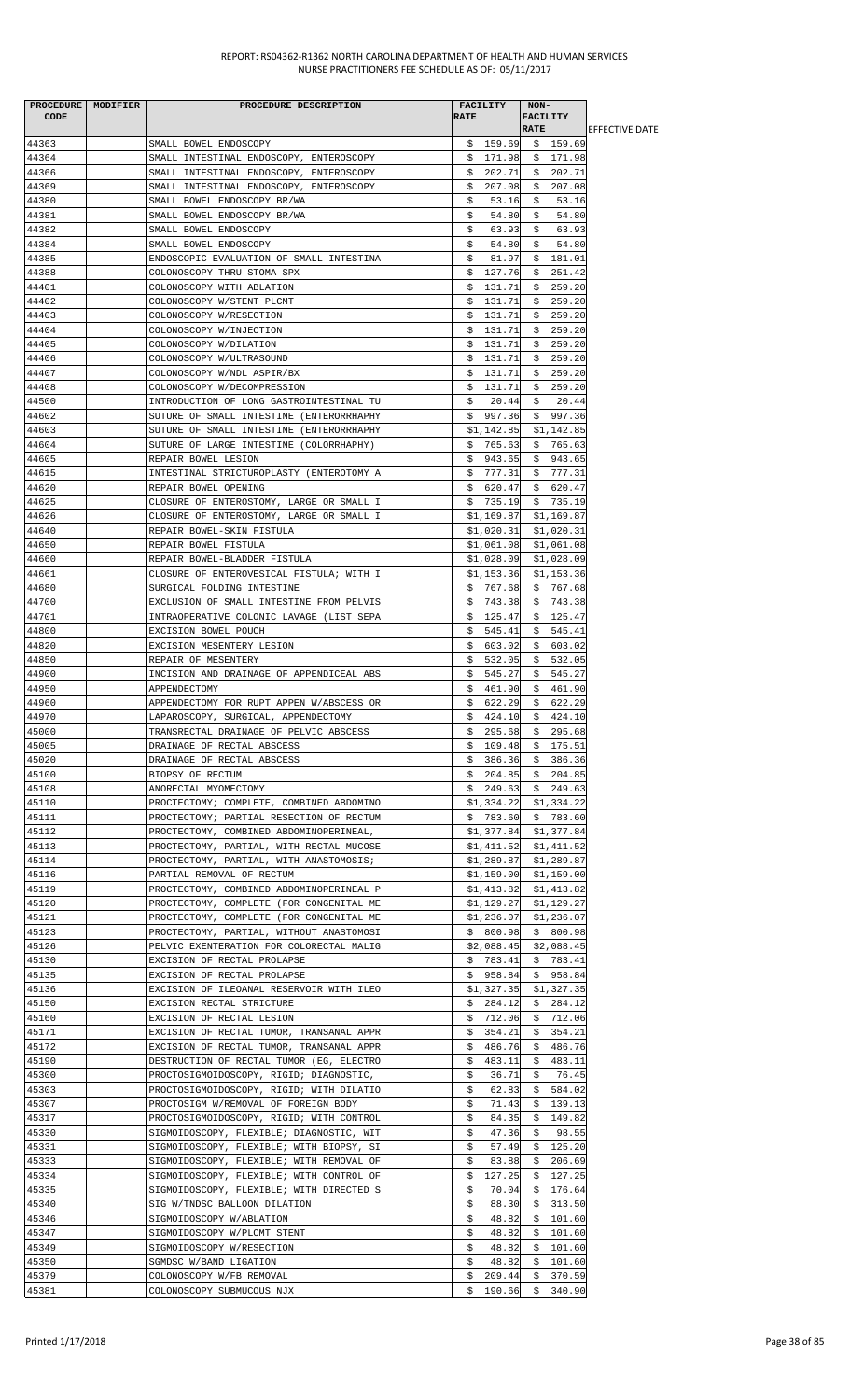|                | PROCEDURE   MODIFIER | PROCEDURE DESCRIPTION                    | <b>FACILITY</b> | NON-                            |                        |
|----------------|----------------------|------------------------------------------|-----------------|---------------------------------|------------------------|
| CODE           |                      |                                          | <b>RATE</b>     | <b>FACILITY</b>                 |                        |
|                |                      |                                          |                 | <b>RATE</b>                     | <b>LEFFECTIVE DATE</b> |
| 44363          |                      | SMALL BOWEL ENDOSCOPY                    |                 | $$159.69$ \$ 159.69             |                        |
| 44364          |                      | SMALL INTESTINAL ENDOSCOPY, ENTEROSCOPY  | \$171.98        | \$171.98                        |                        |
| 44366          |                      | SMALL INTESTINAL ENDOSCOPY, ENTEROSCOPY  | \$<br>202.71    | \$202.71                        |                        |
| 44369          |                      | SMALL INTESTINAL ENDOSCOPY, ENTEROSCOPY  | \$<br>207.08    | 207.08<br>\$                    |                        |
| 44380          |                      | SMALL BOWEL ENDOSCOPY BR/WA              | 53.16<br>Ş.     | 53.16<br>-S                     |                        |
| 44381          |                      | SMALL BOWEL ENDOSCOPY BR/WA              | \$<br>54.80     | 54.80<br>S.                     |                        |
| 44382          |                      | SMALL BOWEL ENDOSCOPY                    | \$<br>63.93     | \$<br>63.93                     |                        |
| 44384          |                      | SMALL BOWEL ENDOSCOPY                    | \$<br>54.80     | 54.80<br>\$                     |                        |
| 44385          |                      | ENDOSCOPIC EVALUATION OF SMALL INTESTINA | \$<br>81.97     | \$181.01                        |                        |
| 44388          |                      | COLONOSCOPY THRU STOMA SPX               | 127.76<br>\$    | 251.42<br>\$                    |                        |
| 44401          |                      | COLONOSCOPY WITH ABLATION                | \$131.71        | \$259.20                        |                        |
| 44402          |                      | COLONOSCOPY W/STENT PLCMT                | \$131.71        | \$259.20                        |                        |
| 44403          |                      | COLONOSCOPY W/RESECTION                  | \$131.71        | \$259.20                        |                        |
| 44404          |                      | COLONOSCOPY W/INJECTION                  | \$131.71        | \$259.20                        |                        |
| 44405          |                      | COLONOSCOPY W/DILATION                   | \$131.71        | \$259.20                        |                        |
| 44406          |                      | COLONOSCOPY W/ULTRASOUND                 | \$131.71        | \$259.20                        |                        |
| 44407          |                      | COLONOSCOPY W/NDL ASPIR/BX               | \$131.71        | \$259.20                        |                        |
| 44408          |                      | COLONOSCOPY W/DECOMPRESSION              | \$131.71        | \$259.20                        |                        |
| 44500          |                      | INTRODUCTION OF LONG GASTROINTESTINAL TU | \$<br>20.44     | 20.44<br>-\$                    |                        |
| 44602          |                      | SUTURE OF SMALL INTESTINE (ENTERORRHAPHY | \$997.36        | \$997.36                        |                        |
| 44603          |                      | SUTURE OF SMALL INTESTINE (ENTERORRHAPHY | \$1,142.85      | \$1,142.85                      |                        |
| 44604          |                      | SUTURE OF LARGE INTESTINE (COLORRHAPHY)  | \$765.63        | \$765.63                        |                        |
| 44605          |                      | REPAIR BOWEL LESION                      | \$943.65        | \$943.65                        |                        |
| 44615          |                      | INTESTINAL STRICTUROPLASTY (ENTEROTOMY A | \$777.31        | \$777.31                        |                        |
| 44620          |                      | REPAIR BOWEL OPENING                     | \$620.47        | \$620.47                        |                        |
| 44625          |                      | CLOSURE OF ENTEROSTOMY, LARGE OR SMALL I |                 | \$735.19\$5735.19               |                        |
| 44626          |                      | CLOSURE OF ENTEROSTOMY, LARGE OR SMALL I | \$1,169.87      | \$1,169.87                      |                        |
| 44640          |                      | REPAIR BOWEL-SKIN FISTULA                | \$1,020.31      | \$1,020.31                      |                        |
| 44650          |                      | REPAIR BOWEL FISTULA                     |                 | $$1,061.08$ $$1,061.08$         |                        |
| 44660          |                      | REPAIR BOWEL-BLADDER FISTULA             | \$1,028.09      | \$1,028.09                      |                        |
| 44661          |                      | CLOSURE OF ENTEROVESICAL FISTULA; WITH I | \$1,153.36      | \$1,153.36                      |                        |
| 44680          |                      | SURGICAL FOLDING INTESTINE               | \$767.68        | \$767.68                        |                        |
| 44700          |                      | EXCLUSION OF SMALL INTESTINE FROM PELVIS | \$743.38        | \$743.38                        |                        |
| 44701          |                      | INTRAOPERATIVE COLONIC LAVAGE (LIST SEPA | \$125.47        | \$125.47                        |                        |
| 44800          |                      | EXCISION BOWEL POUCH                     | \$545.41        | \$545.41                        |                        |
| 44820          |                      | EXCISION MESENTERY LESION                | \$603.02        | \$603.02                        |                        |
| 44850          |                      | REPAIR OF MESENTERY                      | \$532.05        | \$532.05                        |                        |
| 44900          |                      | INCISION AND DRAINAGE OF APPENDICEAL ABS | \$545.27        | \$545.27                        |                        |
| 44950          |                      | APPENDECTOMY                             | \$461.90        | \$461.90                        |                        |
| 44960          |                      | APPENDECTOMY FOR RUPT APPEN W/ABSCESS OR | $$622.29$ \$    | 622.29                          |                        |
| 44970          |                      | LAPAROSCOPY, SURGICAL, APPENDECTOMY      | \$<br>424.10    | \$424.10                        |                        |
| 45000          |                      | TRANSRECTAL DRAINAGE OF PELVIC ABSCESS   |                 | $$295.68$ \$ 295.68             |                        |
| 45005          |                      | DRAINAGE OF RECTAL ABSCESS               | \$109.48        | \$175.51                        |                        |
| 45020          |                      | DRAINAGE OF RECTAL ABSCESS               |                 | $$386.36$ \$ 386.36             |                        |
| 45100          |                      | BIOPSY OF RECTUM                         | \$204.85        | \$204.85                        |                        |
| 45108          |                      | ANORECTAL MYOMECTOMY                     | \$249.63        | \$249.63                        |                        |
| 45110          |                      | PROCTECTOMY; COMPLETE, COMBINED ABDOMINO | \$1,334.22      | \$1,334.22                      |                        |
| 45111          |                      | PROCTECTOMY; PARTIAL RESECTION OF RECTUM | \$783.60        | \$783.60                        |                        |
| 45112          |                      | PROCTECTOMY, COMBINED ABDOMINOPERINEAL,  | \$1,377.84      | \$1,377.84                      |                        |
| 45113          |                      | PROCTECTOMY, PARTIAL, WITH RECTAL MUCOSE |                 | $$1,411.52$ $$1,411.52$         |                        |
| 45114          |                      | PROCTECTOMY, PARTIAL, WITH ANASTOMOSIS;  | \$1,289.87      | \$1,289.87                      |                        |
| 45116          |                      | PARTIAL REMOVAL OF RECTUM                | \$1,159.00      | \$1,159.00                      |                        |
| 45119          |                      | PROCTECTOMY, COMBINED ABDOMINOPERINEAL P | \$1,413.82      | \$1,413.82                      |                        |
| 45120          |                      | PROCTECTOMY, COMPLETE (FOR CONGENITAL ME | \$1,129.27      | \$1,129.27                      |                        |
| 45121          |                      | PROCTECTOMY, COMPLETE (FOR CONGENITAL ME | \$1,236.07      | \$1,236.07                      |                        |
| 45123          |                      | PROCTECTOMY, PARTIAL, WITHOUT ANASTOMOSI | \$800.98        | \$800.98                        |                        |
| 45126          |                      | PELVIC EXENTERATION FOR COLORECTAL MALIG |                 | $$2,088.45$ $$2,088.45$         |                        |
| 45130          |                      | EXCISION OF RECTAL PROLAPSE              | \$783.41        | \$783.41                        |                        |
| 45135          |                      | EXCISION OF RECTAL PROLAPSE              | \$958.84        | \$958.84                        |                        |
| 45136          |                      |                                          |                 |                                 |                        |
| 45150          |                      | EXCISION OF ILEOANAL RESERVOIR WITH ILEO | \$1,327.35      | \$1,327.35                      |                        |
|                |                      | EXCISION RECTAL STRICTURE                | \$284.12        | \$284.12                        |                        |
| 45160<br>45171 |                      | EXCISION OF RECTAL LESION                | \$354.21        | $$712.06$ $$712.06$<br>\$354.21 |                        |
| 45172          |                      | EXCISION OF RECTAL TUMOR, TRANSANAL APPR |                 |                                 |                        |
|                |                      | EXCISION OF RECTAL TUMOR, TRANSANAL APPR | \$486.76        | \$486.76                        |                        |
| 45190          |                      | DESTRUCTION OF RECTAL TUMOR (EG, ELECTRO | \$483.11        | \$483.11                        |                        |
| 45300          |                      | PROCTOSIGMOIDOSCOPY, RIGID; DIAGNOSTIC,  | \$<br>36.71     | 76.45<br>\$                     |                        |
| 45303          |                      | PROCTOSIGMOIDOSCOPY, RIGID; WITH DILATIO | \$<br>62.83     | \$584.02                        |                        |
| 45307          |                      | PROCTOSIGM W/REMOVAL OF FOREIGN BODY     | \$<br>71.43     | \$139.13                        |                        |
| 45317          |                      | PROCTOSIGMOIDOSCOPY, RIGID; WITH CONTROL | \$<br>84.35     | \$149.82                        |                        |
| 45330          |                      | SIGMOIDOSCOPY, FLEXIBLE; DIAGNOSTIC, WIT | \$<br>47.36     | \$<br>98.55                     |                        |
| 45331          |                      | SIGMOIDOSCOPY, FLEXIBLE; WITH BIOPSY, SI | \$<br>57.49     | \$125.20                        |                        |
| 45333          |                      | SIGMOIDOSCOPY, FLEXIBLE; WITH REMOVAL OF | \$<br>83.88     | 206.69<br>S.                    |                        |
| 45334          |                      | SIGMOIDOSCOPY, FLEXIBLE; WITH CONTROL OF | 127.25<br>\$    | \$127.25                        |                        |
| 45335          |                      | SIGMOIDOSCOPY, FLEXIBLE; WITH DIRECTED S | \$<br>70.04     | \$176.64                        |                        |
| 45340          |                      | SIG W/TNDSC BALLOON DILATION             | \$<br>88.30     | \$313.50                        |                        |
| 45346          |                      | SIGMOIDOSCOPY W/ABLATION                 | \$<br>48.82     | 101.60<br>\$                    |                        |
| 45347          |                      | SIGMOIDOSCOPY W/PLCMT STENT              | \$<br>48.82     | \$101.60                        |                        |
| 45349          |                      | SIGMOIDOSCOPY W/RESECTION                | \$<br>48.82     | \$101.60                        |                        |
| 45350          |                      | SGMDSC W/BAND LIGATION                   | \$<br>48.82     | \$101.60                        |                        |
| 45379          |                      | COLONOSCOPY W/FB REMOVAL                 | \$209.44        | \$370.59                        |                        |
| 45381          |                      | COLONOSCOPY SUBMUCOUS NJX                | \$190.66        | \$340.90                        |                        |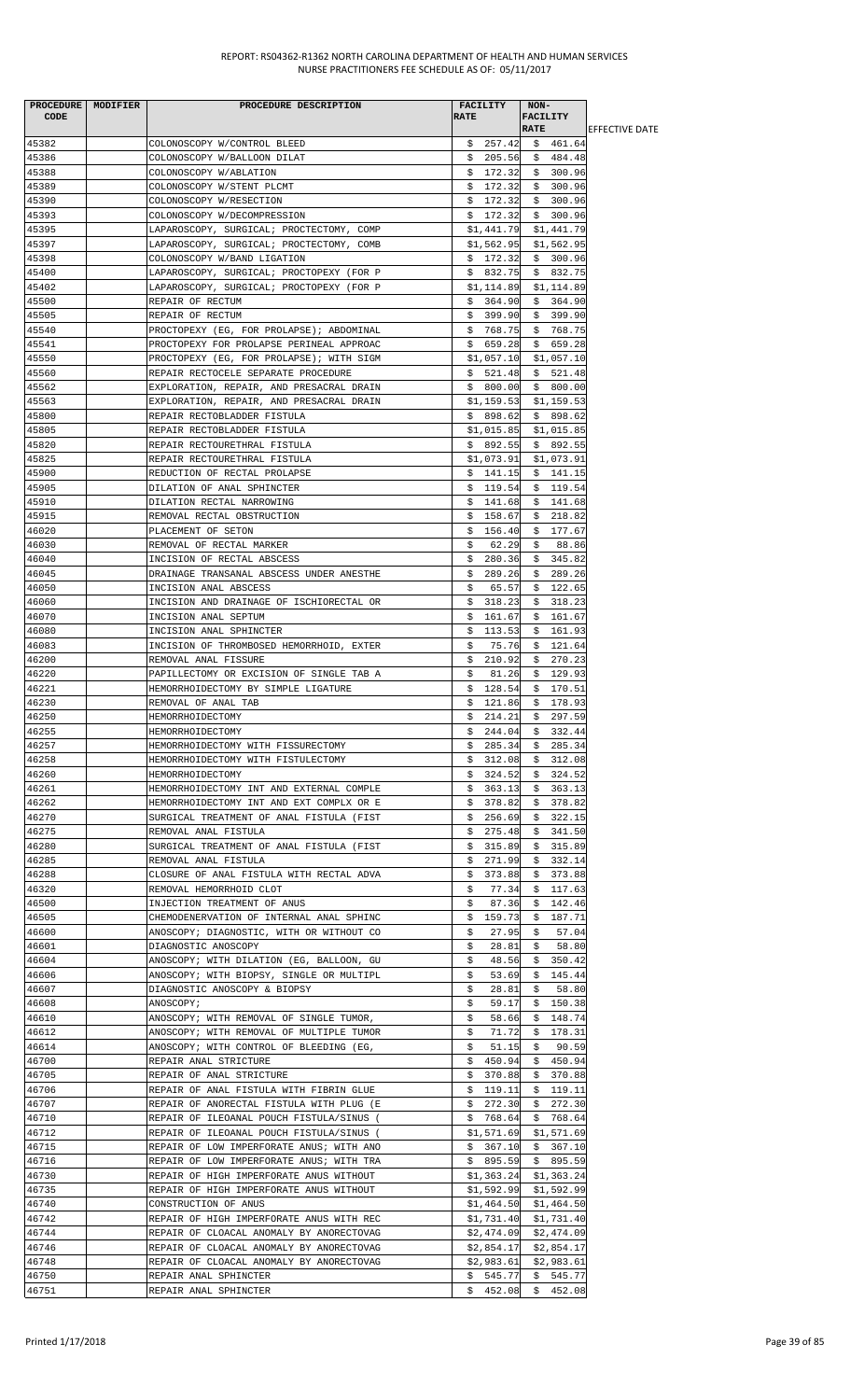| PROCEDURE MODIFIER<br>CODE | PROCEDURE DESCRIPTION                                                                | <b>FACILITY</b><br><b>RATE</b> | NON-<br><b>FACILITY</b>      |                        |
|----------------------------|--------------------------------------------------------------------------------------|--------------------------------|------------------------------|------------------------|
|                            |                                                                                      |                                | <b>RATE</b>                  | <b>IEFFECTIVE DATE</b> |
| 45382                      | COLONOSCOPY W/CONTROL BLEED                                                          | \$257.42                       | \$461.64                     |                        |
| 45386<br>45388             | COLONOSCOPY W/BALLOON DILAT<br>COLONOSCOPY W/ABLATION                                | \$205.56<br>\$172.32           | \$484.48<br>\$300.96         |                        |
| 45389                      | COLONOSCOPY W/STENT PLCMT                                                            | \$172.32                       | \$300.96                     |                        |
| 45390                      | COLONOSCOPY W/RESECTION                                                              | \$172.32                       | \$300.96                     |                        |
| 45393                      | COLONOSCOPY W/DECOMPRESSION                                                          | \$172.32                       | \$300.96                     |                        |
| 45395                      | LAPAROSCOPY, SURGICAL; PROCTECTOMY, COMP                                             |                                | $$1,441.79$ $$1,441.79$      |                        |
| 45397                      | LAPAROSCOPY, SURGICAL; PROCTECTOMY, COMB                                             | \$1,562.95                     | \$1,562.95                   |                        |
| 45398                      | COLONOSCOPY W/BAND LIGATION                                                          | \$172.32                       | \$300.96                     |                        |
| 45400                      | LAPAROSCOPY, SURGICAL; PROCTOPEXY (FOR P                                             | \$832.75                       | \$832.75                     |                        |
| 45402<br>45500             | LAPAROSCOPY, SURGICAL; PROCTOPEXY (FOR P                                             | \$1,114.89<br>\$364.90         | \$1,114.89<br>\$364.90       |                        |
| 45505                      | REPAIR OF RECTUM<br>REPAIR OF RECTUM                                                 | \$399.90                       | \$399.90                     |                        |
| 45540                      | PROCTOPEXY (EG, FOR PROLAPSE); ABDOMINAL                                             | \$768.75                       | \$768.75                     |                        |
| 45541                      | PROCTOPEXY FOR PROLAPSE PERINEAL APPROAC                                             | \$659.28                       | \$659.28                     |                        |
| 45550                      | PROCTOPEXY (EG, FOR PROLAPSE); WITH SIGM                                             | \$1,057.10                     | \$1,057.10                   |                        |
| 45560                      | REPAIR RECTOCELE SEPARATE PROCEDURE                                                  | \$521.48                       | \$521.48                     |                        |
| 45562                      | EXPLORATION, REPAIR, AND PRESACRAL DRAIN                                             | \$800.00                       | \$800.00                     |                        |
| 45563                      | EXPLORATION, REPAIR, AND PRESACRAL DRAIN                                             | \$1,159.53                     | \$1,159.53                   |                        |
| 45800                      | REPAIR RECTOBLADDER FISTULA                                                          | \$898.62                       | \$898.62                     |                        |
| 45805<br>45820             | REPAIR RECTOBLADDER FISTULA<br>REPAIR RECTOURETHRAL FISTULA                          | \$1,015.85<br>\$892.55         | \$1,015.85<br>\$892.55       |                        |
| 45825                      | REPAIR RECTOURETHRAL FISTULA                                                         | \$1,073.91                     | \$1,073.91                   |                        |
| 45900                      | REDUCTION OF RECTAL PROLAPSE                                                         | \$141.15                       | \$141.15                     |                        |
| 45905                      | DILATION OF ANAL SPHINCTER                                                           | \$119.54                       | \$119.54                     |                        |
| 45910                      | DILATION RECTAL NARROWING                                                            | \$<br>141.68                   | \$<br>141.68                 |                        |
| 45915                      | REMOVAL RECTAL OBSTRUCTION                                                           | 158.67<br>\$                   | \$218.82                     |                        |
| 46020                      | PLACEMENT OF SETON                                                                   | \$<br>156.40                   | \$177.67                     |                        |
| 46030                      | REMOVAL OF RECTAL MARKER                                                             | \$<br>62.29                    | 88.86<br>Ş.                  |                        |
| 46040                      | INCISION OF RECTAL ABSCESS                                                           | 280.36<br>S.                   | \$345.82                     |                        |
| 46045<br>46050             | DRAINAGE TRANSANAL ABSCESS UNDER ANESTHE<br>INCISION ANAL ABSCESS                    | 289.26<br>S.<br>65.57<br>\$    | \$289.26<br>\$122.65         |                        |
| 46060                      | INCISION AND DRAINAGE OF ISCHIORECTAL OR                                             | 318.23<br>\$                   | 318.23<br>Ş.                 |                        |
| 46070                      | INCISION ANAL SEPTUM                                                                 | \$<br>161.67                   | \$<br>161.67                 |                        |
| 46080                      | INCISION ANAL SPHINCTER                                                              | \$<br>113.53                   | \$<br>161.93                 |                        |
| 46083                      | INCISION OF THROMBOSED HEMORRHOID, EXTER                                             | \$<br>75.76                    | \$<br>121.64                 |                        |
| 46200                      | REMOVAL ANAL FISSURE                                                                 | \$<br>210.92                   | 270.23<br>S.                 |                        |
| 46220                      | PAPILLECTOMY OR EXCISION OF SINGLE TAB A                                             | \$<br>81.26                    | \$129.93                     |                        |
| 46221                      | HEMORRHOIDECTOMY BY SIMPLE LIGATURE                                                  | \$<br>128.54                   | 170.51<br>S.                 |                        |
| 46230                      | REMOVAL OF ANAL TAB                                                                  | 121.86<br>S.                   | \$.<br>178.93                |                        |
| 46250<br>46255             | HEMORRHOIDECTOMY<br>HEMORRHOIDECTOMY                                                 | 214.21<br>\$<br>\$244.04       | \$<br>297.59<br>\$332.44     |                        |
| 46257                      | HEMORRHOIDECTOMY WITH FISSURECTOMY                                                   | \$<br>285.34                   | \$<br>285.34                 |                        |
| 46258                      | HEMORRHOIDECTOMY WITH FISTULECTOMY                                                   | 312.08<br>Ş.                   | 312.08<br>Ş.                 |                        |
| 46260                      | HEMORRHOIDECTOMY                                                                     | 324.52<br>Ş.                   | \$<br>324.52                 |                        |
| 46261                      | HEMORRHOIDECTOMY INT AND EXTERNAL COMPLE                                             | \$<br>363.13                   | \$<br>363.13                 |                        |
| 46262                      | HEMORRHOIDECTOMY INT AND EXT COMPLX OR E                                             | 378.82<br>Ş.                   | 378.82<br>Ş.                 |                        |
| 46270                      | SURGICAL TREATMENT OF ANAL FISTULA (FIST                                             | 256.69<br>S.                   | \$<br>322.15                 |                        |
| 46275                      | REMOVAL ANAL FISTULA                                                                 | 275.48<br>\$                   | \$341.50                     |                        |
| 46280<br>46285             | SURGICAL TREATMENT OF ANAL FISTULA (FIST                                             | 315.89<br>\$                   | 315.89<br>\$                 |                        |
| 46288                      | REMOVAL ANAL FISTULA<br>CLOSURE OF ANAL FISTULA WITH RECTAL ADVA                     | 271.99<br>Ş.<br>373.88<br>\$   | \$<br>332.14<br>373.88<br>\$ |                        |
| 46320                      | REMOVAL HEMORRHOID CLOT                                                              | \$<br>77.34                    | \$<br>117.63                 |                        |
| 46500                      | INJECTION TREATMENT OF ANUS                                                          | \$<br>87.36                    | 142.46<br>Ş.                 |                        |
| 46505                      | CHEMODENERVATION OF INTERNAL ANAL SPHINC                                             | 159.73<br>S.                   | 187.71<br>S.                 |                        |
| 46600                      | ANOSCOPY; DIAGNOSTIC, WITH OR WITHOUT CO                                             | 27.95<br>\$                    | \$<br>57.04                  |                        |
| 46601                      | DIAGNOSTIC ANOSCOPY                                                                  | \$<br>28.81                    | 58.80<br>\$                  |                        |
| 46604                      | ANOSCOPY; WITH DILATION (EG, BALLOON, GU                                             | \$<br>48.56                    | \$<br>350.42                 |                        |
| 46606                      | ANOSCOPY; WITH BIOPSY, SINGLE OR MULTIPL                                             | \$<br>53.69                    | 145.44<br>\$                 |                        |
| 46607<br>46608             | DIAGNOSTIC ANOSCOPY & BIOPSY<br>ANOSCOPY;                                            | \$<br>28.81<br>\$.<br>59.17    | \$<br>58.80<br>\$<br>150.38  |                        |
| 46610                      | ANOSCOPY; WITH REMOVAL OF SINGLE TUMOR,                                              | \$<br>58.66                    | 148.74<br>S.                 |                        |
| 46612                      | ANOSCOPY; WITH REMOVAL OF MULTIPLE TUMOR                                             | 71.72<br>\$.                   | \$178.31                     |                        |
| 46614                      | ANOSCOPY; WITH CONTROL OF BLEEDING (EG,                                              | \$<br>51.15                    | \$<br>90.59                  |                        |
| 46700                      | REPAIR ANAL STRICTURE                                                                | 450.94<br>Ş.                   | \$<br>450.94                 |                        |
| 46705                      | REPAIR OF ANAL STRICTURE                                                             | 370.88<br>Ş.                   | \$370.88                     |                        |
| 46706                      | REPAIR OF ANAL FISTULA WITH FIBRIN GLUE                                              | 119.11<br>\$                   | \$119.11                     |                        |
| 46707                      | REPAIR OF ANORECTAL FISTULA WITH PLUG (E                                             | 272.30<br>\$                   | 272.30<br>\$                 |                        |
| 46710<br>46712             | REPAIR OF ILEOANAL POUCH FISTULA/SINUS (<br>REPAIR OF ILEOANAL POUCH FISTULA/SINUS ( | 768.64<br>Ş.<br>\$1,571.69     | \$<br>768.64<br>\$1,571.69   |                        |
| 46715                      | REPAIR OF LOW IMPERFORATE ANUS; WITH ANO                                             | \$367.10                       | \$367.10                     |                        |
| 46716                      | REPAIR OF LOW IMPERFORATE ANUS; WITH TRA                                             | \$895.59                       | \$895.59                     |                        |
| 46730                      | REPAIR OF HIGH IMPERFORATE ANUS WITHOUT                                              | \$1,363.24                     | \$1,363.24                   |                        |
| 46735                      | REPAIR OF HIGH IMPERFORATE ANUS WITHOUT                                              |                                | $$1,592.99$ $$1,592.99$      |                        |
| 46740                      | CONSTRUCTION OF ANUS                                                                 | \$1,464.50                     | \$1,464.50                   |                        |
| 46742                      | REPAIR OF HIGH IMPERFORATE ANUS WITH REC                                             | \$1,731.40                     | \$1,731.40                   |                        |
| 46744                      | REPAIR OF CLOACAL ANOMALY BY ANORECTOVAG                                             | \$2,474.09                     | \$2,474.09                   |                        |
| 46746                      | REPAIR OF CLOACAL ANOMALY BY ANORECTOVAG                                             | \$2,854.17                     | \$2,854.17                   |                        |
| 46748<br>46750             | REPAIR OF CLOACAL ANOMALY BY ANORECTOVAG<br>REPAIR ANAL SPHINCTER                    | \$2,983.61<br>\$545.77         | \$2,983.61<br>\$545.77       |                        |
| 46751                      | REPAIR ANAL SPHINCTER                                                                | \$452.08                       | \$452.08                     |                        |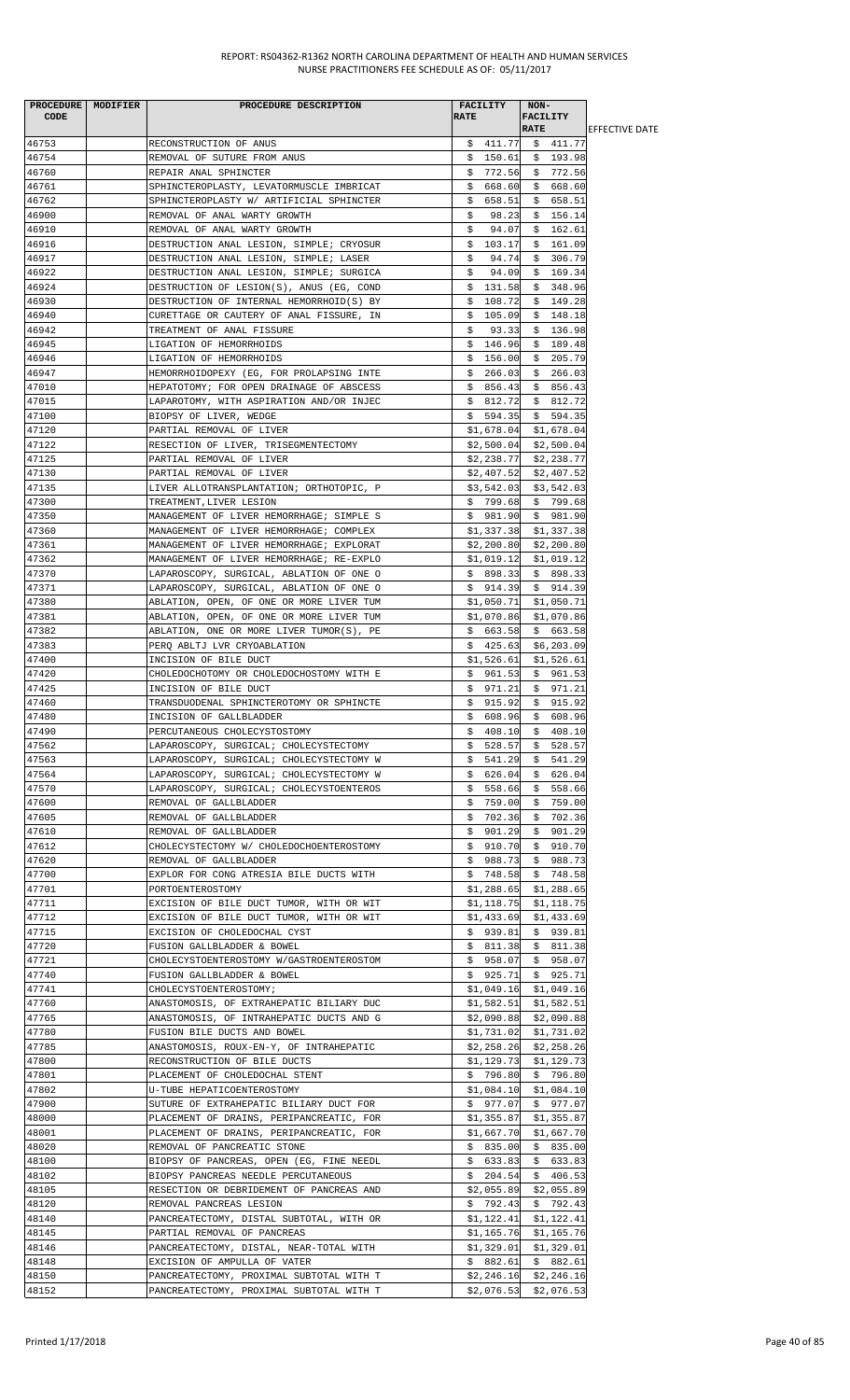| <b>CODE</b>    | PROCEDURE   MODIFIER | PROCEDURE DESCRIPTION                                                                | FACILITY<br><b>RATE</b>  | NON-<br><b>FACILITY</b>                     |                        |
|----------------|----------------------|--------------------------------------------------------------------------------------|--------------------------|---------------------------------------------|------------------------|
|                |                      |                                                                                      |                          | <b>RATE</b>                                 | <b>LEFFECTIVE DATE</b> |
| 46753<br>46754 |                      | RECONSTRUCTION OF ANUS                                                               |                          | $$411.77$ $$411.77$<br>$$150.61$$ \$ 193.98 |                        |
| 46760          |                      | REMOVAL OF SUTURE FROM ANUS<br>REPAIR ANAL SPHINCTER                                 | \$772.56                 | \$772.56                                    |                        |
| 46761          |                      | SPHINCTEROPLASTY, LEVATORMUSCLE IMBRICAT                                             | \$668.60                 | \$668.60                                    |                        |
| 46762          |                      | SPHINCTEROPLASTY W/ ARTIFICIAL SPHINCTER                                             | \$.<br>658.51            | \$658.51                                    |                        |
| 46900          |                      | REMOVAL OF ANAL WARTY GROWTH                                                         | \$<br>98.23              | \$156.14                                    |                        |
| 46910          |                      | REMOVAL OF ANAL WARTY GROWTH                                                         | \$<br>94.07              | \$162.61                                    |                        |
| 46916          |                      | DESTRUCTION ANAL LESION, SIMPLE; CRYOSUR                                             | \$103.17                 | \$161.09                                    |                        |
| 46917          |                      | DESTRUCTION ANAL LESION, SIMPLE; LASER                                               | 94.74<br>\$              | \$306.79                                    |                        |
| 46922          |                      | DESTRUCTION ANAL LESION, SIMPLE; SURGICA                                             | 94.09<br>\$              | \$169.34                                    |                        |
| 46924          |                      | DESTRUCTION OF LESION(S), ANUS (EG, COND                                             | \$131.58                 | \$348.96                                    |                        |
| 46930<br>46940 |                      | DESTRUCTION OF INTERNAL HEMORRHOID(S) BY                                             | 108.72<br>\$<br>105.09   | \$149.28                                    |                        |
| 46942          |                      | CURETTAGE OR CAUTERY OF ANAL FISSURE, IN<br>TREATMENT OF ANAL FISSURE                | \$<br>\$.<br>93.33       | \$148.18<br>\$136.98                        |                        |
| 46945          |                      | LIGATION OF HEMORRHOIDS                                                              | \$146.96                 | \$189.48                                    |                        |
| 46946          |                      | LIGATION OF HEMORRHOIDS                                                              | \$156.00                 | \$205.79                                    |                        |
| 46947          |                      | HEMORRHOIDOPEXY (EG, FOR PROLAPSING INTE                                             | \$266.03                 | \$266.03                                    |                        |
| 47010          |                      | HEPATOTOMY; FOR OPEN DRAINAGE OF ABSCESS                                             | \$856.43                 | \$856.43                                    |                        |
| 47015          |                      | LAPAROTOMY, WITH ASPIRATION AND/OR INJEC                                             |                          | $$812.72$$ $$812.72$                        |                        |
| 47100          |                      | BIOPSY OF LIVER, WEDGE                                                               | \$594.35                 | \$594.35                                    |                        |
| 47120          |                      | PARTIAL REMOVAL OF LIVER                                                             |                          | $$1,678.04$ $$1,678.04$                     |                        |
| 47122          |                      | RESECTION OF LIVER, TRISEGMENTECTOMY                                                 |                          | $$2,500.04$ $$2,500.04$                     |                        |
| 47125<br>47130 |                      | PARTIAL REMOVAL OF LIVER                                                             | \$2,238.77               | \$2,238.77                                  |                        |
| 47135          |                      | PARTIAL REMOVAL OF LIVER<br>LIVER ALLOTRANSPLANTATION; ORTHOTOPIC, P                 | \$2,407.52<br>\$3,542.03 | \$2,407.52<br>\$3,542.03                    |                        |
| 47300          |                      | TREATMENT, LIVER LESION                                                              |                          | $$799.68$ $$799.68$                         |                        |
| 47350          |                      | MANAGEMENT OF LIVER HEMORRHAGE; SIMPLE S                                             | \$981.90                 | \$981.90                                    |                        |
| 47360          |                      | MANAGEMENT OF LIVER HEMORRHAGE; COMPLEX                                              | \$1,337.38               | \$1,337.38                                  |                        |
| 47361          |                      | MANAGEMENT OF LIVER HEMORRHAGE; EXPLORAT                                             | \$2,200.80               | \$2,200.80                                  |                        |
| 47362          |                      | MANAGEMENT OF LIVER HEMORRHAGE; RE-EXPLO                                             | \$1,019.12               | \$1,019.12                                  |                        |
| 47370          |                      | LAPAROSCOPY, SURGICAL, ABLATION OF ONE O                                             | \$898.33                 | \$898.33                                    |                        |
| 47371          |                      | LAPAROSCOPY, SURGICAL, ABLATION OF ONE O                                             |                          | $$914.39 \t$914.39$                         |                        |
| 47380          |                      | ABLATION, OPEN, OF ONE OR MORE LIVER TUM                                             | \$1,050.71               | \$1,050.71                                  |                        |
| 47381<br>47382 |                      | ABLATION, OPEN, OF ONE OR MORE LIVER TUM                                             | \$1,070.86               | \$1,070.86                                  |                        |
| 47383          |                      | ABLATION, ONE OR MORE LIVER TUMOR(S), PE<br>PERO ABLTJ LVR CRYOABLATION              | \$663.58<br>\$425.63     | \$663.58<br>\$6,203.09                      |                        |
| 47400          |                      | INCISION OF BILE DUCT                                                                | \$1,526.61               | \$1,526.61                                  |                        |
| 47420          |                      | CHOLEDOCHOTOMY OR CHOLEDOCHOSTOMY WITH E                                             | \$961.53                 | \$961.53                                    |                        |
| 47425          |                      | INCISION OF BILE DUCT                                                                | \$971.21                 | \$971.21                                    |                        |
| 47460          |                      | TRANSDUODENAL SPHINCTEROTOMY OR SPHINCTE                                             | \$915.92                 | \$915.92                                    |                        |
| 47480          |                      | INCISION OF GALLBLADDER                                                              | \$                       | 608.96 \$ 608.96                            |                        |
| 47490          |                      | PERCUTANEOUS CHOLECYSTOSTOMY                                                         | \$408.10                 | \$408.10                                    |                        |
| 47562          |                      | LAPAROSCOPY, SURGICAL; CHOLECYSTECTOMY                                               | \$528.57                 | \$528.57                                    |                        |
| 47563          |                      | LAPAROSCOPY, SURGICAL; CHOLECYSTECTOMY W                                             |                          | $$541.29 \t$541.29$                         |                        |
| 47564<br>47570 |                      | LAPAROSCOPY, SURGICAL; CHOLECYSTECTOMY W<br>LAPAROSCOPY, SURGICAL; CHOLECYSTOENTEROS | \$626.04<br>\$558.66     | \$<br>626.04<br>\$558.66                    |                        |
| 47600          |                      | REMOVAL OF GALLBLADDER                                                               | \$759.00                 | \$759.00                                    |                        |
| 47605          |                      | REMOVAL OF GALLBLADDER                                                               | \$702.36                 | \$702.36                                    |                        |
| 47610          |                      | REMOVAL OF GALLBLADDER                                                               | 901.29<br>S.             | \$901.29                                    |                        |
| 47612          |                      | CHOLECYSTECTOMY W/ CHOLEDOCHOENTEROSTOMY                                             | \$910.70                 | \$910.70                                    |                        |
| 47620          |                      | REMOVAL OF GALLBLADDER                                                               |                          | $$988.73$$ \$ 988.73                        |                        |
| 47700          |                      | EXPLOR FOR CONG ATRESIA BILE DUCTS WITH                                              | \$748.58                 | \$748.58                                    |                        |
| 47701          |                      | PORTOENTEROSTOMY                                                                     | \$1,288.65               | \$1,288.65                                  |                        |
| 47711          |                      | EXCISION OF BILE DUCT TUMOR, WITH OR WIT                                             | \$1,118.75               | \$1,118.75                                  |                        |
| 47712<br>47715 |                      | EXCISION OF BILE DUCT TUMOR, WITH OR WIT<br>EXCISION OF CHOLEDOCHAL CYST             | \$1,433.69<br>\$939.81   | \$1,433.69<br>\$939.81                      |                        |
| 47720          |                      | FUSION GALLBLADDER & BOWEL                                                           |                          | $$811.38 \t$811.38$                         |                        |
| 47721          |                      | CHOLECYSTOENTEROSTOMY W/GASTROENTEROSTOM                                             |                          | $$958.07$ \$958.07                          |                        |
| 47740          |                      | FUSION GALLBLADDER & BOWEL                                                           |                          | $$925.71$ $$925.71$                         |                        |
| 47741          |                      | CHOLECYSTOENTEROSTOMY;                                                               |                          | $$1,049.16$ $$1,049.16$                     |                        |
| 47760          |                      | ANASTOMOSIS, OF EXTRAHEPATIC BILIARY DUC                                             |                          | $$1,582.51$ $$1,582.51$                     |                        |
| 47765          |                      | ANASTOMOSIS, OF INTRAHEPATIC DUCTS AND G                                             | \$2,090.88               | \$2,090.88                                  |                        |
| 47780          |                      | FUSION BILE DUCTS AND BOWEL                                                          | \$1,731.02               | \$1,731.02                                  |                        |
| 47785          |                      | ANASTOMOSIS, ROUX-EN-Y, OF INTRAHEPATIC                                              | \$2,258.26               | \$2,258.26                                  |                        |
| 47800<br>47801 |                      | RECONSTRUCTION OF BILE DUCTS<br>PLACEMENT OF CHOLEDOCHAL STENT                       | \$1,129.73<br>\$796.80   | \$1,129.73<br>\$796.80                      |                        |
| 47802          |                      | U-TUBE HEPATICOENTEROSTOMY                                                           | \$1,084.10               | \$1,084.10                                  |                        |
| 47900          |                      | SUTURE OF EXTRAHEPATIC BILIARY DUCT FOR                                              |                          | $$977.07 \quad $977.07$                     |                        |
| 48000          |                      | PLACEMENT OF DRAINS, PERIPANCREATIC, FOR                                             | \$1,355.87               | \$1,355.87                                  |                        |
| 48001          |                      | PLACEMENT OF DRAINS, PERIPANCREATIC, FOR                                             | \$1,667.70               | \$1,667.70                                  |                        |
| 48020          |                      | REMOVAL OF PANCREATIC STONE                                                          | \$835.00                 | \$835.00                                    |                        |
| 48100          |                      | BIOPSY OF PANCREAS, OPEN (EG, FINE NEEDL                                             | \$633.83                 | \$633.83                                    |                        |
| 48102          |                      | BIOPSY PANCREAS NEEDLE PERCUTANEOUS                                                  | \$204.54                 | \$406.53                                    |                        |
| 48105          |                      | RESECTION OR DEBRIDEMENT OF PANCREAS AND                                             | \$2,055.89               | \$2,055.89                                  |                        |
| 48120<br>48140 |                      | REMOVAL PANCREAS LESION<br>PANCREATECTOMY, DISTAL SUBTOTAL, WITH OR                  | \$792.43                 | \$792.43<br>$$1,122.41$ $$1,122.41$         |                        |
| 48145          |                      | PARTIAL REMOVAL OF PANCREAS                                                          | \$1,165.76               | \$1,165.76                                  |                        |
| 48146          |                      | PANCREATECTOMY, DISTAL, NEAR-TOTAL WITH                                              | \$1,329.01               | \$1,329.01                                  |                        |
| 48148          |                      | EXCISION OF AMPULLA OF VATER                                                         | \$882.61                 | \$882.61                                    |                        |
| 48150          |                      | PANCREATECTOMY, PROXIMAL SUBTOTAL WITH T                                             | \$2,246.16               | \$2,246.16                                  |                        |
| 48152          |                      | PANCREATECTOMY, PROXIMAL SUBTOTAL WITH T                                             |                          | $$2,076.53$ $$2,076.53$                     |                        |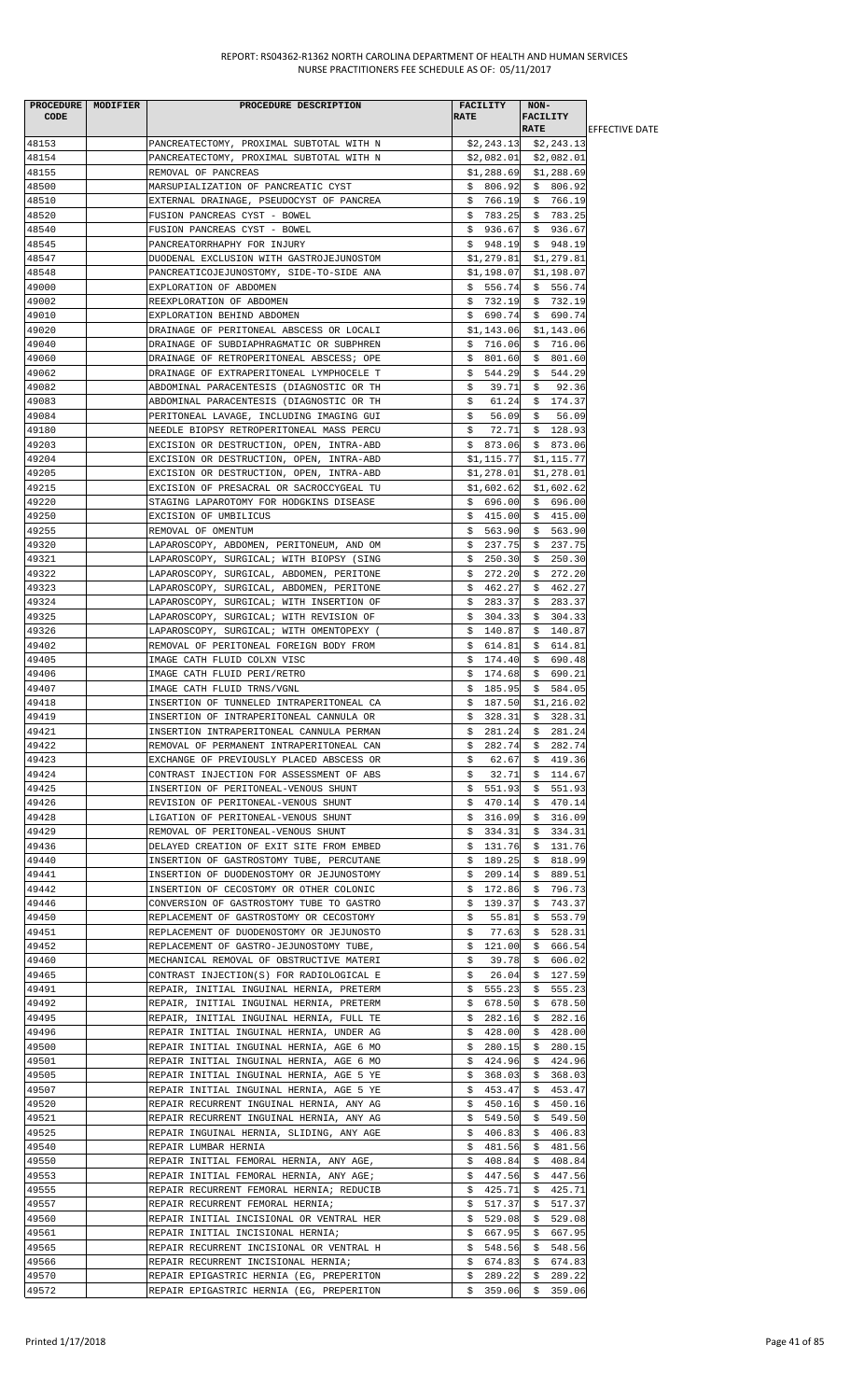| <b>CODE</b>    | PROCEDURE   MODIFIER | PROCEDURE DESCRIPTION                                                               | FACILITY<br><b>RATE</b>    | NON-<br><b>FACILITY</b><br><b>RATE</b> |                        |
|----------------|----------------------|-------------------------------------------------------------------------------------|----------------------------|----------------------------------------|------------------------|
| 48153          |                      | PANCREATECTOMY, PROXIMAL SUBTOTAL WITH N                                            |                            | $$2,243.13$ $$2,243.13$                | <b>LEFFECTIVE DATE</b> |
| 48154          |                      | PANCREATECTOMY, PROXIMAL SUBTOTAL WITH N                                            |                            | $$2,082.01$ $$2,082.01$                |                        |
| 48155          |                      | REMOVAL OF PANCREAS                                                                 | \$1,288.69                 | \$1,288.69                             |                        |
| 48500          |                      | MARSUPIALIZATION OF PANCREATIC CYST                                                 | \$806.92                   | \$806.92                               |                        |
| 48510          |                      | EXTERNAL DRAINAGE, PSEUDOCYST OF PANCREA                                            | \$766.19                   | \$766.19                               |                        |
| 48520          |                      | FUSION PANCREAS CYST - BOWEL                                                        | \$783.25                   | \$783.25                               |                        |
| 48540          |                      | FUSION PANCREAS CYST - BOWEL                                                        | \$936.67                   | \$936.67                               |                        |
| 48545          |                      | PANCREATORRHAPHY FOR INJURY                                                         | \$948.19                   | \$948.19                               |                        |
| 48547          |                      | DUODENAL EXCLUSION WITH GASTROJEJUNOSTOM                                            |                            | $$1,279.81$ $$1,279.81$                |                        |
| 48548          |                      | PANCREATICOJEJUNOSTOMY, SIDE-TO-SIDE ANA                                            | \$1,198.07                 | \$1,198.07                             |                        |
| 49000          |                      | EXPLORATION OF ABDOMEN                                                              | \$556.74                   | \$556.74                               |                        |
| 49002          |                      | REEXPLORATION OF ABDOMEN                                                            | \$732.19                   | \$732.19                               |                        |
| 49010          |                      | EXPLORATION BEHIND ABDOMEN                                                          | \$690.74                   | \$690.74                               |                        |
| 49020          |                      | DRAINAGE OF PERITONEAL ABSCESS OR LOCALI                                            | \$1,143.06                 | \$1,143.06                             |                        |
| 49040          |                      | DRAINAGE OF SUBDIAPHRAGMATIC OR SUBPHREN                                            | \$716.06                   | \$716.06                               |                        |
| 49060          |                      | DRAINAGE OF RETROPERITONEAL ABSCESS; OPE                                            | \$801.60                   | \$801.60                               |                        |
| 49062          |                      | DRAINAGE OF EXTRAPERITONEAL LYMPHOCELE T                                            | 544.29<br>S.               | \$544.29                               |                        |
| 49082          |                      | ABDOMINAL PARACENTESIS (DIAGNOSTIC OR TH                                            | \$<br>39.71                | \$92.36                                |                        |
| 49083          |                      | ABDOMINAL PARACENTESIS (DIAGNOSTIC OR TH                                            | 61.24<br>\$                | \$174.37                               |                        |
| 49084          |                      | PERITONEAL LAVAGE, INCLUDING IMAGING GUI                                            | \$<br>56.09                | \$<br>56.09                            |                        |
| 49180          |                      | NEEDLE BIOPSY RETROPERITONEAL MASS PERCU                                            | 72.71<br>\$                | \$128.93                               |                        |
| 49203          |                      | EXCISION OR DESTRUCTION, OPEN, INTRA-ABD                                            | \$873.06                   | \$873.06                               |                        |
| 49204<br>49205 |                      | EXCISION OR DESTRUCTION, OPEN, INTRA-ABD                                            | \$1,115.77                 | \$1,115.77                             |                        |
| 49215          |                      | EXCISION OR DESTRUCTION, OPEN, INTRA-ABD                                            | \$1,278.01                 | \$1,278.01                             |                        |
| 49220          |                      | EXCISION OF PRESACRAL OR SACROCCYGEAL TU<br>STAGING LAPAROTOMY FOR HODGKINS DISEASE | \$1,602.62<br>\$696.00     | \$1,602.62<br>\$696.00                 |                        |
| 49250          |                      | EXCISION OF UMBILICUS                                                               | \$415.00                   | \$415.00                               |                        |
| 49255          |                      | REMOVAL OF OMENTUM                                                                  | \$563.90                   | \$563.90                               |                        |
| 49320          |                      | LAPAROSCOPY, ABDOMEN, PERITONEUM, AND OM                                            | \$237.75                   | \$237.75                               |                        |
| 49321          |                      | LAPAROSCOPY, SURGICAL; WITH BIOPSY (SING                                            | \$<br>250.30               | \$<br>250.30                           |                        |
| 49322          |                      | LAPAROSCOPY, SURGICAL, ABDOMEN, PERITONE                                            | \$272.20                   | \$272.20                               |                        |
| 49323          |                      | LAPAROSCOPY, SURGICAL, ABDOMEN, PERITONE                                            | \$462.27                   | \$462.27                               |                        |
| 49324          |                      | LAPAROSCOPY, SURGICAL; WITH INSERTION OF                                            | \$283.37                   | \$283.37                               |                        |
| 49325          |                      | LAPAROSCOPY, SURGICAL; WITH REVISION OF                                             | \$304.33                   | \$304.33                               |                        |
| 49326          |                      | LAPAROSCOPY, SURGICAL; WITH OMENTOPEXY (                                            | \$140.87                   | \$140.87                               |                        |
| 49402          |                      | REMOVAL OF PERITONEAL FOREIGN BODY FROM                                             | \$614.81                   | \$614.81                               |                        |
| 49405          |                      | IMAGE CATH FLUID COLXN VISC                                                         | 174.40<br>\$               | 690.48<br>\$                           |                        |
| 49406          |                      | IMAGE CATH FLUID PERI/RETRO                                                         | \$<br>174.68               | \$690.21                               |                        |
| 49407          |                      | IMAGE CATH FLUID TRNS/VGNL                                                          | \$185.95                   | \$584.05                               |                        |
| 49418          |                      | INSERTION OF TUNNELED INTRAPERITONEAL CA                                            | \$<br>187.50               | \$1,216.02                             |                        |
| 49419          |                      | INSERTION OF INTRAPERITONEAL CANNULA OR                                             | \$<br>328.31               | \$328.31                               |                        |
| 49421          |                      | INSERTION INTRAPERITONEAL CANNULA PERMAN                                            | \$281.24                   | \$281.24                               |                        |
| 49422          |                      | REMOVAL OF PERMANENT INTRAPERITONEAL CAN                                            | \$282.74                   | \$282.74                               |                        |
| 49423          |                      | EXCHANGE OF PREVIOUSLY PLACED ABSCESS OR                                            | \$.<br>62.67               | \$419.36                               |                        |
| 49424          |                      | CONTRAST INJECTION FOR ASSESSMENT OF ABS                                            | \$<br>32.71                | 114.67<br>Ş.                           |                        |
| 49425          |                      | INSERTION OF PERITONEAL-VENOUS SHUNT                                                | \$551.93                   | 551.93<br>\$.                          |                        |
| 49426          |                      | REVISION OF PERITONEAL-VENOUS SHUNT                                                 | \$<br>470.14               | 470.14<br>\$                           |                        |
| 49428          |                      | LIGATION OF PERITONEAL-VENOUS SHUNT                                                 | 316.09<br>Ş.               | \$.<br>316.09                          |                        |
| 49429          |                      | REMOVAL OF PERITONEAL-VENOUS SHUNT                                                  | 334.31<br>S.               | \$334.31                               |                        |
| 49436          |                      | DELAYED CREATION OF EXIT SITE FROM EMBED                                            | 131.76<br>Ş.               | \$131.76                               |                        |
| 49440          |                      | INSERTION OF GASTROSTOMY TUBE, PERCUTANE                                            | \$189.25                   | \$818.99                               |                        |
| 49441          |                      | INSERTION OF DUODENOSTOMY OR JEJUNOSTOMY                                            | \$209.14                   | \$889.51                               |                        |
| 49442          |                      | INSERTION OF CECOSTOMY OR OTHER COLONIC                                             | 172.86<br>Ş.               | \$796.73                               |                        |
| 49446<br>49450 |                      | CONVERSION OF GASTROSTOMY TUBE TO GASTRO                                            | \$<br>139.37               | \$.<br>743.37                          |                        |
| 49451          |                      | REPLACEMENT OF GASTROSTOMY OR CECOSTOMY<br>REPLACEMENT OF DUODENOSTOMY OR JEJUNOSTO | \$<br>55.81<br>\$<br>77.63 | 553.79<br>Ş.<br>\$528.31               |                        |
| 49452          |                      | REPLACEMENT OF GASTRO-JEJUNOSTOMY TUBE,                                             | \$121.00                   | \$666.54                               |                        |
| 49460          |                      | MECHANICAL REMOVAL OF OBSTRUCTIVE MATERI                                            | 39.78<br>\$                | \$<br>606.02                           |                        |
| 49465          |                      | CONTRAST INJECTION(S) FOR RADIOLOGICAL E                                            | 26.04<br>\$                | \$127.59                               |                        |
| 49491          |                      | REPAIR, INITIAL INGUINAL HERNIA, PRETERM                                            | \$555.23                   | \$555.23                               |                        |
| 49492          |                      | REPAIR, INITIAL INGUINAL HERNIA, PRETERM                                            | \$678.50                   | \$678.50                               |                        |
| 49495          |                      | REPAIR, INITIAL INGUINAL HERNIA, FULL TE                                            | \$<br>282.16               | 282.16<br>Ş.                           |                        |
| 49496          |                      | REPAIR INITIAL INGUINAL HERNIA, UNDER AG                                            | \$428.00                   | 428.00<br>\$                           |                        |
| 49500          |                      | REPAIR INITIAL INGUINAL HERNIA, AGE 6 MO                                            | 280.15<br>Ş.               | 280.15<br>\$.                          |                        |
| 49501          |                      | REPAIR INITIAL INGUINAL HERNIA, AGE 6 MO                                            | \$424.96                   | \$424.96                               |                        |
| 49505          |                      | REPAIR INITIAL INGUINAL HERNIA, AGE 5 YE                                            | \$368.03                   | \$368.03                               |                        |
| 49507          |                      | REPAIR INITIAL INGUINAL HERNIA, AGE 5 YE                                            | \$453.47                   | \$453.47                               |                        |
| 49520          |                      | REPAIR RECURRENT INGUINAL HERNIA, ANY AG                                            | \$450.16                   | \$450.16                               |                        |
| 49521          |                      | REPAIR RECURRENT INGUINAL HERNIA, ANY AG                                            | 549.50<br>\$.              | 549.50<br>\$                           |                        |
| 49525          |                      | REPAIR INGUINAL HERNIA, SLIDING, ANY AGE                                            | 406.83<br>Ş.               | \$<br>406.83                           |                        |
| 49540          |                      | REPAIR LUMBAR HERNIA                                                                | \$481.56                   | \$481.56                               |                        |
| 49550          |                      | REPAIR INITIAL FEMORAL HERNIA, ANY AGE,                                             | \$408.84                   | \$<br>408.84                           |                        |
| 49553          |                      | REPAIR INITIAL FEMORAL HERNIA, ANY AGE;                                             | \$447.56                   | \$447.56                               |                        |
| 49555          |                      | REPAIR RECURRENT FEMORAL HERNIA; REDUCIB                                            | 425.71<br>Ş.               | 425.71<br>Ş.                           |                        |
| 49557          |                      | REPAIR RECURRENT FEMORAL HERNIA;                                                    | \$517.37                   | \$517.37                               |                        |
| 49560          |                      | REPAIR INITIAL INCISIONAL OR VENTRAL HER                                            | 529.08<br>Ş.               | 529.08<br>\$                           |                        |
| 49561          |                      | REPAIR INITIAL INCISIONAL HERNIA;                                                   | \$667.95                   | \$.<br>667.95                          |                        |
| 49565          |                      | REPAIR RECURRENT INCISIONAL OR VENTRAL H                                            | 548.56<br>Ş.               | \$548.56                               |                        |
| 49566          |                      | REPAIR RECURRENT INCISIONAL HERNIA;                                                 | \$674.83                   | 674.83<br>\$                           |                        |
| 49570          |                      | REPAIR EPIGASTRIC HERNIA (EG, PREPERITON                                            | \$<br>289.22               | \$<br>289.22                           |                        |
| 49572          |                      | REPAIR EPIGASTRIC HERNIA (EG, PREPERITON                                            |                            | $$359.06$ $$359.06$                    |                        |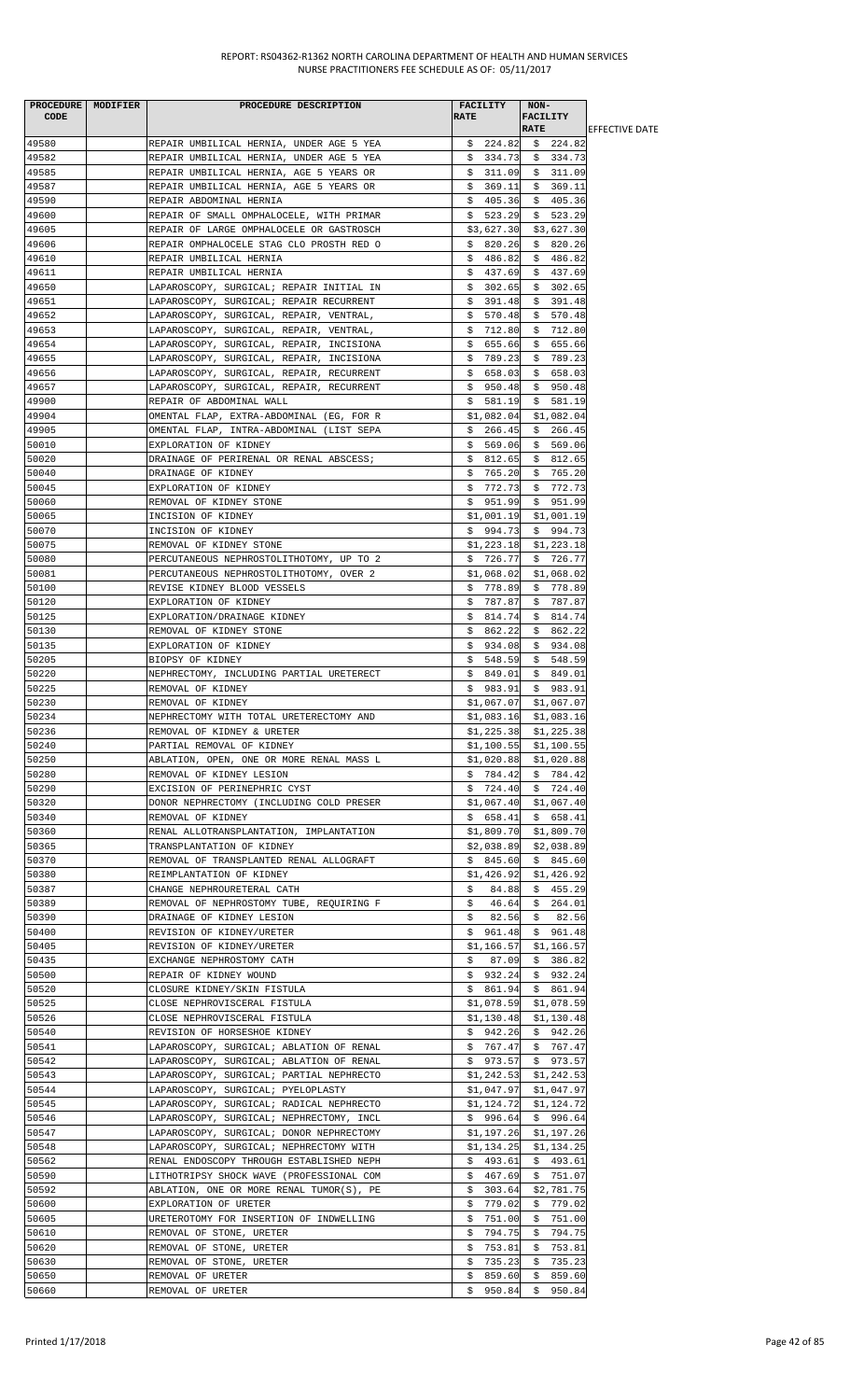| <b>CODE</b>    | PROCEDURE MODIFIER | PROCEDURE DESCRIPTION                                                                | FACILITY<br><b>RATE</b>   | NON-<br>FACILITY        |                        |
|----------------|--------------------|--------------------------------------------------------------------------------------|---------------------------|-------------------------|------------------------|
|                |                    |                                                                                      |                           | <b>RATE</b>             | <b>IEFFECTIVE DATE</b> |
| 49580          |                    | REPAIR UMBILICAL HERNIA, UNDER AGE 5 YEA                                             | \$224.82                  | \$224.82                |                        |
| 49582          |                    | REPAIR UMBILICAL HERNIA, UNDER AGE 5 YEA                                             | \$334.73                  | \$334.73                |                        |
| 49585<br>49587 |                    | REPAIR UMBILICAL HERNIA, AGE 5 YEARS OR                                              | \$311.09                  | \$311.09                |                        |
| 49590          |                    | REPAIR UMBILICAL HERNIA, AGE 5 YEARS OR<br>REPAIR ABDOMINAL HERNIA                   | \$369.11<br>\$405.36      | \$369.11<br>\$405.36    |                        |
| 49600          |                    | REPAIR OF SMALL OMPHALOCELE, WITH PRIMAR                                             | \$523.29                  | \$523.29                |                        |
| 49605          |                    | REPAIR OF LARGE OMPHALOCELE OR GASTROSCH                                             | \$3,627.30                | \$3,627.30              |                        |
| 49606          |                    | REPAIR OMPHALOCELE STAG CLO PROSTH RED O                                             | \$820.26                  | \$820.26                |                        |
| 49610          |                    | REPAIR UMBILICAL HERNIA                                                              | \$<br>486.82              | \$486.82                |                        |
| 49611          |                    | REPAIR UMBILICAL HERNIA                                                              | \$437.69                  | \$437.69                |                        |
| 49650<br>49651 |                    | LAPAROSCOPY, SURGICAL; REPAIR INITIAL IN<br>LAPAROSCOPY, SURGICAL; REPAIR RECURRENT  | \$302.65<br>\$391.48      | \$302.65<br>\$391.48    |                        |
| 49652          |                    | LAPAROSCOPY, SURGICAL, REPAIR, VENTRAL,                                              | \$570.48                  | \$570.48                |                        |
| 49653          |                    | LAPAROSCOPY, SURGICAL, REPAIR, VENTRAL,                                              | \$712.80                  | \$712.80                |                        |
| 49654          |                    | LAPAROSCOPY, SURGICAL, REPAIR, INCISIONA                                             | \$655.66                  | \$655.66                |                        |
| 49655          |                    | LAPAROSCOPY, SURGICAL, REPAIR, INCISIONA                                             | \$789.23                  | \$789.23                |                        |
| 49656          |                    | LAPAROSCOPY, SURGICAL, REPAIR, RECURRENT                                             | \$658.03                  | \$658.03                |                        |
| 49657          |                    | LAPAROSCOPY, SURGICAL, REPAIR, RECURRENT                                             | \$950.48                  | \$950.48                |                        |
| 49900<br>49904 |                    | REPAIR OF ABDOMINAL WALL<br>OMENTAL FLAP, EXTRA-ABDOMINAL (EG, FOR R                 | \$581.19<br>\$1,082.04    | \$581.19<br>\$1,082.04  |                        |
| 49905          |                    | OMENTAL FLAP, INTRA-ABDOMINAL (LIST SEPA                                             | \$266.45                  | \$266.45                |                        |
| 50010          |                    | EXPLORATION OF KIDNEY                                                                | \$569.06                  | \$569.06                |                        |
| 50020          |                    | DRAINAGE OF PERIRENAL OR RENAL ABSCESS;                                              | \$812.65                  | \$812.65                |                        |
| 50040          |                    | DRAINAGE OF KIDNEY                                                                   | \$765.20                  | \$765.20                |                        |
| 50045          |                    | EXPLORATION OF KIDNEY                                                                | \$772.73                  | \$772.73                |                        |
| 50060          |                    | REMOVAL OF KIDNEY STONE                                                              | \$951.99                  | \$951.99                |                        |
| 50065<br>50070 |                    | INCISION OF KIDNEY                                                                   | \$1,001.19                | \$1,001.19              |                        |
| 50075          |                    | INCISION OF KIDNEY<br>REMOVAL OF KIDNEY STONE                                        | \$994.73<br>\$1,223.18    | \$994.73<br>\$1,223.18  |                        |
| 50080          |                    | PERCUTANEOUS NEPHROSTOLITHOTOMY, UP TO 2                                             | \$726.77                  | \$726.77                |                        |
| 50081          |                    | PERCUTANEOUS NEPHROSTOLITHOTOMY, OVER 2                                              | \$1,068.02                | \$1,068.02              |                        |
| 50100          |                    | REVISE KIDNEY BLOOD VESSELS                                                          | \$778.89                  | \$778.89                |                        |
| 50120          |                    | EXPLORATION OF KIDNEY                                                                | \$787.87                  | \$787.87                |                        |
| 50125          |                    | EXPLORATION/DRAINAGE KIDNEY                                                          | \$814.74                  | \$814.74                |                        |
| 50130          |                    | REMOVAL OF KIDNEY STONE                                                              | \$862.22                  | \$862.22                |                        |
| 50135<br>50205 |                    | EXPLORATION OF KIDNEY<br>BIOPSY OF KIDNEY                                            | \$934.08<br>\$548.59      | \$934.08<br>\$548.59    |                        |
| 50220          |                    | NEPHRECTOMY, INCLUDING PARTIAL URETERECT                                             | \$849.01                  | \$849.01                |                        |
| 50225          |                    | REMOVAL OF KIDNEY                                                                    | \$983.91                  | \$983.91                |                        |
| 50230          |                    | REMOVAL OF KIDNEY                                                                    | \$1,067.07                | \$1,067.07              |                        |
| 50234          |                    | NEPHRECTOMY WITH TOTAL URETERECTOMY AND                                              | \$1,083.16                | \$1,083.16              |                        |
| 50236          |                    | REMOVAL OF KIDNEY & URETER                                                           |                           | $$1,225.38$ $$1,225.38$ |                        |
| 50240          |                    | PARTIAL REMOVAL OF KIDNEY                                                            | \$1,100.55                | \$1,100.55              |                        |
| 50250<br>50280 |                    | ABLATION, OPEN, ONE OR MORE RENAL MASS L<br>REMOVAL OF KIDNEY LESION                 | \$1,020.88<br>\$784.42    | \$1,020.88<br>\$784.42  |                        |
| 50290          |                    | EXCISION OF PERINEPHRIC CYST                                                         | \$724.40                  | \$724.40                |                        |
| 50320          |                    | DONOR NEPHRECTOMY (INCLUDING COLD PRESER                                             | \$1,067.40                | \$1,067.40              |                        |
| 50340          |                    | REMOVAL OF KIDNEY                                                                    | \$658.41                  | \$658.41                |                        |
| 50360          |                    | RENAL ALLOTRANSPLANTATION, IMPLANTATION                                              | \$1,809.70                | \$1,809.70              |                        |
| 50365          |                    | TRANSPLANTATION OF KIDNEY                                                            | \$2,038.89                | \$2,038.89              |                        |
| 50370          |                    | REMOVAL OF TRANSPLANTED RENAL ALLOGRAFT                                              | \$845.60                  | \$845.60                |                        |
| 50380<br>50387 |                    | REIMPLANTATION OF KIDNEY<br>CHANGE NEPHROURETERAL CATH                               | \$1,426.92<br>84.88<br>Ş. | \$1,426.92<br>\$455.29  |                        |
| 50389          |                    | REMOVAL OF NEPHROSTOMY TUBE, REQUIRING F                                             | \$<br>46.64               | \$264.01                |                        |
| 50390          |                    | DRAINAGE OF KIDNEY LESION                                                            | 82.56<br>Ş.               | \$82.56                 |                        |
| 50400          |                    | REVISION OF KIDNEY/URETER                                                            | \$961.48                  | \$961.48                |                        |
| 50405          |                    | REVISION OF KIDNEY/URETER                                                            | \$1,166.57                | \$1,166.57              |                        |
| 50435          |                    | EXCHANGE NEPHROSTOMY CATH                                                            | \$87.09                   | \$386.82                |                        |
| 50500          |                    | REPAIR OF KIDNEY WOUND                                                               | \$932.24                  | \$932.24                |                        |
| 50520<br>50525 |                    | CLOSURE KIDNEY/SKIN FISTULA<br>CLOSE NEPHROVISCERAL FISTULA                          | \$861.94<br>\$1,078.59    | \$861.94<br>\$1,078.59  |                        |
| 50526          |                    | CLOSE NEPHROVISCERAL FISTULA                                                         | \$1,130.48                | \$1,130.48              |                        |
| 50540          |                    | REVISION OF HORSESHOE KIDNEY                                                         | \$942.26                  | \$942.26                |                        |
| 50541          |                    | LAPAROSCOPY, SURGICAL; ABLATION OF RENAL                                             | \$767.47                  | \$767.47                |                        |
| 50542          |                    | LAPAROSCOPY, SURGICAL; ABLATION OF RENAL                                             |                           | $$973.57$ $$973.57$     |                        |
| 50543          |                    | LAPAROSCOPY, SURGICAL; PARTIAL NEPHRECTO                                             | \$1,242.53                | \$1,242.53              |                        |
| 50544          |                    | LAPAROSCOPY, SURGICAL; PYELOPLASTY                                                   | \$1,047.97                | \$1,047.97              |                        |
| 50545<br>50546 |                    | LAPAROSCOPY, SURGICAL; RADICAL NEPHRECTO<br>LAPAROSCOPY, SURGICAL; NEPHRECTOMY, INCL | \$1,124.72<br>\$996.64    | \$1,124.72<br>\$996.64  |                        |
| 50547          |                    | LAPAROSCOPY, SURGICAL; DONOR NEPHRECTOMY                                             | \$1,197.26                | \$1,197.26              |                        |
| 50548          |                    | LAPAROSCOPY, SURGICAL; NEPHRECTOMY WITH                                              | \$1,134.25                | \$1,134.25              |                        |
| 50562          |                    | RENAL ENDOSCOPY THROUGH ESTABLISHED NEPH                                             | \$493.61                  | \$493.61                |                        |
| 50590          |                    | LITHOTRIPSY SHOCK WAVE (PROFESSIONAL COM                                             | \$467.69                  | \$751.07                |                        |
| 50592          |                    | ABLATION, ONE OR MORE RENAL TUMOR(S), PE                                             | \$303.64                  | \$2,781.75              |                        |
| 50600          |                    | EXPLORATION OF URETER                                                                | \$779.02                  | \$779.02                |                        |
| 50605<br>50610 |                    | URETEROTOMY FOR INSERTION OF INDWELLING<br>REMOVAL OF STONE, URETER                  | 751.00<br>\$<br>794.75    | 751.00<br>\$<br>794.75  |                        |
| 50620          |                    | REMOVAL OF STONE, URETER                                                             | Ş.<br>753.81<br>Ş.        | 753.81<br>\$            |                        |
| 50630          |                    | REMOVAL OF STONE, URETER                                                             | 735.23<br>\$.             | \$<br>735.23            |                        |
| 50650          |                    | REMOVAL OF URETER                                                                    | 859.60<br>Ş.              | 859.60<br>Ş.            |                        |
| 50660          |                    | REMOVAL OF URETER                                                                    |                           | $$950.84$ \$950.84      |                        |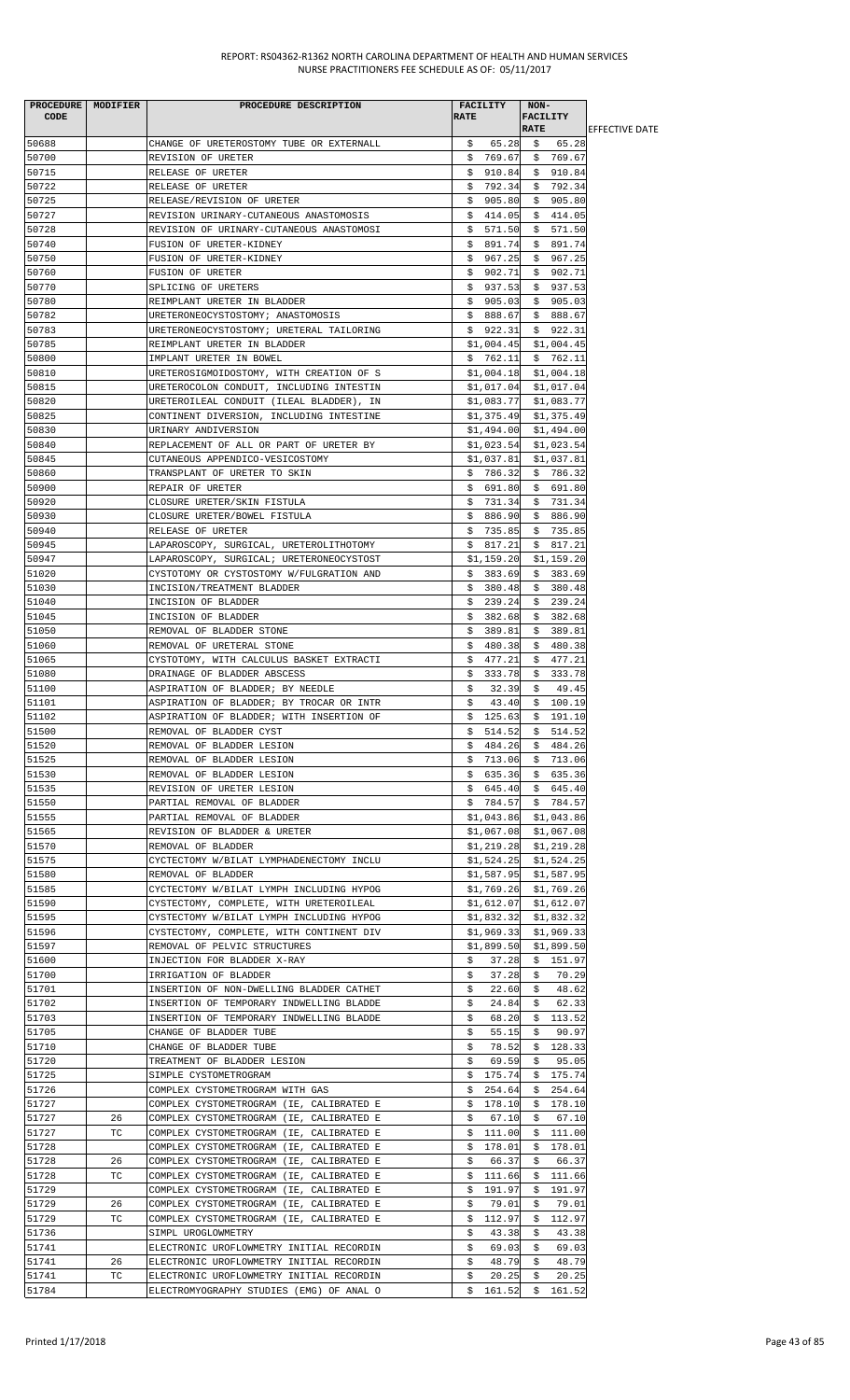| <b>CODE</b>    | PROCEDURE   MODIFIER | PROCEDURE DESCRIPTION                                                                | <b>FACILITY</b><br><b>RATE</b> | NON-<br><b>FACILITY</b><br><b>RATE</b> | <b>IEFFECTIVE DATE</b> |
|----------------|----------------------|--------------------------------------------------------------------------------------|--------------------------------|----------------------------------------|------------------------|
| 50688          |                      | CHANGE OF URETEROSTOMY TUBE OR EXTERNALL                                             | \$<br>65.28                    | 65.28<br>\$                            |                        |
| 50700          |                      | REVISION OF URETER                                                                   | \$769.67                       | \$769.67                               |                        |
| 50715          |                      | RELEASE OF URETER                                                                    | \$<br>910.84                   | \$910.84                               |                        |
| 50722          |                      | RELEASE OF URETER                                                                    | 792.34<br>Ş.                   | \$792.34                               |                        |
| 50725          |                      | RELEASE/REVISION OF URETER                                                           | \$905.80                       | \$905.80                               |                        |
| 50727<br>50728 |                      | REVISION URINARY-CUTANEOUS ANASTOMOSIS<br>REVISION OF URINARY-CUTANEOUS ANASTOMOSI   | \$414.05<br>\$<br>571.50       | \$414.05<br>571.50<br>\$               |                        |
| 50740          |                      | FUSION OF URETER-KIDNEY                                                              | \$<br>891.74                   | 891.74<br>\$                           |                        |
| 50750          |                      | FUSION OF URETER-KIDNEY                                                              | \$967.25                       | \$967.25                               |                        |
| 50760          |                      | <b>FUSION OF URETER</b>                                                              | \$902.71                       | \$<br>902.71                           |                        |
| 50770          |                      | SPLICING OF URETERS                                                                  | \$937.53                       | \$937.53                               |                        |
| 50780          |                      | REIMPLANT URETER IN BLADDER                                                          | \$905.03                       | \$905.03                               |                        |
| 50782          |                      | URETERONEOCYSTOSTOMY; ANASTOMOSIS                                                    | \$888.67                       | \$888.67                               |                        |
| 50783          |                      | URETERONEOCYSTOSTOMY; URETERAL TAILORING                                             | \$922.31                       | \$922.31                               |                        |
| 50785          |                      | REIMPLANT URETER IN BLADDER                                                          | \$1,004.45                     | \$1,004.45                             |                        |
| 50800<br>50810 |                      | IMPLANT URETER IN BOWEL<br>URETEROSIGMOIDOSTOMY, WITH CREATION OF S                  | \$762.11<br>\$1,004.18         | \$762.11<br>\$1,004.18                 |                        |
| 50815          |                      | URETEROCOLON CONDUIT, INCLUDING INTESTIN                                             | \$1,017.04                     | \$1,017.04                             |                        |
| 50820          |                      | URETEROILEAL CONDUIT (ILEAL BLADDER), IN                                             | \$1,083.77                     | \$1,083.77                             |                        |
| 50825          |                      | CONTINENT DIVERSION, INCLUDING INTESTINE                                             | \$1,375.49                     | \$1,375.49                             |                        |
| 50830          |                      | URINARY ANDIVERSION                                                                  | \$1,494.00                     | \$1,494.00                             |                        |
| 50840          |                      | REPLACEMENT OF ALL OR PART OF URETER BY                                              | \$1,023.54                     | \$1,023.54                             |                        |
| 50845          |                      | CUTANEOUS APPENDICO-VESICOSTOMY                                                      | \$1,037.81                     | \$1,037.81                             |                        |
| 50860          |                      | TRANSPLANT OF URETER TO SKIN                                                         | \$786.32                       | \$786.32                               |                        |
| 50900<br>50920 |                      | REPAIR OF URETER<br>CLOSURE URETER/SKIN FISTULA                                      | \$691.80<br>\$731.34           | \$691.80<br>\$731.34                   |                        |
| 50930          |                      | CLOSURE URETER/BOWEL FISTULA                                                         | \$886.90                       | \$886.90                               |                        |
| 50940          |                      | RELEASE OF URETER                                                                    | \$<br>735.85                   | \$735.85                               |                        |
| 50945          |                      | LAPAROSCOPY, SURGICAL, URETEROLITHOTOMY                                              | 817.21<br>Ş.                   | \$817.21                               |                        |
| 50947          |                      | LAPAROSCOPY, SURGICAL; URETERONEOCYSTOST                                             | \$1,159.20                     | \$1,159.20                             |                        |
| 51020          |                      | CYSTOTOMY OR CYSTOSTOMY W/FULGRATION AND                                             | \$383.69                       | \$383.69                               |                        |
| 51030          |                      | INCISION/TREATMENT BLADDER                                                           | \$<br>380.48                   | \$<br>380.48                           |                        |
| 51040<br>51045 |                      | INCISION OF BLADDER<br>INCISION OF BLADDER                                           | \$<br>239.24<br>382.68<br>S.   | 239.24<br>\$<br>\$.<br>382.68          |                        |
| 51050          |                      | REMOVAL OF BLADDER STONE                                                             | S.<br>389.81                   | \$<br>389.81                           |                        |
| 51060          |                      | REMOVAL OF URETERAL STONE                                                            | 480.38<br>Ş.                   | 480.38<br>Ş.                           |                        |
| 51065          |                      | CYSTOTOMY, WITH CALCULUS BASKET EXTRACTI                                             | 477.21<br>S.                   | 477.21<br>S.                           |                        |
| 51080          |                      | DRAINAGE OF BLADDER ABSCESS                                                          | \$<br>333.78                   | \$333.78                               |                        |
| 51100          |                      | ASPIRATION OF BLADDER; BY NEEDLE                                                     | \$<br>32.39                    | 49.45<br>\$                            |                        |
| 51101<br>51102 |                      | ASPIRATION OF BLADDER; BY TROCAR OR INTR<br>ASPIRATION OF BLADDER; WITH INSERTION OF | 43.40<br>\$<br>\$<br>125.63    | \$100.19<br>\$191.10                   |                        |
| 51500          |                      | REMOVAL OF BLADDER CYST                                                              | \$514.52                       | \$514.52                               |                        |
| 51520          |                      | REMOVAL OF BLADDER LESION                                                            | \$484.26                       | \$484.26                               |                        |
| 51525          |                      | REMOVAL OF BLADDER LESION                                                            | \$713.06                       | \$713.06                               |                        |
| 51530          |                      | REMOVAL OF BLADDER LESION                                                            | \$635.36                       | \$635.36                               |                        |
| 51535          |                      | REVISION OF URETER LESION                                                            | \$645.40                       | \$645.40                               |                        |
| 51550          |                      | PARTIAL REMOVAL OF BLADDER                                                           | \$784.57                       | \$784.57                               |                        |
| 51555          |                      | PARTIAL REMOVAL OF BLADDER                                                           | \$1,043.86                     | \$1,043.86                             |                        |
| 51565<br>51570 |                      | REVISION OF BLADDER & URETER<br>REMOVAL OF BLADDER                                   | \$1,067.08<br>\$1,219.28       | \$1,067.08<br>\$1,219.28               |                        |
| 51575          |                      | CYCTECTOMY W/BILAT LYMPHADENECTOMY INCLU                                             | \$1,524.25                     | \$1,524.25                             |                        |
| 51580          |                      | REMOVAL OF BLADDER                                                                   | \$1,587.95                     | \$1,587.95                             |                        |
| 51585          |                      | CYCTECTOMY W/BILAT LYMPH INCLUDING HYPOG                                             | \$1,769.26                     | \$1,769.26                             |                        |
| 51590          |                      | CYSTECTOMY, COMPLETE, WITH URETEROILEAL                                              | \$1,612.07                     | \$1,612.07                             |                        |
| 51595          |                      | CYSTECTOMY W/BILAT LYMPH INCLUDING HYPOG                                             | \$1,832.32                     | \$1,832.32                             |                        |
| 51596          |                      | CYSTECTOMY, COMPLETE, WITH CONTINENT DIV                                             | \$1,969.33                     | \$1,969.33                             |                        |
| 51597<br>51600 |                      | REMOVAL OF PELVIC STRUCTURES<br>INJECTION FOR BLADDER X-RAY                          | \$1,899.50<br>\$.<br>37.28     | \$1,899.50<br>\$151.97                 |                        |
| 51700          |                      | IRRIGATION OF BLADDER                                                                | 37.28<br>\$                    | 70.29<br>\$                            |                        |
| 51701          |                      | INSERTION OF NON-DWELLING BLADDER CATHET                                             | \$<br>22.60                    | \$<br>48.62                            |                        |
| 51702          |                      | INSERTION OF TEMPORARY INDWELLING BLADDE                                             | 24.84<br>Ş.                    | 62.33<br>Ş.                            |                        |
| 51703          |                      | INSERTION OF TEMPORARY INDWELLING BLADDE                                             | 68.20<br>Ş.                    | \$113.52                               |                        |
| 51705          |                      | CHANGE OF BLADDER TUBE                                                               | \$<br>55.15                    | 90.97<br>\$                            |                        |
| 51710          |                      | CHANGE OF BLADDER TUBE                                                               | 78.52<br>\$                    | \$<br>128.33                           |                        |
| 51720          |                      | TREATMENT OF BLADDER LESION                                                          | 69.59<br>\$                    | \$<br>95.05                            |                        |
| 51725<br>51726 |                      | SIMPLE CYSTOMETROGRAM<br>COMPLEX CYSTOMETROGRAM WITH GAS                             | 175.74<br>\$<br>254.64<br>Ş.   | 175.74<br>\$<br>254.64<br>\$           |                        |
| 51727          |                      | COMPLEX CYSTOMETROGRAM (IE, CALIBRATED E                                             | \$.<br>178.10                  | \$<br>178.10                           |                        |
| 51727          | 26                   | COMPLEX CYSTOMETROGRAM (IE, CALIBRATED E                                             | 67.10<br>S.                    | \$<br>67.10                            |                        |
| 51727          | ТC                   | COMPLEX CYSTOMETROGRAM (IE, CALIBRATED E                                             | 111.00<br>Ş.                   | \$111.00                               |                        |
| 51728          |                      | COMPLEX CYSTOMETROGRAM (IE, CALIBRATED E                                             | 178.01<br>\$                   | 178.01<br>\$                           |                        |
| 51728          | 26                   | COMPLEX CYSTOMETROGRAM (IE, CALIBRATED E                                             | \$<br>66.37                    | \$<br>66.37                            |                        |
| 51728<br>51729 | TC                   | COMPLEX CYSTOMETROGRAM (IE, CALIBRATED E<br>COMPLEX CYSTOMETROGRAM (IE, CALIBRATED E | \$111.66                       | \$111.66<br>191.97                     |                        |
| 51729          | 26                   | COMPLEX CYSTOMETROGRAM (IE, CALIBRATED E                                             | \$<br>191.97<br>\$<br>79.01    | \$<br>79.01<br>\$                      |                        |
| 51729          | ТC                   | COMPLEX CYSTOMETROGRAM (IE, CALIBRATED E                                             | \$<br>112.97                   | \$<br>112.97                           |                        |
| 51736          |                      | SIMPL UROGLOWMETRY                                                                   | 43.38<br>Ş.                    | \$<br>43.38                            |                        |
| 51741          |                      | ELECTRONIC UROFLOWMETRY INITIAL RECORDIN                                             | \$<br>69.03                    | \$<br>69.03                            |                        |
| 51741          | 26                   | ELECTRONIC UROFLOWMETRY INITIAL RECORDIN                                             | 48.79<br>\$                    | 48.79<br>Ş.                            |                        |
| 51741          | TC                   | ELECTRONIC UROFLOWMETRY INITIAL RECORDIN                                             | 20.25<br>\$                    | 20.25<br>\$                            |                        |
| 51784          |                      | ELECTROMYOGRAPHY STUDIES (EMG) OF ANAL O                                             |                                | $$161.52$$ \$ 161.52                   |                        |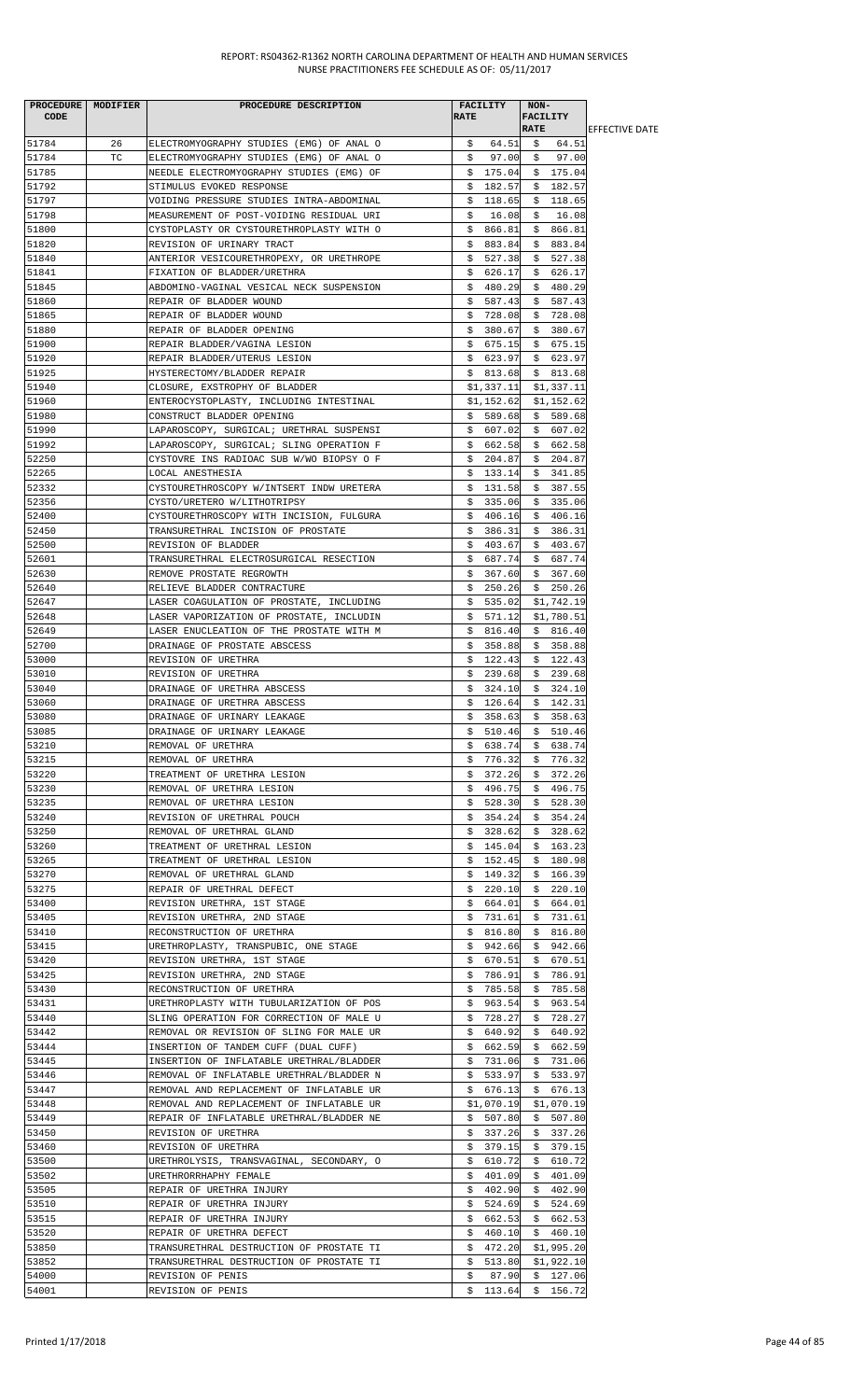| PROCEDURE   MODIFIER |    | PROCEDURE DESCRIPTION                                                                | <b>FACILITY</b>            | NON-                       |                        |
|----------------------|----|--------------------------------------------------------------------------------------|----------------------------|----------------------------|------------------------|
| CODE                 |    |                                                                                      | <b>RATE</b>                | <b>FACILITY</b>            |                        |
|                      |    |                                                                                      |                            | <b>RATE</b>                | <b>IEFFECTIVE DATE</b> |
| 51784                | 26 | ELECTROMYOGRAPHY STUDIES (EMG) OF ANAL O                                             | \$64.51                    | \$64.51                    |                        |
| 51784                | TC | ELECTROMYOGRAPHY STUDIES (EMG) OF ANAL O                                             | \$                         | 97.00 \$97.00              |                        |
| 51785                |    | NEEDLE ELECTROMYOGRAPHY STUDIES (EMG) OF                                             | \$175.04                   | \$175.04                   |                        |
| 51792<br>51797       |    | STIMULUS EVOKED RESPONSE                                                             | \$182.57                   | \$182.57                   |                        |
| 51798                |    | VOIDING PRESSURE STUDIES INTRA-ABDOMINAL<br>MEASUREMENT OF POST-VOIDING RESIDUAL URI | \$118.65<br>\$<br>16.08    | \$118.65<br>\$<br>16.08    |                        |
| 51800                |    | CYSTOPLASTY OR CYSTOURETHROPLASTY WITH O                                             | \$866.81                   | \$866.81                   |                        |
| 51820                |    | REVISION OF URINARY TRACT                                                            | \$883.84                   | \$883.84                   |                        |
| 51840                |    | ANTERIOR VESICOURETHROPEXY, OR URETHROPE                                             | \$<br>527.38               | \$<br>527.38               |                        |
| 51841                |    | FIXATION OF BLADDER/URETHRA                                                          | \$626.17                   | \$<br>626.17               |                        |
| 51845                |    | ABDOMINO-VAGINAL VESICAL NECK SUSPENSION                                             | \$480.29                   | \$480.29                   |                        |
| 51860                |    | REPAIR OF BLADDER WOUND                                                              | \$587.43                   | \$587.43                   |                        |
| 51865                |    | REPAIR OF BLADDER WOUND                                                              | 728.08<br>Ş.               | \$728.08                   |                        |
| 51880                |    | REPAIR OF BLADDER OPENING                                                            | \$380.67                   | \$380.67                   |                        |
| 51900                |    | REPAIR BLADDER/VAGINA LESION                                                         | \$675.15                   | \$675.15                   |                        |
| 51920                |    | REPAIR BLADDER/UTERUS LESION                                                         | \$623.97                   | \$623.97                   |                        |
| 51925                |    | HYSTERECTOMY/BLADDER REPAIR                                                          | \$813.68                   | \$813.68                   |                        |
| 51940                |    | CLOSURE, EXSTROPHY OF BLADDER                                                        | \$1,337.11                 | \$1,337.11                 |                        |
| 51960                |    | ENTEROCYSTOPLASTY, INCLUDING INTESTINAL                                              | \$1,152.62                 | \$1,152.62                 |                        |
| 51980                |    | CONSTRUCT BLADDER OPENING                                                            | \$589.68                   | \$589.68                   |                        |
| 51990                |    | LAPAROSCOPY, SURGICAL; URETHRAL SUSPENSI                                             | \$607.02                   | \$607.02                   |                        |
| 51992                |    | LAPAROSCOPY, SURGICAL; SLING OPERATION F                                             | \$662.58                   | \$662.58                   |                        |
| 52250                |    | CYSTOVRE INS RADIOAC SUB W/WO BIOPSY O F                                             | \$204.87                   | \$204.87                   |                        |
| 52265                |    | LOCAL ANESTHESIA                                                                     | \$133.14                   | \$341.85                   |                        |
| 52332                |    | CYSTOURETHROSCOPY W/INTSERT INDW URETERA                                             | \$131.58                   | \$387.55                   |                        |
| 52356                |    | CYSTO/URETERO W/LITHOTRIPSY                                                          | \$335.06                   | \$335.06                   |                        |
| 52400                |    | CYSTOURETHROSCOPY WITH INCISION, FULGURA                                             | \$406.16                   | \$406.16                   |                        |
| 52450<br>52500       |    | TRANSURETHRAL INCISION OF PROSTATE<br>REVISION OF BLADDER                            | \$386.31<br>\$403.67       | \$386.31<br>\$403.67       |                        |
| 52601                |    | TRANSURETHRAL ELECTROSURGICAL RESECTION                                              |                            | $$687.74$$ \$687.74        |                        |
| 52630                |    | REMOVE PROSTATE REGROWTH                                                             |                            | $$367.60 \$367.60$         |                        |
| 52640                |    | RELIEVE BLADDER CONTRACTURE                                                          | 250.26<br>Ş.               | \$250.26                   |                        |
| 52647                |    | LASER COAGULATION OF PROSTATE, INCLUDING                                             | \$535.02                   | \$1,742.19                 |                        |
| 52648                |    | LASER VAPORIZATION OF PROSTATE, INCLUDIN                                             | \$571.12                   | \$1,780.51                 |                        |
| 52649                |    | LASER ENUCLEATION OF THE PROSTATE WITH M                                             | \$816.40                   | \$816.40                   |                        |
| 52700                |    | DRAINAGE OF PROSTATE ABSCESS                                                         | \$358.88                   | \$358.88                   |                        |
| 53000                |    | REVISION OF URETHRA                                                                  | \$122.43                   | \$122.43                   |                        |
| 53010                |    | REVISION OF URETHRA                                                                  | \$239.68                   | \$239.68                   |                        |
| 53040                |    | DRAINAGE OF URETHRA ABSCESS                                                          |                            | $$324.10 \t$324.10$        |                        |
| 53060                |    | DRAINAGE OF URETHRA ABSCESS                                                          |                            | $$126.64$ $$142.31$        |                        |
| 53080                |    | DRAINAGE OF URINARY LEAKAGE                                                          | 358.63<br>\$               | \$<br>358.63               |                        |
| 53085                |    | DRAINAGE OF URINARY LEAKAGE                                                          | \$510.46                   | 510.46<br>Ş.               |                        |
| 53210                |    | REMOVAL OF URETHRA                                                                   | \$638.74                   | \$638.74                   |                        |
| 53215                |    | REMOVAL OF URETHRA                                                                   | \$776.32                   | \$776.32                   |                        |
| 53220                |    | TREATMENT OF URETHRA LESION                                                          | 372.26<br>Ş.               | 372.26<br>Ş.               |                        |
| 53230                |    | REMOVAL OF URETHRA LESION                                                            | 496.75<br>S.               | \$<br>496.75               |                        |
| 53235                |    | REMOVAL OF URETHRA LESION                                                            | \$528.30                   | \$528.30                   |                        |
| 53240                |    | REVISION OF URETHRAL POUCH                                                           | \$.<br>354.24              | \$354.24                   |                        |
| 53250<br>53260       |    | REMOVAL OF URETHRAL GLAND                                                            | 328.62<br>Ş.<br>145.04     | \$<br>328.62<br>163.23     |                        |
| 53265                |    | TREATMENT OF URETHRAL LESION<br>TREATMENT OF URETHRAL LESION                         | Ş.<br>\$<br>152.45         | Ş.<br>\$180.98             |                        |
| 53270                |    | REMOVAL OF URETHRAL GLAND                                                            | \$149.32                   | \$166.39                   |                        |
| 53275                |    | REPAIR OF URETHRAL DEFECT                                                            | 220.10<br>S.               | \$220.10                   |                        |
| 53400                |    | REVISION URETHRA, 1ST STAGE                                                          | \$664.01                   | \$664.01                   |                        |
| 53405                |    | REVISION URETHRA, 2ND STAGE                                                          | 731.61<br>Ş.               | 731.61<br>Ş.               |                        |
| 53410                |    | RECONSTRUCTION OF URETHRA                                                            | \$816.80                   | \$816.80                   |                        |
| 53415                |    | URETHROPLASTY, TRANSPUBIC, ONE STAGE                                                 | 942.66<br>Ş.               | 942.66<br>Ş.               |                        |
| 53420                |    | REVISION URETHRA, 1ST STAGE                                                          | \$670.51                   | 670.51<br>\$               |                        |
| 53425                |    | REVISION URETHRA, 2ND STAGE                                                          | \$<br>786.91               | 786.91<br>Ş.               |                        |
| 53430                |    | RECONSTRUCTION OF URETHRA                                                            | \$785.58                   | 785.58<br>Ş.               |                        |
| 53431                |    | URETHROPLASTY WITH TUBULARIZATION OF POS                                             | \$963.54                   | \$963.54                   |                        |
| 53440                |    | SLING OPERATION FOR CORRECTION OF MALE U                                             | \$728.27                   | \$728.27                   |                        |
| 53442                |    | REMOVAL OR REVISION OF SLING FOR MALE UR                                             | \$640.92                   | \$640.92                   |                        |
| 53444                |    | INSERTION OF TANDEM CUFF (DUAL CUFF)                                                 | \$662.59                   | \$662.59                   |                        |
| 53445                |    | INSERTION OF INFLATABLE URETHRAL/BLADDER                                             | \$731.06                   | \$731.06                   |                        |
| 53446                |    | REMOVAL OF INFLATABLE URETHRAL/BLADDER N                                             | \$<br>533.97               | \$<br>533.97               |                        |
| 53447<br>53448       |    | REMOVAL AND REPLACEMENT OF INFLATABLE UR                                             | 676.13<br>Ş.<br>\$1,070.19 | 676.13<br>Ş.<br>\$1,070.19 |                        |
| 53449                |    | REMOVAL AND REPLACEMENT OF INFLATABLE UR<br>REPAIR OF INFLATABLE URETHRAL/BLADDER NE | \$<br>507.80               | \$<br>507.80               |                        |
| 53450                |    | REVISION OF URETHRA                                                                  | \$337.26                   | \$337.26                   |                        |
| 53460                |    | REVISION OF URETHRA                                                                  | 379.15<br>S.               | 379.15<br>S.               |                        |
| 53500                |    | URETHROLYSIS, TRANSVAGINAL, SECONDARY, O                                             | 610.72<br>\$               | \$.<br>610.72              |                        |
| 53502                |    | URETHRORRHAPHY FEMALE                                                                | 401.09<br>\$               | 401.09<br>\$               |                        |
| 53505                |    | REPAIR OF URETHRA INJURY                                                             | 402.90<br>Ş.               | 402.90<br>Ş.               |                        |
| 53510                |    | REPAIR OF URETHRA INJURY                                                             | 524.69<br>Ş.               | 524.69<br>Ş.               |                        |
| 53515                |    | REPAIR OF URETHRA INJURY                                                             | \$<br>662.53               | \$<br>662.53               |                        |
| 53520                |    | REPAIR OF URETHRA DEFECT                                                             | 460.10<br>Ş.               | 460.10<br>Ş.               |                        |
| 53850                |    | TRANSURETHRAL DESTRUCTION OF PROSTATE TI                                             | S.<br>472.20               | \$1,995.20                 |                        |
| 53852                |    | TRANSURETHRAL DESTRUCTION OF PROSTATE TI                                             | \$513.80                   | \$1,922.10                 |                        |
| 54000                |    | REVISION OF PENIS                                                                    | \$<br>87.90                | \$127.06                   |                        |
| 54001                |    | REVISION OF PENIS                                                                    |                            | $$113.64$ $$156.72$        |                        |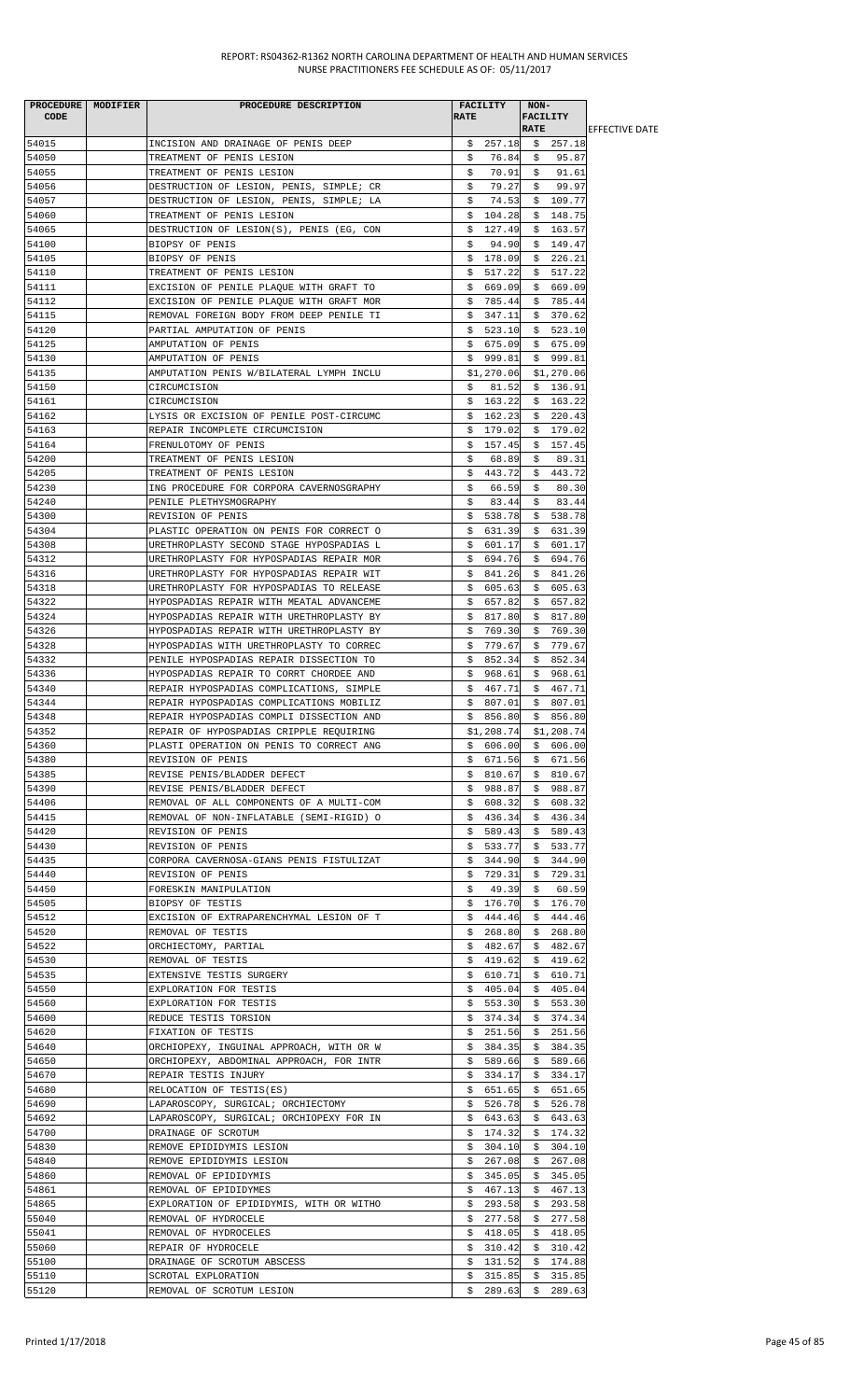| PROCEDURE MODIFIER | PROCEDURE DESCRIPTION                    | <b>FACILITY</b> | NON-                    |                        |
|--------------------|------------------------------------------|-----------------|-------------------------|------------------------|
| <b>CODE</b>        |                                          | <b>RATE</b>     | FACILITY                |                        |
|                    |                                          |                 | <b>RATE</b>             | <b>LEFFECTIVE DATE</b> |
| 54015              | INCISION AND DRAINAGE OF PENIS DEEP      |                 | \$257.18\$3257.18       |                        |
| 54050              | TREATMENT OF PENIS LESION                | \$<br>76.84     | 95.87<br>Ş.             |                        |
| 54055              | TREATMENT OF PENIS LESION                | 70.91<br>\$     | 91.61<br>\$             |                        |
| 54056              | DESTRUCTION OF LESION, PENIS, SIMPLE; CR | 79.27<br>\$     | \$<br>99.97             |                        |
| 54057              | DESTRUCTION OF LESION, PENIS, SIMPLE; LA | 74.53<br>Ş.     | \$109.77                |                        |
| 54060              |                                          |                 | \$148.75                |                        |
|                    | TREATMENT OF PENIS LESION                | \$104.28        |                         |                        |
| 54065              | DESTRUCTION OF LESION(S), PENIS (EG, CON | \$127.49        | \$163.57                |                        |
| 54100              | BIOPSY OF PENIS                          | 94.90<br>\$     | \$149.47                |                        |
| 54105              | BIOPSY OF PENIS                          | \$178.09        | \$226.21                |                        |
| 54110              | TREATMENT OF PENIS LESION                | 517.22<br>Ş.    | \$517.22                |                        |
| 54111              | EXCISION OF PENILE PLAQUE WITH GRAFT TO  | \$669.09        | \$669.09                |                        |
| 54112              | EXCISION OF PENILE PLAQUE WITH GRAFT MOR | \$785.44        | \$785.44                |                        |
| 54115              | REMOVAL FOREIGN BODY FROM DEEP PENILE TI | \$347.11        | \$370.62                |                        |
| 54120              | PARTIAL AMPUTATION OF PENIS              | \$523.10        | \$523.10                |                        |
| 54125              |                                          |                 |                         |                        |
|                    | AMPUTATION OF PENIS                      | \$675.09        | \$675.09                |                        |
| 54130              | AMPUTATION OF PENIS                      | \$999.81        | \$999.81                |                        |
| 54135              | AMPUTATION PENIS W/BILATERAL LYMPH INCLU | \$1,270.06      | \$1,270.06              |                        |
| 54150              | CIRCUMCISION                             | 81.52<br>\$     | \$136.91                |                        |
| 54161              | CIRCUMCISION                             | \$163.22        | \$163.22                |                        |
| 54162              | LYSIS OR EXCISION OF PENILE POST-CIRCUMC | \$162.23        | \$220.43                |                        |
| 54163              | REPAIR INCOMPLETE CIRCUMCISION           | \$179.02        | \$179.02                |                        |
| 54164              | FRENULOTOMY OF PENIS                     | \$157.45        | \$157.45                |                        |
| 54200              | TREATMENT OF PENIS LESION                | \$<br>68.89     | \$<br>89.31             |                        |
|                    |                                          |                 | \$443.72                |                        |
| 54205              | TREATMENT OF PENIS LESION                | \$443.72        |                         |                        |
| 54230              | ING PROCEDURE FOR CORPORA CAVERNOSGRAPHY | \$<br>66.59     | \$<br>80.30             |                        |
| 54240              | PENILE PLETHYSMOGRAPHY                   | \$<br>83.44     | \$<br>83.44             |                        |
| 54300              | REVISION OF PENIS                        | \$.<br>538.78   | 538.78<br>\$.           |                        |
| 54304              | PLASTIC OPERATION ON PENIS FOR CORRECT O | \$631.39        | \$631.39                |                        |
| 54308              | URETHROPLASTY SECOND STAGE HYPOSPADIAS L | \$601.17        | \$<br>601.17            |                        |
| 54312              | URETHROPLASTY FOR HYPOSPADIAS REPAIR MOR | \$694.76        | \$694.76                |                        |
| 54316              | URETHROPLASTY FOR HYPOSPADIAS REPAIR WIT | \$841.26        | \$841.26                |                        |
| 54318              | URETHROPLASTY FOR HYPOSPADIAS TO RELEASE | \$605.63        | \$605.63                |                        |
|                    |                                          |                 |                         |                        |
| 54322              | HYPOSPADIAS REPAIR WITH MEATAL ADVANCEME | \$657.82        | \$657.82                |                        |
| 54324              | HYPOSPADIAS REPAIR WITH URETHROPLASTY BY | \$.<br>817.80   | \$<br>817.80            |                        |
| 54326              | HYPOSPADIAS REPAIR WITH URETHROPLASTY BY | \$769.30        | \$769.30                |                        |
| 54328              | HYPOSPADIAS WITH URETHROPLASTY TO CORREC | \$779.67        | 779.67<br>\$            |                        |
| 54332              | PENILE HYPOSPADIAS REPAIR DISSECTION TO  | 852.34<br>Ş.    | \$852.34                |                        |
| 54336              | HYPOSPADIAS REPAIR TO CORRT CHORDEE AND  | \$968.61        | \$968.61                |                        |
| 54340              | REPAIR HYPOSPADIAS COMPLICATIONS, SIMPLE | \$467.71        | \$467.71                |                        |
| 54344              | REPAIR HYPOSPADIAS COMPLICATIONS MOBILIZ | \$807.01        | \$807.01                |                        |
| 54348              | REPAIR HYPOSPADIAS COMPLI DISSECTION AND | \$<br>856.80    | \$856.80                |                        |
|                    |                                          |                 |                         |                        |
| 54352              | REPAIR OF HYPOSPADIAS CRIPPLE REQUIRING  |                 | $$1,208.74$ $$1,208.74$ |                        |
| 54360              | PLASTI OPERATION ON PENIS TO CORRECT ANG | \$606.00        | \$606.00                |                        |
| 54380              | REVISION OF PENIS                        |                 | $$671.56$ $$671.56$     |                        |
| 54385              | REVISE PENIS/BLADDER DEFECT              | \$810.67        | \$810.67                |                        |
| 54390              | REVISE PENIS/BLADDER DEFECT              | \$988.87        | \$988.87                |                        |
| 54406              | REMOVAL OF ALL COMPONENTS OF A MULTI-COM | \$608.32        | 608.32<br>Ş.            |                        |
| 54415              | REMOVAL OF NON-INFLATABLE (SEMI-RIGID) O | \$436.34        | \$436.34                |                        |
| 54420              | REVISION OF PENIS                        | \$589.43        | \$589.43                |                        |
| 54430              | REVISION OF PENIS                        | \$533.77        | \$533.77                |                        |
| 54435              | CORPORA CAVERNOSA-GIANS PENIS FISTULIZAT | 344.90<br>\$    | \$344.90                |                        |
|                    |                                          |                 |                         |                        |
| 54440              | REVISION OF PENIS                        | \$729.31        | 729.31<br>Ş.            |                        |
| 54450              | FORESKIN MANIPULATION                    | 49.39<br>\$     | 60.59<br>\$             |                        |
| 54505              | BIOPSY OF TESTIS                         | \$176.70        | \$176.70                |                        |
| 54512              | EXCISION OF EXTRAPARENCHYMAL LESION OF T | 444.46<br>Ş.    | \$444.46                |                        |
| 54520              | REMOVAL OF TESTIS                        | \$268.80        | \$268.80                |                        |
| 54522              | ORCHIECTOMY, PARTIAL                     |                 | $$482.67$ \$482.67      |                        |
| 54530              | REMOVAL OF TESTIS                        | \$419.62        | \$419.62                |                        |
| 54535              | EXTENSIVE TESTIS SURGERY                 | \$610.71        | 610.71<br>Ş.            |                        |
| 54550              | EXPLORATION FOR TESTIS                   | \$405.04        | \$405.04                |                        |
| 54560              | EXPLORATION FOR TESTIS                   | \$553.30        | \$553.30                |                        |
|                    |                                          |                 |                         |                        |
| 54600              | REDUCE TESTIS TORSION                    | \$374.34        | \$374.34                |                        |
| 54620              | FIXATION OF TESTIS                       | \$251.56        | \$251.56                |                        |
| 54640              | ORCHIOPEXY, INGUINAL APPROACH, WITH OR W | \$384.35        | \$384.35                |                        |
| 54650              | ORCHIOPEXY, ABDOMINAL APPROACH, FOR INTR | \$589.66        | \$589.66                |                        |
| 54670              | REPAIR TESTIS INJURY                     |                 | $$334.17$$ $$334.17$    |                        |
| 54680              | RELOCATION OF TESTIS(ES)                 | \$651.65        | \$651.65                |                        |
| 54690              | LAPAROSCOPY, SURGICAL; ORCHIECTOMY       | \$526.78        | \$526.78                |                        |
| 54692              | LAPAROSCOPY, SURGICAL; ORCHIOPEXY FOR IN | \$.<br>643.63   | 643.63<br>\$            |                        |
| 54700              | DRAINAGE OF SCROTUM                      | \$174.32        | \$174.32                |                        |
|                    |                                          |                 |                         |                        |
| 54830              | REMOVE EPIDIDYMIS LESION                 | \$304.10        | \$304.10                |                        |
| 54840              | REMOVE EPIDIDYMIS LESION                 | 267.08<br>Ş.    | \$267.08                |                        |
| 54860              | REMOVAL OF EPIDIDYMIS                    | \$345.05        | \$345.05                |                        |
| 54861              | REMOVAL OF EPIDIDYMES                    | \$467.13        | \$467.13                |                        |
| 54865              | EXPLORATION OF EPIDIDYMIS, WITH OR WITHO | \$293.58        | \$293.58                |                        |
| 55040              | REMOVAL OF HYDROCELE                     | 277.58<br>\$    | 277.58<br>\$            |                        |
| 55041              | REMOVAL OF HYDROCELES                    | 418.05<br>Ş.    | 418.05<br>Ş.            |                        |
| 55060              | REPAIR OF HYDROCELE                      | \$310.42        | \$310.42                |                        |
| 55100              | DRAINAGE OF SCROTUM ABSCESS              | \$131.52        | \$174.88                |                        |
|                    |                                          |                 |                         |                        |
| 55110              | SCROTAL EXPLORATION                      | \$315.85        | \$315.85                |                        |
| 55120              | REMOVAL OF SCROTUM LESION                |                 | $$289.63$$ \$ 289.63    |                        |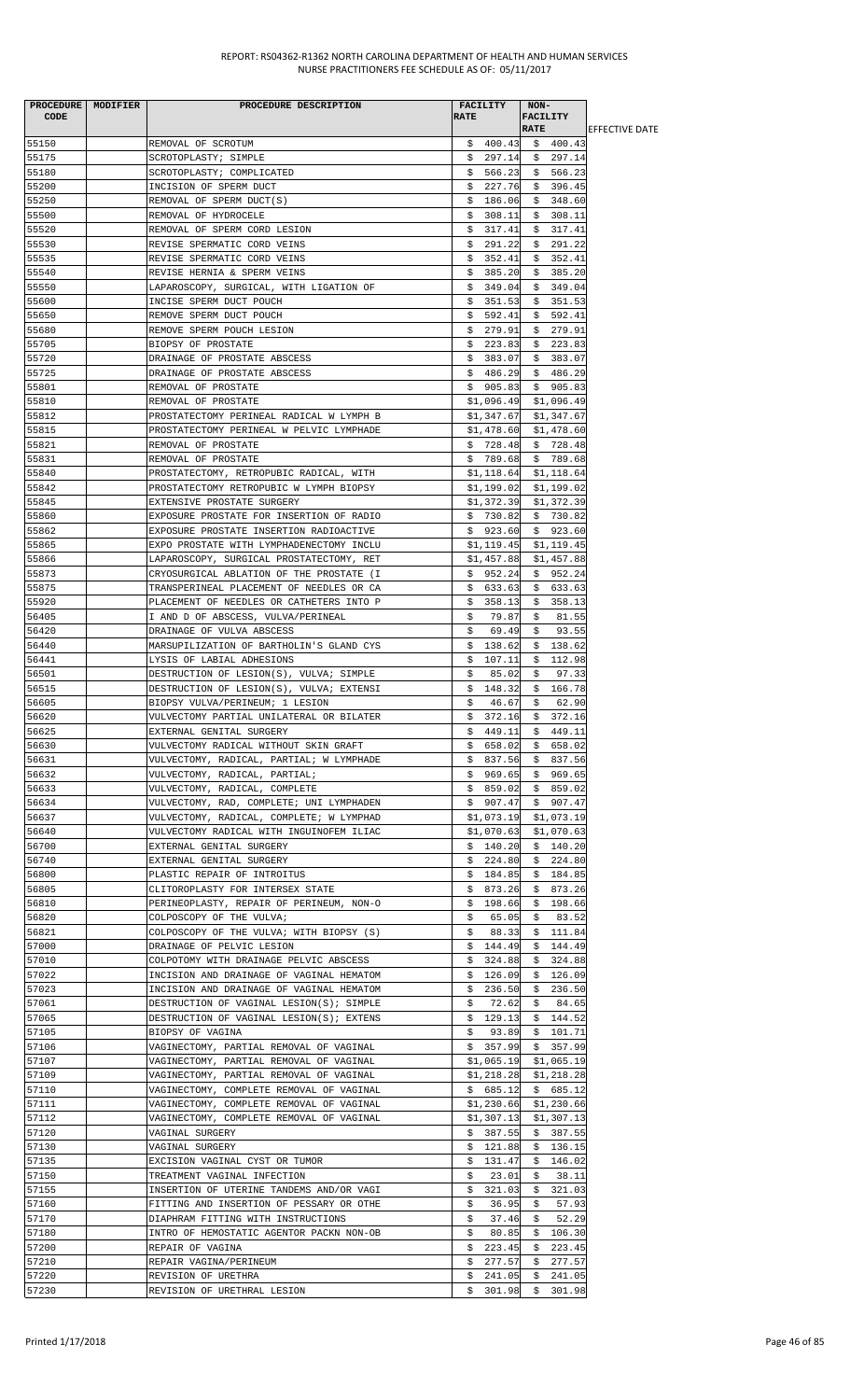| PROCEDURE MODIFIER<br><b>CODE</b> | PROCEDURE DESCRIPTION                                                                | <b>FACILITY</b><br><b>RATE</b> | NON-<br>FACILITY       |                        |
|-----------------------------------|--------------------------------------------------------------------------------------|--------------------------------|------------------------|------------------------|
|                                   |                                                                                      |                                | <b>RATE</b>            | <b>IEFFECTIVE DATE</b> |
| 55150                             | REMOVAL OF SCROTUM                                                                   | \$400.43                       | \$400.43               |                        |
| 55175                             | SCROTOPLASTY; SIMPLE                                                                 | \$297.14                       | \$297.14               |                        |
| 55180                             | SCROTOPLASTY; COMPLICATED                                                            | \$566.23                       | \$566.23               |                        |
| 55200                             | INCISION OF SPERM DUCT                                                               |                                | $$227.76$$ \$ 396.45   |                        |
| 55250                             | REMOVAL OF SPERM DUCT(S)                                                             | \$186.06                       | \$348.60               |                        |
| 55500                             | REMOVAL OF HYDROCELE                                                                 | \$308.11                       | \$308.11               |                        |
| 55520                             | REMOVAL OF SPERM CORD LESION                                                         | \$317.41                       | \$317.41               |                        |
| 55530                             | REVISE SPERMATIC CORD VEINS                                                          | \$291.22                       | \$291.22               |                        |
| 55535                             | REVISE SPERMATIC CORD VEINS                                                          | \$<br>352.41                   | \$352.41               |                        |
| 55540<br>55550                    | REVISE HERNIA & SPERM VEINS                                                          | 385.20<br>Ş.<br>\$349.04       | \$385.20<br>\$349.04   |                        |
| 55600                             | LAPAROSCOPY, SURGICAL, WITH LIGATION OF<br>INCISE SPERM DUCT POUCH                   | \$351.53                       | \$351.53               |                        |
| 55650                             | REMOVE SPERM DUCT POUCH                                                              | \$592.41                       | \$592.41               |                        |
| 55680                             | REMOVE SPERM POUCH LESION                                                            | \$279.91                       | \$279.91               |                        |
| 55705                             | BIOPSY OF PROSTATE                                                                   | \$223.83                       | \$223.83               |                        |
| 55720                             | DRAINAGE OF PROSTATE ABSCESS                                                         | \$383.07                       | \$383.07               |                        |
| 55725                             | DRAINAGE OF PROSTATE ABSCESS                                                         | \$486.29                       | \$486.29               |                        |
| 55801                             | REMOVAL OF PROSTATE                                                                  | \$905.83                       | \$905.83               |                        |
| 55810                             | REMOVAL OF PROSTATE                                                                  | \$1,096.49                     | \$1,096.49             |                        |
| 55812                             | PROSTATECTOMY PERINEAL RADICAL W LYMPH B                                             | \$1,347.67                     | \$1,347.67             |                        |
| 55815                             | PROSTATECTOMY PERINEAL W PELVIC LYMPHADE                                             | \$1,478.60                     | \$1,478.60             |                        |
| 55821                             | REMOVAL OF PROSTATE                                                                  | \$728.48                       | \$728.48               |                        |
| 55831                             | REMOVAL OF PROSTATE                                                                  | \$789.68                       | \$789.68               |                        |
| 55840                             | PROSTATECTOMY, RETROPUBIC RADICAL, WITH                                              | \$1,118.64                     | \$1,118.64             |                        |
| 55842                             | PROSTATECTOMY RETROPUBIC W LYMPH BIOPSY                                              | \$1,199.02                     | \$1,199.02             |                        |
| 55845                             | EXTENSIVE PROSTATE SURGERY                                                           | \$1,372.39                     | \$1,372.39             |                        |
| 55860                             | EXPOSURE PROSTATE FOR INSERTION OF RADIO                                             | \$730.82                       | \$730.82               |                        |
| 55862                             | EXPOSURE PROSTATE INSERTION RADIOACTIVE                                              | \$923.60                       | \$923.60               |                        |
| 55865                             | EXPO PROSTATE WITH LYMPHADENECTOMY INCLU                                             | \$1,119.45                     | \$1,119.45             |                        |
| 55866                             | LAPAROSCOPY, SURGICAL PROSTATECTOMY, RET                                             | \$1,457.88                     | \$1,457.88             |                        |
| 55873                             | CRYOSURGICAL ABLATION OF THE PROSTATE (I                                             | \$952.24                       | \$952.24               |                        |
| 55875                             | TRANSPERINEAL PLACEMENT OF NEEDLES OR CA                                             | \$633.63                       | \$633.63               |                        |
| 55920                             | PLACEMENT OF NEEDLES OR CATHETERS INTO P                                             | \$358.13                       | \$358.13               |                        |
| 56405                             | I AND D OF ABSCESS, VULVA/PERINEAL                                                   | \$<br>79.87                    | \$<br>81.55            |                        |
| 56420                             | DRAINAGE OF VULVA ABSCESS                                                            | \$<br>69.49                    | 93.55<br>\$            |                        |
| 56440                             | MARSUPILIZATION OF BARTHOLIN'S GLAND CYS                                             | \$<br>138.62                   | \$138.62               |                        |
| 56441                             | LYSIS OF LABIAL ADHESIONS                                                            | \$107.11                       | \$112.98               |                        |
| 56501                             | DESTRUCTION OF LESION(S), VULVA; SIMPLE                                              | 85.02<br>S.                    | \$<br>97.33            |                        |
| 56515                             | DESTRUCTION OF LESION(S), VULVA; EXTENSI                                             | \$148.32                       | \$166.78               |                        |
| 56605                             | BIOPSY VULVA/PERINEUM; 1 LESION                                                      | \$<br>46.67                    | \$<br>62.90            |                        |
| 56620                             | VULVECTOMY PARTIAL UNILATERAL OR BILATER                                             | \$372.16                       | \$372.16               |                        |
| 56625                             | EXTERNAL GENITAL SURGERY                                                             | \$449.11                       | \$449.11               |                        |
| 56630                             | VULVECTOMY RADICAL WITHOUT SKIN GRAFT                                                | \$658.02                       | \$658.02               |                        |
| 56631                             | VULVECTOMY, RADICAL, PARTIAL; W LYMPHADE                                             | \$837.56                       | \$837.56               |                        |
| 56632                             | VULVECTOMY, RADICAL, PARTIAL;                                                        | \$969.65                       | \$969.65               |                        |
| 56633                             | VULVECTOMY, RADICAL, COMPLETE                                                        | \$859.02<br>\$907.47           | \$859.02               |                        |
| 56634<br>56637                    | VULVECTOMY, RAD, COMPLETE; UNI LYMPHADEN<br>VULVECTOMY, RADICAL, COMPLETE; W LYMPHAD | \$1,073.19                     | \$907.47<br>\$1,073.19 |                        |
| 56640                             | VULVECTOMY RADICAL WITH INGUINOFEM ILIAC                                             | \$1,070.63                     | \$1,070.63             |                        |
| 56700                             | EXTERNAL GENITAL SURGERY                                                             | \$140.20                       | \$140.20               |                        |
| 56740                             | EXTERNAL GENITAL SURGERY                                                             | 224.80<br>\$                   | \$224.80               |                        |
| 56800                             | PLASTIC REPAIR OF INTROITUS                                                          | \$184.85                       | \$184.85               |                        |
| 56805                             | CLITOROPLASTY FOR INTERSEX STATE                                                     | \$873.26                       | \$873.26               |                        |
| 56810                             | PERINEOPLASTY, REPAIR OF PERINEUM, NON-O                                             | \$198.66                       | \$198.66               |                        |
| 56820                             | COLPOSCOPY OF THE VULVA;                                                             | 65.05<br>Ş.                    | 83.52<br>Ş.            |                        |
| 56821                             | COLPOSCOPY OF THE VULVA; WITH BIOPSY (S)                                             | \$<br>88.33                    | \$111.84               |                        |
| 57000                             | DRAINAGE OF PELVIC LESION                                                            | \$144.49                       | \$144.49               |                        |
| 57010                             | COLPOTOMY WITH DRAINAGE PELVIC ABSCESS                                               | 324.88<br>\$                   | \$324.88               |                        |
| 57022                             | INCISION AND DRAINAGE OF VAGINAL HEMATOM                                             | 126.09<br>Ş.                   | \$<br>126.09           |                        |
| 57023                             | INCISION AND DRAINAGE OF VAGINAL HEMATOM                                             | 236.50<br>Ş.                   | \$236.50               |                        |
| 57061                             | DESTRUCTION OF VAGINAL LESION(S); SIMPLE                                             | \$<br>72.62                    | \$84.65                |                        |
| 57065                             | DESTRUCTION OF VAGINAL LESION(S); EXTENS                                             | \$129.13                       | \$144.52               |                        |
| 57105                             | BIOPSY OF VAGINA                                                                     | 93.89<br>S.                    | \$101.71               |                        |
| 57106                             | VAGINECTOMY, PARTIAL REMOVAL OF VAGINAL                                              |                                | $$357.99$ \$ 357.99    |                        |
| 57107                             | VAGINECTOMY, PARTIAL REMOVAL OF VAGINAL                                              | \$1,065.19                     | \$1,065.19             |                        |
| 57109                             | VAGINECTOMY, PARTIAL REMOVAL OF VAGINAL                                              | \$1,218.28                     | \$1,218.28             |                        |
| 57110                             | VAGINECTOMY, COMPLETE REMOVAL OF VAGINAL                                             | \$685.12                       | \$685.12               |                        |
| 57111                             | VAGINECTOMY, COMPLETE REMOVAL OF VAGINAL                                             | \$1,230.66                     | \$1,230.66             |                        |
| 57112                             | VAGINECTOMY, COMPLETE REMOVAL OF VAGINAL                                             | \$1,307.13                     | \$1,307.13             |                        |
| 57120                             | VAGINAL SURGERY                                                                      | \$387.55                       | \$387.55               |                        |
| 57130                             | VAGINAL SURGERY                                                                      | \$121.88                       | \$136.15               |                        |
| 57135                             | EXCISION VAGINAL CYST OR TUMOR                                                       | 131.47<br>Ş.                   | 146.02<br>S.           |                        |
| 57150                             | TREATMENT VAGINAL INFECTION                                                          | \$<br>23.01                    | \$<br>38.11            |                        |
| 57155                             | INSERTION OF UTERINE TANDEMS AND/OR VAGI                                             | \$321.03                       | \$321.03               |                        |
| 57160                             | FITTING AND INSERTION OF PESSARY OR OTHE                                             | 36.95<br>\$                    | 57.93<br>\$            |                        |
| 57170                             | DIAPHRAM FITTING WITH INSTRUCTIONS                                                   | \$<br>37.46                    | \$<br>52.29            |                        |
| 57180<br>57200                    | INTRO OF HEMOSTATIC AGENTOR PACKN NON-OB                                             | \$<br>80.85<br>\$223.45        | 106.30<br>Ş.<br>223.45 |                        |
| 57210                             | REPAIR OF VAGINA<br>REPAIR VAGINA/PERINEUM                                           | \$<br>277.57                   | \$<br>\$<br>277.57     |                        |
| 57220                             | REVISION OF URETHRA                                                                  | 241.05<br>Ş.                   | \$241.05               |                        |
| 57230                             | REVISION OF URETHRAL LESION                                                          |                                | $$301.98 \t$301.98$    |                        |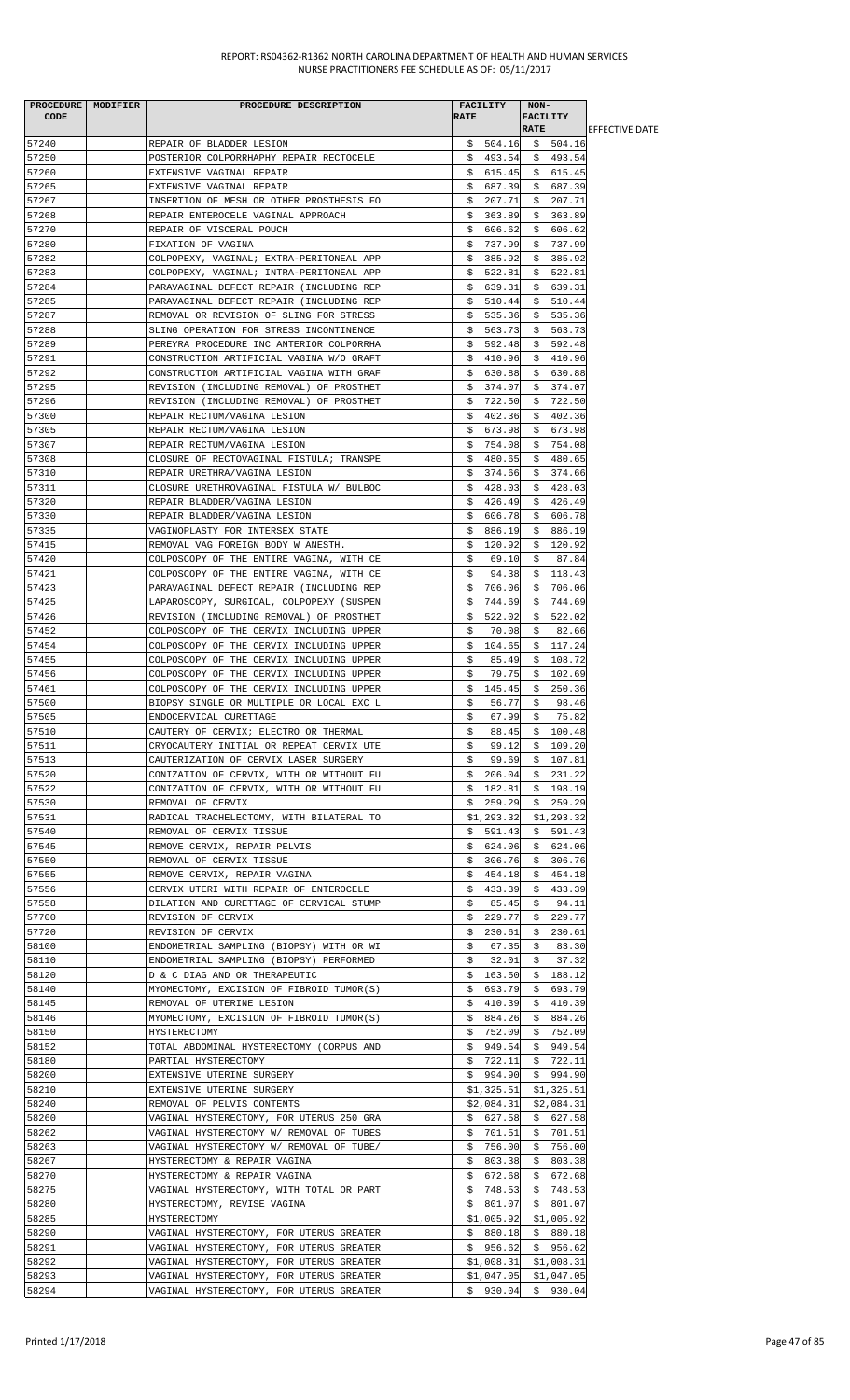| PROCEDURE MODIFIER<br><b>CODE</b> | PROCEDURE DESCRIPTION                                                                | <b>RATE</b> | <b>FACILITY</b>      | NON-        | <b>FACILITY</b>                  |                        |
|-----------------------------------|--------------------------------------------------------------------------------------|-------------|----------------------|-------------|----------------------------------|------------------------|
|                                   |                                                                                      |             |                      | <b>RATE</b> |                                  | <b>LEFFECTIVE DATE</b> |
| 57240                             | REPAIR OF BLADDER LESION                                                             |             |                      |             | $$504.16 \t$504.16$              |                        |
| 57250<br>57260                    | POSTERIOR COLPORRHAPHY REPAIR RECTOCELE<br>EXTENSIVE VAGINAL REPAIR                  |             | \$615.45             |             | $$493.54$ $$493.54$<br>\$615.45  |                        |
| 57265                             | EXTENSIVE VAGINAL REPAIR                                                             |             | \$687.39             | \$          | 687.39                           |                        |
| 57267                             | INSERTION OF MESH OR OTHER PROSTHESIS FO                                             | \$.         | 207.71               | \$          | 207.71                           |                        |
| 57268                             | REPAIR ENTEROCELE VAGINAL APPROACH                                                   | Ş.          | 363.89               |             | \$363.89                         |                        |
| 57270                             | REPAIR OF VISCERAL POUCH                                                             |             | \$606.62             |             | \$606.62                         |                        |
| 57280                             | FIXATION OF VAGINA                                                                   | S.          | 737.99               |             | \$737.99                         |                        |
| 57282                             | COLPOPEXY, VAGINAL; EXTRA-PERITONEAL APP                                             |             | \$385.92             |             | \$385.92                         |                        |
| 57283<br>57284                    | COLPOPEXY, VAGINAL; INTRA-PERITONEAL APP<br>PARAVAGINAL DEFECT REPAIR (INCLUDING REP |             | \$522.81<br>\$639.31 | \$          | \$522.81<br>639.31               |                        |
| 57285                             | PARAVAGINAL DEFECT REPAIR (INCLUDING REP                                             | \$          | 510.44               | \$          | 510.44                           |                        |
| 57287                             | REMOVAL OR REVISION OF SLING FOR STRESS                                              |             | \$535.36             | \$          | 535.36                           |                        |
| 57288                             | SLING OPERATION FOR STRESS INCONTINENCE                                              |             | \$563.73             |             | \$563.73                         |                        |
| 57289                             | PEREYRA PROCEDURE INC ANTERIOR COLPORRHA                                             |             | \$592.48             |             | \$592.48                         |                        |
| 57291                             | CONSTRUCTION ARTIFICIAL VAGINA W/O GRAFT                                             | Ş.          | 410.96               |             | \$410.96                         |                        |
| 57292<br>57295                    | CONSTRUCTION ARTIFICIAL VAGINA WITH GRAF                                             |             | \$630.88             |             | \$630.88                         |                        |
| 57296                             | REVISION (INCLUDING REMOVAL) OF PROSTHET<br>REVISION (INCLUDING REMOVAL) OF PROSTHET |             | \$374.07<br>\$722.50 |             | \$374.07<br>\$722.50             |                        |
| 57300                             | REPAIR RECTUM/VAGINA LESION                                                          |             | \$402.36             |             | \$402.36                         |                        |
| 57305                             | REPAIR RECTUM/VAGINA LESION                                                          |             | \$673.98             |             | \$673.98                         |                        |
| 57307                             | REPAIR RECTUM/VAGINA LESION                                                          |             | \$754.08             |             | \$754.08                         |                        |
| 57308                             | CLOSURE OF RECTOVAGINAL FISTULA; TRANSPE                                             | Ş.          | 480.65               |             | \$480.65                         |                        |
| 57310                             | REPAIR URETHRA/VAGINA LESION                                                         |             | \$374.66             |             | \$374.66                         |                        |
| 57311                             | CLOSURE URETHROVAGINAL FISTULA W/ BULBOC                                             |             | \$428.03             |             | \$428.03                         |                        |
| 57320<br>57330                    | REPAIR BLADDER/VAGINA LESION<br>REPAIR BLADDER/VAGINA LESION                         | \$.         | 426.49<br>\$606.78   |             | \$426.49<br>\$606.78             |                        |
| 57335                             | VAGINOPLASTY FOR INTERSEX STATE                                                      | Ş.          | 886.19               |             | \$886.19                         |                        |
| 57415                             | REMOVAL VAG FOREIGN BODY W ANESTH.                                                   | \$.         | 120.92               |             | \$120.92                         |                        |
| 57420                             | COLPOSCOPY OF THE ENTIRE VAGINA, WITH CE                                             | \$.         | 69.10                | \$          | 87.84                            |                        |
| 57421                             | COLPOSCOPY OF THE ENTIRE VAGINA, WITH CE                                             | \$          | 94.38                |             | \$118.43                         |                        |
| 57423                             | PARAVAGINAL DEFECT REPAIR (INCLUDING REP                                             | Ş.          | 706.06               |             | \$706.06                         |                        |
| 57425<br>57426                    | LAPAROSCOPY, SURGICAL, COLPOPEXY (SUSPEN                                             | S.          | 744.69               |             | \$744.69<br>\$522.02             |                        |
| 57452                             | REVISION (INCLUDING REMOVAL) OF PROSTHET<br>COLPOSCOPY OF THE CERVIX INCLUDING UPPER | Ş.          | \$522.02<br>70.08    | \$          | 82.66                            |                        |
| 57454                             | COLPOSCOPY OF THE CERVIX INCLUDING UPPER                                             | \$          | 104.65               |             | \$117.24                         |                        |
| 57455                             | COLPOSCOPY OF THE CERVIX INCLUDING UPPER                                             | \$          | 85.49                | \$          | 108.72                           |                        |
| 57456                             | COLPOSCOPY OF THE CERVIX INCLUDING UPPER                                             | \$          | 79.75                | \$          | 102.69                           |                        |
| 57461                             | COLPOSCOPY OF THE CERVIX INCLUDING UPPER                                             | \$          | 145.45               | \$          | 250.36                           |                        |
| 57500                             | BIOPSY SINGLE OR MULTIPLE OR LOCAL EXC L                                             | \$          | 56.77                | \$          | 98.46                            |                        |
| 57505                             | ENDOCERVICAL CURETTAGE<br>CAUTERY OF CERVIX; ELECTRO OR THERMAL                      | \$          | $67.99$ \$           |             | 75.82                            |                        |
| 57510<br>57511                    | CRYOCAUTERY INITIAL OR REPEAT CERVIX UTE                                             | Ş.<br>\$    | 88.45<br>99.12       |             | \$100.48<br>\$109.20             |                        |
| 57513                             | CAUTERIZATION OF CERVIX LASER SURGERY                                                | \$          |                      |             | 99.69 \$ 107.81                  |                        |
| 57520                             | CONIZATION OF CERVIX, WITH OR WITHOUT FU                                             |             | \$206.04             |             | \$231.22                         |                        |
| 57522                             | CONIZATION OF CERVIX, WITH OR WITHOUT FU                                             |             | \$182.81             |             | \$198.19                         |                        |
| 57530                             | REMOVAL OF CERVIX                                                                    |             | \$259.29             |             | \$259.29                         |                        |
| 57531                             | RADICAL TRACHELECTOMY, WITH BILATERAL TO                                             |             | \$1,293.32           |             | \$1,293.32                       |                        |
| 57540<br>57545                    | REMOVAL OF CERVIX TISSUE<br>REMOVE CERVIX, REPAIR PELVIS                             |             | \$591.43<br>\$624.06 |             | \$591.43<br>\$624.06             |                        |
| 57550                             | REMOVAL OF CERVIX TISSUE                                                             |             |                      |             | $$306.76$ \$ 306.76              |                        |
| 57555                             | REMOVE CERVIX, REPAIR VAGINA                                                         |             | \$454.18             |             | \$454.18                         |                        |
| 57556                             | CERVIX UTERI WITH REPAIR OF ENTEROCELE                                               | Ş.          | 433.39               | \$          | 433.39                           |                        |
| 57558                             | DILATION AND CURETTAGE OF CERVICAL STUMP                                             | \$          | 85.45                | \$          | 94.11                            |                        |
| 57700                             | REVISION OF CERVIX                                                                   |             | \$229.77             | \$          | 229.77                           |                        |
| 57720                             | REVISION OF CERVIX                                                                   | Ş.          | 230.61               |             | \$230.61                         |                        |
| 58100<br>58110                    | ENDOMETRIAL SAMPLING (BIOPSY) WITH OR WI<br>ENDOMETRIAL SAMPLING (BIOPSY) PERFORMED  | Ş.<br>\$    | 67.35<br>32.01       | Ş.<br>\$    | 83.30<br>37.32                   |                        |
| 58120                             | D & C DIAG AND OR THERAPEUTIC                                                        |             | \$163.50             |             | \$188.12                         |                        |
| 58140                             | MYOMECTOMY, EXCISION OF FIBROID TUMOR(S)                                             |             | \$693.79             |             | \$693.79                         |                        |
| 58145                             | REMOVAL OF UTERINE LESION                                                            |             | \$410.39             |             | \$410.39                         |                        |
| 58146                             | MYOMECTOMY, EXCISION OF FIBROID TUMOR(S)                                             | \$          | 884.26               |             | \$884.26                         |                        |
| 58150                             | HYSTERECTOMY                                                                         | Ş.          | 752.09               |             | \$752.09                         |                        |
| 58152                             | TOTAL ABDOMINAL HYSTERECTOMY (CORPUS AND                                             |             | \$949.54             |             | \$949.54                         |                        |
| 58180<br>58200                    | PARTIAL HYSTERECTOMY<br>EXTENSIVE UTERINE SURGERY                                    |             | \$994.90             |             | $$722.11$$ $$722.11$<br>\$994.90 |                        |
| 58210                             | EXTENSIVE UTERINE SURGERY                                                            |             | \$1,325.51           |             | \$1,325.51                       |                        |
| 58240                             | REMOVAL OF PELVIS CONTENTS                                                           |             | \$2,084.31           |             | \$2,084.31                       |                        |
| 58260                             | VAGINAL HYSTERECTOMY, FOR UTERUS 250 GRA                                             |             | \$627.58             |             | \$627.58                         |                        |
| 58262                             | VAGINAL HYSTERECTOMY W/ REMOVAL OF TUBES                                             |             | \$701.51             |             | \$701.51                         |                        |
| 58263                             | VAGINAL HYSTERECTOMY W/ REMOVAL OF TUBE/                                             |             | \$756.00             |             | \$756.00                         |                        |
| 58267                             | HYSTERECTOMY & REPAIR VAGINA                                                         |             | \$803.38             | \$          | 803.38                           |                        |
| 58270                             | HYSTERECTOMY & REPAIR VAGINA                                                         |             | \$672.68             | Ş.          | 672.68                           |                        |
| 58275<br>58280                    | VAGINAL HYSTERECTOMY, WITH TOTAL OR PART<br>HYSTERECTOMY, REVISE VAGINA              |             | \$748.53<br>\$801.07 |             | \$748.53<br>\$801.07             |                        |
| 58285                             | HYSTERECTOMY                                                                         |             |                      |             | $$1,005.92$ \$1,005.92           |                        |
| 58290                             | VAGINAL HYSTERECTOMY, FOR UTERUS GREATER                                             |             | \$880.18             |             | \$880.18                         |                        |
| 58291                             | VAGINAL HYSTERECTOMY, FOR UTERUS GREATER                                             |             | \$956.62             |             | \$956.62                         |                        |
| 58292                             | VAGINAL HYSTERECTOMY, FOR UTERUS GREATER                                             |             | \$1,008.31           |             | \$1,008.31                       |                        |
| 58293                             | VAGINAL HYSTERECTOMY, FOR UTERUS GREATER                                             |             | \$1,047.05           |             | \$1,047.05                       |                        |
| 58294                             | VAGINAL HYSTERECTOMY, FOR UTERUS GREATER                                             |             | \$930.04             |             | \$930.04                         |                        |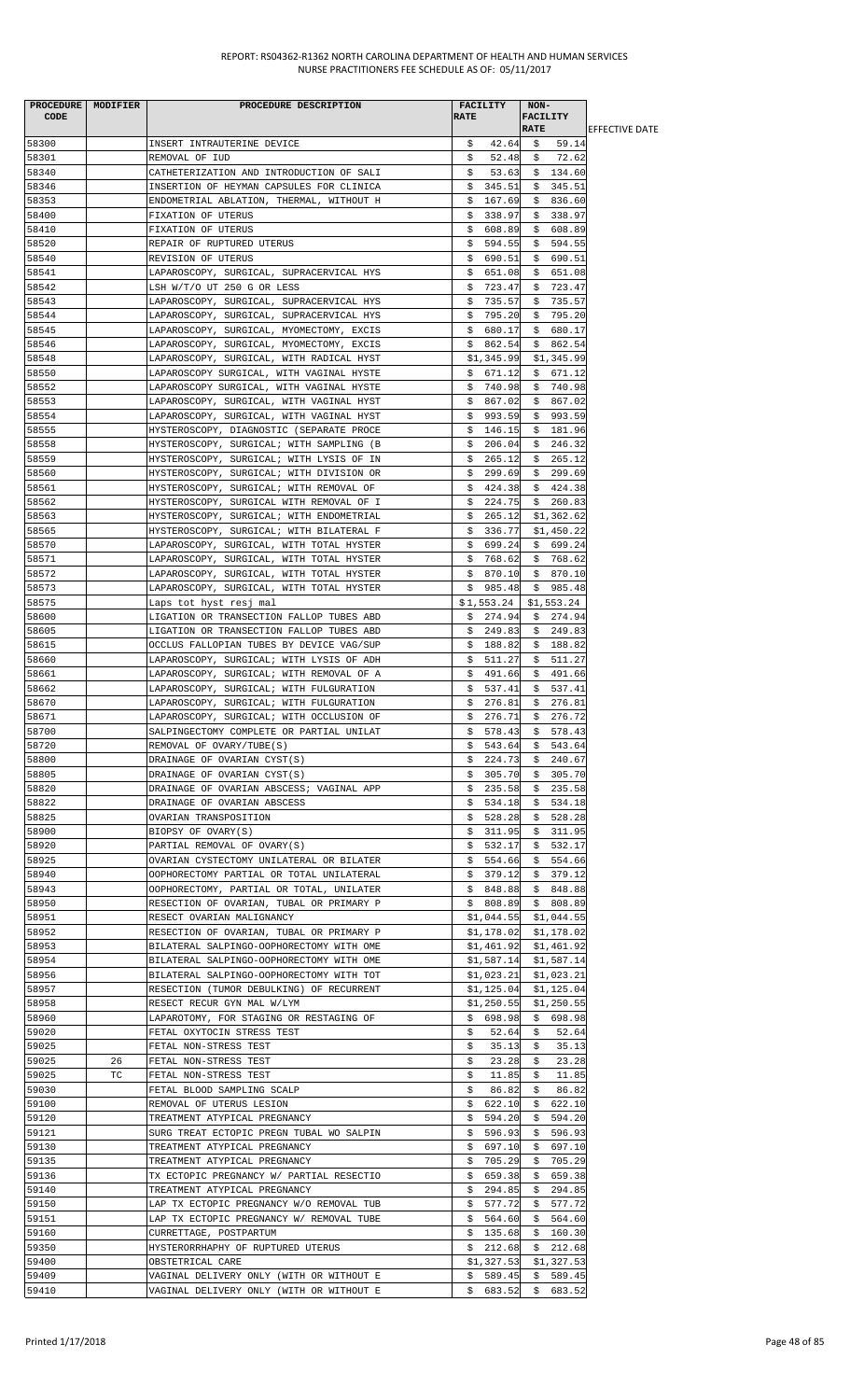| <b>CODE</b>    | PROCEDURE MODIFIER | PROCEDURE DESCRIPTION                                                                | <b>FACILITY</b><br><b>RATE</b> | NON-<br><b>FACILITY</b>     |                        |
|----------------|--------------------|--------------------------------------------------------------------------------------|--------------------------------|-----------------------------|------------------------|
|                |                    |                                                                                      |                                | <b>RATE</b>                 | <b>IEFFECTIVE DATE</b> |
| 58300          |                    | INSERT INTRAUTERINE DEVICE                                                           | \$<br>42.64                    | 59.14<br>\$                 |                        |
| 58301          |                    | REMOVAL OF IUD                                                                       | 52.48<br>\$                    | 72.62<br>\$                 |                        |
| 58340<br>58346 |                    | CATHETERIZATION AND INTRODUCTION OF SALI<br>INSERTION OF HEYMAN CAPSULES FOR CLINICA | \$<br>53.63<br>\$345.51        | \$134.60<br>\$345.51        |                        |
| 58353          |                    | ENDOMETRIAL ABLATION, THERMAL, WITHOUT H                                             | 167.69<br>S.                   | \$836.60                    |                        |
| 58400          |                    | FIXATION OF UTERUS                                                                   | \$338.97                       | \$338.97                    |                        |
| 58410          |                    | FIXATION OF UTERUS                                                                   | \$608.89                       | \$608.89                    |                        |
| 58520          |                    | REPAIR OF RUPTURED UTERUS                                                            | \$594.55                       | \$594.55                    |                        |
| 58540          |                    | REVISION OF UTERUS                                                                   | 690.51<br>Ş.                   | 690.51<br>S.                |                        |
| 58541          |                    | LAPAROSCOPY, SURGICAL, SUPRACERVICAL HYS                                             | \$<br>651.08                   | \$<br>651.08                |                        |
| 58542          |                    | LSH W/T/O UT 250 G OR LESS                                                           | \$<br>723.47                   | \$<br>723.47                |                        |
| 58543          |                    | LAPAROSCOPY, SURGICAL, SUPRACERVICAL HYS                                             | \$735.57                       | 735.57<br>S.                |                        |
| 58544<br>58545 |                    | LAPAROSCOPY, SURGICAL, SUPRACERVICAL HYS<br>LAPAROSCOPY, SURGICAL, MYOMECTOMY, EXCIS | 795.20<br>S.<br>\$680.17       | \$795.20<br>\$<br>680.17    |                        |
| 58546          |                    | LAPAROSCOPY, SURGICAL, MYOMECTOMY, EXCIS                                             | 862.54<br>Ş.                   | \$862.54                    |                        |
| 58548          |                    | LAPAROSCOPY, SURGICAL, WITH RADICAL HYST                                             | \$1,345.99                     | \$1,345.99                  |                        |
| 58550          |                    | LAPAROSCOPY SURGICAL, WITH VAGINAL HYSTE                                             | \$671.12                       | \$671.12                    |                        |
| 58552          |                    | LAPAROSCOPY SURGICAL, WITH VAGINAL HYSTE                                             | 740.98<br>\$                   | 740.98<br>\$                |                        |
| 58553          |                    | LAPAROSCOPY, SURGICAL, WITH VAGINAL HYST                                             | \$.<br>867.02                  | \$<br>867.02                |                        |
| 58554          |                    | LAPAROSCOPY, SURGICAL, WITH VAGINAL HYST                                             | \$993.59                       | \$993.59                    |                        |
| 58555          |                    | HYSTEROSCOPY, DIAGNOSTIC (SEPARATE PROCE                                             | \$146.15                       | \$181.96                    |                        |
| 58558          |                    | HYSTEROSCOPY, SURGICAL; WITH SAMPLING (B                                             | 206.04<br>Ş.                   | 246.32<br>Ş.                |                        |
| 58559          |                    | HYSTEROSCOPY, SURGICAL; WITH LYSIS OF IN                                             | \$265.12                       | \$265.12                    |                        |
| 58560<br>58561 |                    | HYSTEROSCOPY, SURGICAL; WITH DIVISION OR<br>HYSTEROSCOPY, SURGICAL; WITH REMOVAL OF  | \$299.69                       | \$299.69<br>\$424.38        |                        |
| 58562          |                    | HYSTEROSCOPY, SURGICAL WITH REMOVAL OF I                                             | \$<br>424.38<br>\$.<br>224.75  | \$260.83                    |                        |
| 58563          |                    | HYSTEROSCOPY, SURGICAL; WITH ENDOMETRIAL                                             | 265.12<br>Ş.                   | \$1,362.62                  |                        |
| 58565          |                    | HYSTEROSCOPY, SURGICAL; WITH BILATERAL F                                             | \$<br>336.77                   | \$1,450.22                  |                        |
| 58570          |                    | LAPAROSCOPY, SURGICAL, WITH TOTAL HYSTER                                             | \$699.24                       | \$699.24                    |                        |
| 58571          |                    | LAPAROSCOPY, SURGICAL, WITH TOTAL HYSTER                                             | \$768.62                       | \$768.62                    |                        |
| 58572          |                    | LAPAROSCOPY, SURGICAL, WITH TOTAL HYSTER                                             | \$870.10                       | \$870.10                    |                        |
| 58573          |                    | LAPAROSCOPY, SURGICAL, WITH TOTAL HYSTER                                             | \$985.48                       | \$985.48                    |                        |
| 58575          |                    | Laps tot hyst resj mal                                                               | \$1,553.24                     | \$1,553.24                  |                        |
| 58600          |                    | LIGATION OR TRANSECTION FALLOP TUBES ABD                                             | \$274.94                       | \$274.94                    |                        |
| 58605<br>58615 |                    | LIGATION OR TRANSECTION FALLOP TUBES ABD<br>OCCLUS FALLOPIAN TUBES BY DEVICE VAG/SUP | \$249.83<br>\$188.82           | \$249.83<br>\$<br>188.82    |                        |
| 58660          |                    | LAPAROSCOPY, SURGICAL; WITH LYSIS OF ADH                                             | 511.27<br>S.                   | 511.27<br>S.                |                        |
| 58661          |                    | LAPAROSCOPY, SURGICAL; WITH REMOVAL OF A                                             | 491.66<br>S.                   | 491.66<br>S.                |                        |
| 58662          |                    | LAPAROSCOPY, SURGICAL; WITH FULGURATION                                              | 537.41<br>S.                   | 537.41<br>Ş.                |                        |
| 58670          |                    | LAPAROSCOPY, SURGICAL; WITH FULGURATION                                              | 276.81<br>\$                   | 276.81<br>\$                |                        |
| 58671          |                    | LAPAROSCOPY, SURGICAL; WITH OCCLUSION OF                                             | 276.71<br>\$                   | \$276.72                    |                        |
| 58700          |                    | SALPINGECTOMY COMPLETE OR PARTIAL UNILAT                                             | \$578.43                       | \$578.43                    |                        |
| 58720          |                    | REMOVAL OF OVARY/TUBE(S)                                                             | 543.64<br>\$.                  | 543.64<br>\$                |                        |
| 58800          |                    | DRAINAGE OF OVARIAN CYST(S)                                                          | \$224.73                       | \$240.67                    |                        |
| 58805          |                    | DRAINAGE OF OVARIAN CYST(S)                                                          | \$305.70                       | \$305.70                    |                        |
| 58820<br>58822 |                    | DRAINAGE OF OVARIAN ABSCESS; VAGINAL APP<br>DRAINAGE OF OVARIAN ABSCESS              | \$<br>235.58<br>534.18<br>Ş.   | \$235.58<br>\$534.18        |                        |
| 58825          |                    | OVARIAN TRANSPOSITION                                                                | 528.28<br>S.                   | \$528.28                    |                        |
| 58900          |                    | BIOPSY OF OVARY(S)                                                                   | \$311.95                       | \$311.95                    |                        |
| 58920          |                    | PARTIAL REMOVAL OF OVARY(S)                                                          | \$532.17                       | \$532.17                    |                        |
| 58925          |                    | OVARIAN CYSTECTOMY UNILATERAL OR BILATER                                             | \$554.66                       | \$554.66                    |                        |
| 58940          |                    | OOPHORECTOMY PARTIAL OR TOTAL UNILATERAL                                             | \$379.12                       | \$379.12                    |                        |
| 58943          |                    | OOPHORECTOMY, PARTIAL OR TOTAL, UNILATER                                             | \$848.88                       | \$848.88                    |                        |
| 58950          |                    | RESECTION OF OVARIAN, TUBAL OR PRIMARY P                                             | \$808.89                       | \$808.89                    |                        |
| 58951          |                    | RESECT OVARIAN MALIGNANCY                                                            | \$1,044.55                     | \$1,044.55                  |                        |
| 58952          |                    | RESECTION OF OVARIAN, TUBAL OR PRIMARY P                                             |                                | $$1,178.02$ $$1,178.02$     |                        |
| 58953<br>58954 |                    | BILATERAL SALPINGO-OOPHORECTOMY WITH OME<br>BILATERAL SALPINGO-OOPHORECTOMY WITH OME | \$1,461.92<br>\$1,587.14       | \$1,461.92<br>\$1,587.14    |                        |
| 58956          |                    | BILATERAL SALPINGO-OOPHORECTOMY WITH TOT                                             | \$1,023.21                     | \$1,023.21                  |                        |
| 58957          |                    | RESECTION (TUMOR DEBULKING) OF RECURRENT                                             | \$1,125.04                     | \$1,125.04                  |                        |
| 58958          |                    | RESECT RECUR GYN MAL W/LYM                                                           | \$1,250.55                     | \$1,250.55                  |                        |
| 58960          |                    | LAPAROTOMY, FOR STAGING OR RESTAGING OF                                              | \$698.98                       | \$698.98                    |                        |
| 59020          |                    | FETAL OXYTOCIN STRESS TEST                                                           | 52.64<br>S.                    | 52.64<br>Ş.                 |                        |
| 59025          |                    | FETAL NON-STRESS TEST                                                                | \$<br>35.13                    | \$<br>35.13                 |                        |
| 59025          | 26                 | FETAL NON-STRESS TEST                                                                | \$<br>23.28                    | 23.28<br>\$                 |                        |
| 59025          | TC.                | FETAL NON-STRESS TEST                                                                | 11.85<br>S.                    | 11.85<br>S.                 |                        |
| 59030<br>59100 |                    | FETAL BLOOD SAMPLING SCALP<br>REMOVAL OF UTERUS LESION                               | \$<br>86.82<br>622.10<br>\$    | \$<br>86.82<br>\$<br>622.10 |                        |
| 59120          |                    | TREATMENT ATYPICAL PREGNANCY                                                         | 594.20<br>Ş.                   | 594.20<br>Ş.                |                        |
| 59121          |                    | SURG TREAT ECTOPIC PREGN TUBAL WO SALPIN                                             | 596.93<br>Ş.                   | 596.93<br>Ş.                |                        |
| 59130          |                    | TREATMENT ATYPICAL PREGNANCY                                                         | 697.10<br>\$                   | 697.10<br>\$                |                        |
| 59135          |                    | TREATMENT ATYPICAL PREGNANCY                                                         | 705.29<br>Ş.                   | 705.29<br>Ş.                |                        |
| 59136          |                    | TX ECTOPIC PREGNANCY W/ PARTIAL RESECTIO                                             | \$659.38                       | \$<br>659.38                |                        |
| 59140          |                    | TREATMENT ATYPICAL PREGNANCY                                                         | \$294.85                       | \$294.85                    |                        |
| 59150          |                    | LAP TX ECTOPIC PREGNANCY W/O REMOVAL TUB                                             | \$.<br>577.72                  | \$577.72                    |                        |
| 59151          |                    | LAP TX ECTOPIC PREGNANCY W/ REMOVAL TUBE                                             | 564.60<br>Ş.                   | \$564.60                    |                        |
| 59160<br>59350 |                    | CURRETTAGE, POSTPARTUM<br>HYSTERORRHAPHY OF RUPTURED UTERUS                          | \$135.68<br>\$212.68           | \$160.30<br>\$212.68        |                        |
| 59400          |                    | OBSTETRICAL CARE                                                                     | \$1,327.53                     | \$1,327.53                  |                        |
| 59409          |                    | VAGINAL DELIVERY ONLY (WITH OR WITHOUT E                                             | \$589.45                       | \$589.45                    |                        |
| 59410          |                    | VAGINAL DELIVERY ONLY (WITH OR WITHOUT E                                             |                                | $$683.52$$ $$683.52$        |                        |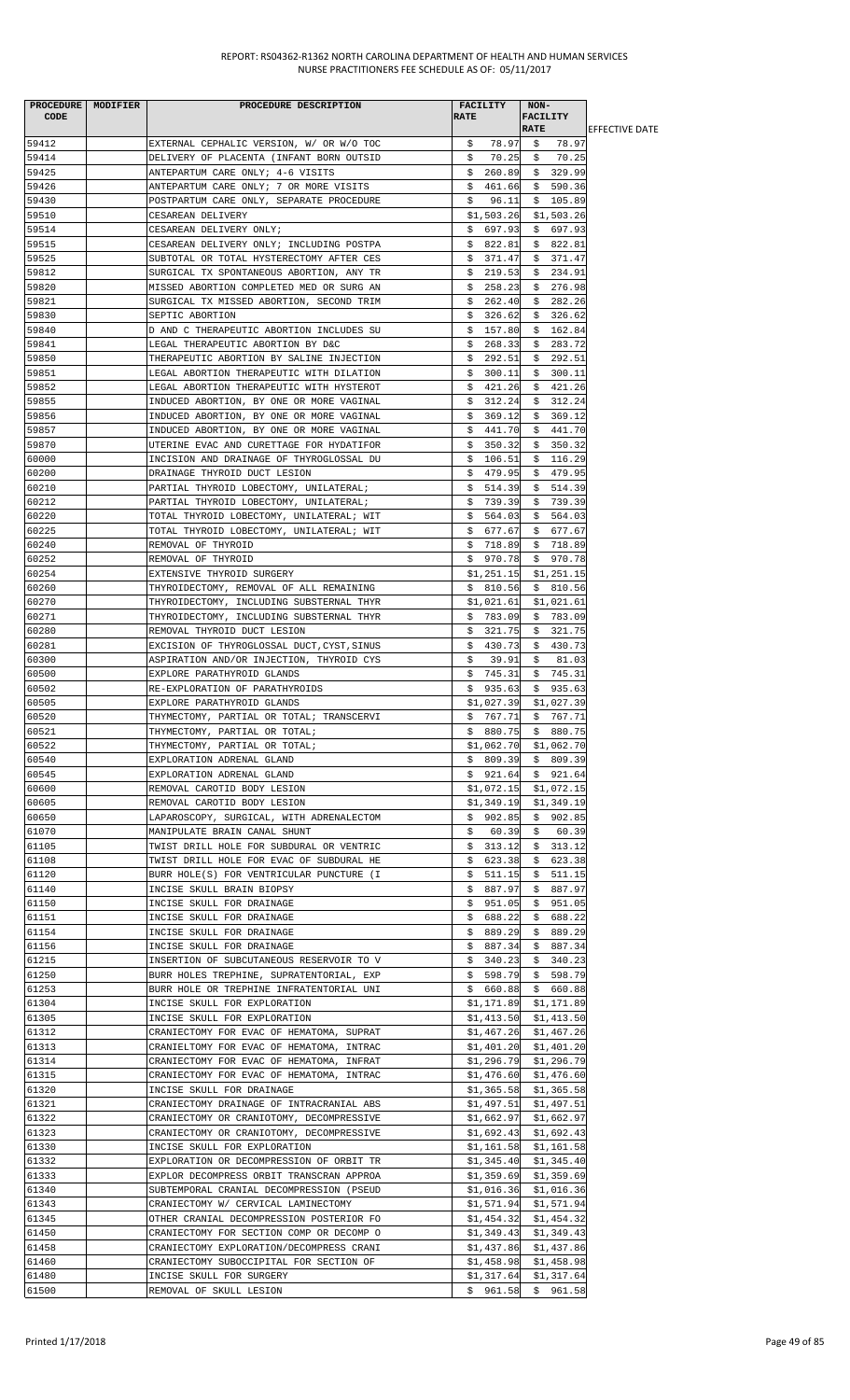|       | PROCEDURE MODIFIER | PROCEDURE DESCRIPTION                      | <b>FACILITY</b>        | NON-                    |                        |
|-------|--------------------|--------------------------------------------|------------------------|-------------------------|------------------------|
| CODE  |                    |                                            | <b>RATE</b>            | <b>FACILITY</b>         |                        |
|       |                    |                                            |                        | <b>RATE</b>             | <b>IEFFECTIVE DATE</b> |
| 59412 |                    | EXTERNAL CEPHALIC VERSION, W/ OR W/O TOC   | \$78.97                | \$78.97                 |                        |
| 59414 |                    | DELIVERY OF PLACENTA (INFANT BORN OUTSID   | \$.<br>70.25           | \$70.25                 |                        |
| 59425 |                    | ANTEPARTUM CARE ONLY; 4-6 VISITS           | \$260.89               | \$329.99                |                        |
| 59426 |                    | ANTEPARTUM CARE ONLY; 7 OR MORE VISITS     |                        | $$461.66 \& 590.36$     |                        |
| 59430 |                    | POSTPARTUM CARE ONLY, SEPARATE PROCEDURE   | \$<br>96.11            | \$105.89                |                        |
| 59510 |                    | CESAREAN DELIVERY                          | \$1,503.26             | \$1,503.26              |                        |
| 59514 |                    | CESAREAN DELIVERY ONLY;                    | \$697.93               | \$697.93                |                        |
| 59515 |                    | CESAREAN DELIVERY ONLY; INCLUDING POSTPA   | \$822.81               | \$822.81                |                        |
| 59525 |                    | SUBTOTAL OR TOTAL HYSTERECTOMY AFTER CES   | \$371.47               | \$371.47                |                        |
| 59812 |                    | SURGICAL TX SPONTANEOUS ABORTION, ANY TR   | \$219.53               | \$234.91                |                        |
| 59820 |                    | MISSED ABORTION COMPLETED MED OR SURG AN   | \$258.23               | \$276.98                |                        |
| 59821 |                    | SURGICAL TX MISSED ABORTION, SECOND TRIM   | \$262.40               | \$282.26                |                        |
| 59830 |                    | SEPTIC ABORTION                            | \$<br>326.62           | \$<br>326.62            |                        |
| 59840 |                    | D AND C THERAPEUTIC ABORTION INCLUDES SU   | \$157.80               | \$162.84                |                        |
| 59841 |                    | LEGAL THERAPEUTIC ABORTION BY D&C          | \$268.33               | \$283.72                |                        |
| 59850 |                    | THERAPEUTIC ABORTION BY SALINE INJECTION   | \$.<br>292.51          | \$.<br>292.51           |                        |
| 59851 |                    | LEGAL ABORTION THERAPEUTIC WITH DILATION   | \$300.11               | \$300.11                |                        |
| 59852 |                    | LEGAL ABORTION THERAPEUTIC WITH HYSTEROT   | \$421.26               | \$421.26                |                        |
| 59855 |                    | INDUCED ABORTION, BY ONE OR MORE VAGINAL   | \$312.24               | \$312.24                |                        |
| 59856 |                    | INDUCED ABORTION, BY ONE OR MORE VAGINAL   | \$369.12               | \$369.12                |                        |
| 59857 |                    | INDUCED ABORTION, BY ONE OR MORE VAGINAL   | \$441.70               | \$441.70                |                        |
| 59870 |                    | UTERINE EVAC AND CURETTAGE FOR HYDATIFOR   | \$350.32               | \$350.32                |                        |
| 60000 |                    | INCISION AND DRAINAGE OF THYROGLOSSAL DU   | 106.51<br>\$           | \$116.29                |                        |
| 60200 |                    | DRAINAGE THYROID DUCT LESION               | \$479.95               | \$479.95                |                        |
| 60210 |                    | PARTIAL THYROID LOBECTOMY, UNILATERAL;     | \$514.39               | \$514.39                |                        |
| 60212 |                    | PARTIAL THYROID LOBECTOMY, UNILATERAL;     | \$739.39               | \$739.39                |                        |
| 60220 |                    | TOTAL THYROID LOBECTOMY, UNILATERAL; WIT   | \$564.03               | \$564.03                |                        |
| 60225 |                    | TOTAL THYROID LOBECTOMY, UNILATERAL; WIT   | \$677.67               | \$677.67                |                        |
| 60240 |                    | REMOVAL OF THYROID                         |                        | $$718.89$ $$718.89$     |                        |
| 60252 |                    | REMOVAL OF THYROID                         | 970.78<br>\$.          | \$970.78                |                        |
| 60254 |                    | EXTENSIVE THYROID SURGERY                  | \$1,251.15             | \$1,251.15              |                        |
| 60260 |                    | THYROIDECTOMY, REMOVAL OF ALL REMAINING    | \$810.56               | \$810.56                |                        |
| 60270 |                    | THYROIDECTOMY, INCLUDING SUBSTERNAL THYR   | \$1,021.61             | \$1,021.61              |                        |
| 60271 |                    | THYROIDECTOMY, INCLUDING SUBSTERNAL THYR   | \$783.09               | \$783.09                |                        |
| 60280 |                    | REMOVAL THYROID DUCT LESION                | \$321.75               | \$321.75                |                        |
| 60281 |                    | EXCISION OF THYROGLOSSAL DUCT, CYST, SINUS | \$430.73               | \$430.73                |                        |
| 60300 |                    | ASPIRATION AND/OR INJECTION, THYROID CYS   | 39.91<br>\$            | \$81.03                 |                        |
| 60500 |                    | EXPLORE PARATHYROID GLANDS                 | \$745.31               | \$745.31                |                        |
| 60502 |                    | RE-EXPLORATION OF PARATHYROIDS             | \$935.63               | \$935.63                |                        |
| 60505 |                    | EXPLORE PARATHYROID GLANDS                 |                        |                         |                        |
| 60520 |                    |                                            | \$1,027.39<br>\$767.71 | \$1,027.39              |                        |
|       |                    | THYMECTOMY, PARTIAL OR TOTAL; TRANSCERVI   |                        | \$767.71                |                        |
| 60521 |                    | THYMECTOMY, PARTIAL OR TOTAL;              | \$880.75               | \$880.75                |                        |
| 60522 |                    | THYMECTOMY, PARTIAL OR TOTAL;              | \$1,062.70             | \$1,062.70              |                        |
| 60540 |                    | EXPLORATION ADRENAL GLAND                  |                        | $$809.39 \quad $809.39$ |                        |
| 60545 |                    | EXPLORATION ADRENAL GLAND                  | \$921.64               | \$921.64                |                        |
| 60600 |                    | REMOVAL CAROTID BODY LESION                | \$1,072.15             | \$1,072.15              |                        |
| 60605 |                    | REMOVAL CAROTID BODY LESION                | \$1,349.19             | \$1,349.19              |                        |
| 60650 |                    | LAPAROSCOPY, SURGICAL, WITH ADRENALECTOM   | \$902.85               | \$902.85                |                        |
| 61070 |                    | MANIPULATE BRAIN CANAL SHUNT               | \$<br>60.39            | \$<br>60.39             |                        |
| 61105 |                    | TWIST DRILL HOLE FOR SUBDURAL OR VENTRIC   | \$313.12               | \$313.12                |                        |
| 61108 |                    | TWIST DRILL HOLE FOR EVAC OF SUBDURAL HE   | \$623.38               | \$<br>623.38            |                        |
| 61120 |                    | BURR HOLE(S) FOR VENTRICULAR PUNCTURE (I   | \$511.15               | 511.15<br>Ş.            |                        |
| 61140 |                    | INCISE SKULL BRAIN BIOPSY                  | \$887.97               | \$887.97                |                        |
| 61150 |                    | INCISE SKULL FOR DRAINAGE                  | \$951.05               | \$951.05                |                        |
| 61151 |                    | INCISE SKULL FOR DRAINAGE                  | \$.<br>688.22          | \$<br>688.22            |                        |
| 61154 |                    | INCISE SKULL FOR DRAINAGE                  | \$889.29               | \$<br>889.29            |                        |
| 61156 |                    | INCISE SKULL FOR DRAINAGE                  | \$887.34               | \$887.34                |                        |
| 61215 |                    | INSERTION OF SUBCUTANEOUS RESERVOIR TO V   | \$340.23               | \$340.23                |                        |
| 61250 |                    | BURR HOLES TREPHINE, SUPRATENTORIAL, EXP   | \$598.79               | \$598.79                |                        |
| 61253 |                    | BURR HOLE OR TREPHINE INFRATENTORIAL UNI   | \$660.88               | \$660.88                |                        |
| 61304 |                    | INCISE SKULL FOR EXPLORATION               |                        | $$1,171.89$ $$1,171.89$ |                        |
| 61305 |                    | INCISE SKULL FOR EXPLORATION               | \$1,413.50             | \$1,413.50              |                        |
| 61312 |                    | CRANIECTOMY FOR EVAC OF HEMATOMA, SUPRAT   | \$1,467.26             | \$1,467.26              |                        |
| 61313 |                    | CRANIELTOMY FOR EVAC OF HEMATOMA, INTRAC   | \$1,401.20             | \$1,401.20              |                        |
| 61314 |                    | CRANIECTOMY FOR EVAC OF HEMATOMA, INFRAT   | \$1,296.79             | \$1,296.79              |                        |
| 61315 |                    | CRANIECTOMY FOR EVAC OF HEMATOMA, INTRAC   | \$1,476.60             | \$1,476.60              |                        |
| 61320 |                    | INCISE SKULL FOR DRAINAGE                  | \$1,365.58             | \$1,365.58              |                        |
| 61321 |                    | CRANIECTOMY DRAINAGE OF INTRACRANIAL ABS   | \$1,497.51             | \$1,497.51              |                        |
| 61322 |                    | CRANIECTOMY OR CRANIOTOMY, DECOMPRESSIVE   | \$1,662.97             | \$1,662.97              |                        |
| 61323 |                    | CRANIECTOMY OR CRANIOTOMY, DECOMPRESSIVE   | \$1,692.43             | \$1,692.43              |                        |
| 61330 |                    | INCISE SKULL FOR EXPLORATION               | \$1,161.58             | \$1,161.58              |                        |
| 61332 |                    | EXPLORATION OR DECOMPRESSION OF ORBIT TR   | \$1,345.40             | \$1,345.40              |                        |
| 61333 |                    | EXPLOR DECOMPRESS ORBIT TRANSCRAN APPROA   | \$1,359.69             | \$1,359.69              |                        |
| 61340 |                    | SUBTEMPORAL CRANIAL DECOMPRESSION (PSEUD   | \$1,016.36             | \$1,016.36              |                        |
| 61343 |                    | CRANIECTOMY W/ CERVICAL LAMINECTOMY        | \$1,571.94             | \$1,571.94              |                        |
| 61345 |                    | OTHER CRANIAL DECOMPRESSION POSTERIOR FO   | \$1,454.32             | \$1,454.32              |                        |
| 61450 |                    | CRANIECTOMY FOR SECTION COMP OR DECOMP O   | \$1,349.43             | \$1,349.43              |                        |
| 61458 |                    | CRANIECTOMY EXPLORATION/DECOMPRESS CRANI   | \$1,437.86             | \$1,437.86              |                        |
| 61460 |                    | CRANIECTOMY SUBOCCIPITAL FOR SECTION OF    | \$1,458.98             | \$1,458.98              |                        |
| 61480 |                    | INCISE SKULL FOR SURGERY                   | \$1,317.64             | \$1,317.64              |                        |
| 61500 |                    | REMOVAL OF SKULL LESION                    |                        | $$961.58$$ $$961.58$    |                        |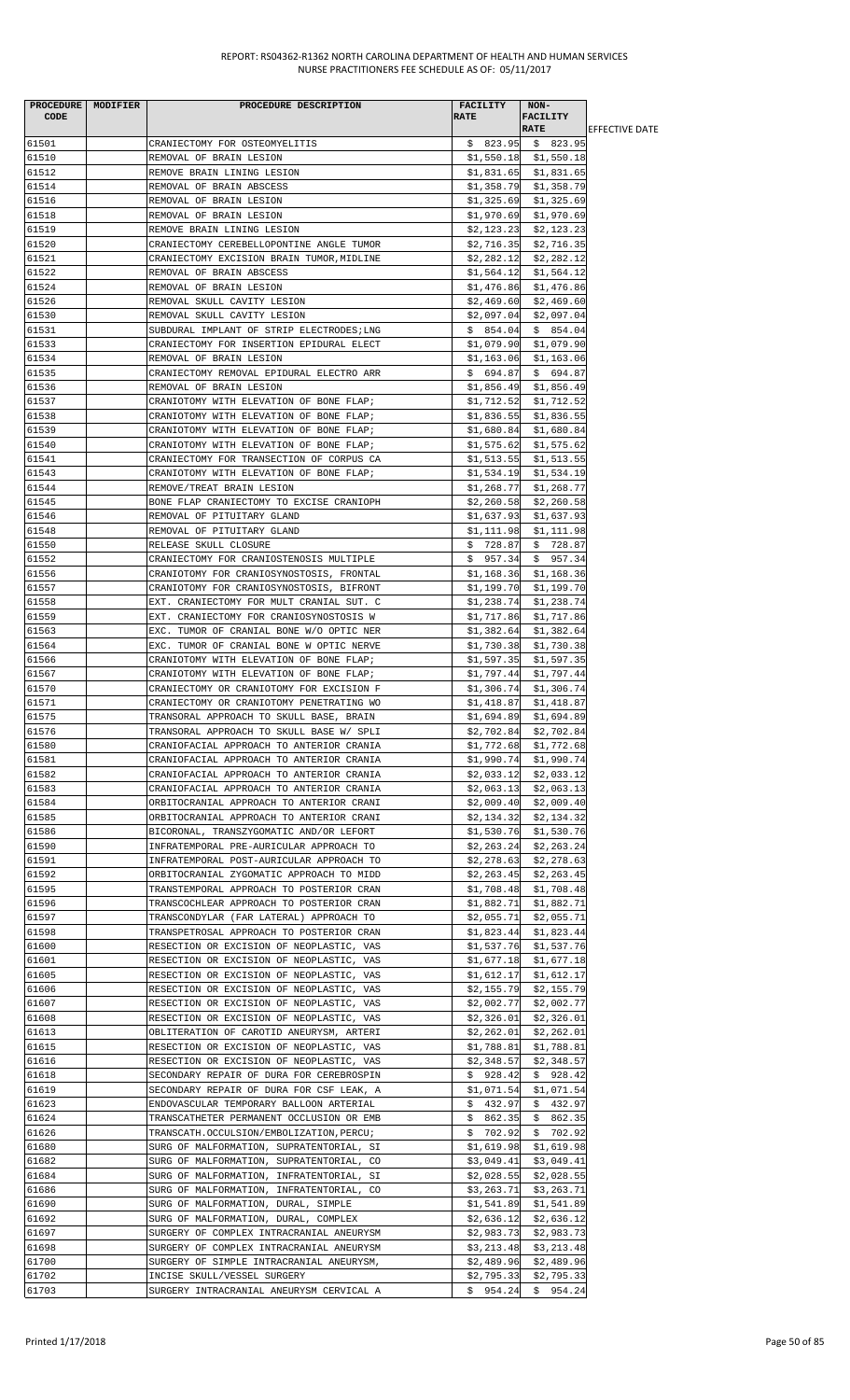| <b>CODE</b>    | PROCEDURE   MODIFIER | PROCEDURE DESCRIPTION                                                                | <b>FACILITY</b><br><b>RATE</b> | NON-<br><b>FACILITY</b><br><b>RATE</b>             | <b>IEFFECTIVE DATE</b> |
|----------------|----------------------|--------------------------------------------------------------------------------------|--------------------------------|----------------------------------------------------|------------------------|
| 61501          |                      | CRANIECTOMY FOR OSTEOMYELITIS                                                        | \$823.95                       | \$823.95                                           |                        |
| 61510          |                      | REMOVAL OF BRAIN LESION                                                              |                                | $$1,550.18$ $$1,550.18$                            |                        |
| 61512          |                      | REMOVE BRAIN LINING LESION                                                           |                                | $$1,831.65$ $$1,831.65$                            |                        |
| 61514          |                      | REMOVAL OF BRAIN ABSCESS                                                             | \$1,358.79                     | \$1,358.79                                         |                        |
| 61516<br>61518 |                      | REMOVAL OF BRAIN LESION<br>REMOVAL OF BRAIN LESION                                   |                                | $$1,325.69$ $$1,325.69$<br>$$1,970.69$ $$1,970.69$ |                        |
| 61519          |                      | REMOVE BRAIN LINING LESION                                                           | \$2,123.23                     | \$2,123.23                                         |                        |
| 61520          |                      | CRANIECTOMY CEREBELLOPONTINE ANGLE TUMOR                                             | \$2,716.35                     | \$2,716.35                                         |                        |
| 61521          |                      | CRANIECTOMY EXCISION BRAIN TUMOR, MIDLINE                                            | \$2,282.12                     | \$2,282.12                                         |                        |
| 61522          |                      | REMOVAL OF BRAIN ABSCESS                                                             | \$1,564.12                     | \$1,564.12                                         |                        |
| 61524          |                      | REMOVAL OF BRAIN LESION                                                              | \$1,476.86                     | \$1,476.86                                         |                        |
| 61526          |                      | REMOVAL SKULL CAVITY LESION                                                          | \$2,469.60                     | \$2,469.60                                         |                        |
| 61530<br>61531 |                      | REMOVAL SKULL CAVITY LESION<br>SUBDURAL IMPLANT OF STRIP ELECTRODES; LNG             | \$2,097.04                     | \$2,097.04<br>$$854.04 \t$854.04$                  |                        |
| 61533          |                      | CRANIECTOMY FOR INSERTION EPIDURAL ELECT                                             |                                | \$1,079.90 \$1,079.90                              |                        |
| 61534          |                      | REMOVAL OF BRAIN LESION                                                              | \$1,163.06                     | \$1,163.06                                         |                        |
| 61535          |                      | CRANIECTOMY REMOVAL EPIDURAL ELECTRO ARR                                             | \$694.87                       | \$694.87                                           |                        |
| 61536          |                      | REMOVAL OF BRAIN LESION                                                              | \$1,856.49                     | \$1,856.49                                         |                        |
| 61537          |                      | CRANIOTOMY WITH ELEVATION OF BONE FLAP;                                              | \$1,712.52                     | \$1,712.52                                         |                        |
| 61538          |                      | CRANIOTOMY WITH ELEVATION OF BONE FLAP;                                              | \$1,836.55                     | \$1,836.55                                         |                        |
| 61539<br>61540 |                      | CRANIOTOMY WITH ELEVATION OF BONE FLAP;<br>CRANIOTOMY WITH ELEVATION OF BONE FLAP;   | \$1,680.84                     | \$1,680.84<br>$$1,575.62$ $$1,575.62$              |                        |
| 61541          |                      | CRANIECTOMY FOR TRANSECTION OF CORPUS CA                                             | \$1,513.55                     | \$1,513.55                                         |                        |
| 61543          |                      | CRANIOTOMY WITH ELEVATION OF BONE FLAP;                                              | \$1,534.19                     | \$1,534.19                                         |                        |
| 61544          |                      | REMOVE/TREAT BRAIN LESION                                                            | \$1,268.77                     | \$1,268.77                                         |                        |
| 61545          |                      | BONE FLAP CRANIECTOMY TO EXCISE CRANIOPH                                             | \$2,260.58                     | \$2,260.58                                         |                        |
| 61546          |                      | REMOVAL OF PITUITARY GLAND                                                           | \$1,637.93                     | \$1,637.93                                         |                        |
| 61548          |                      | REMOVAL OF PITUITARY GLAND                                                           | \$1,111.98                     | \$1,111.98                                         |                        |
| 61550<br>61552 |                      | RELEASE SKULL CLOSURE<br>CRANIECTOMY FOR CRANIOSTENOSIS MULTIPLE                     | \$728.87<br>\$957.34           | \$728.87<br>\$957.34                               |                        |
| 61556          |                      | CRANIOTOMY FOR CRANIOSYNOSTOSIS, FRONTAL                                             | \$1,168.36                     | \$1,168.36                                         |                        |
| 61557          |                      | CRANIOTOMY FOR CRANIOSYNOSTOSIS, BIFRONT                                             | \$1,199.70                     | \$1,199.70                                         |                        |
| 61558          |                      | EXT. CRANIECTOMY FOR MULT CRANIAL SUT. C                                             | \$1,238.74                     | \$1,238.74                                         |                        |
| 61559          |                      | EXT. CRANIECTOMY FOR CRANIOSYNOSTOSIS W                                              | \$1,717.86                     | \$1,717.86                                         |                        |
| 61563          |                      | EXC. TUMOR OF CRANIAL BONE W/O OPTIC NER                                             | \$1,382.64                     | \$1,382.64                                         |                        |
| 61564          |                      | EXC. TUMOR OF CRANIAL BONE W OPTIC NERVE                                             | \$1,730.38                     | \$1,730.38                                         |                        |
| 61566          |                      | CRANIOTOMY WITH ELEVATION OF BONE FLAP;                                              | \$1,597.35                     | \$1,597.35                                         |                        |
| 61567<br>61570 |                      | CRANIOTOMY WITH ELEVATION OF BONE FLAP;<br>CRANIECTOMY OR CRANIOTOMY FOR EXCISION F  | \$1,797.44<br>\$1,306.74       | \$1,797.44<br>\$1,306.74                           |                        |
| 61571          |                      | CRANIECTOMY OR CRANIOTOMY PENETRATING WO                                             | \$1,418.87                     | \$1,418.87                                         |                        |
| 61575          |                      | TRANSORAL APPROACH TO SKULL BASE, BRAIN                                              | \$1,694.89                     | \$1,694.89                                         |                        |
| 61576          |                      | TRANSORAL APPROACH TO SKULL BASE W/ SPLI                                             | \$2,702.84                     | \$2,702.84                                         |                        |
| 61580          |                      | CRANIOFACIAL APPROACH TO ANTERIOR CRANIA                                             | \$1,772.68                     | \$1,772.68                                         |                        |
| 61581          |                      | CRANIOFACIAL APPROACH TO ANTERIOR CRANIA                                             | \$1,990.74                     | \$1,990.74                                         |                        |
| 61582          |                      | CRANIOFACIAL APPROACH TO ANTERIOR CRANIA                                             | \$2,033.12                     | \$2,033.12                                         |                        |
| 61583<br>61584 |                      | CRANIOFACIAL APPROACH TO ANTERIOR CRANIA<br>ORBITOCRANIAL APPROACH TO ANTERIOR CRANI | \$2,063.13<br>\$2,009.40       | \$2,063.13<br>\$2,009.40                           |                        |
| 61585          |                      | ORBITOCRANIAL APPROACH TO ANTERIOR CRANI                                             | \$2,134.32                     | \$2,134.32                                         |                        |
| 61586          |                      | BICORONAL, TRANSZYGOMATIC AND/OR LEFORT                                              | \$1,530.76                     | \$1,530.76                                         |                        |
| 61590          |                      | INFRATEMPORAL PRE-AURICULAR APPROACH TO                                              | \$2,263.24                     | \$2, 263.24                                        |                        |
| 61591          |                      | INFRATEMPORAL POST-AURICULAR APPROACH TO                                             | \$2,278.63                     | \$2,278.63                                         |                        |
| 61592          |                      | ORBITOCRANIAL ZYGOMATIC APPROACH TO MIDD                                             | \$2,263.45                     | \$2,263.45                                         |                        |
| 61595          |                      | TRANSTEMPORAL APPROACH TO POSTERIOR CRAN                                             | \$1,708.48                     | \$1,708.48                                         |                        |
| 61596<br>61597 |                      | TRANSCOCHLEAR APPROACH TO POSTERIOR CRAN<br>TRANSCONDYLAR (FAR LATERAL) APPROACH TO  | \$1,882.71<br>\$2,055.71       | \$1,882.71<br>\$2,055.71                           |                        |
| 61598          |                      | TRANSPETROSAL APPROACH TO POSTERIOR CRAN                                             | \$1,823.44                     | \$1,823.44                                         |                        |
| 61600          |                      | RESECTION OR EXCISION OF NEOPLASTIC, VAS                                             | \$1,537.76                     | \$1,537.76                                         |                        |
| 61601          |                      | RESECTION OR EXCISION OF NEOPLASTIC, VAS                                             | \$1,677.18                     | \$1,677.18                                         |                        |
| 61605          |                      | RESECTION OR EXCISION OF NEOPLASTIC, VAS                                             | \$1,612.17                     | \$1,612.17                                         |                        |
| 61606          |                      | RESECTION OR EXCISION OF NEOPLASTIC, VAS                                             | \$2,155.79                     | \$2,155.79                                         |                        |
| 61607          |                      | RESECTION OR EXCISION OF NEOPLASTIC, VAS                                             | \$2,002.77                     | \$2,002.77                                         |                        |
| 61608<br>61613 |                      | RESECTION OR EXCISION OF NEOPLASTIC, VAS<br>OBLITERATION OF CAROTID ANEURYSM, ARTERI | \$2,326.01<br>\$2,262.01       | \$2,326.01<br>\$2,262.01                           |                        |
| 61615          |                      | RESECTION OR EXCISION OF NEOPLASTIC, VAS                                             | \$1,788.81                     | \$1,788.81                                         |                        |
| 61616          |                      | RESECTION OR EXCISION OF NEOPLASTIC, VAS                                             | \$2,348.57                     | \$2,348.57                                         |                        |
| 61618          |                      | SECONDARY REPAIR OF DURA FOR CEREBROSPIN                                             | \$928.42                       | \$928.42                                           |                        |
| 61619          |                      | SECONDARY REPAIR OF DURA FOR CSF LEAK, A                                             | \$1,071.54                     | \$1,071.54                                         |                        |
| 61623          |                      | ENDOVASCULAR TEMPORARY BALLOON ARTERIAL                                              | \$432.97                       | \$432.97                                           |                        |
| 61624          |                      | TRANSCATHETER PERMANENT OCCLUSION OR EMB                                             | \$862.35                       | \$862.35                                           |                        |
| 61626<br>61680 |                      | TRANSCATH.OCCULSION/EMBOLIZATION, PERCU;                                             | \$702.92<br>\$1,619.98         | \$702.92<br>\$1,619.98                             |                        |
| 61682          |                      | SURG OF MALFORMATION, SUPRATENTORIAL, SI<br>SURG OF MALFORMATION, SUPRATENTORIAL, CO | \$3,049.41                     | \$3,049.41                                         |                        |
| 61684          |                      | SURG OF MALFORMATION, INFRATENTORIAL, SI                                             | \$2,028.55                     | \$2,028.55                                         |                        |
| 61686          |                      | SURG OF MALFORMATION, INFRATENTORIAL, CO                                             | \$3,263.71                     | \$3,263.71                                         |                        |
| 61690          |                      | SURG OF MALFORMATION, DURAL, SIMPLE                                                  | \$1,541.89                     | \$1,541.89                                         |                        |
| 61692          |                      | SURG OF MALFORMATION, DURAL, COMPLEX                                                 | \$2,636.12                     | \$2,636.12                                         |                        |
| 61697          |                      | SURGERY OF COMPLEX INTRACRANIAL ANEURYSM                                             | \$2,983.73                     | \$2,983.73                                         |                        |
| 61698          |                      | SURGERY OF COMPLEX INTRACRANIAL ANEURYSM                                             | \$3,213.48                     | \$3,213.48                                         |                        |
| 61700<br>61702 |                      | SURGERY OF SIMPLE INTRACRANIAL ANEURYSM,<br>INCISE SKULL/VESSEL SURGERY              | \$2,489.96<br>\$2,795.33       | \$2,489.96<br>\$2,795.33                           |                        |
| 61703          |                      | SURGERY INTRACRANIAL ANEURYSM CERVICAL A                                             |                                | $$954.24$$ $$954.24$                               |                        |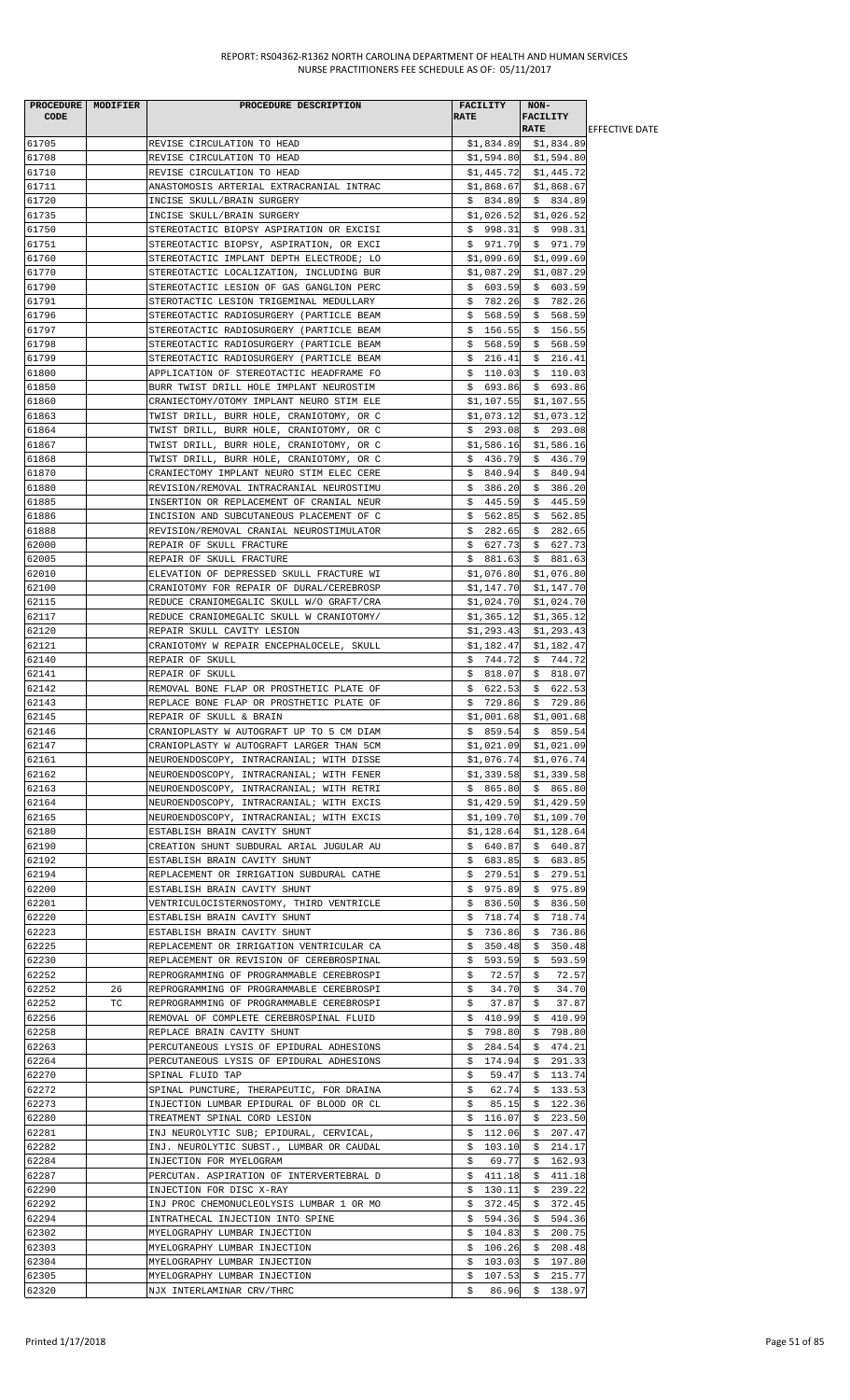|       | PROCEDURE MODIFIER | PROCEDURE DESCRIPTION                    | FACILITY     | $NON-$                  |                        |
|-------|--------------------|------------------------------------------|--------------|-------------------------|------------------------|
| CODE  |                    |                                          | <b>RATE</b>  | <b>FACILITY</b>         |                        |
|       |                    |                                          |              | <b>RATE</b>             | <b>IEFFECTIVE DATE</b> |
| 61705 |                    | REVISE CIRCULATION TO HEAD               |              | $$1,834.89$ $$1,834.89$ |                        |
| 61708 |                    | REVISE CIRCULATION TO HEAD               |              | $$1,594.80$ $$1,594.80$ |                        |
| 61710 |                    | REVISE CIRCULATION TO HEAD               |              | $$1,445.72$ $$1,445.72$ |                        |
| 61711 |                    | ANASTOMOSIS ARTERIAL EXTRACRANIAL INTRAC |              | $$1,868.67$ $$1,868.67$ |                        |
| 61720 |                    | INCISE SKULL/BRAIN SURGERY               | \$834.89     | \$834.89                |                        |
| 61735 |                    | INCISE SKULL/BRAIN SURGERY               | \$1,026.52   | \$1,026.52              |                        |
| 61750 |                    | STEREOTACTIC BIOPSY ASPIRATION OR EXCISI | \$998.31     | \$998.31                |                        |
| 61751 |                    | STEREOTACTIC BIOPSY, ASPIRATION, OR EXCI | \$971.79     | \$971.79                |                        |
| 61760 |                    | STEREOTACTIC IMPLANT DEPTH ELECTRODE; LO | \$1,099.69   | \$1,099.69              |                        |
| 61770 |                    | STEREOTACTIC LOCALIZATION, INCLUDING BUR | \$1,087.29   | \$1,087.29              |                        |
| 61790 |                    | STEREOTACTIC LESION OF GAS GANGLION PERC | \$603.59     | \$603.59                |                        |
| 61791 |                    | STEROTACTIC LESION TRIGEMINAL MEDULLARY  | \$782.26     | \$782.26                |                        |
| 61796 |                    | STEREOTACTIC RADIOSURGERY (PARTICLE BEAM | \$568.59     | \$568.59                |                        |
| 61797 |                    | STEREOTACTIC RADIOSURGERY (PARTICLE BEAM | \$156.55     | \$156.55                |                        |
| 61798 |                    | STEREOTACTIC RADIOSURGERY (PARTICLE BEAM | \$568.59     | \$568.59                |                        |
| 61799 |                    | STEREOTACTIC RADIOSURGERY (PARTICLE BEAM | \$216.41     | \$<br>216.41            |                        |
| 61800 |                    | APPLICATION OF STEREOTACTIC HEADFRAME FO | \$110.03     | \$110.03                |                        |
| 61850 |                    | BURR TWIST DRILL HOLE IMPLANT NEUROSTIM  | \$693.86     | \$693.86                |                        |
| 61860 |                    | CRANIECTOMY/OTOMY IMPLANT NEURO STIM ELE | \$1,107.55   | \$1,107.55              |                        |
| 61863 |                    | TWIST DRILL, BURR HOLE, CRANIOTOMY, OR C | \$1,073.12   | \$1,073.12              |                        |
| 61864 |                    | TWIST DRILL, BURR HOLE, CRANIOTOMY, OR C | \$293.08     | \$293.08                |                        |
| 61867 |                    | TWIST DRILL, BURR HOLE, CRANIOTOMY, OR C | \$1,586.16   | \$1,586.16              |                        |
| 61868 |                    | TWIST DRILL, BURR HOLE, CRANIOTOMY, OR C | \$436.79     | \$436.79                |                        |
| 61870 |                    | CRANIECTOMY IMPLANT NEURO STIM ELEC CERE | \$840.94]    | \$840.94                |                        |
| 61880 |                    | REVISION/REMOVAL INTRACRANIAL NEUROSTIMU | \$386.20     | \$386.20                |                        |
| 61885 |                    | INSERTION OR REPLACEMENT OF CRANIAL NEUR | \$445.59     | \$445.59                |                        |
| 61886 |                    | INCISION AND SUBCUTANEOUS PLACEMENT OF C | \$562.85     | \$562.85                |                        |
| 61888 |                    | REVISION/REMOVAL CRANIAL NEUROSTIMULATOR | \$282.65     | \$282.65                |                        |
| 62000 |                    | REPAIR OF SKULL FRACTURE                 | \$627.73     | \$627.73                |                        |
| 62005 |                    | REPAIR OF SKULL FRACTURE                 | \$<br>881.63 | \$881.63                |                        |
| 62010 |                    | ELEVATION OF DEPRESSED SKULL FRACTURE WI | \$1,076.80   | \$1,076.80              |                        |
| 62100 |                    |                                          | \$1,147.70   | \$1,147.70              |                        |
| 62115 |                    | CRANIOTOMY FOR REPAIR OF DURAL/CEREBROSP |              |                         |                        |
|       |                    | REDUCE CRANIOMEGALIC SKULL W/O GRAFT/CRA | \$1,024.70   | \$1,024.70              |                        |
| 62117 |                    | REDUCE CRANIOMEGALIC SKULL W CRANIOTOMY/ | \$1,365.12   | \$1,365.12              |                        |
| 62120 |                    | REPAIR SKULL CAVITY LESION               | \$1,293.43   | \$1,293.43              |                        |
| 62121 |                    | CRANIOTOMY W REPAIR ENCEPHALOCELE, SKULL | \$1,182.47   | \$1,182.47              |                        |
| 62140 |                    | REPAIR OF SKULL                          | \$744.72     | \$744.72                |                        |
| 62141 |                    | REPAIR OF SKULL                          | \$818.07     | \$818.07                |                        |
| 62142 |                    | REMOVAL BONE FLAP OR PROSTHETIC PLATE OF | \$622.53     | \$622.53                |                        |
| 62143 |                    | REPLACE BONE FLAP OR PROSTHETIC PLATE OF | \$729.86     | \$729.86                |                        |
| 62145 |                    | REPAIR OF SKULL & BRAIN                  | \$1,001.68   | \$1,001.68              |                        |
| 62146 |                    | CRANIOPLASTY W AUTOGRAFT UP TO 5 CM DIAM | \$859.54     | \$859.54                |                        |
| 62147 |                    | CRANIOPLASTY W AUTOGRAFT LARGER THAN 5CM |              | $$1,021.09$ $$1,021.09$ |                        |
| 62161 |                    | NEUROENDOSCOPY, INTRACRANIAL; WITH DISSE |              | $$1,076.74$ $$1,076.74$ |                        |
| 62162 |                    | NEUROENDOSCOPY, INTRACRANIAL; WITH FENER | \$1,339.58   | \$1,339.58              |                        |
| 62163 |                    | NEUROENDOSCOPY, INTRACRANIAL; WITH RETRI | \$865.80     | \$865.80                |                        |
| 62164 |                    | NEUROENDOSCOPY, INTRACRANIAL; WITH EXCIS | \$1,429.59   | \$1,429.59              |                        |
| 62165 |                    | NEUROENDOSCOPY, INTRACRANIAL; WITH EXCIS | \$1,109.70   | \$1,109.70              |                        |
| 62180 |                    | ESTABLISH BRAIN CAVITY SHUNT             | \$1,128.64   | \$1,128.64              |                        |
| 62190 |                    | CREATION SHUNT SUBDURAL ARIAL JUGULAR AU | \$640.87     | \$640.87                |                        |
| 62192 |                    | ESTABLISH BRAIN CAVITY SHUNT             | \$683.85     | \$683.85                |                        |
| 62194 |                    | REPLACEMENT OR IRRIGATION SUBDURAL CATHE | \$279.51     | \$279.51                |                        |
| 62200 |                    | ESTABLISH BRAIN CAVITY SHUNT             | \$975.89     | \$975.89                |                        |
| 62201 |                    | VENTRICULOCISTERNOSTOMY, THIRD VENTRICLE | \$836.50     | \$836.50                |                        |
| 62220 |                    | ESTABLISH BRAIN CAVITY SHUNT             | \$<br>718.74 | \$<br>718.74            |                        |
| 62223 |                    | ESTABLISH BRAIN CAVITY SHUNT             | 736.86<br>Ş. | \$<br>736.86            |                        |
| 62225 |                    | REPLACEMENT OR IRRIGATION VENTRICULAR CA | 350.48<br>Ş. | 350.48<br>Ş.            |                        |
| 62230 |                    | REPLACEMENT OR REVISION OF CEREBROSPINAL | 593.59<br>\$ | 593.59<br>\$            |                        |
| 62252 |                    | REPROGRAMMING OF PROGRAMMABLE CEREBROSPI | 72.57<br>Ş.  | 72.57<br>Ş.             |                        |
| 62252 | 26                 | REPROGRAMMING OF PROGRAMMABLE CEREBROSPI | \$<br>34.70  | \$<br>34.70             |                        |
| 62252 | TC                 | REPROGRAMMING OF PROGRAMMABLE CEREBROSPI | \$<br>37.87  | \$<br>37.87             |                        |
| 62256 |                    | REMOVAL OF COMPLETE CEREBROSPINAL FLUID  | \$410.99     | \$410.99                |                        |
| 62258 |                    | REPLACE BRAIN CAVITY SHUNT               | 798.80<br>\$ | 798.80<br>\$.           |                        |
| 62263 |                    | PERCUTANEOUS LYSIS OF EPIDURAL ADHESIONS | 284.54<br>Ş. | 474.21<br>Ş.            |                        |
| 62264 |                    | PERCUTANEOUS LYSIS OF EPIDURAL ADHESIONS | 174.94<br>\$ | 291.33<br>\$            |                        |
| 62270 |                    | SPINAL FLUID TAP                         | \$<br>59.47  | \$<br>113.74            |                        |
| 62272 |                    | SPINAL PUNCTURE, THERAPEUTIC, FOR DRAINA | \$<br>62.74  | 133.53<br>Ş.            |                        |
| 62273 |                    | INJECTION LUMBAR EPIDURAL OF BLOOD OR CL | \$<br>85.15  | \$122.36                |                        |
| 62280 |                    | TREATMENT SPINAL CORD LESION             | \$116.07     | \$<br>223.50            |                        |
| 62281 |                    | INJ NEUROLYTIC SUB; EPIDURAL, CERVICAL,  | 112.06<br>\$ | 207.47<br>\$            |                        |
| 62282 |                    | INJ. NEUROLYTIC SUBST., LUMBAR OR CAUDAL | \$103.10     | \$214.17                |                        |
| 62284 |                    | INJECTION FOR MYELOGRAM                  | \$<br>69.77  | \$<br>162.93            |                        |
| 62287 |                    | PERCUTAN. ASPIRATION OF INTERVERTEBRAL D | 411.18<br>\$ | 411.18<br>\$            |                        |
| 62290 |                    | INJECTION FOR DISC X-RAY                 | 130.11<br>Ş. | \$<br>239.22            |                        |
| 62292 |                    | INJ PROC CHEMONUCLEOLYSIS LUMBAR 1 OR MO | \$372.45     | 372.45<br>Ş.            |                        |
| 62294 |                    | INTRATHECAL INJECTION INTO SPINE         | \$<br>594.36 | \$<br>594.36            |                        |
| 62302 |                    | MYELOGRAPHY LUMBAR INJECTION             | 104.83<br>Ş. | 200.75<br>Ş.            |                        |
| 62303 |                    | MYELOGRAPHY LUMBAR INJECTION             | \$106.26     | \$208.48                |                        |
| 62304 |                    | MYELOGRAPHY LUMBAR INJECTION             | \$103.03     | \$197.80                |                        |
| 62305 |                    | MYELOGRAPHY LUMBAR INJECTION             | 107.53<br>\$ | \$<br>215.77            |                        |
| 62320 |                    | NJX INTERLAMINAR CRV/THRC                | 86.96<br>\$. | \$138.97                |                        |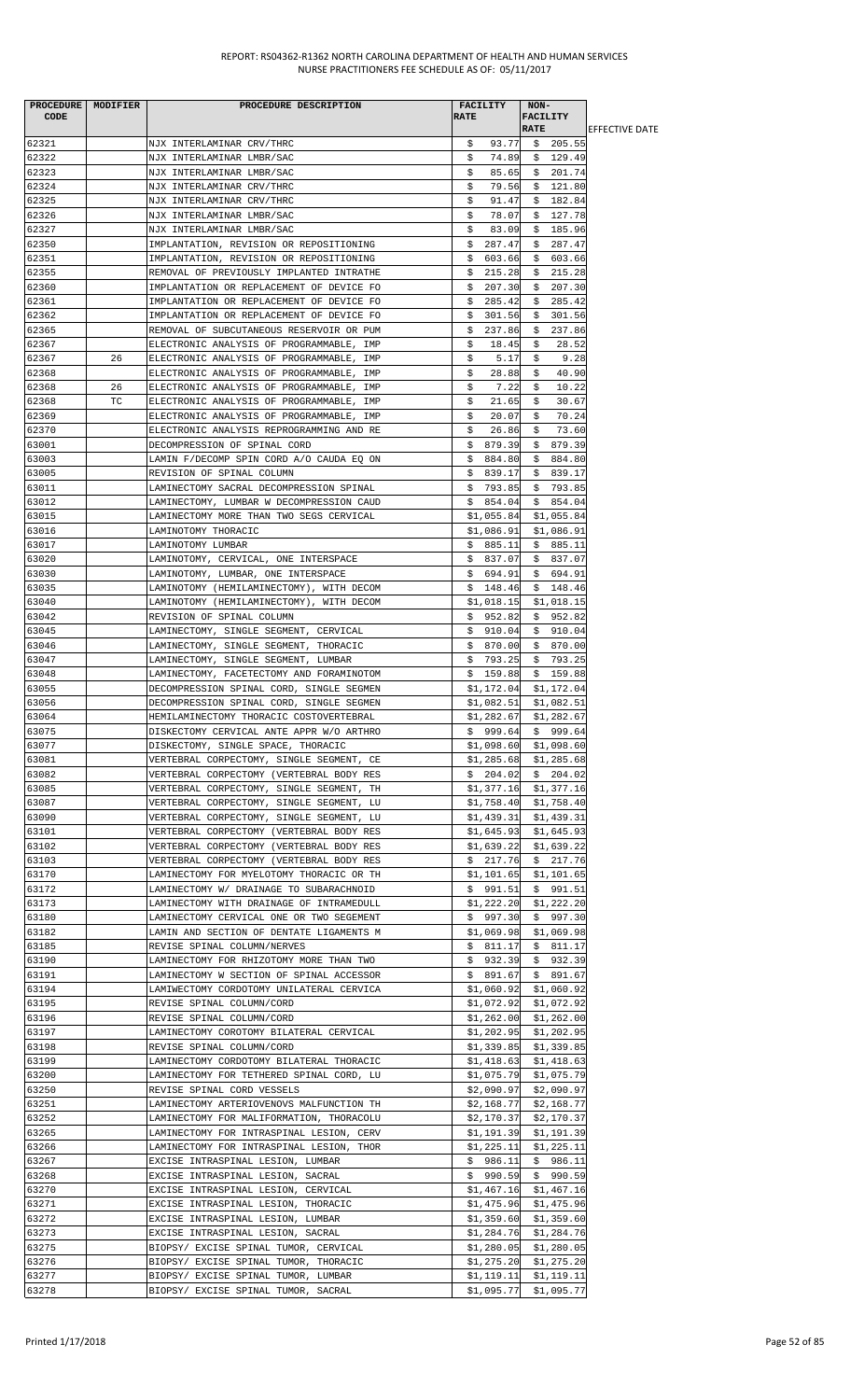|       | PROCEDURE MODIFIER | PROCEDURE DESCRIPTION                    | FACILITY      | NON-                    |                        |
|-------|--------------------|------------------------------------------|---------------|-------------------------|------------------------|
| CODE  |                    |                                          | <b>RATE</b>   | <b>FACILITY</b>         |                        |
|       |                    |                                          |               | <b>RATE</b>             | <b>IEFFECTIVE DATE</b> |
| 62321 |                    | NJX INTERLAMINAR CRV/THRC                | 93.77<br>\$   | \$205.55                |                        |
| 62322 |                    | NJX INTERLAMINAR LMBR/SAC                | \$<br>74.89   | \$129.49                |                        |
| 62323 |                    | NJX INTERLAMINAR LMBR/SAC                | 85.65<br>\$   | \$201.74                |                        |
|       |                    |                                          |               | \$121.80                |                        |
| 62324 |                    | NJX INTERLAMINAR CRV/THRC                | \$<br>79.56   |                         |                        |
| 62325 |                    | NJX INTERLAMINAR CRV/THRC                | \$<br>91.47   | 182.84<br>\$            |                        |
| 62326 |                    | NJX INTERLAMINAR LMBR/SAC                | \$<br>78.07   | 127.78<br>\$            |                        |
| 62327 |                    | NJX INTERLAMINAR LMBR/SAC                | \$<br>83.09   | \$185.96                |                        |
| 62350 |                    | IMPLANTATION, REVISION OR REPOSITIONING  | \$<br>287.47  | \$<br>287.47            |                        |
| 62351 |                    | IMPLANTATION, REVISION OR REPOSITIONING  | 603.66<br>Ş.  | \$603.66                |                        |
| 62355 |                    | REMOVAL OF PREVIOUSLY IMPLANTED INTRATHE | 215.28<br>Ş.  | \$215.28                |                        |
| 62360 |                    | IMPLANTATION OR REPLACEMENT OF DEVICE FO | 207.30<br>\$  | \$207.30                |                        |
| 62361 |                    | IMPLANTATION OR REPLACEMENT OF DEVICE FO | 285.42<br>\$  | 285.42<br>\$            |                        |
|       |                    |                                          |               |                         |                        |
| 62362 |                    | IMPLANTATION OR REPLACEMENT OF DEVICE FO | \$<br>301.56  | \$<br>301.56            |                        |
| 62365 |                    | REMOVAL OF SUBCUTANEOUS RESERVOIR OR PUM | \$<br>237.86  | 237.86<br>\$            |                        |
| 62367 |                    | ELECTRONIC ANALYSIS OF PROGRAMMABLE, IMP | \$<br>18.45   | 28.52<br>\$             |                        |
| 62367 | 26                 | ELECTRONIC ANALYSIS OF PROGRAMMABLE, IMP | \$<br>5.17    | \$<br>9.28              |                        |
| 62368 |                    | ELECTRONIC ANALYSIS OF PROGRAMMABLE, IMP | \$<br>28.88   | \$<br>40.90             |                        |
| 62368 | 26                 | ELECTRONIC ANALYSIS OF PROGRAMMABLE, IMP | 7.22<br>\$    | \$<br>10.22             |                        |
| 62368 | ТC                 | ELECTRONIC ANALYSIS OF PROGRAMMABLE, IMP | \$<br>21.65   | 30.67<br>\$             |                        |
| 62369 |                    | ELECTRONIC ANALYSIS OF PROGRAMMABLE, IMP | \$<br>20.07   | \$<br>70.24             |                        |
| 62370 |                    | ELECTRONIC ANALYSIS REPROGRAMMING AND RE | \$<br>26.86   | 73.60<br>\$             |                        |
|       |                    |                                          |               |                         |                        |
| 63001 |                    | DECOMPRESSION OF SPINAL CORD             | 879.39<br>\$  | \$879.39                |                        |
| 63003 |                    | LAMIN F/DECOMP SPIN CORD A/O CAUDA EQ ON | \$.<br>884.80 | \$<br>884.80            |                        |
| 63005 |                    | REVISION OF SPINAL COLUMN                | \$839.17      | \$839.17                |                        |
| 63011 |                    | LAMINECTOMY SACRAL DECOMPRESSION SPINAL  | \$793.85      | \$793.85                |                        |
| 63012 |                    | LAMINECTOMY, LUMBAR W DECOMPRESSION CAUD | \$854.04      | \$854.04                |                        |
| 63015 |                    | LAMINECTOMY MORE THAN TWO SEGS CERVICAL  | \$1,055.84    | \$1,055.84              |                        |
| 63016 |                    | LAMINOTOMY THORACIC                      | \$1,086.91    | \$1,086.91              |                        |
| 63017 |                    | LAMINOTOMY LUMBAR                        | \$885.11      | \$885.11                |                        |
| 63020 |                    | LAMINOTOMY, CERVICAL, ONE INTERSPACE     | \$837.07      | \$837.07                |                        |
| 63030 |                    | LAMINOTOMY, LUMBAR, ONE INTERSPACE       | \$694.91      | \$694.91                |                        |
| 63035 |                    | LAMINOTOMY (HEMILAMINECTOMY), WITH DECOM | \$148.46      | \$148.46                |                        |
|       |                    |                                          |               |                         |                        |
| 63040 |                    | LAMINOTOMY (HEMILAMINECTOMY), WITH DECOM | \$1,018.15    | \$1,018.15              |                        |
| 63042 |                    | REVISION OF SPINAL COLUMN                | \$952.82      | \$952.82                |                        |
| 63045 |                    | LAMINECTOMY, SINGLE SEGMENT, CERVICAL    | \$910.04      | \$910.04                |                        |
| 63046 |                    | LAMINECTOMY, SINGLE SEGMENT, THORACIC    | \$870.00      | \$ 870.00               |                        |
| 63047 |                    | LAMINECTOMY, SINGLE SEGMENT, LUMBAR      | \$793.25      | \$793.25                |                        |
| 63048 |                    | LAMINECTOMY, FACETECTOMY AND FORAMINOTOM | \$159.88      | \$159.88                |                        |
| 63055 |                    | DECOMPRESSION SPINAL CORD, SINGLE SEGMEN |               | $$1,172.04$ $$1,172.04$ |                        |
| 63056 |                    | DECOMPRESSION SPINAL CORD, SINGLE SEGMEN | \$1,082.51    | \$1,082.51              |                        |
| 63064 |                    | HEMILAMINECTOMY THORACIC COSTOVERTEBRAL  | \$1,282.67    | \$1,282.67              |                        |
| 63075 |                    | DISKECTOMY CERVICAL ANTE APPR W/O ARTHRO | \$999.64      | \$999.64                |                        |
| 63077 |                    | DISKECTOMY, SINGLE SPACE, THORACIC       |               | $$1,098.60$ $$1,098.60$ |                        |
| 63081 |                    | VERTEBRAL CORPECTOMY, SINGLE SEGMENT, CE | \$1,285.68    | \$1,285.68              |                        |
| 63082 |                    | VERTEBRAL CORPECTOMY (VERTEBRAL BODY RES | \$204.02      | \$204.02                |                        |
|       |                    |                                          |               |                         |                        |
| 63085 |                    | VERTEBRAL CORPECTOMY, SINGLE SEGMENT, TH | \$1,377.16    | \$1,377.16              |                        |
| 63087 |                    | VERTEBRAL CORPECTOMY, SINGLE SEGMENT, LU | \$1,758.40    | \$1,758.40              |                        |
| 63090 |                    | VERTEBRAL CORPECTOMY, SINGLE SEGMENT, LU | \$1,439.31    | \$1,439.31              |                        |
| 63101 |                    | VERTEBRAL CORPECTOMY (VERTEBRAL BODY RES | \$1,645.93    | \$1,645.93              |                        |
| 63102 |                    | VERTEBRAL CORPECTOMY (VERTEBRAL BODY RES | \$1,639.22    | \$1,639.22              |                        |
| 63103 |                    | VERTEBRAL CORPECTOMY (VERTEBRAL BODY RES | \$217.76      | \$217.76                |                        |
| 63170 |                    | LAMINECTOMY FOR MYELOTOMY THORACIC OR TH | \$1,101.65    | \$1,101.65              |                        |
| 63172 |                    | LAMINECTOMY W/ DRAINAGE TO SUBARACHNOID  | \$991.51      | \$991.51                |                        |
| 63173 |                    | LAMINECTOMY WITH DRAINAGE OF INTRAMEDULL | \$1,222.20    | \$1,222.20              |                        |
| 63180 |                    | LAMINECTOMY CERVICAL ONE OR TWO SEGEMENT | \$997.30      | \$997.30                |                        |
| 63182 |                    | LAMIN AND SECTION OF DENTATE LIGAMENTS M | \$1,069.98    | \$1,069.98              |                        |
| 63185 |                    | REVISE SPINAL COLUMN/NERVES              | \$811.17      | \$811.17                |                        |
| 63190 |                    | LAMINECTOMY FOR RHIZOTOMY MORE THAN TWO  |               | $$932.39 \quad $932.39$ |                        |
| 63191 |                    |                                          | \$891.67      | \$891.67                |                        |
|       |                    | LAMINECTOMY W SECTION OF SPINAL ACCESSOR |               |                         |                        |
| 63194 |                    | LAMIWECTOMY CORDOTOMY UNILATERAL CERVICA | \$1,060.92    | \$1,060.92              |                        |
| 63195 |                    | REVISE SPINAL COLUMN/CORD                |               | $$1,072.92$ $$1,072.92$ |                        |
| 63196 |                    | REVISE SPINAL COLUMN/CORD                |               | $$1,262.00$ $$1,262.00$ |                        |
| 63197 |                    | LAMINECTOMY COROTOMY BILATERAL CERVICAL  | \$1,202.95    | \$1,202.95              |                        |
| 63198 |                    | REVISE SPINAL COLUMN/CORD                | \$1,339.85    | \$1,339.85              |                        |
| 63199 |                    | LAMINECTOMY CORDOTOMY BILATERAL THORACIC | \$1,418.63    | \$1,418.63              |                        |
| 63200 |                    | LAMINECTOMY FOR TETHERED SPINAL CORD, LU | \$1,075.79    | \$1,075.79              |                        |
| 63250 |                    | REVISE SPINAL CORD VESSELS               | \$2,090.97    | \$2,090.97              |                        |
| 63251 |                    | LAMINECTOMY ARTERIOVENOVS MALFUNCTION TH | \$2,168.77    | \$2,168.77              |                        |
| 63252 |                    | LAMINECTOMY FOR MALIFORMATION, THORACOLU | \$2,170.37    | \$2,170.37              |                        |
| 63265 |                    | LAMINECTOMY FOR INTRASPINAL LESION, CERV | \$1,191.39    | \$1,191.39              |                        |
| 63266 |                    | LAMINECTOMY FOR INTRASPINAL LESION, THOR | \$1,225.11    | \$1,225.11              |                        |
| 63267 |                    | EXCISE INTRASPINAL LESION, LUMBAR        | \$986.11      | \$986.11                |                        |
|       |                    |                                          | \$990.59      | \$990.59                |                        |
| 63268 |                    | EXCISE INTRASPINAL LESION, SACRAL        |               |                         |                        |
| 63270 |                    | EXCISE INTRASPINAL LESION, CERVICAL      | \$1,467.16    | \$1,467.16              |                        |
| 63271 |                    | EXCISE INTRASPINAL LESION, THORACIC      | \$1,475.96    | \$1,475.96              |                        |
| 63272 |                    | EXCISE INTRASPINAL LESION, LUMBAR        | \$1,359.60    | \$1,359.60              |                        |
| 63273 |                    | EXCISE INTRASPINAL LESION, SACRAL        | \$1,284.76    | \$1,284.76              |                        |
| 63275 |                    | BIOPSY/ EXCISE SPINAL TUMOR, CERVICAL    | \$1,280.05    | \$1,280.05              |                        |
| 63276 |                    | BIOPSY/ EXCISE SPINAL TUMOR, THORACIC    | \$1,275.20    | \$1,275.20              |                        |
| 63277 |                    | BIOPSY/ EXCISE SPINAL TUMOR, LUMBAR      | \$1,119.11    | \$1,119.11              |                        |
| 63278 |                    | BIOPSY/ EXCISE SPINAL TUMOR, SACRAL      |               | $$1,095.77$ $$1,095.77$ |                        |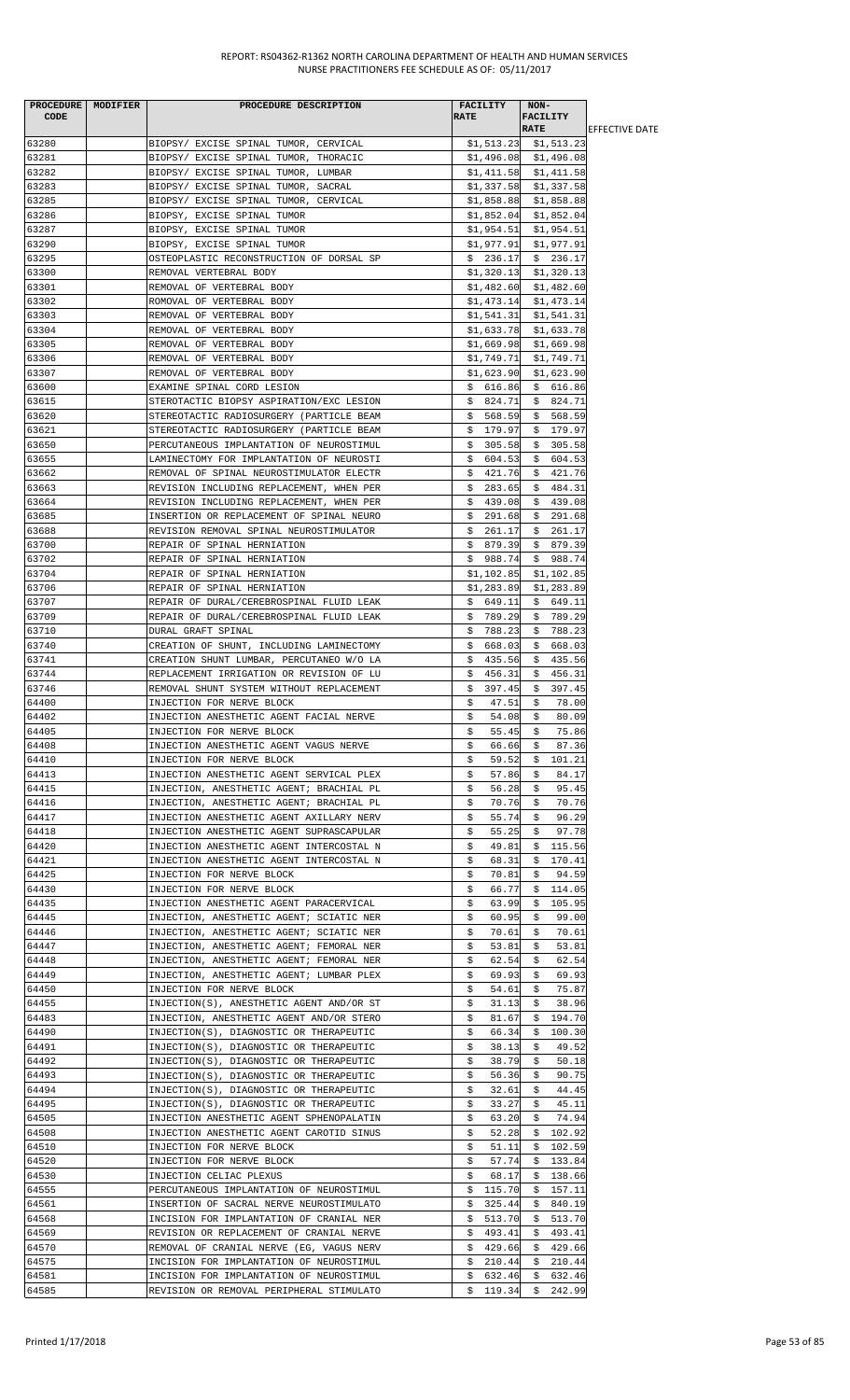|                | PROCEDURE MODIFIER | PROCEDURE DESCRIPTION                    | <b>FACILITY</b>            | NON-                       |                        |
|----------------|--------------------|------------------------------------------|----------------------------|----------------------------|------------------------|
| <b>CODE</b>    |                    |                                          | <b>RATE</b>                | <b>FACILITY</b>            |                        |
|                |                    |                                          |                            | <b>RATE</b>                | <b>IEFFECTIVE DATE</b> |
| 63280          |                    | BIOPSY/ EXCISE SPINAL TUMOR, CERVICAL    |                            | $$1,513.23$ $$1,513.23$    |                        |
| 63281          |                    | BIOPSY/ EXCISE SPINAL TUMOR, THORACIC    |                            | $$1,496.08$ $$1,496.08$    |                        |
| 63282          |                    | BIOPSY/ EXCISE SPINAL TUMOR, LUMBAR      |                            | $$1,411.58$ $$1,411.58$    |                        |
| 63283          |                    | BIOPSY/ EXCISE SPINAL TUMOR, SACRAL      |                            | $$1,337.58$ $$1,337.58$    |                        |
| 63285          |                    | BIOPSY/ EXCISE SPINAL TUMOR, CERVICAL    | \$1,858.88                 | \$1,858.88                 |                        |
| 63286          |                    | BIOPSY, EXCISE SPINAL TUMOR              | \$1,852.04                 | \$1,852.04                 |                        |
| 63287          |                    | BIOPSY, EXCISE SPINAL TUMOR              | \$1,954.51                 | \$1,954.51                 |                        |
| 63290          |                    | BIOPSY, EXCISE SPINAL TUMOR              | \$1,977.91                 | \$1,977.91                 |                        |
| 63295          |                    | OSTEOPLASTIC RECONSTRUCTION OF DORSAL SP | \$236.17                   | \$236.17                   |                        |
| 63300          |                    | REMOVAL VERTEBRAL BODY                   | \$1,320.13                 | \$1,320.13                 |                        |
| 63301          |                    | REMOVAL OF VERTEBRAL BODY                |                            | $$1,482.60$ $$1,482.60$    |                        |
| 63302          |                    | ROMOVAL OF VERTEBRAL BODY                | \$1,473.14                 | \$1,473.14                 |                        |
| 63303          |                    | REMOVAL OF VERTEBRAL BODY                | \$1,541.31                 | \$1,541.31                 |                        |
| 63304          |                    | REMOVAL OF VERTEBRAL BODY                | \$1,633.78                 | \$1,633.78                 |                        |
| 63305          |                    | REMOVAL OF VERTEBRAL BODY                | \$1,669.98                 | \$1,669.98                 |                        |
| 63306          |                    | REMOVAL OF VERTEBRAL BODY                | \$1,749.71                 | \$1,749.71                 |                        |
| 63307          |                    | REMOVAL OF VERTEBRAL BODY                | \$1,623.90                 | \$1,623.90                 |                        |
| 63600          |                    | EXAMINE SPINAL CORD LESION               | \$616.86                   | \$616.86                   |                        |
| 63615          |                    | STEROTACTIC BIOPSY ASPIRATION/EXC LESION | \$824.71                   | \$824.71                   |                        |
|                |                    |                                          | \$568.59                   |                            |                        |
| 63620          |                    | STEREOTACTIC RADIOSURGERY (PARTICLE BEAM |                            | \$568.59                   |                        |
| 63621          |                    | STEREOTACTIC RADIOSURGERY (PARTICLE BEAM | \$179.97                   | \$179.97                   |                        |
| 63650          |                    | PERCUTANEOUS IMPLANTATION OF NEUROSTIMUL | \$<br>305.58               | \$305.58                   |                        |
| 63655          |                    | LAMINECTOMY FOR IMPLANTATION OF NEUROSTI | 604.53<br>\$               | 604.53<br>\$.              |                        |
| 63662          |                    | REMOVAL OF SPINAL NEUROSTIMULATOR ELECTR | 421.76<br>Ş.               | \$421.76                   |                        |
| 63663          |                    | REVISION INCLUDING REPLACEMENT, WHEN PER | \$283.65                   | \$484.31                   |                        |
| 63664          |                    | REVISION INCLUDING REPLACEMENT, WHEN PER | \$<br>439.08               | \$<br>439.08               |                        |
| 63685          |                    | INSERTION OR REPLACEMENT OF SPINAL NEURO | 291.68<br>Ş.               | \$291.68                   |                        |
| 63688          |                    | REVISION REMOVAL SPINAL NEUROSTIMULATOR  | \$261.17                   | \$261.17                   |                        |
| 63700          |                    | REPAIR OF SPINAL HERNIATION              | \$879.39                   | \$879.39                   |                        |
| 63702          |                    | REPAIR OF SPINAL HERNIATION              | \$.<br>988.74              | \$988.74                   |                        |
| 63704          |                    | REPAIR OF SPINAL HERNIATION              | \$1,102.85                 | \$1,102.85                 |                        |
| 63706          |                    | REPAIR OF SPINAL HERNIATION              | \$1,283.89                 | \$1,283.89                 |                        |
| 63707          |                    | REPAIR OF DURAL/CEREBROSPINAL FLUID LEAK | \$649.11                   | \$649.11                   |                        |
| 63709          |                    | REPAIR OF DURAL/CEREBROSPINAL FLUID LEAK | \$789.29                   | \$789.29                   |                        |
| 63710          |                    | DURAL GRAFT SPINAL                       | \$788.23                   | \$788.23                   |                        |
| 63740          |                    | CREATION OF SHUNT, INCLUDING LAMINECTOMY | \$668.03                   | \$668.03                   |                        |
| 63741          |                    | CREATION SHUNT LUMBAR, PERCUTANEO W/O LA | \$<br>435.56               | \$435.56                   |                        |
| 63744          |                    | REPLACEMENT IRRIGATION OR REVISION OF LU | \$.<br>456.31              | \$.<br>456.31              |                        |
| 63746          |                    | REMOVAL SHUNT SYSTEM WITHOUT REPLACEMENT | 397.45<br>Ş.               | 397.45<br>\$               |                        |
| 64400          |                    | INJECTION FOR NERVE BLOCK                | \$<br>47.51                | \$<br>78.00                |                        |
| 64402          |                    | INJECTION ANESTHETIC AGENT FACIAL NERVE  | \$<br>54.08                | \$<br>80.09                |                        |
| 64405          |                    | INJECTION FOR NERVE BLOCK                | 55.45<br>Ş.                | 75.86<br>Ş.                |                        |
| 64408          |                    | INJECTION ANESTHETIC AGENT VAGUS NERVE   | 66.66<br>Ş.                | 87.36<br>Ş.                |                        |
| 64410          |                    | INJECTION FOR NERVE BLOCK                | \$<br>59.52                | 101.21<br>\$               |                        |
| 64413          |                    | INJECTION ANESTHETIC AGENT SERVICAL PLEX | \$<br>57.86                | \$<br>84.17                |                        |
| 64415          |                    | INJECTION, ANESTHETIC AGENT; BRACHIAL PL | \$<br>56.28                | 95.45<br>\$                |                        |
| 64416          |                    | INJECTION, ANESTHETIC AGENT; BRACHIAL PL | 70.76<br>\$                | \$<br>70.76                |                        |
| 64417          |                    | INJECTION ANESTHETIC AGENT AXILLARY NERV | 55.74<br>\$                | 96.29<br>\$                |                        |
| 64418          |                    | INJECTION ANESTHETIC AGENT SUPRASCAPULAR | \$<br>55.25                | \$<br>97.78                |                        |
| 64420          |                    | INJECTION ANESTHETIC AGENT INTERCOSTAL N | \$<br>49.81                | \$<br>115.56               |                        |
| 64421          |                    | INJECTION ANESTHETIC AGENT INTERCOSTAL N | \$<br>68.31                | 170.41<br>\$               |                        |
| 64425          |                    | INJECTION FOR NERVE BLOCK                | \$<br>70.81                | \$<br>94.59                |                        |
| 64430          |                    | INJECTION FOR NERVE BLOCK                | 66.77<br>\$                | 114.05<br>\$               |                        |
| 64435          |                    | INJECTION ANESTHETIC AGENT PARACERVICAL  | \$<br>63.99                | 105.95<br>\$.              |                        |
| 64445          |                    | INJECTION, ANESTHETIC AGENT; SCIATIC NER | 60.95                      | 99.00<br>\$                |                        |
|                |                    |                                          | \$                         |                            |                        |
| 64446<br>64447 |                    | INJECTION, ANESTHETIC AGENT; SCIATIC NER | \$<br>70.61<br>\$<br>53.81 | \$<br>70.61<br>53.81<br>\$ |                        |
| 64448          |                    | INJECTION, ANESTHETIC AGENT; FEMORAL NER |                            |                            |                        |
|                |                    | INJECTION, ANESTHETIC AGENT; FEMORAL NER | \$<br>62.54                | \$<br>62.54                |                        |
| 64449          |                    | INJECTION, ANESTHETIC AGENT; LUMBAR PLEX | \$<br>69.93                | 69.93<br>Ş.                |                        |
| 64450          |                    | INJECTION FOR NERVE BLOCK                | \$<br>54.61                | \$<br>75.87                |                        |
| 64455          |                    | INJECTION(S), ANESTHETIC AGENT AND/OR ST | \$<br>31.13                | \$<br>38.96                |                        |
| 64483          |                    | INJECTION, ANESTHETIC AGENT AND/OR STERO | \$<br>81.67                | 194.70<br>\$.              |                        |
| 64490          |                    | INJECTION(S), DIAGNOSTIC OR THERAPEUTIC  | \$<br>66.34                | \$.<br>100.30              |                        |
| 64491          |                    | INJECTION(S), DIAGNOSTIC OR THERAPEUTIC  | 38.13<br>\$                | 49.52<br>\$                |                        |
| 64492          |                    | INJECTION(S), DIAGNOSTIC OR THERAPEUTIC  | \$<br>38.79                | \$<br>50.18                |                        |
| 64493          |                    | INJECTION(S), DIAGNOSTIC OR THERAPEUTIC  | \$<br>56.36                | \$<br>90.75                |                        |
| 64494          |                    | INJECTION(S), DIAGNOSTIC OR THERAPEUTIC  | \$<br>32.61                | \$<br>44.45                |                        |
| 64495          |                    | INJECTION(S), DIAGNOSTIC OR THERAPEUTIC  | \$<br>33.27                | 45.11<br>\$                |                        |
| 64505          |                    | INJECTION ANESTHETIC AGENT SPHENOPALATIN | \$<br>63.20                | \$<br>74.94                |                        |
| 64508          |                    | INJECTION ANESTHETIC AGENT CAROTID SINUS | 52.28<br>\$                | \$102.92                   |                        |
| 64510          |                    | INJECTION FOR NERVE BLOCK                | 51.11<br>\$                | \$102.59                   |                        |
| 64520          |                    | INJECTION FOR NERVE BLOCK                | \$<br>57.74                | \$<br>133.84               |                        |
| 64530          |                    | INJECTION CELIAC PLEXUS                  | \$<br>68.17                | 138.66<br>\$               |                        |
| 64555          |                    | PERCUTANEOUS IMPLANTATION OF NEUROSTIMUL | \$<br>115.70               | \$<br>157.11               |                        |
| 64561          |                    | INSERTION OF SACRAL NERVE NEUROSTIMULATO | 325.44<br>Ş.               | 840.19<br>Ş.               |                        |
| 64568          |                    | INCISION FOR IMPLANTATION OF CRANIAL NER | \$<br>513.70               | \$<br>513.70               |                        |
| 64569          |                    | REVISION OR REPLACEMENT OF CRANIAL NERVE | 493.41<br>Ş.               | 493.41<br>Ş.               |                        |
| 64570          |                    | REMOVAL OF CRANIAL NERVE (EG, VAGUS NERV | 429.66<br>S.               | 429.66<br>\$               |                        |
| 64575          |                    | INCISION FOR IMPLANTATION OF NEUROSTIMUL | 210.44<br>\$               | 210.44<br>\$               |                        |
| 64581          |                    | INCISION FOR IMPLANTATION OF NEUROSTIMUL | \$<br>632.46               | \$<br>632.46               |                        |
| 64585          |                    | REVISION OR REMOVAL PERIPHERAL STIMULATO | \$119.34                   | \$<br>242.99               |                        |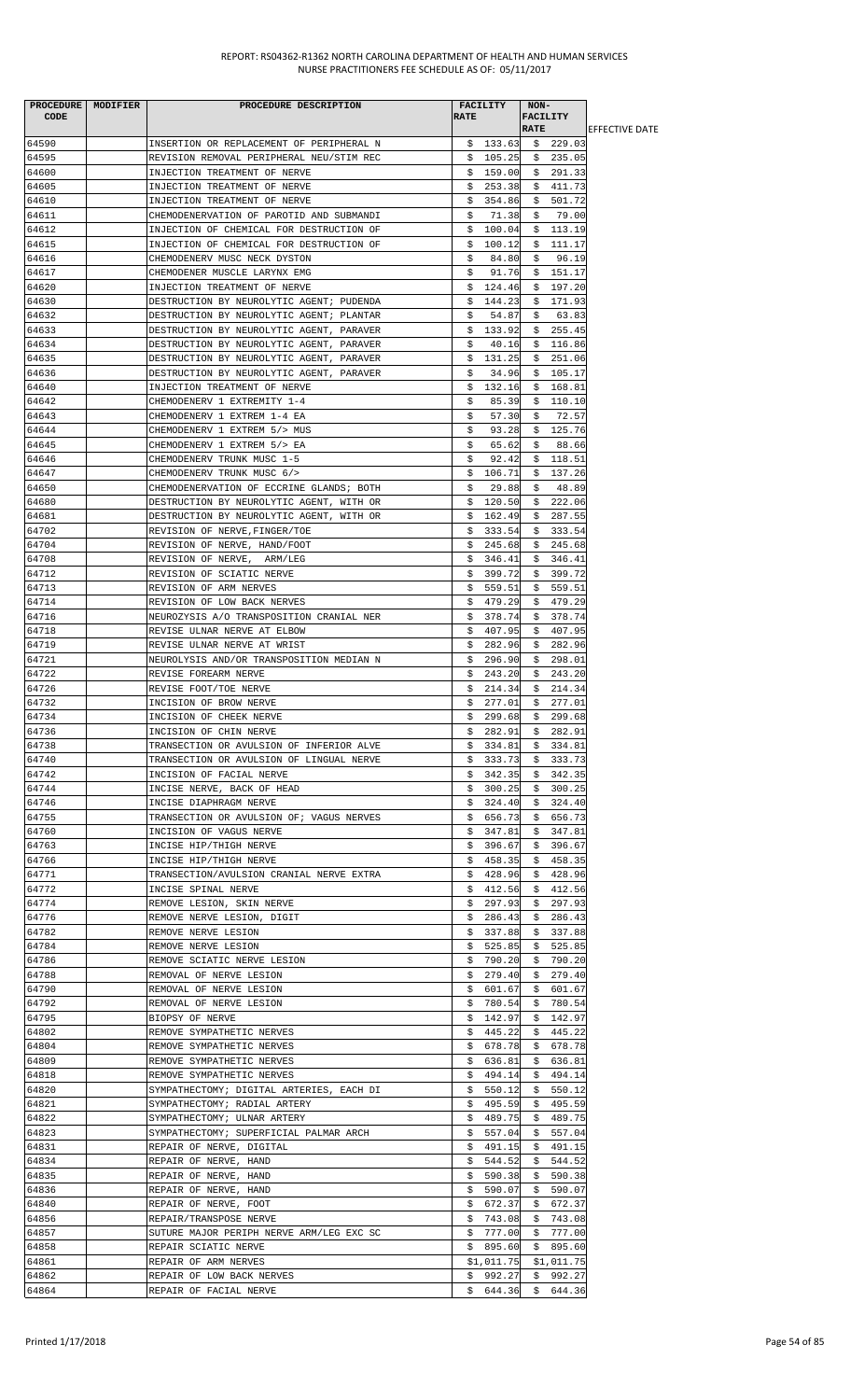| PROCEDURE MODIFIER | PROCEDURE DESCRIPTION                    |             | FACILITY   | NON-            |            |                        |
|--------------------|------------------------------------------|-------------|------------|-----------------|------------|------------------------|
| <b>CODE</b>        |                                          | <b>RATE</b> |            | <b>FACILITY</b> |            |                        |
|                    |                                          |             |            | <b>RATE</b>     |            | <b>IEFFECTIVE DATE</b> |
| 64590              | INSERTION OR REPLACEMENT OF PERIPHERAL N |             | \$133.63   |                 | \$229.03   |                        |
| 64595              | REVISION REMOVAL PERIPHERAL NEU/STIM REC |             | \$105.25   |                 | \$235.05   |                        |
| 64600              | INJECTION TREATMENT OF NERVE             |             | \$159.00   |                 | \$291.33   |                        |
| 64605              | INJECTION TREATMENT OF NERVE             |             | \$253.38   |                 | \$411.73   |                        |
| 64610              | INJECTION TREATMENT OF NERVE             | \$          | 354.86     | \$              | 501.72     |                        |
| 64611              | CHEMODENERVATION OF PAROTID AND SUBMANDI | \$          | 71.38      | \$              | 79.00      |                        |
| 64612              | INJECTION OF CHEMICAL FOR DESTRUCTION OF | \$          | 100.04     |                 | \$113.19   |                        |
| 64615              | INJECTION OF CHEMICAL FOR DESTRUCTION OF | \$          | 100.12     | \$.             | 111.17     |                        |
| 64616              | CHEMODENERV MUSC NECK DYSTON             | Ş.          | 84.80      | Ş.              | 96.19      |                        |
| 64617              | CHEMODENER MUSCLE LARYNX EMG             | \$          | 91.76      |                 | \$151.17   |                        |
| 64620              | INJECTION TREATMENT OF NERVE             |             | \$124.46   |                 | \$197.20   |                        |
| 64630              | DESTRUCTION BY NEUROLYTIC AGENT; PUDENDA | \$          | 144.23     |                 | \$171.93   |                        |
| 64632              | DESTRUCTION BY NEUROLYTIC AGENT; PLANTAR | \$          | 54.87      | \$              | 63.83      |                        |
| 64633              |                                          |             |            |                 | 255.45     |                        |
|                    | DESTRUCTION BY NEUROLYTIC AGENT, PARAVER | \$          | 133.92     | \$              |            |                        |
| 64634              | DESTRUCTION BY NEUROLYTIC AGENT, PARAVER | \$          | 40.16      | \$.             | 116.86     |                        |
| 64635              | DESTRUCTION BY NEUROLYTIC AGENT, PARAVER | \$.         | 131.25     | \$              | 251.06     |                        |
| 64636              | DESTRUCTION BY NEUROLYTIC AGENT, PARAVER | s           | 34.96      |                 | \$105.17   |                        |
| 64640              | INJECTION TREATMENT OF NERVE             | Ş.          | 132.16     |                 | \$168.81   |                        |
| 64642              | CHEMODENERV 1 EXTREMITY 1-4              | \$          | 85.39      |                 | \$110.10   |                        |
| 64643              | CHEMODENERV 1 EXTREM 1-4 EA              | \$          | 57.30      | - \$            | 72.57      |                        |
| 64644              | CHEMODENERV 1 EXTREM 5/> MUS             | Ş.          | 93.28      |                 | \$125.76   |                        |
| 64645              | CHEMODENERV 1 EXTREM 5/> EA              | \$          | 65.62      | \$              | 88.66      |                        |
| 64646              | CHEMODENERV TRUNK MUSC 1-5               | \$          | 92.42      | \$              | 118.51     |                        |
| 64647              | CHEMODENERV TRUNK MUSC 6/>               | \$          | 106.71     | \$              | 137.26     |                        |
| 64650              | CHEMODENERVATION OF ECCRINE GLANDS; BOTH | Ş.          | 29.88      | \$              | 48.89      |                        |
| 64680              | DESTRUCTION BY NEUROLYTIC AGENT, WITH OR | \$          | 120.50     | \$              | 222.06     |                        |
| 64681              | DESTRUCTION BY NEUROLYTIC AGENT, WITH OR | Ş.          | 162.49     |                 | \$287.55   |                        |
| 64702              | REVISION OF NERVE, FINGER/TOE            |             | \$333.54   |                 | \$333.54   |                        |
| 64704              | REVISION OF NERVE, HAND/FOOT             |             | \$245.68   |                 | \$245.68   |                        |
| 64708              | REVISION OF NERVE, ARM/LEG               | \$          | 346.41     | \$              | 346.41     |                        |
| 64712              | REVISION OF SCIATIC NERVE                |             | 399.72     | \$              | 399.72     |                        |
| 64713              |                                          | Ş.          |            |                 | 559.51     |                        |
|                    | REVISION OF ARM NERVES                   | Ş.          | 559.51     | \$              |            |                        |
| 64714              | REVISION OF LOW BACK NERVES              | \$.         | 479.29     | \$              | 479.29     |                        |
| 64716              | NEUROZYSIS A/O TRANSPOSITION CRANIAL NER | Ş.          | 378.74     | Ş.              | 378.74     |                        |
| 64718              | REVISE ULNAR NERVE AT ELBOW              | S.          | 407.95     | \$              | 407.95     |                        |
| 64719              | REVISE ULNAR NERVE AT WRIST              |             | \$282.96   |                 | \$282.96   |                        |
| 64721              | NEUROLYSIS AND/OR TRANSPOSITION MEDIAN N | \$.         | 296.90     |                 | \$298.01   |                        |
| 64722              | REVISE FOREARM NERVE                     | \$.         | 243.20     | \$              | 243.20     |                        |
| 64726              | REVISE FOOT/TOE NERVE                    | \$.         | 214.34     | \$              | 214.34     |                        |
| 64732              | INCISION OF BROW NERVE                   | \$          | 277.01     | \$              | 277.01     |                        |
| 64734              | INCISION OF CHEEK NERVE                  | \$          | 299.68     | \$              | 299.68     |                        |
| 64736              | INCISION OF CHIN NERVE                   |             | \$282.91   |                 | \$282.91   |                        |
| 64738              | TRANSECTION OR AVULSION OF INFERIOR ALVE |             | \$334.81   |                 | \$334.81   |                        |
| 64740              | TRANSECTION OR AVULSION OF LINGUAL NERVE |             | \$333.73   | Ş.              | 333.73     |                        |
| 64742              | INCISION OF FACIAL NERVE                 | Ş.          | 342.35     |                 | \$342.35   |                        |
| 64744              | INCISE NERVE, BACK OF HEAD               |             | \$300.25   |                 | \$300.25   |                        |
| 64746              | INCISE DIAPHRAGM NERVE                   | \$          | 324.40     | \$.             | 324.40     |                        |
| 64755              | TRANSECTION OR AVULSION OF; VAGUS NERVES | \$          | 656.73     | \$              | 656.73     |                        |
| 64760              | INCISION OF VAGUS NERVE                  | Ş.          | 347.81     | S.              | 347.81     |                        |
|                    | INCISE HIP/THIGH NERVE                   |             | 396.67     |                 |            |                        |
| 64763              |                                          | Ş.          |            | Ş.              | 396.67     |                        |
| 64766              | INCISE HIP/THIGH NERVE                   | Ş.          | 458.35     | S.              | 458.35     |                        |
| 64771              | TRANSECTION/AVULSION CRANIAL NERVE EXTRA | Ş.          | 428.96     | Ş.              | 428.96     |                        |
| 64772              | INCISE SPINAL NERVE                      |             | \$412.56   |                 | \$412.56   |                        |
| 64774              | REMOVE LESION, SKIN NERVE                | \$          | 297.93     | \$              | 297.93     |                        |
| 64776              | REMOVE NERVE LESION, DIGIT               | \$.         | 286.43     | \$              | 286.43     |                        |
| 64782              | REMOVE NERVE LESION                      | Ş.          | 337.88     | Ş.              | 337.88     |                        |
| 64784              | REMOVE NERVE LESION                      | Ş.          | 525.85     | Ş.              | 525.85     |                        |
| 64786              | REMOVE SCIATIC NERVE LESION              | \$          | 790.20     | \$              | 790.20     |                        |
| 64788              | REMOVAL OF NERVE LESION                  | Ş.          | 279.40     | Ş.              | 279.40     |                        |
| 64790              | REMOVAL OF NERVE LESION                  |             | \$601.67   | S.              | 601.67     |                        |
| 64792              | REMOVAL OF NERVE LESION                  | Ş.          | 780.54     |                 | \$780.54   |                        |
| 64795              | BIOPSY OF NERVE                          | \$          | 142.97     | \$.             | 142.97     |                        |
| 64802              | REMOVE SYMPATHETIC NERVES                | Ş.          | 445.22     | Ş.              | 445.22     |                        |
| 64804              | REMOVE SYMPATHETIC NERVES                | Ş.          | 678.78     | \$              | 678.78     |                        |
| 64809              | REMOVE SYMPATHETIC NERVES                | Ş.          | 636.81     | \$              | 636.81     |                        |
| 64818              | REMOVE SYMPATHETIC NERVES                | Ş.          | 494.14     | Ş.              | 494.14     |                        |
| 64820              | SYMPATHECTOMY; DIGITAL ARTERIES, EACH DI |             | \$550.12   | Ş.              | 550.12     |                        |
| 64821              | SYMPATHECTOMY; RADIAL ARTERY             | Ş.          | 495.59     |                 | \$495.59   |                        |
| 64822              | SYMPATHECTOMY; ULNAR ARTERY              | S.          | 489.75     | \$              | 489.75     |                        |
| 64823              | SYMPATHECTOMY; SUPERFICIAL PALMAR ARCH   | Ş.          | 557.04     | Ş.              | 557.04     |                        |
|                    |                                          |             |            |                 |            |                        |
| 64831              | REPAIR OF NERVE, DIGITAL                 | S.          | 491.15     | Ş.              | 491.15     |                        |
| 64834              | REPAIR OF NERVE, HAND                    | \$          | 544.52     | \$.             | 544.52     |                        |
| 64835              | REPAIR OF NERVE, HAND                    | Ş.          | 590.38     | Ş.              | 590.38     |                        |
| 64836              | REPAIR OF NERVE, HAND                    | Ş.          | 590.07     | Ş.              | 590.07     |                        |
| 64840              | REPAIR OF NERVE, FOOT                    |             | \$672.37   |                 | \$672.37   |                        |
| 64856              | REPAIR/TRANSPOSE NERVE                   | S.          | 743.08     |                 | \$743.08   |                        |
| 64857              | SUTURE MAJOR PERIPH NERVE ARM/LEG EXC SC | Ş.          | 777.00     | Ş.              | 777.00     |                        |
| 64858              | REPAIR SCIATIC NERVE                     |             | \$895.60   |                 | \$895.60   |                        |
| 64861              | REPAIR OF ARM NERVES                     |             | \$1,011.75 |                 | \$1,011.75 |                        |
| 64862              | REPAIR OF LOW BACK NERVES                | \$          | 992.27     |                 | \$992.27   |                        |
| 64864              | REPAIR OF FACIAL NERVE                   |             | \$644.36   |                 | \$644.36   |                        |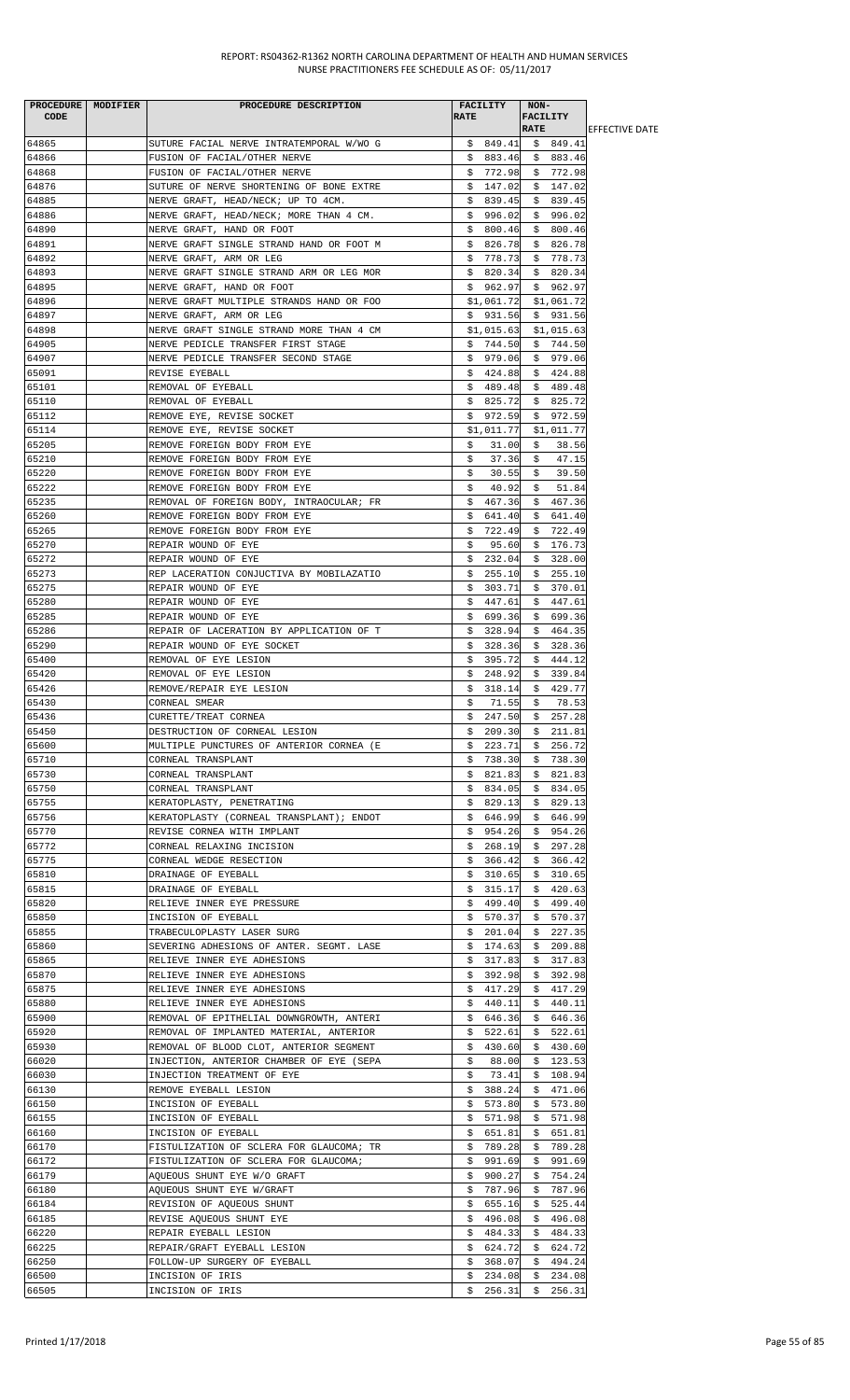| PROCEDURE MODIFIER<br><b>CODE</b> | PROCEDURE DESCRIPTION                                                              | FACILITY<br><b>RATE</b>       | NON-<br><b>FACILITY</b><br><b>RATE</b> | <b>IEFFECTIVE DATE</b> |
|-----------------------------------|------------------------------------------------------------------------------------|-------------------------------|----------------------------------------|------------------------|
| 64865                             | SUTURE FACIAL NERVE INTRATEMPORAL W/WO G                                           | \$849.41                      | \$849.41                               |                        |
| 64866                             | FUSION OF FACIAL/OTHER NERVE                                                       | \$ 883.46                     | \$883.46                               |                        |
| 64868                             | FUSION OF FACIAL/OTHER NERVE                                                       | \$772.98                      | \$772.98                               |                        |
| 64876                             | SUTURE OF NERVE SHORTENING OF BONE EXTRE                                           | \$147.02                      | \$147.02                               |                        |
| 64885                             | NERVE GRAFT, HEAD/NECK; UP TO 4CM.                                                 | 839.45<br>Ş.                  | \$839.45                               |                        |
| 64886<br>64890                    | NERVE GRAFT, HEAD/NECK; MORE THAN 4 CM.<br>NERVE GRAFT, HAND OR FOOT               | \$996.02<br>\$800.46          | \$996.02<br>\$800.46                   |                        |
| 64891                             | NERVE GRAFT SINGLE STRAND HAND OR FOOT M                                           | \$826.78                      | \$826.78                               |                        |
| 64892                             | NERVE GRAFT, ARM OR LEG                                                            | \$778.73                      | \$778.73                               |                        |
| 64893                             | NERVE GRAFT SINGLE STRAND ARM OR LEG MOR                                           | \$820.34                      | \$820.34                               |                        |
| 64895                             | NERVE GRAFT, HAND OR FOOT                                                          | \$962.97                      | \$962.97                               |                        |
| 64896<br>64897                    | NERVE GRAFT MULTIPLE STRANDS HAND OR FOO                                           | \$1,061.72                    | \$1,061.72                             |                        |
| 64898                             | NERVE GRAFT, ARM OR LEG<br>NERVE GRAFT SINGLE STRAND MORE THAN 4 CM                | \$931.56<br>\$1,015.63        | \$931.56<br>\$1,015.63                 |                        |
| 64905                             | NERVE PEDICLE TRANSFER FIRST STAGE                                                 | \$744.50                      | \$744.50                               |                        |
| 64907                             | NERVE PEDICLE TRANSFER SECOND STAGE                                                | \$979.06                      | \$979.06                               |                        |
| 65091                             | REVISE EYEBALL                                                                     | \$424.88                      | \$424.88                               |                        |
| 65101                             | REMOVAL OF EYEBALL                                                                 | 489.48<br>S.                  | 489.48<br>Ş.                           |                        |
| 65110<br>65112                    | REMOVAL OF EYEBALL<br>REMOVE EYE, REVISE SOCKET                                    | 825.72<br>Ş.<br>\$972.59      | \$825.72<br>\$972.59                   |                        |
| 65114                             | REMOVE EYE, REVISE SOCKET                                                          | \$1,011.77                    | \$1,011.77                             |                        |
| 65205                             | REMOVE FOREIGN BODY FROM EYE                                                       | \$<br>31.00                   | \$<br>38.56                            |                        |
| 65210                             | REMOVE FOREIGN BODY FROM EYE                                                       | 37.36<br>Ş.                   | 47.15<br>Ş.                            |                        |
| 65220                             | REMOVE FOREIGN BODY FROM EYE                                                       | \$<br>30.55                   | 39.50<br>\$                            |                        |
| 65222                             | REMOVE FOREIGN BODY FROM EYE                                                       | \$<br>40.92                   | \$<br>51.84                            |                        |
| 65235                             | REMOVAL OF FOREIGN BODY, INTRAOCULAR; FR                                           | 467.36<br>Ş.                  | Ş.<br>467.36                           |                        |
| 65260<br>65265                    | REMOVE FOREIGN BODY FROM EYE<br>REMOVE FOREIGN BODY FROM EYE                       | S.<br>641.40<br>722.49<br>Ş.  | \$641.40<br>\$722.49                   |                        |
| 65270                             | REPAIR WOUND OF EYE                                                                | 95.60<br>\$                   | \$176.73                               |                        |
| 65272                             | REPAIR WOUND OF EYE                                                                | \$<br>232.04                  | 328.00<br>Ş.                           |                        |
| 65273                             | REP LACERATION CONJUCTIVA BY MOBILAZATIO                                           | 255.10<br>Ş.                  | \$255.10                               |                        |
| 65275                             | REPAIR WOUND OF EYE                                                                | \$<br>303.71                  | 370.01<br>\$                           |                        |
| 65280                             | REPAIR WOUND OF EYE                                                                | 447.61<br>Ş.                  | 447.61<br>Ş.                           |                        |
| 65285<br>65286                    | REPAIR WOUND OF EYE<br>REPAIR OF LACERATION BY APPLICATION OF T                    | 699.36<br>S.<br>328.94        | \$699.36<br>\$464.35                   |                        |
| 65290                             | REPAIR WOUND OF EYE SOCKET                                                         | Ş.<br>328.36<br>Ş.            | \$<br>328.36                           |                        |
| 65400                             | REMOVAL OF EYE LESION                                                              | 395.72<br>Ş.                  | \$444.12                               |                        |
| 65420                             | REMOVAL OF EYE LESION                                                              | 248.92<br>S.                  | \$339.84                               |                        |
| 65426                             | REMOVE/REPAIR EYE LESION                                                           | \$.<br>318.14                 | \$429.77                               |                        |
| 65430                             | CORNEAL SMEAR                                                                      | \$<br>71.55                   | \$<br>78.53                            |                        |
| 65436<br>65450                    | CURETTE/TREAT CORNEA                                                               | \$<br>247.50<br>\$209.30      | \$<br>257.28                           |                        |
| 65600                             | DESTRUCTION OF CORNEAL LESION<br>MULTIPLE PUNCTURES OF ANTERIOR CORNEA (E          | \$<br>223.71                  | \$211.81<br>\$256.72                   |                        |
| 65710                             | CORNEAL TRANSPLANT                                                                 | Ş.                            | 738.30 \$ 738.30                       |                        |
| 65730                             | CORNEAL TRANSPLANT                                                                 | \$821.83                      | \$ 821.83                              |                        |
| 65750                             | CORNEAL TRANSPLANT                                                                 | \$834.05                      | \$834.05                               |                        |
| 65755                             | KERATOPLASTY, PENETRATING                                                          | \$<br>829.13                  | \$<br>829.13                           |                        |
| 65756<br>65770                    | KERATOPLASTY (CORNEAL TRANSPLANT); ENDOT<br>REVISE CORNEA WITH IMPLANT             | 646.99<br>Ş.<br>\$954.26      | \$<br>646.99<br>\$954.26               |                        |
| 65772                             | CORNEAL RELAXING INCISION                                                          | \$.<br>268.19                 | \$297.28                               |                        |
| 65775                             | CORNEAL WEDGE RESECTION                                                            | 366.42<br>Ş.                  | 366.42<br>Ş.                           |                        |
| 65810                             | DRAINAGE OF EYEBALL                                                                | \$310.65                      | \$310.65                               |                        |
| 65815                             | DRAINAGE OF EYEBALL                                                                | \$315.17                      | \$420.63                               |                        |
| 65820                             | RELIEVE INNER EYE PRESSURE                                                         | 499.40<br>\$                  | \$499.40                               |                        |
| 65850                             | INCISION OF EYEBALL                                                                | 570.37<br>Ş.                  | \$570.37                               |                        |
| 65855<br>65860                    | TRABECULOPLASTY LASER SURG<br>SEVERING ADHESIONS OF ANTER. SEGMT. LASE             | 201.04<br>Ş.<br>174.63<br>\$. | 227.35<br>\$.<br>209.88<br>\$          |                        |
| 65865                             | RELIEVE INNER EYE ADHESIONS                                                        | \$<br>317.83                  | \$<br>317.83                           |                        |
| 65870                             | RELIEVE INNER EYE ADHESIONS                                                        | 392.98<br>Ş.                  | \$<br>392.98                           |                        |
| 65875                             | RELIEVE INNER EYE ADHESIONS                                                        | \$417.29                      | \$417.29                               |                        |
| 65880                             | RELIEVE INNER EYE ADHESIONS                                                        | \$440.11                      | \$440.11                               |                        |
| 65900                             | REMOVAL OF EPITHELIAL DOWNGROWTH, ANTERI                                           |                               | $$646.36$ \$646.36                     |                        |
| 65920<br>65930                    | REMOVAL OF IMPLANTED MATERIAL, ANTERIOR<br>REMOVAL OF BLOOD CLOT, ANTERIOR SEGMENT | \$522.61<br>\$430.60          | \$522.61<br>\$430.60                   |                        |
| 66020                             | INJECTION, ANTERIOR CHAMBER OF EYE (SEPA                                           | \$.<br>88.00                  | 123.53<br>\$                           |                        |
| 66030                             | INJECTION TREATMENT OF EYE                                                         | \$<br>73.41                   | \$.<br>108.94                          |                        |
| 66130                             | REMOVE EYEBALL LESION                                                              | 388.24<br>Ş.                  | \$471.06                               |                        |
| 66150                             | INCISION OF EYEBALL                                                                | 573.80<br>Ş.                  | \$<br>573.80                           |                        |
| 66155<br>66160                    | INCISION OF EYEBALL<br>INCISION OF EYEBALL                                         | 571.98<br>Ş.<br>651.81<br>S.  | \$571.98<br>\$651.81                   |                        |
| 66170                             | FISTULIZATION OF SCLERA FOR GLAUCOMA; TR                                           | \$789.28                      | \$789.28                               |                        |
| 66172                             | FISTULIZATION OF SCLERA FOR GLAUCOMA;                                              | 991.69<br>\$.                 | 991.69<br>\$                           |                        |
| 66179                             | AQUEOUS SHUNT EYE W/O GRAFT                                                        | 900.27<br>Ş.                  | \$<br>754.24                           |                        |
| 66180                             | AQUEOUS SHUNT EYE W/GRAFT                                                          | 787.96<br>Ş.                  | \$787.96                               |                        |
| 66184                             | REVISION OF AQUEOUS SHUNT                                                          | 655.16<br>Ş.                  | \$<br>525.44                           |                        |
| 66185                             | REVISE AQUEOUS SHUNT EYE<br>REPAIR EYEBALL LESION                                  | 496.08<br>Ş.                  | \$496.08                               |                        |
| 66220<br>66225                    | REPAIR/GRAFT EYEBALL LESION                                                        | \$484.33<br>\$624.72          | \$484.33<br>\$624.72                   |                        |
| 66250                             | FOLLOW-UP SURGERY OF EYEBALL                                                       | \$368.07                      | \$494.24                               |                        |
| 66500                             | INCISION OF IRIS                                                                   | 234.08<br>Ş.                  | \$234.08                               |                        |
| 66505                             | INCISION OF IRIS                                                                   |                               | $\frac{1}{2}$ 256.31 \$ 256.31         |                        |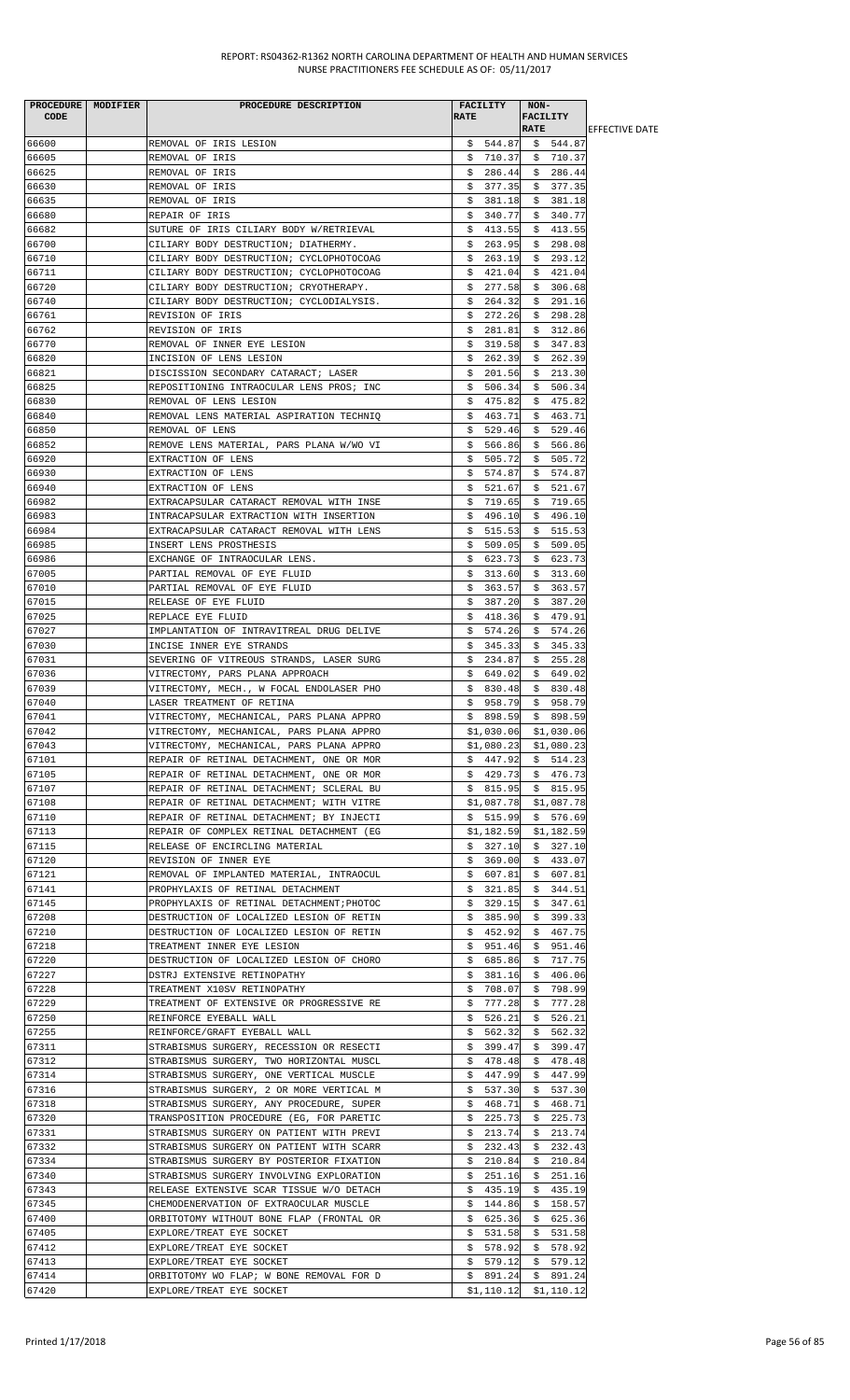| PROCEDURE MODIFIER<br><b>CODE</b> | PROCEDURE DESCRIPTION                                                                | <b>RATE</b> | FACILITY               | NON-<br><b>FACILITY</b><br><b>RATE</b> |                         |                        |
|-----------------------------------|--------------------------------------------------------------------------------------|-------------|------------------------|----------------------------------------|-------------------------|------------------------|
| 66600                             | REMOVAL OF IRIS LESION                                                               |             | \$544.87               |                                        | \$544.87                | <b>IEFFECTIVE DATE</b> |
| 66605                             | REMOVAL OF IRIS                                                                      |             | \$710.37               |                                        | \$710.37                |                        |
| 66625                             | REMOVAL OF IRIS                                                                      |             | \$286.44               |                                        | \$286.44                |                        |
| 66630                             | REMOVAL OF IRIS                                                                      | \$          | 377.35                 |                                        | \$377.35                |                        |
| 66635                             | REMOVAL OF IRIS                                                                      | \$          | 381.18                 | \$                                     | 381.18                  |                        |
| 66680                             | REPAIR OF IRIS                                                                       | Ş.          | 340.77                 |                                        | \$340.77                |                        |
| 66682                             | SUTURE OF IRIS CILIARY BODY W/RETRIEVAL                                              | \$          | 413.55                 |                                        | \$413.55                |                        |
| 66700                             | CILIARY BODY DESTRUCTION; DIATHERMY.                                                 | Ş.          | 263.95                 |                                        | \$298.08                |                        |
| 66710                             | CILIARY BODY DESTRUCTION; CYCLOPHOTOCOAG                                             | S.          | 263.19                 |                                        | \$293.12                |                        |
| 66711                             | CILIARY BODY DESTRUCTION; CYCLOPHOTOCOAG                                             |             | \$421.04               |                                        | \$421.04                |                        |
| 66720<br>66740                    | CILIARY BODY DESTRUCTION; CRYOTHERAPY.<br>CILIARY BODY DESTRUCTION; CYCLODIALYSIS.   | S.          | 277.58<br>\$264.32     |                                        | \$306.68<br>\$291.16    |                        |
| 66761                             | REVISION OF IRIS                                                                     | Ş.          | 272.26                 |                                        | \$298.28                |                        |
| 66762                             | REVISION OF IRIS                                                                     | \$          | 281.81                 |                                        | \$312.86                |                        |
| 66770                             | REMOVAL OF INNER EYE LESION                                                          | \$          | 319.58                 | \$                                     | 347.83                  |                        |
| 66820                             | INCISION OF LENS LESION                                                              | \$          | 262.39                 |                                        | \$262.39                |                        |
| 66821                             | DISCISSION SECONDARY CATARACT; LASER                                                 | Ş.          | 201.56                 |                                        | \$213.30                |                        |
| 66825                             | REPOSITIONING INTRAOCULAR LENS PROS; INC                                             | S.          | 506.34                 | S.                                     | 506.34                  |                        |
| 66830                             | REMOVAL OF LENS LESION                                                               |             | \$475.82               |                                        | \$475.82                |                        |
| 66840                             | REMOVAL LENS MATERIAL ASPIRATION TECHNIQ                                             |             | \$463.71               |                                        | \$463.71                |                        |
| 66850                             | REMOVAL OF LENS                                                                      |             | \$529.46               |                                        | \$529.46                |                        |
| 66852                             | REMOVE LENS MATERIAL, PARS PLANA W/WO VI                                             | \$          | 566.86                 | \$                                     | 566.86                  |                        |
| 66920<br>66930                    | EXTRACTION OF LENS<br>EXTRACTION OF LENS                                             | Ş.          | 505.72<br>\$574.87     |                                        | \$505.72<br>\$574.87    |                        |
| 66940                             | EXTRACTION OF LENS                                                                   | \$          | 521.67                 |                                        | \$521.67                |                        |
| 66982                             | EXTRACAPSULAR CATARACT REMOVAL WITH INSE                                             | Ş.          | 719.65                 |                                        | \$719.65                |                        |
| 66983                             | INTRACAPSULAR EXTRACTION WITH INSERTION                                              |             | \$496.10               |                                        | \$496.10                |                        |
| 66984                             | EXTRACAPSULAR CATARACT REMOVAL WITH LENS                                             |             | \$515.53               |                                        | \$515.53                |                        |
| 66985                             | INSERT LENS PROSTHESIS                                                               | \$          | 509.05                 |                                        | \$509.05                |                        |
| 66986                             | EXCHANGE OF INTRAOCULAR LENS.                                                        | \$          | 623.73                 | \$                                     | 623.73                  |                        |
| 67005                             | PARTIAL REMOVAL OF EYE FLUID                                                         | Ş.          | 313.60                 |                                        | \$313.60                |                        |
| 67010                             | PARTIAL REMOVAL OF EYE FLUID                                                         | \$          | 363.57                 |                                        | \$363.57                |                        |
| 67015                             | RELEASE OF EYE FLUID                                                                 | S.          | 387.20                 | Ş.                                     | 387.20                  |                        |
| 67025                             | REPLACE EYE FLUID                                                                    | S.          | 418.36                 | S.                                     | 479.91                  |                        |
| 67027                             | IMPLANTATION OF INTRAVITREAL DRUG DELIVE                                             |             | \$574.26               |                                        | \$574.26                |                        |
| 67030<br>67031                    | INCISE INNER EYE STRANDS<br>SEVERING OF VITREOUS STRANDS, LASER SURG                 |             | \$345.33<br>\$234.87   | \$.                                    | \$345.33<br>255.28      |                        |
| 67036                             | VITRECTOMY, PARS PLANA APPROACH                                                      |             | \$649.02               |                                        | \$649.02                |                        |
| 67039                             | VITRECTOMY, MECH., W FOCAL ENDOLASER PHO                                             |             | \$830.48               |                                        | \$830.48                |                        |
| 67040                             | LASER TREATMENT OF RETINA                                                            | \$.         | 958.79                 | \$                                     | 958.79                  |                        |
| 67041                             | VITRECTOMY, MECHANICAL, PARS PLANA APPRO                                             |             | \$898.59               | \$                                     | 898.59                  |                        |
| 67042                             | VITRECTOMY, MECHANICAL, PARS PLANA APPRO                                             |             | \$1,030.06             |                                        | \$1,030.06              |                        |
| 67043                             | VITRECTOMY, MECHANICAL, PARS PLANA APPRO                                             |             | \$1,080.23             |                                        | \$1,080.23              |                        |
| 67101                             | REPAIR OF RETINAL DETACHMENT, ONE OR MOR                                             |             | \$447.92               |                                        | \$514.23                |                        |
| 67105                             | REPAIR OF RETINAL DETACHMENT, ONE OR MOR                                             |             | \$429.73               |                                        | \$476.73                |                        |
| 67107                             | REPAIR OF RETINAL DETACHMENT; SCLERAL BU                                             |             | \$815.95               |                                        | \$ 815.95               |                        |
| 67108                             | REPAIR OF RETINAL DETACHMENT; WITH VITRE                                             |             | \$1,087.78             |                                        | \$1,087.78              |                        |
| 67110<br>67113                    | REPAIR OF RETINAL DETACHMENT; BY INJECTI                                             |             | \$515.99               |                                        | \$576.69                |                        |
| 67115                             | REPAIR OF COMPLEX RETINAL DETACHMENT (EG<br>RELEASE OF ENCIRCLING MATERIAL           |             | \$1,182.59<br>\$327.10 |                                        | \$1,182.59<br>\$327.10  |                        |
| 67120                             | REVISION OF INNER EYE                                                                |             | \$369.00               |                                        | \$433.07                |                        |
| 67121                             | REMOVAL OF IMPLANTED MATERIAL, INTRAOCUL                                             |             | \$607.81               |                                        | \$607.81                |                        |
| 67141                             | PROPHYLAXIS OF RETINAL DETACHMENT                                                    |             | \$321.85               |                                        | \$344.51                |                        |
| 67145                             | PROPHYLAXIS OF RETINAL DETACHMENT; PHOTOC                                            | \$.         | 329.15                 |                                        | \$347.61                |                        |
| 67208                             | DESTRUCTION OF LOCALIZED LESION OF RETIN                                             | Ş.          | 385.90                 | \$.                                    | 399.33                  |                        |
| 67210                             | DESTRUCTION OF LOCALIZED LESION OF RETIN                                             | Ş.          | 452.92                 |                                        | \$467.75                |                        |
| 67218                             | TREATMENT INNER EYE LESION                                                           | \$.         | 951.46                 | \$                                     | 951.46                  |                        |
| 67220                             | DESTRUCTION OF LOCALIZED LESION OF CHORO                                             | Ş.          | 685.86                 | Ş.                                     | 717.75                  |                        |
| 67227                             | DSTRJ EXTENSIVE RETINOPATHY                                                          | Ş.          | 381.16                 | S.                                     | 406.06                  |                        |
| 67228<br>67229                    | TREATMENT X10SV RETINOPATHY<br>TREATMENT OF EXTENSIVE OR PROGRESSIVE RE              | Ş.<br>Ş.    | 708.07<br>777.28       | \$                                     | \$798.99<br>777.28      |                        |
| 67250                             | REINFORCE EYEBALL WALL                                                               | Ş.          | 526.21                 | \$                                     | 526.21                  |                        |
| 67255                             | REINFORCE/GRAFT EYEBALL WALL                                                         | S.          | 562.32                 |                                        | \$562.32                |                        |
| 67311                             | STRABISMUS SURGERY, RECESSION OR RESECTI                                             | \$          | 399.47                 | \$.                                    | 399.47                  |                        |
| 67312                             | STRABISMUS SURGERY, TWO HORIZONTAL MUSCL                                             | \$          | 478.48                 | \$                                     | 478.48                  |                        |
| 67314                             | STRABISMUS SURGERY, ONE VERTICAL MUSCLE                                              |             | \$447.99               | \$.                                    | 447.99                  |                        |
| 67316                             | STRABISMUS SURGERY, 2 OR MORE VERTICAL M                                             |             | \$537.30               | Ş.                                     | 537.30                  |                        |
| 67318                             | STRABISMUS SURGERY, ANY PROCEDURE, SUPER                                             | Ş.          | 468.71                 | \$                                     | 468.71                  |                        |
| 67320                             | TRANSPOSITION PROCEDURE (EG, FOR PARETIC                                             | Ş.          | 225.73                 | Ş.                                     | 225.73                  |                        |
| 67331                             | STRABISMUS SURGERY ON PATIENT WITH PREVI                                             | S.          | 213.74                 |                                        | \$213.74                |                        |
| 67332<br>67334                    | STRABISMUS SURGERY ON PATIENT WITH SCARR                                             | \$          | \$232.43               | \$                                     | 232.43<br>210.84        |                        |
| 67340                             | STRABISMUS SURGERY BY POSTERIOR FIXATION<br>STRABISMUS SURGERY INVOLVING EXPLORATION | Ş.          | 210.84<br>251.16       | \$<br>Ş.                               | 251.16                  |                        |
| 67343                             | RELEASE EXTENSIVE SCAR TISSUE W/O DETACH                                             |             | \$435.19               |                                        | \$435.19                |                        |
| 67345                             | CHEMODENERVATION OF EXTRAOCULAR MUSCLE                                               | \$          | 144.86                 | \$                                     | 158.57                  |                        |
| 67400                             | ORBITOTOMY WITHOUT BONE FLAP (FRONTAL OR                                             | Ş.          | 625.36                 | Ş.                                     | 625.36                  |                        |
| 67405                             | EXPLORE/TREAT EYE SOCKET                                                             |             | \$531.58               |                                        | \$531.58                |                        |
| 67412                             | EXPLORE/TREAT EYE SOCKET                                                             |             | \$578.92               |                                        | \$578.92                |                        |
| 67413                             | EXPLORE/TREAT EYE SOCKET                                                             |             | \$579.12               |                                        | \$579.12                |                        |
| 67414                             | ORBITOTOMY WO FLAP; W BONE REMOVAL FOR D                                             | Ş.          | 891.24                 | \$                                     | 891.24                  |                        |
| 67420                             | EXPLORE/TREAT EYE SOCKET                                                             |             |                        |                                        | $$1,110.12$ $$1,110.12$ |                        |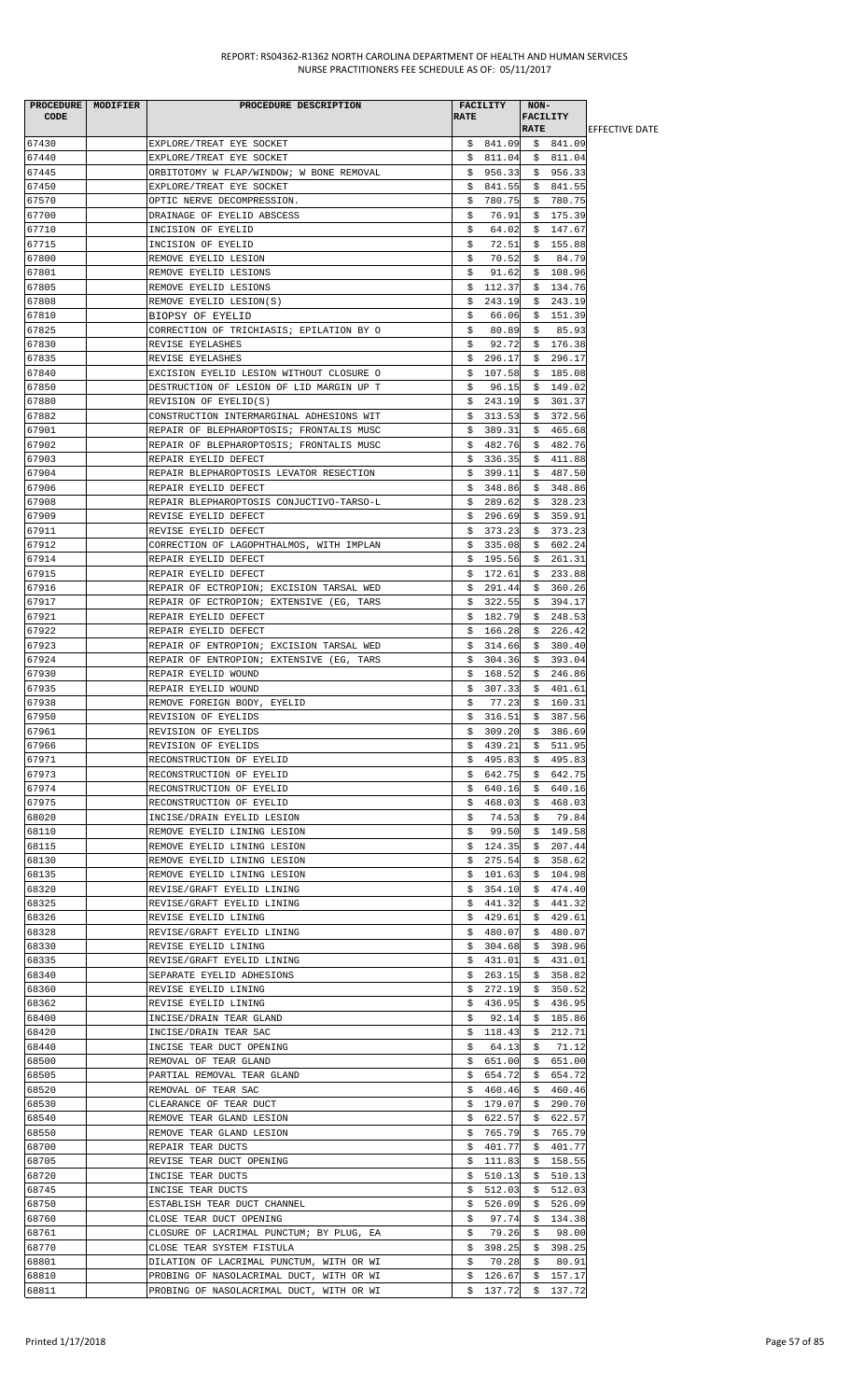| CODE           | PROCEDURE MODIFIER | PROCEDURE DESCRIPTION                                        | <b>FACILITY</b><br><b>RATE</b> | NON-<br><b>FACILITY</b> |                        |
|----------------|--------------------|--------------------------------------------------------------|--------------------------------|-------------------------|------------------------|
|                |                    |                                                              |                                | <b>RATE</b>             | <b>IEFFECTIVE DATE</b> |
| 67430          |                    | EXPLORE/TREAT EYE SOCKET                                     | \$841.09                       | \$ 841.09               |                        |
| 67440          |                    | EXPLORE/TREAT EYE SOCKET                                     | \$811.04                       | \$811.04                |                        |
| 67445          |                    | ORBITOTOMY W FLAP/WINDOW; W BONE REMOVAL                     | 956.33<br>\$.                  | \$956.33                |                        |
| 67450          |                    | EXPLORE/TREAT EYE SOCKET                                     | 841.55<br>S.                   | \$841.55                |                        |
| 67570          |                    | OPTIC NERVE DECOMPRESSION.                                   | 780.75<br>S.                   | \$780.75                |                        |
| 67700          |                    | DRAINAGE OF EYELID ABSCESS                                   | 76.91<br>s                     | \$175.39                |                        |
| 67710          |                    | INCISION OF EYELID                                           | \$<br>64.02                    | \$147.67                |                        |
| 67715          |                    | INCISION OF EYELID                                           | 72.51<br>\$                    | \$155.88                |                        |
| 67800          |                    | REMOVE EYELID LESION                                         | 70.52<br>\$                    | 84.79<br>\$             |                        |
| 67801<br>67805 |                    | REMOVE EYELID LESIONS<br>REMOVE EYELID LESIONS               | \$<br>91.62<br>\$<br>112.37    | \$108.96<br>134.76      |                        |
| 67808          |                    | REMOVE EYELID LESION(S)                                      | 243.19<br>S.                   | Ş.<br>\$243.19          |                        |
| 67810          |                    |                                                              | s<br>66.06                     | \$151.39                |                        |
| 67825          |                    | BIOPSY OF EYELID<br>CORRECTION OF TRICHIASIS; EPILATION BY O | \$<br>80.89                    | \$<br>85.93             |                        |
| 67830          |                    | REVISE EYELASHES                                             | 92.72                          | \$176.38                |                        |
| 67835          |                    | REVISE EYELASHES                                             | Ş.<br>296.17<br>S.             | \$296.17                |                        |
| 67840          |                    | EXCISION EYELID LESION WITHOUT CLOSURE O                     | 107.58<br>\$                   | \$185.08                |                        |
| 67850          |                    | DESTRUCTION OF LESION OF LID MARGIN UP T                     | \$<br>96.15                    | \$<br>149.02            |                        |
| 67880          |                    | REVISION OF EYELID(S)                                        | \$.<br>243.19                  | \$<br>301.37            |                        |
| 67882          |                    | CONSTRUCTION INTERMARGINAL ADHESIONS WIT                     | 313.53<br>S.                   | \$372.56                |                        |
| 67901          |                    | REPAIR OF BLEPHAROPTOSIS; FRONTALIS MUSC                     | \$<br>389.31                   | \$465.68                |                        |
| 67902          |                    | REPAIR OF BLEPHAROPTOSIS; FRONTALIS MUSC                     | 482.76<br>Ş.                   | 482.76<br>Ş.            |                        |
| 67903          |                    | REPAIR EYELID DEFECT                                         | 336.35<br>S.                   | \$411.88                |                        |
| 67904          |                    | REPAIR BLEPHAROPTOSIS LEVATOR RESECTION                      | \$399.11                       | \$487.50                |                        |
| 67906          |                    | REPAIR EYELID DEFECT                                         | \$.<br>348.86                  | \$348.86                |                        |
| 67908          |                    | REPAIR BLEPHAROPTOSIS CONJUCTIVO-TARSO-L                     | 289.62<br>Ş.                   | 328.23<br>Ş.            |                        |
| 67909          |                    | REVISE EYELID DEFECT                                         | 296.69<br>S.                   | \$359.91                |                        |
| 67911          |                    | REVISE EYELID DEFECT                                         | S.<br>373.23                   | \$373.23                |                        |
| 67912          |                    | CORRECTION OF LAGOPHTHALMOS, WITH IMPLAN                     | 335.08<br>Ş.                   | 602.24<br>Ş.            |                        |
| 67914          |                    | REPAIR EYELID DEFECT                                         | 195.56<br>S.                   | 261.31<br>S.            |                        |
| 67915          |                    | REPAIR EYELID DEFECT                                         | 172.61<br>Ş.                   | \$233.88                |                        |
| 67916          |                    | REPAIR OF ECTROPION; EXCISION TARSAL WED                     | 291.44<br>\$                   | \$360.26                |                        |
| 67917          |                    | REPAIR OF ECTROPION; EXTENSIVE (EG, TARS                     | 322.55<br>Ş.                   | \$394.17                |                        |
| 67921          |                    | REPAIR EYELID DEFECT                                         | 182.79<br>S.                   | \$<br>248.53            |                        |
| 67922          |                    | REPAIR EYELID DEFECT                                         | \$<br>166.28                   | 226.42<br>S.            |                        |
| 67923          |                    | REPAIR OF ENTROPION; EXCISION TARSAL WED                     | \$<br>314.66                   | \$<br>380.40            |                        |
| 67924          |                    | REPAIR OF ENTROPION; EXTENSIVE (EG, TARS                     | 304.36<br>S.                   | \$393.04                |                        |
| 67930          |                    | REPAIR EYELID WOUND                                          | 168.52<br>S.                   | \$246.86                |                        |
| 67935          |                    | REPAIR EYELID WOUND                                          | 307.33<br>S.                   | 401.61<br>S.            |                        |
| 67938          |                    | REMOVE FOREIGN BODY, EYELID                                  | 77.23<br>s                     | \$160.31                |                        |
| 67950          |                    | REVISION OF EYELIDS                                          | \$316.51                       | \$387.56                |                        |
| 67961          |                    | REVISION OF EYELIDS                                          | \$309.20                       | \$386.69                |                        |
| 67966          |                    | REVISION OF EYELIDS                                          | 439.21<br>\$                   | 511.95<br>\$            |                        |
| 67971          |                    | RECONSTRUCTION OF EYELID                                     | 495.83<br>Ş.                   | 495.83<br>Ş.            |                        |
| 67973          |                    | RECONSTRUCTION OF EYELID                                     | 642.75<br>Ş.                   | \$642.75                |                        |
| 67974          |                    | RECONSTRUCTION OF EYELID                                     | 640.16<br>Ş.                   | \$<br>640.16            |                        |
| 67975          |                    | RECONSTRUCTION OF EYELID                                     | Ş.<br>468.03                   | 468.03<br>Ş.            |                        |
| 68020          |                    | INCISE/DRAIN EYELID LESION                                   | 74.53<br>s                     | 79.84<br>S.             |                        |
| 68110          |                    | REMOVE EYELID LINING LESION                                  | 99.50<br>\$                    | \$149.58                |                        |
| 68115          |                    | REMOVE EYELID LINING LESION                                  | 124.35<br>\$                   | 207.44<br>\$            |                        |
| 68130          |                    | REMOVE EYELID LINING LESION                                  | 275.54<br>Ş.                   | 358.62<br>Ş.            |                        |
| 68135          |                    | REMOVE EYELID LINING LESION                                  | 101.63<br>S.                   | 104.98<br>\$            |                        |
| 68320          |                    | REVISE/GRAFT EYELID LINING                                   | 354.10<br>S.                   | \$<br>474.40            |                        |
| 68325          |                    | REVISE/GRAFT EYELID LINING                                   | 441.32<br>Ş.                   | 441.32<br>Ş.            |                        |
| 68326          |                    | REVISE EYELID LINING                                         | 429.61<br>S.                   | 429.61<br>S.            |                        |
| 68328          |                    | REVISE/GRAFT EYELID LINING                                   | 480.07<br>S.                   | \$480.07                |                        |
| 68330          |                    | REVISE EYELID LINING                                         | 304.68<br>S.                   | 398.96<br>\$            |                        |
| 68335          |                    | REVISE/GRAFT EYELID LINING                                   | \$<br>431.01                   | \$431.01                |                        |
| 68340          |                    | SEPARATE EYELID ADHESIONS                                    | 263.15<br>Ş.                   | 358.82<br>Ş.            |                        |
| 68360          |                    | REVISE EYELID LINING                                         | 272.19<br>Ş.                   | 350.52<br>Ş.            |                        |
| 68362          |                    | REVISE EYELID LINING                                         | \$.<br>436.95                  | \$<br>436.95            |                        |
| 68400          |                    | INCISE/DRAIN TEAR GLAND                                      | 92.14<br>s                     | 185.86<br>S.            |                        |
| 68420          |                    | INCISE/DRAIN TEAR SAC                                        | 118.43<br>Ş.                   | 212.71<br>Ş.            |                        |
| 68440          |                    | INCISE TEAR DUCT OPENING                                     | Ş.<br>64.13                    | \$<br>71.12             |                        |
| 68500          |                    | REMOVAL OF TEAR GLAND                                        | 651.00<br>Ş.                   | \$<br>651.00            |                        |
| 68505          |                    | PARTIAL REMOVAL TEAR GLAND                                   | 654.72<br>S.                   | 654.72<br>Ş.            |                        |
| 68520          |                    | REMOVAL OF TEAR SAC                                          | \$460.46                       | \$460.46                |                        |
| 68530          |                    | CLEARANCE OF TEAR DUCT                                       | \$<br>179.07                   | 290.70<br>Ş.            |                        |
| 68540          |                    | REMOVE TEAR GLAND LESION                                     | 622.57<br>Ş.                   | 622.57<br>Ş.            |                        |
| 68550          |                    | REMOVE TEAR GLAND LESION                                     | 765.79<br>Ş.                   | 765.79<br>Ş.            |                        |
| 68700          |                    | REPAIR TEAR DUCTS                                            | \$<br>401.77                   | \$<br>401.77            |                        |
| 68705          |                    | REVISE TEAR DUCT OPENING                                     | 111.83<br>Ş.                   | 158.55<br>Ş.            |                        |
| 68720          |                    | INCISE TEAR DUCTS                                            | 510.13<br>S.                   | 510.13<br>S.            |                        |
| 68745          |                    | INCISE TEAR DUCTS                                            | 512.03<br>Ş.                   | \$512.03                |                        |
| 68750          |                    | ESTABLISH TEAR DUCT CHANNEL                                  | 526.09<br>Ş.                   | 526.09<br>Ş.            |                        |
| 68760          |                    | CLOSE TEAR DUCT OPENING                                      | 97.74<br>Ş.                    | 134.38<br>Ş.            |                        |
| 68761          |                    | CLOSURE OF LACRIMAL PUNCTUM; BY PLUG, EA                     | 79.26<br>\$                    | 98.00<br>\$             |                        |
| 68770          |                    | CLOSE TEAR SYSTEM FISTULA                                    | \$<br>398.25                   | \$<br>398.25            |                        |
| 68801          |                    | DILATION OF LACRIMAL PUNCTUM, WITH OR WI                     | \$<br>70.28                    | \$<br>80.91             |                        |
| 68810          |                    | PROBING OF NASOLACRIMAL DUCT, WITH OR WI                     | 126.67<br>Ş.                   | 157.17<br>Ş.            |                        |
| 68811          |                    | PROBING OF NASOLACRIMAL DUCT, WITH OR WI                     | 137.72<br>\$                   | \$137.72                |                        |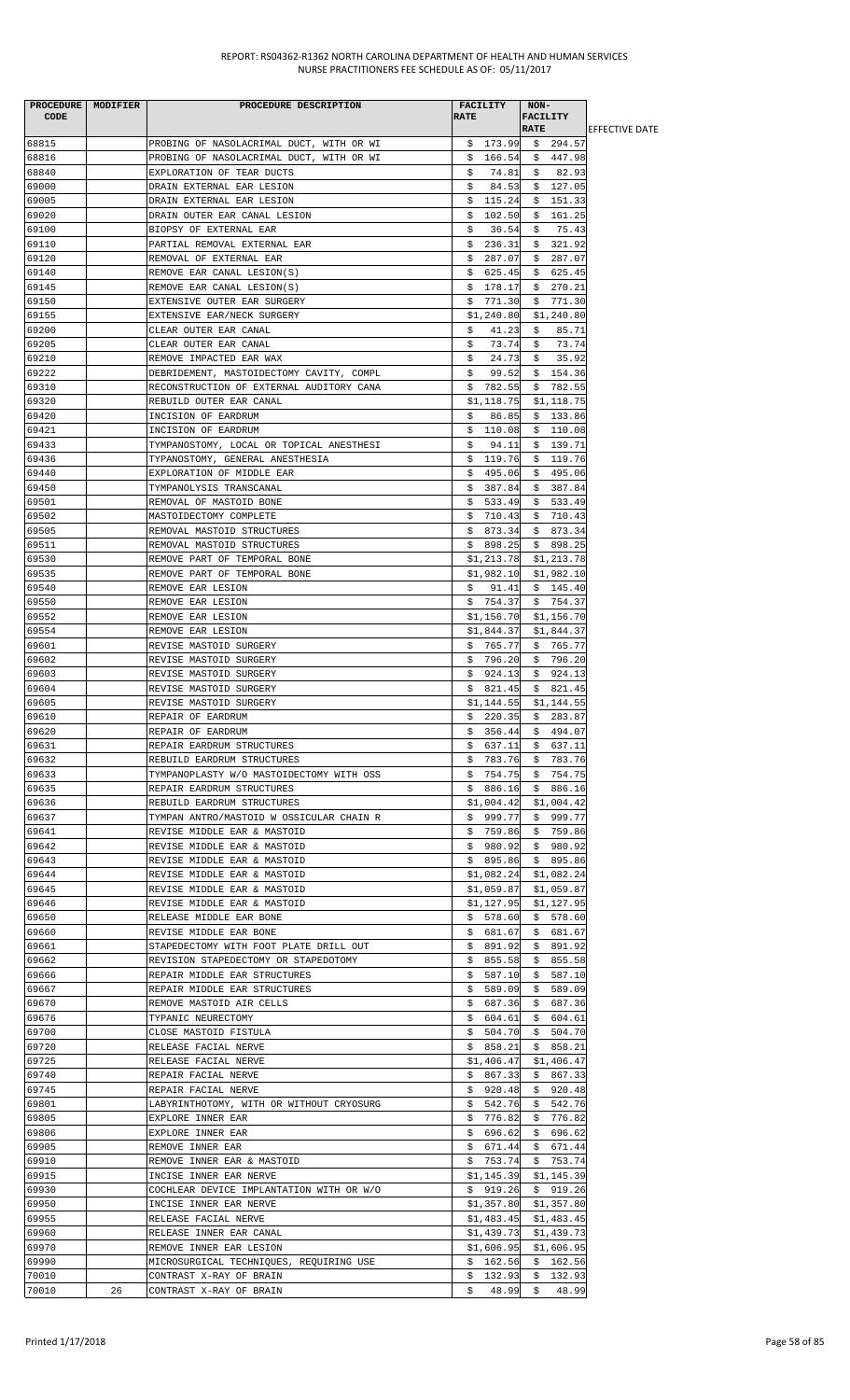|             | PROCEDURE   MODIFIER | PROCEDURE DESCRIPTION                    | <b>FACILITY</b> | NON-         |                        |
|-------------|----------------------|------------------------------------------|-----------------|--------------|------------------------|
| <b>CODE</b> |                      |                                          | <b>RATE</b>     | FACILITY     |                        |
|             |                      |                                          |                 | <b>RATE</b>  | <b>IEFFECTIVE DATE</b> |
| 68815       |                      | PROBING OF NASOLACRIMAL DUCT, WITH OR WI | \$173.99        | \$294.57     |                        |
| 68816       |                      | PROBING OF NASOLACRIMAL DUCT, WITH OR WI | 166.54<br>Ş.    | \$447.98     |                        |
|             |                      |                                          |                 |              |                        |
| 68840       |                      | EXPLORATION OF TEAR DUCTS                | 74.81<br>s      | \$<br>82.93  |                        |
| 69000       |                      | DRAIN EXTERNAL EAR LESION                | \$<br>84.53     | \$127.05     |                        |
| 69005       |                      | DRAIN EXTERNAL EAR LESION                | \$115.24        | \$151.33     |                        |
| 69020       |                      | DRAIN OUTER EAR CANAL LESION             | \$102.50        | \$161.25     |                        |
| 69100       |                      | BIOPSY OF EXTERNAL EAR                   | 36.54<br>\$     | 75.43<br>\$  |                        |
| 69110       |                      | PARTIAL REMOVAL EXTERNAL EAR             | \$<br>236.31    | \$321.92     |                        |
| 69120       |                      | REMOVAL OF EXTERNAL EAR                  | \$<br>287.07    | \$287.07     |                        |
|             |                      |                                          |                 |              |                        |
| 69140       |                      | REMOVE EAR CANAL LESION(S)               | 625.45<br>Ş.    | \$625.45     |                        |
| 69145       |                      | REMOVE EAR CANAL LESION(S)               | \$<br>178.17    | \$270.21     |                        |
| 69150       |                      | EXTENSIVE OUTER EAR SURGERY              | \$<br>771.30    | \$771.30     |                        |
| 69155       |                      | EXTENSIVE EAR/NECK SURGERY               | \$1,240.80      | \$1,240.80   |                        |
| 69200       |                      | CLEAR OUTER EAR CANAL                    | 41.23<br>Ş.     | 85.71<br>Ş.  |                        |
| 69205       |                      | CLEAR OUTER EAR CANAL                    | \$.<br>73.74    | \$<br>73.74  |                        |
| 69210       |                      | REMOVE IMPACTED EAR WAX                  | \$<br>24.73     | 35.92<br>\$  |                        |
| 69222       |                      |                                          | 99.52<br>\$     | \$154.36     |                        |
|             |                      | DEBRIDEMENT, MASTOIDECTOMY CAVITY, COMPL |                 |              |                        |
| 69310       |                      | RECONSTRUCTION OF EXTERNAL AUDITORY CANA | \$<br>782.55    | \$782.55     |                        |
| 69320       |                      | REBUILD OUTER EAR CANAL                  | \$1,118.75      | \$1,118.75   |                        |
| 69420       |                      | INCISION OF EARDRUM                      | \$<br>86.85     | \$133.86     |                        |
| 69421       |                      | INCISION OF EARDRUM                      | \$110.08        | \$110.08     |                        |
| 69433       |                      | TYMPANOSTOMY, LOCAL OR TOPICAL ANESTHESI | 94.11<br>Ş.     | \$139.71     |                        |
| 69436       |                      | TYPANOSTOMY, GENERAL ANESTHESIA          | \$119.76        | \$119.76     |                        |
| 69440       |                      | EXPLORATION OF MIDDLE EAR                | \$495.06        | \$495.06     |                        |
| 69450       |                      |                                          |                 |              |                        |
|             |                      | TYMPANOLYSIS TRANSCANAL                  | \$387.84        | \$387.84     |                        |
| 69501       |                      | REMOVAL OF MASTOID BONE                  | 533.49<br>\$    | 533.49<br>\$ |                        |
| 69502       |                      | MASTOIDECTOMY COMPLETE                   | 710.43<br>Ş.    | \$710.43     |                        |
| 69505       |                      | REMOVAL MASTOID STRUCTURES               | \$873.34        | \$873.34     |                        |
| 69511       |                      | REMOVAL MASTOID STRUCTURES               | \$898.25        | \$898.25     |                        |
| 69530       |                      | REMOVE PART OF TEMPORAL BONE             | \$1,213.78      | \$1,213.78   |                        |
| 69535       |                      | REMOVE PART OF TEMPORAL BONE             | \$1,982.10      | \$1,982.10   |                        |
| 69540       |                      | REMOVE EAR LESION                        | \$<br>91.41     | \$145.40     |                        |
| 69550       |                      |                                          | \$754.37        | \$754.37     |                        |
|             |                      | REMOVE EAR LESION                        |                 |              |                        |
| 69552       |                      | REMOVE EAR LESION                        | \$1,156.70      | \$1,156.70   |                        |
| 69554       |                      | REMOVE EAR LESION                        | \$1,844.37      | \$1,844.37   |                        |
| 69601       |                      | REVISE MASTOID SURGERY                   | \$765.77        | \$765.77     |                        |
| 69602       |                      | REVISE MASTOID SURGERY                   | \$796.20        | \$796.20     |                        |
| 69603       |                      | REVISE MASTOID SURGERY                   | \$924.13        | \$924.13     |                        |
| 69604       |                      | REVISE MASTOID SURGERY                   | \$821.45        | \$821.45     |                        |
| 69605       |                      | REVISE MASTOID SURGERY                   | \$1,144.55      | \$1,144.55   |                        |
| 69610       |                      | REPAIR OF EARDRUM                        | \$220.35        | \$283.87     |                        |
|             |                      |                                          |                 |              |                        |
| 69620       |                      | REPAIR OF EARDRUM                        | \$356.44        | \$494.07     |                        |
| 69631       |                      | REPAIR EARDRUM STRUCTURES                | \$637.11        | \$637.11     |                        |
| 69632       |                      | REBUILD EARDRUM STRUCTURES               | \$783.76        | 783.76<br>Ş. |                        |
| 69633       |                      | TYMPANOPLASTY W/O MASTOIDECTOMY WITH OSS | \$754.75        | 754.75<br>Ş. |                        |
| 69635       |                      | REPAIR EARDRUM STRUCTURES                | \$886.16        | \$886.16     |                        |
| 69636       |                      | REBUILD EARDRUM STRUCTURES               | \$1,004.42      | \$1,004.42   |                        |
| 69637       |                      | TYMPAN ANTRO/MASTOID W OSSICULAR CHAIN R | \$999.77        | \$999.77     |                        |
| 69641       |                      | REVISE MIDDLE EAR & MASTOID              | \$759.86        | \$759.86     |                        |
|             |                      |                                          | \$980.92        |              |                        |
| 69642       |                      | REVISE MIDDLE EAR & MASTOID              |                 | \$980.92     |                        |
| 69643       |                      | REVISE MIDDLE EAR & MASTOID              | \$895.86        | \$895.86     |                        |
| 69644       |                      | REVISE MIDDLE EAR & MASTOID              | \$1,082.24      | \$1,082.24   |                        |
| 69645       |                      | REVISE MIDDLE EAR & MASTOID              | \$1,059.87      | \$1,059.87   |                        |
| 69646       |                      | REVISE MIDDLE EAR & MASTOID              | \$1,127.95      | \$1,127.95   |                        |
| 69650       |                      | RELEASE MIDDLE EAR BONE                  | \$578.60        | \$578.60     |                        |
| 69660       |                      | REVISE MIDDLE EAR BONE                   | \$681.67        | \$681.67     |                        |
| 69661       |                      | STAPEDECTOMY WITH FOOT PLATE DRILL OUT   | \$891.92        | \$891.92     |                        |
| 69662       |                      | REVISION STAPEDECTOMY OR STAPEDOTOMY     | \$855.58        | 855.58<br>\$ |                        |
|             |                      |                                          |                 |              |                        |
| 69666       |                      | REPAIR MIDDLE EAR STRUCTURES             | 587.10<br>Ş.    | 587.10<br>Ş. |                        |
| 69667       |                      | REPAIR MIDDLE EAR STRUCTURES             | 589.09<br>Ş.    | 589.09<br>Ş. |                        |
| 69670       |                      | REMOVE MASTOID AIR CELLS                 | \$687.36        | \$<br>687.36 |                        |
| 69676       |                      | TYPANIC NEURECTOMY                       | 604.61<br>Ş.    | 604.61<br>Ş. |                        |
| 69700       |                      | CLOSE MASTOID FISTULA                    | \$504.70        | \$<br>504.70 |                        |
| 69720       |                      | RELEASE FACIAL NERVE                     | \$858.21        | \$858.21     |                        |
| 69725       |                      | RELEASE FACIAL NERVE                     | \$1,406.47      | \$1,406.47   |                        |
| 69740       |                      | REPAIR FACIAL NERVE                      | \$867.33        | \$867.33     |                        |
| 69745       |                      | REPAIR FACIAL NERVE                      | \$920.48        | \$920.48     |                        |
|             |                      |                                          |                 |              |                        |
| 69801       |                      | LABYRINTHOTOMY, WITH OR WITHOUT CRYOSURG | \$542.76        | \$542.76     |                        |
| 69805       |                      | EXPLORE INNER EAR                        | 776.82<br>Ş.    | 776.82<br>Ş. |                        |
| 69806       |                      | EXPLORE INNER EAR                        | 696.62<br>Ş.    | 696.62<br>S. |                        |
| 69905       |                      | REMOVE INNER EAR                         | \$671.44        | \$671.44     |                        |
| 69910       |                      | REMOVE INNER EAR & MASTOID               | \$753.74        | \$753.74     |                        |
| 69915       |                      | INCISE INNER EAR NERVE                   | \$1,145.39      | \$1,145.39   |                        |
| 69930       |                      | COCHLEAR DEVICE IMPLANTATION WITH OR W/O | \$919.26        | \$919.26     |                        |
| 69950       |                      | INCISE INNER EAR NERVE                   | \$1,357.80      | \$1,357.80   |                        |
| 69955       |                      | RELEASE FACIAL NERVE                     | \$1,483.45      | \$1,483.45   |                        |
|             |                      |                                          |                 |              |                        |
| 69960       |                      | RELEASE INNER EAR CANAL                  | \$1,439.73      | \$1,439.73   |                        |
| 69970       |                      | REMOVE INNER EAR LESION                  | \$1,606.95      | \$1,606.95   |                        |
| 69990       |                      | MICROSURGICAL TECHNIQUES, REQUIRING USE  | \$162.56        | \$162.56     |                        |
| 70010       |                      | CONTRAST X-RAY OF BRAIN                  | \$132.93        | \$132.93     |                        |
| 70010       | 26                   | CONTRAST X-RAY OF BRAIN                  | 48.99<br>\$     | \$48.99      |                        |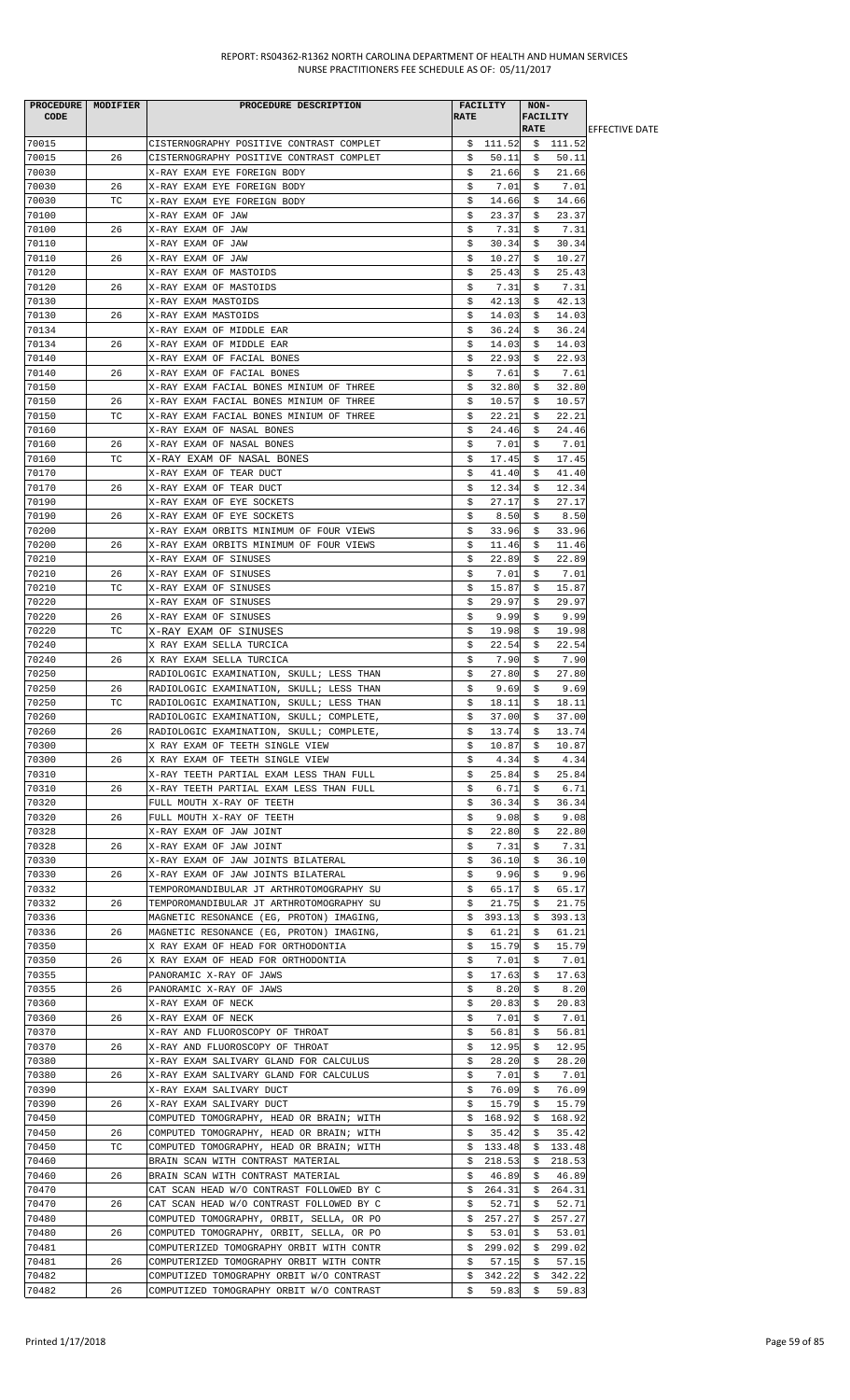| <b>PROCEDURE</b> | MODIFIER | PROCEDURE DESCRIPTION                    |             | <b>FACILITY</b> | NON-                           |          |                        |
|------------------|----------|------------------------------------------|-------------|-----------------|--------------------------------|----------|------------------------|
| <b>CODE</b>      |          |                                          | <b>RATE</b> |                 | <b>FACILITY</b><br><b>RATE</b> |          | <b>IEFFECTIVE DATE</b> |
| 70015            |          | CISTERNOGRAPHY POSITIVE CONTRAST COMPLET |             | \$ 111.52       |                                | \$111.52 |                        |
| 70015            | 26       | CISTERNOGRAPHY POSITIVE CONTRAST COMPLET | \$          | 50.11           | \$                             | 50.11    |                        |
| 70030            |          | X-RAY EXAM EYE FOREIGN BODY              | \$          | 21.66           | \$                             | 21.66    |                        |
| 70030            | 26       | X-RAY EXAM EYE FOREIGN BODY              | \$          | 7.01            | \$                             | 7.01     |                        |
| 70030            | ТC       | X-RAY EXAM EYE FOREIGN BODY              | \$          | 14.66           | s                              | 14.66    |                        |
| 70100            |          | X-RAY EXAM OF JAW                        | \$          |                 |                                | 23.37    |                        |
| 70100            |          |                                          |             | 23.37           | \$<br>\$                       | 7.31     |                        |
|                  | 26       | X-RAY EXAM OF JAW                        | \$          | 7.31            |                                |          |                        |
| 70110            |          | X-RAY EXAM OF JAW                        | \$          | 30.34           | \$                             | 30.34    |                        |
| 70110            | 26       | X-RAY EXAM OF JAW                        | \$          | 10.27           | \$                             | 10.27    |                        |
| 70120            |          | X-RAY EXAM OF MASTOIDS                   | \$          | 25.43           | \$                             | 25.43    |                        |
| 70120            | 26       | X-RAY EXAM OF MASTOIDS                   | \$          | 7.31            | \$                             | 7.31     |                        |
| 70130            |          | X-RAY EXAM MASTOIDS                      | \$          | 42.13           | \$                             | 42.13    |                        |
| 70130            | 26       | X-RAY EXAM MASTOIDS                      | \$          | 14.03           | \$                             | 14.03    |                        |
| 70134            |          | X-RAY EXAM OF MIDDLE EAR                 | \$          | 36.24           | \$                             | 36.24    |                        |
| 70134            | 26       | X-RAY EXAM OF MIDDLE EAR                 | \$          | 14.03           | \$                             | 14.03    |                        |
| 70140            |          | X-RAY EXAM OF FACIAL BONES               | \$          | 22.93           | \$                             | 22.93    |                        |
| 70140            | 26       | X-RAY EXAM OF FACIAL BONES               | \$          | 7.61            | \$                             | 7.61     |                        |
| 70150            |          | X-RAY EXAM FACIAL BONES MINIUM OF THREE  | \$          | 32.80           | Ş.                             | 32.80    |                        |
| 70150            | 26       | X-RAY EXAM FACIAL BONES MINIUM OF THREE  | \$          | 10.57           | S.                             | 10.57    |                        |
| 70150            | TC       | X-RAY EXAM FACIAL BONES MINIUM OF THREE  | \$          | 22.21           | \$                             | 22.21    |                        |
| 70160            |          | X-RAY EXAM OF NASAL BONES                | \$          | 24.46           | \$                             | 24.46    |                        |
| 70160            | 26       | X-RAY EXAM OF NASAL BONES                | \$          | 7.01            | Ş                              | 7.01     |                        |
|                  |          | X-RAY EXAM OF NASAL BONES                |             |                 |                                | 17.45    |                        |
| 70160            | ТC       |                                          | \$          | 17.45           | \$                             |          |                        |
| 70170            |          | X-RAY EXAM OF TEAR DUCT                  | \$          | 41.40           | \$                             | 41.40    |                        |
| 70170            | 26       | X-RAY EXAM OF TEAR DUCT                  | \$          | 12.34           | s                              | 12.34    |                        |
| 70190            |          | X-RAY EXAM OF EYE SOCKETS                | \$          | 27.17           | s                              | 27.17    |                        |
| 70190            | 26       | X-RAY EXAM OF EYE SOCKETS                | \$          | 8.50            | \$                             | 8.50     |                        |
| 70200            |          | X-RAY EXAM ORBITS MINIMUM OF FOUR VIEWS  | \$          | 33.96           | \$                             | 33.96    |                        |
| 70200            | 26       | X-RAY EXAM ORBITS MINIMUM OF FOUR VIEWS  | \$          | 11.46           | \$                             | 11.46    |                        |
| 70210            |          | X-RAY EXAM OF SINUSES                    | \$          | 22.89           | s                              | 22.89    |                        |
| 70210            | 26       | X-RAY EXAM OF SINUSES                    | \$          | 7.01            | \$                             | 7.01     |                        |
| 70210            | ТC       | X-RAY EXAM OF SINUSES                    | \$          | 15.87           | \$                             | 15.87    |                        |
| 70220            |          | X-RAY EXAM OF SINUSES                    | \$          | 29.97           | \$                             | 29.97    |                        |
| 70220            | 26       | X-RAY EXAM OF SINUSES                    | \$          | 9.99            | \$                             | 9.99     |                        |
| 70220            | ТC       | X-RAY EXAM OF SINUSES                    | \$          | 19.98           | \$                             | 19.98    |                        |
| 70240            |          | X RAY EXAM SELLA TURCICA                 | \$          | 22.54           | \$                             | 22.54    |                        |
| 70240            | 26       | X RAY EXAM SELLA TURCICA                 | \$          | 7.90            | s                              | 7.90     |                        |
| 70250            |          |                                          |             |                 | \$                             |          |                        |
|                  |          | RADIOLOGIC EXAMINATION, SKULL; LESS THAN | \$          | 27.80           |                                | 27.80    |                        |
| 70250            | 26       | RADIOLOGIC EXAMINATION, SKULL; LESS THAN | \$          | 9.69            | \$                             | 9.69     |                        |
| 70250            | ТC       | RADIOLOGIC EXAMINATION, SKULL; LESS THAN | \$          | 18.11           | \$                             | 18.11    |                        |
| 70260            |          | RADIOLOGIC EXAMINATION, SKULL; COMPLETE, | \$          | 37.00           | \$                             | 37.00    |                        |
| 70260            | 26       | RADIOLOGIC EXAMINATION, SKULL; COMPLETE, | \$          | 13.74           | - \$                           | 13.74    |                        |
| 70300            |          | X RAY EXAM OF TEETH SINGLE VIEW          | \$          | 10.87           | Ş.                             | 10.87    |                        |
| 70300            | 26       | X RAY EXAM OF TEETH SINGLE VIEW          | \$          | 4.34            | S.                             | 4.34     |                        |
| 70310            |          | X-RAY TEETH PARTIAL EXAM LESS THAN FULL  | \$          | 25.84           | \$                             | 25.84    |                        |
| 70310            | 26       | X-RAY TEETH PARTIAL EXAM LESS THAN FULL  | \$          | 6.71            | \$                             | 6.71     |                        |
| 70320            |          | FULL MOUTH X-RAY OF TEETH                | \$          | 36.34           | \$                             | 36.34    |                        |
| 70320            | 26       | FULL MOUTH X-RAY OF TEETH                | \$          | 9.08            | \$                             | 9.08     |                        |
| 70328            |          | X-RAY EXAM OF JAW JOINT                  | \$          | 22.80           | \$                             | 22.80    |                        |
| 70328            | 26       | X-RAY EXAM OF JAW JOINT                  | \$          | 7.31            | \$                             | 7.31     |                        |
| 70330            |          | X-RAY EXAM OF JAW JOINTS BILATERAL       | \$          | 36.10           | S.                             | 36.10    |                        |
| 70330            | 26       | X-RAY EXAM OF JAW JOINTS BILATERAL       | \$          | 9.96            | \$                             | 9.96     |                        |
| 70332            |          | TEMPOROMANDIBULAR JT ARTHROTOMOGRAPHY SU | \$          | 65.17           | \$                             | 65.17    |                        |
| 70332            | 26       | TEMPOROMANDIBULAR JT ARTHROTOMOGRAPHY SU | \$          | 21.75           | \$                             | 21.75    |                        |
| 70336            |          |                                          |             | 393.13          |                                | 393.13   |                        |
|                  |          | MAGNETIC RESONANCE (EG, PROTON) IMAGING, | \$          |                 | Ş.                             |          |                        |
| 70336            | 26       | MAGNETIC RESONANCE (EG, PROTON) IMAGING, | \$          | 61.21           | \$                             | 61.21    |                        |
| 70350            |          | X RAY EXAM OF HEAD FOR ORTHODONTIA       | \$          | 15.79           | \$                             | 15.79    |                        |
| 70350            | 26       | X RAY EXAM OF HEAD FOR ORTHODONTIA       | \$          | 7.01            | \$                             | 7.01     |                        |
| 70355            |          | PANORAMIC X-RAY OF JAWS                  | \$          | 17.63           | \$                             | 17.63    |                        |
| 70355            | 26       | PANORAMIC X-RAY OF JAWS                  | \$          | 8.20            | \$                             | 8.20     |                        |
| 70360            |          | X-RAY EXAM OF NECK                       | \$          | 20.83           | \$                             | 20.83    |                        |
| 70360            | 26       | X-RAY EXAM OF NECK                       | \$          | 7.01            | S.                             | 7.01     |                        |
| 70370            |          | X-RAY AND FLUOROSCOPY OF THROAT          | \$          | 56.81           | \$                             | 56.81    |                        |
| 70370            | 26       | X-RAY AND FLUOROSCOPY OF THROAT          | \$          | 12.95           | \$                             | 12.95    |                        |
| 70380            |          | X-RAY EXAM SALIVARY GLAND FOR CALCULUS   | \$          | 28.20           | \$                             | 28.20    |                        |
| 70380            | 26       | X-RAY EXAM SALIVARY GLAND FOR CALCULUS   | \$          | 7.01            | \$                             | 7.01     |                        |
| 70390            |          | X-RAY EXAM SALIVARY DUCT                 | \$          | 76.09           | \$                             | 76.09    |                        |
| 70390            | 26       | X-RAY EXAM SALIVARY DUCT                 | \$          | 15.79           | Ş.                             | 15.79    |                        |
| 70450            |          | COMPUTED TOMOGRAPHY, HEAD OR BRAIN; WITH |             | \$168.92        | \$                             | 168.92   |                        |
| 70450            | 26       | COMPUTED TOMOGRAPHY, HEAD OR BRAIN; WITH | \$          | 35.42           | \$                             | 35.42    |                        |
|                  |          |                                          |             |                 |                                |          |                        |
| 70450            | ТC       | COMPUTED TOMOGRAPHY, HEAD OR BRAIN; WITH | \$          | 133.48          | \$                             | 133.48   |                        |
| 70460            |          | BRAIN SCAN WITH CONTRAST MATERIAL        | \$          | 218.53          | Ş.                             | 218.53   |                        |
| 70460            | 26       | BRAIN SCAN WITH CONTRAST MATERIAL        | \$          | 46.89           | S.                             | 46.89    |                        |
| 70470            |          | CAT SCAN HEAD W/O CONTRAST FOLLOWED BY C | \$          | 264.31          | \$                             | 264.31   |                        |
| 70470            | 26       | CAT SCAN HEAD W/O CONTRAST FOLLOWED BY C | \$          | 52.71           | \$                             | 52.71    |                        |
| 70480            |          | COMPUTED TOMOGRAPHY, ORBIT, SELLA, OR PO | \$.         | 257.27          | S.                             | 257.27   |                        |
| 70480            | 26       | COMPUTED TOMOGRAPHY, ORBIT, SELLA, OR PO | \$          | 53.01           | \$                             | 53.01    |                        |
| 70481            |          | COMPUTERIZED TOMOGRAPHY ORBIT WITH CONTR | \$          | 299.02          | \$                             | 299.02   |                        |
| 70481            | 26       | COMPUTERIZED TOMOGRAPHY ORBIT WITH CONTR | \$          | 57.15           | \$                             | 57.15    |                        |
| 70482            |          | COMPUTIZED TOMOGRAPHY ORBIT W/O CONTRAST | \$          | 342.22          | \$                             | 342.22   |                        |
| 70482            | 26       | COMPUTIZED TOMOGRAPHY ORBIT W/O CONTRAST | \$          | 59.83           | \$                             | 59.83    |                        |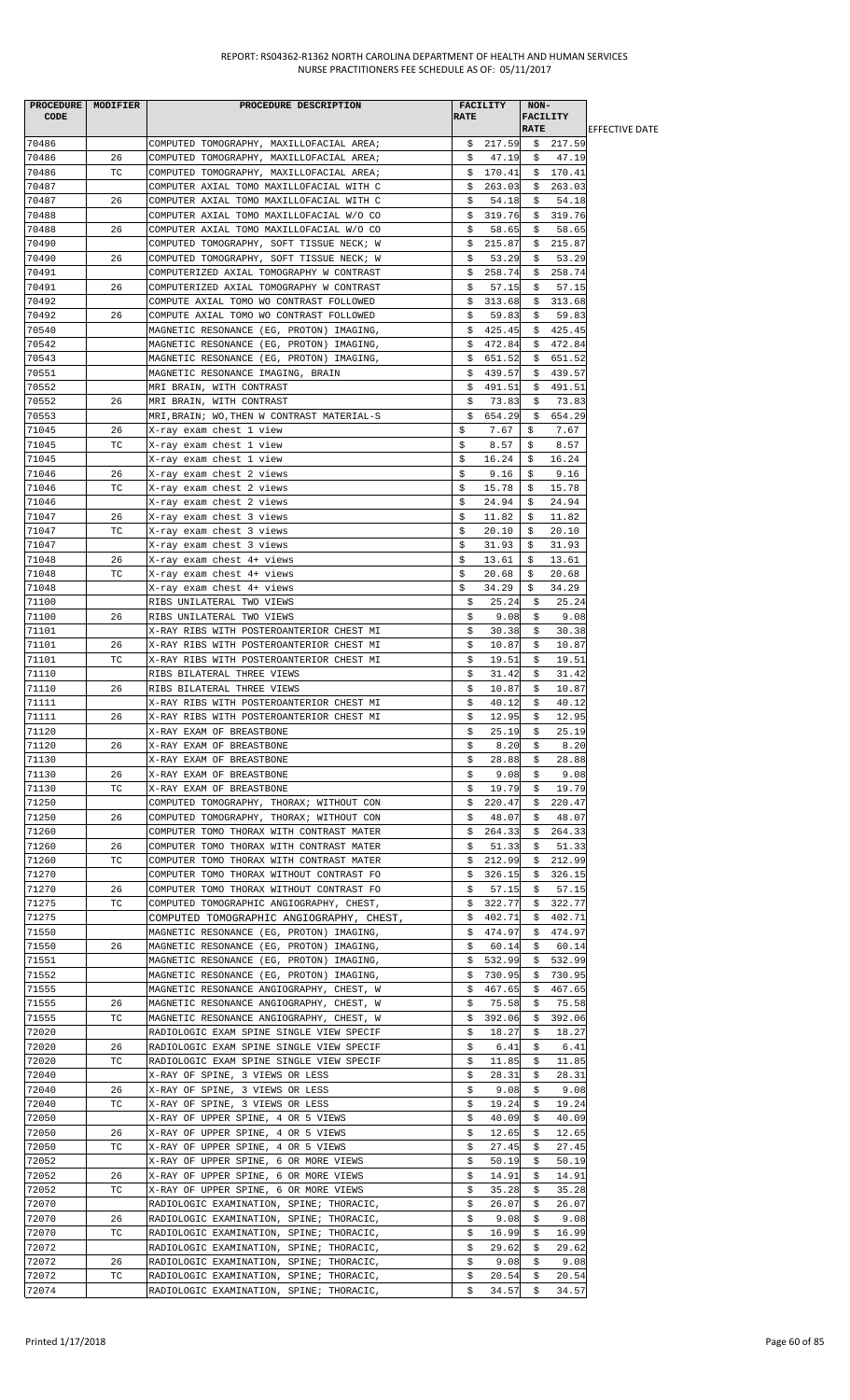|       | PROCEDURE MODIFIER | PROCEDURE DESCRIPTION                                                                |             | FACILITY      | NON-        |                 |                        |
|-------|--------------------|--------------------------------------------------------------------------------------|-------------|---------------|-------------|-----------------|------------------------|
| CODE  |                    |                                                                                      | <b>RATE</b> |               |             | <b>FACILITY</b> |                        |
|       |                    |                                                                                      |             |               | <b>RATE</b> |                 | <b>IEFFECTIVE DATE</b> |
| 70486 |                    | COMPUTED TOMOGRAPHY, MAXILLOFACIAL AREA;                                             |             | \$217.59      |             | \$217.59        |                        |
| 70486 | 26                 | COMPUTED TOMOGRAPHY, MAXILLOFACIAL AREA;                                             | \$          | 47.19         | Ş.          | 47.19           |                        |
| 70486 | ТC                 | COMPUTED TOMOGRAPHY, MAXILLOFACIAL AREA;                                             |             | \$170.41      |             | \$170.41        |                        |
| 70487 |                    | COMPUTER AXIAL TOMO MAXILLOFACIAL WITH C                                             | \$          | 263.03        | Ş.          | 263.03          |                        |
| 70487 | 26                 | COMPUTER AXIAL TOMO MAXILLOFACIAL WITH C                                             | \$          | 54.18         | \$          | 54.18           |                        |
| 70488 |                    | COMPUTER AXIAL TOMO MAXILLOFACIAL W/O CO                                             |             | \$319.76      |             | \$319.76        |                        |
| 70488 | 26                 | COMPUTER AXIAL TOMO MAXILLOFACIAL W/O CO                                             | \$          | 58.65         | S.          | 58.65           |                        |
| 70490 |                    | COMPUTED TOMOGRAPHY, SOFT TISSUE NECK; W                                             | \$          | 215.87        | \$          | 215.87          |                        |
| 70490 | 26                 | COMPUTED TOMOGRAPHY, SOFT TISSUE NECK; W                                             | \$          | 53.29         | \$          | 53.29           |                        |
| 70491 |                    | COMPUTERIZED AXIAL TOMOGRAPHY W CONTRAST                                             | \$          | 258.74        | \$          | 258.74          |                        |
| 70491 | 26                 | COMPUTERIZED AXIAL TOMOGRAPHY W CONTRAST                                             | s           | 57.15         | S.          | 57.15           |                        |
| 70492 |                    | COMPUTE AXIAL TOMO WO CONTRAST FOLLOWED                                              | \$          | 313.68        | S.          | 313.68          |                        |
| 70492 | 26                 | COMPUTE AXIAL TOMO WO CONTRAST FOLLOWED                                              | \$          | 59.83         | Ş.          | 59.83           |                        |
| 70540 |                    | MAGNETIC RESONANCE (EG, PROTON) IMAGING,                                             |             | \$425.45      |             | \$425.45        |                        |
| 70542 |                    | MAGNETIC RESONANCE (EG, PROTON) IMAGING,                                             |             | \$472.84      |             | \$472.84        |                        |
| 70543 |                    | MAGNETIC RESONANCE (EG, PROTON) IMAGING,                                             | \$          | 651.52        | Ş.          | 651.52          |                        |
| 70551 |                    | MAGNETIC RESONANCE IMAGING, BRAIN                                                    | \$          | 439.57        | \$          | 439.57          |                        |
| 70552 |                    | MRI BRAIN, WITH CONTRAST                                                             | \$          | 491.51        | S.          | 491.51          |                        |
| 70552 | 26                 | MRI BRAIN, WITH CONTRAST                                                             | \$          | 73.83         | \$          | 73.83           |                        |
| 70553 |                    |                                                                                      |             |               |             |                 |                        |
|       |                    | MRI, BRAIN; WO, THEN W CONTRAST MATERIAL-S                                           | \$.         | 654.29        | Ş.          | 654.29          |                        |
| 71045 | 26                 | X-ray exam chest 1 view                                                              | \$          | 7.67          | \$          | 7.67            |                        |
| 71045 | ТC                 | X-ray exam chest 1 view                                                              | \$          | 8.57          | \$          | 8.57            |                        |
| 71045 |                    | X-ray exam chest 1 view                                                              | \$          | 16.24         | \$          | 16.24           |                        |
| 71046 | 26                 | X-ray exam chest 2 views                                                             | \$          | 9.16          | \$          | 9.16            |                        |
| 71046 | TC                 | X-ray exam chest 2 views                                                             | \$          | 15.78         | \$          | 15.78           |                        |
| 71046 |                    | X-ray exam chest 2 views                                                             | \$          | 24.94         | Ŝ.          | 24.94           |                        |
| 71047 | 26                 | X-ray exam chest 3 views                                                             | \$          | 11.82         | \$          | 11.82           |                        |
| 71047 | ТC                 | X-ray exam chest 3 views                                                             | \$          | 20.10         | \$          | 20.10           |                        |
| 71047 |                    | X-ray exam chest 3 views                                                             | \$          | 31.93         | \$          | 31.93           |                        |
| 71048 | 26                 | X-ray exam chest 4+ views                                                            | \$          | 13.61         | \$          | 13.61           |                        |
| 71048 | ТC                 | X-ray exam chest 4+ views                                                            | \$          | 20.68         | \$          | 20.68           |                        |
| 71048 |                    | X-ray exam chest 4+ views                                                            | \$          | 34.29         | \$          | 34.29           |                        |
| 71100 |                    | RIBS UNILATERAL TWO VIEWS                                                            | \$          | 25.24         | \$          | 25.24           |                        |
| 71100 | 26                 | RIBS UNILATERAL TWO VIEWS                                                            | \$          | 9.08          | \$          | 9.08            |                        |
| 71101 |                    | X-RAY RIBS WITH POSTEROANTERIOR CHEST MI                                             | \$          | 30.38         | S.          | 30.38           |                        |
| 71101 | 26                 | X-RAY RIBS WITH POSTEROANTERIOR CHEST MI                                             | \$          | 10.87         | S.          | 10.87           |                        |
| 71101 | ТC                 | X-RAY RIBS WITH POSTEROANTERIOR CHEST MI                                             | \$          | 19.51         | \$          | 19.51           |                        |
| 71110 |                    | RIBS BILATERAL THREE VIEWS                                                           | \$          | 31.42         | \$          | 31.42           |                        |
| 71110 | 26                 | RIBS BILATERAL THREE VIEWS                                                           | \$          | 10.87         | S.          | 10.87           |                        |
| 71111 |                    | X-RAY RIBS WITH POSTEROANTERIOR CHEST MI                                             | \$          | 40.12         | \$          | 40.12           |                        |
| 71111 | 26                 | X-RAY RIBS WITH POSTEROANTERIOR CHEST MI                                             | \$          | 12.95         | \$          | 12.95           |                        |
| 71120 |                    | X-RAY EXAM OF BREASTBONE                                                             | \$          |               |             | 25.19           |                        |
|       |                    |                                                                                      |             | 25.19         | Ş           | 8.20            |                        |
| 71120 | 26                 | X-RAY EXAM OF BREASTBONE                                                             | \$          | 8.20          | S.          |                 |                        |
| 71130 |                    | X-RAY EXAM OF BREASTBONE                                                             | \$          | 28.88         | \$          | 28.88           |                        |
| 71130 | 26                 | X-RAY EXAM OF BREASTBONE                                                             | \$          | 9.08          | Ş.          | 9.08            |                        |
| 71130 | ТC                 | X-RAY EXAM OF BREASTBONE                                                             | \$          | 19.79         | S.          | 19.79           |                        |
| 71250 |                    | COMPUTED TOMOGRAPHY, THORAX; WITHOUT CON                                             | \$          | 220.47        | \$          | 220.47          |                        |
| 71250 | 26                 | COMPUTED TOMOGRAPHY, THORAX; WITHOUT CON                                             | \$          | 48.07         | \$          | 48.07           |                        |
| 71260 |                    | COMPUTER TOMO THORAX WITH CONTRAST MATER                                             | \$          | 264.33        | Ş.          | 264.33          |                        |
| 71260 | 26                 | COMPUTER TOMO THORAX WITH CONTRAST MATER                                             | \$          | 51.33         | \$          | 51.33           |                        |
| 71260 | ТC                 | COMPUTER TOMO THORAX WITH CONTRAST MATER                                             | \$          | 212.99        | \$          | 212.99          |                        |
| 71270 |                    | COMPUTER TOMO THORAX WITHOUT CONTRAST FO                                             | \$          | 326.15        | Ş.          | 326.15          |                        |
| 71270 | 26                 | COMPUTER TOMO THORAX WITHOUT CONTRAST FO                                             | s           | 57.15         | S.          | 57.15           |                        |
| 71275 | ТC                 | COMPUTED TOMOGRAPHIC ANGIOGRAPHY, CHEST,                                             | \$          | 322.77        | Ş.          | 322.77          |                        |
| 71275 |                    | COMPUTED TOMOGRAPHIC ANGIOGRAPHY, CHEST,                                             | \$          | 402.71        | S.          | 402.71          |                        |
| 71550 |                    | MAGNETIC RESONANCE (EG, PROTON) IMAGING,                                             | \$          | 474.97        | Ş.          | 474.97          |                        |
| 71550 | 26                 | MAGNETIC RESONANCE (EG, PROTON) IMAGING,                                             | Ş.          | 60.14         | S.          | 60.14           |                        |
| 71551 |                    | MAGNETIC RESONANCE (EG, PROTON) IMAGING,                                             | \$          | 532.99        | \$          | 532.99          |                        |
| 71552 |                    | MAGNETIC RESONANCE (EG, PROTON) IMAGING,                                             | \$          | 730.95        | \$          | 730.95          |                        |
| 71555 |                    | MAGNETIC RESONANCE ANGIOGRAPHY, CHEST, W                                             | \$          | 467.65        | Ş.          | 467.65          |                        |
| 71555 | 26                 | MAGNETIC RESONANCE ANGIOGRAPHY, CHEST, W                                             | Ş           | 75.58         | Ş.          | 75.58           |                        |
| 71555 | ТC                 | MAGNETIC RESONANCE ANGIOGRAPHY, CHEST, W                                             | \$          | 392.06        | \$          | 392.06          |                        |
| 72020 |                    | RADIOLOGIC EXAM SPINE SINGLE VIEW SPECIF                                             | \$          | 18.27         | Ş.          | 18.27           |                        |
| 72020 | 26                 | RADIOLOGIC EXAM SPINE SINGLE VIEW SPECIF                                             | \$          | 6.41          | S.          | 6.41            |                        |
| 72020 | ТC                 | RADIOLOGIC EXAM SPINE SINGLE VIEW SPECIF                                             | \$          | 11.85         | \$          | 11.85           |                        |
| 72040 |                    | X-RAY OF SPINE, 3 VIEWS OR LESS                                                      | \$          | 28.31         | \$          | 28.31           |                        |
| 72040 | 26                 | X-RAY OF SPINE, 3 VIEWS OR LESS                                                      | \$          | 9.08          | Ş.          | 9.08            |                        |
| 72040 | ТC                 | X-RAY OF SPINE, 3 VIEWS OR LESS                                                      | \$          | 19.24         | \$          | 19.24           |                        |
| 72050 |                    | X-RAY OF UPPER SPINE, 4 OR 5 VIEWS                                                   | \$          | 40.09         | \$          | 40.09           |                        |
| 72050 | 26                 | X-RAY OF UPPER SPINE, 4 OR 5 VIEWS                                                   | Ş           | 12.65         | Ş.          | 12.65           |                        |
| 72050 | ТC                 | X-RAY OF UPPER SPINE, 4 OR 5 VIEWS                                                   | \$          | 27.45         | S.          | 27.45           |                        |
| 72052 |                    | X-RAY OF UPPER SPINE, 6 OR MORE VIEWS                                                | \$          | 50.19         | \$          | 50.19           |                        |
| 72052 | 26                 | X-RAY OF UPPER SPINE, 6 OR MORE VIEWS                                                | \$          | 14.91         | \$          | 14.91           |                        |
| 72052 | TC                 |                                                                                      | \$          | 35.28         | \$          | 35.28           |                        |
| 72070 |                    | X-RAY OF UPPER SPINE, 6 OR MORE VIEWS                                                |             |               |             | 26.07           |                        |
| 72070 | 26                 | RADIOLOGIC EXAMINATION, SPINE; THORACIC,<br>RADIOLOGIC EXAMINATION, SPINE; THORACIC, | \$<br>\$    | 26.07<br>9.08 | s<br>\$     | 9.08            |                        |
|       |                    |                                                                                      |             |               |             |                 |                        |
| 72070 | ТC                 | RADIOLOGIC EXAMINATION, SPINE; THORACIC,                                             | \$          | 16.99         | \$          | 16.99           |                        |
| 72072 |                    | RADIOLOGIC EXAMINATION, SPINE; THORACIC,                                             | \$          | 29.62         | S.          | 29.62           |                        |
| 72072 | 26                 | RADIOLOGIC EXAMINATION, SPINE; THORACIC,                                             | \$          | 9.08          | \$          | 9.08            |                        |
| 72072 | ТC                 | RADIOLOGIC EXAMINATION, SPINE; THORACIC,                                             | \$          | 20.54         | \$          | 20.54           |                        |
| 72074 |                    | RADIOLOGIC EXAMINATION, SPINE; THORACIC,                                             | \$          | 34.57         | \$          | 34.57           |                        |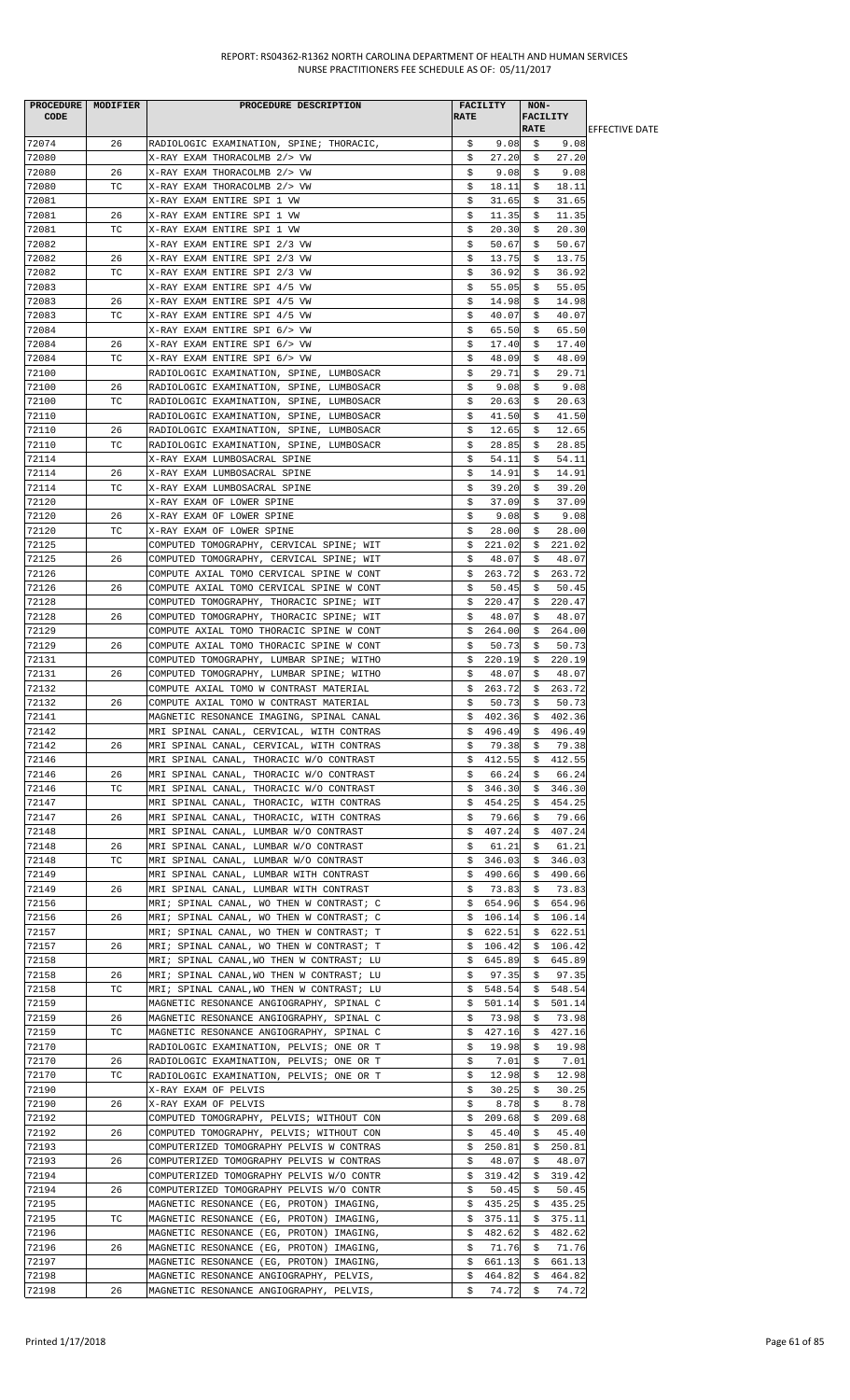| <b>PROCEDURE</b> | MODIFIER | PROCEDURE DESCRIPTION                     |             | <b>FACILITY</b> | NON-            |          |                        |
|------------------|----------|-------------------------------------------|-------------|-----------------|-----------------|----------|------------------------|
| CODE             |          |                                           | <b>RATE</b> |                 | <b>FACILITY</b> |          |                        |
|                  |          |                                           |             |                 | <b>RATE</b>     |          | <b>IEFFECTIVE DATE</b> |
| 72074            | 26       | RADIOLOGIC EXAMINATION, SPINE; THORACIC,  | \$          | 9.08            | Ş.              | 9.08     |                        |
| 72080            |          | X-RAY EXAM THORACOLMB 2/> VW              | \$          | 27.20           | Ş.              | 27.20    |                        |
| 72080            | 26       | X-RAY EXAM THORACOLMB 2/> VW              | \$          | 9.08            | \$              | 9.08     |                        |
| 72080            | ТC       | X-RAY EXAM THORACOLMB 2/> VW              | \$          | 18.11           | \$              | 18.11    |                        |
| 72081            |          | X-RAY EXAM ENTIRE SPI 1 VW                | \$          | 31.65           | \$              | 31.65    |                        |
| 72081            | 26       | X-RAY EXAM ENTIRE SPI 1 VW                | \$          | 11.35           | Ş.              | 11.35    |                        |
| 72081            | TC       | X-RAY EXAM ENTIRE SPI 1 VW                | \$          | 20.30           | \$              | 20.30    |                        |
| 72082            |          | X-RAY EXAM ENTIRE SPI 2/3 VW              | \$          | 50.67           | \$              | 50.67    |                        |
| 72082            | 26       | X-RAY EXAM ENTIRE SPI 2/3 VW              | \$          | 13.75           | S.              | 13.75    |                        |
| 72082            | ТC       | X-RAY EXAM ENTIRE SPI 2/3 VW              | \$          | 36.92           | \$              | 36.92    |                        |
| 72083            |          | X-RAY EXAM ENTIRE SPI 4/5 VW              | \$          | 55.05           | \$              | 55.05    |                        |
| 72083            | 26       | X-RAY EXAM ENTIRE SPI 4/5 VW              | \$          | 14.98           | Ş.              | 14.98    |                        |
| 72083            | ТC       | X-RAY EXAM ENTIRE SPI 4/5 VW              | \$          | 40.07           | \$              | 40.07    |                        |
| 72084            |          | X-RAY EXAM ENTIRE SPI 6/> VW              | \$          | 65.50           | \$              | 65.50    |                        |
| 72084            | 26       | X-RAY EXAM ENTIRE SPI 6/> VW              | \$          | 17.40           | \$              | 17.40    |                        |
| 72084            | TC       | X-RAY EXAM ENTIRE SPI 6/> VW              | \$          | 48.09           | \$              | 48.09    |                        |
| 72100            |          | RADIOLOGIC EXAMINATION, SPINE, LUMBOSACR  | \$          | 29.71           | Ş               | 29.71    |                        |
| 72100            | 26       | RADIOLOGIC EXAMINATION, SPINE, LUMBOSACR  | \$          | 9.08            | \$              | 9.08     |                        |
| 72100            | ТC       | RADIOLOGIC EXAMINATION, SPINE, LUMBOSACR  | \$          | 20.63           | \$              | 20.63    |                        |
| 72110            |          | RADIOLOGIC EXAMINATION, SPINE, LUMBOSACR  | \$          | 41.50           | S.              | 41.50    |                        |
| 72110            | 26       | RADIOLOGIC EXAMINATION, SPINE, LUMBOSACR  | \$          | 12.65           | \$              | 12.65    |                        |
| 72110            | ТC       | RADIOLOGIC EXAMINATION, SPINE, LUMBOSACR  | \$          | 28.85           | \$              | 28.85    |                        |
| 72114            |          | X-RAY EXAM LUMBOSACRAL SPINE              | \$          | 54.11           | S.              | 54.11    |                        |
| 72114            | 26       | X-RAY EXAM LUMBOSACRAL SPINE              | \$          | 14.91           | Ş.              | 14.91    |                        |
| 72114            | TC       | X-RAY EXAM LUMBOSACRAL SPINE              | \$          | 39.20           | \$              | 39.20    |                        |
| 72120            |          | X-RAY EXAM OF LOWER SPINE                 | \$          | 37.09           | \$              | 37.09    |                        |
| 72120            | 26       | X-RAY EXAM OF LOWER SPINE                 | \$          | 9.08            | S.              | 9.08     |                        |
| 72120            | ТC       | X-RAY EXAM OF LOWER SPINE                 | \$          | 28.00           | \$              | 28.00    |                        |
| 72125            |          | COMPUTED TOMOGRAPHY, CERVICAL SPINE; WIT  | \$          | 221.02          | \$              | 221.02   |                        |
| 72125            | 26       | COMPUTED TOMOGRAPHY, CERVICAL SPINE; WIT  | \$          | 48.07           | \$              | 48.07    |                        |
| 72126            |          | COMPUTE AXIAL TOMO CERVICAL SPINE W CONT  | \$          | 263.72          | Ş.              | 263.72   |                        |
| 72126            | 26       | COMPUTE AXIAL TOMO CERVICAL SPINE W CONT  | \$          | 50.45           | \$              | 50.45    |                        |
| 72128            |          | COMPUTED TOMOGRAPHY, THORACIC SPINE; WIT  | \$          | 220.47          | \$.             | 220.47   |                        |
| 72128            | 26       | COMPUTED TOMOGRAPHY, THORACIC SPINE; WIT  | \$          | 48.07           | S.              | 48.07    |                        |
|                  |          |                                           |             |                 |                 |          |                        |
| 72129            |          | COMPUTE AXIAL TOMO THORACIC SPINE W CONT  | \$          | 264.00          | S.              | 264.00   |                        |
| 72129            | 26       | COMPUTE AXIAL TOMO THORACIC SPINE W CONT  | \$          | 50.73           | \$              | 50.73    |                        |
| 72131            |          | COMPUTED TOMOGRAPHY, LUMBAR SPINE; WITHO  | \$          | 220.19          | Ş.              | 220.19   |                        |
| 72131            | 26       | COMPUTED TOMOGRAPHY, LUMBAR SPINE; WITHO  | \$          | 48.07           | S.              | 48.07    |                        |
| 72132            |          | COMPUTE AXIAL TOMO W CONTRAST MATERIAL    | \$          | 263.72          | \$              | 263.72   |                        |
| 72132            | 26       | COMPUTE AXIAL TOMO W CONTRAST MATERIAL    | \$          | 50.73           | \$              | 50.73    |                        |
| 72141            |          | MAGNETIC RESONANCE IMAGING, SPINAL CANAL  | \$          | 402.36          | \$              | 402.36   |                        |
| 72142            |          | MRI SPINAL CANAL, CERVICAL, WITH CONTRAS  | Ş.          | 496.49          | Ş.              | 496.49   |                        |
| 72142            | 26       | MRI SPINAL CANAL, CERVICAL, WITH CONTRAS  | \$          | 79.38           | \$              | 79.38    |                        |
| 72146            |          | MRI SPINAL CANAL, THORACIC W/O CONTRAST   |             | \$412.55        | Ş.              | 412.55   |                        |
| 72146            | 26       | MRI SPINAL CANAL, THORACIC W/O CONTRAST   | Ş.          | 66.24           | S.              | 66.24    |                        |
| 72146            | ТC       | MRI SPINAL CANAL, THORACIC W/O CONTRAST   | \$          | 346.30          | Ş.              | 346.30   |                        |
| 72147            |          | MRI SPINAL CANAL, THORACIC, WITH CONTRAS  | Ş.          | 454.25          | S.              | 454.25   |                        |
| 72147            | 26       | MRI SPINAL CANAL, THORACIC, WITH CONTRAS  | Ş.          | 79.66           | Ş.              | 79.66    |                        |
| 72148            |          | MRI SPINAL CANAL, LUMBAR W/O CONTRAST     | \$          | 407.24          | S.              | 407.24   |                        |
| 72148            | 26       | MRI SPINAL CANAL, LUMBAR W/O CONTRAST     | \$          | 61.21           | \$.             | 61.21    |                        |
| 72148            | ТC       | MRI SPINAL CANAL, LUMBAR W/O CONTRAST     | \$          | 346.03          | \$              | 346.03   |                        |
| 72149            |          | MRI SPINAL CANAL, LUMBAR WITH CONTRAST    |             | \$490.66        | Ş.              | 490.66   |                        |
| 72149            | 26       | MRI SPINAL CANAL, LUMBAR WITH CONTRAST    | Ş.          | 73.83           | Ş.              | 73.83    |                        |
| 72156            |          | MRI; SPINAL CANAL, WO THEN W CONTRAST; C  | \$          | 654.96          | \$              | 654.96   |                        |
| 72156            | 26       | MRI; SPINAL CANAL, WO THEN W CONTRAST; C  |             | \$106.14        |                 | \$106.14 |                        |
| 72157            |          | MRI; SPINAL CANAL, WO THEN W CONTRAST; T  |             | \$622.51        | S.              | 622.51   |                        |
| 72157            | 26       | MRI; SPINAL CANAL, WO THEN W CONTRAST; T  | \$          | 106.42          | Ş.              | 106.42   |                        |
| 72158            |          | MRI; SPINAL CANAL, WO THEN W CONTRAST; LU | \$          | 645.89          | Ş.              | 645.89   |                        |
| 72158            | 26       | MRI; SPINAL CANAL, WO THEN W CONTRAST; LU | \$          | 97.35           | Ş.              | 97.35    |                        |
| 72158            | ТC       | MRI; SPINAL CANAL, WO THEN W CONTRAST; LU | Ş.          | 548.54          | Ş.              | 548.54   |                        |
| 72159            |          | MAGNETIC RESONANCE ANGIOGRAPHY, SPINAL C  | \$          | 501.14          | S.              | 501.14   |                        |
| 72159            | 26       | MAGNETIC RESONANCE ANGIOGRAPHY, SPINAL C  | Ş           | 73.98           | Ş.              | 73.98    |                        |
| 72159            | ТC       | MAGNETIC RESONANCE ANGIOGRAPHY, SPINAL C  | \$          | 427.16          | S.              | 427.16   |                        |
| 72170            |          | RADIOLOGIC EXAMINATION, PELVIS; ONE OR T  | \$          | 19.98           | \$              | 19.98    |                        |
| 72170            | 26       | RADIOLOGIC EXAMINATION, PELVIS; ONE OR T  | \$          | 7.01            | \$              | 7.01     |                        |
| 72170            | ТC       | RADIOLOGIC EXAMINATION, PELVIS; ONE OR T  | \$          | 12.98           | \$              | 12.98    |                        |
| 72190            |          | X-RAY EXAM OF PELVIS                      | \$          | 30.25           | S.              | 30.25    |                        |
| 72190            | 26       | X-RAY EXAM OF PELVIS                      | \$          | 8.78            | \$              | 8.78     |                        |
| 72192            |          | COMPUTED TOMOGRAPHY, PELVIS; WITHOUT CON  | \$          | 209.68          | \$.             | 209.68   |                        |
| 72192            | 26       | COMPUTED TOMOGRAPHY, PELVIS; WITHOUT CON  | Ş.          | 45.40           | S.              | 45.40    |                        |
| 72193            |          | COMPUTERIZED TOMOGRAPHY PELVIS W CONTRAS  | \$          | 250.81          | Ş.              | 250.81   |                        |
| 72193            | 26       | COMPUTERIZED TOMOGRAPHY PELVIS W CONTRAS  | \$.         | 48.07           | \$              | 48.07    |                        |
| 72194            |          | COMPUTERIZED TOMOGRAPHY PELVIS W/O CONTR  | \$          | 319.42          | Ş.              | 319.42   |                        |
| 72194            | 26       | COMPUTERIZED TOMOGRAPHY PELVIS W/O CONTR  | \$          | 50.45           | S.              | 50.45    |                        |
| 72195            |          | MAGNETIC RESONANCE (EG, PROTON) IMAGING,  | \$.         | 435.25          | Ş.              | 435.25   |                        |
| 72195            | ТC       | MAGNETIC RESONANCE (EG, PROTON) IMAGING,  | \$          | 375.11          | Ş.              | 375.11   |                        |
| 72196            |          | MAGNETIC RESONANCE (EG, PROTON) IMAGING,  |             | \$482.62        | S.              | 482.62   |                        |
| 72196            | 26       | MAGNETIC RESONANCE (EG, PROTON) IMAGING,  | Ş.          | 71.76           | Ş.              | 71.76    |                        |
| 72197            |          | MAGNETIC RESONANCE (EG, PROTON) IMAGING,  | \$          | 661.13          | \$              | 661.13   |                        |
| 72198            |          | MAGNETIC RESONANCE ANGIOGRAPHY, PELVIS,   | \$          | 464.82          | \$              | 464.82   |                        |
| 72198            | 26       | MAGNETIC RESONANCE ANGIOGRAPHY, PELVIS,   | \$          | 74.72           |                 | \$74.72  |                        |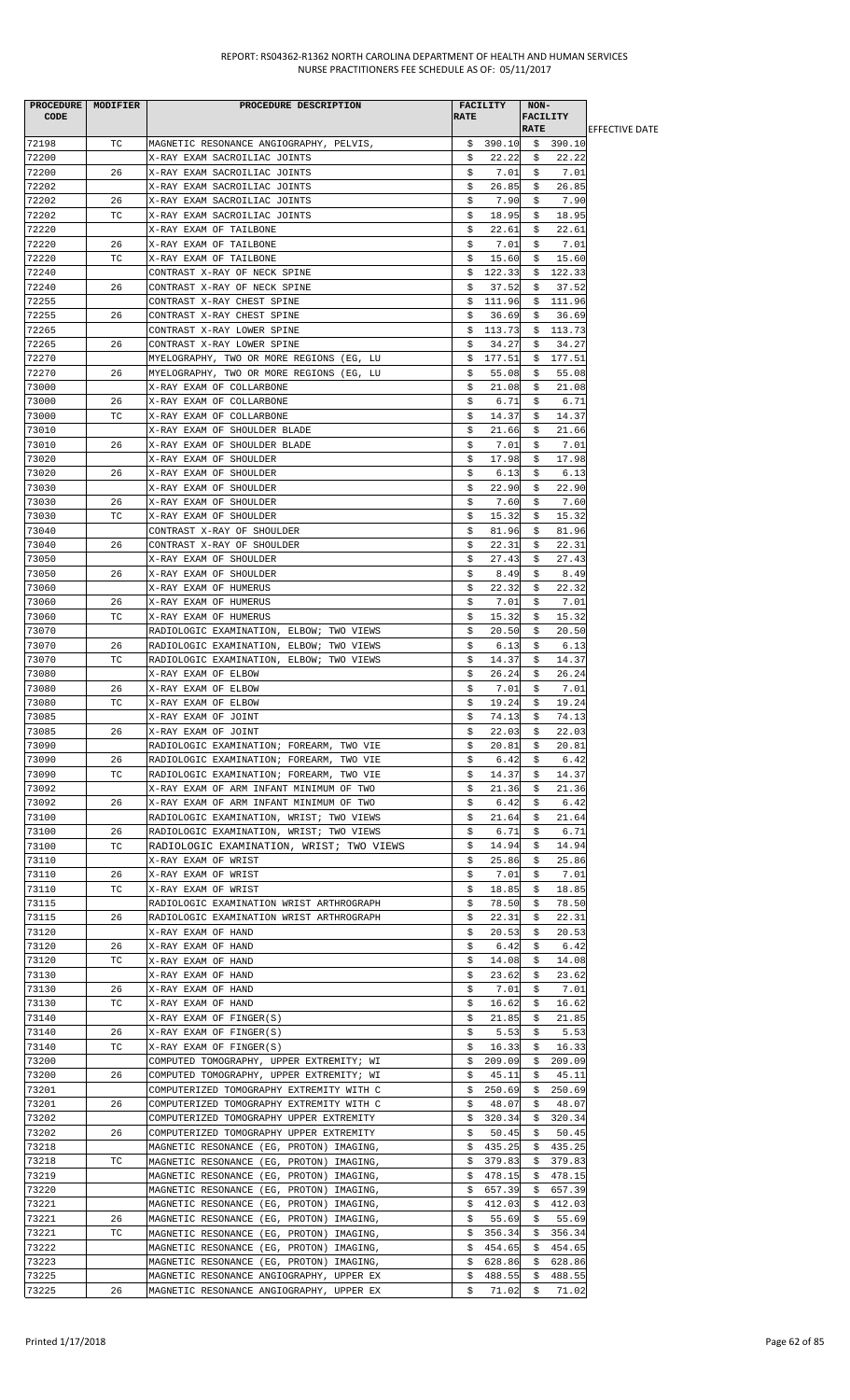| <b>PROCEDURE</b><br><b>CODE</b> | MODIFIER | PROCEDURE DESCRIPTION                                                                | <b>RATE</b> | <b>FACILITY</b>  | NON-<br><b>FACILITY</b> |                  |                        |
|---------------------------------|----------|--------------------------------------------------------------------------------------|-------------|------------------|-------------------------|------------------|------------------------|
|                                 |          |                                                                                      |             |                  | <b>RATE</b>             |                  | <b>IEFFECTIVE DATE</b> |
| 72198                           | TC.      | MAGNETIC RESONANCE ANGIOGRAPHY, PELVIS,                                              |             | \$390.10         |                         | \$390.10         |                        |
| 72200                           |          | X-RAY EXAM SACROILIAC JOINTS                                                         | \$          | 22.22            | \$                      | 22.22            |                        |
| 72200                           | 26       | X-RAY EXAM SACROILIAC JOINTS                                                         | \$          | 7.01             | \$                      | 7.01             |                        |
| 72202                           |          | X-RAY EXAM SACROILIAC JOINTS                                                         | \$          | 26.85            | \$                      | 26.85            |                        |
| 72202                           | 26       | X-RAY EXAM SACROILIAC JOINTS                                                         | Ş.          | 7.90             | s                       | 7.90             |                        |
| 72202                           | ТC       | X-RAY EXAM SACROILIAC JOINTS                                                         | \$          | 18.95            | \$                      | 18.95            |                        |
| 72220                           |          | X-RAY EXAM OF TAILBONE                                                               | \$          | 22.61            | \$                      | 22.61            |                        |
| 72220                           | 26       | X-RAY EXAM OF TAILBONE                                                               | \$          | 7.01             | \$                      | 7.01             |                        |
| 72220                           | TC       | X-RAY EXAM OF TAILBONE                                                               | \$          | 15.60            | \$                      | 15.60            |                        |
| 72240                           |          | CONTRAST X-RAY OF NECK SPINE                                                         | \$          | 122.33           | \$                      | 122.33           |                        |
| 72240                           | 26       | CONTRAST X-RAY OF NECK SPINE                                                         | \$          | 37.52            | \$                      | 37.52            |                        |
| 72255<br>72255                  |          | CONTRAST X-RAY CHEST SPINE                                                           | \$          | 111.96           | \$                      | 111.96           |                        |
| 72265                           | 26       | CONTRAST X-RAY CHEST SPINE                                                           | \$          | 36.69            | \$                      | 36.69            |                        |
|                                 |          | CONTRAST X-RAY LOWER SPINE                                                           | \$          | 113.73           | S.                      | 113.73           |                        |
| 72265<br>72270                  | 26       | CONTRAST X-RAY LOWER SPINE<br>MYELOGRAPHY, TWO OR MORE REGIONS (EG, LU               | \$<br>\$    | 34.27<br>177.51  | Ş<br>S.                 | 34.27<br>177.51  |                        |
| 72270                           | 26       | MYELOGRAPHY, TWO OR MORE REGIONS (EG, LU                                             | \$          | 55.08            | \$                      | 55.08            |                        |
| 73000                           |          | X-RAY EXAM OF COLLARBONE                                                             | \$          | 21.08            | \$                      | 21.08            |                        |
| 73000                           | 26       | X-RAY EXAM OF COLLARBONE                                                             | \$          | 6.71             | \$                      | 6.71             |                        |
| 73000                           | ТC       | X-RAY EXAM OF COLLARBONE                                                             | \$          | 14.37            | \$                      | 14.37            |                        |
| 73010                           |          | X-RAY EXAM OF SHOULDER BLADE                                                         | \$          | 21.66            | \$                      | 21.66            |                        |
| 73010                           | 26       | X-RAY EXAM OF SHOULDER BLADE                                                         | Ş.          | 7.01             | Ş                       | 7.01             |                        |
| 73020                           |          | X-RAY EXAM OF SHOULDER                                                               | \$          | 17.98            | \$                      | 17.98            |                        |
| 73020                           | 26       | X-RAY EXAM OF SHOULDER                                                               | \$          | 6.13             | \$                      | 6.13             |                        |
| 73030                           |          | X-RAY EXAM OF SHOULDER                                                               | \$          | 22.90            | \$                      | 22.90            |                        |
| 73030                           | 26       | X-RAY EXAM OF SHOULDER                                                               | \$          | 7.60             | \$                      | 7.60             |                        |
| 73030                           | ТC       | X-RAY EXAM OF SHOULDER                                                               | \$          | 15.32            | \$                      | 15.32            |                        |
| 73040                           |          | CONTRAST X-RAY OF SHOULDER                                                           | \$          | 81.96            | \$                      | 81.96            |                        |
| 73040                           | 26       | CONTRAST X-RAY OF SHOULDER                                                           | \$          | 22.31            | \$                      | 22.31            |                        |
| 73050                           |          | X-RAY EXAM OF SHOULDER                                                               | \$          | 27.43            | s                       | 27.43            |                        |
| 73050                           | 26       | X-RAY EXAM OF SHOULDER                                                               | \$          | 8.49             | \$                      | 8.49             |                        |
| 73060                           |          | X-RAY EXAM OF HUMERUS                                                                | \$          | 22.32            | \$                      | 22.32            |                        |
| 73060                           | 26       | X-RAY EXAM OF HUMERUS                                                                | \$          | 7.01             | \$                      | 7.01             |                        |
| 73060                           | ТC       | X-RAY EXAM OF HUMERUS                                                                | \$          | 15.32            | s                       | 15.32            |                        |
| 73070                           |          | RADIOLOGIC EXAMINATION, ELBOW; TWO VIEWS                                             | \$          | 20.50            | \$                      | 20.50            |                        |
| 73070                           | 26       | RADIOLOGIC EXAMINATION, ELBOW; TWO VIEWS                                             | \$          | 6.13             | \$                      | 6.13             |                        |
| 73070                           | ТC       | RADIOLOGIC EXAMINATION, ELBOW; TWO VIEWS                                             | \$          | 14.37            | \$                      | 14.37            |                        |
| 73080                           |          | X-RAY EXAM OF ELBOW                                                                  | \$          | 26.24            | \$                      | 26.24            |                        |
| 73080                           | 26       | X-RAY EXAM OF ELBOW                                                                  | \$          | 7.01             | \$                      | 7.01             |                        |
| 73080                           | ТC       | X-RAY EXAM OF ELBOW                                                                  | \$          | 19.24            | \$                      | 19.24            |                        |
| 73085                           |          | X-RAY EXAM OF JOINT                                                                  | \$          | 74.13            | \$                      | 74.13            |                        |
| 73085                           | 26       | X-RAY EXAM OF JOINT                                                                  | \$          | 22.03            | \$                      | 22.03            |                        |
| 73090                           |          | RADIOLOGIC EXAMINATION; FOREARM, TWO VIE                                             | \$          | 20.81            | \$                      | 20.81            |                        |
| 73090                           | 26       | RADIOLOGIC EXAMINATION; FOREARM, TWO VIE                                             | \$          | 6.42             | Ş                       | 6.42             |                        |
| 73090                           | ТC       | RADIOLOGIC EXAMINATION; FOREARM, TWO VIE                                             | \$          | 14.37            | \$                      | 14.37            |                        |
| 73092                           |          | X-RAY EXAM OF ARM INFANT MINIMUM OF TWO                                              | \$          | 21.36            | \$                      | 21.36            |                        |
| 73092                           | 26       | X-RAY EXAM OF ARM INFANT MINIMUM OF TWO                                              | Ş.<br>\$    | 6.42             | Ş.<br>\$                | 6.42<br>21.64    |                        |
| 73100<br>73100                  | 26       | RADIOLOGIC EXAMINATION, WRIST; TWO VIEWS<br>RADIOLOGIC EXAMINATION, WRIST; TWO VIEWS | \$          | 21.64<br>6.71    | \$                      | 6.71             |                        |
| 73100                           | TC       | RADIOLOGIC EXAMINATION, WRIST; TWO VIEWS                                             | \$          | 14.94            | \$                      | 14.94            |                        |
| 73110                           |          | X-RAY EXAM OF WRIST                                                                  | \$          | 25.86            | \$                      | 25.86            |                        |
| 73110                           | 26       | X-RAY EXAM OF WRIST                                                                  | \$          | 7.01             | s                       | 7.01             |                        |
| 73110                           | ТC       | X-RAY EXAM OF WRIST                                                                  | \$          | 18.85            | \$                      | 18.85            |                        |
| 73115                           |          | RADIOLOGIC EXAMINATION WRIST ARTHROGRAPH                                             | \$          | 78.50            | \$                      | 78.50            |                        |
| 73115                           | 26       | RADIOLOGIC EXAMINATION WRIST ARTHROGRAPH                                             | Ş.          | 22.31            | S.                      | 22.31            |                        |
| 73120                           |          | X-RAY EXAM OF HAND                                                                   | \$          | 20.53            | \$                      | 20.53            |                        |
| 73120                           | 26       | X-RAY EXAM OF HAND                                                                   | \$          | 6.42             | \$                      | 6.42             |                        |
| 73120                           | ТC       | X-RAY EXAM OF HAND                                                                   | \$          | 14.08            | \$                      | 14.08            |                        |
| 73130                           |          | X-RAY EXAM OF HAND                                                                   | \$          | 23.62            | s                       | 23.62            |                        |
| 73130                           | 26       | X-RAY EXAM OF HAND                                                                   | \$          | 7.01             | \$                      | 7.01             |                        |
| 73130                           | ТC       | X-RAY EXAM OF HAND                                                                   | \$          | 16.62            | \$.                     | 16.62            |                        |
| 73140                           |          | X-RAY EXAM OF FINGER(S)                                                              | \$          | 21.85            | \$                      | 21.85            |                        |
| 73140                           | 26       | X-RAY EXAM OF FINGER(S)                                                              | \$          | 5.53             | \$                      | 5.53             |                        |
| 73140                           | TC       | X-RAY EXAM OF FINGER(S)                                                              | \$          | 16.33            | \$                      | 16.33            |                        |
| 73200                           |          | COMPUTED TOMOGRAPHY, UPPER EXTREMITY; WI                                             | \$          | 209.09           | Ş.                      | 209.09           |                        |
| 73200                           | 26       | COMPUTED TOMOGRAPHY, UPPER EXTREMITY; WI                                             | S.          | 45.11            | S.                      | 45.11            |                        |
| 73201                           |          | COMPUTERIZED TOMOGRAPHY EXTREMITY WITH C                                             | \$          | 250.69           | \$                      | 250.69           |                        |
| 73201                           | 26       | COMPUTERIZED TOMOGRAPHY EXTREMITY WITH C                                             | \$          | 48.07            | \$                      | 48.07            |                        |
| 73202                           |          | COMPUTERIZED TOMOGRAPHY UPPER EXTREMITY                                              | \$          | 320.34           | Ş                       | 320.34           |                        |
| 73202                           | 26       | COMPUTERIZED TOMOGRAPHY UPPER EXTREMITY                                              | s           | 50.45            | \$                      | 50.45            |                        |
| 73218                           |          | MAGNETIC RESONANCE (EG, PROTON) IMAGING,                                             | \$          | 435.25           | \$                      | 435.25           |                        |
| 73218                           | ТC       | MAGNETIC RESONANCE (EG, PROTON) IMAGING,                                             | Ş.          | 379.83           | Ş.                      | 379.83           |                        |
| 73219                           |          | MAGNETIC RESONANCE (EG, PROTON) IMAGING,                                             | S.          | 478.15           | S.                      | 478.15           |                        |
| 73220                           |          | MAGNETIC RESONANCE (EG, PROTON) IMAGING,                                             | Ş.          | 657.39           | Ş.                      | 657.39           |                        |
| 73221                           |          | MAGNETIC RESONANCE (EG, PROTON) IMAGING,                                             | \$          | 412.03           | \$                      | 412.03           |                        |
| 73221                           | 26       | MAGNETIC RESONANCE (EG, PROTON) IMAGING,                                             | \$          | 55.69            | \$                      | 55.69            |                        |
| 73221                           | ТC       | MAGNETIC RESONANCE (EG, PROTON) IMAGING,                                             | Ş.          | 356.34           | Ş.                      | 356.34           |                        |
| 73222                           |          | MAGNETIC RESONANCE (EG, PROTON) IMAGING,                                             | \$          | 454.65           | \$                      | 454.65           |                        |
| 73223<br>73225                  |          | MAGNETIC RESONANCE (EG, PROTON) IMAGING,<br>MAGNETIC RESONANCE ANGIOGRAPHY, UPPER EX | Ş.<br>Ş.    | 628.86<br>488.55 | Ş.<br>\$.               | 628.86<br>488.55 |                        |
| 73225                           | 26       | MAGNETIC RESONANCE ANGIOGRAPHY, UPPER EX                                             | \$          | 71.02            | \$                      | 71.02            |                        |
|                                 |          |                                                                                      |             |                  |                         |                  |                        |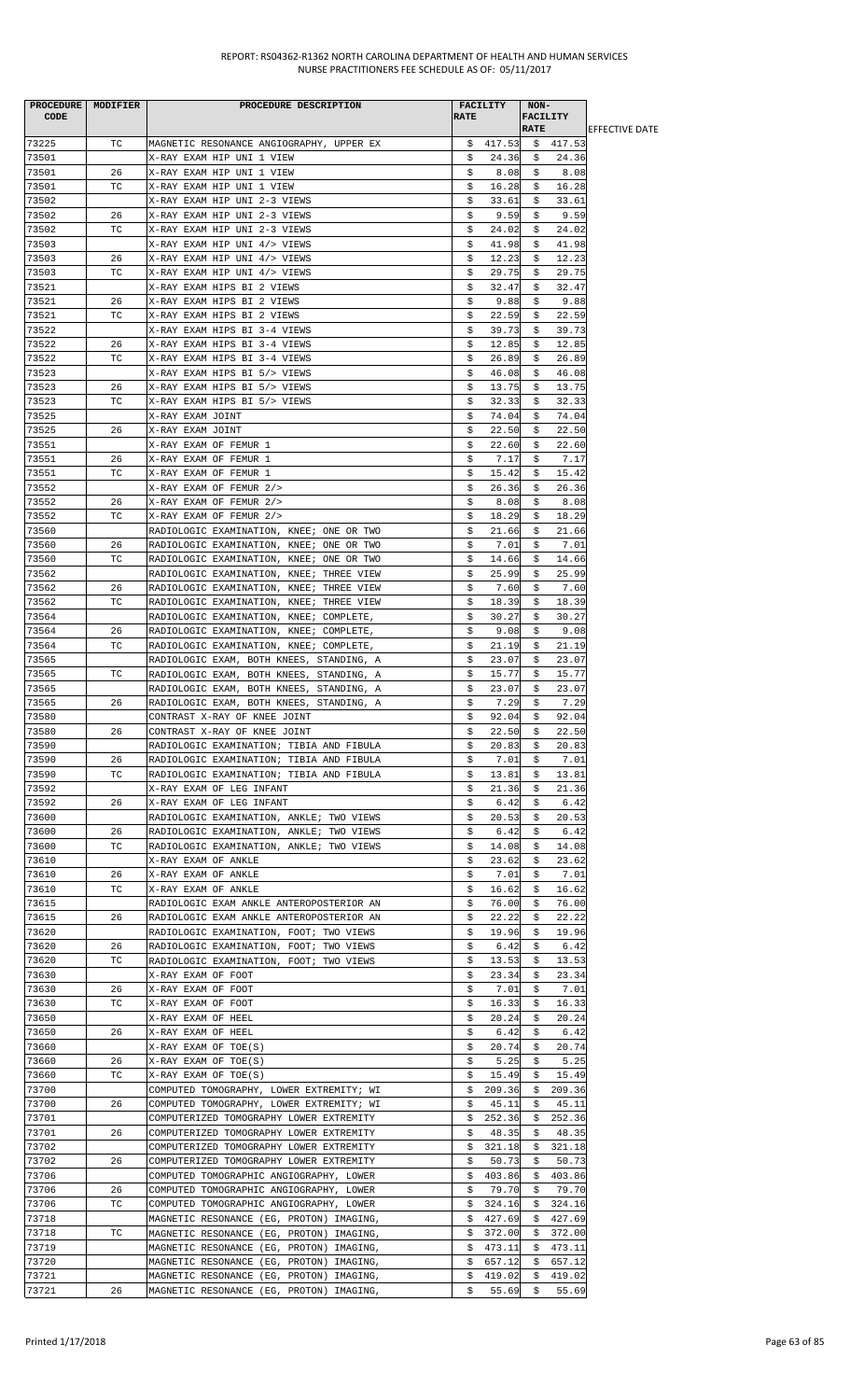| <b>PROCEDURE</b> | MODIFIER | PROCEDURE DESCRIPTION                    |             | <b>FACILITY</b> | NON-                           |          |                        |
|------------------|----------|------------------------------------------|-------------|-----------------|--------------------------------|----------|------------------------|
| <b>CODE</b>      |          |                                          | <b>RATE</b> |                 | <b>FACILITY</b><br><b>RATE</b> |          |                        |
|                  |          |                                          |             |                 |                                |          | <b>IEFFECTIVE DATE</b> |
| 73225            | ТC       | MAGNETIC RESONANCE ANGIOGRAPHY, UPPER EX | S.          | 417.53          |                                | \$417.53 |                        |
| 73501            |          | X-RAY EXAM HIP UNI 1 VIEW                | \$          | 24.36           | \$                             | 24.36    |                        |
| 73501            | 26       | X-RAY EXAM HIP UNI 1 VIEW                | \$          | 8.08            | \$                             | 8.08     |                        |
| 73501            | ТC       | X-RAY EXAM HIP UNI 1 VIEW                | \$          | 16.28           | \$                             | 16.28    |                        |
| 73502            |          | X-RAY EXAM HIP UNI 2-3 VIEWS             | \$          | 33.61           | s                              | 33.61    |                        |
| 73502            | 26       | X-RAY EXAM HIP UNI 2-3 VIEWS             | \$          | 9.59            | \$                             | 9.59     |                        |
| 73502            | ТC       | X-RAY EXAM HIP UNI 2-3 VIEWS             | \$          | 24.02           | \$                             | 24.02    |                        |
| 73503            |          | X-RAY EXAM HIP UNI 4/> VIEWS             | \$          | 41.98           | \$                             | 41.98    |                        |
| 73503            | 26       | X-RAY EXAM HIP UNI 4/> VIEWS             | \$          | 12.23           | \$                             | 12.23    |                        |
| 73503            | ТC       | X-RAY EXAM HIP UNI 4/> VIEWS             | \$          | 29.75           | \$                             | 29.75    |                        |
| 73521            |          | X-RAY EXAM HIPS BI 2 VIEWS               | \$          | 32.47           | \$                             | 32.47    |                        |
| 73521            | 26       | X-RAY EXAM HIPS BI 2 VIEWS               | \$          | 9.88            | s                              | 9.88     |                        |
| 73521            | ТC       | X-RAY EXAM HIPS BI 2 VIEWS               | \$          | 22.59           | \$                             | 22.59    |                        |
| 73522            |          |                                          |             |                 |                                | 39.73    |                        |
|                  |          | X-RAY EXAM HIPS BI 3-4 VIEWS             | \$          | 39.73           | Ş                              |          |                        |
| 73522            | 26       | X-RAY EXAM HIPS BI 3-4 VIEWS             | \$          | 12.85           | \$                             | 12.85    |                        |
| 73522            | ТC       | X-RAY EXAM HIPS BI 3-4 VIEWS             | \$          | 26.89           | \$                             | 26.89    |                        |
| 73523            |          | X-RAY EXAM HIPS BI 5/> VIEWS             | \$          | 46.08           | \$                             | 46.08    |                        |
| 73523            | 26       | X-RAY EXAM HIPS BI 5/> VIEWS             | \$          | 13.75           | Ş.                             | 13.75    |                        |
| 73523            | ТC       | X-RAY EXAM HIPS BI 5/> VIEWS             | \$          | 32.33           | s                              | 32.33    |                        |
| 73525            |          | X-RAY EXAM JOINT                         | \$          | 74.04           | \$                             | 74.04    |                        |
| 73525            | 26       | X-RAY EXAM JOINT                         | \$          | 22.50           | \$                             | 22.50    |                        |
| 73551            |          | X-RAY EXAM OF FEMUR 1                    | \$          | 22.60           | Ş                              | 22.60    |                        |
| 73551            | 26       | X-RAY EXAM OF FEMUR 1                    | \$          | 7.17            | \$                             | 7.17     |                        |
| 73551            | ТC       | X-RAY EXAM OF FEMUR 1                    | \$          | 15.42           | \$                             | 15.42    |                        |
| 73552            |          | X-RAY EXAM OF FEMUR 2/>                  | \$          | 26.36           | \$                             | 26.36    |                        |
| 73552            | 26       | X-RAY EXAM OF FEMUR 2/>                  | \$          | 8.08            | \$                             | 8.08     |                        |
| 73552            | ТC       |                                          |             |                 |                                | 18.29    |                        |
|                  |          | X-RAY EXAM OF FEMUR 2/>                  | \$          | 18.29           | \$                             |          |                        |
| 73560            |          | RADIOLOGIC EXAMINATION, KNEE; ONE OR TWO | \$          | 21.66           | \$                             | 21.66    |                        |
| 73560            | 26       | RADIOLOGIC EXAMINATION, KNEE; ONE OR TWO | \$          | 7.01            | \$                             | 7.01     |                        |
| 73560            | ТC       | RADIOLOGIC EXAMINATION, KNEE; ONE OR TWO | \$          | 14.66           | \$                             | 14.66    |                        |
| 73562            |          | RADIOLOGIC EXAMINATION, KNEE; THREE VIEW | \$          | 25.99           | \$                             | 25.99    |                        |
| 73562            | 26       | RADIOLOGIC EXAMINATION, KNEE; THREE VIEW | \$          | 7.60            | \$                             | 7.60     |                        |
| 73562            | ТC       | RADIOLOGIC EXAMINATION, KNEE; THREE VIEW | \$          | 18.39           | \$                             | 18.39    |                        |
| 73564            |          | RADIOLOGIC EXAMINATION, KNEE; COMPLETE,  | \$          | 30.27           | \$                             | 30.27    |                        |
| 73564            | 26       | RADIOLOGIC EXAMINATION, KNEE; COMPLETE,  | \$          | 9.08            | \$                             | 9.08     |                        |
| 73564            | ТC       | RADIOLOGIC EXAMINATION, KNEE; COMPLETE,  | \$          | 21.19           | \$                             | 21.19    |                        |
| 73565            |          | RADIOLOGIC EXAM, BOTH KNEES, STANDING, A | \$          | 23.07           | \$                             | 23.07    |                        |
| 73565            | TC       | RADIOLOGIC EXAM, BOTH KNEES, STANDING, A | \$          | 15.77           | \$                             | 15.77    |                        |
| 73565            |          | RADIOLOGIC EXAM, BOTH KNEES, STANDING, A | \$          | 23.07           | Ş                              | 23.07    |                        |
| 73565            | 26       | RADIOLOGIC EXAM, BOTH KNEES, STANDING, A | \$          | 7.29            | \$                             | 7.29     |                        |
| 73580            |          | CONTRAST X-RAY OF KNEE JOINT             | \$          | 92.04           | \$                             | 92.04    |                        |
|                  |          |                                          |             |                 |                                |          |                        |
| 73580            | 26       | CONTRAST X-RAY OF KNEE JOINT             | \$          | 22.50           | \$                             | 22.50    |                        |
| 73590            |          | RADIOLOGIC EXAMINATION; TIBIA AND FIBULA | \$          | 20.83           | Ş.                             | 20.83    |                        |
| 73590            | 26       | RADIOLOGIC EXAMINATION; TIBIA AND FIBULA | \$          | 7.01            | Ş.                             | 7.01     |                        |
| 73590            | TC       | RADIOLOGIC EXAMINATION; TIBIA AND FIBULA | \$          | 13.81           | \$                             | 13.81    |                        |
| 73592            |          | X-RAY EXAM OF LEG INFANT                 | \$          | 21.36           | \$                             | 21.36    |                        |
| 73592            | 26       | X-RAY EXAM OF LEG INFANT                 | \$          | 6.42            | Ş                              | 6.42     |                        |
| 73600            |          | RADIOLOGIC EXAMINATION, ANKLE; TWO VIEWS | \$          | 20.53           | \$                             | 20.53    |                        |
| 73600            | 26       | RADIOLOGIC EXAMINATION, ANKLE; TWO VIEWS | \$          | 6.42            | \$                             | 6.42     |                        |
| 73600            | ТC       | RADIOLOGIC EXAMINATION, ANKLE; TWO VIEWS | \$          | 14.08           | \$                             | 14.08    |                        |
| 73610            |          | X-RAY EXAM OF ANKLE                      | \$          | 23.62           | S.                             | 23.62    |                        |
| 73610            | 26       | X-RAY EXAM OF ANKLE                      | \$          | 7.01            | \$                             | 7.01     |                        |
| 73610            | ТC       | X-RAY EXAM OF ANKLE                      | \$          | 16.62           | \$                             | 16.62    |                        |
| 73615            |          | RADIOLOGIC EXAM ANKLE ANTEROPOSTERIOR AN | \$          | 76.00           | \$                             | 76.00    |                        |
| 73615            | 26       | RADIOLOGIC EXAM ANKLE ANTEROPOSTERIOR AN | \$          | 22.22           | S.                             | 22.22    |                        |
|                  |          |                                          |             |                 |                                |          |                        |
| 73620            |          | RADIOLOGIC EXAMINATION, FOOT; TWO VIEWS  | \$          | 19.96           | \$                             | 19.96    |                        |
| 73620            | 26       | RADIOLOGIC EXAMINATION, FOOT; TWO VIEWS  | \$          | 6.42            | \$                             | 6.42     |                        |
| 73620            | ТC       | RADIOLOGIC EXAMINATION, FOOT; TWO VIEWS  | \$          | 13.53           | \$                             | 13.53    |                        |
| 73630            |          | X-RAY EXAM OF FOOT                       | \$          | 23.34           | Ş.                             | 23.34    |                        |
| 73630            | 26       | X-RAY EXAM OF FOOT                       | \$          | 7.01            | \$                             | 7.01     |                        |
| 73630            | ТC       | X-RAY EXAM OF FOOT                       | \$          | 16.33           | \$                             | 16.33    |                        |
| 73650            |          | X-RAY EXAM OF HEEL                       | \$          | 20.24           | \$                             | 20.24    |                        |
| 73650            | 26       | X-RAY EXAM OF HEEL                       | \$          | 6.42            | \$                             | 6.42     |                        |
| 73660            |          | X-RAY EXAM OF TOE(S)                     | \$          | 20.74           | \$                             | 20.74    |                        |
| 73660            | 26       | X-RAY EXAM OF TOE(S)                     | \$          | 5.25            | \$                             | 5.25     |                        |
| 73660            | ТC       | X-RAY EXAM OF TOE(S)                     | \$          | 15.49           | \$                             | 15.49    |                        |
| 73700            |          | COMPUTED TOMOGRAPHY, LOWER EXTREMITY; WI | \$          | 209.36          | \$                             | 209.36   |                        |
| 73700            | 26       | COMPUTED TOMOGRAPHY, LOWER EXTREMITY; WI | \$          | 45.11           | Ş.                             | 45.11    |                        |
| 73701            |          | COMPUTERIZED TOMOGRAPHY LOWER EXTREMITY  | \$          | 252.36          | S.                             | 252.36   |                        |
| 73701            | 26       | COMPUTERIZED TOMOGRAPHY LOWER EXTREMITY  | \$          | 48.35           | \$                             | 48.35    |                        |
|                  |          |                                          |             |                 |                                |          |                        |
| 73702            |          | COMPUTERIZED TOMOGRAPHY LOWER EXTREMITY  | \$          | 321.18          | \$                             | 321.18   |                        |
| 73702            | 26       | COMPUTERIZED TOMOGRAPHY LOWER EXTREMITY  | \$          | 50.73           | Ş.                             | 50.73    |                        |
| 73706            |          | COMPUTED TOMOGRAPHIC ANGIOGRAPHY, LOWER  | \$          | 403.86          | Ş.                             | 403.86   |                        |
| 73706            | 26       | COMPUTED TOMOGRAPHIC ANGIOGRAPHY, LOWER  | \$          | 79.70           | \$                             | 79.70    |                        |
| 73706            | ТC       | COMPUTED TOMOGRAPHIC ANGIOGRAPHY, LOWER  | \$          | 324.16          | Ş.                             | 324.16   |                        |
| 73718            |          | MAGNETIC RESONANCE (EG, PROTON) IMAGING, | Ş.          | 427.69          | Ş.                             | 427.69   |                        |
| 73718            | ТC       | MAGNETIC RESONANCE (EG, PROTON) IMAGING, | \$          | 372.00          | Ş.                             | 372.00   |                        |
| 73719            |          | MAGNETIC RESONANCE (EG, PROTON) IMAGING, | \$          | 473.11          | \$                             | 473.11   |                        |
| 73720            |          | MAGNETIC RESONANCE (EG, PROTON) IMAGING, | \$.         | 657.12          | \$                             | 657.12   |                        |
| 73721            |          | MAGNETIC RESONANCE (EG, PROTON) IMAGING, | \$          | 419.02          | \$.                            | 419.02   |                        |
| 73721            | 26       | MAGNETIC RESONANCE (EG, PROTON) IMAGING, | \$          | 55.69           | \$                             | 55.69    |                        |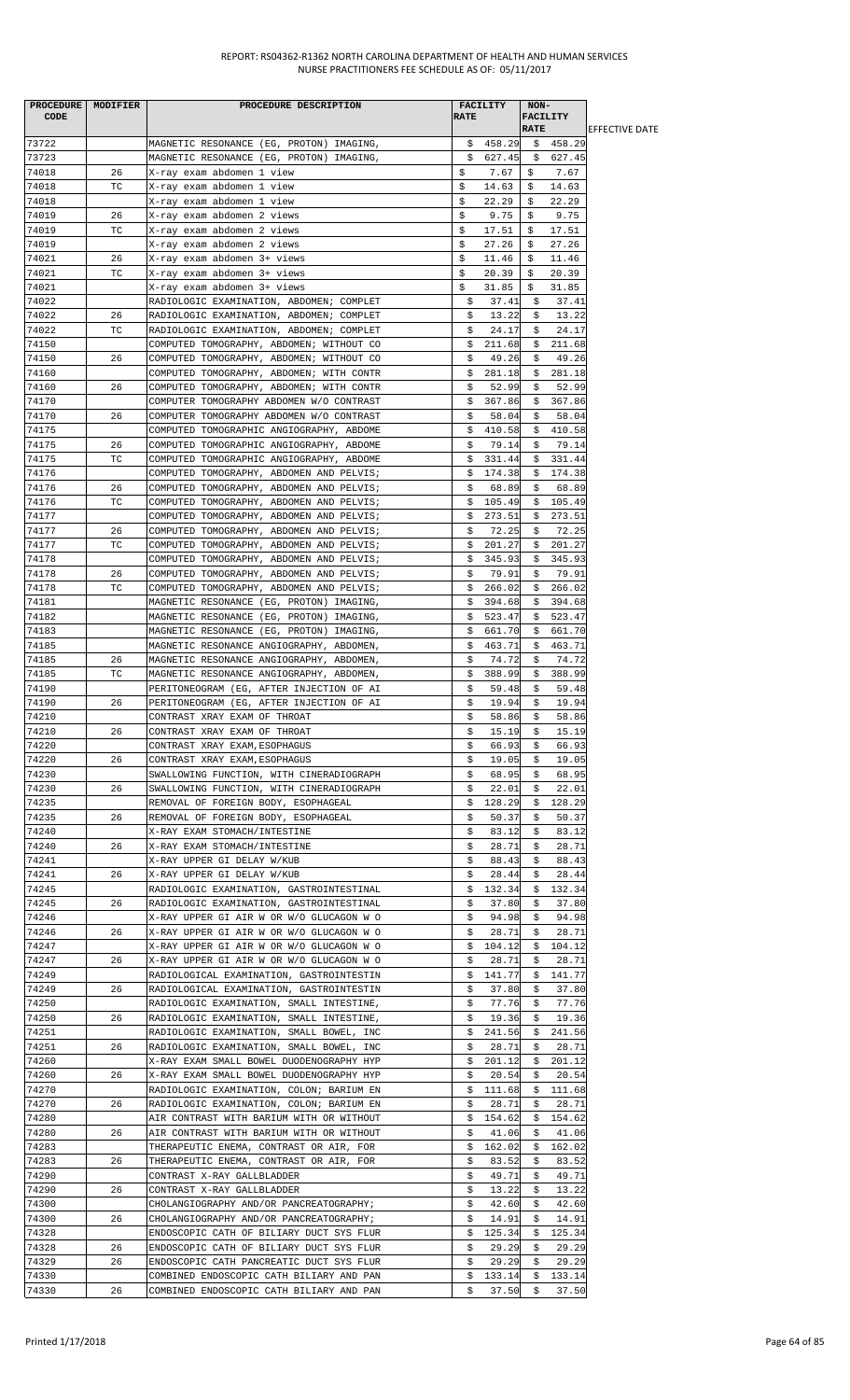| <b>PROCEDURE</b><br>CODE | MODIFIER | PROCEDURE DESCRIPTION                                                                | <b>RATE</b> | <b>FACILITY</b> | NON-<br><b>FACILITY</b><br><b>RATE</b> |                 | <b>EFFECTIVE DATE</b> |
|--------------------------|----------|--------------------------------------------------------------------------------------|-------------|-----------------|----------------------------------------|-----------------|-----------------------|
| 73722                    |          | MAGNETIC RESONANCE (EG, PROTON) IMAGING,                                             |             | \$458.29        |                                        | \$458.29        |                       |
| 73723                    |          |                                                                                      |             | \$627.45        | \$                                     | 627.45          |                       |
| 74018                    | 26       | MAGNETIC RESONANCE (EG, PROTON) IMAGING,                                             | \$          | 7.67            | \$                                     | 7.67            |                       |
| 74018                    | ТC       | X-ray exam abdomen 1 view<br>X-ray exam abdomen 1 view                               | \$          | 14.63           | Ŝ.                                     | 14.63           |                       |
| 74018                    |          | X-ray exam abdomen 1 view                                                            | \$          | 22.29           | \$                                     | 22.29           |                       |
| 74019                    | 26       | X-ray exam abdomen 2 views                                                           | \$          | 9.75            | \$                                     | 9.75            |                       |
| 74019                    | ТC       | X-ray exam abdomen 2 views                                                           | \$          | 17.51           | \$                                     | 17.51           |                       |
| 74019                    |          | X-ray exam abdomen 2 views                                                           | \$          | 27.26           | \$                                     | 27.26           |                       |
| 74021                    | 26       | X-ray exam abdomen 3+ views                                                          | \$          | 11.46           | \$                                     | 11.46           |                       |
| 74021                    | ТC       | X-ray exam abdomen 3+ views                                                          | \$          | 20.39           | \$                                     | 20.39           |                       |
| 74021                    |          | X-ray exam abdomen 3+ views                                                          | Ŝ.          | 31.85           | Ŝ.                                     | 31.85           |                       |
| 74022                    |          | RADIOLOGIC EXAMINATION, ABDOMEN; COMPLET                                             | \$          | 37.41           | S.                                     | 37.41           |                       |
| 74022                    | 26       | RADIOLOGIC EXAMINATION, ABDOMEN; COMPLET                                             | Ş.          | 13.22           | S.                                     | 13.22           |                       |
| 74022                    | ТC       | RADIOLOGIC EXAMINATION, ABDOMEN; COMPLET                                             | \$          | 24.17           | S.                                     | 24.17           |                       |
| 74150                    |          | COMPUTED TOMOGRAPHY, ABDOMEN; WITHOUT CO                                             | \$          | 211.68          | \$                                     | 211.68          |                       |
| 74150                    | 26       | COMPUTED TOMOGRAPHY, ABDOMEN; WITHOUT CO                                             | \$          | 49.26           | \$                                     | 49.26           |                       |
| 74160                    |          | COMPUTED TOMOGRAPHY, ABDOMEN; WITH CONTR                                             | \$          | 281.18          | Ş.                                     | 281.18          |                       |
| 74160                    | 26       | COMPUTED TOMOGRAPHY, ABDOMEN; WITH CONTR                                             | \$          | 52.99           | \$                                     | 52.99           |                       |
| 74170                    |          | COMPUTER TOMOGRAPHY ABDOMEN W/O CONTRAST                                             | \$          | 367.86          | \$.                                    | 367.86          |                       |
| 74170                    | 26       | COMPUTER TOMOGRAPHY ABDOMEN W/O CONTRAST                                             | \$          | 58.04           | S.                                     | 58.04           |                       |
| 74175                    |          | COMPUTED TOMOGRAPHIC ANGIOGRAPHY, ABDOME                                             | \$          | 410.58          | Ş.                                     | 410.58          |                       |
| 74175                    | 26       | COMPUTED TOMOGRAPHIC ANGIOGRAPHY, ABDOME                                             | \$          | 79.14           | \$                                     | 79.14           |                       |
| 74175                    | ТC       | COMPUTED TOMOGRAPHIC ANGIOGRAPHY, ABDOME                                             | \$          | 331.44          | Ş.                                     | 331.44          |                       |
| 74176                    |          | COMPUTED TOMOGRAPHY, ABDOMEN AND PELVIS;                                             | \$          | 174.38          | S.                                     | 174.38          |                       |
| 74176                    | 26       | COMPUTED TOMOGRAPHY, ABDOMEN AND PELVIS;                                             | \$          | 68.89           | \$                                     | 68.89           |                       |
| 74176                    | ТC       | COMPUTED TOMOGRAPHY, ABDOMEN AND PELVIS;                                             | \$          | 105.49          | Ş.                                     | 105.49          |                       |
| 74177                    |          | COMPUTED TOMOGRAPHY, ABDOMEN AND PELVIS;                                             | \$          | 273.51          | \$.                                    | 273.51          |                       |
| 74177<br>74177           | 26<br>TC | COMPUTED TOMOGRAPHY, ABDOMEN AND PELVIS;                                             | \$          | 72.25           | \$                                     | 72.25           |                       |
| 74178                    |          | COMPUTED TOMOGRAPHY, ABDOMEN AND PELVIS;                                             | \$          | 201.27          | \$                                     | 201.27          |                       |
| 74178                    | 26       | COMPUTED TOMOGRAPHY, ABDOMEN AND PELVIS;                                             | Ş.<br>s     | 345.93<br>79.91 | Ş.<br>S.                               | 345.93<br>79.91 |                       |
| 74178                    | ТC       | COMPUTED TOMOGRAPHY, ABDOMEN AND PELVIS;<br>COMPUTED TOMOGRAPHY, ABDOMEN AND PELVIS; | \$          | 266.02          | \$                                     | 266.02          |                       |
| 74181                    |          | MAGNETIC RESONANCE (EG, PROTON) IMAGING,                                             | \$          | 394.68          | \$                                     | 394.68          |                       |
| 74182                    |          | MAGNETIC RESONANCE (EG, PROTON) IMAGING,                                             | \$          | 523.47          | Ş.                                     | 523.47          |                       |
| 74183                    |          | MAGNETIC RESONANCE (EG, PROTON) IMAGING,                                             | \$          | 661.70          | Ş.                                     | 661.70          |                       |
| 74185                    |          | MAGNETIC RESONANCE ANGIOGRAPHY, ABDOMEN,                                             | \$          | 463.71          | \$                                     | 463.71          |                       |
| 74185                    | 26       | MAGNETIC RESONANCE ANGIOGRAPHY, ABDOMEN,                                             | \$          | 74.72           | \$                                     | 74.72           |                       |
| 74185                    | ТC       | MAGNETIC RESONANCE ANGIOGRAPHY, ABDOMEN,                                             | \$          | 388.99          | \$                                     | 388.99          |                       |
| 74190                    |          | PERITONEOGRAM (EG, AFTER INJECTION OF AI                                             | Ş           | 59.48           | S.                                     | 59.48           |                       |
| 74190                    | 26       | PERITONEOGRAM (EG, AFTER INJECTION OF AI                                             | \$          | 19.94           | \$                                     | 19.94           |                       |
| 74210                    |          | CONTRAST XRAY EXAM OF THROAT                                                         | \$          | 58.86           | \$                                     | 58.86           |                       |
| 74210                    | 26       | CONTRAST XRAY EXAM OF THROAT                                                         | Ş.          | 15.19           | S.                                     | 15.19           |                       |
| 74220                    |          | CONTRAST XRAY EXAM, ESOPHAGUS                                                        | \$          | 66.93           | \$                                     | 66.93           |                       |
| 74220                    | 26       | CONTRAST XRAY EXAM, ESOPHAGUS                                                        | \$          | 19.05           | Ş.                                     | 19.05           |                       |
| 74230                    |          | SWALLOWING FUNCTION, WITH CINERADIOGRAPH                                             | \$          | 68.95           | S.                                     | 68.95           |                       |
| 74230                    | 26       | SWALLOWING FUNCTION, WITH CINERADIOGRAPH                                             | \$          | 22.01           | S.                                     | 22.01           |                       |
| 74235                    |          | REMOVAL OF FOREIGN BODY, ESOPHAGEAL                                                  | \$          | 128.29          | S.                                     | 128.29          |                       |
| 74235                    | 26       | REMOVAL OF FOREIGN BODY, ESOPHAGEAL                                                  | Ş           | 50.37           | Ş.                                     | 50.37           |                       |
| 74240                    |          | X-RAY EXAM STOMACH/INTESTINE                                                         | \$          | 83.12           | S.                                     | 83.12           |                       |
| 74240                    | 26       | X-RAY EXAM STOMACH/INTESTINE                                                         | \$          | 28.71           | \$                                     | 28.71           |                       |
| 74241                    |          | X-RAY UPPER GI DELAY W/KUB                                                           | \$          | 88.43           | Ş.                                     | 88.43           |                       |
| 74241<br>74245           | 26       | X-RAY UPPER GI DELAY W/KUB                                                           | \$          | 28.44<br>132.34 | Ş.                                     | 28.44<br>132.34 |                       |
| 74245                    | 26       | RADIOLOGIC EXAMINATION, GASTROINTESTINAL                                             | \$          |                 | S.<br>\$                               |                 |                       |
| 74246                    |          | RADIOLOGIC EXAMINATION, GASTROINTESTINAL<br>X-RAY UPPER GI AIR W OR W/O GLUCAGON W O | \$<br>Ş.    | 37.80<br>94.98  | Ş.                                     | 37.80<br>94.98  |                       |
| 74246                    | 26       | X-RAY UPPER GI AIR W OR W/O GLUCAGON W O                                             | S.          | 28.71           | S.                                     | 28.71           |                       |
| 74247                    |          | X-RAY UPPER GI AIR W OR W/O GLUCAGON W O                                             | \$          | 104.12          | \$                                     | 104.12          |                       |
| 74247                    | 26       | X-RAY UPPER GI AIR W OR W/O GLUCAGON W O                                             | \$.         | 28.71           | \$                                     | 28.71           |                       |
| 74249                    |          | RADIOLOGICAL EXAMINATION, GASTROINTESTIN                                             | \$          | 141.77          | Ş.                                     | 141.77          |                       |
| 74249                    | 26       | RADIOLOGICAL EXAMINATION, GASTROINTESTIN                                             | \$          | 37.80           | S.                                     | 37.80           |                       |
| 74250                    |          | RADIOLOGIC EXAMINATION, SMALL INTESTINE,                                             | \$          | 77.76           | \$                                     | 77.76           |                       |
| 74250                    | 26       | RADIOLOGIC EXAMINATION, SMALL INTESTINE,                                             | \$          | 19.36           | S.                                     | 19.36           |                       |
| 74251                    |          | RADIOLOGIC EXAMINATION, SMALL BOWEL, INC                                             | \$.         | 241.56          | \$                                     | 241.56          |                       |
| 74251                    | 26       | RADIOLOGIC EXAMINATION, SMALL BOWEL, INC                                             | Ş.          | 28.71           | Ş.                                     | 28.71           |                       |
| 74260                    |          | X-RAY EXAM SMALL BOWEL DUODENOGRAPHY HYP                                             | \$          | 201.12          | \$                                     | 201.12          |                       |
| 74260                    | 26       | X-RAY EXAM SMALL BOWEL DUODENOGRAPHY HYP                                             | \$          | 20.54           | \$                                     | 20.54           |                       |
| 74270                    |          | RADIOLOGIC EXAMINATION, COLON; BARIUM EN                                             |             | \$111.68        |                                        | \$111.68        |                       |
| 74270                    | 26       | RADIOLOGIC EXAMINATION, COLON; BARIUM EN                                             | \$          | 28.71           | \$                                     | 28.71           |                       |
| 74280                    |          | AIR CONTRAST WITH BARIUM WITH OR WITHOUT                                             |             | \$154.62        | \$                                     | 154.62          |                       |
| 74280                    | 26       | AIR CONTRAST WITH BARIUM WITH OR WITHOUT                                             | s           | 41.06           | Ş.                                     | 41.06           |                       |
| 74283                    |          | THERAPEUTIC ENEMA, CONTRAST OR AIR, FOR                                              | \$          | 162.02          |                                        | \$162.02        |                       |
| 74283                    | 26       | THERAPEUTIC ENEMA, CONTRAST OR AIR, FOR                                              | \$          | 83.52           | \$                                     | 83.52           |                       |
| 74290                    |          | CONTRAST X-RAY GALLBLADDER                                                           | \$          | 49.71           | Ş.                                     | 49.71           |                       |
| 74290                    | 26       | CONTRAST X-RAY GALLBLADDER                                                           | \$          | 13.22           | S.                                     | 13.22           |                       |
| 74300                    |          | CHOLANGIOGRAPHY AND/OR PANCREATOGRAPHY;                                              | \$          | 42.60           | \$                                     | 42.60           |                       |
| 74300<br>74328           | 26       | CHOLANGIOGRAPHY AND/OR PANCREATOGRAPHY;                                              | \$          | 14.91<br>125.34 | Ş.                                     | 14.91<br>125.34 |                       |
| 74328                    | 26       | ENDOSCOPIC CATH OF BILIARY DUCT SYS FLUR<br>ENDOSCOPIC CATH OF BILIARY DUCT SYS FLUR | \$<br>\$    | 29.29           | Ş.<br>\$                               | 29.29           |                       |
| 74329                    | 26       | ENDOSCOPIC CATH PANCREATIC DUCT SYS FLUR                                             | \$          | 29.29           | \$                                     | 29.29           |                       |
| 74330                    |          | COMBINED ENDOSCOPIC CATH BILIARY AND PAN                                             | Ş.          | 133.14          |                                        | \$133.14        |                       |
| 74330                    | 26       | COMBINED ENDOSCOPIC CATH BILIARY AND PAN                                             | \$          | 37.50           | $\ddot{s}$                             | 37.50           |                       |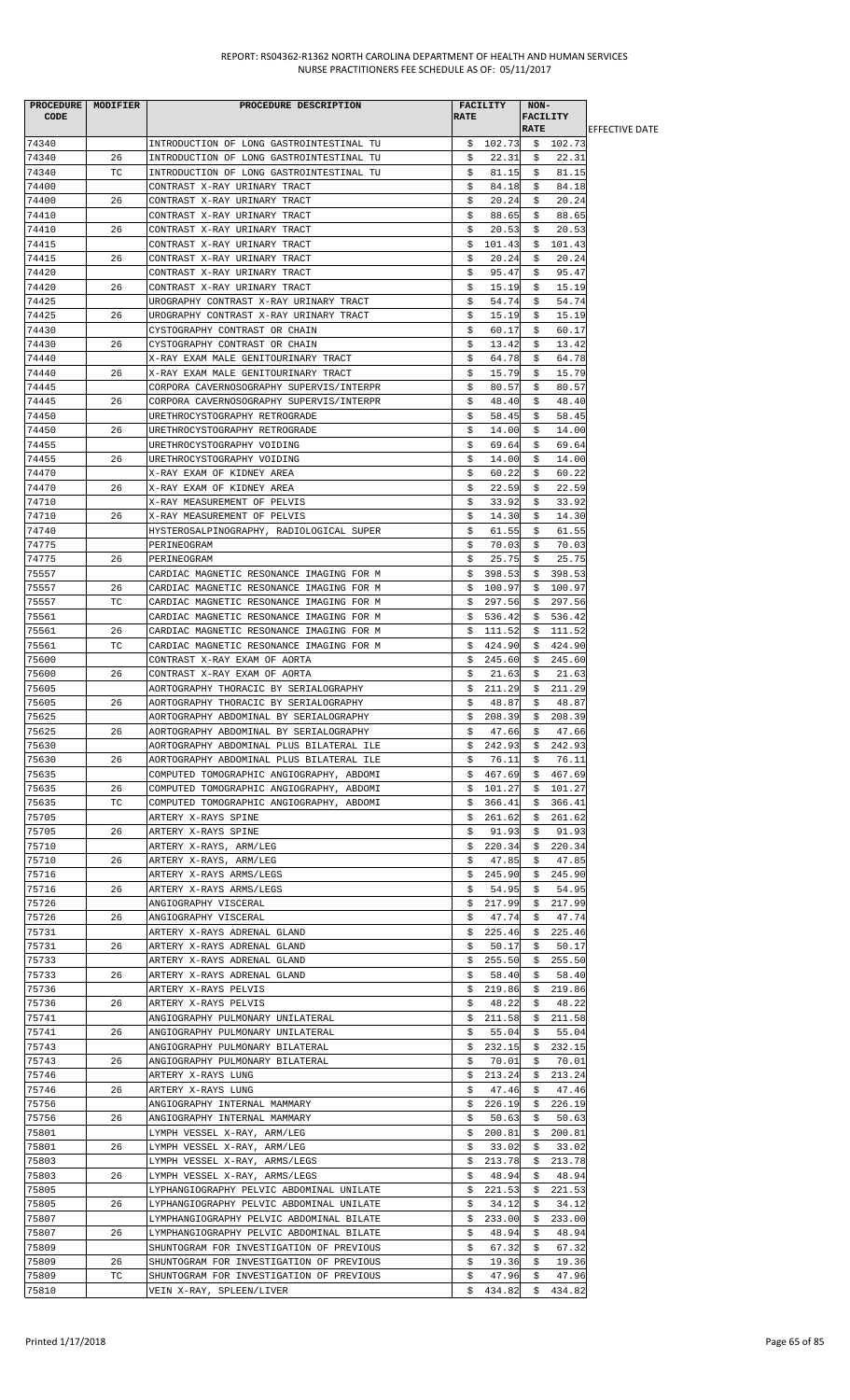|       | PROCEDURE   MODIFIER | PROCEDURE DESCRIPTION                                   |             | <b>FACILITY</b> | NON-        |                 |                        |
|-------|----------------------|---------------------------------------------------------|-------------|-----------------|-------------|-----------------|------------------------|
| CODE  |                      |                                                         | <b>RATE</b> |                 |             | <b>FACILITY</b> |                        |
|       |                      |                                                         |             |                 | <b>RATE</b> |                 | <b>IEFFECTIVE DATE</b> |
| 74340 |                      | INTRODUCTION OF LONG GASTROINTESTINAL TU                |             | \$102.73        |             | \$102.73        |                        |
| 74340 | 26                   | INTRODUCTION OF LONG GASTROINTESTINAL TU                | \$          | 22.31           | - \$        | 22.31           |                        |
| 74340 | TC                   | INTRODUCTION OF LONG GASTROINTESTINAL TU                | \$          | 81.15           | S.          | 81.15           |                        |
| 74400 |                      | CONTRAST X-RAY URINARY TRACT                            | \$          | 84.18           | \$          | 84.18           |                        |
| 74400 | 26                   | CONTRAST X-RAY URINARY TRACT                            | \$          | 20.24           | \$          | 20.24           |                        |
| 74410 |                      | CONTRAST X-RAY URINARY TRACT                            | \$          | 88.65           | Ş.          | 88.65           |                        |
| 74410 | 26                   | CONTRAST X-RAY URINARY TRACT                            | \$          | 20.53           | S.          | 20.53           |                        |
| 74415 |                      | CONTRAST X-RAY URINARY TRACT                            | \$          | 101.43          |             | \$101.43        |                        |
| 74415 | 26                   | CONTRAST X-RAY URINARY TRACT                            | \$          | 20.24           | Ş.          | 20.24           |                        |
| 74420 |                      | CONTRAST X-RAY URINARY TRACT                            | \$          | 95.47           | \$          | 95.47           |                        |
| 74420 | 26                   | CONTRAST X-RAY URINARY TRACT                            | \$          | 15.19           | \$          | 15.19           |                        |
| 74425 |                      | UROGRAPHY CONTRAST X-RAY URINARY TRACT                  | \$          | 54.74           | \$          | 54.74           |                        |
| 74425 | 26                   | UROGRAPHY CONTRAST X-RAY URINARY TRACT                  | \$          | 15.19           | S.          | 15.19           |                        |
| 74430 |                      | CYSTOGRAPHY CONTRAST OR CHAIN                           | s           | 60.17           | S.          | 60.17           |                        |
| 74430 | 26                   | CYSTOGRAPHY CONTRAST OR CHAIN                           | \$          | 13.42           | \$          | 13.42           |                        |
| 74440 |                      | X-RAY EXAM MALE GENITOURINARY TRACT                     | \$          | 64.78           | \$          | 64.78           |                        |
| 74440 | 26                   | X-RAY EXAM MALE GENITOURINARY TRACT                     | \$          | 15.79           | S.          | 15.79           |                        |
| 74445 |                      | CORPORA CAVERNOSOGRAPHY SUPERVIS/INTERPR                | \$          | 80.57           | S.          | 80.57           |                        |
| 74445 | 26                   | CORPORA CAVERNOSOGRAPHY SUPERVIS/INTERPR                | \$          | 48.40           | \$          | 48.40           |                        |
| 74450 |                      | URETHROCYSTOGRAPHY RETROGRADE                           | \$          | 58.45           | S.          | 58.45           |                        |
| 74450 | 26                   | URETHROCYSTOGRAPHY RETROGRADE                           | \$          | 14.00           | S.          | 14.00           |                        |
| 74455 |                      | URETHROCYSTOGRAPHY VOIDING                              | \$          | 69.64           | S.          | 69.64           |                        |
| 74455 | 26                   | URETHROCYSTOGRAPHY VOIDING                              | \$          | 14.00           | \$          | 14.00           |                        |
| 74470 |                      | X-RAY EXAM OF KIDNEY AREA                               | \$          | 60.22           | \$          | 60.22           |                        |
| 74470 | 26                   | X-RAY EXAM OF KIDNEY AREA                               | \$          | 22.59           | S.          | 22.59           |                        |
| 74710 |                      | X-RAY MEASUREMENT OF PELVIS                             | \$          | 33.92           | \$          | 33.92           |                        |
| 74710 | 26                   | X-RAY MEASUREMENT OF PELVIS                             | \$          | 14.30           | \$          | 14.30           |                        |
| 74740 |                      |                                                         | \$          | 61.55           | S.          | 61.55           |                        |
| 74775 |                      | HYSTEROSALPINOGRAPHY, RADIOLOGICAL SUPER<br>PERINEOGRAM | \$          | 70.03           | S.          | 70.03           |                        |
| 74775 | 26                   |                                                         | \$          |                 | \$          | 25.75           |                        |
|       |                      | PERINEOGRAM                                             |             | 25.75           |             |                 |                        |
| 75557 |                      | CARDIAC MAGNETIC RESONANCE IMAGING FOR M                | Ş.          | 398.53          | Ş.          | 398.53          |                        |
| 75557 | 26                   | CARDIAC MAGNETIC RESONANCE IMAGING FOR M                |             | \$100.97        |             | \$100.97        |                        |
| 75557 | TC.                  | CARDIAC MAGNETIC RESONANCE IMAGING FOR M                |             | \$297.56        |             | \$297.56        |                        |
| 75561 |                      | CARDIAC MAGNETIC RESONANCE IMAGING FOR M                | \$          | 536.42          | Ş.          | 536.42          |                        |
| 75561 | 26                   | CARDIAC MAGNETIC RESONANCE IMAGING FOR M                | \$          | 111.52          | \$          | 111.52          |                        |
| 75561 | ТC                   | CARDIAC MAGNETIC RESONANCE IMAGING FOR M                | \$          | 424.90          | \$          | 424.90          |                        |
| 75600 |                      | CONTRAST X-RAY EXAM OF AORTA                            | \$.         | 245.60          | \$          | 245.60          |                        |
| 75600 | 26                   | CONTRAST X-RAY EXAM OF AORTA                            | \$          | 21.63           | \$          | 21.63           |                        |
| 75605 |                      | AORTOGRAPHY THORACIC BY SERIALOGRAPHY                   |             | \$211.29        |             | \$211.29        |                        |
| 75605 | 26                   | AORTOGRAPHY THORACIC BY SERIALOGRAPHY                   | \$          | 48.87           | \$          | 48.87           |                        |
| 75625 |                      | AORTOGRAPHY ABDOMINAL BY SERIALOGRAPHY                  | \$          | 208.39          | \$          | 208.39          |                        |
| 75625 | 26                   | AORTOGRAPHY ABDOMINAL BY SERIALOGRAPHY                  | Ş.          | 47.66           | Ş.          | 47.66           |                        |
| 75630 |                      | AORTOGRAPHY ABDOMINAL PLUS BILATERAL ILE                | Ş.          | 242.93          | Ş.          | 242.93          |                        |
| 75630 | 26                   | AORTOGRAPHY ABDOMINAL PLUS BILATERAL ILE                | \$          | 76.11           | \$          | 76.11           |                        |
| 75635 |                      | COMPUTED TOMOGRAPHIC ANGIOGRAPHY, ABDOMI                | \$.         | 467.69          | \$.         | 467.69          |                        |
| 75635 | 26                   | COMPUTED TOMOGRAPHIC ANGIOGRAPHY, ABDOMI                | Ş.          | 101.27          | S.          | 101.27          |                        |
| 75635 | TC                   | COMPUTED TOMOGRAPHIC ANGIOGRAPHY, ABDOMI                | Ş.          | 366.41          | Ş.          | 366.41          |                        |
| 75705 |                      | ARTERY X-RAYS SPINE                                     | Ş.          | 261.62          | S.          | 261.62          |                        |
| 75705 | 26                   | ARTERY X-RAYS SPINE                                     | \$          | 91.93           | \$          | 91.93           |                        |
| 75710 |                      | ARTERY X-RAYS, ARM/LEG                                  | S.          | 220.34          | S.          | 220.34          |                        |
| 75710 | 26                   | ARTERY X-RAYS, ARM/LEG                                  | \$          | 47.85           | \$          | 47.85           |                        |
| 75716 |                      | ARTERY X-RAYS ARMS/LEGS                                 | \$          | 245.90          | Ş.          | 245.90          |                        |
| 75716 | 26                   | ARTERY X-RAYS ARMS/LEGS                                 | \$          | 54.95           | Ş.          | 54.95           |                        |
| 75726 |                      | ANGIOGRAPHY VISCERAL                                    | Ş.          | 217.99          | S.          | 217.99          |                        |
| 75726 | 26                   | ANGIOGRAPHY VISCERAL                                    | \$          | 47.74           | \$          | 47.74           |                        |
| 75731 |                      | ARTERY X-RAYS ADRENAL GLAND                             | Ş.          | 225.46          | Ş.          | 225.46          |                        |
| 75731 | 26                   | ARTERY X-RAYS ADRENAL GLAND                             | S.          | 50.17           | S.          | 50.17           |                        |
| 75733 |                      | ARTERY X-RAYS ADRENAL GLAND                             | \$          | 255.50          | \$          | 255.50          |                        |
| 75733 | 26                   | ARTERY X-RAYS ADRENAL GLAND                             | \$          | 58.40           | Ş.          | 58.40           |                        |
| 75736 |                      | ARTERY X-RAYS PELVIS                                    | \$          | 219.86          | Ş.          | 219.86          |                        |
| 75736 | 26                   | ARTERY X-RAYS PELVIS                                    | \$          | 48.22           | \$          | 48.22           |                        |
| 75741 |                      | ANGIOGRAPHY PULMONARY UNILATERAL                        | \$.         | 211.58          | \$          | 211.58          |                        |
| 75741 | 26                   | ANGIOGRAPHY PULMONARY UNILATERAL                        | \$          | 55.04           | Ş.          | 55.04           |                        |
| 75743 |                      | ANGIOGRAPHY PULMONARY BILATERAL                         | Ş.          | 232.15          | S.          | 232.15          |                        |
| 75743 | 26                   | ANGIOGRAPHY PULMONARY BILATERAL                         | \$          | 70.01           | Ş.          | 70.01           |                        |
| 75746 |                      | ARTERY X-RAYS LUNG                                      | \$          | 213.24          | \$          | 213.24          |                        |
| 75746 | 26                   | ARTERY X-RAYS LUNG                                      | \$          | 47.46           | Ş.          | 47.46           |                        |
| 75756 |                      | ANGIOGRAPHY INTERNAL MAMMARY                            | Ş.          | 226.19          | Ş.          | 226.19          |                        |
| 75756 | 26                   | ANGIOGRAPHY INTERNAL MAMMARY                            | \$          | 50.63           | \$          | 50.63           |                        |
| 75801 |                      | LYMPH VESSEL X-RAY, ARM/LEG                             | \$          | 200.81          | \$          | 200.81          |                        |
| 75801 | 26                   | LYMPH VESSEL X-RAY, ARM/LEG                             | s           | 33.02           | Ş.          | 33.02           |                        |
| 75803 |                      | LYMPH VESSEL X-RAY, ARMS/LEGS                           | Ş.          | 213.78          | Ş.          | 213.78          |                        |
| 75803 | 26                   | LYMPH VESSEL X-RAY, ARMS/LEGS                           | \$          | 48.94           | \$          | 48.94           |                        |
| 75805 |                      | LYPHANGIOGRAPHY PELVIC ABDOMINAL UNILATE                | \$.         | 221.53          | Ş.          | 221.53          |                        |
| 75805 | 26                   | LYPHANGIOGRAPHY PELVIC ABDOMINAL UNILATE                | S.          | 34.12           | S.          | 34.12           |                        |
| 75807 |                      | LYMPHANGIOGRAPHY PELVIC ABDOMINAL BILATE                | \$          | 233.00          | Ş.          | 233.00          |                        |
| 75807 | 26                   | LYMPHANGIOGRAPHY PELVIC ABDOMINAL BILATE                | \$          | 48.94           | \$          | 48.94           |                        |
| 75809 |                      | SHUNTOGRAM FOR INVESTIGATION OF PREVIOUS                | \$          | 67.32           | Ş.          | 67.32           |                        |
| 75809 | 26                   | SHUNTOGRAM FOR INVESTIGATION OF PREVIOUS                | \$          | 19.36           | S.          | 19.36           |                        |
| 75809 | ТC                   | SHUNTOGRAM FOR INVESTIGATION OF PREVIOUS                | \$          | 47.96           | \$          | 47.96           |                        |
| 75810 |                      | VEIN X-RAY, SPLEEN/LIVER                                | \$          | 434.82          | \$          | 434.82          |                        |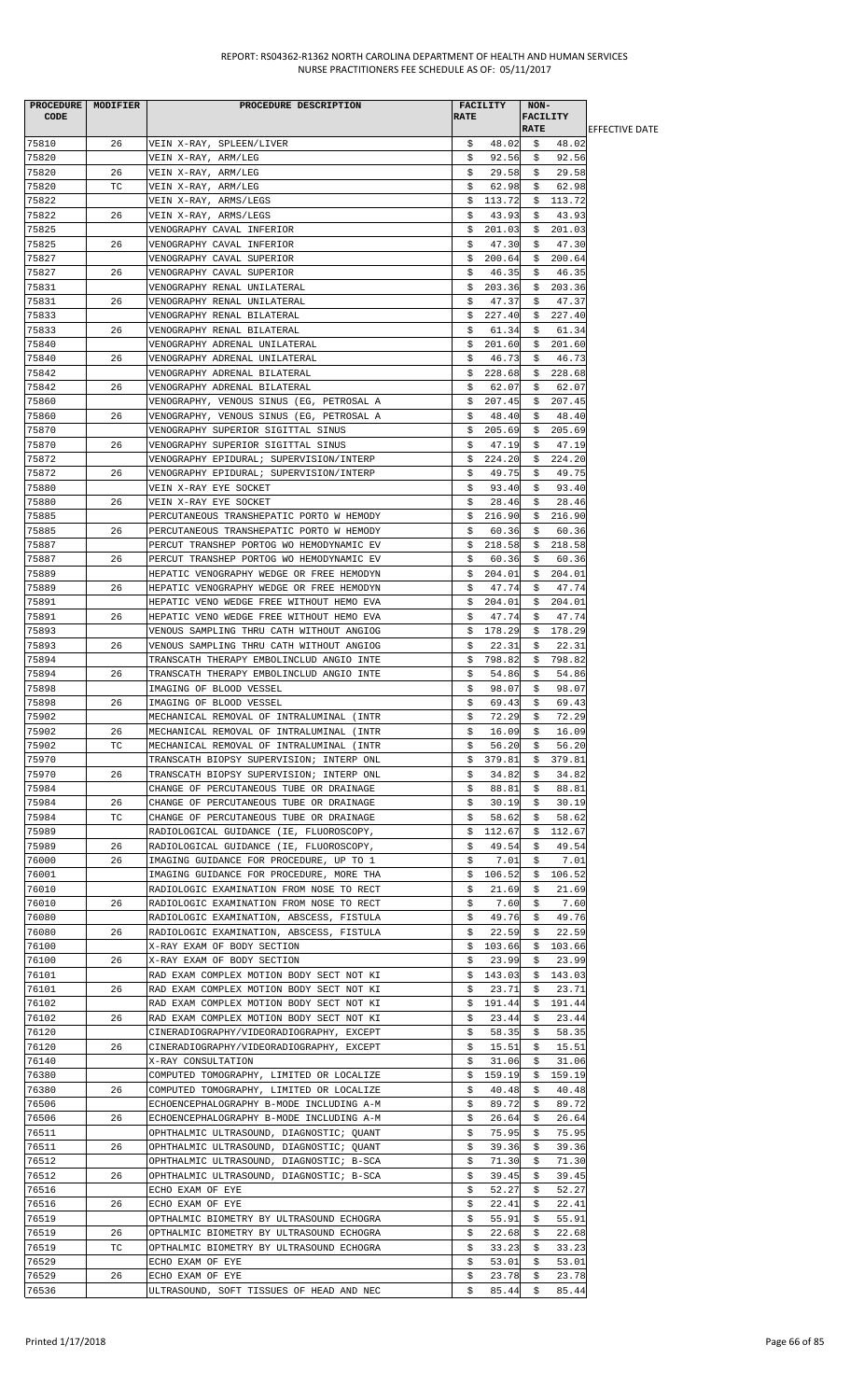| PROCEDURE   MODIFIER |    | PROCEDURE DESCRIPTION                    |             | <b>FACILITY</b> | NON-            |          |                        |
|----------------------|----|------------------------------------------|-------------|-----------------|-----------------|----------|------------------------|
| <b>CODE</b>          |    |                                          | <b>RATE</b> |                 | <b>FACILITY</b> |          |                        |
|                      |    |                                          |             |                 | <b>RATE</b>     |          | <b>IEFFECTIVE DATE</b> |
| 75810                | 26 | VEIN X-RAY, SPLEEN/LIVER                 | \$          | 48.02           | \$              | 48.02    |                        |
| 75820                |    | VEIN X-RAY, ARM/LEG                      | \$          | 92.56           | Ş.              | 92.56    |                        |
| 75820                | 26 | VEIN X-RAY, ARM/LEG                      | Ş.          | 29.58           | S.              | 29.58    |                        |
| 75820                | ТC | VEIN X-RAY, ARM/LEG                      | \$          | 62.98           | \$              | 62.98    |                        |
| 75822                |    | VEIN X-RAY, ARMS/LEGS                    | \$.         | 113.72          |                 | \$113.72 |                        |
| 75822                | 26 | VEIN X-RAY, ARMS/LEGS                    | \$          | 43.93           | Ş.              | 43.93    |                        |
| 75825                |    | VENOGRAPHY CAVAL INFERIOR                | \$          | 201.03          | Ş.              | 201.03   |                        |
| 75825                | 26 | VENOGRAPHY CAVAL INFERIOR                | \$          | 47.30           | \$              | 47.30    |                        |
| 75827                |    | VENOGRAPHY CAVAL SUPERIOR                | \$          | 200.64          | \$              | 200.64   |                        |
| 75827                | 26 | VENOGRAPHY CAVAL SUPERIOR                | s           | 46.35           | S.              | 46.35    |                        |
| 75831                |    | VENOGRAPHY RENAL UNILATERAL              | Ş.          | 203.36          | Ş.              | 203.36   |                        |
| 75831                | 26 | VENOGRAPHY RENAL UNILATERAL              | \$          | 47.37           | \$              | 47.37    |                        |
| 75833                |    | VENOGRAPHY RENAL BILATERAL               | \$          | 227.40          | \$              | 227.40   |                        |
| 75833                | 26 | VENOGRAPHY RENAL BILATERAL               | S.          | 61.34           | S.              | 61.34    |                        |
| 75840                |    | VENOGRAPHY ADRENAL UNILATERAL            | \$          | 201.60          | \$              | 201.60   |                        |
| 75840                | 26 | VENOGRAPHY ADRENAL UNILATERAL            | \$          | 46.73           | \$              | 46.73    |                        |
| 75842                |    | VENOGRAPHY ADRENAL BILATERAL             | \$          | 228.68          | Ş.              | 228.68   |                        |
| 75842                | 26 | VENOGRAPHY ADRENAL BILATERAL             | \$          | 62.07           | \$              | 62.07    |                        |
| 75860                |    | VENOGRAPHY, VENOUS SINUS (EG, PETROSAL A | \$          | 207.45          | \$              | 207.45   |                        |
| 75860                | 26 | VENOGRAPHY, VENOUS SINUS (EG, PETROSAL A | Ş.          | 48.40           | Ş.              | 48.40    |                        |
| 75870                |    | VENOGRAPHY SUPERIOR SIGITTAL SINUS       | \$          | 205.69          | S.              | 205.69   |                        |
| 75870                | 26 | VENOGRAPHY SUPERIOR SIGITTAL SINUS       | \$          | 47.19           | \$              | 47.19    |                        |
| 75872                |    | VENOGRAPHY EPIDURAL; SUPERVISION/INTERP  | \$.         | 224.20          | \$              | 224.20   |                        |
| 75872                | 26 | VENOGRAPHY EPIDURAL; SUPERVISION/INTERP  | \$          | 49.75           | Ş.              | 49.75    |                        |
| 75880                |    | VEIN X-RAY EYE SOCKET                    | \$          | 93.40           | S.              | 93.40    |                        |
| 75880                | 26 | VEIN X-RAY EYE SOCKET                    | \$          | 28.46           | \$              | 28.46    |                        |
| 75885                |    | PERCUTANEOUS TRANSHEPATIC PORTO W HEMODY | \$          | 216.90          | Ş.              | 216.90   |                        |
| 75885                | 26 | PERCUTANEOUS TRANSHEPATIC PORTO W HEMODY | s           | 60.36           | S.              | 60.36    |                        |
| 75887                |    | PERCUT TRANSHEP PORTOG WO HEMODYNAMIC EV | \$          | 218.58          | Ş.              | 218.58   |                        |
| 75887                | 26 | PERCUT TRANSHEP PORTOG WO HEMODYNAMIC EV | \$          | 60.36           | \$              | 60.36    |                        |
|                      |    |                                          |             |                 |                 |          |                        |
| 75889                |    | HEPATIC VENOGRAPHY WEDGE OR FREE HEMODYN | \$.         | 204.01          | \$              | 204.01   |                        |
| 75889                | 26 | HEPATIC VENOGRAPHY WEDGE OR FREE HEMODYN | \$          | 47.74           | S.              | 47.74    |                        |
| 75891                |    | HEPATIC VENO WEDGE FREE WITHOUT HEMO EVA | \$          | 204.01          | \$              | 204.01   |                        |
| 75891                | 26 | HEPATIC VENO WEDGE FREE WITHOUT HEMO EVA | \$          | 47.74           | \$              | 47.74    |                        |
| 75893                |    | VENOUS SAMPLING THRU CATH WITHOUT ANGIOG | \$          | 178.29          | S.              | 178.29   |                        |
| 75893                | 26 | VENOUS SAMPLING THRU CATH WITHOUT ANGIOG | Ş           | 22.31           | S.              | 22.31    |                        |
| 75894                |    | TRANSCATH THERAPY EMBOLINCLUD ANGIO INTE |             | \$798.82        | \$              | 798.82   |                        |
| 75894                | 26 | TRANSCATH THERAPY EMBOLINCLUD ANGIO INTE | \$          | 54.86           | Ş.              | 54.86    |                        |
| 75898                |    | IMAGING OF BLOOD VESSEL                  | \$          | 98.07           | S.              | 98.07    |                        |
| 75898                | 26 | IMAGING OF BLOOD VESSEL                  | \$          | 69.43           | \$              | 69.43    |                        |
| 75902                |    | MECHANICAL REMOVAL OF INTRALUMINAL (INTR | \$          | 72.29           | \$              | 72.29    |                        |
| 75902                | 26 | MECHANICAL REMOVAL OF INTRALUMINAL (INTR | \$          | 16.09           | Ş.              | 16.09    |                        |
| 75902                | ТC | MECHANICAL REMOVAL OF INTRALUMINAL (INTR | \$          | 56.20           | S.              | 56.20    |                        |
| 75970                |    | TRANSCATH BIOPSY SUPERVISION; INTERP ONL | \$          | 379.81          | \$              | 379.81   |                        |
| 75970                | 26 | TRANSCATH BIOPSY SUPERVISION; INTERP ONL | Ş.          | 34.82           | Ş.              | 34.82    |                        |
| 75984                |    | CHANGE OF PERCUTANEOUS TUBE OR DRAINAGE  | \$          | 88.81           | S.              | 88.81    |                        |
| 75984                | 26 | CHANGE OF PERCUTANEOUS TUBE OR DRAINAGE  | \$          | 30.19           | \$              | 30.19    |                        |
| 75984                | ТC | CHANGE OF PERCUTANEOUS TUBE OR DRAINAGE  | \$          | 58.62           | \$              | 58.62    |                        |
| 75989                |    | RADIOLOGICAL GUIDANCE (IE, FLUOROSCOPY,  | \$          | 112.67          | Ş.              | 112.67   |                        |
| 75989                | 26 | RADIOLOGICAL GUIDANCE (IE, FLUOROSCOPY,  | \$          | 49.54           | S.              | 49.54    |                        |
| 76000                | 26 | IMAGING GUIDANCE FOR PROCEDURE, UP TO 1  | \$          | 7.01            | \$              | 7.01     |                        |
| 76001                |    | IMAGING GUIDANCE FOR PROCEDURE, MORE THA | \$          | 106.52          | \$              | 106.52   |                        |
| 76010                |    | RADIOLOGIC EXAMINATION FROM NOSE TO RECT | s           | 21.69           | S.              | 21.69    |                        |
| 76010                | 26 | RADIOLOGIC EXAMINATION FROM NOSE TO RECT | \$          | 7.60            | \$              | 7.60     |                        |
| 76080                |    | RADIOLOGIC EXAMINATION, ABSCESS, FISTULA | \$.         | 49.76           | \$              | 49.76    |                        |
| 76080                | 26 | RADIOLOGIC EXAMINATION, ABSCESS, FISTULA | \$          | 22.59           | S.              | 22.59    |                        |
| 76100                |    | X-RAY EXAM OF BODY SECTION               | \$          | 103.66          | Ş.              | 103.66   |                        |
| 76100                | 26 | X-RAY EXAM OF BODY SECTION               | \$          | 23.99           | \$              | 23.99    |                        |
| 76101                |    | RAD EXAM COMPLEX MOTION BODY SECT NOT KI | \$          | 143.03          | Ş.              | 143.03   |                        |
| 76101                | 26 | RAD EXAM COMPLEX MOTION BODY SECT NOT KI | s           | 23.71           | S.              | 23.71    |                        |
| 76102                |    | RAD EXAM COMPLEX MOTION BODY SECT NOT KI | Ş.          | 191.44          | Ş.              | 191.44   |                        |
| 76102                | 26 | RAD EXAM COMPLEX MOTION BODY SECT NOT KI | \$          | 23.44           | \$              | 23.44    |                        |
| 76120                |    | CINERADIOGRAPHY/VIDEORADIOGRAPHY, EXCEPT | \$          | 58.35           | Ş.              | 58.35    |                        |
| 76120                | 26 | CINERADIOGRAPHY/VIDEORADIOGRAPHY, EXCEPT | S.          | 15.51           | S.              | 15.51    |                        |
| 76140                |    | X-RAY CONSULTATION                       | \$          | 31.06           | \$              | 31.06    |                        |
| 76380                |    | COMPUTED TOMOGRAPHY, LIMITED OR LOCALIZE | \$          | 159.19          | \$              | 159.19   |                        |
| 76380                | 26 | COMPUTED TOMOGRAPHY, LIMITED OR LOCALIZE | \$          | 40.48           | Ş               | 40.48    |                        |
| 76506                |    | ECHOENCEPHALOGRAPHY B-MODE INCLUDING A-M | \$          | 89.72           | \$              | 89.72    |                        |
| 76506                | 26 | ECHOENCEPHALOGRAPHY B-MODE INCLUDING A-M | \$          | 26.64           | \$              | 26.64    |                        |
| 76511                |    | OPHTHALMIC ULTRASOUND, DIAGNOSTIC; QUANT | Ş.          | 75.95           | Ş.              | 75.95    |                        |
| 76511                | 26 | OPHTHALMIC ULTRASOUND, DIAGNOSTIC; QUANT | \$          | 39.36           | S.              | 39.36    |                        |
| 76512                |    | OPHTHALMIC ULTRASOUND, DIAGNOSTIC; B-SCA | \$          | 71.30           | \$              | 71.30    |                        |
| 76512                | 26 | OPHTHALMIC ULTRASOUND, DIAGNOSTIC; B-SCA | \$          | 39.45           | Ş.              | 39.45    |                        |
| 76516                |    | ECHO EXAM OF EYE                         | \$          | 52.27           | Ş.              | 52.27    |                        |
| 76516                | 26 | ECHO EXAM OF EYE                         | \$          | 22.41           | Ş.              | 22.41    |                        |
| 76519                |    | OPTHALMIC BIOMETRY BY ULTRASOUND ECHOGRA | \$          | 55.91           | \$              | 55.91    |                        |
| 76519                | 26 | OPTHALMIC BIOMETRY BY ULTRASOUND ECHOGRA | \$          | 22.68           | \$.             | 22.68    |                        |
| 76519                | ТC | OPTHALMIC BIOMETRY BY ULTRASOUND ECHOGRA | Ş.          | 33.23           | S.              | 33.23    |                        |
| 76529                |    | ECHO EXAM OF EYE                         | \$          | 53.01           | \$              | 53.01    |                        |
| 76529                | 26 | ECHO EXAM OF EYE                         | \$          | 23.78           | \$              | 23.78    |                        |
| 76536                |    | ULTRASOUND, SOFT TISSUES OF HEAD AND NEC | \$          | 85.44           | \$              | 85.44    |                        |
|                      |    |                                          |             |                 |                 |          |                        |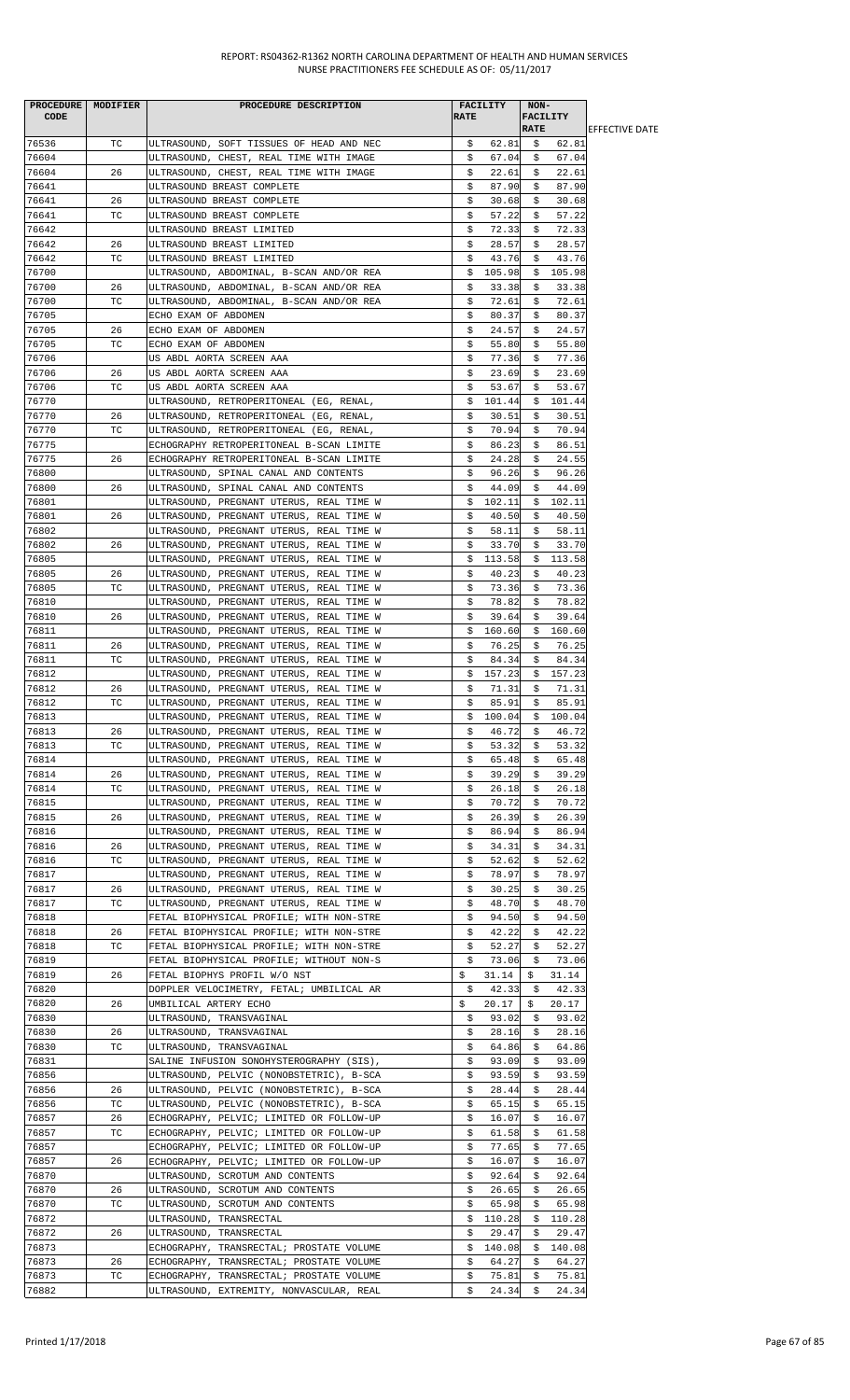| PROCEDURE   MODIFIER |    | PROCEDURE DESCRIPTION                    |             | <b>FACILITY</b> | NON-            |        |                        |
|----------------------|----|------------------------------------------|-------------|-----------------|-----------------|--------|------------------------|
| CODE                 |    |                                          | <b>RATE</b> |                 | <b>FACILITY</b> |        |                        |
|                      |    |                                          |             |                 | <b>RATE</b>     |        | <b>IEFFECTIVE DATE</b> |
| 76536                | ТC | ULTRASOUND, SOFT TISSUES OF HEAD AND NEC | \$          | 62.81           | \$              | 62.81  |                        |
| 76604                |    | ULTRASOUND, CHEST, REAL TIME WITH IMAGE  | \$          | 67.04           | Ş.              | 67.04  |                        |
| 76604                | 26 | ULTRASOUND, CHEST, REAL TIME WITH IMAGE  | Ş.          | 22.61           | S.              | 22.61  |                        |
| 76641                |    | ULTRASOUND BREAST COMPLETE               | \$          | 87.90           | \$              | 87.90  |                        |
| 76641                | 26 | ULTRASOUND BREAST COMPLETE               | \$          | 30.68           | \$              | 30.68  |                        |
| 76641                | ТC | ULTRASOUND BREAST COMPLETE               | \$          | 57.22           | \$              | 57.22  |                        |
| 76642                |    | ULTRASOUND BREAST LIMITED                | \$          | 72.33           | \$              | 72.33  |                        |
| 76642                | 26 | ULTRASOUND BREAST LIMITED                | \$          | 28.57           | \$              | 28.57  |                        |
| 76642                | ТC | ULTRASOUND BREAST LIMITED                | \$          | 43.76           | \$              | 43.76  |                        |
| 76700                |    | ULTRASOUND, ABDOMINAL, B-SCAN AND/OR REA | \$          | 105.98          | \$              | 105.98 |                        |
| 76700                | 26 | ULTRASOUND, ABDOMINAL, B-SCAN AND/OR REA | Ş           | 33.38           | Ş.              | 33.38  |                        |
| 76700                | ТC | ULTRASOUND, ABDOMINAL, B-SCAN AND/OR REA | \$          | 72.61           | \$              | 72.61  |                        |
| 76705                |    | ECHO EXAM OF ABDOMEN                     | \$          | 80.37           | \$              | 80.37  |                        |
| 76705                | 26 | ECHO EXAM OF ABDOMEN                     | \$          | 24.57           | S.              | 24.57  |                        |
| 76705                | TC | ECHO EXAM OF ABDOMEN                     | \$          | 55.80           | \$              | 55.80  |                        |
| 76706                |    | US ABDL AORTA SCREEN AAA                 | \$          | 77.36           | Ş               | 77.36  |                        |
| 76706                | 26 | US ABDL AORTA SCREEN AAA                 | \$          | 23.69           | \$              | 23.69  |                        |
| 76706                | ТC | US ABDL AORTA SCREEN AAA                 | \$          | 53.67           | \$              | 53.67  |                        |
| 76770                |    | ULTRASOUND, RETROPERITONEAL (EG, RENAL,  | \$          | 101.44          | \$              | 101.44 |                        |
| 76770                | 26 | ULTRASOUND, RETROPERITONEAL (EG, RENAL,  | \$          | 30.51           | Ş.              | 30.51  |                        |
| 76770                | ТC | ULTRASOUND, RETROPERITONEAL (EG, RENAL,  | Ş.          | 70.94           | S.              | 70.94  |                        |
| 76775                |    | ECHOGRAPHY RETROPERITONEAL B-SCAN LIMITE | \$          | 86.23           | \$              | 86.51  |                        |
| 76775                | 26 | ECHOGRAPHY RETROPERITONEAL B-SCAN LIMITE | \$          | 24.28           | \$              | 24.55  |                        |
| 76800                |    | ULTRASOUND, SPINAL CANAL AND CONTENTS    | \$          | 96.26           | Ş.              | 96.26  |                        |
| 76800                | 26 |                                          | \$          | 44.09           |                 | 44.09  |                        |
|                      |    | ULTRASOUND, SPINAL CANAL AND CONTENTS    |             |                 | \$              |        |                        |
| 76801                |    | ULTRASOUND, PREGNANT UTERUS, REAL TIME W | \$          | 102.11          | \$              | 102.11 |                        |
| 76801                | 26 | ULTRASOUND, PREGNANT UTERUS, REAL TIME W | \$          | 40.50           | \$              | 40.50  |                        |
| 76802                |    | ULTRASOUND, PREGNANT UTERUS, REAL TIME W | \$          | 58.11           | S.              | 58.11  |                        |
| 76802                | 26 | ULTRASOUND, PREGNANT UTERUS, REAL TIME W | \$          | 33.70           | \$              | 33.70  |                        |
| 76805                |    | ULTRASOUND, PREGNANT UTERUS, REAL TIME W | \$          | 113.58          | \$              | 113.58 |                        |
| 76805                | 26 | ULTRASOUND, PREGNANT UTERUS, REAL TIME W | \$          | 40.23           | \$              | 40.23  |                        |
| 76805                | ТC | ULTRASOUND, PREGNANT UTERUS, REAL TIME W | \$          | 73.36           | S.              | 73.36  |                        |
| 76810                |    | ULTRASOUND, PREGNANT UTERUS, REAL TIME W | \$          | 78.82           | \$              | 78.82  |                        |
| 76810                | 26 | ULTRASOUND, PREGNANT UTERUS, REAL TIME W | \$          | 39.64           | \$.             | 39.64  |                        |
| 76811                |    | ULTRASOUND, PREGNANT UTERUS, REAL TIME W | \$          | 160.60          | \$              | 160.60 |                        |
| 76811                | 26 | ULTRASOUND, PREGNANT UTERUS, REAL TIME W | Ş.          | 76.25           | Ş.              | 76.25  |                        |
| 76811                | TC | ULTRASOUND, PREGNANT UTERUS, REAL TIME W | \$          | 84.34           | \$              | 84.34  |                        |
| 76812                |    | ULTRASOUND, PREGNANT UTERUS, REAL TIME W | \$          | 157.23          | Ş.              | 157.23 |                        |
| 76812                | 26 | ULTRASOUND, PREGNANT UTERUS, REAL TIME W | S.          | 71.31           | S.              | 71.31  |                        |
| 76812                | TC | ULTRASOUND, PREGNANT UTERUS, REAL TIME W | \$          | 85.91           | \$              | 85.91  |                        |
| 76813                |    | ULTRASOUND, PREGNANT UTERUS, REAL TIME W | \$          | 100.04          | \$              | 100.04 |                        |
| 76813                | 26 | ULTRASOUND, PREGNANT UTERUS, REAL TIME W | \$          | 46.72           | Ş               | 46.72  |                        |
| 76813                | ТC | ULTRASOUND, PREGNANT UTERUS, REAL TIME W | Ş           | 53.32           | S.              | 53.32  |                        |
| 76814                |    | ULTRASOUND, PREGNANT UTERUS, REAL TIME W | \$          | 65.48           | \$              | 65.48  |                        |
| 76814                | 26 | ULTRASOUND, PREGNANT UTERUS, REAL TIME W | Ş.          | 39.29           | Ş.              | 39.29  |                        |
| 76814                | ТC | ULTRASOUND, PREGNANT UTERUS, REAL TIME W | \$          | 26.18           | Ş.              | 26.18  |                        |
| 76815                |    | ULTRASOUND, PREGNANT UTERUS, REAL TIME W | \$          | 70.72           | \$              | 70.72  |                        |
| 76815                | 26 | ULTRASOUND, PREGNANT UTERUS, REAL TIME W | \$          | 26.39           | \$.             | 26.39  |                        |
| 76816                |    | ULTRASOUND, PREGNANT UTERUS, REAL TIME W | \$          | 86.94           | \$              | 86.94  |                        |
| 76816                | 26 | ULTRASOUND, PREGNANT UTERUS, REAL TIME W | \$          | 34.31           | S.              | 34.31  |                        |
| 76816                | ТC | ULTRASOUND, PREGNANT UTERUS, REAL TIME W | \$          | 52.62           | \$              | 52.62  |                        |
| 76817                |    | ULTRASOUND, PREGNANT UTERUS, REAL TIME W | \$          | 78.97           | Ş.              | 78.97  |                        |
| 76817                | 26 | ULTRASOUND, PREGNANT UTERUS, REAL TIME W | Ş.          | 30.25           | S.              | 30.25  |                        |
| 76817                | ТC | ULTRASOUND, PREGNANT UTERUS, REAL TIME W | \$          | 48.70           | \$              | 48.70  |                        |
| 76818                |    | FETAL BIOPHYSICAL PROFILE; WITH NON-STRE | \$          | 94.50           | \$              | 94.50  |                        |
| 76818                | 26 | FETAL BIOPHYSICAL PROFILE; WITH NON-STRE | \$          | 42.22           | Ş.              | 42.22  |                        |
| 76818                | TC | FETAL BIOPHYSICAL PROFILE; WITH NON-STRE | \$          | 52.27           | s               | 52.27  |                        |
| 76819                |    | FETAL BIOPHYSICAL PROFILE; WITHOUT NON-S | \$          | 73.06           | \$              | 73.06  |                        |
| 76819                |    |                                          |             |                 |                 |        |                        |
|                      | 26 | FETAL BIOPHYS PROFIL W/O NST             | \$          | 31.14           | \$.             | 31.14  |                        |
| 76820<br>76820       |    | DOPPLER VELOCIMETRY, FETAL; UMBILICAL AR | S.          | 42.33           | s               | 42.33  |                        |
|                      | 26 | UMBILICAL ARTERY ECHO                    | \$          | 20.17           | Ş.              | 20.17  |                        |
| 76830                |    | ULTRASOUND, TRANSVAGINAL                 | S.          | 93.02           | \$              | 93.02  |                        |
| 76830                | 26 | ULTRASOUND, TRANSVAGINAL                 | Ş.          | 28.16           | Ş.              | 28.16  |                        |
| 76830                | ТC | ULTRASOUND, TRANSVAGINAL                 | s           | 64.86           | S.              | 64.86  |                        |
| 76831                |    | SALINE INFUSION SONOHYSTEROGRAPHY (SIS), | \$          | 93.09           | \$              | 93.09  |                        |
| 76856                |    | ULTRASOUND, PELVIC (NONOBSTETRIC), B-SCA | \$          | 93.59           | Ş.              | 93.59  |                        |
| 76856                | 26 | ULTRASOUND, PELVIC (NONOBSTETRIC), B-SCA | \$          | 28.44           | Ş.              | 28.44  |                        |
| 76856                | TC | ULTRASOUND, PELVIC (NONOBSTETRIC), B-SCA | \$          | 65.15           | \$              | 65.15  |                        |
| 76857                | 26 | ECHOGRAPHY, PELVIC; LIMITED OR FOLLOW-UP | \$          | 16.07           | \$              | 16.07  |                        |
| 76857                | ТC | ECHOGRAPHY, PELVIC; LIMITED OR FOLLOW-UP | Ş.          | 61.58           | Ş.              | 61.58  |                        |
| 76857                |    | ECHOGRAPHY, PELVIC; LIMITED OR FOLLOW-UP | Ş.          | 77.65           | Ş.              | 77.65  |                        |
| 76857                | 26 | ECHOGRAPHY, PELVIC; LIMITED OR FOLLOW-UP | \$          | 16.07           | \$              | 16.07  |                        |
| 76870                |    | ULTRASOUND, SCROTUM AND CONTENTS         | \$          | 92.64           | \$              | 92.64  |                        |
| 76870                | 26 | ULTRASOUND, SCROTUM AND CONTENTS         | \$          | 26.65           | Ş               | 26.65  |                        |
| 76870                | ТC | ULTRASOUND, SCROTUM AND CONTENTS         | \$          | 65.98           | \$              | 65.98  |                        |
| 76872                |    | ULTRASOUND, TRANSRECTAL                  | \$          | 110.28          | \$              | 110.28 |                        |
| 76872                | 26 | ULTRASOUND, TRANSRECTAL                  | Ş           | 29.47           | Ş               | 29.47  |                        |
| 76873                |    | ECHOGRAPHY, TRANSRECTAL; PROSTATE VOLUME | S.          | 140.08          | S.              | 140.08 |                        |
| 76873                | 26 | ECHOGRAPHY, TRANSRECTAL; PROSTATE VOLUME | \$          | 64.27           | \$              | 64.27  |                        |
| 76873                | ТC | ECHOGRAPHY, TRANSRECTAL; PROSTATE VOLUME | \$          | 75.81           | \$              | 75.81  |                        |
| 76882                |    | ULTRASOUND, EXTREMITY, NONVASCULAR, REAL | \$          | 24.34           | \$              | 24.34  |                        |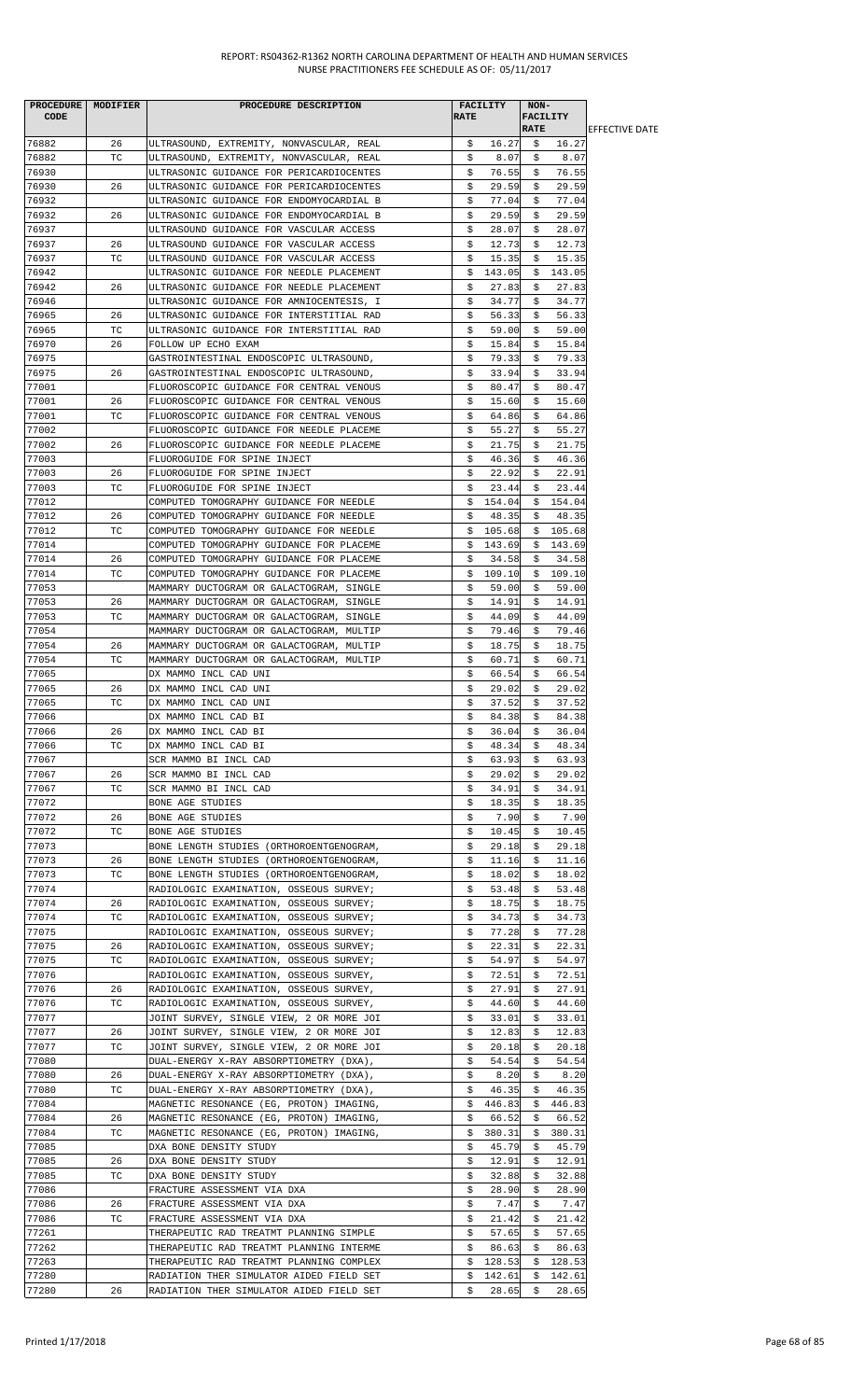|       | PROCEDURE MODIFIER | PROCEDURE DESCRIPTION                    |             | FACILITY | NON-        |                 |                        |
|-------|--------------------|------------------------------------------|-------------|----------|-------------|-----------------|------------------------|
| CODE  |                    |                                          | <b>RATE</b> |          |             | <b>FACILITY</b> |                        |
|       |                    |                                          |             |          | <b>RATE</b> |                 | <b>IEFFECTIVE DATE</b> |
| 76882 | 26                 | ULTRASOUND, EXTREMITY, NONVASCULAR, REAL | \$.         | 16.27    | Ş.          | 16.27           |                        |
| 76882 | ТC                 | ULTRASOUND, EXTREMITY, NONVASCULAR, REAL | \$          | 8.07     | \$          | 8.07            |                        |
| 76930 |                    | ULTRASONIC GUIDANCE FOR PERICARDIOCENTES | \$          | 76.55    | S.          | 76.55           |                        |
| 76930 | 26                 | ULTRASONIC GUIDANCE FOR PERICARDIOCENTES | \$          | 29.59    | \$          | 29.59           |                        |
| 76932 |                    | ULTRASONIC GUIDANCE FOR ENDOMYOCARDIAL B | \$          | 77.04    | \$.         | 77.04           |                        |
| 76932 | 26                 | ULTRASONIC GUIDANCE FOR ENDOMYOCARDIAL B | \$          | 29.59    | Ş           | 29.59           |                        |
| 76937 |                    | ULTRASOUND GUIDANCE FOR VASCULAR ACCESS  | \$          | 28.07    | \$          | 28.07           |                        |
| 76937 | 26                 | ULTRASOUND GUIDANCE FOR VASCULAR ACCESS  | \$          | 12.73    | \$          | 12.73           |                        |
| 76937 | ТC                 | ULTRASOUND GUIDANCE FOR VASCULAR ACCESS  | Ş.          | 15.35    | Ş.          | 15.35           |                        |
| 76942 |                    | ULTRASONIC GUIDANCE FOR NEEDLE PLACEMENT | \$          | 143.05   | \$          | 143.05          |                        |
| 76942 | 26                 | ULTRASONIC GUIDANCE FOR NEEDLE PLACEMENT | \$          | 27.83    | \$          | 27.83           |                        |
| 76946 |                    | ULTRASONIC GUIDANCE FOR AMNIOCENTESIS, I | \$          | 34.77    | \$          | 34.77           |                        |
| 76965 | 26                 | ULTRASONIC GUIDANCE FOR INTERSTITIAL RAD | \$          | 56.33    | \$          | 56.33           |                        |
| 76965 | ТC                 | ULTRASONIC GUIDANCE FOR INTERSTITIAL RAD | \$          | 59.00    | S.          | 59.00           |                        |
| 76970 | 26                 | FOLLOW UP ECHO EXAM                      | \$          | 15.84    | \$          | 15.84           |                        |
| 76975 |                    | GASTROINTESTINAL ENDOSCOPIC ULTRASOUND,  | \$          | 79.33    | \$          | 79.33           |                        |
|       |                    | GASTROINTESTINAL ENDOSCOPIC ULTRASOUND,  |             |          |             |                 |                        |
| 76975 | 26                 |                                          | \$          | 33.94    | Ş.          | 33.94           |                        |
| 77001 |                    | FLUOROSCOPIC GUIDANCE FOR CENTRAL VENOUS | \$          | 80.47    | \$          | 80.47           |                        |
| 77001 | 26                 | FLUOROSCOPIC GUIDANCE FOR CENTRAL VENOUS | \$          | 15.60    | \$          | 15.60           |                        |
| 77001 | ТC                 | FLUOROSCOPIC GUIDANCE FOR CENTRAL VENOUS | \$          | 64.86    | \$          | 64.86           |                        |
| 77002 |                    | FLUOROSCOPIC GUIDANCE FOR NEEDLE PLACEME | \$          | 55.27    | \$          | 55.27           |                        |
| 77002 | 26                 | FLUOROSCOPIC GUIDANCE FOR NEEDLE PLACEME | \$          | 21.75    | \$          | 21.75           |                        |
| 77003 |                    | FLUOROGUIDE FOR SPINE INJECT             | \$          | 46.36    | \$          | 46.36           |                        |
| 77003 | 26                 | FLUOROGUIDE FOR SPINE INJECT             | \$          | 22.92    | \$          | 22.91           |                        |
| 77003 | ТC                 | FLUOROGUIDE FOR SPINE INJECT             | \$          | 23.44    | \$          | 23.44           |                        |
| 77012 |                    | COMPUTED TOMOGRAPHY GUIDANCE FOR NEEDLE  | \$          | 154.04   | \$          | 154.04          |                        |
| 77012 | 26                 | COMPUTED TOMOGRAPHY GUIDANCE FOR NEEDLE  | \$          | 48.35    | \$          | 48.35           |                        |
| 77012 | ТC                 | COMPUTED TOMOGRAPHY GUIDANCE FOR NEEDLE  | Ş.          | 105.68   | S.          | 105.68          |                        |
| 77014 |                    | COMPUTED TOMOGRAPHY GUIDANCE FOR PLACEME | \$          | 143.69   |             | \$143.69        |                        |
| 77014 | 26                 | COMPUTED TOMOGRAPHY GUIDANCE FOR PLACEME | \$          | 34.58    | \$          | 34.58           |                        |
| 77014 | ТC                 | COMPUTED TOMOGRAPHY GUIDANCE FOR PLACEME | \$          | 109.10   | Ş.          | 109.10          |                        |
| 77053 |                    | MAMMARY DUCTOGRAM OR GALACTOGRAM, SINGLE | \$          | 59.00    | \$          | 59.00           |                        |
|       |                    |                                          |             |          |             |                 |                        |
| 77053 | 26                 | MAMMARY DUCTOGRAM OR GALACTOGRAM, SINGLE | \$          | 14.91    | \$          | 14.91           |                        |
| 77053 | ТC                 | MAMMARY DUCTOGRAM OR GALACTOGRAM, SINGLE | Ş.          | 44.09    | Ş.          | 44.09           |                        |
| 77054 |                    | MAMMARY DUCTOGRAM OR GALACTOGRAM, MULTIP | \$          | 79.46    | \$          | 79.46           |                        |
| 77054 | 26                 | MAMMARY DUCTOGRAM OR GALACTOGRAM, MULTIP | \$          | 18.75    | \$          | 18.75           |                        |
| 77054 | ТC                 | MAMMARY DUCTOGRAM OR GALACTOGRAM, MULTIP | \$          | 60.71    | \$          | 60.71           |                        |
| 77065 |                    | DX MAMMO INCL CAD UNI                    | \$          | 66.54    | \$          | 66.54           |                        |
| 77065 | 26                 | DX MAMMO INCL CAD UNI                    | \$          | 29.02    | S.          | 29.02           |                        |
| 77065 | TC                 | DX MAMMO INCL CAD UNI                    | \$          | 37.52    | \$          | 37.52           |                        |
| 77066 |                    | DX MAMMO INCL CAD BI                     | \$          | 84.38    | \$          | 84.38           |                        |
| 77066 | 26                 | DX MAMMO INCL CAD BI                     | Ş.          | 36.04    | s           | 36.04           |                        |
| 77066 | ТC                 | DX MAMMO INCL CAD BI                     | Ş           | 48.34    | Ş.          | 48.34           |                        |
| 77067 |                    | SCR MAMMO BI INCL CAD                    | \$          | 63.93    | \$          | 63.93           |                        |
| 77067 | 26                 | SCR MAMMO BI INCL CAD                    | \$          | 29.02    | Ş.          | 29.02           |                        |
| 77067 | ТC                 | SCR MAMMO BI INCL CAD                    | \$          | 34.91    | S.          | 34.91           |                        |
| 77072 |                    | BONE AGE STUDIES                         | \$          | 18.35    | \$          | 18.35           |                        |
|       |                    |                                          |             |          |             |                 |                        |
| 77072 | 26                 | BONE AGE STUDIES                         | \$          | 7.90     | Ş.          | 7.90            |                        |
| 77072 | ТC                 | BONE AGE STUDIES                         | \$          | 10.45    | S.          | 10.45           |                        |
| 77073 |                    | BONE LENGTH STUDIES (ORTHOROENTGENOGRAM, | \$          | 29.18    | S.          | 29.18           |                        |
| 77073 | 26                 | BONE LENGTH STUDIES (ORTHOROENTGENOGRAM, | \$          | 11.16    | \$          | 11.16           |                        |
| 77073 | ТC                 | BONE LENGTH STUDIES (ORTHOROENTGENOGRAM, | \$          | 18.02    | Ş.          | 18.02           |                        |
| 77074 |                    | RADIOLOGIC EXAMINATION, OSSEOUS SURVEY;  | \$          | 53.48    | S.          | 53.48           |                        |
| 77074 | 26                 | RADIOLOGIC EXAMINATION, OSSEOUS SURVEY;  | \$          | 18.75    | \$          | 18.75           |                        |
| 77074 | ТC                 | RADIOLOGIC EXAMINATION, OSSEOUS SURVEY;  | \$          | 34.73    | \$          | 34.73           |                        |
| 77075 |                    | RADIOLOGIC EXAMINATION, OSSEOUS SURVEY;  | \$          | 77.28    | Ş           | 77.28           |                        |
| 77075 | 26                 | RADIOLOGIC EXAMINATION, OSSEOUS SURVEY;  | \$          | 22.31    | \$          | 22.31           |                        |
| 77075 | ТC                 | RADIOLOGIC EXAMINATION, OSSEOUS SURVEY;  | \$          | 54.97    | \$          | 54.97           |                        |
| 77076 |                    | RADIOLOGIC EXAMINATION, OSSEOUS SURVEY,  | Ş.          | 72.51    | Ş.          | 72.51           |                        |
| 77076 | 26                 | RADIOLOGIC EXAMINATION, OSSEOUS SURVEY,  | \$          | 27.91    | Ş.          | 27.91           |                        |
| 77076 | TC.                | RADIOLOGIC EXAMINATION, OSSEOUS SURVEY,  | \$          | 44.60    | \$          | 44.60           |                        |
| 77077 |                    | JOINT SURVEY, SINGLE VIEW, 2 OR MORE JOI | \$          | 33.01    | \$          | 33.01           |                        |
| 77077 | 26                 | JOINT SURVEY, SINGLE VIEW, 2 OR MORE JOI | \$          | 12.83    | Ş.          | 12.83           |                        |
| 77077 | ТC                 |                                          | \$          | 20.18    | S.          | 20.18           |                        |
|       |                    | JOINT SURVEY, SINGLE VIEW, 2 OR MORE JOI |             |          |             |                 |                        |
| 77080 |                    | DUAL-ENERGY X-RAY ABSORPTIOMETRY (DXA),  | \$          | 54.54    | \$          | 54.54           |                        |
| 77080 | 26                 | DUAL-ENERGY X-RAY ABSORPTIOMETRY (DXA),  | \$          | 8.20     | \$.         | 8.20            |                        |
| 77080 | ТC                 | DUAL-ENERGY X-RAY ABSORPTIOMETRY (DXA),  | \$          | 46.35    | Ş.          | 46.35           |                        |
| 77084 |                    | MAGNETIC RESONANCE (EG, PROTON) IMAGING, | Ş.          | 446.83   | Ş.          | 446.83          |                        |
| 77084 | 26                 | MAGNETIC RESONANCE (EG, PROTON) IMAGING, | \$          | 66.52    | \$          | 66.52           |                        |
| 77084 | ТC                 | MAGNETIC RESONANCE (EG, PROTON) IMAGING, | \$          | 380.31   | Ş.          | 380.31          |                        |
| 77085 |                    | DXA BONE DENSITY STUDY                   | s           | 45.79    | S.          | 45.79           |                        |
| 77085 | 26                 | DXA BONE DENSITY STUDY                   | \$          | 12.91    | \$          | 12.91           |                        |
| 77085 | ТC                 | DXA BONE DENSITY STUDY                   | \$          | 32.88    | Ş.          | 32.88           |                        |
| 77086 |                    | FRACTURE ASSESSMENT VIA DXA              | \$          | 28.90    | s           | 28.90           |                        |
| 77086 | 26                 | FRACTURE ASSESSMENT VIA DXA              | \$          | 7.47     | S.          | 7.47            |                        |
| 77086 | ТC                 | FRACTURE ASSESSMENT VIA DXA              | \$          | 21.42    | \$          | 21.42           |                        |
| 77261 |                    | THERAPEUTIC RAD TREATMT PLANNING SIMPLE  | \$          | 57.65    | Ş.          | 57.65           |                        |
| 77262 |                    | THERAPEUTIC RAD TREATMT PLANNING INTERME | \$          | 86.63    | S.          | 86.63           |                        |
| 77263 |                    | THERAPEUTIC RAD TREATMT PLANNING COMPLEX | \$          | 128.53   | \$          | 128.53          |                        |
|       |                    |                                          |             |          |             |                 |                        |
| 77280 |                    | RADIATION THER SIMULATOR AIDED FIELD SET | \$          | 142.61   | \$          | 142.61          |                        |
| 77280 | 26                 | RADIATION THER SIMULATOR AIDED FIELD SET | \$          | 28.65    | \$.         | 28.65           |                        |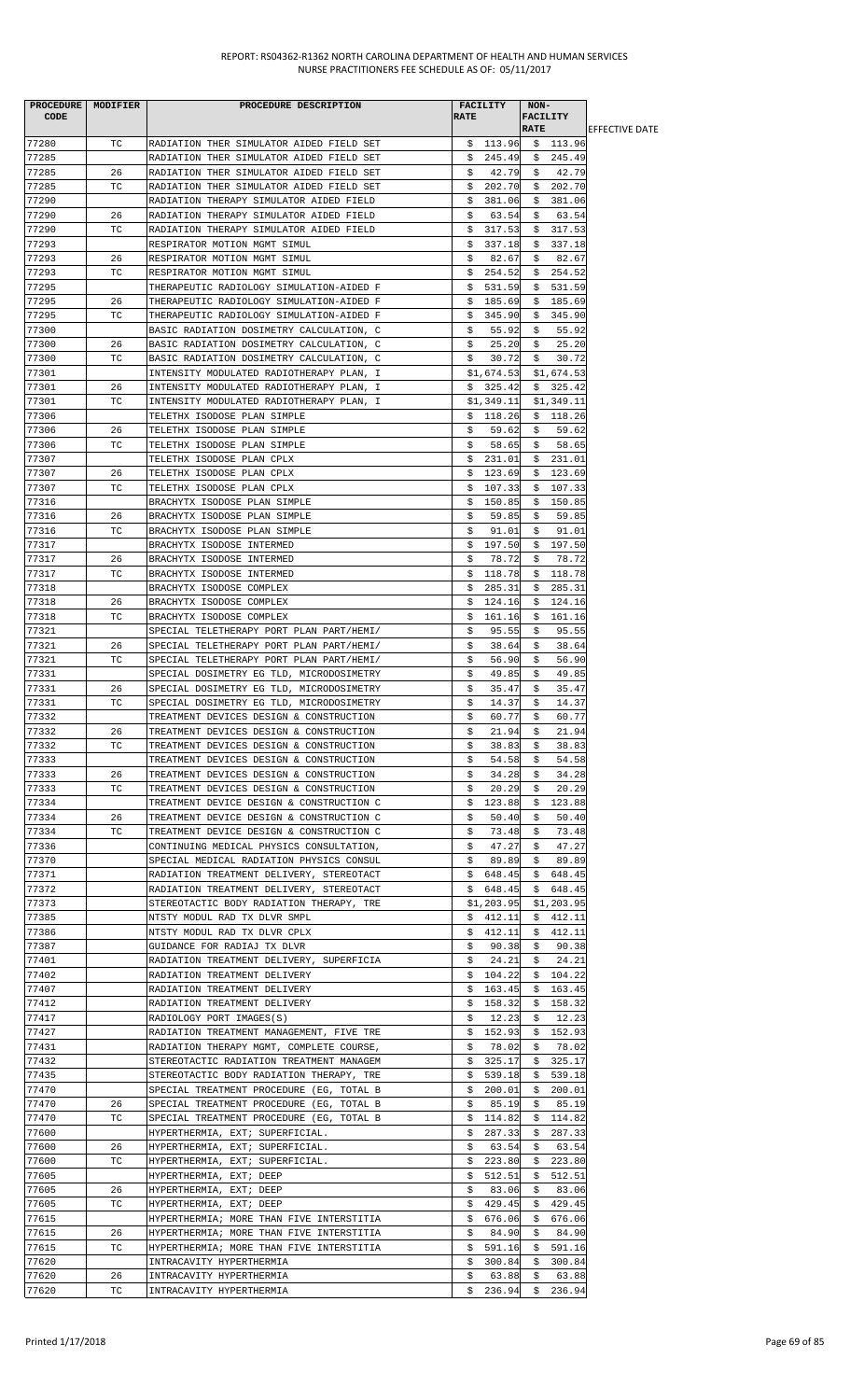|             | PROCEDURE MODIFIER | PROCEDURE DESCRIPTION                    | <b>FACILITY</b> | NON-            |                        |
|-------------|--------------------|------------------------------------------|-----------------|-----------------|------------------------|
| <b>CODE</b> |                    |                                          | <b>RATE</b>     | <b>FACILITY</b> |                        |
|             |                    |                                          |                 | <b>RATE</b>     | <b>IEFFECTIVE DATE</b> |
| 77280       | TC                 | RADIATION THER SIMULATOR AIDED FIELD SET | \$113.96        | \$113.96        |                        |
| 77285       |                    | RADIATION THER SIMULATOR AIDED FIELD SET | \$245.49        | \$245.49        |                        |
| 77285       | 26                 | RADIATION THER SIMULATOR AIDED FIELD SET | 42.79<br>S.     | 42.79<br>- \$   |                        |
|             |                    |                                          |                 |                 |                        |
| 77285       | TC                 | RADIATION THER SIMULATOR AIDED FIELD SET | \$202.70        | \$202.70        |                        |
| 77290       |                    | RADIATION THERAPY SIMULATOR AIDED FIELD  | \$<br>381.06    | 381.06<br>\$    |                        |
| 77290       | 26                 | RADIATION THERAPY SIMULATOR AIDED FIELD  | \$<br>63.54     | 63.54<br>Ş.     |                        |
| 77290       | TC                 | RADIATION THERAPY SIMULATOR AIDED FIELD  | 317.53<br>\$.   | \$317.53        |                        |
| 77293       |                    | RESPIRATOR MOTION MGMT SIMUL             | \$.<br>337.18   | \$<br>337.18    |                        |
| 77293       | 26                 | RESPIRATOR MOTION MGMT SIMUL             | 82.67<br>Ş.     | 82.67<br>Ş.     |                        |
| 77293       | ТC                 | RESPIRATOR MOTION MGMT SIMUL             | \$254.52        | \$254.52        |                        |
|             |                    |                                          |                 |                 |                        |
| 77295       |                    | THERAPEUTIC RADIOLOGY SIMULATION-AIDED F | 531.59<br>\$    | \$531.59        |                        |
| 77295       | 26                 | THERAPEUTIC RADIOLOGY SIMULATION-AIDED F | 185.69<br>\$.   | 185.69<br>\$.   |                        |
| 77295       | ТC                 | THERAPEUTIC RADIOLOGY SIMULATION-AIDED F | \$<br>345.90    | 345.90<br>Ş.    |                        |
| 77300       |                    | BASIC RADIATION DOSIMETRY CALCULATION, C | 55.92<br>Ş.     | 55.92<br>S.     |                        |
| 77300       | 26                 | BASIC RADIATION DOSIMETRY CALCULATION, C | \$<br>25.20     | \$<br>25.20     |                        |
| 77300       | ТC                 | BASIC RADIATION DOSIMETRY CALCULATION, C | \$<br>30.72     | \$<br>30.72     |                        |
| 77301       |                    | INTENSITY MODULATED RADIOTHERAPY PLAN, I | \$1,674.53      | \$1,674.53      |                        |
| 77301       | 26                 |                                          |                 | \$325.42        |                        |
|             |                    | INTENSITY MODULATED RADIOTHERAPY PLAN, I | \$325.42        |                 |                        |
| 77301       | TC                 | INTENSITY MODULATED RADIOTHERAPY PLAN, I | \$1,349.11      | \$1,349.11      |                        |
| 77306       |                    | TELETHX ISODOSE PLAN SIMPLE              | \$118.26        | \$118.26        |                        |
| 77306       | 26                 | TELETHX ISODOSE PLAN SIMPLE              | 59.62<br>S.     | 59.62<br>S.     |                        |
| 77306       | TC.                | TELETHX ISODOSE PLAN SIMPLE              | \$<br>58.65     | \$<br>58.65     |                        |
| 77307       |                    | TELETHX ISODOSE PLAN CPLX                | 231.01<br>\$    | \$<br>231.01    |                        |
| 77307       | 26                 | TELETHX ISODOSE PLAN CPLX                | \$<br>123.69    | \$<br>123.69    |                        |
| 77307       | ТC                 | TELETHX ISODOSE PLAN CPLX                | 107.33<br>Ş.    | \$107.33        |                        |
| 77316       |                    |                                          | \$<br>150.85    | 150.85<br>S.    |                        |
|             |                    | BRACHYTX ISODOSE PLAN SIMPLE             |                 |                 |                        |
| 77316       | 26                 | BRACHYTX ISODOSE PLAN SIMPLE             | 59.85<br>Ş      | 59.85<br>Ş.     |                        |
| 77316       | TC.                | BRACHYTX ISODOSE PLAN SIMPLE             | 91.01<br>S.     | 91.01<br>S.     |                        |
| 77317       |                    | BRACHYTX ISODOSE INTERMED                | 197.50<br>\$    | \$197.50        |                        |
| 77317       | 26                 | BRACHYTX ISODOSE INTERMED                | \$<br>78.72     | 78.72<br>\$     |                        |
| 77317       | TC.                | BRACHYTX ISODOSE INTERMED                | \$<br>118.78    | \$<br>118.78    |                        |
| 77318       |                    | BRACHYTX ISODOSE COMPLEX                 | 285.31<br>s     | 285.31<br>\$    |                        |
| 77318       | 26                 | BRACHYTX ISODOSE COMPLEX                 | \$<br>124.16    | \$<br>124.16    |                        |
|             |                    |                                          |                 |                 |                        |
| 77318       | ТC                 | BRACHYTX ISODOSE COMPLEX                 | Ş.<br>161.16    | 161.16<br>Ş.    |                        |
| 77321       |                    | SPECIAL TELETHERAPY PORT PLAN PART/HEMI/ | 95.55<br>s      | 95.55<br>S.     |                        |
| 77321       | 26                 | SPECIAL TELETHERAPY PORT PLAN PART/HEMI/ | \$<br>38.64     | \$<br>38.64     |                        |
| 77321       | ТC                 | SPECIAL TELETHERAPY PORT PLAN PART/HEMI/ | \$<br>56.90     | \$<br>56.90     |                        |
| 77331       |                    | SPECIAL DOSIMETRY EG TLD, MICRODOSIMETRY | \$<br>49.85     | \$<br>49.85     |                        |
| 77331       | 26                 | SPECIAL DOSIMETRY EG TLD, MICRODOSIMETRY | 35.47<br>\$     | 35.47<br>S.     |                        |
| 77331       | TC.                | SPECIAL DOSIMETRY EG TLD, MICRODOSIMETRY | \$<br>14.37     | \$<br>14.37     |                        |
| 77332       |                    | TREATMENT DEVICES DESIGN & CONSTRUCTION  | \$<br>60.77     | \$<br>60.77     |                        |
| 77332       | 26                 |                                          | 21.94           | 21.94           |                        |
|             |                    | TREATMENT DEVICES DESIGN & CONSTRUCTION  | Ş.              | Ş.              |                        |
| 77332       | TC                 | TREATMENT DEVICES DESIGN & CONSTRUCTION  | 38.83<br>Ş.     | 38.83<br>Ş.     |                        |
| 77333       |                    | TREATMENT DEVICES DESIGN & CONSTRUCTION  | \$<br>54.58     | 54.58<br>\$     |                        |
| 77333       | 26                 | TREATMENT DEVICES DESIGN & CONSTRUCTION  | \$<br>34.28     | 34.28<br>Ş.     |                        |
| 77333       | TC                 | TREATMENT DEVICES DESIGN & CONSTRUCTION  | 20.29<br>S.     | 20.29<br>S.     |                        |
| 77334       |                    | TREATMENT DEVICE DESIGN & CONSTRUCTION C | \$<br>123.88    | \$<br>123.88    |                        |
| 77334       | 26                 | TREATMENT DEVICE DESIGN & CONSTRUCTION C | \$<br>50.40     | 50.40<br>\$     |                        |
| 77334       | TC                 | TREATMENT DEVICE DESIGN & CONSTRUCTION C | \$<br>73.48     | 73.48<br>S.     |                        |
| 77336       |                    | CONTINUING MEDICAL PHYSICS CONSULTATION, | 47.27<br>\$     | 47.27<br>S.     |                        |
| 77370       |                    | SPECIAL MEDICAL RADIATION PHYSICS CONSUL | \$<br>89.89     | \$<br>89.89     |                        |
|             |                    |                                          |                 |                 |                        |
| 77371       |                    | RADIATION TREATMENT DELIVERY, STEREOTACT | \$648.45        | \$<br>648.45    |                        |
| 77372       |                    | RADIATION TREATMENT DELIVERY, STEREOTACT | \$648.45        | \$648.45        |                        |
| 77373       |                    | STEREOTACTIC BODY RADIATION THERAPY, TRE | \$1,203.95      | \$1,203.95      |                        |
| 77385       |                    | NTSTY MODUL RAD TX DLVR SMPL             | \$.<br>412.11   | \$<br>412.11    |                        |
| 77386       |                    | NTSTY MODUL RAD TX DLVR CPLX             | \$<br>412.11    | 412.11<br>Ş.    |                        |
| 77387       |                    | GUIDANCE FOR RADIAJ TX DLVR              | 90.38<br>Ş.     | 90.38<br>\$     |                        |
| 77401       |                    | RADIATION TREATMENT DELIVERY, SUPERFICIA | \$<br>24.21     | \$<br>24.21     |                        |
| 77402       |                    | RADIATION TREATMENT DELIVERY             | \$104.22        | \$104.22        |                        |
| 77407       |                    | RADIATION TREATMENT DELIVERY             | \$163.45        | \$163.45        |                        |
|             |                    |                                          |                 |                 |                        |
| 77412       |                    | RADIATION TREATMENT DELIVERY             | \$158.32        | \$158.32        |                        |
| 77417       |                    | RADIOLOGY PORT IMAGES(S)                 | \$<br>12.23     | 12.23<br>\$     |                        |
| 77427       |                    | RADIATION TREATMENT MANAGEMENT, FIVE TRE | \$152.93        | \$152.93        |                        |
| 77431       |                    | RADIATION THERAPY MGMT, COMPLETE COURSE, | 78.02<br>S.     | 78.02<br>Ş.     |                        |
| 77432       |                    | STEREOTACTIC RADIATION TREATMENT MANAGEM | \$325.17        | 325.17<br>\$    |                        |
| 77435       |                    | STEREOTACTIC BODY RADIATION THERAPY, TRE | 539.18<br>Ş.    | 539.18<br>Ş.    |                        |
| 77470       |                    | SPECIAL TREATMENT PROCEDURE (EG, TOTAL B | \$200.01        | \$200.01        |                        |
| 77470       | 26                 | SPECIAL TREATMENT PROCEDURE (EG, TOTAL B | 85.19<br>Ş.     | 85.19<br>Ş.     |                        |
| 77470       | TC                 |                                          |                 |                 |                        |
|             |                    | SPECIAL TREATMENT PROCEDURE (EG, TOTAL B | \$114.82        | \$114.82        |                        |
| 77600       |                    | HYPERTHERMIA, EXT; SUPERFICIAL.          | \$287.33        | \$<br>287.33    |                        |
| 77600       | 26                 | HYPERTHERMIA, EXT; SUPERFICIAL.          | 63.54<br>S.     | 63.54<br>S.     |                        |
| 77600       | TC                 | HYPERTHERMIA, EXT; SUPERFICIAL.          | \$<br>223.80    | 223.80<br>\$    |                        |
| 77605       |                    | HYPERTHERMIA, EXT; DEEP                  | 512.51<br>\$    | 512.51<br>\$    |                        |
| 77605       | 26                 | HYPERTHERMIA, EXT; DEEP                  | 83.06<br>s      | \$<br>83.06     |                        |
| 77605       | ТC                 | HYPERTHERMIA, EXT; DEEP                  | 429.45<br>Ş.    | 429.45<br>Ş.    |                        |
| 77615       |                    | HYPERTHERMIA; MORE THAN FIVE INTERSTITIA | 676.06<br>Ş.    | 676.06<br>Ş.    |                        |
| 77615       | 26                 | HYPERTHERMIA; MORE THAN FIVE INTERSTITIA | 84.90<br>Ş.     | 84.90<br>Ş.     |                        |
| 77615       | TC                 |                                          | \$591.16        | 591.16          |                        |
|             |                    | HYPERTHERMIA; MORE THAN FIVE INTERSTITIA |                 | S.              |                        |
| 77620       |                    | INTRACAVITY HYPERTHERMIA                 | \$300.84        | \$300.84        |                        |
| 77620       | 26                 | INTRACAVITY HYPERTHERMIA                 | \$<br>63.88     | \$<br>63.88     |                        |
| 77620       | TC                 | INTRACAVITY HYPERTHERMIA                 | \$<br>236.94    | \$236.94        |                        |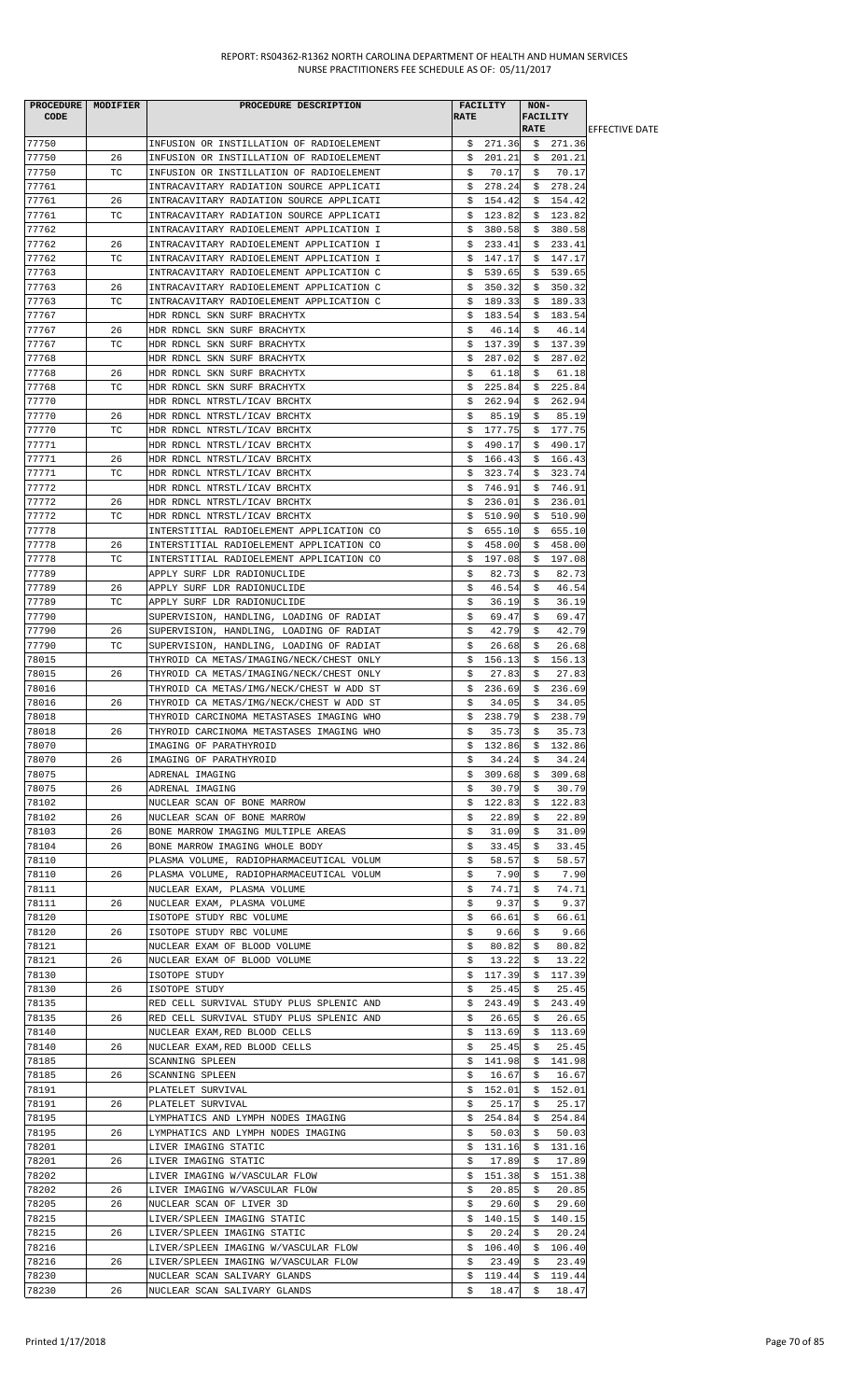| <b>CODE</b>    | PROCEDURE   MODIFIER | PROCEDURE DESCRIPTION                                                   | <b>RATE</b> | <b>FACILITY</b>     | NON-<br><b>RATE</b> | <b>FACILITY</b>     | <b>EFFECTIVE DATE</b> |
|----------------|----------------------|-------------------------------------------------------------------------|-------------|---------------------|---------------------|---------------------|-----------------------|
| 77750          |                      | INFUSION OR INSTILLATION OF RADIOELEMENT                                |             |                     |                     | $$271.36 \t$271.36$ |                       |
| 77750          | 26                   | INFUSION OR INSTILLATION OF RADIOELEMENT                                |             | \$201.21            |                     | \$201.21            |                       |
| 77750          | TC.                  | INFUSION OR INSTILLATION OF RADIOELEMENT                                | Ş.          | 70.17               | Ş.                  | 70.17               |                       |
| 77761          |                      | INTRACAVITARY RADIATION SOURCE APPLICATI                                | \$.         | 278.24              | \$                  | 278.24              |                       |
| 77761          | 26                   | INTRACAVITARY RADIATION SOURCE APPLICATI                                | \$          | 154.42              | \$                  | 154.42              |                       |
| 77761          | ТC                   | INTRACAVITARY RADIATION SOURCE APPLICATI                                | Ş.          | 123.82              |                     | \$123.82            |                       |
| 77762          |                      | INTRACAVITARY RADIOELEMENT APPLICATION I                                | Ş.          | 380.58              |                     | \$380.58            |                       |
| 77762          | 26                   | INTRACAVITARY RADIOELEMENT APPLICATION I                                | S.          | 233.41              | S.                  | 233.41              |                       |
| 77762          | ТC                   | INTRACAVITARY RADIOELEMENT APPLICATION I                                |             | \$147.17            |                     | \$147.17            |                       |
| 77763          |                      | INTRACAVITARY RADIOELEMENT APPLICATION C                                |             | \$539.65            |                     | \$539.65            |                       |
| 77763<br>77763 | 26<br>ТC             | INTRACAVITARY RADIOELEMENT APPLICATION C                                | \$          | 350.32              | \$                  | 350.32              |                       |
| 77767          |                      | INTRACAVITARY RADIOELEMENT APPLICATION C<br>HDR RDNCL SKN SURF BRACHYTX | \$<br>\$    | 189.33<br>183.54    | \$<br>Ş.            | 189.33<br>183.54    |                       |
| 77767          | 26                   | HDR RDNCL SKN SURF BRACHYTX                                             | \$          | 46.14               | \$                  | 46.14               |                       |
| 77767          | ТC                   | HDR RDNCL SKN SURF BRACHYTX                                             | \$          | 137.39              | \$                  | 137.39              |                       |
| 77768          |                      | HDR RDNCL SKN SURF BRACHYTX                                             | Ş.          | 287.02              | Ş.                  | 287.02              |                       |
| 77768          | 26                   | HDR RDNCL SKN SURF BRACHYTX                                             | S.          | 61.18               | S.                  | 61.18               |                       |
| 77768          | TC                   | HDR RDNCL SKN SURF BRACHYTX                                             | \$          | 225.84              |                     | \$225.84            |                       |
| 77770          |                      | HDR RDNCL NTRSTL/ICAV BRCHTX                                            | \$          | 262.94              |                     | \$262.94            |                       |
| 77770          | 26                   | HDR RDNCL NTRSTL/ICAV BRCHTX                                            | \$          | 85.19               | \$                  | 85.19               |                       |
| 77770          | TC                   | HDR RDNCL NTRSTL/ICAV BRCHTX                                            | \$          | 177.75              |                     | \$177.75            |                       |
| 77771          |                      | HDR RDNCL NTRSTL/ICAV BRCHTX                                            | \$.         | 490.17              | \$                  | 490.17              |                       |
| 77771          | 26                   | HDR RDNCL NTRSTL/ICAV BRCHTX                                            | Ş.          | 166.43              |                     | \$166.43            |                       |
| 77771          | ТC                   | HDR RDNCL NTRSTL/ICAV BRCHTX                                            | S.          | 323.74              | S.                  | 323.74              |                       |
| 77772          |                      | HDR RDNCL NTRSTL/ICAV BRCHTX                                            | Ş.          | 746.91              |                     | \$746.91            |                       |
| 77772<br>77772 | 26<br>ТC             | HDR RDNCL NTRSTL/ICAV BRCHTX<br>HDR RDNCL NTRSTL/ICAV BRCHTX            | \$.<br>\$   | 236.01<br>510.90    | \$                  | 236.01<br>\$510.90  |                       |
| 77778          |                      | INTERSTITIAL RADIOELEMENT APPLICATION CO                                | Ş.          | 655.10              | \$                  | 655.10              |                       |
| 77778          | 26                   | INTERSTITIAL RADIOELEMENT APPLICATION CO                                | \$          | 458.00              | \$                  | 458.00              |                       |
| 77778          | ТC                   | INTERSTITIAL RADIOELEMENT APPLICATION CO                                | \$          | 197.08              | \$                  | 197.08              |                       |
| 77789          |                      | APPLY SURF LDR RADIONUCLIDE                                             | Ş.          | 82.73               | S.                  | 82.73               |                       |
| 77789          | 26                   | APPLY SURF LDR RADIONUCLIDE                                             | \$          | 46.54               | Ş.                  | 46.54               |                       |
| 77789          | TC                   | APPLY SURF LDR RADIONUCLIDE                                             | \$          | 36.19               | \$                  | 36.19               |                       |
| 77790          |                      | SUPERVISION, HANDLING, LOADING OF RADIAT                                | \$          | 69.47               | \$                  | 69.47               |                       |
| 77790          | 26                   | SUPERVISION, HANDLING, LOADING OF RADIAT                                | Ş.          | 42.79               | S.                  | 42.79               |                       |
| 77790          | TC.                  | SUPERVISION, HANDLING, LOADING OF RADIAT                                | \$          | 26.68               | \$                  | 26.68               |                       |
| 78015          |                      | THYROID CA METAS/IMAGING/NECK/CHEST ONLY                                | \$          | 156.13              | \$                  | 156.13              |                       |
| 78015          | 26                   | THYROID CA METAS/IMAGING/NECK/CHEST ONLY                                | \$          | 27.83               | Ş.                  | 27.83               |                       |
| 78016          |                      | THYROID CA METAS/IMG/NECK/CHEST W ADD ST                                | \$          | 236.69              | \$                  | 236.69              |                       |
| 78016          | 26                   | THYROID CA METAS/IMG/NECK/CHEST W ADD ST                                | \$          | 34.05<br>238.79     | \$                  | 34.05               |                       |
| 78018          |                      | THYROID CARCINOMA METASTASES IMAGING WHO                                | \$          |                     |                     | \$238.79            |                       |
| 78018<br>78070 | 26                   | THYROID CARCINOMA METASTASES IMAGING WHO<br>IMAGING OF PARATHYROID      |             | \$35.73<br>\$132.86 |                     | \$35.73<br>\$132.86 |                       |
| 78070          | 26                   | IMAGING OF PARATHYROID                                                  | \$          | 34.24               | \$                  | 34.24               |                       |
| 78075          |                      | ADRENAL IMAGING                                                         | \$          | 309.68              | \$.                 | 309.68              |                       |
| 78075          | 26                   | ADRENAL IMAGING                                                         | s           | 30.79               | \$                  | 30.79               |                       |
| 78102          |                      | NUCLEAR SCAN OF BONE MARROW                                             | \$          | 122.83              | \$                  | 122.83              |                       |
| 78102          | 26                   | NUCLEAR SCAN OF BONE MARROW                                             | Ş.          | 22.89               | \$                  | 22.89               |                       |
| 78103          | 26                   | BONE MARROW IMAGING MULTIPLE AREAS                                      | Ş.          | 31.09               | S.                  | 31.09               |                       |
| 78104          | 26                   | BONE MARROW IMAGING WHOLE BODY                                          | \$          | 33.45               | \$                  | 33.45               |                       |
| 78110          |                      | PLASMA VOLUME, RADIOPHARMACEUTICAL VOLUM                                | \$          | 58.57               | \$                  | 58.57               |                       |
| 78110          | 26                   | PLASMA VOLUME, RADIOPHARMACEUTICAL VOLUM                                | \$          | 7.90                | Ş.                  | 7.90                |                       |
| 78111          |                      | NUCLEAR EXAM, PLASMA VOLUME                                             | \$          | 74.71               | \$                  | 74.71               |                       |
| 78111          | 26                   | NUCLEAR EXAM, PLASMA VOLUME                                             | \$          | 9.37                | \$                  | 9.37                |                       |
| 78120          |                      | ISOTOPE STUDY RBC VOLUME                                                | \$          | 66.61               | \$                  | 66.61               |                       |
| 78120<br>78121 | 26                   | ISOTOPE STUDY RBC VOLUME                                                | \$<br>\$    | 9.66<br>80.82       | \$                  | 9.66<br>80.82       |                       |
| 78121          | 26                   | NUCLEAR EXAM OF BLOOD VOLUME<br>NUCLEAR EXAM OF BLOOD VOLUME            | \$          | 13.22               | Ş.<br>\$            | 13.22               |                       |
| 78130          |                      | ISOTOPE STUDY                                                           | \$.         | 117.39              |                     | \$117.39            |                       |
| 78130          | 26                   | ISOTOPE STUDY                                                           | Ş.          | 25.45               | S.                  | 25.45               |                       |
| 78135          |                      | RED CELL SURVIVAL STUDY PLUS SPLENIC AND                                | \$          | 243.49              | \$                  | 243.49              |                       |
| 78135          | 26                   | RED CELL SURVIVAL STUDY PLUS SPLENIC AND                                | Ş.          | 26.65               | Ş.                  | 26.65               |                       |
| 78140          |                      | NUCLEAR EXAM, RED BLOOD CELLS                                           | \$          | 113.69              | \$                  | 113.69              |                       |
| 78140          | 26                   | NUCLEAR EXAM, RED BLOOD CELLS                                           | S.          | 25.45               | \$                  | 25.45               |                       |
| 78185          |                      | SCANNING SPLEEN                                                         | \$          | 141.98              | \$                  | 141.98              |                       |
| 78185          | 26                   | SCANNING SPLEEN                                                         | Ş.          | 16.67               | Ş.                  | 16.67               |                       |
| 78191          |                      | PLATELET SURVIVAL                                                       |             | \$152.01            |                     | \$152.01            |                       |
| 78191          | 26                   | PLATELET SURVIVAL                                                       | \$          | 25.17               | \$                  | 25.17               |                       |
| 78195          |                      | LYMPHATICS AND LYMPH NODES IMAGING                                      | \$.         | 254.84              | \$                  | 254.84              |                       |
| 78195<br>78201 | 26                   | LYMPHATICS AND LYMPH NODES IMAGING                                      | Ş.          | 50.03<br>131.16     | Ş                   | 50.03<br>131.16     |                       |
| 78201          | 26                   | LIVER IMAGING STATIC<br>LIVER IMAGING STATIC                            | \$<br>\$    | 17.89               | \$<br>\$            | 17.89               |                       |
| 78202          |                      | LIVER IMAGING W/VASCULAR FLOW                                           | \$          | 151.38              | Ş.                  | 151.38              |                       |
| 78202          | 26                   | LIVER IMAGING W/VASCULAR FLOW                                           | Ş.          | 20.85               | Ş.                  | 20.85               |                       |
| 78205          | 26                   | NUCLEAR SCAN OF LIVER 3D                                                | \$          | 29.60               | \$                  | 29.60               |                       |
| 78215          |                      | LIVER/SPLEEN IMAGING STATIC                                             | \$.         | 140.15              | \$                  | 140.15              |                       |
| 78215          | 26                   | LIVER/SPLEEN IMAGING STATIC                                             | \$          | 20.24               | Ş.                  | 20.24               |                       |
| 78216          |                      | LIVER/SPLEEN IMAGING W/VASCULAR FLOW                                    | \$          | 106.40              |                     | \$106.40            |                       |
| 78216          | 26                   | LIVER/SPLEEN IMAGING W/VASCULAR FLOW                                    | \$          | 23.49               | \$                  | 23.49               |                       |
| 78230          |                      | NUCLEAR SCAN SALIVARY GLANDS                                            | \$          | 119.44              | \$.                 | 119.44              |                       |
| 78230          | 26                   | NUCLEAR SCAN SALIVARY GLANDS                                            | \$.         | 18.47               | \$                  | 18.47               |                       |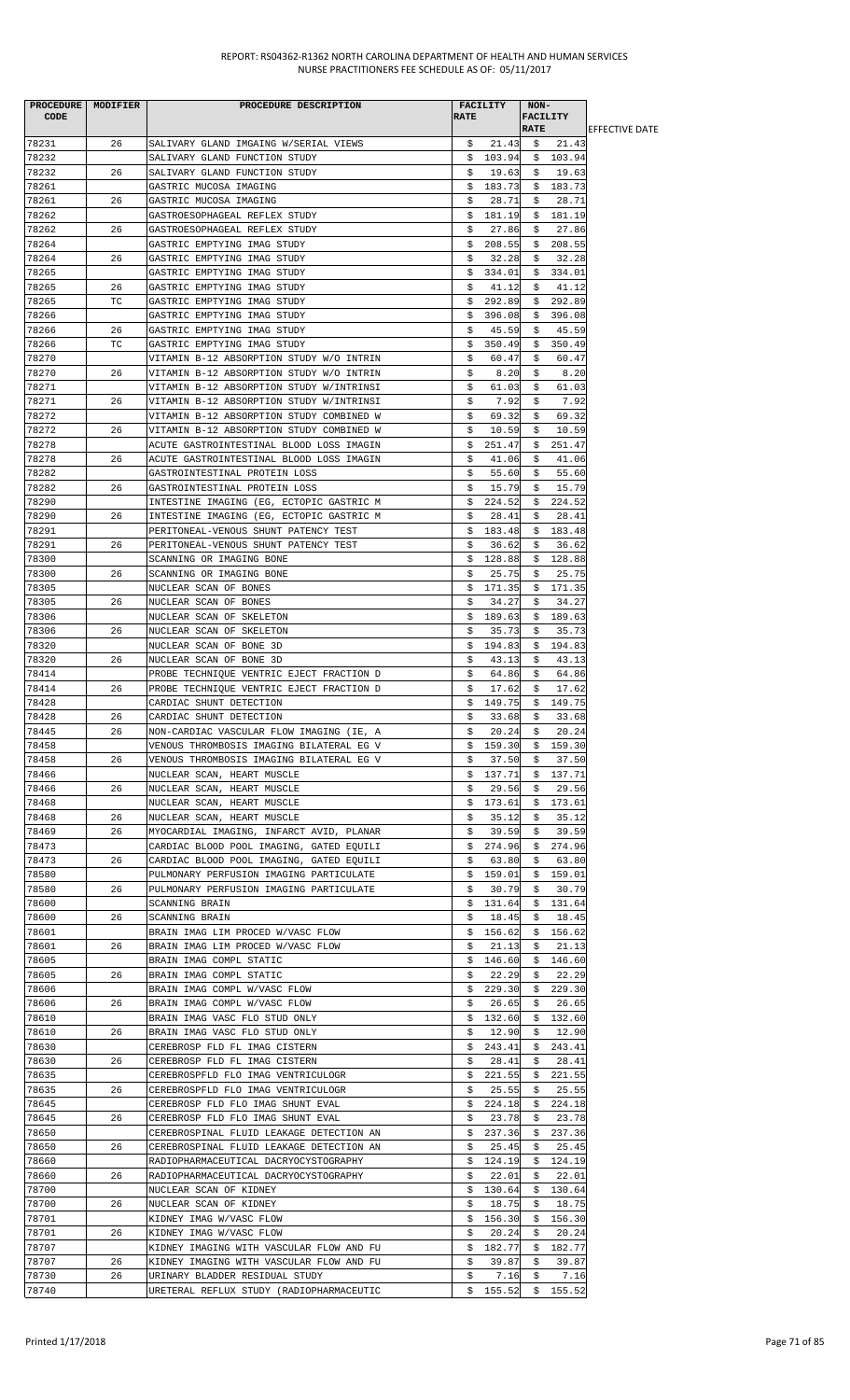|             | PROCEDURE   MODIFIER | PROCEDURE DESCRIPTION                    |             | <b>FACILITY</b>     | NON-        |          |                        |
|-------------|----------------------|------------------------------------------|-------------|---------------------|-------------|----------|------------------------|
| <b>CODE</b> |                      |                                          | <b>RATE</b> |                     | FACILITY    |          |                        |
|             |                      |                                          |             |                     | <b>RATE</b> |          | <b>LEFFECTIVE DATE</b> |
| 78231       | 26                   | SALIVARY GLAND IMGAING W/SERIAL VIEWS    | \$.         | 21.43               | - Ş         | 21.43    |                        |
| 78232       |                      | SALIVARY GLAND FUNCTION STUDY            | \$          | 103.94              |             | \$103.94 |                        |
| 78232       | 26                   | SALIVARY GLAND FUNCTION STUDY            | s           | 19.63               | \$          | 19.63    |                        |
| 78261       |                      | GASTRIC MUCOSA IMAGING                   | \$          | 183.73              | \$          | 183.73   |                        |
| 78261       | 26                   | GASTRIC MUCOSA IMAGING                   | Ş           | 28.71               | Ş.          | 28.71    |                        |
| 78262       |                      | GASTROESOPHAGEAL REFLEX STUDY            | \$          | 181.19              | \$          | 181.19   |                        |
| 78262       | 26                   | GASTROESOPHAGEAL REFLEX STUDY            | \$          | 27.86               | \$          | 27.86    |                        |
|             |                      |                                          |             |                     |             |          |                        |
| 78264       |                      | GASTRIC EMPTYING IMAG STUDY              | \$          | 208.55              | \$          | 208.55   |                        |
| 78264       | 26                   | GASTRIC EMPTYING IMAG STUDY              | \$          | 32.28               | Ş.          | 32.28    |                        |
| 78265       |                      | GASTRIC EMPTYING IMAG STUDY              | \$          | 334.01              | S.          | 334.01   |                        |
| 78265       | 26                   | GASTRIC EMPTYING IMAG STUDY              | \$          | 41.12               | \$          | 41.12    |                        |
| 78265       | ТC                   | GASTRIC EMPTYING IMAG STUDY              | \$          | 292.89              | Ş.          | 292.89   |                        |
| 78266       |                      | GASTRIC EMPTYING IMAG STUDY              | s           | 396.08              | S.          | 396.08   |                        |
| 78266       | 26                   | GASTRIC EMPTYING IMAG STUDY              | Ş           | 45.59               | S.          | 45.59    |                        |
| 78266       | TC                   | GASTRIC EMPTYING IMAG STUDY              | \$          | 350.49              | \$          | 350.49   |                        |
| 78270       |                      | VITAMIN B-12 ABSORPTION STUDY W/O INTRIN | \$          | 60.47               | \$          | 60.47    |                        |
|             |                      |                                          |             |                     |             |          |                        |
| 78270       | 26                   | VITAMIN B-12 ABSORPTION STUDY W/O INTRIN | \$          | 8.20                | Ş.          | 8.20     |                        |
| 78271       |                      | VITAMIN B-12 ABSORPTION STUDY W/INTRINSI | \$          | 61.03               | \$          | 61.03    |                        |
| 78271       | 26                   | VITAMIN B-12 ABSORPTION STUDY W/INTRINSI | \$          | 7.92                | \$.         | 7.92     |                        |
| 78272       |                      | VITAMIN B-12 ABSORPTION STUDY COMBINED W | \$          | 69.32               | \$          | 69.32    |                        |
| 78272       | 26                   | VITAMIN B-12 ABSORPTION STUDY COMBINED W | \$          | 10.59               | \$          | 10.59    |                        |
| 78278       |                      | ACUTE GASTROINTESTINAL BLOOD LOSS IMAGIN | \$          | 251.47              | \$          | 251.47   |                        |
| 78278       | 26                   | ACUTE GASTROINTESTINAL BLOOD LOSS IMAGIN | \$          | 41.06               | Ş.          | 41.06    |                        |
| 78282       |                      | GASTROINTESTINAL PROTEIN LOSS            | \$          | 55.60               | S.          | 55.60    |                        |
| 78282       | 26                   | GASTROINTESTINAL PROTEIN LOSS            | \$          | 15.79               | \$          | 15.79    |                        |
|             |                      |                                          |             |                     |             |          |                        |
| 78290       |                      | INTESTINE IMAGING (EG, ECTOPIC GASTRIC M | \$          | 224.52              | Ş.          | 224.52   |                        |
| 78290       | 26                   | INTESTINE IMAGING (EG, ECTOPIC GASTRIC M | \$          | 28.41               | \$          | 28.41    |                        |
| 78291       |                      | PERITONEAL-VENOUS SHUNT PATENCY TEST     | \$          | 183.48              |             | \$183.48 |                        |
| 78291       | 26                   | PERITONEAL-VENOUS SHUNT PATENCY TEST     | \$          | 36.62               | \$          | 36.62    |                        |
| 78300       |                      | SCANNING OR IMAGING BONE                 | Ş.          | 128.88              |             | \$128.88 |                        |
| 78300       | 26                   | SCANNING OR IMAGING BONE                 | s           | 25.75               | S.          | 25.75    |                        |
| 78305       |                      | NUCLEAR SCAN OF BONES                    | \$          | 171.35              | \$          | 171.35   |                        |
| 78305       | 26                   | NUCLEAR SCAN OF BONES                    | \$          | 34.27               | \$          | 34.27    |                        |
| 78306       |                      | NUCLEAR SCAN OF SKELETON                 | \$          | 189.63              |             | 189.63   |                        |
|             |                      |                                          |             |                     | Ş.          |          |                        |
| 78306       | 26                   | NUCLEAR SCAN OF SKELETON                 | \$          | 35.73               | \$          | 35.73    |                        |
| 78320       |                      | NUCLEAR SCAN OF BONE 3D                  | \$          | 194.83              | \$          | 194.83   |                        |
| 78320       | 26                   | NUCLEAR SCAN OF BONE 3D                  | \$          | 43.13               | \$          | 43.13    |                        |
| 78414       |                      | PROBE TECHNIQUE VENTRIC EJECT FRACTION D | \$          | 64.86               | \$          | 64.86    |                        |
| 78414       | 26                   | PROBE TECHNIQUE VENTRIC EJECT FRACTION D | \$          | 17.62               | S.          | 17.62    |                        |
| 78428       |                      | CARDIAC SHUNT DETECTION                  | \$          | 149.75              | \$          | 149.75   |                        |
| 78428       | 26                   | CARDIAC SHUNT DETECTION                  | \$          | 33.68               | \$          | 33.68    |                        |
| 78445       | 26                   | NON-CARDIAC VASCULAR FLOW IMAGING (IE, A | \$.         | 20.24               | \$          | 20.24    |                        |
| 78458       |                      | VENOUS THROMBOSIS IMAGING BILATERAL EG V | \$          | 159.30              | Ş.          | 159.30   |                        |
|             |                      |                                          |             |                     |             |          |                        |
| 78458       | 26                   | VENOUS THROMBOSIS IMAGING BILATERAL EG V | \$          | 37.50               | \$          | 37.50    |                        |
| 78466       |                      | NUCLEAR SCAN, HEART MUSCLE               | \$          | 137.71              |             | \$137.71 |                        |
| 78466       | 26                   | NUCLEAR SCAN, HEART MUSCLE               | s           | 29.56               | S.          | 29.56    |                        |
| 78468       |                      | NUCLEAR SCAN, HEART MUSCLE               | \$          | 173.61              | \$          | 173.61   |                        |
| 78468       | 26                   | NUCLEAR SCAN, HEART MUSCLE               | Ş           | 35.12               | Ş.          | 35.12    |                        |
| 78469       | 26                   | MYOCARDIAL IMAGING, INFARCT AVID, PLANAR | S.          | 39.59               | S.          | 39.59    |                        |
| 78473       |                      | CARDIAC BLOOD POOL IMAGING, GATED EQUILI | \$.         | 274.96              | \$          | 274.96   |                        |
| 78473       | 26                   | CARDIAC BLOOD POOL IMAGING, GATED EQUILI | \$          | 63.80               | Ş.          | 63.80    |                        |
| 78580       |                      | PULMONARY PERFUSION IMAGING PARTICULATE  | \$          | 159.01              |             | \$159.01 |                        |
| 78580       | 26                   | PULMONARY PERFUSION IMAGING PARTICULATE  | \$          | 30.79               | \$          | 30.79    |                        |
|             |                      |                                          |             |                     |             |          |                        |
| 78600       |                      | SCANNING BRAIN                           | \$          | 131.64              | \$          | 131.64   |                        |
| 78600       | 26                   | SCANNING BRAIN                           | Ş.          | 18.45               | Ş.          | 18.45    |                        |
| 78601       |                      | BRAIN IMAG LIM PROCED W/VASC FLOW        |             | \$156.62            |             | \$156.62 |                        |
| 78601       | 26                   | BRAIN IMAG LIM PROCED W/VASC FLOW        | \$          | 21.13               | \$          | 21.13    |                        |
| 78605       |                      | BRAIN IMAG COMPL STATIC                  |             | \$146.60            |             | \$146.60 |                        |
| 78605       | 26                   | BRAIN IMAG COMPL STATIC                  | \$          | 22.29               | Ş.          | 22.29    |                        |
| 78606       |                      | BRAIN IMAG COMPL W/VASC FLOW             | \$          | 229.30              | Ş.          | 229.30   |                        |
| 78606       | 26                   | BRAIN IMAG COMPL W/VASC FLOW             | \$          | 26.65               | \$          | 26.65    |                        |
| 78610       |                      | BRAIN IMAG VASC FLO STUD ONLY            |             | \$132.60            |             | \$132.60 |                        |
|             |                      |                                          |             |                     |             |          |                        |
| 78610       | 26                   | BRAIN IMAG VASC FLO STUD ONLY            | s           | 12.90               | \$          | 12.90    |                        |
| 78630       |                      | CEREBROSP FLD FL IMAG CISTERN            | Ş.          | 243.41              | Ş.          | 243.41   |                        |
| 78630       | 26                   | CEREBROSP FLD FL IMAG CISTERN            | \$          | 28.41               | \$          | 28.41    |                        |
| 78635       |                      | CEREBROSPFLD FLO IMAG VENTRICULOGR       |             | \$221.55            | \$          | 221.55   |                        |
| 78635       | 26                   | CEREBROSPFLD FLO IMAG VENTRICULOGR       | S.          | 25.55               | S.          | 25.55    |                        |
| 78645       |                      | CEREBROSP FLD FLO IMAG SHUNT EVAL        | \$          | 224.18              | \$          | 224.18   |                        |
| 78645       | 26                   | CEREBROSP FLD FLO IMAG SHUNT EVAL        | \$          | 23.78               | \$          | 23.78    |                        |
| 78650       |                      | CEREBROSPINAL FLUID LEAKAGE DETECTION AN | \$          | 237.36              | Ş.          | 237.36   |                        |
| 78650       | 26                   | CEREBROSPINAL FLUID LEAKAGE DETECTION AN | Ş.          | 25.45               | S.          | 25.45    |                        |
|             |                      |                                          |             |                     |             |          |                        |
| 78660       |                      | RADIOPHARMACEUTICAL DACRYOCYSTOGRAPHY    | \$.         | 124.19              | S.          | 124.19   |                        |
| 78660       | 26                   | RADIOPHARMACEUTICAL DACRYOCYSTOGRAPHY    | Ş           | 22.01               | Ş.          | 22.01    |                        |
| 78700       |                      | NUCLEAR SCAN OF KIDNEY                   |             | \$130.64            |             | \$130.64 |                        |
| 78700       | 26                   | NUCLEAR SCAN OF KIDNEY                   | \$          | 18.75               | \$          | 18.75    |                        |
| 78701       |                      | KIDNEY IMAG W/VASC FLOW                  | \$          | 156.30              | Ş.          | 156.30   |                        |
| 78701       | 26                   | KIDNEY IMAG W/VASC FLOW                  | \$          | 20.24               | Ş.          | 20.24    |                        |
| 78707       |                      | KIDNEY IMAGING WITH VASCULAR FLOW AND FU | \$          | 182.77              |             | \$182.77 |                        |
| 78707       | 26                   | KIDNEY IMAGING WITH VASCULAR FLOW AND FU | \$          | 39.87               | \$          | 39.87    |                        |
| 78730       | 26                   | URINARY BLADDER RESIDUAL STUDY           | \$          | 7.16                | \$          | 7.16     |                        |
|             |                      |                                          |             |                     |             |          |                        |
| 78740       |                      | URETERAL REFLUX STUDY (RADIOPHARMACEUTIC |             | $$155.52 \t$155.52$ |             |          |                        |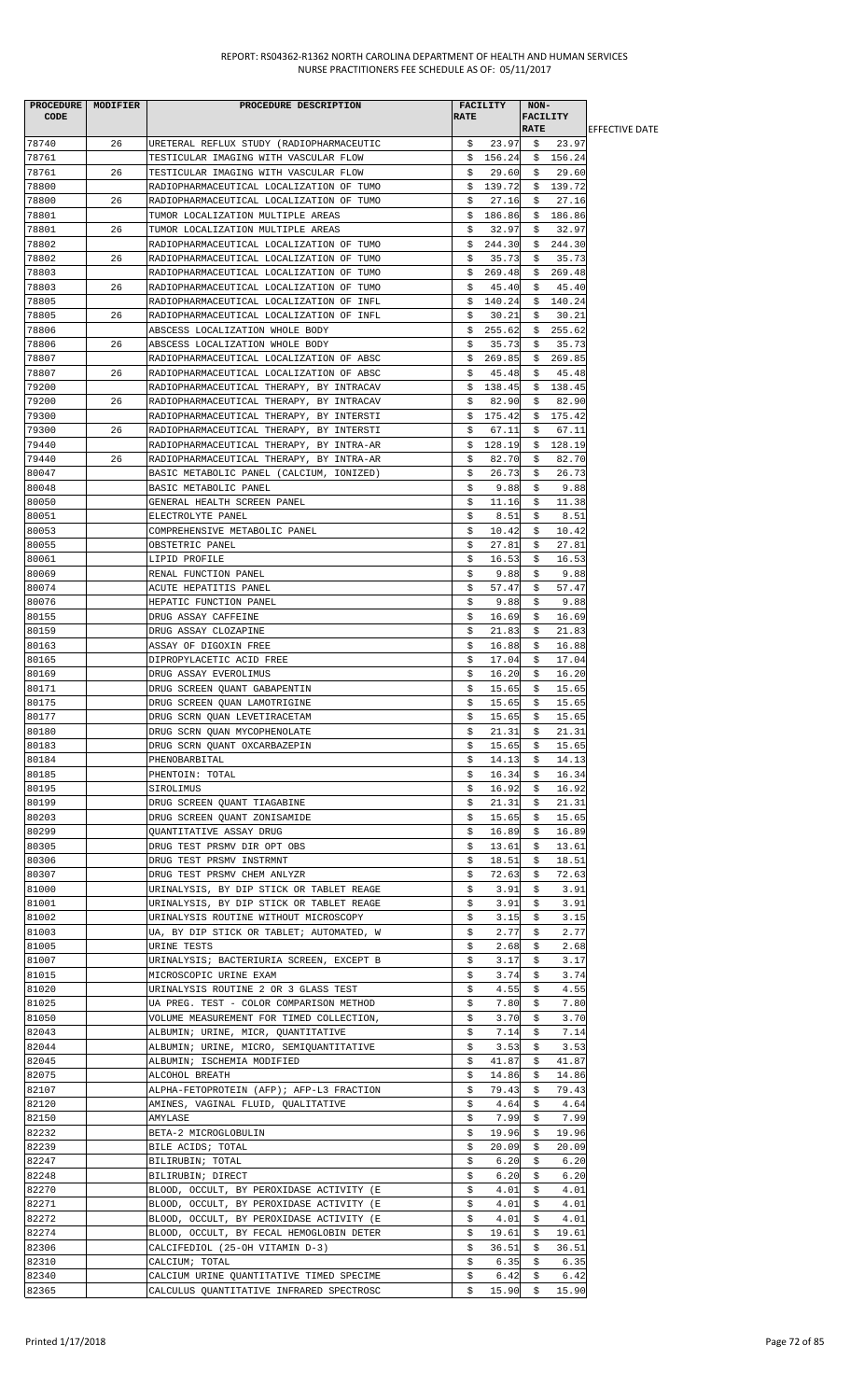| <b>PROCEDURE</b><br>CODE | MODIFIER | PROCEDURE DESCRIPTION                                         | <b>RATE</b> | <b>FACILITY</b> | NON-<br><b>FACILITY</b> |              |                        |
|--------------------------|----------|---------------------------------------------------------------|-------------|-----------------|-------------------------|--------------|------------------------|
|                          |          |                                                               |             |                 | <b>RATE</b>             |              | <b>IEFFECTIVE DATE</b> |
| 78740                    | 26       | URETERAL REFLUX STUDY (RADIOPHARMACEUTIC                      | \$.         | 23.97           | Ş.                      | 23.97        |                        |
| 78761                    |          | TESTICULAR IMAGING WITH VASCULAR FLOW                         |             | \$156.24        |                         | \$156.24     |                        |
| 78761                    | 26       | TESTICULAR IMAGING WITH VASCULAR FLOW                         | s           | 29.60           | Ş.                      | 29.60        |                        |
| 78800                    |          | RADIOPHARMACEUTICAL LOCALIZATION OF TUMO                      | \$          | 139.72          |                         | \$139.72     |                        |
| 78800                    | 26       | RADIOPHARMACEUTICAL LOCALIZATION OF TUMO                      | \$          | 27.16           | \$                      | 27.16        |                        |
| 78801                    |          | TUMOR LOCALIZATION MULTIPLE AREAS                             | \$          | 186.86          | \$                      | 186.86       |                        |
| 78801                    | 26       | TUMOR LOCALIZATION MULTIPLE AREAS                             | \$          | 32.97           | \$                      | 32.97        |                        |
| 78802                    |          | RADIOPHARMACEUTICAL LOCALIZATION OF TUMO                      | \$          | 244.30          | \$                      | 244.30       |                        |
| 78802                    | 26       | RADIOPHARMACEUTICAL LOCALIZATION OF TUMO                      | \$          | 35.73           | \$                      | 35.73        |                        |
| 78803                    |          | RADIOPHARMACEUTICAL LOCALIZATION OF TUMO                      | \$          | 269.48          | \$                      | 269.48       |                        |
| 78803                    | 26       | RADIOPHARMACEUTICAL LOCALIZATION OF TUMO                      | \$          | 45.40           | \$                      | 45.40        |                        |
| 78805                    |          | RADIOPHARMACEUTICAL LOCALIZATION OF INFL                      | \$          | 140.24          | Ş.                      | 140.24       |                        |
| 78805                    | 26       | RADIOPHARMACEUTICAL LOCALIZATION OF INFL                      | \$          | 30.21           | \$                      | 30.21        |                        |
| 78806                    |          | ABSCESS LOCALIZATION WHOLE BODY                               | \$          | 255.62          | \$                      | 255.62       |                        |
| 78806                    | 26       | ABSCESS LOCALIZATION WHOLE BODY                               | \$          | 35.73           | \$                      | 35.73        |                        |
| 78807                    |          | RADIOPHARMACEUTICAL LOCALIZATION OF ABSC                      | \$          | 269.85          | \$                      | 269.85       |                        |
| 78807                    | 26       | RADIOPHARMACEUTICAL LOCALIZATION OF ABSC                      | \$          | 45.48           | Ş.                      | 45.48        |                        |
| 79200                    |          | RADIOPHARMACEUTICAL THERAPY, BY INTRACAV                      | \$          | 138.45          | \$                      | 138.45       |                        |
| 79200                    | 26       | RADIOPHARMACEUTICAL THERAPY, BY INTRACAV                      | \$          | 82.90           | \$                      | 82.90        |                        |
| 79300                    |          | RADIOPHARMACEUTICAL THERAPY, BY INTERSTI                      | \$          | 175.42          | Ş.                      | 175.42       |                        |
| 79300                    | 26       | RADIOPHARMACEUTICAL THERAPY, BY INTERSTI                      | \$          | 67.11           | \$                      | 67.11        |                        |
| 79440                    |          | RADIOPHARMACEUTICAL THERAPY, BY INTRA-AR                      | \$          | 128.19          | \$                      | 128.19       |                        |
| 79440                    | 26       | RADIOPHARMACEUTICAL THERAPY, BY INTRA-AR                      | \$          | 82.70           | Ş                       | 82.70        |                        |
| 80047                    |          | BASIC METABOLIC PANEL (CALCIUM, IONIZED)                      | \$          | 26.73           | \$                      | 26.73        |                        |
| 80048                    |          | BASIC METABOLIC PANEL                                         | \$          | 9.88            | \$                      | 9.88         |                        |
| 80050                    |          | GENERAL HEALTH SCREEN PANEL                                   | \$          | 11.16           | \$                      | 11.38        |                        |
| 80051                    |          | ELECTROLYTE PANEL                                             | \$          | 8.51            | \$                      | 8.51         |                        |
| 80053                    |          | COMPREHENSIVE METABOLIC PANEL                                 | \$          | 10.42           | \$                      | 10.42        |                        |
| 80055                    |          | OBSTETRIC PANEL                                               | \$          | 27.81           | \$                      | 27.81        |                        |
| 80061                    |          | LIPID PROFILE                                                 | \$          | 16.53           | \$                      | 16.53        |                        |
| 80069                    |          | RENAL FUNCTION PANEL                                          | \$          | 9.88            | S.                      | 9.88         |                        |
| 80074                    |          | ACUTE HEPATITIS PANEL                                         | \$          | 57.47           | \$                      | 57.47        |                        |
| 80076                    |          | HEPATIC FUNCTION PANEL                                        | \$          | 9.88            | \$                      | 9.88         |                        |
| 80155                    |          | DRUG ASSAY CAFFEINE                                           | \$          | 16.69           | \$                      | 16.69        |                        |
| 80159                    |          | DRUG ASSAY CLOZAPINE                                          | \$          | 21.83           | \$                      | 21.83        |                        |
| 80163                    |          | ASSAY OF DIGOXIN FREE                                         | \$          | 16.88           | \$                      | 16.88        |                        |
| 80165                    |          | DIPROPYLACETIC ACID FREE                                      | \$          | 17.04           | \$                      | 17.04        |                        |
| 80169                    |          | DRUG ASSAY EVEROLIMUS                                         | \$          | 16.20           | \$                      | 16.20        |                        |
| 80171                    |          | DRUG SCREEN QUANT GABAPENTIN                                  | \$          | 15.65           | \$                      | 15.65        |                        |
| 80175                    |          | DRUG SCREEN QUAN LAMOTRIGINE                                  | \$          | 15.65           | \$                      | 15.65        |                        |
| 80177                    |          | DRUG SCRN QUAN LEVETIRACETAM                                  | \$          | 15.65           | \$                      | 15.65        |                        |
| 80180                    |          | DRUG SCRN QUAN MYCOPHENOLATE                                  | Ş.          | 21.31           | Ş.                      | 21.31        |                        |
| 80183                    |          | DRUG SCRN QUANT OXCARBAZEPIN                                  | \$          | 15.65           | \$                      | 15.65        |                        |
| 80184                    |          | PHENOBARBITAL                                                 | \$.         | 14.13           | \$                      | 14.13        |                        |
| 80185                    |          | PHENTOIN: TOTAL                                               | \$          | 16.34           | S.                      | 16.34        |                        |
| 80195                    |          | SIROLIMUS                                                     | \$          | 16.92           | \$                      | 16.92        |                        |
| 80199                    |          | DRUG SCREEN QUANT TIAGABINE                                   | \$          | 21.31           | \$                      | 21.31        |                        |
| 80203                    |          | DRUG SCREEN QUANT ZONISAMIDE                                  | \$          | 15.65           | \$                      | 15.65        |                        |
| 80299                    |          | QUANTITATIVE ASSAY DRUG                                       | \$          | 16.89           | \$                      | 16.89        |                        |
| 80305                    |          | DRUG TEST PRSMV DIR OPT OBS                                   | \$          | 13.61           | \$                      | 13.61        |                        |
| 80306                    |          | DRUG TEST PRSMV INSTRMNT                                      | \$          | 18.51           | \$                      | 18.51        |                        |
| 80307                    |          | DRUG TEST PRSMV CHEM ANLYZR                                   | \$          | 72.63           | \$                      | 72.63        |                        |
| 81000                    |          | URINALYSIS, BY DIP STICK OR TABLET REAGE                      | \$          | 3.91            | \$                      | 3.91         |                        |
| 81001                    |          | URINALYSIS, BY DIP STICK OR TABLET REAGE                      | \$          | 3.91            | \$                      | 3.91         |                        |
| 81002                    |          | URINALYSIS ROUTINE WITHOUT MICROSCOPY                         | \$          | 3.15            | \$                      | 3.15         |                        |
| 81003                    |          | UA, BY DIP STICK OR TABLET; AUTOMATED, W                      | \$          | 2.77            | \$                      | 2.77         |                        |
| 81005                    |          | URINE TESTS                                                   | \$          | 2.68            | \$                      | 2.68         |                        |
| 81007                    |          | URINALYSIS; BACTERIURIA SCREEN, EXCEPT B                      | \$          | 3.17            | \$                      | 3.17         |                        |
| 81015                    |          | MICROSCOPIC URINE EXAM                                        | \$          | 3.74            | \$                      | 3.74         |                        |
| 81020                    |          | URINALYSIS ROUTINE 2 OR 3 GLASS TEST                          | \$          | 4.55            | \$                      | 4.55         |                        |
| 81025                    |          | UA PREG. TEST - COLOR COMPARISON METHOD                       | \$          | 7.80            | \$                      | 7.80         |                        |
| 81050                    |          | VOLUME MEASUREMENT FOR TIMED COLLECTION,                      | \$          | 3.70            | \$                      | 3.70         |                        |
| 82043                    |          | ALBUMIN; URINE, MICR, QUANTITATIVE                            | \$          | 7.14            | \$                      | 7.14         |                        |
| 82044                    |          | ALBUMIN; URINE, MICRO, SEMIQUANTITATIVE                       | \$          | 3.53            | \$                      | 3.53         |                        |
| 82045                    |          | ALBUMIN; ISCHEMIA MODIFIED                                    | \$          | 41.87           | \$                      | 41.87        |                        |
| 82075                    |          | ALCOHOL BREATH                                                | \$          | 14.86           | \$                      | 14.86        |                        |
| 82107                    |          | ALPHA-FETOPROTEIN (AFP); AFP-L3 FRACTION                      | \$          | 79.43           | \$                      | 79.43        |                        |
| 82120                    |          | AMINES, VAGINAL FLUID, QUALITATIVE                            | \$          | 4.64            | \$                      | 4.64         |                        |
| 82150                    |          | AMYLASE                                                       | \$.         | 7.99            | \$                      | 7.99         |                        |
| 82232                    |          | BETA-2 MICROGLOBULIN                                          | \$          | 19.96           | S.                      | 19.96        |                        |
| 82239                    |          | BILE ACIDS; TOTAL                                             | \$          | 20.09           | \$                      | 20.09        |                        |
| 82247                    |          | BILIRUBIN; TOTAL                                              | \$          | 6.20            | \$                      | 6.20         |                        |
|                          |          |                                                               |             |                 |                         |              |                        |
| 82248<br>82270           |          | BILIRUBIN; DIRECT<br>BLOOD, OCCULT, BY PEROXIDASE ACTIVITY (E | \$<br>\$    | 6.20<br>4.01    | \$                      | 6.20<br>4.01 |                        |
|                          |          |                                                               |             |                 | \$                      |              |                        |
| 82271                    |          | BLOOD, OCCULT, BY PEROXIDASE ACTIVITY (E                      | \$          | 4.01            | \$                      | 4.01         |                        |
| 82272                    |          | BLOOD, OCCULT, BY PEROXIDASE ACTIVITY (E                      | \$          | 4.01            | \$                      | 4.01         |                        |
| 82274                    |          | BLOOD, OCCULT, BY FECAL HEMOGLOBIN DETER                      | \$          | 19.61           | \$                      | 19.61        |                        |
| 82306                    |          | CALCIFEDIOL (25-OH VITAMIN D-3)                               | \$          | 36.51           | \$                      | 36.51        |                        |
| 82310                    |          | CALCIUM; TOTAL                                                | \$          | 6.35            | \$                      | 6.35         |                        |
| 82340                    |          | CALCIUM URINE QUANTITATIVE TIMED SPECIME                      | \$          | 6.42            | \$                      | 6.42         |                        |
| 82365                    |          | CALCULUS QUANTITATIVE INFRARED SPECTROSC                      | \$          | 15.90           | \$                      | 15.90        |                        |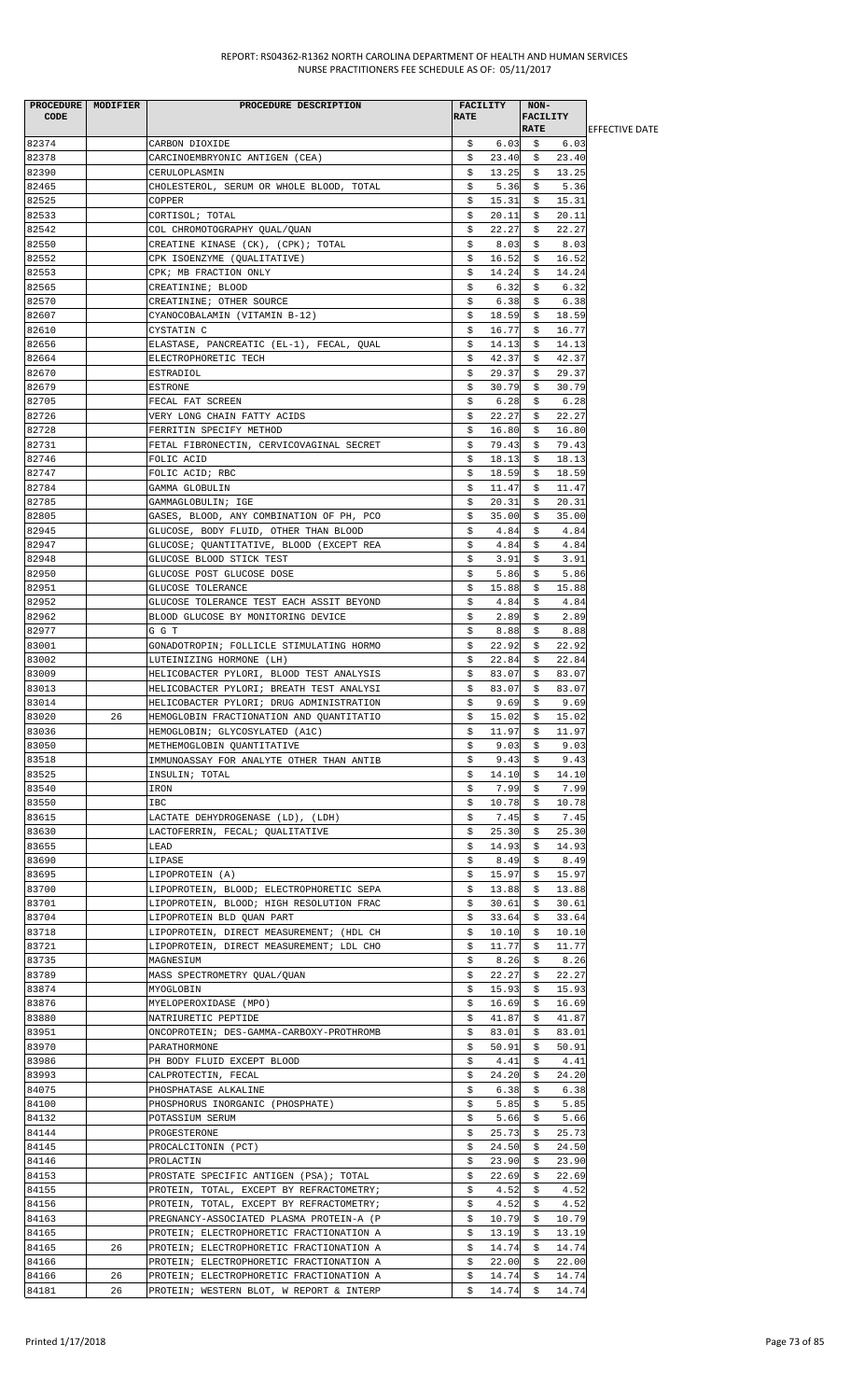| PROCEDURE MODIFIER |    | PROCEDURE DESCRIPTION                    |             | <b>FACILITY</b> | NON-            |        |                        |
|--------------------|----|------------------------------------------|-------------|-----------------|-----------------|--------|------------------------|
| CODE               |    |                                          | <b>RATE</b> |                 | <b>FACILITY</b> |        |                        |
|                    |    |                                          |             |                 | <b>RATE</b>     |        | <b>IEFFECTIVE DATE</b> |
| 82374              |    | CARBON DIOXIDE                           | Ş.          | 6.03            |                 | \$6.03 |                        |
| 82378              |    | CARCINOEMBRYONIC ANTIGEN (CEA)           | \$          | 23.40           | - \$            | 23.40  |                        |
| 82390              |    | CERULOPLASMIN                            | \$          | 13.25           | \$              | 13.25  |                        |
| 82465              |    | CHOLESTEROL, SERUM OR WHOLE BLOOD, TOTAL | \$          | 5.36            | -\$             | 5.36   |                        |
| 82525              |    | COPPER                                   | \$          | 15.31           | \$              | 15.31  |                        |
| 82533              |    | CORTISOL; TOTAL                          | \$          | 20.11           | \$              | 20.11  |                        |
| 82542              |    | COL CHROMOTOGRAPHY QUAL/QUAN             | \$          | 22.27           | \$              | 22.27  |                        |
| 82550              |    | CREATINE KINASE (CK), (CPK); TOTAL       | \$          | 8.03            | \$              | 8.03   |                        |
| 82552              |    | CPK ISOENZYME (OUALITATIVE)              | S.          | 16.52           | S.              | 16.52  |                        |
| 82553              |    | CPK; MB FRACTION ONLY                    | \$          | 14.24           | \$              | 14.24  |                        |
| 82565              |    | CREATININE; BLOOD                        | \$          | 6.32            | \$              | 6.32   |                        |
| 82570              |    | CREATININE; OTHER SOURCE                 | \$          | 6.38            | \$              | 6.38   |                        |
| 82607              |    | CYANOCOBALAMIN (VITAMIN B-12)            | \$          | 18.59           | \$              | 18.59  |                        |
| 82610              |    | CYSTATIN C                               | \$          | 16.77           | \$              | 16.77  |                        |
| 82656              |    | ELASTASE, PANCREATIC (EL-1), FECAL, QUAL | \$          | 14.13           | \$              | 14.13  |                        |
| 82664              |    | ELECTROPHORETIC TECH                     | \$          | 42.37           | \$              | 42.37  |                        |
| 82670              |    | ESTRADIOL                                | \$          | 29.37           | \$              | 29.37  |                        |
| 82679              |    | ESTRONE                                  | \$          | 30.79           | \$              | 30.79  |                        |
| 82705              |    | FECAL FAT SCREEN                         | \$          | 6.28            | \$              | 6.28   |                        |
| 82726              |    | VERY LONG CHAIN FATTY ACIDS              | \$          | 22.27           | \$              | 22.27  |                        |
| 82728              |    | FERRITIN SPECIFY METHOD                  | \$          | 16.80           | \$              | 16.80  |                        |
| 82731              |    | FETAL FIBRONECTIN, CERVICOVAGINAL SECRET | \$          | 79.43           | \$              | 79.43  |                        |
| 82746              |    | FOLIC ACID                               | \$          | 18.13           | \$              | 18.13  |                        |
| 82747              |    | FOLIC ACID; RBC                          | \$          | 18.59           | \$              | 18.59  |                        |
| 82784              |    | GAMMA GLOBULIN                           | \$          | 11.47           | \$              | 11.47  |                        |
| 82785              |    | GAMMAGLOBULIN; IGE                       | Ş.          | 20.31           | Ş.              | 20.31  |                        |
| 82805              |    | GASES, BLOOD, ANY COMBINATION OF PH, PCO | \$          | 35.00           | \$              | 35.00  |                        |
| 82945              |    | GLUCOSE, BODY FLUID, OTHER THAN BLOOD    | \$          | 4.84            | \$              | 4.84   |                        |
| 82947              |    | GLUCOSE; QUANTITATIVE, BLOOD (EXCEPT REA | \$          | 4.84            | \$              | 4.84   |                        |
| 82948              |    | GLUCOSE BLOOD STICK TEST                 | \$          | 3.91            | \$              | 3.91   |                        |
| 82950              |    | GLUCOSE POST GLUCOSE DOSE                | \$          | 5.86            | \$              | 5.86   |                        |
| 82951              |    | GLUCOSE TOLERANCE                        | \$          | 15.88           | \$              | 15.88  |                        |
| 82952              |    | GLUCOSE TOLERANCE TEST EACH ASSIT BEYOND | \$          | 4.84            | \$              | 4.84   |                        |
| 82962              |    | BLOOD GLUCOSE BY MONITORING DEVICE       | \$          | 2.89            | \$              | 2.89   |                        |
| 82977              |    | G G T                                    | \$          | 8.88            | \$              | 8.88   |                        |
| 83001              |    | GONADOTROPIN; FOLLICLE STIMULATING HORMO | \$          | 22.92           | \$              | 22.92  |                        |
|                    |    |                                          |             |                 |                 |        |                        |
| 83002              |    | LUTEINIZING HORMONE (LH)                 | \$          | 22.84           | \$              | 22.84  |                        |
| 83009              |    | HELICOBACTER PYLORI, BLOOD TEST ANALYSIS | \$          | 83.07           | \$              | 83.07  |                        |
| 83013              |    | HELICOBACTER PYLORI; BREATH TEST ANALYSI | \$          | 83.07           | \$              | 83.07  |                        |
| 83014              |    | HELICOBACTER PYLORI; DRUG ADMINISTRATION | \$          | 9.69            | \$              | 9.69   |                        |
| 83020              | 26 | HEMOGLOBIN FRACTIONATION AND OUANTITATIO | \$          | 15.02           | \$              | 15.02  |                        |
| 83036              |    | HEMOGLOBIN; GLYCOSYLATED (A1C)           | Ş.          | 11.97           | -S              | 11.97  |                        |
| 83050              |    | METHEMOGLOBIN QUANTITATIVE               | \$          | 9.03            | \$              | 9.03   |                        |
| 83518              |    | IMMUNOASSAY FOR ANALYTE OTHER THAN ANTIB | \$          | 9.43            | \$              | 9.43   |                        |
| 83525              |    | INSULIN; TOTAL                           | \$          | 14.10           | \$              | 14.10  |                        |
| 83540              |    | IRON                                     | \$          | 7.99            | \$              | 7.99   |                        |
| 83550              |    | IBC                                      | \$          | 10.78           | \$              | 10.78  |                        |
| 83615              |    | LACTATE DEHYDROGENASE (LD), (LDH)        | \$          | 7.45            | \$              | 7.45   |                        |
| 83630              |    | LACTOFERRIN, FECAL; QUALITATIVE          | \$          | 25.30           | \$              | 25.30  |                        |
| 83655              |    | LEAD                                     | \$          | 14.93           | \$              | 14.93  |                        |
| 83690              |    | LIPASE                                   | Ş.          | 8.49            | Ş.              | 8.49   |                        |
| 83695              |    | LIPOPROTEIN (A)                          | \$          | 15.97           | \$              | 15.97  |                        |
| 83700              |    | LIPOPROTEIN, BLOOD; ELECTROPHORETIC SEPA | \$          | 13.88           | \$              | 13.88  |                        |
| 83701              |    | LIPOPROTEIN, BLOOD; HIGH RESOLUTION FRAC | \$          | 30.61           | \$              | 30.61  |                        |
| 83704              |    | LIPOPROTEIN BLD QUAN PART                | \$          | 33.64           | \$              | 33.64  |                        |
| 83718              |    | LIPOPROTEIN, DIRECT MEASUREMENT; (HDL CH | \$          | 10.10           | \$              | 10.10  |                        |
| 83721              |    | LIPOPROTEIN, DIRECT MEASUREMENT; LDL CHO | \$          | 11.77           | \$              | 11.77  |                        |
| 83735              |    | MAGNESIUM                                | \$          | 8.26            | \$              | 8.26   |                        |
| 83789              |    | MASS SPECTROMETRY QUAL/QUAN              | \$          | 22.27           | \$              | 22.27  |                        |
| 83874              |    | MYOGLOBIN                                | \$          | 15.93           | \$              | 15.93  |                        |
| 83876              |    | MYELOPEROXIDASE (MPO)                    | \$          | 16.69           | \$              | 16.69  |                        |
| 83880              |    | NATRIURETIC PEPTIDE                      | \$          | 41.87           | \$              | 41.87  |                        |
| 83951              |    | ONCOPROTEIN; DES-GAMMA-CARBOXY-PROTHROMB | \$          | 83.01           | \$              | 83.01  |                        |
| 83970              |    | PARATHORMONE                             | \$          | 50.91           | \$              | 50.91  |                        |
| 83986              |    | PH BODY FLUID EXCEPT BLOOD               | \$          | 4.41            | \$              | 4.41   |                        |
| 83993              |    | CALPROTECTIN, FECAL                      | \$          | 24.20           | \$              | 24.20  |                        |
| 84075              |    | PHOSPHATASE ALKALINE                     | \$          | 6.38            | \$              | 6.38   |                        |
| 84100              |    | PHOSPHORUS INORGANIC (PHOSPHATE)         | \$          | 5.85            | \$              | 5.85   |                        |
| 84132              |    | POTASSIUM SERUM                          | \$          | 5.66            | \$              | 5.66   |                        |
| 84144              |    | PROGESTERONE                             | \$          | 25.73           | \$              | 25.73  |                        |
| 84145              |    | PROCALCITONIN (PCT)                      | \$          | 24.50           | \$              | 24.50  |                        |
| 84146              |    | PROLACTIN                                | \$          | 23.90           | \$              | 23.90  |                        |
| 84153              |    | PROSTATE SPECIFIC ANTIGEN (PSA); TOTAL   | \$          | 22.69           | \$              | 22.69  |                        |
| 84155              |    | PROTEIN, TOTAL, EXCEPT BY REFRACTOMETRY; | \$          | 4.52            | \$              | 4.52   |                        |
| 84156              |    | PROTEIN, TOTAL, EXCEPT BY REFRACTOMETRY; | \$          | 4.52            | \$              | 4.52   |                        |
| 84163              |    | PREGNANCY-ASSOCIATED PLASMA PROTEIN-A (P | \$          | 10.79           | \$              | 10.79  |                        |
| 84165              |    | PROTEIN; ELECTROPHORETIC FRACTIONATION A | \$          | 13.19           | \$              | 13.19  |                        |
| 84165              | 26 | PROTEIN; ELECTROPHORETIC FRACTIONATION A | \$          | 14.74           | \$              | 14.74  |                        |
| 84166              |    | PROTEIN; ELECTROPHORETIC FRACTIONATION A | \$          | 22.00           | \$              | 22.00  |                        |
| 84166              | 26 | PROTEIN; ELECTROPHORETIC FRACTIONATION A | \$          | 14.74           | \$              | 14.74  |                        |
| 84181              | 26 | PROTEIN; WESTERN BLOT, W REPORT & INTERP | \$          | 14.74           | \$              | 14.74  |                        |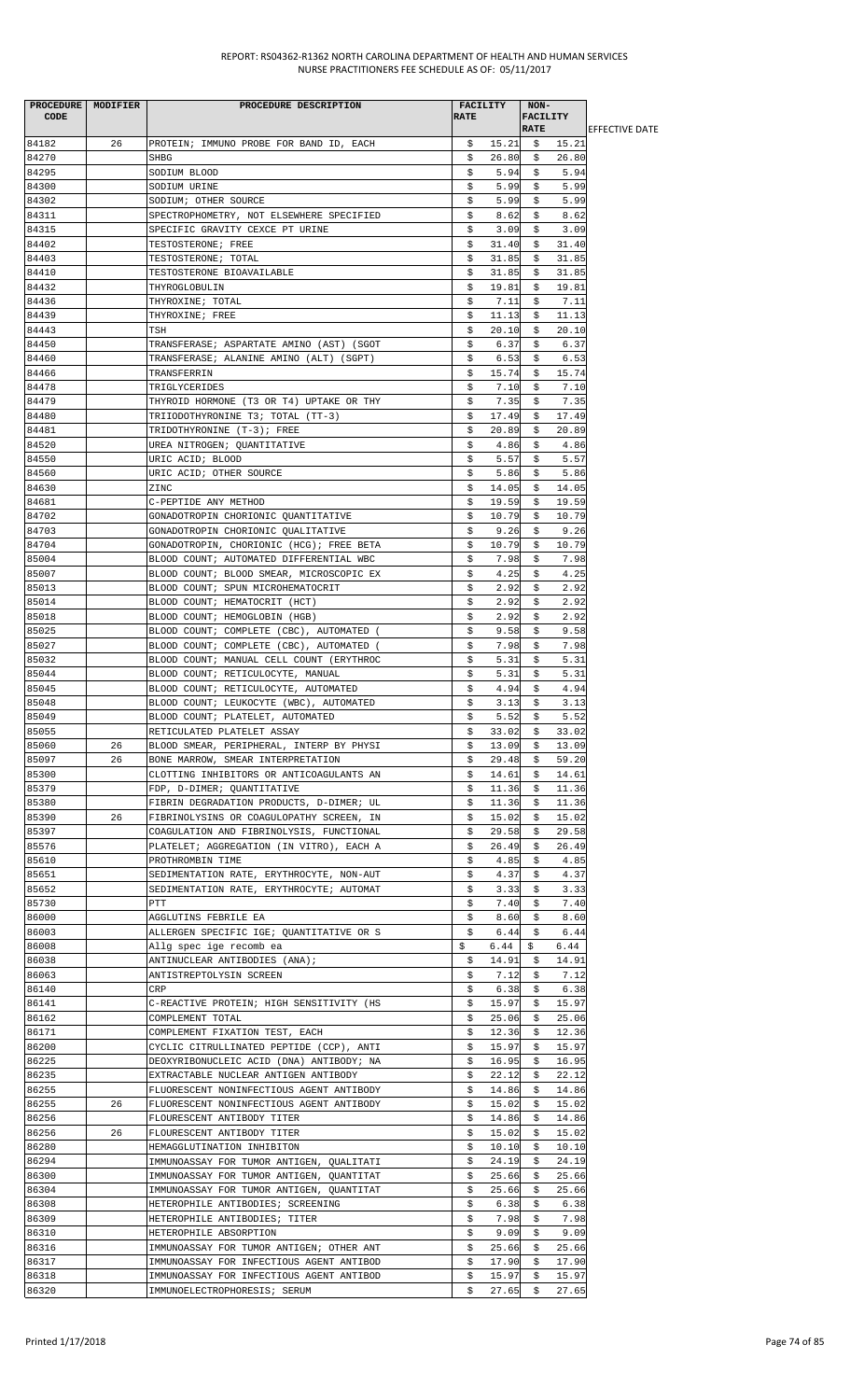| PROCEDURE   MODIFIER |    | PROCEDURE DESCRIPTION                    |             | FACILITY      | NON-            |               |                        |
|----------------------|----|------------------------------------------|-------------|---------------|-----------------|---------------|------------------------|
| <b>CODE</b>          |    |                                          | <b>RATE</b> |               | <b>FACILITY</b> |               |                        |
|                      |    |                                          |             |               | <b>RATE</b>     |               | <b>IEFFECTIVE DATE</b> |
| 84182                | 26 | PROTEIN; IMMUNO PROBE FOR BAND ID, EACH  | \$          | 15.21         | - \$            | 15.21         |                        |
| 84270                |    | SHBG                                     | \$          | 26.80         | Ş.              | 26.80         |                        |
| 84295                |    | SODIUM BLOOD                             | \$          | 5.94          | \$              | 5.94          |                        |
| 84300                |    | SODIUM URINE                             | \$          | 5.99          | \$              | 5.99          |                        |
| 84302                |    | SODIUM; OTHER SOURCE                     | \$          | 5.99          | \$              | 5.99          |                        |
| 84311                |    | SPECTROPHOMETRY, NOT ELSEWHERE SPECIFIED | \$          | 8.62          | \$              | 8.62          |                        |
| 84315                |    | SPECIFIC GRAVITY CEXCE PT URINE          | \$          | 3.09          | \$              | 3.09          |                        |
| 84402                |    | TESTOSTERONE; FREE                       | \$          | 31.40         | \$              | 31.40         |                        |
| 84403                |    | TESTOSTERONE; TOTAL                      | \$          | 31.85         | \$              | 31.85         |                        |
| 84410                |    | TESTOSTERONE BIOAVAILABLE                | \$          | 31.85         | \$              | 31.85         |                        |
| 84432                |    | THYROGLOBULIN                            | \$          | 19.81         | Ş.              | 19.81         |                        |
| 84436                |    | THYROXINE; TOTAL                         | \$          | 7.11          | \$              | 7.11          |                        |
| 84439                |    | THYROXINE; FREE                          | \$          | 11.13         | \$              | 11.13         |                        |
| 84443                |    | TSH                                      | \$          | 20.10         | \$              | 20.10         |                        |
| 84450                |    | TRANSFERASE; ASPARTATE AMINO (AST) (SGOT | \$          | 6.37          | \$              | 6.37          |                        |
| 84460                |    | TRANSFERASE; ALANINE AMINO (ALT) (SGPT)  | \$          | 6.53          | \$              | 6.53          |                        |
| 84466                |    | TRANSFERRIN                              | \$          | 15.74         | \$              | 15.74         |                        |
| 84478                |    | TRIGLYCERIDES                            | \$          | 7.10          | \$              | 7.10          |                        |
| 84479                |    |                                          |             | 7.35          |                 | 7.35          |                        |
|                      |    | THYROID HORMONE (T3 OR T4) UPTAKE OR THY | \$          |               | \$              | 17.49         |                        |
| 84480                |    | TRIIODOTHYRONINE T3; TOTAL (TT-3)        | s           | 17.49         | Ş.              |               |                        |
| 84481                |    | TRIDOTHYRONINE (T-3); FREE               | \$          | 20.89         | \$              | 20.89         |                        |
| 84520                |    | UREA NITROGEN; QUANTITATIVE              | \$          | 4.86          | \$              | 4.86          |                        |
| 84550                |    | URIC ACID; BLOOD                         | \$          | 5.57          | \$              | 5.57          |                        |
| 84560                |    | URIC ACID; OTHER SOURCE                  | \$          | 5.86          | \$              | 5.86          |                        |
| 84630                |    | ZINC                                     | \$          | 14.05         | \$              | 14.05         |                        |
| 84681                |    | C-PEPTIDE ANY METHOD                     | \$          | 19.59         | \$              | 19.59         |                        |
| 84702                |    | GONADOTROPIN CHORIONIC QUANTITATIVE      | \$          | 10.79         | \$              | 10.79         |                        |
| 84703                |    | GONADOTROPIN CHORIONIC QUALITATIVE       | s           | 9.26          | S.              | 9.26          |                        |
| 84704                |    | GONADOTROPIN, CHORIONIC (HCG); FREE BETA | \$          | 10.79         | \$              | 10.79         |                        |
| 85004                |    | BLOOD COUNT; AUTOMATED DIFFERENTIAL WBC  | \$          | 7.98          | \$              | 7.98          |                        |
| 85007                |    | BLOOD COUNT; BLOOD SMEAR, MICROSCOPIC EX | \$          | 4.25          | \$              | 4.25          |                        |
| 85013                |    | BLOOD COUNT; SPUN MICROHEMATOCRIT        | \$          | 2.92          | \$              | 2.92          |                        |
| 85014                |    | BLOOD COUNT; HEMATOCRIT (HCT)            | \$          | 2.92          | \$              | 2.92          |                        |
| 85018                |    | BLOOD COUNT; HEMOGLOBIN (HGB)            | \$          | 2.92          | \$              | 2.92          |                        |
| 85025                |    | BLOOD COUNT; COMPLETE (CBC), AUTOMATED ( | \$          | 9.58          | \$              | 9.58          |                        |
| 85027                |    | BLOOD COUNT; COMPLETE (CBC), AUTOMATED ( | \$          | 7.98          | \$              | 7.98          |                        |
| 85032                |    |                                          |             |               |                 |               |                        |
|                      |    | BLOOD COUNT; MANUAL CELL COUNT (ERYTHROC | \$          | 5.31          | \$              | 5.31          |                        |
| 85044                |    | BLOOD COUNT; RETICULOCYTE, MANUAL        | \$          | 5.31          | \$              | 5.31          |                        |
| 85045                |    | BLOOD COUNT; RETICULOCYTE, AUTOMATED     | Ŝ.          | 4.94          | \$              | 4.94          |                        |
| 85048                |    | BLOOD COUNT; LEUKOCYTE (WBC), AUTOMATED  | \$          | 3.13          | \$              | 3.13          |                        |
| 85049                |    | BLOOD COUNT; PLATELET, AUTOMATED         | \$          | 5.52          | \$              | 5.52          |                        |
| 85055                |    | RETICULATED PLATELET ASSAY               | \$          | 33.02         | Ş               | 33.02         |                        |
| 85060                | 26 | BLOOD SMEAR, PERIPHERAL, INTERP BY PHYSI | \$          | 13.09         | \$              | 13.09         |                        |
| 85097                | 26 | BONE MARROW, SMEAR INTERPRETATION        | \$          | 29.48         | \$              | 59.20         |                        |
| 85300                |    | CLOTTING INHIBITORS OR ANTICOAGULANTS AN | Ş.          | 14.61         | Ş.              | 14.61         |                        |
| 85379                |    | FDP, D-DIMER; QUANTITATIVE               | S.          | 11.36         | \$              | 11.36         |                        |
| 85380                |    | FIBRIN DEGRADATION PRODUCTS, D-DIMER; UL | \$          | 11.36         | \$              | 11.36         |                        |
| 85390                | 26 | FIBRINOLYSINS OR COAGULOPATHY SCREEN, IN | \$          | 15.02         | \$              | 15.02         |                        |
| 85397                |    | COAGULATION AND FIBRINOLYSIS, FUNCTIONAL | \$          | 29.58         | \$              | 29.58         |                        |
| 85576                |    | PLATELET; AGGREGATION (IN VITRO), EACH A | \$          | 26.49         | \$              | 26.49         |                        |
| 85610                |    | PROTHROMBIN TIME                         | \$          | 4.85          | \$              | 4.85          |                        |
| 85651                |    | SEDIMENTATION RATE, ERYTHROCYTE, NON-AUT | \$          | 4.37          | \$              | 4.37          |                        |
| 85652                |    | SEDIMENTATION RATE, ERYTHROCYTE; AUTOMAT | \$          | 3.33          | \$              | 3.33          |                        |
| 85730                |    | PTT                                      | \$          | 7.40          | \$              | 7.40          |                        |
| 86000                |    | AGGLUTINS FEBRILE EA                     | \$          | 8.60          | \$              | 8.60          |                        |
| 86003                |    | ALLERGEN SPECIFIC IGE; QUANTITATIVE OR S | \$          | 6.44          | \$              | 6.44          |                        |
|                      |    |                                          | \$          | 6.44          |                 | 6.44          |                        |
| 86008<br>86038       |    | Allg spec ige recomb ea                  |             |               | \$              |               |                        |
| 86063                |    | ANTINUCLEAR ANTIBODIES (ANA);            | \$          | 14.91<br>7.12 | \$              | 14.91<br>7.12 |                        |
|                      |    | ANTISTREPTOLYSIN SCREEN                  | \$.         |               | \$              |               |                        |
| 86140                |    | CRP                                      | \$          | 6.38          | \$              | 6.38          |                        |
| 86141                |    | C-REACTIVE PROTEIN; HIGH SENSITIVITY (HS | \$          | 15.97         | \$              | 15.97         |                        |
| 86162                |    | COMPLEMENT TOTAL                         | \$          | 25.06         | \$              | 25.06         |                        |
| 86171                |    | COMPLEMENT FIXATION TEST, EACH           | \$          | 12.36         | \$              | 12.36         |                        |
| 86200                |    | CYCLIC CITRULLINATED PEPTIDE (CCP), ANTI | S.          | 15.97         | S.              | 15.97         |                        |
| 86225                |    | DEOXYRIBONUCLEIC ACID (DNA) ANTIBODY; NA | \$          | 16.95         | \$              | 16.95         |                        |
| 86235                |    | EXTRACTABLE NUCLEAR ANTIGEN ANTIBODY     | \$          | 22.12         | \$              | 22.12         |                        |
| 86255                |    | FLUORESCENT NONINFECTIOUS AGENT ANTIBODY | \$          | 14.86         | \$              | 14.86         |                        |
| 86255                | 26 | FLUORESCENT NONINFECTIOUS AGENT ANTIBODY | \$          | 15.02         | \$              | 15.02         |                        |
| 86256                |    | FLOURESCENT ANTIBODY TITER               | \$          | 14.86         | \$              | 14.86         |                        |
| 86256                | 26 | FLOURESCENT ANTIBODY TITER               | Ş.          | 15.02         | Ş.              | 15.02         |                        |
| 86280                |    | HEMAGGLUTINATION INHIBITON               | S.          | 10.10         | S.              | 10.10         |                        |
| 86294                |    | IMMUNOASSAY FOR TUMOR ANTIGEN, QUALITATI | \$          | 24.19         | \$              | 24.19         |                        |
| 86300                |    | IMMUNOASSAY FOR TUMOR ANTIGEN, QUANTITAT | \$          | 25.66         | \$              | 25.66         |                        |
| 86304                |    | IMMUNOASSAY FOR TUMOR ANTIGEN, QUANTITAT | \$          | 25.66         | \$              | 25.66         |                        |
| 86308                |    | HETEROPHILE ANTIBODIES; SCREENING        | \$          | 6.38          | \$              | 6.38          |                        |
| 86309                |    | HETEROPHILE ANTIBODIES; TITER            | \$          | 7.98          | \$              | 7.98          |                        |
| 86310                |    | HETEROPHILE ABSORPTION                   | \$.         | 9.09          | \$              | 9.09          |                        |
| 86316                |    | IMMUNOASSAY FOR TUMOR ANTIGEN; OTHER ANT | S.          | 25.66         | S.              | 25.66         |                        |
| 86317                |    | IMMUNOASSAY FOR INFECTIOUS AGENT ANTIBOD | \$          | 17.90         | \$              | 17.90         |                        |
| 86318                |    | IMMUNOASSAY FOR INFECTIOUS AGENT ANTIBOD | \$          | 15.97         | \$              | 15.97         |                        |
| 86320                |    | IMMUNOELECTROPHORESIS; SERUM             | \$          | 27.65         | \$              | 27.65         |                        |
|                      |    |                                          |             |               |                 |               |                        |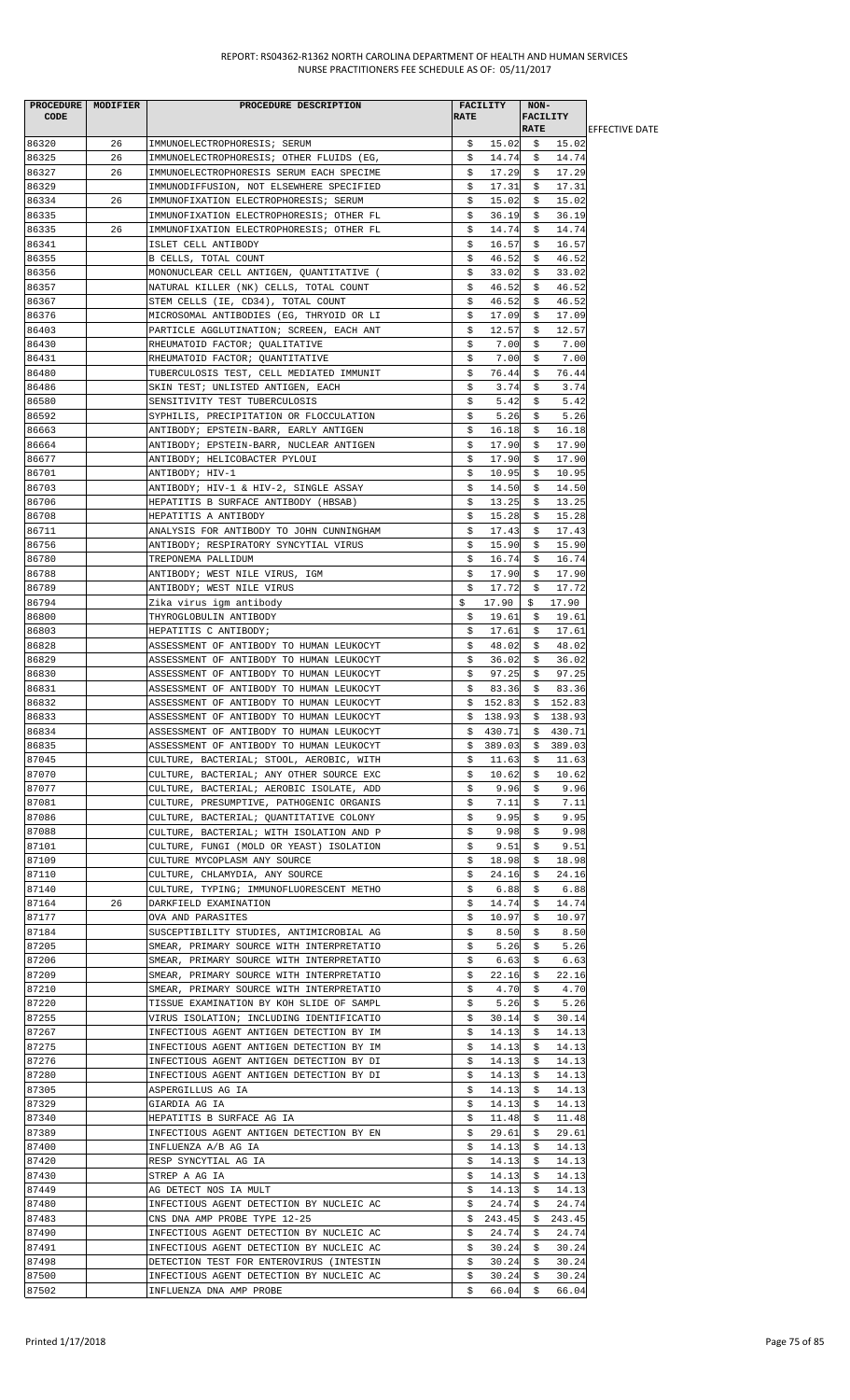| PROCEDURE   MODIFIER |    | PROCEDURE DESCRIPTION                    |             | <b>FACILITY</b> | NON-        |                 |                        |
|----------------------|----|------------------------------------------|-------------|-----------------|-------------|-----------------|------------------------|
| CODE                 |    |                                          | <b>RATE</b> |                 |             | <b>FACILITY</b> |                        |
|                      |    |                                          |             |                 | <b>RATE</b> |                 | <b>LEFFECTIVE DATE</b> |
| 86320                | 26 | IMMUNOELECTROPHORESIS; SERUM             | \$          | 15.02           |             | \$15.02         |                        |
| 86325                | 26 | IMMUNOELECTROPHORESIS; OTHER FLUIDS (EG, | \$          | 14.74           | \$          | 14.74           |                        |
| 86327                | 26 | IMMUNOELECTROPHORESIS SERUM EACH SPECIME | \$          | 17.29           | S.          | 17.29           |                        |
| 86329                |    | IMMUNODIFFUSION, NOT ELSEWHERE SPECIFIED | \$          | 17.31           | \$          | 17.31           |                        |
| 86334                | 26 | IMMUNOFIXATION ELECTROPHORESIS; SERUM    | \$          | 15.02           | \$          | 15.02           |                        |
| 86335                |    | IMMUNOFIXATION ELECTROPHORESIS; OTHER FL | \$          | 36.19           | \$          | 36.19           |                        |
| 86335                | 26 | IMMUNOFIXATION ELECTROPHORESIS; OTHER FL | \$          | 14.74           | \$          | 14.74           |                        |
| 86341                |    | ISLET CELL ANTIBODY                      | \$          | 16.57           | \$          | 16.57           |                        |
| 86355                |    | B CELLS, TOTAL COUNT                     | \$          | 46.52           | \$          | 46.52           |                        |
| 86356                |    | MONONUCLEAR CELL ANTIGEN, QUANTITATIVE ( | \$          | 33.02           | Ş.          | 33.02           |                        |
| 86357                |    | NATURAL KILLER (NK) CELLS, TOTAL COUNT   | \$          | 46.52           | \$          | 46.52           |                        |
| 86367                |    | STEM CELLS (IE, CD34), TOTAL COUNT       | \$          | 46.52           | \$          | 46.52           |                        |
| 86376                |    | MICROSOMAL ANTIBODIES (EG, THRYOID OR LI | \$          | 17.09           | Ş.          | 17.09           |                        |
| 86403                |    | PARTICLE AGGLUTINATION; SCREEN, EACH ANT | \$          | 12.57           | S.          | 12.57           |                        |
| 86430                |    | RHEUMATOID FACTOR; QUALITATIVE           | \$          | 7.00            | \$          | 7.00            |                        |
| 86431                |    | RHEUMATOID FACTOR; QUANTITATIVE          | \$          | 7.00            | \$          | 7.00            |                        |
| 86480                |    | TUBERCULOSIS TEST, CELL MEDIATED IMMUNIT | \$          | 76.44           | \$          | 76.44           |                        |
| 86486                |    | SKIN TEST; UNLISTED ANTIGEN, EACH        | \$          | 3.74            | \$          | 3.74            |                        |
| 86580                |    | SENSITIVITY TEST TUBERCULOSIS            | \$          | 5.42            | \$          | 5.42            |                        |
| 86592                |    | SYPHILIS, PRECIPITATION OR FLOCCULATION  | \$          | 5.26            | \$          | 5.26            |                        |
| 86663                |    | ANTIBODY; EPSTEIN-BARR, EARLY ANTIGEN    | \$          | 16.18           | \$          | 16.18           |                        |
| 86664                |    | ANTIBODY; EPSTEIN-BARR, NUCLEAR ANTIGEN  | \$          | 17.90           | \$          | 17.90           |                        |
| 86677                |    | ANTIBODY; HELICOBACTER PYLOUI            | \$          | 17.90           | \$          | 17.90           |                        |
| 86701                |    | ANTIBODY; HIV-1                          | \$          | 10.95           | \$          | 10.95           |                        |
| 86703                |    | ANTIBODY; HIV-1 & HIV-2, SINGLE ASSAY    | Ş.          | 14.50           | S.          | 14.50           |                        |
| 86706                |    | HEPATITIS B SURFACE ANTIBODY (HBSAB)     | \$          | 13.25           | \$          | 13.25           |                        |
| 86708                |    | HEPATITIS A ANTIBODY                     | \$          | 15.28           | \$          | 15.28           |                        |
| 86711                |    | ANALYSIS FOR ANTIBODY TO JOHN CUNNINGHAM | \$          | 17.43           | \$          | 17.43           |                        |
| 86756                |    | ANTIBODY; RESPIRATORY SYNCYTIAL VIRUS    | \$          | 15.90           | \$          | 15.90           |                        |
| 86780                |    |                                          | \$          | 16.74           | \$          | 16.74           |                        |
|                      |    | TREPONEMA PALLIDUM                       |             |                 |             |                 |                        |
| 86788                |    | ANTIBODY; WEST NILE VIRUS, IGM           | \$<br>Ŝ.    | 17.90           | \$          | 17.90<br>17.72  |                        |
| 86789                |    | ANTIBODY; WEST NILE VIRUS                |             | 17.72           | \$          |                 |                        |
| 86794                |    | Zika virus igm antibody                  | \$          | 17.90           | \$          | 17.90           |                        |
| 86800                |    | THYROGLOBULIN ANTIBODY                   | \$          | 19.61           | \$          | 19.61           |                        |
| 86803                |    | HEPATITIS C ANTIBODY;                    | \$          | 17.61           | Ş.          | 17.61           |                        |
| 86828                |    | ASSESSMENT OF ANTIBODY TO HUMAN LEUKOCYT | \$          | 48.02           | \$          | 48.02           |                        |
| 86829                |    | ASSESSMENT OF ANTIBODY TO HUMAN LEUKOCYT | \$          | 36.02           | \$          | 36.02           |                        |
| 86830                |    | ASSESSMENT OF ANTIBODY TO HUMAN LEUKOCYT | \$          | 97.25           | \$          | 97.25           |                        |
| 86831                |    | ASSESSMENT OF ANTIBODY TO HUMAN LEUKOCYT | S.          | 83.36           | S.          | 83.36           |                        |
| 86832                |    | ASSESSMENT OF ANTIBODY TO HUMAN LEUKOCYT |             | \$152.83        |             | \$152.83        |                        |
| 86833                |    | ASSESSMENT OF ANTIBODY TO HUMAN LEUKOCYT | \$          | 138.93          |             | \$138.93        |                        |
| 86834                |    | ASSESSMENT OF ANTIBODY TO HUMAN LEUKOCYT |             | \$430.71        |             | \$430.71        |                        |
| 86835                |    | ASSESSMENT OF ANTIBODY TO HUMAN LEUKOCYT | Ş.          | 389.03          | Ş.          | 389.03          |                        |
| 87045                |    | CULTURE, BACTERIAL; STOOL, AEROBIC, WITH | \$          | 11.63           | \$          | 11.63           |                        |
| 87070                |    | CULTURE, BACTERIAL; ANY OTHER SOURCE EXC | \$          | 10.62           | \$          | 10.62           |                        |
| 87077                |    | CULTURE, BACTERIAL; AEROBIC ISOLATE, ADD | \$          | 9.96            | \$          | 9.96            |                        |
| 87081                |    | CULTURE, PRESUMPTIVE, PATHOGENIC ORGANIS | \$          | 7.11            | \$          | 7.11            |                        |
| 87086                |    | CULTURE, BACTERIAL; QUANTITATIVE COLONY  | \$          | 9.95            | \$          | 9.95            |                        |
| 87088                |    | CULTURE, BACTERIAL; WITH ISOLATION AND P | \$          | 9.98            | \$          | 9.98            |                        |
| 87101                |    | CULTURE, FUNGI (MOLD OR YEAST) ISOLATION | Ş.          | 9.51            | S.          | 9.51            |                        |
| 87109                |    | CULTURE MYCOPLASM ANY SOURCE             | \$          | 18.98           | \$          | 18.98           |                        |
| 87110                |    | CULTURE, CHLAMYDIA, ANY SOURCE           | \$          | 24.16           | \$          | 24.16           |                        |
| 87140                |    | CULTURE, TYPING; IMMUNOFLUORESCENT METHO | \$          | 6.88            | \$          | 6.88            |                        |
| 87164                | 26 | DARKFIELD EXAMINATION                    | \$          | 14.74           | \$          | 14.74           |                        |
| 87177                |    | OVA AND PARASITES                        | \$          | 10.97           | \$          | 10.97           |                        |
| 87184                |    | SUSCEPTIBILITY STUDIES, ANTIMICROBIAL AG | \$          | 8.50            | \$          | 8.50            |                        |
| 87205                |    | SMEAR, PRIMARY SOURCE WITH INTERPRETATIO | \$          | 5.26            | \$          | 5.26            |                        |
| 87206                |    | SMEAR, PRIMARY SOURCE WITH INTERPRETATIO | \$          | 6.63            | \$          | 6.63            |                        |
| 87209                |    | SMEAR, PRIMARY SOURCE WITH INTERPRETATIO | \$          | 22.16           | \$          | 22.16           |                        |
| 87210                |    | SMEAR, PRIMARY SOURCE WITH INTERPRETATIO | \$          | 4.70            | \$          | 4.70            |                        |
| 87220                |    | TISSUE EXAMINATION BY KOH SLIDE OF SAMPL | \$          | 5.26            | \$          | 5.26            |                        |
| 87255                |    | VIRUS ISOLATION; INCLUDING IDENTIFICATIO | \$          | 30.14           | \$          | 30.14           |                        |
| 87267                |    | INFECTIOUS AGENT ANTIGEN DETECTION BY IM | \$          | 14.13           | \$          | 14.13           |                        |
| 87275                |    | INFECTIOUS AGENT ANTIGEN DETECTION BY IM | S.          | 14.13           | S.          | 14.13           |                        |
| 87276                |    | INFECTIOUS AGENT ANTIGEN DETECTION BY DI | \$          | 14.13           | \$          | 14.13           |                        |
| 87280                |    | INFECTIOUS AGENT ANTIGEN DETECTION BY DI | \$          | 14.13           | \$          | 14.13           |                        |
| 87305                |    | ASPERGILLUS AG IA                        | \$          | 14.13           | \$          | 14.13           |                        |
| 87329                |    | GIARDIA AG IA                            | \$          | 14.13           | \$          | 14.13           |                        |
| 87340                |    | HEPATITIS B SURFACE AG IA                | \$          | 11.48           | \$          | 11.48           |                        |
| 87389                |    | INFECTIOUS AGENT ANTIGEN DETECTION BY EN | \$          | 29.61           | \$.         | 29.61           |                        |
| 87400                |    | INFLUENZA A/B AG IA                      | \$          | 14.13           | S.          | 14.13           |                        |
| 87420                |    | RESP SYNCYTIAL AG IA                     | \$          | 14.13           | Ş.          | 14.13           |                        |
| 87430                |    | STREP A AG IA                            | \$          | 14.13           | \$          | 14.13           |                        |
| 87449                |    | AG DETECT NOS IA MULT                    | \$          | 14.13           | \$          | 14.13           |                        |
| 87480                |    | INFECTIOUS AGENT DETECTION BY NUCLEIC AC | Ş.          | 24.74           | S.          | 24.74           |                        |
| 87483                |    | CNS DNA AMP PROBE TYPE 12-25             | \$          | 243.45          | \$          | 243.45          |                        |
| 87490                |    | INFECTIOUS AGENT DETECTION BY NUCLEIC AC | \$          | 24.74           | \$          | 24.74           |                        |
| 87491                |    | INFECTIOUS AGENT DETECTION BY NUCLEIC AC | \$          | 30.24           | \$          | 30.24           |                        |
| 87498                |    | DETECTION TEST FOR ENTEROVIRUS (INTESTIN | \$          | 30.24           | S.          | 30.24           |                        |
| 87500                |    |                                          |             |                 | \$          |                 |                        |
|                      |    | INFECTIOUS AGENT DETECTION BY NUCLEIC AC | \$          | 30.24           |             | 30.24           |                        |
| 87502                |    | INFLUENZA DNA AMP PROBE                  | \$          | 66.04           | \$          | 66.04           |                        |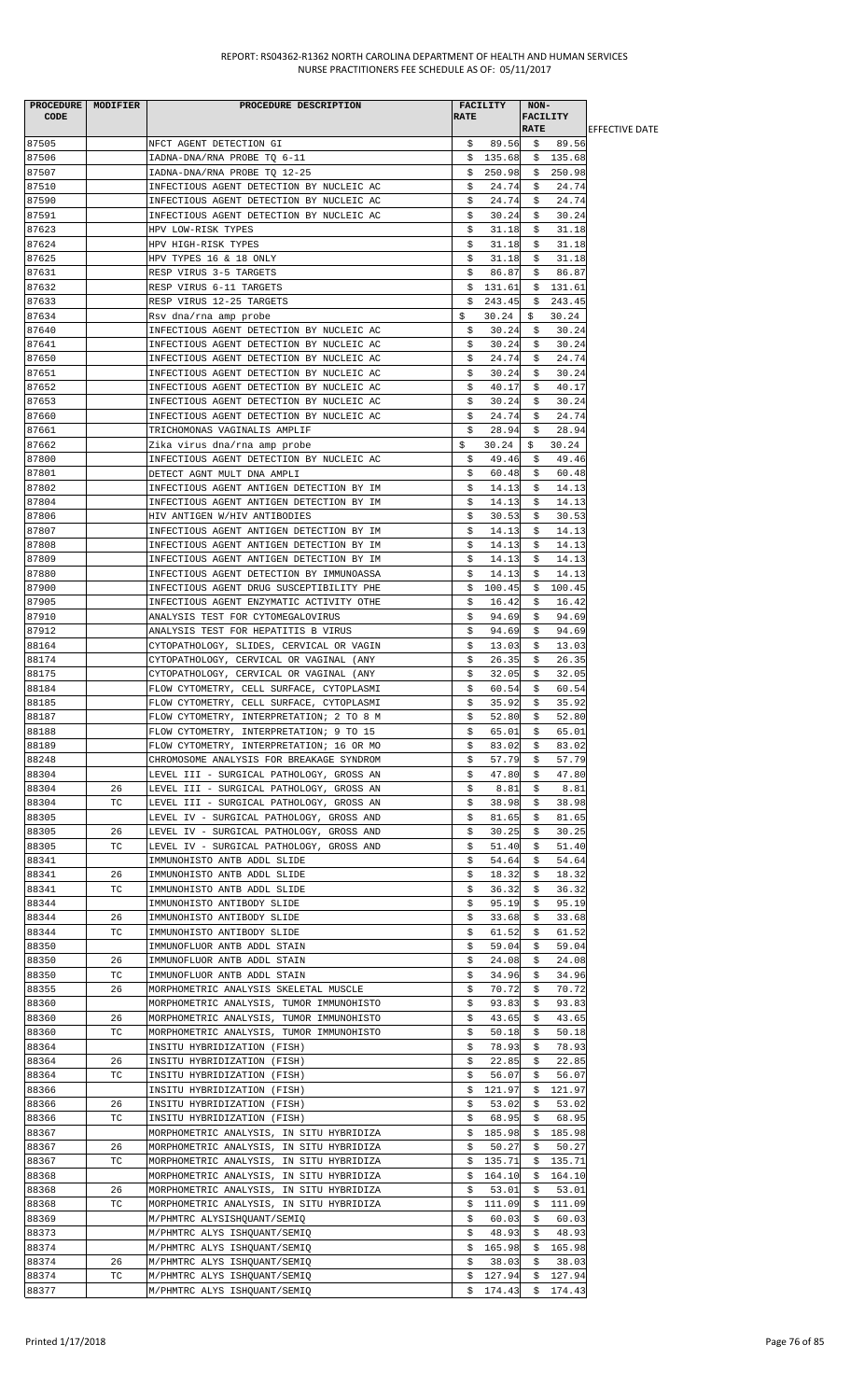| PROCEDURE MODIFIER |    | PROCEDURE DESCRIPTION                    |             | FACILITY | NON-            |          |                        |
|--------------------|----|------------------------------------------|-------------|----------|-----------------|----------|------------------------|
| <b>CODE</b>        |    |                                          | <b>RATE</b> |          | <b>FACILITY</b> |          |                        |
|                    |    |                                          |             |          | <b>RATE</b>     |          | <b>IEFFECTIVE DATE</b> |
| 87505              |    | NFCT AGENT DETECTION GI                  | \$          | 89.56    |                 | \$ 89.56 |                        |
| 87506              |    | IADNA-DNA/RNA PROBE TQ 6-11              |             | \$135.68 |                 | \$135.68 |                        |
|                    |    |                                          |             |          |                 |          |                        |
| 87507              |    | IADNA-DNA/RNA PROBE TO 12-25             | S.          | 250.98   | Ş.              | 250.98   |                        |
| 87510              |    | INFECTIOUS AGENT DETECTION BY NUCLEIC AC | \$          | 24.74    | \$              | 24.74    |                        |
| 87590              |    | INFECTIOUS AGENT DETECTION BY NUCLEIC AC | \$          | 24.74    | \$              | 24.74    |                        |
| 87591              |    | INFECTIOUS AGENT DETECTION BY NUCLEIC AC | \$          | 30.24    | \$              | 30.24    |                        |
| 87623              |    | HPV LOW-RISK TYPES                       | \$          | 31.18    | \$              | 31.18    |                        |
| 87624              |    | HPV HIGH-RISK TYPES                      | \$          | 31.18    | \$              | 31.18    |                        |
| 87625              |    | HPV TYPES 16 & 18 ONLY                   |             |          |                 | 31.18    |                        |
|                    |    |                                          | Ş.          | 31.18    | Ş.              |          |                        |
| 87631              |    | RESP VIRUS 3-5 TARGETS                   | \$          | 86.87    | \$              | 86.87    |                        |
| 87632              |    | RESP VIRUS 6-11 TARGETS                  | \$          | 131.61   |                 | \$131.61 |                        |
| 87633              |    | RESP VIRUS 12-25 TARGETS                 | \$          | 243.45   |                 | \$243.45 |                        |
| 87634              |    | Rsv dna/rna amp probe                    | \$          | 30.24    | \$              | 30.24    |                        |
| 87640              |    | INFECTIOUS AGENT DETECTION BY NUCLEIC AC | Ş.          | 30.24    | S.              | 30.24    |                        |
| 87641              |    | INFECTIOUS AGENT DETECTION BY NUCLEIC AC |             | 30.24    |                 | 30.24    |                        |
|                    |    |                                          | \$          |          | \$              |          |                        |
| 87650              |    | INFECTIOUS AGENT DETECTION BY NUCLEIC AC | \$          | 24.74    | \$              | 24.74    |                        |
| 87651              |    | INFECTIOUS AGENT DETECTION BY NUCLEIC AC | \$          | 30.24    | S.              | 30.24    |                        |
| 87652              |    | INFECTIOUS AGENT DETECTION BY NUCLEIC AC | \$          | 40.17    | S.              | 40.17    |                        |
| 87653              |    | INFECTIOUS AGENT DETECTION BY NUCLEIC AC | \$          | 30.24    | \$              | 30.24    |                        |
| 87660              |    | INFECTIOUS AGENT DETECTION BY NUCLEIC AC | \$.         | 24.74    | \$              | 24.74    |                        |
|                    |    |                                          |             |          |                 |          |                        |
| 87661              |    | TRICHOMONAS VAGINALIS AMPLIF             | \$          | 28.94    | \$              | 28.94    |                        |
| 87662              |    | Zika virus dna/rna amp probe             | \$          | 30.24    | \$              | 30.24    |                        |
| 87800              |    | INFECTIOUS AGENT DETECTION BY NUCLEIC AC | \$          | 49.46    | \$              | 49.46    |                        |
| 87801              |    | DETECT AGNT MULT DNA AMPLI               | \$          | 60.48    | S.              | 60.48    |                        |
| 87802              |    | INFECTIOUS AGENT ANTIGEN DETECTION BY IM | \$          | 14.13    | S.              | 14.13    |                        |
| 87804              |    | INFECTIOUS AGENT ANTIGEN DETECTION BY IM | \$          | 14.13    | \$              | 14.13    |                        |
|                    |    |                                          |             |          |                 |          |                        |
| 87806              |    | HIV ANTIGEN W/HIV ANTIBODIES             | \$          | 30.53    | \$              | 30.53    |                        |
| 87807              |    | INFECTIOUS AGENT ANTIGEN DETECTION BY IM | Ş.          | 14.13    | S.              | 14.13    |                        |
| 87808              |    | INFECTIOUS AGENT ANTIGEN DETECTION BY IM | \$          | 14.13    | \$              | 14.13    |                        |
| 87809              |    | INFECTIOUS AGENT ANTIGEN DETECTION BY IM | \$          | 14.13    | \$              | 14.13    |                        |
| 87880              |    | INFECTIOUS AGENT DETECTION BY IMMUNOASSA | \$          | 14.13    | \$              | 14.13    |                        |
| 87900              |    | INFECTIOUS AGENT DRUG SUSCEPTIBILITY PHE | \$          | 100.45   | \$              | 100.45   |                        |
|                    |    |                                          |             |          |                 |          |                        |
| 87905              |    | INFECTIOUS AGENT ENZYMATIC ACTIVITY OTHE | \$          | 16.42    | \$              | 16.42    |                        |
| 87910              |    | ANALYSIS TEST FOR CYTOMEGALOVIRUS        | \$          | 94.69    | Ş.              | 94.69    |                        |
| 87912              |    | ANALYSIS TEST FOR HEPATITIS B VIRUS      | S.          | 94.69    | S.              | 94.69    |                        |
| 88164              |    | CYTOPATHOLOGY, SLIDES, CERVICAL OR VAGIN | \$          | 13.03    | \$              | 13.03    |                        |
| 88174              |    | CYTOPATHOLOGY, CERVICAL OR VAGINAL (ANY  | \$          | 26.35    | \$              | 26.35    |                        |
| 88175              |    | CYTOPATHOLOGY, CERVICAL OR VAGINAL (ANY  | \$          | 32.05    | \$              | 32.05    |                        |
|                    |    |                                          |             |          |                 |          |                        |
| 88184              |    | FLOW CYTOMETRY, CELL SURFACE, CYTOPLASMI | \$          | 60.54    | \$              | 60.54    |                        |
| 88185              |    | FLOW CYTOMETRY, CELL SURFACE, CYTOPLASMI | \$          | 35.92    | \$              | 35.92    |                        |
| 88187              |    | FLOW CYTOMETRY, INTERPRETATION; 2 TO 8 M | \$          | 52.80    | \$              | 52.80    |                        |
| 88188              |    | FLOW CYTOMETRY, INTERPRETATION; 9 TO 15  | Ş.          | 65.01    | Ş.              | 65.01    |                        |
| 88189              |    | FLOW CYTOMETRY, INTERPRETATION; 16 OR MO | Ş.          | 83.02    | Ş.              | 83.02    |                        |
|                    |    |                                          |             |          |                 |          |                        |
| 88248              |    | CHROMOSOME ANALYSIS FOR BREAKAGE SYNDROM | \$          | 57.79    | \$              | 57.79    |                        |
| 88304              |    | LEVEL III - SURGICAL PATHOLOGY, GROSS AN | \$          | 47.80    | \$              | 47.80    |                        |
| 88304              | 26 | LEVEL III - SURGICAL PATHOLOGY, GROSS AN | s           | 8.81     | S.              | 8.81     |                        |
| 88304              | ТC | LEVEL III - SURGICAL PATHOLOGY, GROSS AN | \$          | 38.98    | \$              | 38.98    |                        |
| 88305              |    | LEVEL IV - SURGICAL PATHOLOGY, GROSS AND | \$          | 81.65    | \$              | 81.65    |                        |
| 88305              | 26 | LEVEL IV - SURGICAL PATHOLOGY, GROSS AND | \$          | 30.25    | \$              | 30.25    |                        |
|                    |    |                                          |             |          |                 |          |                        |
| 88305              | ТC | LEVEL IV - SURGICAL PATHOLOGY, GROSS AND | \$          | 51.40    | \$              | 51.40    |                        |
| 88341              |    | IMMUNOHISTO ANTB ADDL SLIDE              | \$          | 54.64    | \$              | 54.64    |                        |
| 88341              | 26 | IMMUNOHISTO ANTB ADDL SLIDE              | \$          | 18.32    | \$              | 18.32    |                        |
| 88341              | ТC | IMMUNOHISTO ANTB ADDL SLIDE              | s           | 36.32    | \$              | 36.32    |                        |
| 88344              |    | IMMUNOHISTO ANTIBODY SLIDE               | \$          | 95.19    | \$              | 95.19    |                        |
| 88344              | 26 | IMMUNOHISTO ANTIBODY SLIDE               | \$          | 33.68    | \$              | 33.68    |                        |
|                    | ТC |                                          |             |          |                 |          |                        |
| 88344              |    | IMMUNOHISTO ANTIBODY SLIDE               | \$          | 61.52    | \$              | 61.52    |                        |
| 88350              |    | IMMUNOFLUOR ANTB ADDL STAIN              | \$          | 59.04    | \$              | 59.04    |                        |
| 88350              | 26 | IMMUNOFLUOR ANTB ADDL STAIN              | \$          | 24.08    | \$              | 24.08    |                        |
| 88350              | TС | IMMUNOFLUOR ANTB ADDL STAIN              | Ş.          | 34.96    | Ş.              | 34.96    |                        |
| 88355              | 26 | MORPHOMETRIC ANALYSIS SKELETAL MUSCLE    | s           | 70.72    | \$              | 70.72    |                        |
| 88360              |    | MORPHOMETRIC ANALYSIS, TUMOR IMMUNOHISTO | \$          | 93.83    | \$              | 93.83    |                        |
| 88360              | 26 | MORPHOMETRIC ANALYSIS, TUMOR IMMUNOHISTO | \$          | 43.65    | \$              | 43.65    |                        |
|                    |    |                                          |             |          |                 |          |                        |
| 88360              | ТC | MORPHOMETRIC ANALYSIS, TUMOR IMMUNOHISTO | \$          | 50.18    | Ş.              | 50.18    |                        |
| 88364              |    | INSITU HYBRIDIZATION (FISH)              | \$          | 78.93    | \$              | 78.93    |                        |
| 88364              | 26 | INSITU HYBRIDIZATION (FISH)              | \$          | 22.85    | \$              | 22.85    |                        |
| 88364              | ТC | INSITU HYBRIDIZATION (FISH)              | \$          | 56.07    | \$              | 56.07    |                        |
| 88366              |    | INSITU HYBRIDIZATION (FISH)              | \$          | 121.97   | \$              | 121.97   |                        |
| 88366              | 26 | INSITU HYBRIDIZATION (FISH)              | Ş           | 53.02    | Ş.              | 53.02    |                        |
|                    |    |                                          |             |          |                 |          |                        |
| 88366              | ТC | INSITU HYBRIDIZATION (FISH)              | \$          | 68.95    | \$              | 68.95    |                        |
| 88367              |    | MORPHOMETRIC ANALYSIS, IN SITU HYBRIDIZA | \$          | 185.98   | \$              | 185.98   |                        |
| 88367              | 26 | MORPHOMETRIC ANALYSIS, IN SITU HYBRIDIZA | s           | 50.27    | \$              | 50.27    |                        |
| 88367              | ТC | MORPHOMETRIC ANALYSIS, IN SITU HYBRIDIZA | \$          | 135.71   | \$              | 135.71   |                        |
| 88368              |    | MORPHOMETRIC ANALYSIS, IN SITU HYBRIDIZA | \$          | 164.10   | Ş.              | 164.10   |                        |
| 88368              | 26 | MORPHOMETRIC ANALYSIS, IN SITU HYBRIDIZA | \$          | 53.01    | \$              | 53.01    |                        |
|                    |    |                                          |             |          |                 |          |                        |
| 88368              | ТC | MORPHOMETRIC ANALYSIS, IN SITU HYBRIDIZA | \$          | 111.09   | Ş.              | 111.09   |                        |
| 88369              |    | M/PHMTRC ALYSISHQUANT/SEMIQ              | \$          | 60.03    | \$              | 60.03    |                        |
| 88373              |    | M/PHMTRC ALYS ISHQUANT/SEMIQ             | \$          | 48.93    | \$              | 48.93    |                        |
| 88374              |    | M/PHMTRC ALYS ISHOUANT/SEMIO             | \$          | 165.98   | \$              | 165.98   |                        |
| 88374              | 26 | M/PHMTRC ALYS ISHQUANT/SEMIQ             | \$          | 38.03    | \$              | 38.03    |                        |
| 88374              | ТC | M/PHMTRC ALYS ISHQUANT/SEMIQ             | \$          | 127.94   | \$              | 127.94   |                        |
| 88377              |    | M/PHMTRC ALYS ISHQUANT/SEMIQ             | \$          | 174.43   | \$              | 174.43   |                        |
|                    |    |                                          |             |          |                 |          |                        |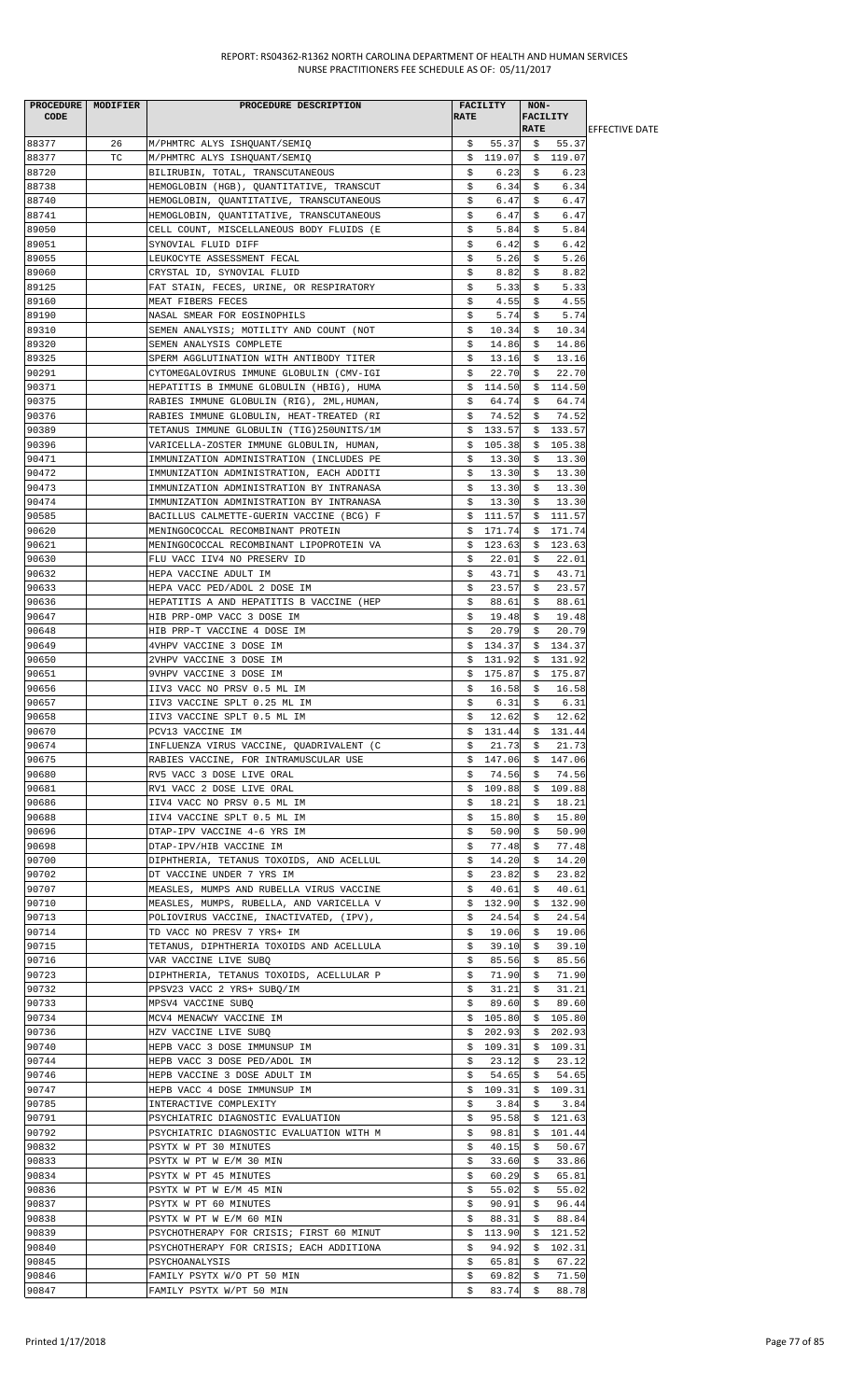| PROCEDURE   MODIFIER |    | PROCEDURE DESCRIPTION                                             |             | <b>FACILITY</b>    | NON-        |                 |                        |
|----------------------|----|-------------------------------------------------------------------|-------------|--------------------|-------------|-----------------|------------------------|
| CODE                 |    |                                                                   | <b>RATE</b> |                    |             | <b>FACILITY</b> |                        |
|                      |    |                                                                   |             |                    | <b>RATE</b> |                 | <b>IEFFECTIVE DATE</b> |
| 88377                | 26 | M/PHMTRC ALYS ISHQUANT/SEMIQ                                      | \$          |                    |             | 55.37 \$ 55.37  |                        |
| 88377                | TC | M/PHMTRC ALYS ISHQUANT/SEMIQ                                      |             | $$119.07 \$119.07$ |             |                 |                        |
| 88720                |    | BILIRUBIN, TOTAL, TRANSCUTANEOUS                                  | S.          | 6.23               | S.          | 6.23            |                        |
| 88738                |    | HEMOGLOBIN (HGB), OUANTITATIVE, TRANSCUT                          | \$          | 6.34               | \$          | 6.34            |                        |
| 88740                |    | HEMOGLOBIN, QUANTITATIVE, TRANSCUTANEOUS                          | \$          | 6.47               | \$          | 6.47            |                        |
| 88741                |    | HEMOGLOBIN, QUANTITATIVE, TRANSCUTANEOUS                          | \$          | 6.47               | \$          | 6.47            |                        |
| 89050                |    | CELL COUNT, MISCELLANEOUS BODY FLUIDS (E                          | \$          | 5.84               | Ŝ.          | 5.84            |                        |
| 89051                |    | SYNOVIAL FLUID DIFF                                               | \$          | 6.42               | \$          | 6.42            |                        |
| 89055                |    | LEUKOCYTE ASSESSMENT FECAL                                        | \$          | 5.26               | \$          | 5.26            |                        |
| 89060                |    | CRYSTAL ID, SYNOVIAL FLUID                                        | \$          | 8.82               | \$          | 8.82            |                        |
| 89125                |    | FAT STAIN, FECES, URINE, OR RESPIRATORY                           | \$          | 5.33               | \$          | 5.33            |                        |
| 89160                |    | MEAT FIBERS FECES                                                 | \$          | 4.55               | \$          | 4.55            |                        |
| 89190                |    | NASAL SMEAR FOR EOSINOPHILS                                       | \$          | 5.74               | \$          | 5.74            |                        |
| 89310                |    | SEMEN ANALYSIS; MOTILITY AND COUNT (NOT                           | \$          | 10.34              | \$          | 10.34           |                        |
| 89320                |    | SEMEN ANALYSIS COMPLETE                                           | \$          | 14.86              | \$          | 14.86           |                        |
| 89325                |    | SPERM AGGLUTINATION WITH ANTIBODY TITER                           | \$          | 13.16              | \$          | 13.16           |                        |
| 90291                |    | CYTOMEGALOVIRUS IMMUNE GLOBULIN (CMV-IGI                          | \$          | 22.70              | Ş.          | 22.70           |                        |
| 90371                |    | HEPATITIS B IMMUNE GLOBULIN (HBIG), HUMA                          | \$          | 114.50             | \$          | 114.50          |                        |
| 90375                |    | RABIES IMMUNE GLOBULIN (RIG), 2ML, HUMAN,                         | \$          | 64.74              | \$          | 64.74           |                        |
| 90376                |    | RABIES IMMUNE GLOBULIN, HEAT-TREATED (RI                          | Ş.          | 74.52              | Ş.          | 74.52           |                        |
| 90389                |    | TETANUS IMMUNE GLOBULIN (TIG)250UNITS/1M                          | \$          | 133.57             |             | \$133.57        |                        |
| 90396                |    | VARICELLA-ZOSTER IMMUNE GLOBULIN, HUMAN,                          | \$          | 105.38             |             | \$105.38        |                        |
| 90471                |    | IMMUNIZATION ADMINISTRATION (INCLUDES PE                          | \$          | 13.30              | \$          | 13.30           |                        |
| 90472                |    | IMMUNIZATION ADMINISTRATION, EACH ADDITI                          | \$          | 13.30              | \$          | 13.30           |                        |
| 90473                |    | IMMUNIZATION ADMINISTRATION BY INTRANASA                          | \$          | 13.30              | Ş.          | 13.30           |                        |
| 90474                |    | IMMUNIZATION ADMINISTRATION BY INTRANASA                          | \$          | 13.30              | \$          | 13.30           |                        |
| 90585                |    | BACILLUS CALMETTE-GUERIN VACCINE (BCG) F                          | \$          | 111.57             |             | \$111.57        |                        |
| 90620                |    | MENINGOCOCCAL RECOMBINANT PROTEIN                                 | Ş.          | 171.74             | \$          | 171.74          |                        |
| 90621                |    | MENINGOCOCCAL RECOMBINANT LIPOPROTEIN VA                          | \$          | 123.63             |             | \$123.63        |                        |
| 90630                |    | FLU VACC IIV4 NO PRESERV ID                                       | \$          | 22.01              | \$          | 22.01           |                        |
| 90632                |    | HEPA VACCINE ADULT IM                                             | \$          | 43.71              | \$          | 43.71           |                        |
| 90633                |    | HEPA VACC PED/ADOL 2 DOSE IM                                      | \$          | 23.57              | S.          | 23.57           |                        |
| 90636                |    | HEPATITIS A AND HEPATITIS B VACCINE (HEP                          | \$          | 88.61              | \$          | 88.61           |                        |
| 90647                |    | HIB PRP-OMP VACC 3 DOSE IM                                        | \$          | 19.48              | \$          | 19.48           |                        |
| 90648                |    | HIB PRP-T VACCINE 4 DOSE IM                                       | \$          | 20.79              | \$          | 20.79           |                        |
| 90649                |    | 4VHPV VACCINE 3 DOSE IM                                           | \$          | 134.37             |             | \$134.37        |                        |
| 90650                |    | 2VHPV VACCINE 3 DOSE IM                                           | Ş.          | 131.92             | \$          | 131.92          |                        |
| 90651                |    | 9VHPV VACCINE 3 DOSE IM                                           | \$          | 175.87             | \$.         | 175.87          |                        |
| 90656                |    | IIV3 VACC NO PRSV 0.5 ML IM                                       | \$          | 16.58              | \$          | 16.58           |                        |
| 90657<br>90658       |    | IIV3 VACCINE SPLT 0.25 ML IM                                      | \$          | 6.31               | \$          | 6.31            |                        |
|                      |    | IIV3 VACCINE SPLT 0.5 ML IM                                       | \$          | 12.62              | \$          | 12.62           |                        |
| 90670                |    | PCV13 VACCINE IM                                                  | Ş.          | 131.44             |             | \$131.44        |                        |
| 90674                |    | INFLUENZA VIRUS VACCINE, QUADRIVALENT (C                          | S.          | 21.73              | \$          | 21.73           |                        |
| 90675                |    | RABIES VACCINE, FOR INTRAMUSCULAR USE                             | \$          | 147.06             |             | \$147.06        |                        |
| 90680                |    | RV5 VACC 3 DOSE LIVE ORAL                                         | Ş.          | 74.56              | Ş.          | 74.56           |                        |
| 90681                |    | RV1 VACC 2 DOSE LIVE ORAL                                         | \$          | 109.88             |             | \$109.88        |                        |
| 90686                |    | IIV4 VACC NO PRSV 0.5 ML IM                                       | \$          | 18.21              | \$          | 18.21           |                        |
| 90688                |    | IIV4 VACCINE SPLT 0.5 ML IM                                       | \$          | 15.80              | \$          | 15.80           |                        |
| 90696                |    | DTAP-IPV VACCINE 4-6 YRS IM                                       | \$          | 50.90              | \$          | 50.90           |                        |
| 90698                |    | DTAP-IPV/HIB VACCINE IM                                           | \$          | 77.48              | S.          | 77.48           |                        |
| 90700                |    | DIPHTHERIA, TETANUS TOXOIDS, AND ACELLUL                          | \$          | 14.20              | \$          | 14.20           |                        |
| 90702                |    | DT VACCINE UNDER 7 YRS IM                                         | \$          | 23.82              | Ş.          | 23.82           |                        |
| 90707                |    | MEASLES, MUMPS AND RUBELLA VIRUS VACCINE                          | \$          | 40.61              | \$          | 40.61           |                        |
| 90710                |    | MEASLES, MUMPS, RUBELLA, AND VARICELLA V                          |             | \$132.90           |             | \$132.90        |                        |
| 90713                |    | POLIOVIRUS VACCINE, INACTIVATED, (IPV),                           | \$          | 24.54              | \$          | 24.54           |                        |
| 90714                |    | TD VACC NO PRESV 7 YRS+ IM                                        | \$          | 19.06              | \$          | 19.06           |                        |
| 90715<br>90716       |    | TETANUS, DIPHTHERIA TOXOIDS AND ACELLULA<br>VAR VACCINE LIVE SUBQ | \$<br>\$    | 39.10<br>85.56     | S.<br>\$    | 39.10<br>85.56  |                        |
| 90723                |    | DIPHTHERIA, TETANUS TOXOIDS, ACELLULAR P                          | \$.         | 71.90              | \$          | 71.90           |                        |
| 90732                |    | PPSV23 VACC 2 YRS+ SUBQ/IM                                        | \$          | 31.21              | \$          | 31.21           |                        |
| 90733                |    | MPSV4 VACCINE SUBQ                                                | \$          | 89.60              | \$          | 89.60           |                        |
| 90734                |    | MCV4 MENACWY VACCINE IM                                           |             | \$105.80           | \$          | 105.80          |                        |
| 90736                |    | HZV VACCINE LIVE SUBQ                                             |             | 202.93             | \$          | 202.93          |                        |
| 90740                |    | HEPB VACC 3 DOSE IMMUNSUP IM                                      | Ş.<br>S.    | 109.31             | \$          | 109.31          |                        |
| 90744                |    | HEPB VACC 3 DOSE PED/ADOL IM                                      | \$          | 23.12              | \$          | 23.12           |                        |
| 90746                |    | HEPB VACCINE 3 DOSE ADULT IM                                      | \$          | 54.65              | \$          | 54.65           |                        |
| 90747                |    | HEPB VACC 4 DOSE IMMUNSUP IM                                      | \$          | 109.31             | \$          | 109.31          |                        |
| 90785                |    | INTERACTIVE COMPLEXITY                                            | \$          | 3.84               | \$          | 3.84            |                        |
| 90791                |    | PSYCHIATRIC DIAGNOSTIC EVALUATION                                 | \$          | 95.58              | \$          | 121.63          |                        |
| 90792                |    | PSYCHIATRIC DIAGNOSTIC EVALUATION WITH M                          | Ş.          | 98.81              | Ş.          | 101.44          |                        |
| 90832                |    | PSYTX W PT 30 MINUTES                                             | \$          | 40.15              | \$          | 50.67           |                        |
| 90833                |    | PSYTX W PT W E/M 30 MIN                                           | \$          | 33.60              | \$          | 33.86           |                        |
| 90834                |    | PSYTX W PT 45 MINUTES                                             | \$          | 60.29              | \$          | 65.81           |                        |
| 90836                |    | PSYTX W PT W E/M 45 MIN                                           | \$          | 55.02              | \$          | 55.02           |                        |
| 90837                |    | PSYTX W PT 60 MINUTES                                             | \$          | 90.91              | \$          | 96.44           |                        |
| 90838                |    | PSYTX W PT W E/M 60 MIN                                           | \$          | 88.31              | \$          | 88.84           |                        |
| 90839                |    | PSYCHOTHERAPY FOR CRISIS; FIRST 60 MINUT                          | \$          | 113.90             | Ş.          | 121.52          |                        |
| 90840                |    | PSYCHOTHERAPY FOR CRISIS; EACH ADDITIONA                          | S.          | 94.92              | S.          | 102.31          |                        |
| 90845                |    | PSYCHOANALYSIS                                                    | \$          | 65.81              | \$          | 67.22           |                        |
| 90846                |    | FAMILY PSYTX W/O PT 50 MIN                                        | \$          | 69.82              | \$          | 71.50           |                        |
| 90847                |    | FAMILY PSYTX W/PT 50 MIN                                          | \$          | $83.74$ \$         |             | 88.78           |                        |
|                      |    |                                                                   |             |                    |             |                 |                        |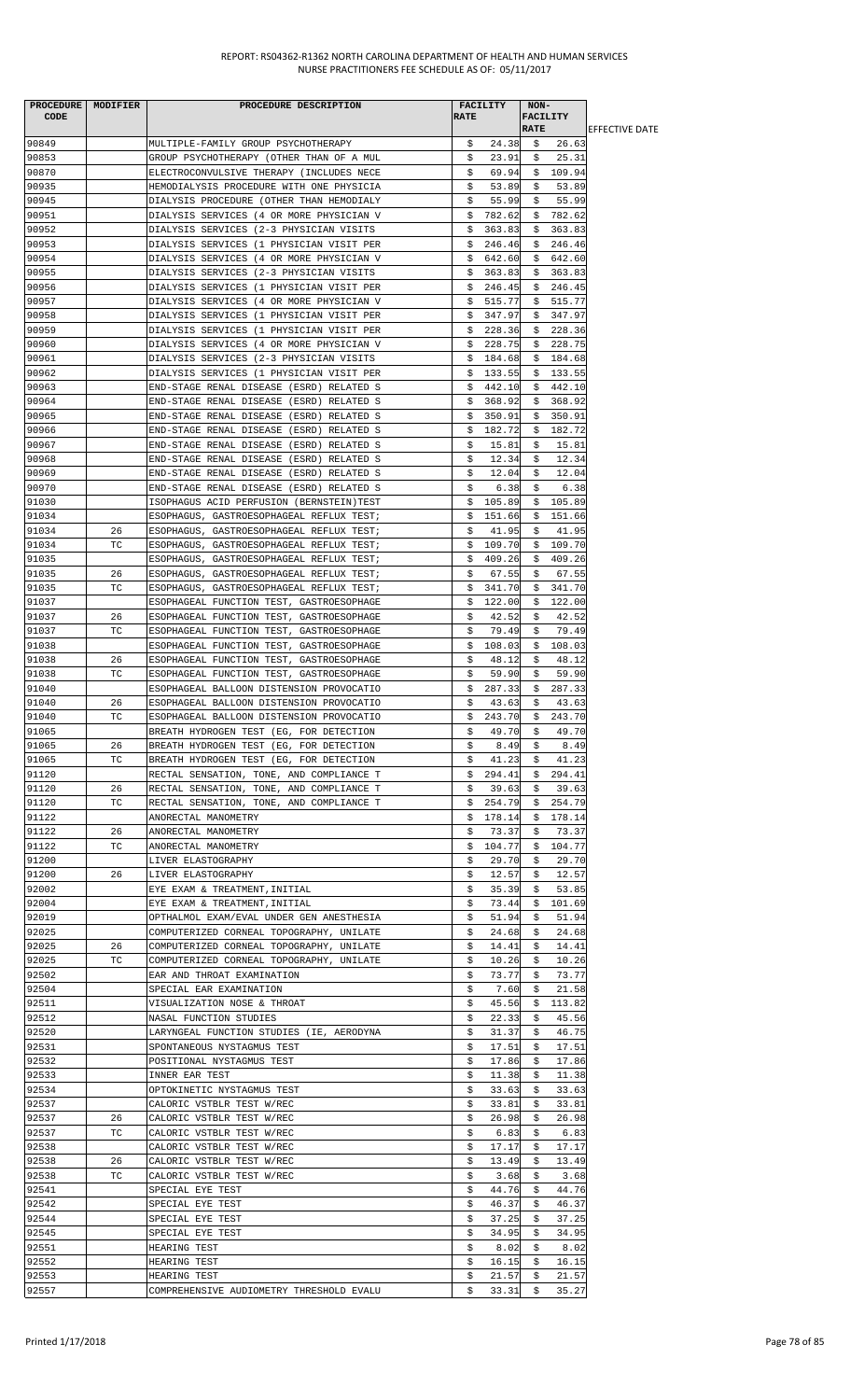| PROCEDURE MODIFIER |    | PROCEDURE DESCRIPTION                    |             | FACILITY          | NON-        |                 |                        |
|--------------------|----|------------------------------------------|-------------|-------------------|-------------|-----------------|------------------------|
| CODE               |    |                                          | <b>RATE</b> |                   |             | <b>FACILITY</b> |                        |
|                    |    |                                          |             |                   | <b>RATE</b> |                 | <b>IEFFECTIVE DATE</b> |
| 90849              |    | MULTIPLE-FAMILY GROUP PSYCHOTHERAPY      | \$.         | 24.38             | - \$        | 26.63           |                        |
| 90853              |    | GROUP PSYCHOTHERAPY (OTHER THAN OF A MUL | \$          | 23.91             | Ş.          | 25.31           |                        |
| 90870              |    | ELECTROCONVULSIVE THERAPY (INCLUDES NECE | \$          | 69.94             |             | \$109.94        |                        |
| 90935              |    | HEMODIALYSIS PROCEDURE WITH ONE PHYSICIA | \$          | 53.89             | \$          | 53.89           |                        |
| 90945              |    | DIALYSIS PROCEDURE (OTHER THAN HEMODIALY | \$          | 55.99             | \$          | 55.99           |                        |
| 90951              |    | DIALYSIS SERVICES (4 OR MORE PHYSICIAN V | \$          | 782.62            | Ş.          | 782.62          |                        |
| 90952              |    | DIALYSIS SERVICES (2-3 PHYSICIAN VISITS  | \$          | 363.83            | \$          | 363.83          |                        |
| 90953              |    | DIALYSIS SERVICES (1 PHYSICIAN VISIT PER | \$          | 246.46            | \$          | 246.46          |                        |
| 90954              |    | DIALYSIS SERVICES (4 OR MORE PHYSICIAN V | Ş.          | 642.60            | Ş.          | 642.60          |                        |
| 90955              |    | DIALYSIS SERVICES (2-3 PHYSICIAN VISITS  | S.          | 363.83            | \$          | 363.83          |                        |
| 90956              |    | DIALYSIS SERVICES (1 PHYSICIAN VISIT PER | \$.         | 246.45            | \$          | 246.45          |                        |
| 90957              |    | DIALYSIS SERVICES (4 OR MORE PHYSICIAN V | \$.         | 515.77            | \$          | 515.77          |                        |
| 90958              |    | DIALYSIS SERVICES (1 PHYSICIAN VISIT PER | \$          | 347.97            |             | \$347.97        |                        |
| 90959              |    | DIALYSIS SERVICES (1 PHYSICIAN VISIT PER | Ş.          | 228.36            | Ş.          | 228.36          |                        |
| 90960              |    | DIALYSIS SERVICES (4 OR MORE PHYSICIAN V | \$          | 228.75            | \$          | 228.75          |                        |
| 90961              |    | DIALYSIS SERVICES (2-3 PHYSICIAN VISITS  | \$          | 184.68            | \$          | 184.68          |                        |
| 90962              |    | DIALYSIS SERVICES (1 PHYSICIAN VISIT PER | Ş.          | 133.55            | \$          | 133.55          |                        |
| 90963              |    | END-STAGE RENAL DISEASE (ESRD) RELATED S | Ş.          | 442.10            |             | \$442.10        |                        |
| 90964              |    | END-STAGE RENAL DISEASE (ESRD) RELATED S | \$          | 368.92            | \$          | 368.92          |                        |
| 90965              |    | END-STAGE RENAL DISEASE (ESRD) RELATED S | \$          | 350.91            | Ş.          | 350.91          |                        |
| 90966              |    | END-STAGE RENAL DISEASE (ESRD) RELATED S | Ş.          | 182.72            | \$          | 182.72          |                        |
| 90967              |    | END-STAGE RENAL DISEASE (ESRD) RELATED S | \$          | 15.81             | \$          | 15.81           |                        |
| 90968              |    | END-STAGE RENAL DISEASE (ESRD) RELATED S | \$          | 12.34             | \$          | 12.34           |                        |
| 90969              |    | END-STAGE RENAL DISEASE (ESRD) RELATED S | \$          | 12.04             | Ş.          | 12.04           |                        |
| 90970              |    | END-STAGE RENAL DISEASE (ESRD) RELATED S | \$          | 6.38              | \$          | 6.38            |                        |
| 91030              |    | ISOPHAGUS ACID PERFUSION (BERNSTEIN)TEST | \$          | 105.89            | \$          | 105.89          |                        |
| 91034              |    | ESOPHAGUS, GASTROESOPHAGEAL REFLUX TEST; | \$          | 151.66            |             | \$151.66        |                        |
| 91034              | 26 | ESOPHAGUS, GASTROESOPHAGEAL REFLUX TEST; | \$          | 41.95             | \$          | 41.95           |                        |
| 91034              | TC | ESOPHAGUS, GASTROESOPHAGEAL REFLUX TEST; | \$          | 109.70            |             | \$109.70        |                        |
| 91035              |    | ESOPHAGUS, GASTROESOPHAGEAL REFLUX TEST; | \$          | 409.26            | \$          | 409.26          |                        |
| 91035              | 26 | ESOPHAGUS, GASTROESOPHAGEAL REFLUX TEST; | \$          | 67.55             | Ş           | 67.55           |                        |
| 91035              | ТC | ESOPHAGUS, GASTROESOPHAGEAL REFLUX TEST; | \$          | 341.70            | \$          | 341.70          |                        |
| 91037              |    | ESOPHAGEAL FUNCTION TEST, GASTROESOPHAGE | \$          | 122.00            | \$          | 122.00          |                        |
| 91037              | 26 | ESOPHAGEAL FUNCTION TEST, GASTROESOPHAGE | Ş           | 42.52             | Ş.          | 42.52           |                        |
| 91037              | ТC | ESOPHAGEAL FUNCTION TEST, GASTROESOPHAGE | \$          | 79.49             | \$          | 79.49           |                        |
| 91038              |    | ESOPHAGEAL FUNCTION TEST, GASTROESOPHAGE | \$          | 108.03            |             | \$108.03        |                        |
| 91038              | 26 | ESOPHAGEAL FUNCTION TEST, GASTROESOPHAGE | \$          | 48.12             | \$          | 48.12           |                        |
| 91038              | ТC | ESOPHAGEAL FUNCTION TEST, GASTROESOPHAGE | \$          | 59.90             | \$          | 59.90           |                        |
| 91040              |    | ESOPHAGEAL BALLOON DISTENSION PROVOCATIO | \$          | 287.33            | Ş.          | 287.33          |                        |
| 91040              | 26 |                                          | \$          | 43.63             | \$          | 43.63           |                        |
| 91040              | ТC | ESOPHAGEAL BALLOON DISTENSION PROVOCATIO | \$          | 243.70            | \$          | 243.70          |                        |
|                    |    | ESOPHAGEAL BALLOON DISTENSION PROVOCATIO |             | 49.70             |             |                 |                        |
| 91065<br>91065     | 26 | BREATH HYDROGEN TEST (EG, FOR DETECTION  | Ş.          |                   | Ş.          | 49.70           |                        |
|                    |    | BREATH HYDROGEN TEST (EG, FOR DETECTION  | Ş.          | 8.49              | Ş.          | 8.49            |                        |
| 91065              | TC | BREATH HYDROGEN TEST (EG, FOR DETECTION  | \$          | 41.23<br>\$294.41 | \$          | 41.23           |                        |
| 91120              |    | RECTAL SENSATION, TONE, AND COMPLIANCE T |             |                   | Ş.          | 294.41          |                        |
| 91120              | 26 | RECTAL SENSATION, TONE, AND COMPLIANCE T | S.          | 39.63             | S.          | 39.63           |                        |
| 91120              | TC | RECTAL SENSATION, TONE, AND COMPLIANCE T | \$          | 254.79            | \$          | 254.79          |                        |
| 91122              |    | ANORECTAL MANOMETRY                      | Ş.          | 178.14            | Ş.          | 178.14          |                        |
| 91122              | 26 | ANORECTAL MANOMETRY                      | \$          | 73.37             | S.          | 73.37           |                        |
| 91122              | ТC | ANORECTAL MANOMETRY                      | Ş.          | 104.77            | S.          | 104.77          |                        |
| 91200              |    | LIVER ELASTOGRAPHY                       | \$          | 29.70             | \$          | 29.70           |                        |
| 91200              | 26 | LIVER ELASTOGRAPHY                       | \$          | 12.57             | S.          | 12.57           |                        |
| 92002              |    | EYE EXAM & TREATMENT, INITIAL            | \$          | 35.39             | S.          | 53.85           |                        |
| 92004              |    | EYE EXAM & TREATMENT, INITIAL            | \$          | 73.44             | \$          | 101.69          |                        |
| 92019              |    | OPTHALMOL EXAM/EVAL UNDER GEN ANESTHESIA | \$          | 51.94             | \$          | 51.94           |                        |
| 92025              |    | COMPUTERIZED CORNEAL TOPOGRAPHY, UNILATE | \$          | 24.68             | Ş.          | 24.68           |                        |
| 92025              | 26 | COMPUTERIZED CORNEAL TOPOGRAPHY, UNILATE | \$          | 14.41             | \$          | 14.41           |                        |
| 92025              | ТC | COMPUTERIZED CORNEAL TOPOGRAPHY, UNILATE | \$          | 10.26             | \$          | 10.26           |                        |
| 92502              |    | EAR AND THROAT EXAMINATION               | Ş.          | 73.77             | Ş.          | 73.77           |                        |
| 92504              |    | SPECIAL EAR EXAMINATION                  | \$          | 7.60              | S.          | 21.58           |                        |
| 92511              |    | VISUALIZATION NOSE & THROAT              | \$          | 45.56             | \$          | 113.82          |                        |
| 92512              |    | NASAL FUNCTION STUDIES                   | \$          | 22.33             | \$          | 45.56           |                        |
| 92520              |    | LARYNGEAL FUNCTION STUDIES (IE, AERODYNA | \$          | 31.37             | \$          | 46.75           |                        |
| 92531              |    | SPONTANEOUS NYSTAGMUS TEST               | \$          | 17.51             | Ş.          | 17.51           |                        |
| 92532              |    | POSITIONAL NYSTAGMUS TEST                | \$          | 17.86             | \$          | 17.86           |                        |
| 92533              |    | INNER EAR TEST                           | \$          | 11.38             | \$          | 11.38           |                        |
| 92534              |    | OPTOKINETIC NYSTAGMUS TEST               | \$          | 33.63             | S.          | 33.63           |                        |
| 92537              |    | CALORIC VSTBLR TEST W/REC                | \$          | 33.81             | Ş.          | 33.81           |                        |
| 92537              | 26 | CALORIC VSTBLR TEST W/REC                | \$          | 26.98             | \$          | 26.98           |                        |
| 92537              | ТC | CALORIC VSTBLR TEST W/REC                | \$          | 6.83              | \$          | 6.83            |                        |
| 92538              |    | CALORIC VSTBLR TEST W/REC                | \$          | 17.17             | \$          | 17.17           |                        |
| 92538              | 26 | CALORIC VSTBLR TEST W/REC                | \$          | 13.49             | \$          | 13.49           |                        |
| 92538              | ТC | CALORIC VSTBLR TEST W/REC                | \$          | 3.68              | \$          | 3.68            |                        |
| 92541              |    | SPECIAL EYE TEST                         | \$          | 44.76             | \$          | 44.76           |                        |
| 92542              |    | SPECIAL EYE TEST                         | \$          | 46.37             | S.          | 46.37           |                        |
| 92544              |    | SPECIAL EYE TEST                         | \$          | 37.25             | \$          | 37.25           |                        |
| 92545              |    | SPECIAL EYE TEST                         | \$          | 34.95             | Ş.          | 34.95           |                        |
| 92551              |    | HEARING TEST                             | \$          | 8.02              | S.          | 8.02            |                        |
| 92552              |    | HEARING TEST                             | \$          | 16.15             | \$          | 16.15           |                        |
| 92553              |    | HEARING TEST                             | \$          | 21.57             | \$          | 21.57           |                        |
| 92557              |    | COMPREHENSIVE AUDIOMETRY THRESHOLD EVALU | \$          | 33.31             | \$          | 35.27           |                        |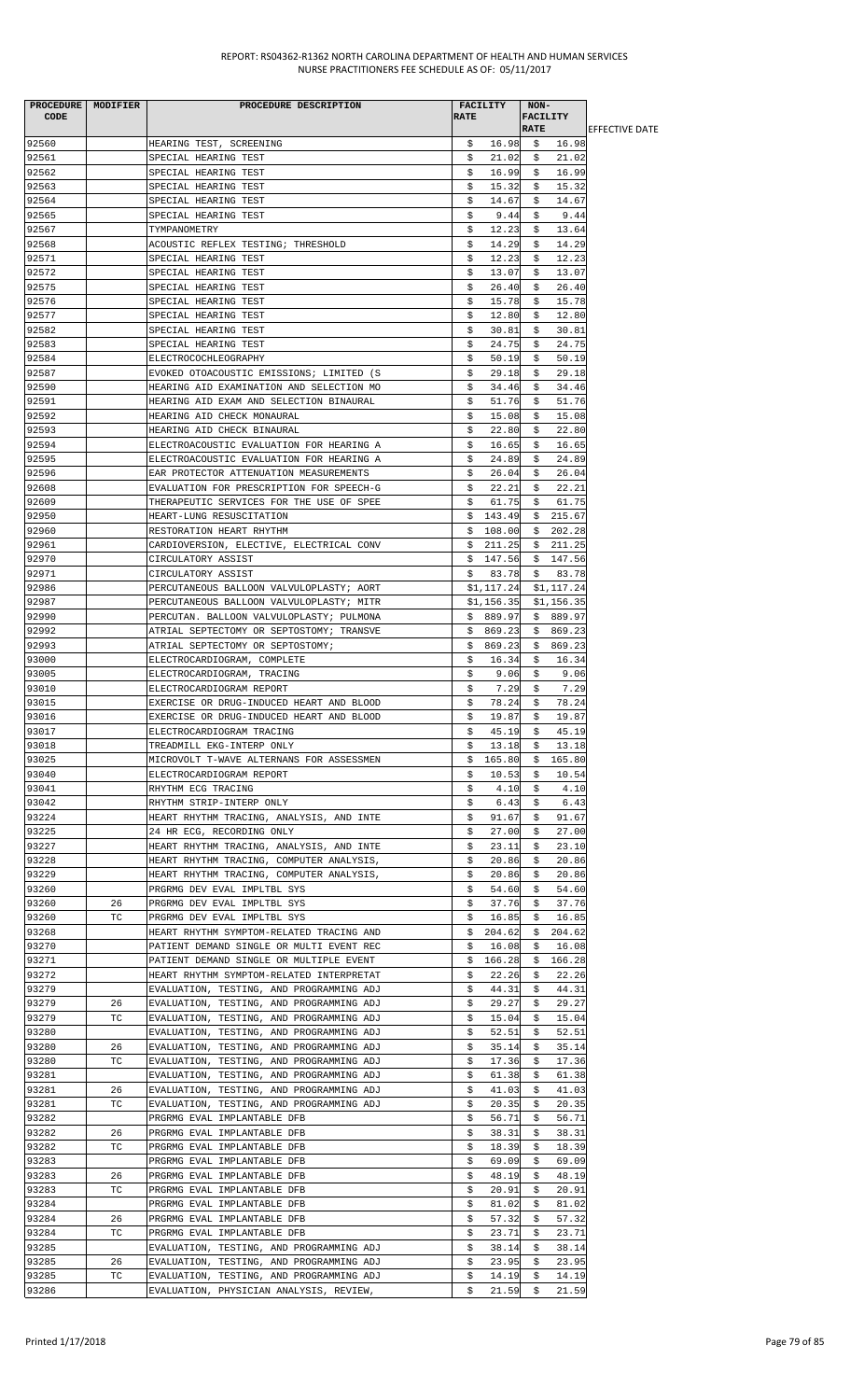| <b>CODE</b>    | PROCEDURE   MODIFIER | PROCEDURE DESCRIPTION                                                                | FACILITY<br><b>RATE</b>    | NON-<br><b>FACILITY</b><br><b>RATE</b> |                        |
|----------------|----------------------|--------------------------------------------------------------------------------------|----------------------------|----------------------------------------|------------------------|
|                |                      |                                                                                      |                            |                                        | <b>IEFFECTIVE DATE</b> |
| 92560          |                      | HEARING TEST, SCREENING                                                              | 16.98<br>\$                | \$16.98                                |                        |
| 92561<br>92562 |                      | SPECIAL HEARING TEST                                                                 | 21.02<br>S.<br>16.99       | 21.02<br>S.<br>16.99                   |                        |
| 92563          |                      | SPECIAL HEARING TEST<br>SPECIAL HEARING TEST                                         | \$<br>\$<br>15.32          | \$<br>15.32<br>\$                      |                        |
| 92564          |                      | SPECIAL HEARING TEST                                                                 | \$<br>14.67                | \$<br>14.67                            |                        |
| 92565          |                      | SPECIAL HEARING TEST                                                                 | \$<br>9.44                 | 9.44<br>\$                             |                        |
| 92567          |                      | TYMPANOMETRY                                                                         | \$<br>12.23                | \$<br>13.64                            |                        |
| 92568          |                      | ACOUSTIC REFLEX TESTING; THRESHOLD                                                   | \$<br>14.29                | \$<br>14.29                            |                        |
| 92571          |                      | SPECIAL HEARING TEST                                                                 | 12.23<br>S.                | 12.23<br>\$                            |                        |
| 92572          |                      | SPECIAL HEARING TEST                                                                 | \$<br>13.07                | \$<br>13.07                            |                        |
| 92575          |                      | SPECIAL HEARING TEST                                                                 | \$<br>26.40                | \$<br>26.40                            |                        |
| 92576          |                      | SPECIAL HEARING TEST                                                                 | \$<br>15.78                | \$<br>15.78                            |                        |
| 92577          |                      | SPECIAL HEARING TEST                                                                 | 12.80<br>\$                | 12.80<br>\$                            |                        |
| 92582          |                      | SPECIAL HEARING TEST                                                                 | \$<br>30.81                | \$<br>30.81                            |                        |
| 92583          |                      | SPECIAL HEARING TEST                                                                 | \$<br>24.75                | \$<br>24.75                            |                        |
| 92584          |                      | ELECTROCOCHLEOGRAPHY                                                                 | 50.19<br>s                 | 50.19<br>S.                            |                        |
| 92587          |                      | EVOKED OTOACOUSTIC EMISSIONS; LIMITED (S                                             | \$<br>29.18                | \$<br>29.18                            |                        |
| 92590          |                      | HEARING AID EXAMINATION AND SELECTION MO                                             | \$<br>34.46                | 34.46<br>\$                            |                        |
| 92591          |                      | HEARING AID EXAM AND SELECTION BINAURAL                                              | 51.76<br>\$                | 51.76<br>\$                            |                        |
| 92592<br>92593 |                      | HEARING AID CHECK MONAURAL<br>HEARING AID CHECK BINAURAL                             | 15.08<br>\$<br>\$<br>22.80 | 15.08<br>\$<br>22.80<br>\$             |                        |
| 92594          |                      | ELECTROACOUSTIC EVALUATION FOR HEARING A                                             | \$<br>16.65                | \$<br>16.65                            |                        |
| 92595          |                      | ELECTROACOUSTIC EVALUATION FOR HEARING A                                             | \$<br>24.89                | \$<br>24.89                            |                        |
| 92596          |                      | EAR PROTECTOR ATTENUATION MEASUREMENTS                                               | \$<br>26.04                | \$<br>26.04                            |                        |
| 92608          |                      | EVALUATION FOR PRESCRIPTION FOR SPEECH-G                                             | \$<br>22.21                | \$<br>22.21                            |                        |
| 92609          |                      | THERAPEUTIC SERVICES FOR THE USE OF SPEE                                             | \$<br>61.75                | \$<br>61.75                            |                        |
| 92950          |                      | HEART-LUNG RESUSCITATION                                                             | 143.49<br>S.               | \$215.67                               |                        |
| 92960          |                      | RESTORATION HEART RHYTHM                                                             | \$<br>108.00               | \$<br>202.28                           |                        |
| 92961          |                      | CARDIOVERSION, ELECTIVE, ELECTRICAL CONV                                             | \$<br>211.25               | \$<br>211.25                           |                        |
| 92970          |                      | CIRCULATORY ASSIST                                                                   | \$<br>147.56               | \$147.56                               |                        |
| 92971          |                      | CIRCULATORY ASSIST                                                                   | 83.78<br>S.                | \$<br>83.78                            |                        |
| 92986          |                      | PERCUTANEOUS BALLOON VALVULOPLASTY; AORT                                             | \$1,117.24                 | \$1,117.24                             |                        |
| 92987          |                      | PERCUTANEOUS BALLOON VALVULOPLASTY; MITR                                             | \$1,156.35                 | \$1,156.35                             |                        |
| 92990<br>92992 |                      | PERCUTAN. BALLOON VALVULOPLASTY; PULMONA<br>ATRIAL SEPTECTOMY OR SEPTOSTOMY; TRANSVE | \$889.97<br>\$.<br>869.23  | \$889.97<br>\$869.23                   |                        |
| 92993          |                      | ATRIAL SEPTECTOMY OR SEPTOSTOMY;                                                     | 869.23<br>\$               | \$<br>869.23                           |                        |
| 93000          |                      | ELECTROCARDIOGRAM, COMPLETE                                                          | \$<br>16.34                | \$<br>16.34                            |                        |
| 93005          |                      | ELECTROCARDIOGRAM, TRACING                                                           | 9.06<br>\$                 | 9.06<br>\$                             |                        |
| 93010          |                      | ELECTROCARDIOGRAM REPORT                                                             | \$<br>7.29                 | \$<br>7.29                             |                        |
| 93015          |                      | EXERCISE OR DRUG-INDUCED HEART AND BLOOD                                             | \$<br>78.24                | \$<br>78.24                            |                        |
| 93016          |                      | EXERCISE OR DRUG-INDUCED HEART AND BLOOD                                             | \$<br>19.87                | 19.87<br>\$                            |                        |
| 93017          |                      | ELECTROCARDIOGRAM TRACING                                                            | 45.19<br>\$                | 45.19<br>Ş.                            |                        |
| 93018          |                      | TREADMILL EKG-INTERP ONLY                                                            | \$.<br>13.18               | 13.18<br>\$                            |                        |
| 93025          |                      | MICROVOLT T-WAVE ALTERNANS FOR ASSESSMEN                                             | \$.<br>165.80              | \$165.80                               |                        |
| 93040          |                      | ELECTROCARDIOGRAM REPORT                                                             | \$<br>10.53                | 10.54<br>\$                            |                        |
| 93041          |                      | RHYTHM ECG TRACING                                                                   | \$<br>4.10                 | \$<br>4.10                             |                        |
| 93042          |                      | RHYTHM STRIP-INTERP ONLY                                                             | \$<br>6.43                 | \$<br>6.43                             |                        |
| 93224<br>93225 |                      | HEART RHYTHM TRACING, ANALYSIS, AND INTE<br>24 HR ECG, RECORDING ONLY                | \$<br>91.67<br>\$<br>27.00 | \$<br>91.67<br>27.00                   |                        |
| 93227          |                      | HEART RHYTHM TRACING, ANALYSIS, AND INTE                                             | \$<br>23.11                | Ş.<br>23.10<br>\$                      |                        |
| 93228          |                      | HEART RHYTHM TRACING, COMPUTER ANALYSIS,                                             | \$<br>20.86                | \$<br>20.86                            |                        |
| 93229          |                      | HEART RHYTHM TRACING, COMPUTER ANALYSIS,                                             | 20.86<br>Ş.                | 20.86<br>S.                            |                        |
| 93260          |                      | PRGRMG DEV EVAL IMPLTBL SYS                                                          | \$<br>54.60                | 54.60<br>\$                            |                        |
| 93260          | 26                   | PRGRMG DEV EVAL IMPLTBL SYS                                                          | \$<br>37.76                | \$<br>37.76                            |                        |
| 93260          | ТC                   | PRGRMG DEV EVAL IMPLTBL SYS                                                          | \$<br>16.85                | \$<br>16.85                            |                        |
| 93268          |                      | HEART RHYTHM SYMPTOM-RELATED TRACING AND                                             | \$<br>204.62               | 204.62<br>Ş.                           |                        |
| 93270          |                      | PATIENT DEMAND SINGLE OR MULTI EVENT REC                                             | \$<br>16.08                | \$<br>16.08                            |                        |
| 93271          |                      | PATIENT DEMAND SINGLE OR MULTIPLE EVENT                                              | 166.28<br>Ş.               | 166.28<br>Ş.                           |                        |
| 93272          |                      | HEART RHYTHM SYMPTOM-RELATED INTERPRETAT                                             | 22.26<br>S.                | 22.26<br>\$                            |                        |
| 93279          |                      | EVALUATION, TESTING, AND PROGRAMMING ADJ                                             | 44.31<br>\$                | 44.31<br>\$                            |                        |
| 93279<br>93279 | 26<br>ТC             | EVALUATION, TESTING, AND PROGRAMMING ADJ<br>EVALUATION, TESTING, AND PROGRAMMING ADJ | \$<br>29.27<br>\$<br>15.04 | 29.27<br>\$<br>\$<br>15.04             |                        |
| 93280          |                      | EVALUATION, TESTING, AND PROGRAMMING ADJ                                             | 52.51<br>\$                | 52.51<br>\$                            |                        |
| 93280          | 26                   | EVALUATION, TESTING, AND PROGRAMMING ADJ                                             | \$<br>35.14                | \$<br>35.14                            |                        |
| 93280          | ТC                   | EVALUATION, TESTING, AND PROGRAMMING ADJ                                             | \$<br>17.36                | 17.36<br>Ş.                            |                        |
| 93281          |                      | EVALUATION, TESTING, AND PROGRAMMING ADJ                                             | Ş.<br>61.38                | 61.38<br>S.                            |                        |
| 93281          | 26                   | EVALUATION, TESTING, AND PROGRAMMING ADJ                                             | \$<br>41.03                | 41.03<br>\$                            |                        |
| 93281          | ТC                   | EVALUATION, TESTING, AND PROGRAMMING ADJ                                             | \$<br>20.35                | \$<br>20.35                            |                        |
| 93282          |                      | PRGRMG EVAL IMPLANTABLE DFB                                                          | \$<br>56.71                | \$<br>56.71                            |                        |
| 93282          | 26                   | PRGRMG EVAL IMPLANTABLE DFB                                                          | 38.31<br>\$                | 38.31<br>S.                            |                        |
| 93282          | TC                   | PRGRMG EVAL IMPLANTABLE DFB                                                          | \$<br>18.39                | \$<br>18.39                            |                        |
| 93283          |                      | PRGRMG EVAL IMPLANTABLE DFB                                                          | \$.<br>69.09               | \$<br>69.09                            |                        |
| 93283<br>93283 | 26<br>ТC             | PRGRMG EVAL IMPLANTABLE DFB<br>PRGRMG EVAL IMPLANTABLE DFB                           | \$<br>48.19<br>\$<br>20.91 | \$<br>48.19<br>20.91<br>Ş.             |                        |
| 93284          |                      | PRGRMG EVAL IMPLANTABLE DFB                                                          | \$<br>81.02                | \$<br>81.02                            |                        |
| 93284          | 26                   | PRGRMG EVAL IMPLANTABLE DFB                                                          | 57.32<br>\$                | \$<br>57.32                            |                        |
| 93284          | ТC                   | PRGRMG EVAL IMPLANTABLE DFB                                                          | 23.71<br>Ş.                | 23.71<br>S.                            |                        |
| 93285          |                      | EVALUATION, TESTING, AND PROGRAMMING ADJ                                             | \$<br>38.14                | \$<br>38.14                            |                        |
| 93285          | 26                   | EVALUATION, TESTING, AND PROGRAMMING ADJ                                             | \$<br>23.95                | \$<br>23.95                            |                        |
| 93285          | ТC                   | EVALUATION, TESTING, AND PROGRAMMING ADJ                                             | \$<br>14.19                | \$<br>14.19                            |                        |
| 93286          |                      | EVALUATION, PHYSICIAN ANALYSIS, REVIEW,                                              | \$<br>21.59                | \$<br>21.59                            |                        |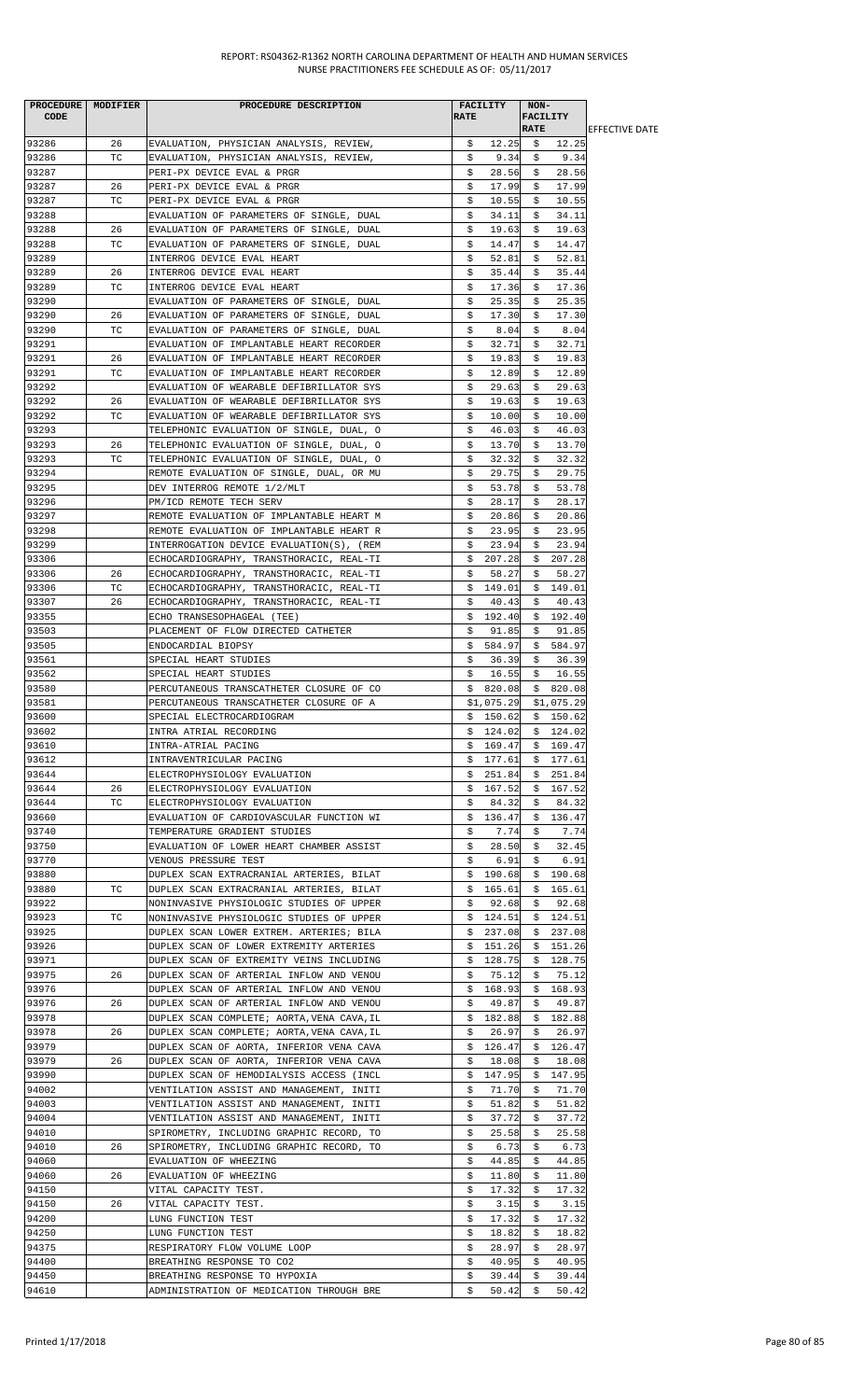| PROCEDURE MODIFIER |     | PROCEDURE DESCRIPTION                      | <b>FACILITY</b> | NON-            |                        |
|--------------------|-----|--------------------------------------------|-----------------|-----------------|------------------------|
| <b>CODE</b>        |     |                                            | <b>RATE</b>     | <b>FACILITY</b> |                        |
|                    |     |                                            |                 | <b>RATE</b>     | <b>LEFFECTIVE DATE</b> |
| 93286              | 26  | EVALUATION, PHYSICIAN ANALYSIS, REVIEW,    | \$<br>12.25     | 12.25<br>- \$   |                        |
| 93286              | TC  | EVALUATION, PHYSICIAN ANALYSIS, REVIEW,    | \$<br>9.34      | 9.34<br>\$      |                        |
| 93287              |     | PERI-PX DEVICE EVAL & PRGR                 | \$<br>28.56     | \$<br>28.56     |                        |
| 93287              | 26  | PERI-PX DEVICE EVAL & PRGR                 | \$<br>17.99     | \$<br>17.99     |                        |
| 93287              | ТC  | PERI-PX DEVICE EVAL & PRGR                 | \$<br>10.55     | 10.55<br>Ş.     |                        |
| 93288              |     |                                            | \$<br>34.11     | 34.11<br>\$     |                        |
|                    |     | EVALUATION OF PARAMETERS OF SINGLE, DUAL   |                 |                 |                        |
| 93288              | 26  | EVALUATION OF PARAMETERS OF SINGLE, DUAL   | \$<br>19.63     | \$<br>19.63     |                        |
| 93288              | ТC  | EVALUATION OF PARAMETERS OF SINGLE, DUAL   | 14.47<br>\$     | \$<br>14.47     |                        |
| 93289              |     | INTERROG DEVICE EVAL HEART                 | \$<br>52.81     | \$<br>52.81     |                        |
| 93289              | 26  | INTERROG DEVICE EVAL HEART                 | 35.44<br>\$     | 35.44<br>\$     |                        |
| 93289              | ТC  | INTERROG DEVICE EVAL HEART                 | \$<br>17.36     | \$<br>17.36     |                        |
| 93290              |     | EVALUATION OF PARAMETERS OF SINGLE, DUAL   | \$<br>25.35     | \$<br>25.35     |                        |
| 93290              | 26  | EVALUATION OF PARAMETERS OF SINGLE, DUAL   | \$<br>17.30     | 17.30<br>S.     |                        |
| 93290              | ТC  | EVALUATION OF PARAMETERS OF SINGLE, DUAL   | \$<br>8.04      | 8.04<br>\$      |                        |
| 93291              |     |                                            |                 | 32.71           |                        |
|                    |     | EVALUATION OF IMPLANTABLE HEART RECORDER   | \$<br>32.71     | \$              |                        |
| 93291              | 26  | EVALUATION OF IMPLANTABLE HEART RECORDER   | 19.83<br>\$     | 19.83<br>\$     |                        |
| 93291              | TC  | EVALUATION OF IMPLANTABLE HEART RECORDER   | 12.89<br>\$     | 12.89<br>\$     |                        |
| 93292              |     | EVALUATION OF WEARABLE DEFIBRILLATOR SYS   | \$<br>29.63     | \$<br>29.63     |                        |
| 93292              | 26  | EVALUATION OF WEARABLE DEFIBRILLATOR SYS   | \$<br>19.63     | \$<br>19.63     |                        |
| 93292              | ТC  | EVALUATION OF WEARABLE DEFIBRILLATOR SYS   | \$<br>10.00     | \$<br>10.00     |                        |
| 93293              |     | TELEPHONIC EVALUATION OF SINGLE, DUAL, O   | \$<br>46.03     | \$<br>46.03     |                        |
| 93293              | 26  | TELEPHONIC EVALUATION OF SINGLE, DUAL, O   | \$<br>13.70     | \$<br>13.70     |                        |
| 93293              | ТC  | TELEPHONIC EVALUATION OF SINGLE, DUAL, O   | \$<br>32.32     | \$<br>32.32     |                        |
|                    |     |                                            |                 |                 |                        |
| 93294              |     | REMOTE EVALUATION OF SINGLE, DUAL, OR MU   | 29.75<br>\$     | 29.75<br>S.     |                        |
| 93295              |     | DEV INTERROG REMOTE 1/2/MLT                | \$<br>53.78     | \$<br>53.78     |                        |
| 93296              |     | PM/ICD REMOTE TECH SERV                    | \$<br>28.17     | 28.17<br>\$     |                        |
| 93297              |     | REMOTE EVALUATION OF IMPLANTABLE HEART M   | \$<br>20.86     | \$<br>20.86     |                        |
| 93298              |     | REMOTE EVALUATION OF IMPLANTABLE HEART R   | 23.95<br>\$     | 23.95<br>\$     |                        |
| 93299              |     | INTERROGATION DEVICE EVALUATION(S), (REM   | \$<br>23.94     | \$<br>23.94     |                        |
| 93306              |     | ECHOCARDIOGRAPHY, TRANSTHORACIC, REAL-TI   | 207.28<br>Ş.    | 207.28<br>Ş.    |                        |
| 93306              | 26  | ECHOCARDIOGRAPHY, TRANSTHORACIC, REAL-TI   | 58.27<br>s      | 58.27<br>S.     |                        |
| 93306              | ТC  | ECHOCARDIOGRAPHY, TRANSTHORACIC, REAL-TI   | \$<br>149.01    | \$149.01        |                        |
|                    |     |                                            |                 |                 |                        |
| 93307              | 26  | ECHOCARDIOGRAPHY, TRANSTHORACIC, REAL-TI   | \$<br>40.43     | \$<br>40.43     |                        |
| 93355              |     | ECHO TRANSESOPHAGEAL (TEE)                 | 192.40<br>\$    | 192.40<br>\$    |                        |
| 93503              |     | PLACEMENT OF FLOW DIRECTED CATHETER        | 91.85<br>\$     | 91.85<br>\$     |                        |
| 93505              |     | ENDOCARDIAL BIOPSY                         | \$<br>584.97    | 584.97<br>\$    |                        |
| 93561              |     | SPECIAL HEART STUDIES                      | \$<br>36.39     | 36.39<br>Ş.     |                        |
| 93562              |     | SPECIAL HEART STUDIES                      | \$<br>16.55     | \$<br>16.55     |                        |
| 93580              |     | PERCUTANEOUS TRANSCATHETER CLOSURE OF CO   | \$820.08        | \$820.08        |                        |
| 93581              |     | PERCUTANEOUS TRANSCATHETER CLOSURE OF A    | \$1,075.29      | \$1,075.29      |                        |
| 93600              |     | SPECIAL ELECTROCARDIOGRAM                  | \$150.62        | \$150.62        |                        |
|                    |     |                                            |                 |                 |                        |
| 93602              |     | INTRA ATRIAL RECORDING                     | \$124.02        | \$124.02        |                        |
| 93610              |     | INTRA-ATRIAL PACING                        | \$169.47        | \$169.47        |                        |
| 93612              |     | INTRAVENTRICULAR PACING                    | 177.61<br>\$.   | 177.61<br>\$    |                        |
| 93644              |     | ELECTROPHYSIOLOGY EVALUATION               | 251.84<br>Ş.    | 251.84<br>Ş.    |                        |
| 93644              | 26  | ELECTROPHYSIOLOGY EVALUATION               | 167.52<br>Ş.    | \$167.52        |                        |
| 93644              | TC  | ELECTROPHYSIOLOGY EVALUATION               | Ş.<br>84.32     | \$<br>84.32     |                        |
| 93660              |     | EVALUATION OF CARDIOVASCULAR FUNCTION WI   | \$<br>136.47    | 136.47<br>Ş.    |                        |
| 93740              |     | TEMPERATURE GRADIENT STUDIES               | 7.74<br>s       | 7.74<br>S.      |                        |
| 93750              |     | EVALUATION OF LOWER HEART CHAMBER ASSIST   | \$<br>28.50     | 32.45<br>\$     |                        |
|                    |     |                                            |                 |                 |                        |
| 93770              |     | VENOUS PRESSURE TEST                       | \$<br>6.91      | \$.<br>6.91     |                        |
| 93880              |     | DUPLEX SCAN EXTRACRANIAL ARTERIES, BILAT   | \$<br>190.68    | \$<br>190.68    |                        |
| 93880              | ТC  | DUPLEX SCAN EXTRACRANIAL ARTERIES, BILAT   | 165.61<br>Ş.    | \$165.61        |                        |
| 93922              |     | NONINVASIVE PHYSIOLOGIC STUDIES OF UPPER   | \$<br>92.68     | \$<br>92.68     |                        |
| 93923              | TC. | NONINVASIVE PHYSIOLOGIC STUDIES OF UPPER   | \$124.51        | \$124.51        |                        |
| 93925              |     | DUPLEX SCAN LOWER EXTREM. ARTERIES; BILA   | 237.08<br>S.    | \$237.08        |                        |
| 93926              |     | DUPLEX SCAN OF LOWER EXTREMITY ARTERIES    | \$151.26        | \$151.26        |                        |
| 93971              |     | DUPLEX SCAN OF EXTREMITY VEINS INCLUDING   | \$<br>128.75    | \$128.75        |                        |
| 93975              | 26  | DUPLEX SCAN OF ARTERIAL INFLOW AND VENOU   | \$<br>75.12     | \$<br>75.12     |                        |
|                    |     |                                            |                 |                 |                        |
| 93976              |     | DUPLEX SCAN OF ARTERIAL INFLOW AND VENOU   | 168.93<br>Ş.    | \$168.93        |                        |
| 93976              | 26  | DUPLEX SCAN OF ARTERIAL INFLOW AND VENOU   | \$<br>49.87     | \$<br>49.87     |                        |
| 93978              |     | DUPLEX SCAN COMPLETE; AORTA, VENA CAVA, IL | \$182.88        | \$182.88        |                        |
| 93978              | 26  | DUPLEX SCAN COMPLETE; AORTA, VENA CAVA, IL | 26.97<br>s      | \$<br>26.97     |                        |
| 93979              |     | DUPLEX SCAN OF AORTA, INFERIOR VENA CAVA   | 126.47<br>Ş.    | 126.47<br>Ş.    |                        |
| 93979              | 26  | DUPLEX SCAN OF AORTA, INFERIOR VENA CAVA   | \$<br>18.08     | \$<br>18.08     |                        |
| 93990              |     | DUPLEX SCAN OF HEMODIALYSIS ACCESS (INCL   | \$<br>147.95    | 147.95<br>Ş.    |                        |
| 94002              |     | VENTILATION ASSIST AND MANAGEMENT, INITI   | 71.70<br>s      | 71.70<br>S.     |                        |
| 94003              |     | VENTILATION ASSIST AND MANAGEMENT, INITI   | \$<br>51.82     | \$<br>51.82     |                        |
|                    |     |                                            |                 |                 |                        |
| 94004              |     | VENTILATION ASSIST AND MANAGEMENT, INITI   | \$<br>37.72     | 37.72<br>\$     |                        |
| 94010              |     | SPIROMETRY, INCLUDING GRAPHIC RECORD, TO   | \$<br>25.58     | 25.58<br>S.     |                        |
| 94010              | 26  | SPIROMETRY, INCLUDING GRAPHIC RECORD, TO   | \$<br>6.73      | 6.73<br>\$      |                        |
| 94060              |     | EVALUATION OF WHEEZING                     | \$<br>44.85     | \$<br>44.85     |                        |
| 94060              | 26  | EVALUATION OF WHEEZING                     | \$<br>11.80     | \$<br>11.80     |                        |
| 94150              |     | VITAL CAPACITY TEST.                       | 17.32<br>Ş.     | 17.32<br>S.     |                        |
| 94150              | 26  | VITAL CAPACITY TEST.                       | \$<br>3.15      | \$<br>3.15      |                        |
| 94200              |     | LUNG FUNCTION TEST                         | \$<br>17.32     | \$<br>17.32     |                        |
| 94250              |     | LUNG FUNCTION TEST                         | \$<br>18.82     | 18.82           |                        |
|                    |     |                                            |                 | Ş.              |                        |
| 94375              |     | RESPIRATORY FLOW VOLUME LOOP               | 28.97<br>\$     | 28.97<br>\$     |                        |
| 94400              |     | BREATHING RESPONSE TO CO2                  | \$<br>40.95     | \$<br>40.95     |                        |
| 94450              |     | BREATHING RESPONSE TO HYPOXIA              | \$<br>39.44     | 39.44<br>Ş.     |                        |
| 94610              |     | ADMINISTRATION OF MEDICATION THROUGH BRE   | 50.42<br>\$     | 50.42<br>\$     |                        |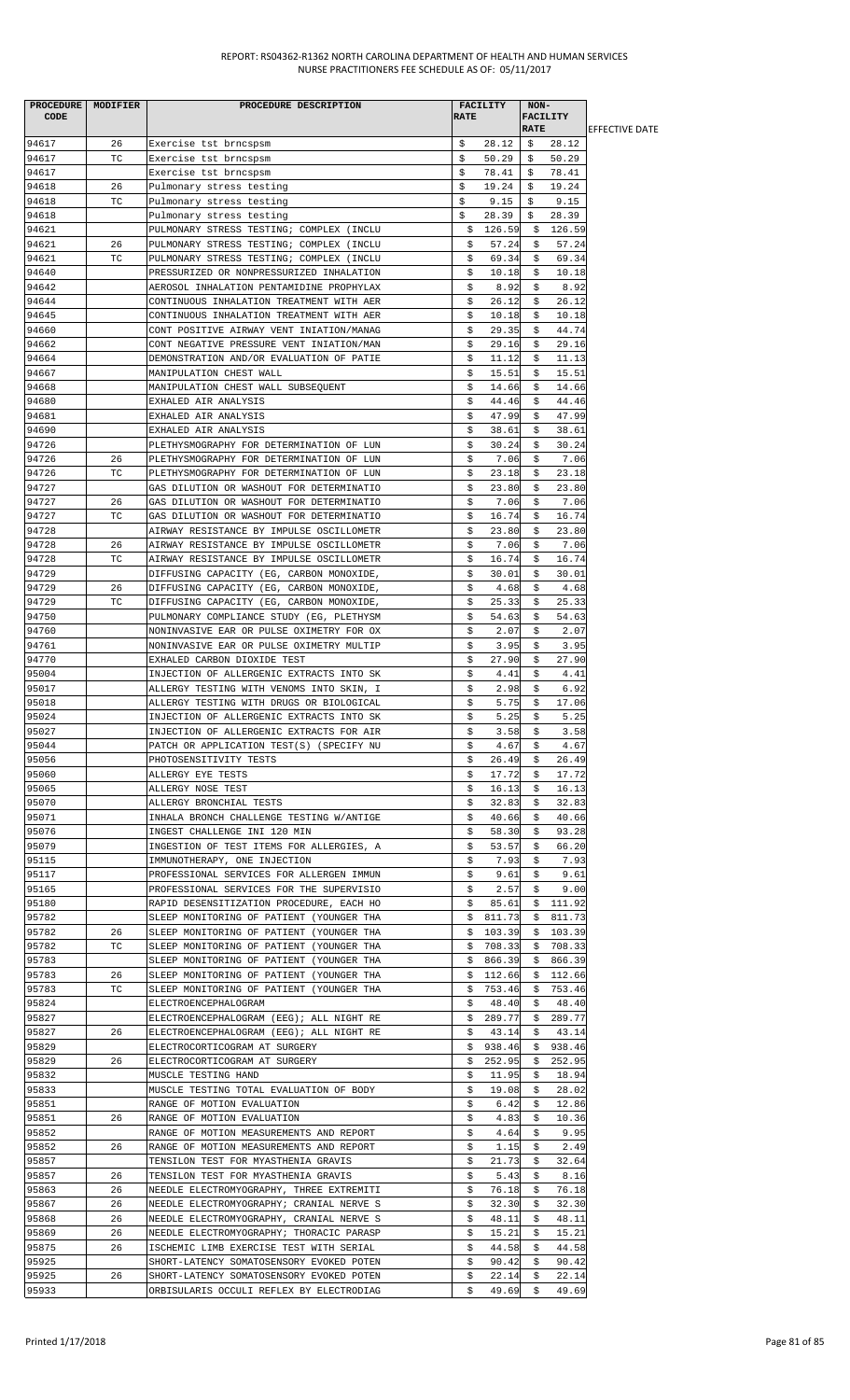| CODE           | PROCEDURE MODIFIER | PROCEDURE DESCRIPTION                                                                | <b>RATE</b> | FACILITY        | NON-        | <b>FACILITY</b> |                       |
|----------------|--------------------|--------------------------------------------------------------------------------------|-------------|-----------------|-------------|-----------------|-----------------------|
|                |                    |                                                                                      |             |                 | <b>RATE</b> |                 | <b>EFFECTIVE DATE</b> |
| 94617          | 26                 | Exercise tst brncspsm                                                                | \$          | 28.12           | \$.         | 28.12           |                       |
| 94617          | ТC                 | Exercise tst brncspsm                                                                | Ŝ.          | 50.29           | Ŝ.          | 50.29           |                       |
| 94617          |                    | Exercise tst brncspsm                                                                | \$          | 78.41           | S           | 78.41           |                       |
| 94618<br>94618 | 26<br>ТC           | Pulmonary stress testing                                                             | \$<br>\$    | 19.24<br>9.15   | Ŝ.<br>\$    | 19.24<br>9.15   |                       |
| 94618          |                    | Pulmonary stress testing<br>Pulmonary stress testing                                 | \$          | 28.39           | \$          | 28.39           |                       |
| 94621          |                    | PULMONARY STRESS TESTING; COMPLEX (INCLU                                             | \$          | 126.59          |             | \$126.59        |                       |
| 94621          | 26                 | PULMONARY STRESS TESTING; COMPLEX (INCLU                                             | \$          | 57.24           | \$          | 57.24           |                       |
| 94621          | ТC                 | PULMONARY STRESS TESTING; COMPLEX (INCLU                                             | \$          | 69.34           | \$          | 69.34           |                       |
| 94640          |                    | PRESSURIZED OR NONPRESSURIZED INHALATION                                             | \$          | 10.18           | \$          | 10.18           |                       |
| 94642          |                    | AEROSOL INHALATION PENTAMIDINE PROPHYLAX                                             | \$          | 8.92            | \$          | 8.92            |                       |
| 94644          |                    | CONTINUOUS INHALATION TREATMENT WITH AER                                             | \$          | 26.12           | \$          | 26.12           |                       |
| 94645          |                    | CONTINUOUS INHALATION TREATMENT WITH AER                                             | \$          | 10.18           | Ş.          | 10.18           |                       |
| 94660          |                    | CONT POSITIVE AIRWAY VENT INIATION/MANAG                                             | \$          | 29.35           | \$          | 44.74           |                       |
| 94662          |                    | CONT NEGATIVE PRESSURE VENT INIATION/MAN                                             | \$          | 29.16           | \$          | 29.16           |                       |
| 94664          |                    | DEMONSTRATION AND/OR EVALUATION OF PATIE                                             | \$          | 11.12           | \$          | 11.13           |                       |
| 94667<br>94668 |                    | MANIPULATION CHEST WALL<br>MANIPULATION CHEST WALL SUBSEQUENT                        | \$<br>\$    | 15.51<br>14.66  | Ş.<br>\$    | 15.51<br>14.66  |                       |
| 94680          |                    | EXHALED AIR ANALYSIS                                                                 | \$          | 44.46           | \$          | 44.46           |                       |
| 94681          |                    | EXHALED AIR ANALYSIS                                                                 | \$          | 47.99           | \$          | 47.99           |                       |
| 94690          |                    | EXHALED AIR ANALYSIS                                                                 | \$          | 38.61           | \$          | 38.61           |                       |
| 94726          |                    | PLETHYSMOGRAPHY FOR DETERMINATION OF LUN                                             | \$          | 30.24           | \$          | 30.24           |                       |
| 94726          | 26                 | PLETHYSMOGRAPHY FOR DETERMINATION OF LUN                                             | \$          | 7.06            | \$          | 7.06            |                       |
| 94726          | ТC                 | PLETHYSMOGRAPHY FOR DETERMINATION OF LUN                                             | \$          | 23.18           | \$          | 23.18           |                       |
| 94727          |                    | GAS DILUTION OR WASHOUT FOR DETERMINATIO                                             | \$          | 23.80           | \$          | 23.80           |                       |
| 94727          | 26                 | GAS DILUTION OR WASHOUT FOR DETERMINATIO                                             | \$          | 7.06            | \$          | 7.06            |                       |
| 94727          | ТC                 | GAS DILUTION OR WASHOUT FOR DETERMINATIO                                             | \$          | 16.74           | \$          | 16.74           |                       |
| 94728          |                    | AIRWAY RESISTANCE BY IMPULSE OSCILLOMETR                                             | \$          | 23.80           | \$          | 23.80           |                       |
| 94728          | 26                 | AIRWAY RESISTANCE BY IMPULSE OSCILLOMETR                                             | \$          | 7.06            | \$          | 7.06            |                       |
| 94728          | ТC                 | AIRWAY RESISTANCE BY IMPULSE OSCILLOMETR                                             | \$          | 16.74           | Ş.          | 16.74           |                       |
| 94729          |                    | DIFFUSING CAPACITY (EG, CARBON MONOXIDE,                                             | \$          | 30.01           | \$          | 30.01           |                       |
| 94729          | 26<br>ТC           | DIFFUSING CAPACITY (EG, CARBON MONOXIDE,                                             | \$          | 4.68            | \$          | 4.68            |                       |
| 94729<br>94750 |                    | DIFFUSING CAPACITY (EG, CARBON MONOXIDE,<br>PULMONARY COMPLIANCE STUDY (EG, PLETHYSM | \$<br>\$    | 25.33<br>54.63  | \$<br>\$    | 25.33<br>54.63  |                       |
| 94760          |                    | NONINVASIVE EAR OR PULSE OXIMETRY FOR OX                                             | \$          | 2.07            | \$          | 2.07            |                       |
| 94761          |                    | NONINVASIVE EAR OR PULSE OXIMETRY MULTIP                                             | \$          | 3.95            | \$          | 3.95            |                       |
| 94770          |                    | EXHALED CARBON DIOXIDE TEST                                                          | \$          | 27.90           | \$          | 27.90           |                       |
| 95004          |                    | INJECTION OF ALLERGENIC EXTRACTS INTO SK                                             | \$          | 4.41            | \$          | 4.41            |                       |
| 95017          |                    | ALLERGY TESTING WITH VENOMS INTO SKIN, I                                             | \$          | 2.98            | \$          | 6.92            |                       |
| 95018          |                    | ALLERGY TESTING WITH DRUGS OR BIOLOGICAL                                             | \$          | 5.75            | \$          | 17.06           |                       |
| 95024          |                    | INJECTION OF ALLERGENIC EXTRACTS INTO SK                                             | \$          | 5.25            | \$          | 5.25            |                       |
| 95027          |                    | INJECTION OF ALLERGENIC EXTRACTS FOR AIR                                             | \$.         | 3.58            | S.          | 3.58            |                       |
| 95044          |                    | PATCH OR APPLICATION TEST(S) (SPECIFY NU                                             | \$          | 4.67            | \$          | 4.67            |                       |
| 95056          |                    | PHOTOSENSITIVITY TESTS                                                               | \$          | 26.49           | \$          | 26.49           |                       |
| 95060          |                    | ALLERGY EYE TESTS                                                                    | \$          | 17.72           | S.          | 17.72           |                       |
| 95065          |                    | ALLERGY NOSE TEST                                                                    | \$          | 16.13           | Ş.          | 16.13           |                       |
| 95070          |                    | ALLERGY BRONCHIAL TESTS                                                              | \$          | 32.83           | \$          | 32.83           |                       |
| 95071<br>95076 |                    | INHALA BRONCH CHALLENGE TESTING W/ANTIGE<br>INGEST CHALLENGE INI 120 MIN             | \$<br>\$    | 40.66<br>58.30  | Ş.<br>S.    | 40.66<br>93.28  |                       |
| 95079          |                    | INGESTION OF TEST ITEMS FOR ALLERGIES, A                                             | \$          | 53.57           | \$          | 66.20           |                       |
| 95115          |                    | IMMUNOTHERAPY, ONE INJECTION                                                         | \$          | 7.93            | \$          | 7.93            |                       |
| 95117          |                    | PROFESSIONAL SERVICES FOR ALLERGEN IMMUN                                             | \$          | 9.61            | \$          | 9.61            |                       |
| 95165          |                    | PROFESSIONAL SERVICES FOR THE SUPERVISIO                                             | \$          | 2.57            | \$          | 9.00            |                       |
| 95180          |                    | RAPID DESENSITIZATION PROCEDURE, EACH HO                                             | \$          | 85.61           | \$          | 111.92          |                       |
| 95782          |                    | SLEEP MONITORING OF PATIENT (YOUNGER THA                                             |             | \$811.73        | Ş.          | 811.73          |                       |
| 95782          | 26                 | SLEEP MONITORING OF PATIENT (YOUNGER THA                                             | S.          | 103.39          | S.          | 103.39          |                       |
| 95782          | ТC                 | SLEEP MONITORING OF PATIENT (YOUNGER THA                                             | \$          | 708.33          | \$          | 708.33          |                       |
| 95783          |                    | SLEEP MONITORING OF PATIENT (YOUNGER THA                                             | \$          | 866.39          | \$          | 866.39          |                       |
| 95783          | 26                 | SLEEP MONITORING OF PATIENT (YOUNGER THA                                             | \$          | 112.66          | Ş.          | 112.66          |                       |
| 95783          | ТC                 | SLEEP MONITORING OF PATIENT (YOUNGER THA                                             | Ş.          | 753.46          | S.          | 753.46          |                       |
| 95824          |                    | ELECTROENCEPHALOGRAM                                                                 | \$          | 48.40           | \$          | 48.40           |                       |
| 95827          |                    | ELECTROENCEPHALOGRAM (EEG); ALL NIGHT RE                                             | \$          | 289.77          | \$          | 289.77          |                       |
| 95827          | 26                 | ELECTROENCEPHALOGRAM (EEG); ALL NIGHT RE                                             | \$          | 43.14           | \$          | 43.14           |                       |
| 95829          |                    | ELECTROCORTICOGRAM AT SURGERY                                                        | Ş.          | 938.46          | Ş.          | 938.46          |                       |
| 95829<br>95832 | 26                 | ELECTROCORTICOGRAM AT SURGERY<br>MUSCLE TESTING HAND                                 | \$<br>\$    | 252.95<br>11.95 | \$<br>\$    | 252.95<br>18.94 |                       |
| 95833          |                    | MUSCLE TESTING TOTAL EVALUATION OF BODY                                              | \$          | 19.08           | S.          | 28.02           |                       |
| 95851          |                    | RANGE OF MOTION EVALUATION                                                           | \$          | 6.42            | \$          | 12.86           |                       |
| 95851          | 26                 | RANGE OF MOTION EVALUATION                                                           | \$          | 4.83            | \$          | 10.36           |                       |
| 95852          |                    | RANGE OF MOTION MEASUREMENTS AND REPORT                                              | \$          | 4.64            | \$          | 9.95            |                       |
| 95852          | 26                 | RANGE OF MOTION MEASUREMENTS AND REPORT                                              | \$          | 1.15            | \$          | 2.49            |                       |
| 95857          |                    | TENSILON TEST FOR MYASTHENIA GRAVIS                                                  | \$          | 21.73           | \$          | 32.64           |                       |
| 95857          | 26                 | TENSILON TEST FOR MYASTHENIA GRAVIS                                                  | \$          | 5.43            | Ş.          | 8.16            |                       |
| 95863          | 26                 | NEEDLE ELECTROMYOGRAPHY, THREE EXTREMITI                                             | \$          | 76.18           | \$          | 76.18           |                       |
| 95867          | 26                 | NEEDLE ELECTROMYOGRAPHY; CRANIAL NERVE S                                             | \$          | 32.30           | \$          | 32.30           |                       |
| 95868          | 26                 | NEEDLE ELECTROMYOGRAPHY, CRANIAL NERVE S                                             | \$          | 48.11           | \$          | 48.11           |                       |
| 95869          | 26                 | NEEDLE ELECTROMYOGRAPHY; THORACIC PARASP                                             | \$          | 15.21           | \$          | 15.21           |                       |
| 95875          | 26                 | ISCHEMIC LIMB EXERCISE TEST WITH SERIAL                                              | \$          | 44.58           | \$          | 44.58           |                       |
| 95925          |                    | SHORT-LATENCY SOMATOSENSORY EVOKED POTEN                                             | \$          | 90.42           | \$          | 90.42           |                       |
| 95925          | 26                 | SHORT-LATENCY SOMATOSENSORY EVOKED POTEN                                             | \$          | 22.14           | Ş.          | 22.14           |                       |
| 95933          |                    | ORBISULARIS OCCULI REFLEX BY ELECTRODIAG                                             | \$.         | 49.69           | - \$        | 49.69           |                       |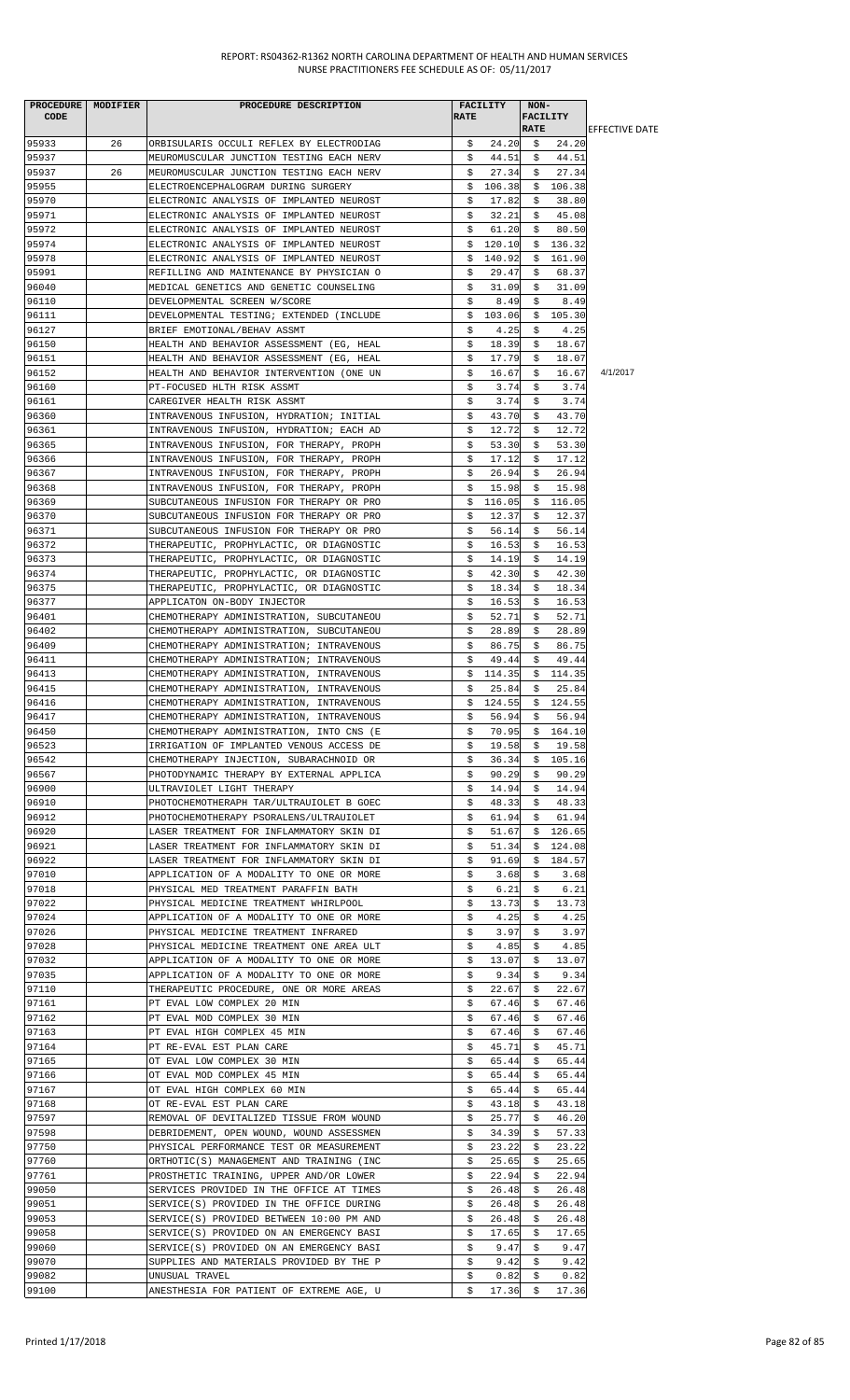| <b>CODE</b>    | PROCEDURE   MODIFIER | PROCEDURE DESCRIPTION                                                                | <b>RATE</b> | <b>FACILITY</b> | NON-        | <b>FACILITY</b>  |                       |
|----------------|----------------------|--------------------------------------------------------------------------------------|-------------|-----------------|-------------|------------------|-----------------------|
|                |                      |                                                                                      |             |                 | <b>RATE</b> |                  | <b>EFFECTIVE DATE</b> |
| 95933          | 26                   | ORBISULARIS OCCULI REFLEX BY ELECTRODIAG                                             | \$          | 24.20           | - \$        | 24.20            |                       |
| 95937<br>95937 | 26                   | MEUROMUSCULAR JUNCTION TESTING EACH NERV<br>MEUROMUSCULAR JUNCTION TESTING EACH NERV | \$<br>\$    | 44.51<br>27.34  | \$<br>\$    | 44.51<br>27.34   |                       |
| 95955          |                      | ELECTROENCEPHALOGRAM DURING SURGERY                                                  | \$          | 106.38          | \$          | 106.38           |                       |
| 95970          |                      | ELECTRONIC ANALYSIS OF IMPLANTED NEUROST                                             | Ş           | 17.82           | \$          | 38.80            |                       |
| 95971          |                      | ELECTRONIC ANALYSIS OF IMPLANTED NEUROST                                             | \$          | 32.21           | \$          | 45.08            |                       |
| 95972          |                      | ELECTRONIC ANALYSIS OF IMPLANTED NEUROST                                             | \$          | 61.20           | \$          | 80.50            |                       |
| 95974          |                      | ELECTRONIC ANALYSIS OF IMPLANTED NEUROST                                             | \$          | 120.10          | \$          | 136.32           |                       |
| 95978          |                      | ELECTRONIC ANALYSIS OF IMPLANTED NEUROST                                             | \$          | 140.92          | \$          | 161.90           |                       |
| 95991          |                      | REFILLING AND MAINTENANCE BY PHYSICIAN O                                             | \$          | 29.47           | \$          | 68.37            |                       |
| 96040          |                      | MEDICAL GENETICS AND GENETIC COUNSELING                                              | \$          | 31.09           | \$          | 31.09            |                       |
| 96110<br>96111 |                      | DEVELOPMENTAL SCREEN W/SCORE<br>DEVELOPMENTAL TESTING; EXTENDED (INCLUDE             | \$<br>\$    | 8.49<br>103.06  | \$          | 8.49<br>\$105.30 |                       |
| 96127          |                      | BRIEF EMOTIONAL/BEHAV ASSMT                                                          | Ş           | 4.25            | \$          | 4.25             |                       |
| 96150          |                      | HEALTH AND BEHAVIOR ASSESSMENT (EG, HEAL                                             | \$          | 18.39           | \$          | 18.67            |                       |
| 96151          |                      | HEALTH AND BEHAVIOR ASSESSMENT (EG, HEAL                                             | \$          | 17.79           | \$          | 18.07            |                       |
| 96152          |                      | HEALTH AND BEHAVIOR INTERVENTION (ONE UN                                             | \$          | 16.67           | \$          | 16.67            | 4/1/2017              |
| 96160          |                      | PT-FOCUSED HLTH RISK ASSMT                                                           | \$          | 3.74            | \$          | 3.74             |                       |
| 96161          |                      | CAREGIVER HEALTH RISK ASSMT                                                          | \$          | 3.74            | \$          | 3.74             |                       |
| 96360          |                      | INTRAVENOUS INFUSION, HYDRATION; INITIAL                                             | \$          | 43.70           | \$          | 43.70            |                       |
| 96361          |                      | INTRAVENOUS INFUSION, HYDRATION; EACH AD                                             | \$          | 12.72           | \$          | 12.72            |                       |
| 96365          |                      | INTRAVENOUS INFUSION, FOR THERAPY, PROPH                                             | \$          | 53.30           | \$          | 53.30            |                       |
| 96366<br>96367 |                      | INTRAVENOUS INFUSION, FOR THERAPY, PROPH                                             | \$          | 17.12<br>26.94  | \$<br>\$    | 17.12<br>26.94   |                       |
| 96368          |                      | INTRAVENOUS INFUSION, FOR THERAPY, PROPH<br>INTRAVENOUS INFUSION, FOR THERAPY, PROPH | \$<br>\$    | 15.98           | \$          | 15.98            |                       |
| 96369          |                      | SUBCUTANEOUS INFUSION FOR THERAPY OR PRO                                             | \$          | 116.05          | \$          | 116.05           |                       |
| 96370          |                      | SUBCUTANEOUS INFUSION FOR THERAPY OR PRO                                             | \$          | 12.37           | \$          | 12.37            |                       |
| 96371          |                      | SUBCUTANEOUS INFUSION FOR THERAPY OR PRO                                             | \$          | 56.14           | \$          | 56.14            |                       |
| 96372          |                      | THERAPEUTIC, PROPHYLACTIC, OR DIAGNOSTIC                                             | \$          | 16.53           | \$          | 16.53            |                       |
| 96373          |                      | THERAPEUTIC, PROPHYLACTIC, OR DIAGNOSTIC                                             | Ş           | 14.19           | Ş.          | 14.19            |                       |
| 96374          |                      | THERAPEUTIC, PROPHYLACTIC, OR DIAGNOSTIC                                             | \$          | 42.30           | \$          | 42.30            |                       |
| 96375          |                      | THERAPEUTIC, PROPHYLACTIC, OR DIAGNOSTIC                                             | \$          | 18.34           | \$          | 18.34            |                       |
| 96377          |                      | APPLICATON ON-BODY INJECTOR                                                          | \$          | 16.53           | \$          | 16.53            |                       |
| 96401<br>96402 |                      | CHEMOTHERAPY ADMINISTRATION, SUBCUTANEOU<br>CHEMOTHERAPY ADMINISTRATION, SUBCUTANEOU | \$<br>\$    | 52.71<br>28.89  | \$<br>\$    | 52.71<br>28.89   |                       |
| 96409          |                      | CHEMOTHERAPY ADMINISTRATION; INTRAVENOUS                                             | \$          | 86.75           | \$          | 86.75            |                       |
| 96411          |                      | CHEMOTHERAPY ADMINISTRATION; INTRAVENOUS                                             | \$          | 49.44           | \$          | 49.44            |                       |
| 96413          |                      | CHEMOTHERAPY ADMINISTRATION, INTRAVENOUS                                             | Ş.          | 114.35          | \$          | 114.35           |                       |
| 96415          |                      | CHEMOTHERAPY ADMINISTRATION, INTRAVENOUS                                             | s           | 25.84           | \$          | 25.84            |                       |
| 96416          |                      | CHEMOTHERAPY ADMINISTRATION, INTRAVENOUS                                             | \$          | 124.55          | \$          | 124.55           |                       |
| 96417          |                      | CHEMOTHERAPY ADMINISTRATION, INTRAVENOUS                                             | \$          | 56.94           | \$          | 56.94            |                       |
| 96450          |                      | CHEMOTHERAPY ADMINISTRATION, INTO CNS (E                                             | \$.         | 70.95           |             | \$164.10         |                       |
| 96523          |                      | IRRIGATION OF IMPLANTED VENOUS ACCESS DE                                             | \$          | 19.58           | \$          | 19.58            |                       |
| 96542          |                      | CHEMOTHERAPY INJECTION, SUBARACHNOID OR                                              | \$          | 36.34           | \$          | 105.16           |                       |
| 96567<br>96900 |                      | PHOTODYNAMIC THERAPY BY EXTERNAL APPLICA<br>ULTRAVIOLET LIGHT THERAPY                | \$<br>\$    | 90.29<br>14.94  | \$<br>\$    | 90.29<br>14.94   |                       |
| 96910          |                      | PHOTOCHEMOTHERAPH TAR/ULTRAUIOLET B GOEC                                             | \$          | 48.33           | \$          | 48.33            |                       |
| 96912          |                      | PHOTOCHEMOTHERAPY PSORALENS/ULTRAUIOLET                                              | Ş           | 61.94           | Ş.          | 61.94            |                       |
| 96920          |                      | LASER TREATMENT FOR INFLAMMATORY SKIN DI                                             | \$          | 51.67           |             | \$126.65         |                       |
| 96921          |                      | LASER TREATMENT FOR INFLAMMATORY SKIN DI                                             | \$          | 51.34           |             | \$124.08         |                       |
| 96922          |                      | LASER TREATMENT FOR INFLAMMATORY SKIN DI                                             | \$          | 91.69           | \$          | 184.57           |                       |
| 97010          |                      | APPLICATION OF A MODALITY TO ONE OR MORE                                             | \$          | 3.68            | \$          | 3.68             |                       |
| 97018          |                      | PHYSICAL MED TREATMENT PARAFFIN BATH                                                 | \$          | 6.21            | \$          | 6.21             |                       |
| 97022          |                      | PHYSICAL MEDICINE TREATMENT WHIRLPOOL                                                | \$          | 13.73           | \$          | 13.73            |                       |
| 97024          |                      | APPLICATION OF A MODALITY TO ONE OR MORE                                             | Ş.          | 4.25            | \$          | 4.25             |                       |
| 97026<br>97028 |                      | PHYSICAL MEDICINE TREATMENT INFRARED<br>PHYSICAL MEDICINE TREATMENT ONE AREA ULT     | \$.<br>\$   | 3.97<br>4.85    | S.<br>\$    | 3.97<br>4.85     |                       |
| 97032          |                      | APPLICATION OF A MODALITY TO ONE OR MORE                                             | \$.         | 13.07           | \$          | 13.07            |                       |
| 97035          |                      | APPLICATION OF A MODALITY TO ONE OR MORE                                             | \$          | 9.34            | \$          | 9.34             |                       |
| 97110          |                      | THERAPEUTIC PROCEDURE, ONE OR MORE AREAS                                             | \$          | 22.67           | \$          | 22.67            |                       |
| 97161          |                      | PT EVAL LOW COMPLEX 20 MIN                                                           | \$          | 67.46           | \$          | 67.46            |                       |
| 97162          |                      | PT EVAL MOD COMPLEX 30 MIN                                                           | \$          | 67.46           | \$          | 67.46            |                       |
| 97163          |                      | PT EVAL HIGH COMPLEX 45 MIN                                                          | \$          | 67.46           | \$          | 67.46            |                       |
| 97164          |                      | PT RE-EVAL EST PLAN CARE                                                             | Ş.          | 45.71           | \$          | 45.71            |                       |
| 97165          |                      | OT EVAL LOW COMPLEX 30 MIN                                                           | \$          | 65.44           | \$          | 65.44            |                       |
| 97166<br>97167 |                      | OT EVAL MOD COMPLEX 45 MIN<br>OT EVAL HIGH COMPLEX 60 MIN                            | \$<br>\$    | 65.44<br>65.44  | \$<br>S.    | 65.44<br>65.44   |                       |
| 97168          |                      | OT RE-EVAL EST PLAN CARE                                                             | \$          | 43.18           | \$          | 43.18            |                       |
| 97597          |                      | REMOVAL OF DEVITALIZED TISSUE FROM WOUND                                             | \$          | 25.77           | \$          | 46.20            |                       |
| 97598          |                      | DEBRIDEMENT, OPEN WOUND, WOUND ASSESSMEN                                             | \$          | 34.39           | \$          | 57.33            |                       |
| 97750          |                      | PHYSICAL PERFORMANCE TEST OR MEASUREMENT                                             | \$          | 23.22           | \$          | 23.22            |                       |
| 97760          |                      | ORTHOTIC(S) MANAGEMENT AND TRAINING (INC                                             | \$          | 25.65           | \$          | 25.65            |                       |
| 97761          |                      | PROSTHETIC TRAINING, UPPER AND/OR LOWER                                              | \$          | 22.94           | \$          | 22.94            |                       |
| 99050          |                      | SERVICES PROVIDED IN THE OFFICE AT TIMES                                             | \$          | 26.48           | S.          | 26.48            |                       |
| 99051          |                      | SERVICE(S) PROVIDED IN THE OFFICE DURING                                             | \$          | 26.48           | \$          | 26.48            |                       |
| 99053          |                      | SERVICE(S) PROVIDED BETWEEN 10:00 PM AND                                             | \$          | 26.48           | \$          | 26.48            |                       |
| 99058<br>99060 |                      | SERVICE(S) PROVIDED ON AN EMERGENCY BASI<br>SERVICE(S) PROVIDED ON AN EMERGENCY BASI | \$<br>\$    | 17.65<br>9.47   | \$<br>\$    | 17.65<br>9.47    |                       |
| 99070          |                      | SUPPLIES AND MATERIALS PROVIDED BY THE P                                             | \$          | 9.42            | \$          | 9.42             |                       |
| 99082          |                      | UNUSUAL TRAVEL                                                                       | Ş.          | 0.82            | Ş.          | 0.82             |                       |
| 99100          |                      | ANESTHESIA FOR PATIENT OF EXTREME AGE, U                                             | \$          | 17.36           | \$          | 17.36            |                       |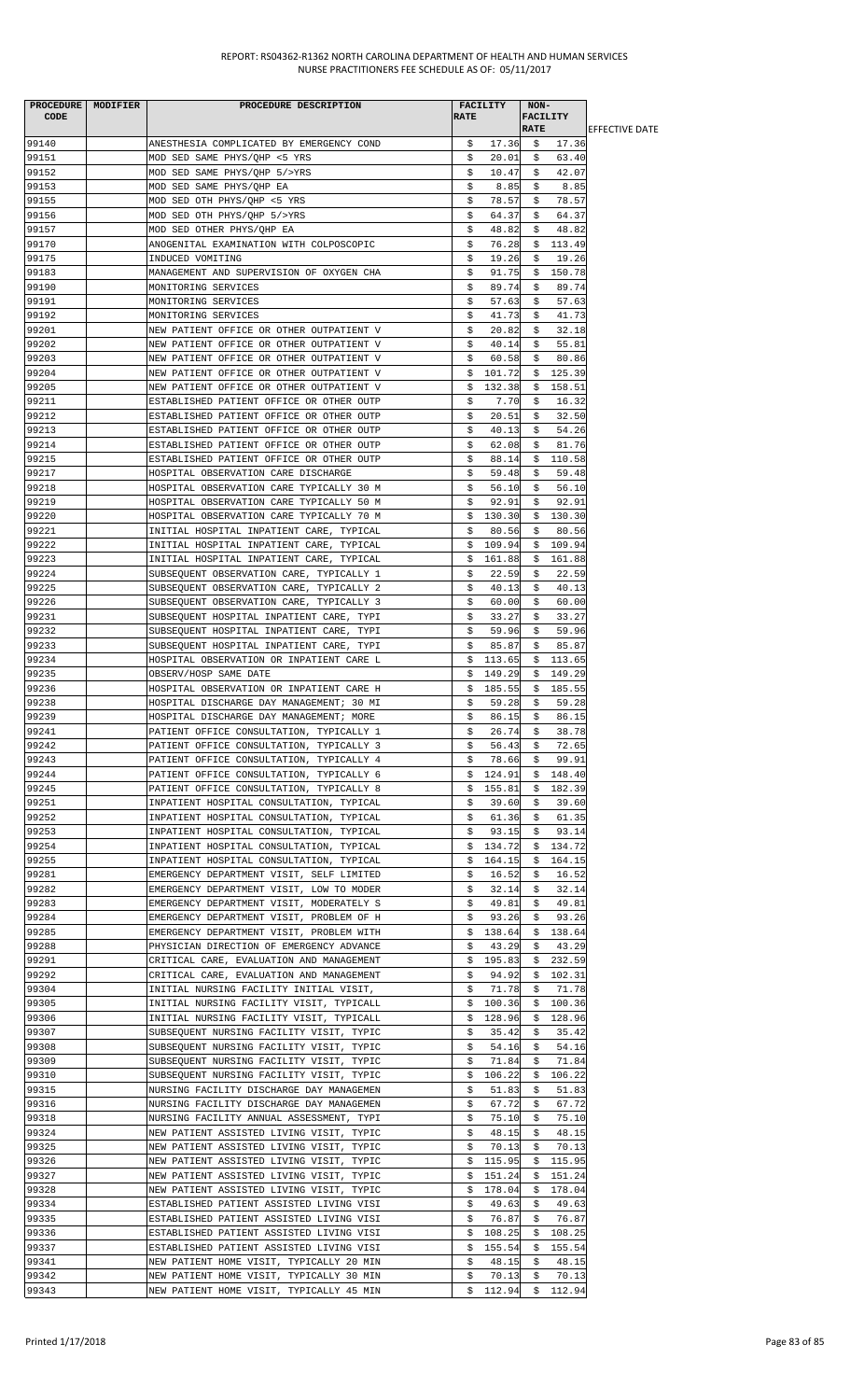| <b>CODE</b>    | PROCEDURE MODIFIER | PROCEDURE DESCRIPTION                                                                | <b>RATE</b> | <b>FACILITY</b>  | NON-<br><b>FACILITY</b> |                    |                        |
|----------------|--------------------|--------------------------------------------------------------------------------------|-------------|------------------|-------------------------|--------------------|------------------------|
|                |                    |                                                                                      |             |                  | <b>RATE</b>             |                    | <b>IEFFECTIVE DATE</b> |
| 99140          |                    | ANESTHESIA COMPLICATED BY EMERGENCY COND                                             | \$          | 17.36            | Ş.                      | 17.36              |                        |
| 99151          |                    | MOD SED SAME PHYS/QHP <5 YRS                                                         | \$          | 20.01            | \$                      | 63.40              |                        |
| 99152          |                    | MOD SED SAME PHYS/QHP 5/>YRS                                                         | \$          | 10.47            | \$                      | 42.07              |                        |
| 99153          |                    | MOD SED SAME PHYS/QHP EA                                                             | \$          | 8.85             | \$                      | 8.85               |                        |
| 99155          |                    | MOD SED OTH PHYS/QHP <5 YRS                                                          | Ş.          | 78.57            | S.                      | 78.57              |                        |
| 99156          |                    | MOD SED OTH PHYS/QHP 5/>YRS                                                          | \$          | 64.37            | \$                      | 64.37              |                        |
| 99157          |                    | MOD SED OTHER PHYS/QHP EA                                                            | \$          | 48.82            | \$                      | 48.82              |                        |
| 99170          |                    | ANOGENITAL EXAMINATION WITH COLPOSCOPIC                                              | \$          | 76.28            |                         | \$113.49           |                        |
| 99175          |                    | INDUCED VOMITING                                                                     | \$          | 19.26            | S.                      | 19.26              |                        |
| 99183          |                    | MANAGEMENT AND SUPERVISION OF OXYGEN CHA                                             | \$          | 91.75            | \$                      | 150.78             |                        |
| 99190          |                    | MONITORING SERVICES                                                                  | \$          | 89.74<br>57.63   | \$                      | 89.74              |                        |
| 99191<br>99192 |                    | MONITORING SERVICES                                                                  | \$<br>\$    | 41.73            | S.<br>\$                | 57.63<br>41.73     |                        |
| 99201          |                    | MONITORING SERVICES                                                                  |             | 20.82            | \$                      | 32.18              |                        |
| 99202          |                    | NEW PATIENT OFFICE OR OTHER OUTPATIENT V                                             | \$<br>\$    | 40.14            |                         | 55.81              |                        |
| 99203          |                    | NEW PATIENT OFFICE OR OTHER OUTPATIENT V<br>NEW PATIENT OFFICE OR OTHER OUTPATIENT V | \$          | 60.58            | Ş.<br>S.                | 80.86              |                        |
| 99204          |                    | NEW PATIENT OFFICE OR OTHER OUTPATIENT V                                             | \$          | 101.72           | \$.                     | 125.39             |                        |
| 99205          |                    | NEW PATIENT OFFICE OR OTHER OUTPATIENT V                                             | \$          | 132.38           | \$                      | 158.51             |                        |
| 99211          |                    | ESTABLISHED PATIENT OFFICE OR OTHER OUTP                                             | \$          | 7.70             | \$                      | 16.32              |                        |
| 99212          |                    | ESTABLISHED PATIENT OFFICE OR OTHER OUTP                                             | \$          | 20.51            | \$                      | 32.50              |                        |
| 99213          |                    | ESTABLISHED PATIENT OFFICE OR OTHER OUTP                                             | \$          | 40.13            | \$                      | 54.26              |                        |
| 99214          |                    | ESTABLISHED PATIENT OFFICE OR OTHER OUTP                                             | Ş.          | 62.08            | Ş.                      | 81.76              |                        |
| 99215          |                    | ESTABLISHED PATIENT OFFICE OR OTHER OUTP                                             | \$          | 88.14            | \$                      | 110.58             |                        |
| 99217          |                    | HOSPITAL OBSERVATION CARE DISCHARGE                                                  | \$          | 59.48            | \$                      | 59.48              |                        |
| 99218          |                    | HOSPITAL OBSERVATION CARE TYPICALLY 30 M                                             | \$          | 56.10            | \$                      | 56.10              |                        |
| 99219          |                    | HOSPITAL OBSERVATION CARE TYPICALLY 50 M                                             | \$          | 92.91            | \$                      | 92.91              |                        |
| 99220          |                    | HOSPITAL OBSERVATION CARE TYPICALLY 70 M                                             | \$          | 130.30           | Ş.                      | 130.30             |                        |
| 99221          |                    | INITIAL HOSPITAL INPATIENT CARE, TYPICAL                                             | \$          | 80.56            | \$                      | 80.56              |                        |
| 99222          |                    | INITIAL HOSPITAL INPATIENT CARE, TYPICAL                                             | \$          | 109.94           | \$                      | 109.94             |                        |
| 99223          |                    | INITIAL HOSPITAL INPATIENT CARE, TYPICAL                                             | S.          | 161.88           | S.                      | 161.88             |                        |
| 99224          |                    | SUBSEQUENT OBSERVATION CARE, TYPICALLY 1                                             | \$          | 22.59            | \$                      | 22.59              |                        |
| 99225          |                    | SUBSEQUENT OBSERVATION CARE, TYPICALLY 2                                             | \$          | 40.13            | \$                      | 40.13              |                        |
| 99226          |                    | SUBSEQUENT OBSERVATION CARE, TYPICALLY 3                                             | \$          | 60.00            | \$                      | 60.00              |                        |
| 99231          |                    | SUBSEQUENT HOSPITAL INPATIENT CARE, TYPI                                             | \$          | 33.27            | S.                      | 33.27              |                        |
| 99232          |                    | SUBSEQUENT HOSPITAL INPATIENT CARE, TYPI                                             | \$          | 59.96            | \$                      | 59.96              |                        |
| 99233          |                    | SUBSEQUENT HOSPITAL INPATIENT CARE, TYPI                                             | \$          | 85.87            | \$                      | 85.87              |                        |
| 99234          |                    | HOSPITAL OBSERVATION OR INPATIENT CARE L                                             | \$          | 113.65           | \$                      | 113.65             |                        |
| 99235          |                    | OBSERV/HOSP SAME DATE                                                                | S.          | 149.29           | Ş.                      | 149.29             |                        |
| 99236          |                    | HOSPITAL OBSERVATION OR INPATIENT CARE H                                             | \$          | 185.55           | Ş.                      | 185.55             |                        |
| 99238          |                    | HOSPITAL DISCHARGE DAY MANAGEMENT; 30 MI                                             | \$          | 59.28            | \$                      | 59.28              |                        |
| 99239          |                    | HOSPITAL DISCHARGE DAY MANAGEMENT; MORE                                              | \$          | 86.15            | \$                      | 86.15              |                        |
| 99241          |                    | PATIENT OFFICE CONSULTATION, TYPICALLY 1                                             | \$          | 26.74            | - \$                    | 38.78              |                        |
| 99242          |                    | PATIENT OFFICE CONSULTATION, TYPICALLY 3                                             | \$          | 56.43            | \$                      | 72.65              |                        |
| 99243<br>99244 |                    | PATIENT OFFICE CONSULTATION, TYPICALLY 4                                             | \$          | 78.66            | \$                      | 99.91              |                        |
| 99245          |                    | PATIENT OFFICE CONSULTATION, TYPICALLY 6                                             | \$          | 124.91           |                         | \$148.40           |                        |
| 99251          |                    | PATIENT OFFICE CONSULTATION, TYPICALLY 8<br>INPATIENT HOSPITAL CONSULTATION, TYPICAL | \$<br>Ş.    | 155.81<br>39.60  | \$<br>Ş.                | 182.39<br>39.60    |                        |
| 99252          |                    | INPATIENT HOSPITAL CONSULTATION, TYPICAL                                             | \$          | 61.36            | \$                      | 61.35              |                        |
| 99253          |                    | INPATIENT HOSPITAL CONSULTATION, TYPICAL                                             | \$          | 93.15            | \$                      | 93.14              |                        |
| 99254          |                    | INPATIENT HOSPITAL CONSULTATION, TYPICAL                                             | \$          | 134.72           | \$                      | 134.72             |                        |
| 99255          |                    | INPATIENT HOSPITAL CONSULTATION, TYPICAL                                             | \$          | 164.15           | \$                      | 164.15             |                        |
| 99281          |                    | EMERGENCY DEPARTMENT VISIT, SELF LIMITED                                             | Ş.          | 16.52            | Ş.                      | 16.52              |                        |
| 99282          |                    | EMERGENCY DEPARTMENT VISIT, LOW TO MODER                                             | \$          | 32.14            | \$                      | 32.14              |                        |
| 99283          |                    | EMERGENCY DEPARTMENT VISIT, MODERATELY S                                             | \$          | 49.81            | \$                      | 49.81              |                        |
| 99284          |                    | EMERGENCY DEPARTMENT VISIT, PROBLEM OF H                                             | S.          | 93.26            | S.                      | 93.26              |                        |
| 99285          |                    | EMERGENCY DEPARTMENT VISIT, PROBLEM WITH                                             | \$          | 138.64           | \$                      | 138.64             |                        |
| 99288          |                    | PHYSICIAN DIRECTION OF EMERGENCY ADVANCE                                             | \$          | 43.29            | \$                      | 43.29              |                        |
| 99291          |                    | CRITICAL CARE, EVALUATION AND MANAGEMENT                                             |             | \$195.83         | \$                      | 232.59             |                        |
| 99292          |                    | CRITICAL CARE, EVALUATION AND MANAGEMENT                                             | Ş.          | 94.92            | Ş.                      | 102.31             |                        |
| 99304          |                    | INITIAL NURSING FACILITY INITIAL VISIT,                                              | \$          | 71.78            | \$                      | 71.78              |                        |
| 99305          |                    | INITIAL NURSING FACILITY VISIT, TYPICALL                                             | \$          | 100.36           | \$                      | 100.36             |                        |
| 99306          |                    | INITIAL NURSING FACILITY VISIT, TYPICALL                                             | Ş.          | 128.96           | \$.                     | 128.96             |                        |
| 99307          |                    | SUBSEQUENT NURSING FACILITY VISIT, TYPIC                                             | Ş.          | 35.42            | \$                      | 35.42              |                        |
| 99308          |                    | SUBSEQUENT NURSING FACILITY VISIT, TYPIC                                             | \$          | 54.16            | \$                      | 54.16              |                        |
| 99309          |                    | SUBSEQUENT NURSING FACILITY VISIT, TYPIC                                             | \$          | 71.84            | \$                      | 71.84              |                        |
| 99310          |                    | SUBSEQUENT NURSING FACILITY VISIT, TYPIC                                             | Ş.          | 106.22           | \$                      | 106.22             |                        |
| 99315          |                    | NURSING FACILITY DISCHARGE DAY MANAGEMEN                                             | \$          | 51.83            | \$                      | 51.83              |                        |
| 99316          |                    | NURSING FACILITY DISCHARGE DAY MANAGEMEN                                             | \$          | 67.72            | \$                      | 67.72              |                        |
| 99318          |                    | NURSING FACILITY ANNUAL ASSESSMENT, TYPI                                             | \$          | 75.10            | Ş                       | 75.10              |                        |
| 99324          |                    | NEW PATIENT ASSISTED LIVING VISIT, TYPIC                                             | \$          | 48.15            | \$                      | 48.15              |                        |
| 99325          |                    | NEW PATIENT ASSISTED LIVING VISIT, TYPIC                                             | \$          | 70.13            | \$                      | 70.13              |                        |
| 99326          |                    | NEW PATIENT ASSISTED LIVING VISIT, TYPIC                                             | Ş.          | 115.95           | Ş.                      | 115.95             |                        |
| 99327<br>99328 |                    | NEW PATIENT ASSISTED LIVING VISIT, TYPIC<br>NEW PATIENT ASSISTED LIVING VISIT, TYPIC | S.          | 151.24<br>178.04 | \$                      | 151.24<br>\$178.04 |                        |
| 99334          |                    | ESTABLISHED PATIENT ASSISTED LIVING VISI                                             | Ş.<br>\$    | 49.63            | \$                      | 49.63              |                        |
| 99335          |                    | ESTABLISHED PATIENT ASSISTED LIVING VISI                                             | \$          | 76.87            | \$.                     | 76.87              |                        |
| 99336          |                    | ESTABLISHED PATIENT ASSISTED LIVING VISI                                             | \$          | 108.25           | \$                      | 108.25             |                        |
| 99337          |                    | ESTABLISHED PATIENT ASSISTED LIVING VISI                                             | \$          | 155.54           | \$                      | 155.54             |                        |
| 99341          |                    | NEW PATIENT HOME VISIT, TYPICALLY 20 MIN                                             | \$          | 48.15            | \$                      | 48.15              |                        |
| 99342          |                    | NEW PATIENT HOME VISIT, TYPICALLY 30 MIN                                             | \$          | 70.13            | \$                      | 70.13              |                        |
| 99343          |                    | NEW PATIENT HOME VISIT, TYPICALLY 45 MIN                                             |             | $$112.94$ \$     |                         | 112.94             |                        |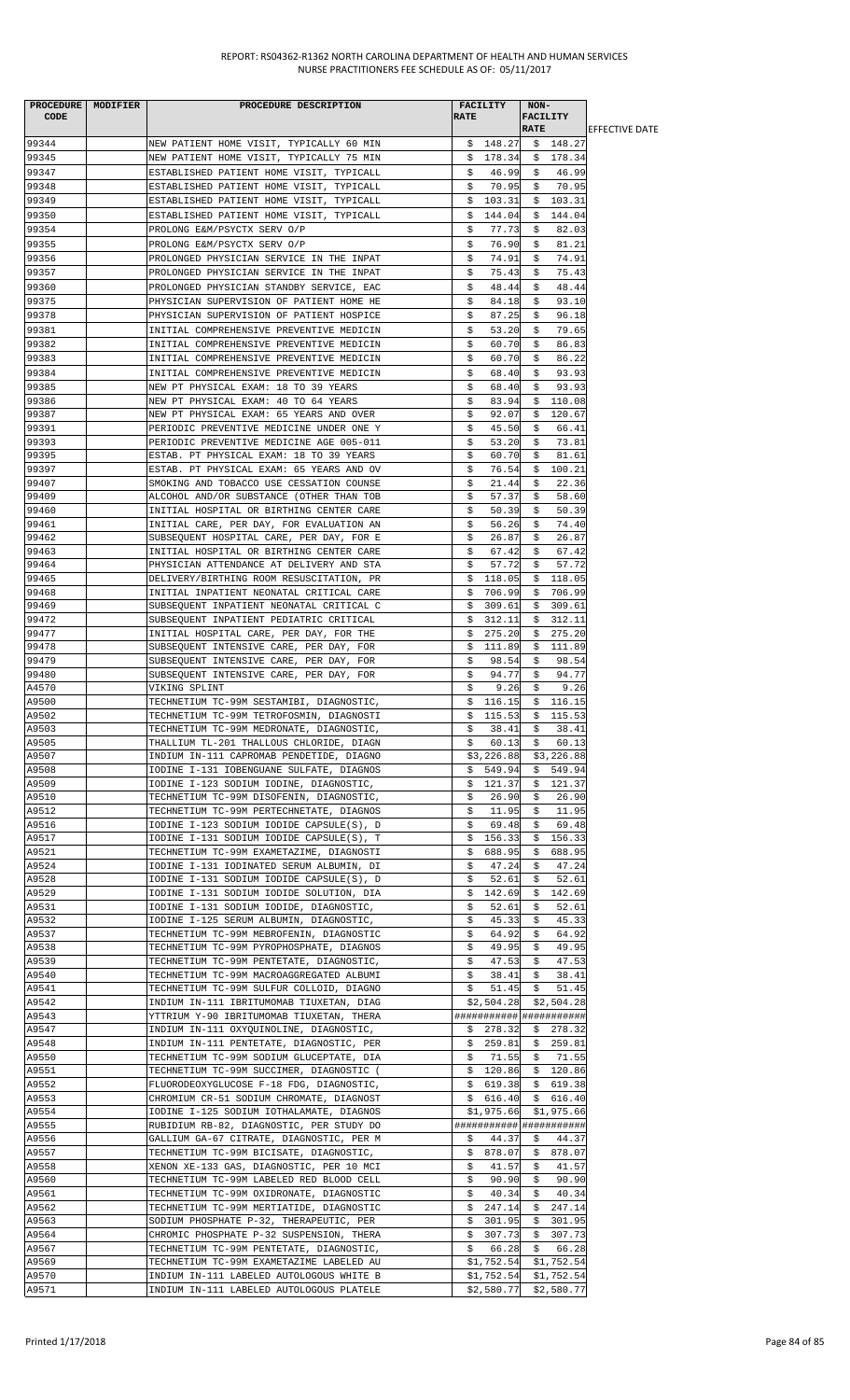| PROCEDURE   MODIFIER | PROCEDURE DESCRIPTION                                                                |             | <b>FACILITY</b>                    | NON-        |                             |                        |
|----------------------|--------------------------------------------------------------------------------------|-------------|------------------------------------|-------------|-----------------------------|------------------------|
| CODE                 |                                                                                      | <b>RATE</b> |                                    | FACILITY    |                             |                        |
|                      |                                                                                      |             |                                    | <b>RATE</b> |                             | <b>JEFFECTIVE DATE</b> |
| 99344                | NEW PATIENT HOME VISIT, TYPICALLY 60 MIN                                             |             | \$148.27                           |             | \$148.27                    |                        |
| 99345                | NEW PATIENT HOME VISIT, TYPICALLY 75 MIN                                             |             | \$178.34                           |             | \$178.34                    |                        |
| 99347                | ESTABLISHED PATIENT HOME VISIT, TYPICALL                                             | \$          | 46.99                              | \$          | 46.99                       |                        |
| 99348                | ESTABLISHED PATIENT HOME VISIT, TYPICALL                                             | \$          | 70.95                              | \$          | 70.95                       |                        |
| 99349                | ESTABLISHED PATIENT HOME VISIT, TYPICALL                                             | \$          | 103.31                             |             | \$103.31                    |                        |
| 99350                | ESTABLISHED PATIENT HOME VISIT, TYPICALL                                             | \$          | 144.04                             |             | \$144.04                    |                        |
| 99354                | PROLONG E&M/PSYCTX SERV O/P                                                          | \$          | 77.73                              | \$          | 82.03                       |                        |
| 99355                | PROLONG E&M/PSYCTX SERV O/P                                                          | \$          | 76.90                              | \$          | 81.21                       |                        |
| 99356                | PROLONGED PHYSICIAN SERVICE IN THE INPAT                                             | \$          | 74.91                              | \$          | 74.91                       |                        |
| 99357                | PROLONGED PHYSICIAN SERVICE IN THE INPAT                                             | \$          | 75.43                              | \$          | 75.43                       |                        |
| 99360                | PROLONGED PHYSICIAN STANDBY SERVICE, EAC                                             | \$          | 48.44                              | \$          | 48.44                       |                        |
| 99375                | PHYSICIAN SUPERVISION OF PATIENT HOME HE                                             | \$          | 84.18                              | \$          | 93.10                       |                        |
| 99378                | PHYSICIAN SUPERVISION OF PATIENT HOSPICE                                             | \$          | 87.25                              | S.          | 96.18                       |                        |
| 99381                | INITIAL COMPREHENSIVE PREVENTIVE MEDICIN                                             | s           | 53.20                              | S.          | 79.65                       |                        |
| 99382                | INITIAL COMPREHENSIVE PREVENTIVE MEDICIN                                             | \$          | 60.70                              | \$          | 86.83                       |                        |
| 99383                | INITIAL COMPREHENSIVE PREVENTIVE MEDICIN                                             | \$          | 60.70                              | \$          | 86.22                       |                        |
| 99384                | INITIAL COMPREHENSIVE PREVENTIVE MEDICIN                                             | \$          | 68.40                              | \$          | 93.93                       |                        |
| 99385                | NEW PT PHYSICAL EXAM: 18 TO 39 YEARS                                                 | \$          | 68.40                              | \$          | 93.93                       |                        |
| 99386                | NEW PT PHYSICAL EXAM: 40 TO 64 YEARS                                                 | \$          | 83.94                              | \$          | 110.08                      |                        |
| 99387                | NEW PT PHYSICAL EXAM: 65 YEARS AND OVER                                              | \$          | 92.07                              |             | \$120.67                    |                        |
| 99391                | PERIODIC PREVENTIVE MEDICINE UNDER ONE Y                                             | \$          | 45.50                              | \$          | 66.41                       |                        |
| 99393                | PERIODIC PREVENTIVE MEDICINE AGE 005-011                                             | \$          | 53.20                              | \$          | 73.81                       |                        |
| 99395                | ESTAB. PT PHYSICAL EXAM: 18 TO 39 YEARS                                              | \$          | 60.70                              | \$          | 81.61                       |                        |
| 99397                | ESTAB. PT PHYSICAL EXAM: 65 YEARS AND OV                                             | \$          | 76.54                              |             | \$100.21                    |                        |
| 99407                | SMOKING AND TOBACCO USE CESSATION COUNSE                                             | \$          | 21.44                              | \$          | 22.36                       |                        |
| 99409                | ALCOHOL AND/OR SUBSTANCE (OTHER THAN TOB                                             | \$          | 57.37                              | S.          | 58.60                       |                        |
| 99460                | INITIAL HOSPITAL OR BIRTHING CENTER CARE                                             | \$          | 50.39                              | \$          | 50.39                       |                        |
| 99461                | INITIAL CARE, PER DAY, FOR EVALUATION AN                                             | \$          | 56.26                              | \$          | 74.40                       |                        |
| 99462                | SUBSEQUENT HOSPITAL CARE, PER DAY, FOR E                                             | Ş.          | 26.87                              | S.          | 26.87                       |                        |
| 99463                | INITIAL HOSPITAL OR BIRTHING CENTER CARE                                             | \$          | 67.42                              | \$          | 67.42                       |                        |
| 99464                | PHYSICIAN ATTENDANCE AT DELIVERY AND STA                                             | Ş.          | 57.72                              | Ş.          | 57.72                       |                        |
| 99465                | DELIVERY/BIRTHING ROOM RESUSCITATION, PR                                             | \$.         | 118.05                             |             | \$118.05                    |                        |
| 99468                | INITIAL INPATIENT NEONATAL CRITICAL CARE                                             | S.          | 706.99                             | S.          | 706.99                      |                        |
| 99469                | SUBSEQUENT INPATIENT NEONATAL CRITICAL C                                             | \$          | 309.61                             | \$          | 309.61                      |                        |
| 99472                | SUBSEQUENT INPATIENT PEDIATRIC CRITICAL                                              | \$          | 312.11                             | \$          | 312.11                      |                        |
| 99477                | INITIAL HOSPITAL CARE, PER DAY, FOR THE                                              | \$          | 275.20                             | \$          | 275.20                      |                        |
| 99478                | SUBSEQUENT INTENSIVE CARE, PER DAY, FOR                                              | \$          | 111.89                             |             | \$111.89                    |                        |
| 99479                | SUBSEQUENT INTENSIVE CARE, PER DAY, FOR                                              | \$          | 98.54                              | \$          | 98.54                       |                        |
| 99480<br>A4570       | SUBSEQUENT INTENSIVE CARE, PER DAY, FOR                                              | \$          | 94.77                              | \$          | 94.77                       |                        |
| A9500                | VIKING SPLINT                                                                        | S.          | 9.26                               | S.          | 9.26<br>\$116.15            |                        |
| A9502                | TECHNETIUM TC-99M SESTAMIBI, DIAGNOSTIC,<br>TECHNETIUM TC-99M TETROFOSMIN, DIAGNOSTI | \$          | \$116.15                           |             | 115.53 $\frac{1}{5}$ 115.53 |                        |
| A9503                | TECHNETIUM TC-99M MEDRONATE, DIAGNOSTIC,                                             | Ş.          | 38.41                              | Ş.          | 38.41                       |                        |
| A9505                | THALLIUM TL-201 THALLOUS CHLORIDE, DIAGN                                             | \$          | 60.13                              | \$          | 60.13                       |                        |
| A9507                | INDIUM IN-111 CAPROMAB PENDETIDE, DIAGNO                                             |             | \$3,226.88                         |             | \$3,226.88                  |                        |
| A9508                | IODINE I-131 IOBENGUANE SULFATE, DIAGNOS                                             | Ş.          | 549.94                             | Ş.          | 549.94                      |                        |
| A9509                | IODINE I-123 SODIUM IODINE, DIAGNOSTIC,                                              |             | \$121.37                           |             | \$121.37                    |                        |
| A9510                | TECHNETIUM TC-99M DISOFENIN, DIAGNOSTIC,                                             | Ş.          | 26.90                              | \$          | 26.90                       |                        |
| A9512                | TECHNETIUM TC-99M PERTECHNETATE, DIAGNOS                                             | \$          | 11.95                              | \$          | 11.95                       |                        |
| A9516                | IODINE I-123 SODIUM IODIDE CAPSULE(S), D                                             | \$          | 69.48                              | \$          | 69.48                       |                        |
| A9517                | IODINE I-131 SODIUM IODIDE CAPSULE(S), T                                             | \$          | 156.33                             | \$          | 156.33                      |                        |
| A9521                | TECHNETIUM TC-99M EXAMETAZIME, DIAGNOSTI                                             | \$.         | 688.95                             | \$          | 688.95                      |                        |
| A9524                | IODINE I-131 IODINATED SERUM ALBUMIN, DI                                             | \$          | 47.24                              | Ş.          | 47.24                       |                        |
| A9528                | IODINE I-131 SODIUM IODIDE CAPSULE(S), D                                             | S.          | 52.61                              | S.          | 52.61                       |                        |
| A9529                | IODINE I-131 SODIUM IODIDE SOLUTION, DIA                                             | \$          | 142.69                             | \$          | 142.69                      |                        |
| A9531                | IODINE I-131 SODIUM IODIDE, DIAGNOSTIC,                                              | Ş.          | 52.61                              | Ş.          | 52.61                       |                        |
| A9532                | IODINE I-125 SERUM ALBUMIN, DIAGNOSTIC,                                              | \$          | 45.33                              | \$          | 45.33                       |                        |
| A9537                | TECHNETIUM TC-99M MEBROFENIN, DIAGNOSTIC                                             | \$          | 64.92                              | \$          | 64.92                       |                        |
| A9538                | TECHNETIUM TC-99M PYROPHOSPHATE, DIAGNOS                                             | \$          | 49.95                              | \$          | 49.95                       |                        |
| A9539                | TECHNETIUM TC-99M PENTETATE, DIAGNOSTIC,                                             | \$          | 47.53                              | \$          | 47.53                       |                        |
| A9540                | TECHNETIUM TC-99M MACROAGGREGATED ALBUMI                                             | \$          | 38.41                              | \$          | 38.41                       |                        |
| A9541<br>A9542       | TECHNETIUM TC-99M SULFUR COLLOID, DIAGNO<br>INDIUM IN-111 IBRITUMOMAB TIUXETAN, DIAG | \$          | 51.45<br>\$2,504.28                | \$          | 51.45                       |                        |
| A9543                |                                                                                      |             |                                    |             | \$2,504.28                  |                        |
| A9547                | YTTRIUM Y-90 IBRITUMOMAB TIUXETAN, THERA<br>INDIUM IN-111 OXYQUINOLINE, DIAGNOSTIC,  |             | ######################<br>\$278.32 |             | \$278.32                    |                        |
| A9548                | INDIUM IN-111 PENTETATE, DIAGNOSTIC, PER                                             |             | \$259.81                           |             | \$259.81                    |                        |
| A9550                | TECHNETIUM TC-99M SODIUM GLUCEPTATE, DIA                                             | Ş.          | 71.55                              | \$          | 71.55                       |                        |
| A9551                | TECHNETIUM TC-99M SUCCIMER, DIAGNOSTIC (                                             |             | \$120.86                           |             | \$120.86                    |                        |
| A9552                | FLUORODEOXYGLUCOSE F-18 FDG, DIAGNOSTIC,                                             |             | \$619.38                           | \$          | 619.38                      |                        |
| A9553                | CHROMIUM CR-51 SODIUM CHROMATE, DIAGNOST                                             |             | \$616.40                           | \$          | 616.40                      |                        |
| A9554                | IODINE I-125 SODIUM IOTHALAMATE, DIAGNOS                                             |             | \$1,975.66                         |             | \$1,975.66                  |                        |
| A9555                | RUBIDIUM RB-82, DIAGNOSTIC, PER STUDY DO                                             |             | ######################             |             |                             |                        |
| A9556                | GALLIUM GA-67 CITRATE, DIAGNOSTIC, PER M                                             | S.          | 44.37                              | S.          | 44.37                       |                        |
| A9557                | TECHNETIUM TC-99M BICISATE, DIAGNOSTIC,                                              |             | \$878.07                           |             | \$878.07                    |                        |
| A9558                | XENON XE-133 GAS, DIAGNOSTIC, PER 10 MCI                                             | \$          | 41.57                              | \$          | 41.57                       |                        |
| A9560                | TECHNETIUM TC-99M LABELED RED BLOOD CELL                                             | \$          | 90.90                              | \$          | 90.90                       |                        |
| A9561                | TECHNETIUM TC-99M OXIDRONATE, DIAGNOSTIC                                             | \$          | 40.34                              | \$          | 40.34                       |                        |
| A9562                | TECHNETIUM TC-99M MERTIATIDE, DIAGNOSTIC                                             | \$          | 247.14                             | \$          | 247.14                      |                        |
| A9563                | SODIUM PHOSPHATE P-32, THERAPEUTIC, PER                                              | Ş.          | 301.95                             | Ş.          | 301.95                      |                        |
| A9564                | CHROMIC PHOSPHATE P-32 SUSPENSION, THERA                                             |             | \$307.73                           |             | \$307.73                    |                        |
| A9567                | TECHNETIUM TC-99M PENTETATE, DIAGNOSTIC,                                             | \$          | 66.28                              |             | \$66.28                     |                        |
| A9569                | TECHNETIUM TC-99M EXAMETAZIME LABELED AU                                             |             | \$1,752.54                         |             | \$1,752.54                  |                        |
| A9570                | INDIUM IN-111 LABELED AUTOLOGOUS WHITE B                                             |             | \$1,752.54                         |             | \$1,752.54                  |                        |
| A9571                | INDIUM IN-111 LABELED AUTOLOGOUS PLATELE                                             |             | $$2,580.77$ $$2,580.77$            |             |                             |                        |